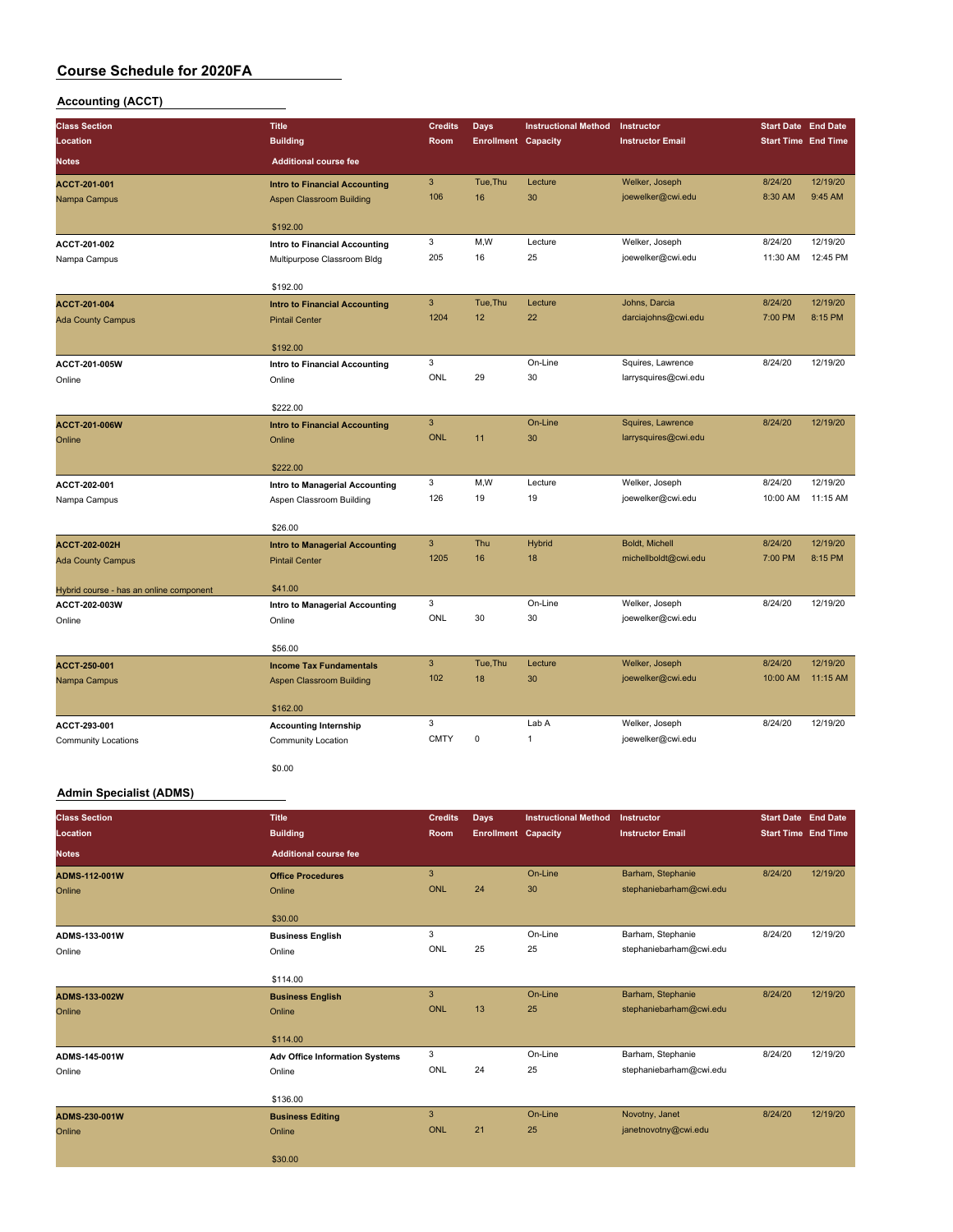### **Accounting (ACCT)**

| <b>Class Section</b>                             | <b>Title</b>                                                   | <b>Credits</b> | <b>Days</b>                | <b>Instructional Method</b> | Instructor              | <b>Start Date End Date</b> |          |
|--------------------------------------------------|----------------------------------------------------------------|----------------|----------------------------|-----------------------------|-------------------------|----------------------------|----------|
| Location                                         | <b>Building</b>                                                | Room           | <b>Enrollment Capacity</b> |                             | <b>Instructor Email</b> | <b>Start Time End Time</b> |          |
| <b>Notes</b>                                     | <b>Additional course fee</b>                                   |                |                            |                             |                         |                            |          |
| ACCT-201-001                                     | <b>Intro to Financial Accounting</b>                           | 3              | Tue, Thu                   | Lecture                     | Welker, Joseph          | 8/24/20                    | 12/19/20 |
| Nampa Campus                                     | <b>Aspen Classroom Building</b>                                | 106            | 16                         | 30                          | joewelker@cwi.edu       | 8:30 AM                    | 9:45 AM  |
|                                                  | \$192.00                                                       |                |                            |                             |                         |                            |          |
| ACCT-201-002                                     | Intro to Financial Accounting                                  | 3              | M,W                        | Lecture                     | Welker, Joseph          | 8/24/20                    | 12/19/20 |
| Nampa Campus                                     | Multipurpose Classroom Bldg                                    | 205            | 16                         | 25                          | joewelker@cwi.edu       | 11:30 AM                   | 12:45 PM |
|                                                  |                                                                |                |                            |                             |                         |                            |          |
|                                                  | \$192.00                                                       |                |                            |                             |                         |                            |          |
| ACCT-201-004                                     | <b>Intro to Financial Accounting</b>                           | 3              | Tue, Thu                   | Lecture                     | Johns, Darcia           | 8/24/20                    | 12/19/20 |
| <b>Ada County Campus</b>                         | <b>Pintail Center</b>                                          | 1204           | 12                         | 22                          | darciajohns@cwi.edu     | 7:00 PM                    | 8:15 PM  |
|                                                  | \$192.00                                                       |                |                            |                             |                         |                            |          |
| ACCT-201-005W                                    | <b>Intro to Financial Accounting</b>                           | 3              |                            | On-Line                     | Squires, Lawrence       | 8/24/20                    | 12/19/20 |
| Online                                           | Online                                                         | ONL            | 29                         | 30                          | larrysquires@cwi.edu    |                            |          |
|                                                  |                                                                |                |                            |                             |                         |                            |          |
|                                                  | \$222.00                                                       |                |                            |                             |                         |                            |          |
| ACCT-201-006W                                    | <b>Intro to Financial Accounting</b>                           | $\overline{3}$ |                            | On-Line                     | Squires, Lawrence       | 8/24/20                    | 12/19/20 |
| Online                                           | Online                                                         | <b>ONL</b>     | 11                         | 30                          | larrysquires@cwi.edu    |                            |          |
|                                                  | \$222.00                                                       |                |                            |                             |                         |                            |          |
| ACCT-202-001                                     | Intro to Managerial Accounting                                 | 3              | M,W                        | Lecture                     | Welker, Joseph          | 8/24/20                    | 12/19/20 |
| Nampa Campus                                     | Aspen Classroom Building                                       | 126            | 19                         | 19                          | joewelker@cwi.edu       | 10:00 AM                   | 11:15 AM |
|                                                  |                                                                |                |                            |                             |                         |                            |          |
|                                                  | \$26.00                                                        | 3              | Thu                        | <b>Hybrid</b>               | Boldt, Michell          | 8/24/20                    | 12/19/20 |
| <b>ACCT-202-002H</b><br><b>Ada County Campus</b> | <b>Intro to Managerial Accounting</b><br><b>Pintail Center</b> | 1205           | 16                         | 18                          | michellboldt@cwi.edu    | 7:00 PM                    | 8:15 PM  |
|                                                  |                                                                |                |                            |                             |                         |                            |          |
| Hybrid course - has an online component          | \$41.00                                                        |                |                            |                             |                         |                            |          |
| ACCT-202-003W                                    | Intro to Managerial Accounting                                 | 3              |                            | On-Line                     | Welker, Joseph          | 8/24/20                    | 12/19/20 |
| Online                                           | Online                                                         | ONL            | 30                         | 30                          | joewelker@cwi.edu       |                            |          |
|                                                  | \$56.00                                                        |                |                            |                             |                         |                            |          |
| ACCT-250-001                                     | <b>Income Tax Fundamentals</b>                                 | $\overline{3}$ | Tue, Thu                   | Lecture                     | Welker, Joseph          | 8/24/20                    | 12/19/20 |
| Nampa Campus                                     | <b>Aspen Classroom Building</b>                                | 102            | 18                         | 30                          | joewelker@cwi.edu       | 10:00 AM                   | 11:15 AM |
|                                                  |                                                                |                |                            |                             |                         |                            |          |
|                                                  | \$162.00                                                       |                |                            |                             |                         |                            |          |
| ACCT-293-001                                     | <b>Accounting Internship</b>                                   | 3              |                            | Lab A                       | Welker, Joseph          | 8/24/20                    | 12/19/20 |
| <b>Community Locations</b>                       | Community Location                                             | <b>CMTY</b>    | $\mathbf 0$                | 1                           | joewelker@cwi.edu       |                            |          |
|                                                  |                                                                |                |                            |                             |                         |                            |          |

\$0.00

#### **Admin Specialist (ADMS)**

| <b>Class Section</b><br>Location | <b>Title</b><br><b>Building</b>                 | <b>Credits</b><br>Room     | Days<br><b>Enrollment Capacity</b> | <b>Instructional Method</b> | Instructor<br><b>Instructor Email</b>        | <b>Start Date End Date</b><br><b>Start Time End Time</b> |          |
|----------------------------------|-------------------------------------------------|----------------------------|------------------------------------|-----------------------------|----------------------------------------------|----------------------------------------------------------|----------|
| <b>Notes</b>                     | <b>Additional course fee</b>                    |                            |                                    |                             |                                              |                                                          |          |
| ADMS-112-001W<br>Online          | <b>Office Procedures</b><br>Online              | $\mathbf{3}$<br><b>ONL</b> | 24                                 | On-Line<br>30               | Barham, Stephanie<br>stephaniebarham@cwi.edu | 8/24/20                                                  | 12/19/20 |
| ADMS-133-001W<br>Online          | \$30.00<br><b>Business English</b><br>Online    | 3<br>ONL                   | 25                                 | On-Line<br>25               | Barham, Stephanie<br>stephaniebarham@cwi.edu | 8/24/20                                                  | 12/19/20 |
| ADMS-133-002W<br>Online          | \$114.00<br><b>Business English</b><br>Online   | $\mathbf{3}$<br><b>ONL</b> | 13                                 | On-Line<br>25               | Barham, Stephanie<br>stephaniebarham@cwi.edu | 8/24/20                                                  | 12/19/20 |
|                                  | \$114.00                                        |                            |                                    |                             |                                              |                                                          |          |
| ADMS-145-001W<br>Online          | <b>Adv Office Information Systems</b><br>Online | 3<br>ONL                   | 24                                 | On-Line<br>25               | Barham, Stephanie<br>stephaniebarham@cwi.edu | 8/24/20                                                  | 12/19/20 |
|                                  | \$136.00                                        | $\overline{3}$             |                                    | On-Line                     | Novotny, Janet                               | 8/24/20                                                  | 12/19/20 |
| ADMS-230-001W<br>Online          | <b>Business Editing</b><br>Online               | ONL                        | 21                                 | 25                          | janetnovotny@cwi.edu                         |                                                          |          |
|                                  | \$30.00                                         |                            |                                    |                             |                                              |                                                          |          |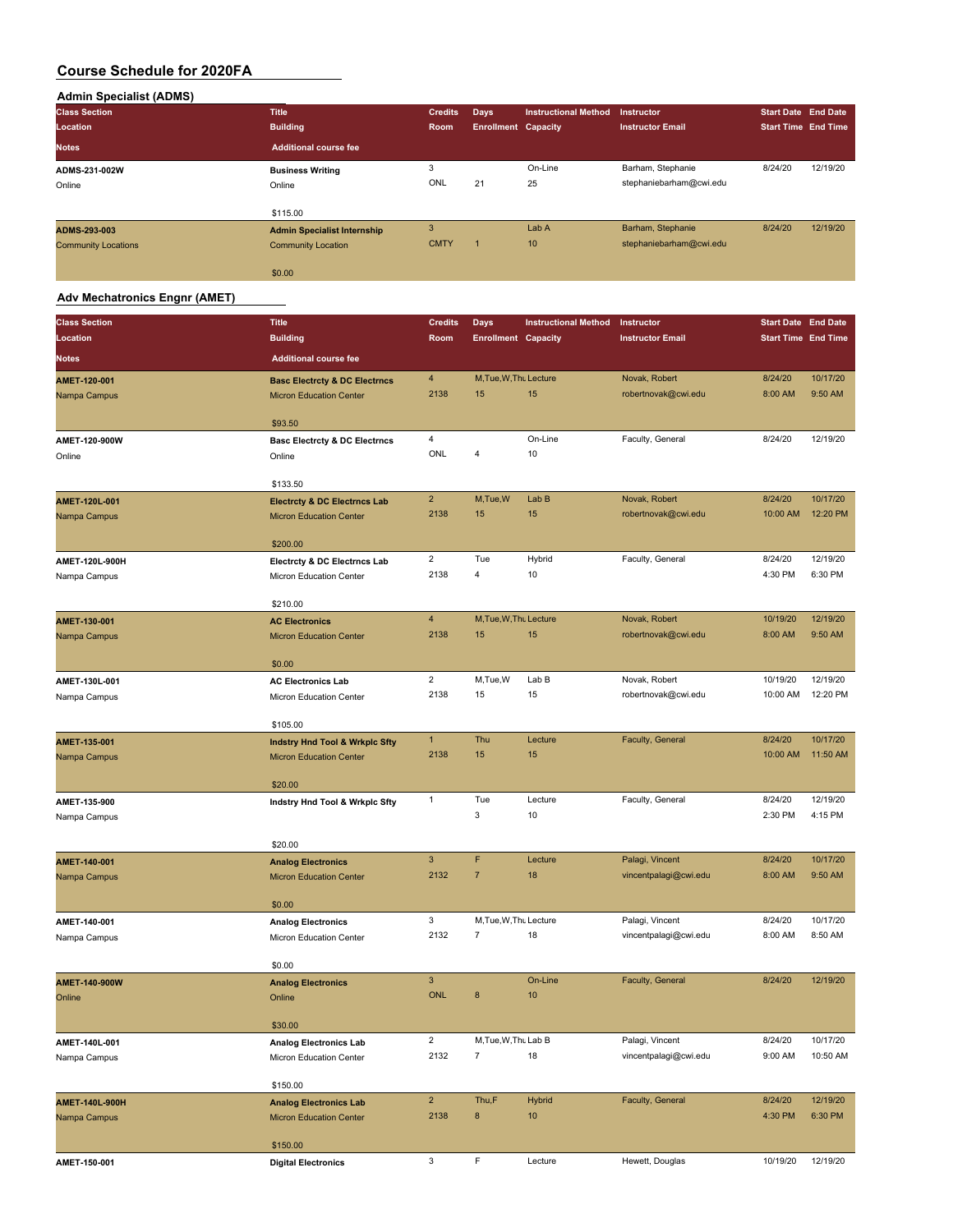| <b>Admin Specialist (ADMS)</b> |                                    |                |                            |                             |                         |                            |          |
|--------------------------------|------------------------------------|----------------|----------------------------|-----------------------------|-------------------------|----------------------------|----------|
| <b>Class Section</b>           | <b>Title</b>                       | <b>Credits</b> | Days                       | <b>Instructional Method</b> | <b>Instructor</b>       | <b>Start Date End Date</b> |          |
| Location                       | <b>Building</b>                    | Room           | <b>Enrollment Capacity</b> |                             | <b>Instructor Email</b> | <b>Start Time End Time</b> |          |
| <b>Notes</b>                   | <b>Additional course fee</b>       |                |                            |                             |                         |                            |          |
| ADMS-231-002W                  | <b>Business Writing</b>            | 3              |                            | On-Line                     | Barham, Stephanie       | 8/24/20                    | 12/19/20 |
| Online                         | Online                             | ONL            | 21                         | 25                          | stephaniebarham@cwi.edu |                            |          |
|                                | \$115.00                           |                |                            |                             |                         |                            |          |
| ADMS-293-003                   | <b>Admin Specialist Internship</b> | 3              |                            | Lab A                       | Barham, Stephanie       | 8/24/20                    | 12/19/20 |
| <b>Community Locations</b>     | <b>Community Location</b>          | <b>CMTY</b>    | п                          | 10                          | stephaniebarham@cwi.edu |                            |          |
|                                | \$0.00                             |                |                            |                             |                         |                            |          |

#### **Adv Mechatronics Engnr (AMET)**

| <b>Building</b><br><b>Start Time End Time</b><br>Location<br>Room<br><b>Enrollment Capacity</b><br><b>Instructor Email</b><br><b>Additional course fee</b><br><b>Notes</b><br>$\overline{4}$<br>M, Tue, W, Thu Lecture<br>Novak, Robert<br>8/24/20<br>10/17/20<br>AMET-120-001<br><b>Basc Electrcty &amp; DC Electrncs</b><br>2138<br>15<br>15<br>robertnovak@cwi.edu<br>8:00 AM<br>9:50 AM<br>Nampa Campus<br><b>Micron Education Center</b><br>\$93.50<br>4<br>On-Line<br>Faculty, General<br>8/24/20<br>12/19/20<br>AMET-120-900W<br><b>Basc Electrcty &amp; DC Electrncs</b><br>ONL<br>4<br>10<br>Online<br>Online<br>\$133.50<br>$\overline{2}$<br>M,Tue,W<br>Lab B<br>Novak, Robert<br>8/24/20<br>10/17/20<br>AMET-120L-001<br><b>Electrcty &amp; DC Electrncs Lab</b><br>2138<br>15<br>15<br>10:00 AM<br>12:20 PM<br>robertnovak@cwi.edu<br><b>Micron Education Center</b><br>Nampa Campus<br>\$200.00<br>$\overline{2}$<br>Tue<br>Hybrid<br>Faculty, General<br>8/24/20<br>12/19/20<br>AMET-120L-900H<br>Electrcty & DC Electrncs Lab<br>2138<br>6:30 PM<br>$\overline{4}$<br>4:30 PM<br>10<br>Nampa Campus<br>Micron Education Center<br>\$210.00<br>$\overline{4}$<br>M, Tue, W, Thu Lecture<br>Novak, Robert<br>12/19/20<br>10/19/20<br>AMET-130-001<br><b>AC Electronics</b><br>2138<br>robertnovak@cwi.edu<br>8:00 AM<br>9:50 AM<br>15<br>15<br><b>Micron Education Center</b><br>Nampa Campus<br>\$0.00<br>$\overline{2}$<br>12/19/20<br>M,Tue,W<br>Lab B<br>Novak, Robert<br>10/19/20<br>AMET-130L-001<br><b>AC Electronics Lab</b><br>2138<br>15<br>15<br>robertnovak@cwi.edu<br>10:00 AM<br>12:20 PM<br>Nampa Campus<br>Micron Education Center<br>\$105.00<br>$\mathbf{1}$<br>Thu<br>Faculty, General<br>8/24/20<br>10/17/20<br>Lecture<br>AMET-135-001<br><b>Indstry Hnd Tool &amp; Wrkplc Sfty</b><br>15<br>15<br>2138<br>10:00 AM<br>11:50 AM<br><b>Micron Education Center</b><br>Nampa Campus<br>\$20.00<br>Tue<br>Lecture<br>Faculty, General<br>8/24/20<br>12/19/20<br>$\mathbf{1}$<br>AMET-135-900<br>Indstry Hnd Tool & Wrkplc Sfty<br>3<br>10<br>2:30 PM<br>4:15 PM<br>Nampa Campus<br>\$20.00<br>$\mathsf 3$<br>F<br>Palagi, Vincent<br>10/17/20<br>Lecture<br>8/24/20<br>AMET-140-001<br><b>Analog Electronics</b><br>2132<br>$\overline{7}$<br>18<br>vincentpalagi@cwi.edu<br>9:50 AM<br>8:00 AM<br><b>Micron Education Center</b><br>Nampa Campus<br>\$0.00<br>3<br>10/17/20<br>M, Tue, W, Thu Lecture<br>8/24/20<br>Palagi, Vincent<br>AMET-140-001<br><b>Analog Electronics</b><br>2132<br>$\overline{7}$<br>18<br>8:00 AM<br>8:50 AM<br>vincentpalagi@cwi.edu<br>Nampa Campus<br>Micron Education Center<br>\$0.00<br>$\mathbf{3}$<br>On-Line<br>Faculty, General<br>8/24/20<br>12/19/20<br>AMET-140-900W<br><b>Analog Electronics</b><br><b>ONL</b><br>8<br>10<br>Online<br>Online<br>\$30.00<br>$\overline{2}$<br>10/17/20<br>M, Tue, W, Thu Lab B<br>Palagi, Vincent<br>8/24/20<br>AMET-140L-001<br><b>Analog Electronics Lab</b><br>2132<br>$\overline{7}$<br>18<br>vincentpalagi@cwi.edu<br>9:00 AM<br>10:50 AM<br>Micron Education Center<br>Nampa Campus<br>\$150.00<br>$\overline{2}$<br>Thu,F<br>Faculty, General<br>12/19/20<br><b>Hybrid</b><br>8/24/20<br>AMET-140L-900H<br><b>Analog Electronics Lab</b><br>$\bf 8$<br>6:30 PM<br>2138<br>10<br>4:30 PM<br>Nampa Campus<br><b>Micron Education Center</b> | <b>Class Section</b> | <b>Title</b> | <b>Credits</b> | Days | <b>Instructional Method</b> | Instructor | <b>Start Date End Date</b> |  |
|-----------------------------------------------------------------------------------------------------------------------------------------------------------------------------------------------------------------------------------------------------------------------------------------------------------------------------------------------------------------------------------------------------------------------------------------------------------------------------------------------------------------------------------------------------------------------------------------------------------------------------------------------------------------------------------------------------------------------------------------------------------------------------------------------------------------------------------------------------------------------------------------------------------------------------------------------------------------------------------------------------------------------------------------------------------------------------------------------------------------------------------------------------------------------------------------------------------------------------------------------------------------------------------------------------------------------------------------------------------------------------------------------------------------------------------------------------------------------------------------------------------------------------------------------------------------------------------------------------------------------------------------------------------------------------------------------------------------------------------------------------------------------------------------------------------------------------------------------------------------------------------------------------------------------------------------------------------------------------------------------------------------------------------------------------------------------------------------------------------------------------------------------------------------------------------------------------------------------------------------------------------------------------------------------------------------------------------------------------------------------------------------------------------------------------------------------------------------------------------------------------------------------------------------------------------------------------------------------------------------------------------------------------------------------------------------------------------------------------------------------------------------------------------------------------------------------------------------------------------------------------------------------------------------------------------------------------------------------------------------------------------------------------------------------------------------------------------------------------------------------------------------------------------------------------------------------------------------------------------------------------------------------------------------------------------------------------------------------------------|----------------------|--------------|----------------|------|-----------------------------|------------|----------------------------|--|
|                                                                                                                                                                                                                                                                                                                                                                                                                                                                                                                                                                                                                                                                                                                                                                                                                                                                                                                                                                                                                                                                                                                                                                                                                                                                                                                                                                                                                                                                                                                                                                                                                                                                                                                                                                                                                                                                                                                                                                                                                                                                                                                                                                                                                                                                                                                                                                                                                                                                                                                                                                                                                                                                                                                                                                                                                                                                                                                                                                                                                                                                                                                                                                                                                                                                                                                                                           |                      |              |                |      |                             |            |                            |  |
|                                                                                                                                                                                                                                                                                                                                                                                                                                                                                                                                                                                                                                                                                                                                                                                                                                                                                                                                                                                                                                                                                                                                                                                                                                                                                                                                                                                                                                                                                                                                                                                                                                                                                                                                                                                                                                                                                                                                                                                                                                                                                                                                                                                                                                                                                                                                                                                                                                                                                                                                                                                                                                                                                                                                                                                                                                                                                                                                                                                                                                                                                                                                                                                                                                                                                                                                                           |                      |              |                |      |                             |            |                            |  |
|                                                                                                                                                                                                                                                                                                                                                                                                                                                                                                                                                                                                                                                                                                                                                                                                                                                                                                                                                                                                                                                                                                                                                                                                                                                                                                                                                                                                                                                                                                                                                                                                                                                                                                                                                                                                                                                                                                                                                                                                                                                                                                                                                                                                                                                                                                                                                                                                                                                                                                                                                                                                                                                                                                                                                                                                                                                                                                                                                                                                                                                                                                                                                                                                                                                                                                                                                           |                      |              |                |      |                             |            |                            |  |
|                                                                                                                                                                                                                                                                                                                                                                                                                                                                                                                                                                                                                                                                                                                                                                                                                                                                                                                                                                                                                                                                                                                                                                                                                                                                                                                                                                                                                                                                                                                                                                                                                                                                                                                                                                                                                                                                                                                                                                                                                                                                                                                                                                                                                                                                                                                                                                                                                                                                                                                                                                                                                                                                                                                                                                                                                                                                                                                                                                                                                                                                                                                                                                                                                                                                                                                                                           |                      |              |                |      |                             |            |                            |  |
|                                                                                                                                                                                                                                                                                                                                                                                                                                                                                                                                                                                                                                                                                                                                                                                                                                                                                                                                                                                                                                                                                                                                                                                                                                                                                                                                                                                                                                                                                                                                                                                                                                                                                                                                                                                                                                                                                                                                                                                                                                                                                                                                                                                                                                                                                                                                                                                                                                                                                                                                                                                                                                                                                                                                                                                                                                                                                                                                                                                                                                                                                                                                                                                                                                                                                                                                                           |                      |              |                |      |                             |            |                            |  |
|                                                                                                                                                                                                                                                                                                                                                                                                                                                                                                                                                                                                                                                                                                                                                                                                                                                                                                                                                                                                                                                                                                                                                                                                                                                                                                                                                                                                                                                                                                                                                                                                                                                                                                                                                                                                                                                                                                                                                                                                                                                                                                                                                                                                                                                                                                                                                                                                                                                                                                                                                                                                                                                                                                                                                                                                                                                                                                                                                                                                                                                                                                                                                                                                                                                                                                                                                           |                      |              |                |      |                             |            |                            |  |
|                                                                                                                                                                                                                                                                                                                                                                                                                                                                                                                                                                                                                                                                                                                                                                                                                                                                                                                                                                                                                                                                                                                                                                                                                                                                                                                                                                                                                                                                                                                                                                                                                                                                                                                                                                                                                                                                                                                                                                                                                                                                                                                                                                                                                                                                                                                                                                                                                                                                                                                                                                                                                                                                                                                                                                                                                                                                                                                                                                                                                                                                                                                                                                                                                                                                                                                                                           |                      |              |                |      |                             |            |                            |  |
|                                                                                                                                                                                                                                                                                                                                                                                                                                                                                                                                                                                                                                                                                                                                                                                                                                                                                                                                                                                                                                                                                                                                                                                                                                                                                                                                                                                                                                                                                                                                                                                                                                                                                                                                                                                                                                                                                                                                                                                                                                                                                                                                                                                                                                                                                                                                                                                                                                                                                                                                                                                                                                                                                                                                                                                                                                                                                                                                                                                                                                                                                                                                                                                                                                                                                                                                                           |                      |              |                |      |                             |            |                            |  |
|                                                                                                                                                                                                                                                                                                                                                                                                                                                                                                                                                                                                                                                                                                                                                                                                                                                                                                                                                                                                                                                                                                                                                                                                                                                                                                                                                                                                                                                                                                                                                                                                                                                                                                                                                                                                                                                                                                                                                                                                                                                                                                                                                                                                                                                                                                                                                                                                                                                                                                                                                                                                                                                                                                                                                                                                                                                                                                                                                                                                                                                                                                                                                                                                                                                                                                                                                           |                      |              |                |      |                             |            |                            |  |
|                                                                                                                                                                                                                                                                                                                                                                                                                                                                                                                                                                                                                                                                                                                                                                                                                                                                                                                                                                                                                                                                                                                                                                                                                                                                                                                                                                                                                                                                                                                                                                                                                                                                                                                                                                                                                                                                                                                                                                                                                                                                                                                                                                                                                                                                                                                                                                                                                                                                                                                                                                                                                                                                                                                                                                                                                                                                                                                                                                                                                                                                                                                                                                                                                                                                                                                                                           |                      |              |                |      |                             |            |                            |  |
|                                                                                                                                                                                                                                                                                                                                                                                                                                                                                                                                                                                                                                                                                                                                                                                                                                                                                                                                                                                                                                                                                                                                                                                                                                                                                                                                                                                                                                                                                                                                                                                                                                                                                                                                                                                                                                                                                                                                                                                                                                                                                                                                                                                                                                                                                                                                                                                                                                                                                                                                                                                                                                                                                                                                                                                                                                                                                                                                                                                                                                                                                                                                                                                                                                                                                                                                                           |                      |              |                |      |                             |            |                            |  |
|                                                                                                                                                                                                                                                                                                                                                                                                                                                                                                                                                                                                                                                                                                                                                                                                                                                                                                                                                                                                                                                                                                                                                                                                                                                                                                                                                                                                                                                                                                                                                                                                                                                                                                                                                                                                                                                                                                                                                                                                                                                                                                                                                                                                                                                                                                                                                                                                                                                                                                                                                                                                                                                                                                                                                                                                                                                                                                                                                                                                                                                                                                                                                                                                                                                                                                                                                           |                      |              |                |      |                             |            |                            |  |
|                                                                                                                                                                                                                                                                                                                                                                                                                                                                                                                                                                                                                                                                                                                                                                                                                                                                                                                                                                                                                                                                                                                                                                                                                                                                                                                                                                                                                                                                                                                                                                                                                                                                                                                                                                                                                                                                                                                                                                                                                                                                                                                                                                                                                                                                                                                                                                                                                                                                                                                                                                                                                                                                                                                                                                                                                                                                                                                                                                                                                                                                                                                                                                                                                                                                                                                                                           |                      |              |                |      |                             |            |                            |  |
|                                                                                                                                                                                                                                                                                                                                                                                                                                                                                                                                                                                                                                                                                                                                                                                                                                                                                                                                                                                                                                                                                                                                                                                                                                                                                                                                                                                                                                                                                                                                                                                                                                                                                                                                                                                                                                                                                                                                                                                                                                                                                                                                                                                                                                                                                                                                                                                                                                                                                                                                                                                                                                                                                                                                                                                                                                                                                                                                                                                                                                                                                                                                                                                                                                                                                                                                                           |                      |              |                |      |                             |            |                            |  |
|                                                                                                                                                                                                                                                                                                                                                                                                                                                                                                                                                                                                                                                                                                                                                                                                                                                                                                                                                                                                                                                                                                                                                                                                                                                                                                                                                                                                                                                                                                                                                                                                                                                                                                                                                                                                                                                                                                                                                                                                                                                                                                                                                                                                                                                                                                                                                                                                                                                                                                                                                                                                                                                                                                                                                                                                                                                                                                                                                                                                                                                                                                                                                                                                                                                                                                                                                           |                      |              |                |      |                             |            |                            |  |
|                                                                                                                                                                                                                                                                                                                                                                                                                                                                                                                                                                                                                                                                                                                                                                                                                                                                                                                                                                                                                                                                                                                                                                                                                                                                                                                                                                                                                                                                                                                                                                                                                                                                                                                                                                                                                                                                                                                                                                                                                                                                                                                                                                                                                                                                                                                                                                                                                                                                                                                                                                                                                                                                                                                                                                                                                                                                                                                                                                                                                                                                                                                                                                                                                                                                                                                                                           |                      |              |                |      |                             |            |                            |  |
|                                                                                                                                                                                                                                                                                                                                                                                                                                                                                                                                                                                                                                                                                                                                                                                                                                                                                                                                                                                                                                                                                                                                                                                                                                                                                                                                                                                                                                                                                                                                                                                                                                                                                                                                                                                                                                                                                                                                                                                                                                                                                                                                                                                                                                                                                                                                                                                                                                                                                                                                                                                                                                                                                                                                                                                                                                                                                                                                                                                                                                                                                                                                                                                                                                                                                                                                                           |                      |              |                |      |                             |            |                            |  |
|                                                                                                                                                                                                                                                                                                                                                                                                                                                                                                                                                                                                                                                                                                                                                                                                                                                                                                                                                                                                                                                                                                                                                                                                                                                                                                                                                                                                                                                                                                                                                                                                                                                                                                                                                                                                                                                                                                                                                                                                                                                                                                                                                                                                                                                                                                                                                                                                                                                                                                                                                                                                                                                                                                                                                                                                                                                                                                                                                                                                                                                                                                                                                                                                                                                                                                                                                           |                      |              |                |      |                             |            |                            |  |
|                                                                                                                                                                                                                                                                                                                                                                                                                                                                                                                                                                                                                                                                                                                                                                                                                                                                                                                                                                                                                                                                                                                                                                                                                                                                                                                                                                                                                                                                                                                                                                                                                                                                                                                                                                                                                                                                                                                                                                                                                                                                                                                                                                                                                                                                                                                                                                                                                                                                                                                                                                                                                                                                                                                                                                                                                                                                                                                                                                                                                                                                                                                                                                                                                                                                                                                                                           |                      |              |                |      |                             |            |                            |  |
|                                                                                                                                                                                                                                                                                                                                                                                                                                                                                                                                                                                                                                                                                                                                                                                                                                                                                                                                                                                                                                                                                                                                                                                                                                                                                                                                                                                                                                                                                                                                                                                                                                                                                                                                                                                                                                                                                                                                                                                                                                                                                                                                                                                                                                                                                                                                                                                                                                                                                                                                                                                                                                                                                                                                                                                                                                                                                                                                                                                                                                                                                                                                                                                                                                                                                                                                                           |                      |              |                |      |                             |            |                            |  |
|                                                                                                                                                                                                                                                                                                                                                                                                                                                                                                                                                                                                                                                                                                                                                                                                                                                                                                                                                                                                                                                                                                                                                                                                                                                                                                                                                                                                                                                                                                                                                                                                                                                                                                                                                                                                                                                                                                                                                                                                                                                                                                                                                                                                                                                                                                                                                                                                                                                                                                                                                                                                                                                                                                                                                                                                                                                                                                                                                                                                                                                                                                                                                                                                                                                                                                                                                           |                      |              |                |      |                             |            |                            |  |
|                                                                                                                                                                                                                                                                                                                                                                                                                                                                                                                                                                                                                                                                                                                                                                                                                                                                                                                                                                                                                                                                                                                                                                                                                                                                                                                                                                                                                                                                                                                                                                                                                                                                                                                                                                                                                                                                                                                                                                                                                                                                                                                                                                                                                                                                                                                                                                                                                                                                                                                                                                                                                                                                                                                                                                                                                                                                                                                                                                                                                                                                                                                                                                                                                                                                                                                                                           |                      |              |                |      |                             |            |                            |  |
|                                                                                                                                                                                                                                                                                                                                                                                                                                                                                                                                                                                                                                                                                                                                                                                                                                                                                                                                                                                                                                                                                                                                                                                                                                                                                                                                                                                                                                                                                                                                                                                                                                                                                                                                                                                                                                                                                                                                                                                                                                                                                                                                                                                                                                                                                                                                                                                                                                                                                                                                                                                                                                                                                                                                                                                                                                                                                                                                                                                                                                                                                                                                                                                                                                                                                                                                                           |                      |              |                |      |                             |            |                            |  |
|                                                                                                                                                                                                                                                                                                                                                                                                                                                                                                                                                                                                                                                                                                                                                                                                                                                                                                                                                                                                                                                                                                                                                                                                                                                                                                                                                                                                                                                                                                                                                                                                                                                                                                                                                                                                                                                                                                                                                                                                                                                                                                                                                                                                                                                                                                                                                                                                                                                                                                                                                                                                                                                                                                                                                                                                                                                                                                                                                                                                                                                                                                                                                                                                                                                                                                                                                           |                      |              |                |      |                             |            |                            |  |
|                                                                                                                                                                                                                                                                                                                                                                                                                                                                                                                                                                                                                                                                                                                                                                                                                                                                                                                                                                                                                                                                                                                                                                                                                                                                                                                                                                                                                                                                                                                                                                                                                                                                                                                                                                                                                                                                                                                                                                                                                                                                                                                                                                                                                                                                                                                                                                                                                                                                                                                                                                                                                                                                                                                                                                                                                                                                                                                                                                                                                                                                                                                                                                                                                                                                                                                                                           |                      |              |                |      |                             |            |                            |  |
|                                                                                                                                                                                                                                                                                                                                                                                                                                                                                                                                                                                                                                                                                                                                                                                                                                                                                                                                                                                                                                                                                                                                                                                                                                                                                                                                                                                                                                                                                                                                                                                                                                                                                                                                                                                                                                                                                                                                                                                                                                                                                                                                                                                                                                                                                                                                                                                                                                                                                                                                                                                                                                                                                                                                                                                                                                                                                                                                                                                                                                                                                                                                                                                                                                                                                                                                                           |                      |              |                |      |                             |            |                            |  |
|                                                                                                                                                                                                                                                                                                                                                                                                                                                                                                                                                                                                                                                                                                                                                                                                                                                                                                                                                                                                                                                                                                                                                                                                                                                                                                                                                                                                                                                                                                                                                                                                                                                                                                                                                                                                                                                                                                                                                                                                                                                                                                                                                                                                                                                                                                                                                                                                                                                                                                                                                                                                                                                                                                                                                                                                                                                                                                                                                                                                                                                                                                                                                                                                                                                                                                                                                           |                      |              |                |      |                             |            |                            |  |
|                                                                                                                                                                                                                                                                                                                                                                                                                                                                                                                                                                                                                                                                                                                                                                                                                                                                                                                                                                                                                                                                                                                                                                                                                                                                                                                                                                                                                                                                                                                                                                                                                                                                                                                                                                                                                                                                                                                                                                                                                                                                                                                                                                                                                                                                                                                                                                                                                                                                                                                                                                                                                                                                                                                                                                                                                                                                                                                                                                                                                                                                                                                                                                                                                                                                                                                                                           |                      |              |                |      |                             |            |                            |  |
|                                                                                                                                                                                                                                                                                                                                                                                                                                                                                                                                                                                                                                                                                                                                                                                                                                                                                                                                                                                                                                                                                                                                                                                                                                                                                                                                                                                                                                                                                                                                                                                                                                                                                                                                                                                                                                                                                                                                                                                                                                                                                                                                                                                                                                                                                                                                                                                                                                                                                                                                                                                                                                                                                                                                                                                                                                                                                                                                                                                                                                                                                                                                                                                                                                                                                                                                                           |                      |              |                |      |                             |            |                            |  |
|                                                                                                                                                                                                                                                                                                                                                                                                                                                                                                                                                                                                                                                                                                                                                                                                                                                                                                                                                                                                                                                                                                                                                                                                                                                                                                                                                                                                                                                                                                                                                                                                                                                                                                                                                                                                                                                                                                                                                                                                                                                                                                                                                                                                                                                                                                                                                                                                                                                                                                                                                                                                                                                                                                                                                                                                                                                                                                                                                                                                                                                                                                                                                                                                                                                                                                                                                           |                      |              |                |      |                             |            |                            |  |
|                                                                                                                                                                                                                                                                                                                                                                                                                                                                                                                                                                                                                                                                                                                                                                                                                                                                                                                                                                                                                                                                                                                                                                                                                                                                                                                                                                                                                                                                                                                                                                                                                                                                                                                                                                                                                                                                                                                                                                                                                                                                                                                                                                                                                                                                                                                                                                                                                                                                                                                                                                                                                                                                                                                                                                                                                                                                                                                                                                                                                                                                                                                                                                                                                                                                                                                                                           |                      |              |                |      |                             |            |                            |  |
|                                                                                                                                                                                                                                                                                                                                                                                                                                                                                                                                                                                                                                                                                                                                                                                                                                                                                                                                                                                                                                                                                                                                                                                                                                                                                                                                                                                                                                                                                                                                                                                                                                                                                                                                                                                                                                                                                                                                                                                                                                                                                                                                                                                                                                                                                                                                                                                                                                                                                                                                                                                                                                                                                                                                                                                                                                                                                                                                                                                                                                                                                                                                                                                                                                                                                                                                                           |                      |              |                |      |                             |            |                            |  |
|                                                                                                                                                                                                                                                                                                                                                                                                                                                                                                                                                                                                                                                                                                                                                                                                                                                                                                                                                                                                                                                                                                                                                                                                                                                                                                                                                                                                                                                                                                                                                                                                                                                                                                                                                                                                                                                                                                                                                                                                                                                                                                                                                                                                                                                                                                                                                                                                                                                                                                                                                                                                                                                                                                                                                                                                                                                                                                                                                                                                                                                                                                                                                                                                                                                                                                                                                           |                      |              |                |      |                             |            |                            |  |
|                                                                                                                                                                                                                                                                                                                                                                                                                                                                                                                                                                                                                                                                                                                                                                                                                                                                                                                                                                                                                                                                                                                                                                                                                                                                                                                                                                                                                                                                                                                                                                                                                                                                                                                                                                                                                                                                                                                                                                                                                                                                                                                                                                                                                                                                                                                                                                                                                                                                                                                                                                                                                                                                                                                                                                                                                                                                                                                                                                                                                                                                                                                                                                                                                                                                                                                                                           |                      |              |                |      |                             |            |                            |  |
|                                                                                                                                                                                                                                                                                                                                                                                                                                                                                                                                                                                                                                                                                                                                                                                                                                                                                                                                                                                                                                                                                                                                                                                                                                                                                                                                                                                                                                                                                                                                                                                                                                                                                                                                                                                                                                                                                                                                                                                                                                                                                                                                                                                                                                                                                                                                                                                                                                                                                                                                                                                                                                                                                                                                                                                                                                                                                                                                                                                                                                                                                                                                                                                                                                                                                                                                                           |                      |              |                |      |                             |            |                            |  |
|                                                                                                                                                                                                                                                                                                                                                                                                                                                                                                                                                                                                                                                                                                                                                                                                                                                                                                                                                                                                                                                                                                                                                                                                                                                                                                                                                                                                                                                                                                                                                                                                                                                                                                                                                                                                                                                                                                                                                                                                                                                                                                                                                                                                                                                                                                                                                                                                                                                                                                                                                                                                                                                                                                                                                                                                                                                                                                                                                                                                                                                                                                                                                                                                                                                                                                                                                           |                      |              |                |      |                             |            |                            |  |
|                                                                                                                                                                                                                                                                                                                                                                                                                                                                                                                                                                                                                                                                                                                                                                                                                                                                                                                                                                                                                                                                                                                                                                                                                                                                                                                                                                                                                                                                                                                                                                                                                                                                                                                                                                                                                                                                                                                                                                                                                                                                                                                                                                                                                                                                                                                                                                                                                                                                                                                                                                                                                                                                                                                                                                                                                                                                                                                                                                                                                                                                                                                                                                                                                                                                                                                                                           |                      |              |                |      |                             |            |                            |  |
|                                                                                                                                                                                                                                                                                                                                                                                                                                                                                                                                                                                                                                                                                                                                                                                                                                                                                                                                                                                                                                                                                                                                                                                                                                                                                                                                                                                                                                                                                                                                                                                                                                                                                                                                                                                                                                                                                                                                                                                                                                                                                                                                                                                                                                                                                                                                                                                                                                                                                                                                                                                                                                                                                                                                                                                                                                                                                                                                                                                                                                                                                                                                                                                                                                                                                                                                                           |                      |              |                |      |                             |            |                            |  |
|                                                                                                                                                                                                                                                                                                                                                                                                                                                                                                                                                                                                                                                                                                                                                                                                                                                                                                                                                                                                                                                                                                                                                                                                                                                                                                                                                                                                                                                                                                                                                                                                                                                                                                                                                                                                                                                                                                                                                                                                                                                                                                                                                                                                                                                                                                                                                                                                                                                                                                                                                                                                                                                                                                                                                                                                                                                                                                                                                                                                                                                                                                                                                                                                                                                                                                                                                           |                      |              |                |      |                             |            |                            |  |
|                                                                                                                                                                                                                                                                                                                                                                                                                                                                                                                                                                                                                                                                                                                                                                                                                                                                                                                                                                                                                                                                                                                                                                                                                                                                                                                                                                                                                                                                                                                                                                                                                                                                                                                                                                                                                                                                                                                                                                                                                                                                                                                                                                                                                                                                                                                                                                                                                                                                                                                                                                                                                                                                                                                                                                                                                                                                                                                                                                                                                                                                                                                                                                                                                                                                                                                                                           |                      |              |                |      |                             |            |                            |  |
|                                                                                                                                                                                                                                                                                                                                                                                                                                                                                                                                                                                                                                                                                                                                                                                                                                                                                                                                                                                                                                                                                                                                                                                                                                                                                                                                                                                                                                                                                                                                                                                                                                                                                                                                                                                                                                                                                                                                                                                                                                                                                                                                                                                                                                                                                                                                                                                                                                                                                                                                                                                                                                                                                                                                                                                                                                                                                                                                                                                                                                                                                                                                                                                                                                                                                                                                                           |                      |              |                |      |                             |            |                            |  |
|                                                                                                                                                                                                                                                                                                                                                                                                                                                                                                                                                                                                                                                                                                                                                                                                                                                                                                                                                                                                                                                                                                                                                                                                                                                                                                                                                                                                                                                                                                                                                                                                                                                                                                                                                                                                                                                                                                                                                                                                                                                                                                                                                                                                                                                                                                                                                                                                                                                                                                                                                                                                                                                                                                                                                                                                                                                                                                                                                                                                                                                                                                                                                                                                                                                                                                                                                           |                      |              |                |      |                             |            |                            |  |
|                                                                                                                                                                                                                                                                                                                                                                                                                                                                                                                                                                                                                                                                                                                                                                                                                                                                                                                                                                                                                                                                                                                                                                                                                                                                                                                                                                                                                                                                                                                                                                                                                                                                                                                                                                                                                                                                                                                                                                                                                                                                                                                                                                                                                                                                                                                                                                                                                                                                                                                                                                                                                                                                                                                                                                                                                                                                                                                                                                                                                                                                                                                                                                                                                                                                                                                                                           |                      |              |                |      |                             |            |                            |  |
|                                                                                                                                                                                                                                                                                                                                                                                                                                                                                                                                                                                                                                                                                                                                                                                                                                                                                                                                                                                                                                                                                                                                                                                                                                                                                                                                                                                                                                                                                                                                                                                                                                                                                                                                                                                                                                                                                                                                                                                                                                                                                                                                                                                                                                                                                                                                                                                                                                                                                                                                                                                                                                                                                                                                                                                                                                                                                                                                                                                                                                                                                                                                                                                                                                                                                                                                                           |                      |              |                |      |                             |            |                            |  |
|                                                                                                                                                                                                                                                                                                                                                                                                                                                                                                                                                                                                                                                                                                                                                                                                                                                                                                                                                                                                                                                                                                                                                                                                                                                                                                                                                                                                                                                                                                                                                                                                                                                                                                                                                                                                                                                                                                                                                                                                                                                                                                                                                                                                                                                                                                                                                                                                                                                                                                                                                                                                                                                                                                                                                                                                                                                                                                                                                                                                                                                                                                                                                                                                                                                                                                                                                           |                      |              |                |      |                             |            |                            |  |
|                                                                                                                                                                                                                                                                                                                                                                                                                                                                                                                                                                                                                                                                                                                                                                                                                                                                                                                                                                                                                                                                                                                                                                                                                                                                                                                                                                                                                                                                                                                                                                                                                                                                                                                                                                                                                                                                                                                                                                                                                                                                                                                                                                                                                                                                                                                                                                                                                                                                                                                                                                                                                                                                                                                                                                                                                                                                                                                                                                                                                                                                                                                                                                                                                                                                                                                                                           |                      | \$150.00     |                |      |                             |            |                            |  |
| F<br>3<br>12/19/20<br>Hewett, Douglas<br>10/19/20<br>Lecture<br>AMET-150-001<br><b>Digital Electronics</b>                                                                                                                                                                                                                                                                                                                                                                                                                                                                                                                                                                                                                                                                                                                                                                                                                                                                                                                                                                                                                                                                                                                                                                                                                                                                                                                                                                                                                                                                                                                                                                                                                                                                                                                                                                                                                                                                                                                                                                                                                                                                                                                                                                                                                                                                                                                                                                                                                                                                                                                                                                                                                                                                                                                                                                                                                                                                                                                                                                                                                                                                                                                                                                                                                                                |                      |              |                |      |                             |            |                            |  |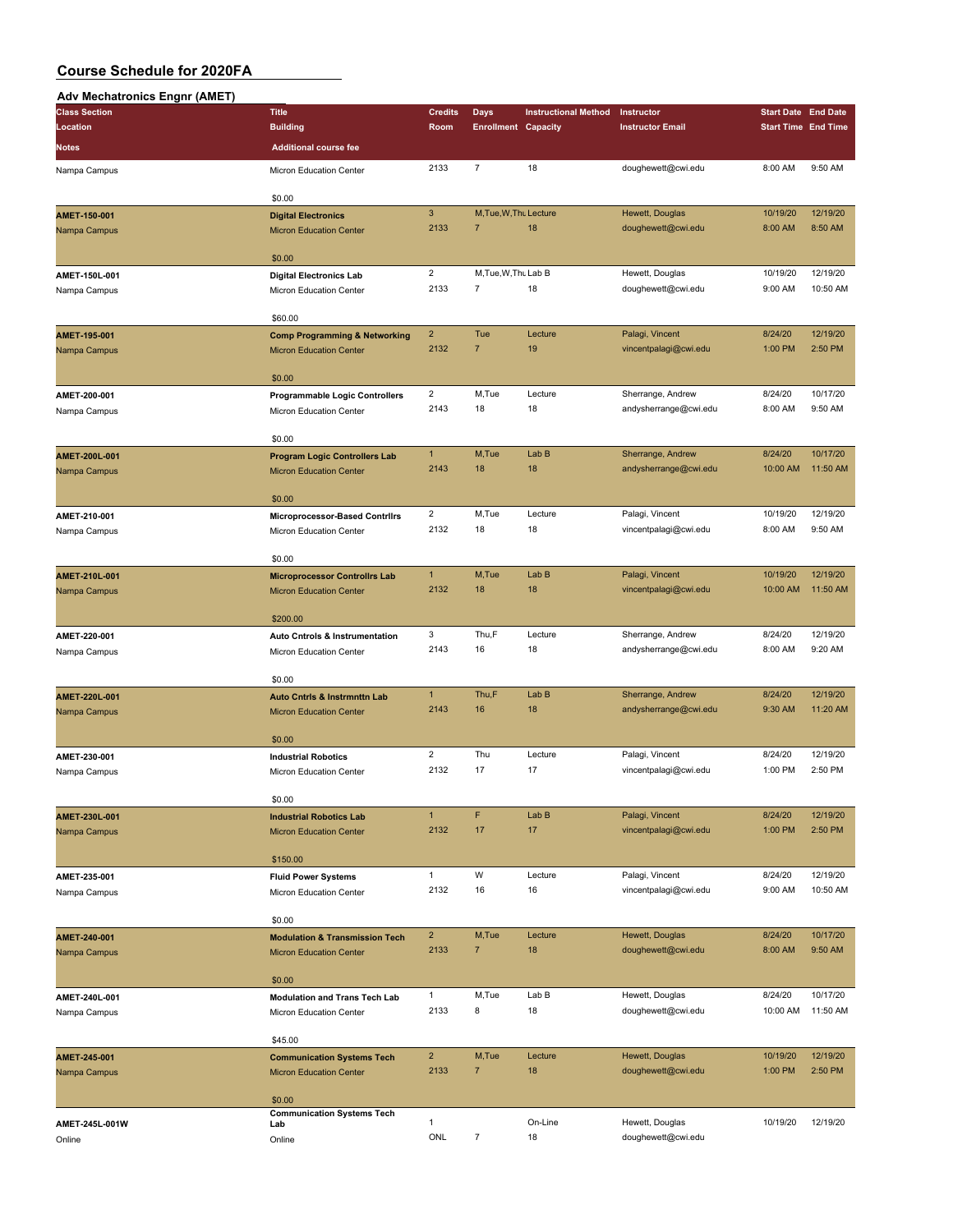#### **Adv Mechatronics Engnr (AMET)**

| AUV MECHAUVIIICS ENGHI (AMET) |                                             |                |                            |                             |                         |                            |          |
|-------------------------------|---------------------------------------------|----------------|----------------------------|-----------------------------|-------------------------|----------------------------|----------|
| <b>Class Section</b>          | <b>Title</b>                                | <b>Credits</b> | <b>Days</b>                | <b>Instructional Method</b> | Instructor              | <b>Start Date End Date</b> |          |
| Location                      | <b>Building</b>                             | Room           | <b>Enrollment Capacity</b> |                             | <b>Instructor Email</b> | <b>Start Time End Time</b> |          |
| <b>Notes</b>                  | <b>Additional course fee</b>                |                |                            |                             |                         |                            |          |
| Nampa Campus                  | Micron Education Center                     | 2133           | $\overline{7}$             | 18                          | doughewett@cwi.edu      | 8:00 AM                    | 9:50 AM  |
|                               |                                             |                |                            |                             |                         |                            |          |
|                               | \$0.00                                      |                |                            |                             |                         |                            |          |
| AMET-150-001                  | <b>Digital Electronics</b>                  | $\mathsf 3$    | M, Tue, W, Thu Lecture     |                             | Hewett, Douglas         | 10/19/20                   | 12/19/20 |
| Nampa Campus                  | <b>Micron Education Center</b>              | 2133           | $\overline{7}$             | 18                          | doughewett@cwi.edu      | 8:00 AM                    | 8:50 AM  |
|                               |                                             |                |                            |                             |                         |                            |          |
|                               | \$0.00                                      |                |                            |                             |                         |                            |          |
| AMET-150L-001                 | <b>Digital Electronics Lab</b>              | $\overline{2}$ | M, Tue, W, Thu Lab B       |                             | Hewett, Douglas         | 10/19/20                   | 12/19/20 |
| Nampa Campus                  | Micron Education Center                     | 2133           | $\overline{7}$             | 18                          | doughewett@cwi.edu      | 9:00 AM                    | 10:50 AM |
|                               |                                             |                |                            |                             |                         |                            |          |
|                               | \$60.00                                     |                |                            |                             |                         |                            |          |
| AMET-195-001                  | <b>Comp Programming &amp; Networking</b>    | $\overline{2}$ | Tue                        | Lecture                     | Palagi, Vincent         | 8/24/20                    | 12/19/20 |
| Nampa Campus                  | <b>Micron Education Center</b>              | 2132           | $\overline{7}$             | 19                          | vincentpalagi@cwi.edu   | 1:00 PM                    | 2:50 PM  |
|                               |                                             |                |                            |                             |                         |                            |          |
|                               | \$0.00                                      |                |                            |                             |                         |                            |          |
| AMET-200-001                  | <b>Programmable Logic Controllers</b>       | $\overline{2}$ | M,Tue                      | Lecture                     | Sherrange, Andrew       | 8/24/20                    | 10/17/20 |
| Nampa Campus                  | Micron Education Center                     | 2143           | 18                         | 18                          | andysherrange@cwi.edu   | 8:00 AM                    | 9:50 AM  |
|                               |                                             |                |                            |                             |                         |                            |          |
|                               | \$0.00                                      |                |                            |                             |                         |                            |          |
| AMET-200L-001                 | <b>Program Logic Controllers Lab</b>        | $\mathbf{1}$   | M,Tue                      | Lab <sub>B</sub>            | Sherrange, Andrew       | 8/24/20                    | 10/17/20 |
| Nampa Campus                  | <b>Micron Education Center</b>              | 2143           | 18                         | 18                          | andysherrange@cwi.edu   | 10:00 AM                   | 11:50 AM |
|                               |                                             |                |                            |                             |                         |                            |          |
|                               | \$0.00                                      |                |                            |                             |                         |                            |          |
| AMET-210-001                  | Microprocessor-Based Contrilrs              | $\overline{2}$ | M,Tue                      | Lecture                     | Palagi, Vincent         | 10/19/20                   | 12/19/20 |
| Nampa Campus                  | Micron Education Center                     | 2132           | 18                         | 18                          | vincentpalagi@cwi.edu   | 8:00 AM                    | 9:50 AM  |
|                               |                                             |                |                            |                             |                         |                            |          |
|                               | \$0.00                                      | $\mathbf{1}$   |                            |                             |                         |                            | 12/19/20 |
| AMET-210L-001                 | <b>Microprocessor Controllrs Lab</b>        |                | M,Tue                      | Lab B                       | Palagi, Vincent         | 10/19/20                   |          |
| Nampa Campus                  | <b>Micron Education Center</b>              | 2132           | 18                         | 18                          | vincentpalagi@cwi.edu   | 10:00 AM                   | 11:50 AM |
|                               | \$200.00                                    |                |                            |                             |                         |                            |          |
|                               |                                             | 3              | Thu,F                      | Lecture                     | Sherrange, Andrew       | 8/24/20                    | 12/19/20 |
| AMET-220-001                  | <b>Auto Cntrols &amp; Instrumentation</b>   | 2143           | 16                         | 18                          | andysherrange@cwi.edu   | 8:00 AM                    | 9:20 AM  |
| Nampa Campus                  | Micron Education Center                     |                |                            |                             |                         |                            |          |
|                               | \$0.00                                      |                |                            |                             |                         |                            |          |
| AMET-220L-001                 | <b>Auto Cntrls &amp; Instrmnttn Lab</b>     | $\mathbf{1}$   | Thu,F                      | Lab <sub>B</sub>            | Sherrange, Andrew       | 8/24/20                    | 12/19/20 |
| Nampa Campus                  | <b>Micron Education Center</b>              | 2143           | 16                         | 18                          | andysherrange@cwi.edu   | 9:30 AM                    | 11:20 AM |
|                               |                                             |                |                            |                             |                         |                            |          |
|                               | \$0.00                                      |                |                            |                             |                         |                            |          |
| AMET-230-001                  | <b>Industrial Robotics</b>                  | $\overline{2}$ | Thu                        | Lecture                     | Palagi, Vincent         | 8/24/20                    | 12/19/20 |
| Nampa Campus                  | Micron Education Center                     | 2132           | 17                         | 17                          | vincentpalagi@cwi.edu   | 1:00 PM                    | 2:50 PM  |
|                               |                                             |                |                            |                             |                         |                            |          |
|                               | \$0.00                                      |                |                            |                             |                         |                            |          |
| AMET-230L-001                 | <b>Industrial Robotics Lab</b>              | $\mathbf{1}$   | F                          | Lab B                       | Palagi, Vincent         | 8/24/20                    | 12/19/20 |
| Nampa Campus                  | <b>Micron Education Center</b>              | 2132           | 17                         | 17                          | vincentpalagi@cwi.edu   | 1:00 PM                    | 2:50 PM  |
|                               |                                             |                |                            |                             |                         |                            |          |
|                               | \$150.00                                    |                |                            |                             |                         |                            |          |
| AMET-235-001                  | <b>Fluid Power Systems</b>                  | $\mathbf{1}$   | W                          | Lecture                     | Palagi, Vincent         | 8/24/20                    | 12/19/20 |
| Nampa Campus                  | Micron Education Center                     | 2132           | 16                         | 16                          | vincentpalagi@cwi.edu   | 9:00 AM                    | 10:50 AM |
|                               |                                             |                |                            |                             |                         |                            |          |
|                               | \$0.00                                      |                |                            |                             |                         |                            |          |
| AMET-240-001                  | <b>Modulation &amp; Transmission Tech</b>   | $\overline{2}$ | M,Tue                      | Lecture                     | Hewett, Douglas         | 8/24/20                    | 10/17/20 |
| Nampa Campus                  | <b>Micron Education Center</b>              | 2133           | $\overline{7}$             | 18                          | doughewett@cwi.edu      | 8:00 AM                    | 9:50 AM  |
|                               |                                             |                |                            |                             |                         |                            |          |
|                               | \$0.00                                      |                |                            |                             |                         |                            |          |
| AMET-240L-001                 | <b>Modulation and Trans Tech Lab</b>        | $\mathbf{1}$   | M,Tue                      | Lab B                       | Hewett, Douglas         | 8/24/20                    | 10/17/20 |
| Nampa Campus                  | Micron Education Center                     | 2133           | 8                          | 18                          | doughewett@cwi.edu      | 10:00 AM                   | 11:50 AM |
|                               |                                             |                |                            |                             |                         |                            |          |
|                               | \$45.00                                     |                |                            |                             |                         |                            |          |
| AMET-245-001                  | <b>Communication Systems Tech</b>           | $\overline{2}$ | M,Tue                      | Lecture                     | Hewett, Douglas         | 10/19/20                   | 12/19/20 |
| Nampa Campus                  | <b>Micron Education Center</b>              | 2133           | $\overline{7}$             | 18                          | doughewett@cwi.edu      | 1:00 PM                    | 2:50 PM  |
|                               |                                             |                |                            |                             |                         |                            |          |
|                               | \$0.00<br><b>Communication Systems Tech</b> |                |                            |                             |                         |                            |          |
| AMET-245L-001W                | Lab                                         | $\mathbf{1}$   |                            | On-Line                     | Hewett, Douglas         | 10/19/20                   | 12/19/20 |
| Online                        | Online                                      | ONL            | $\boldsymbol{7}$           | 18                          | doughewett@cwi.edu      |                            |          |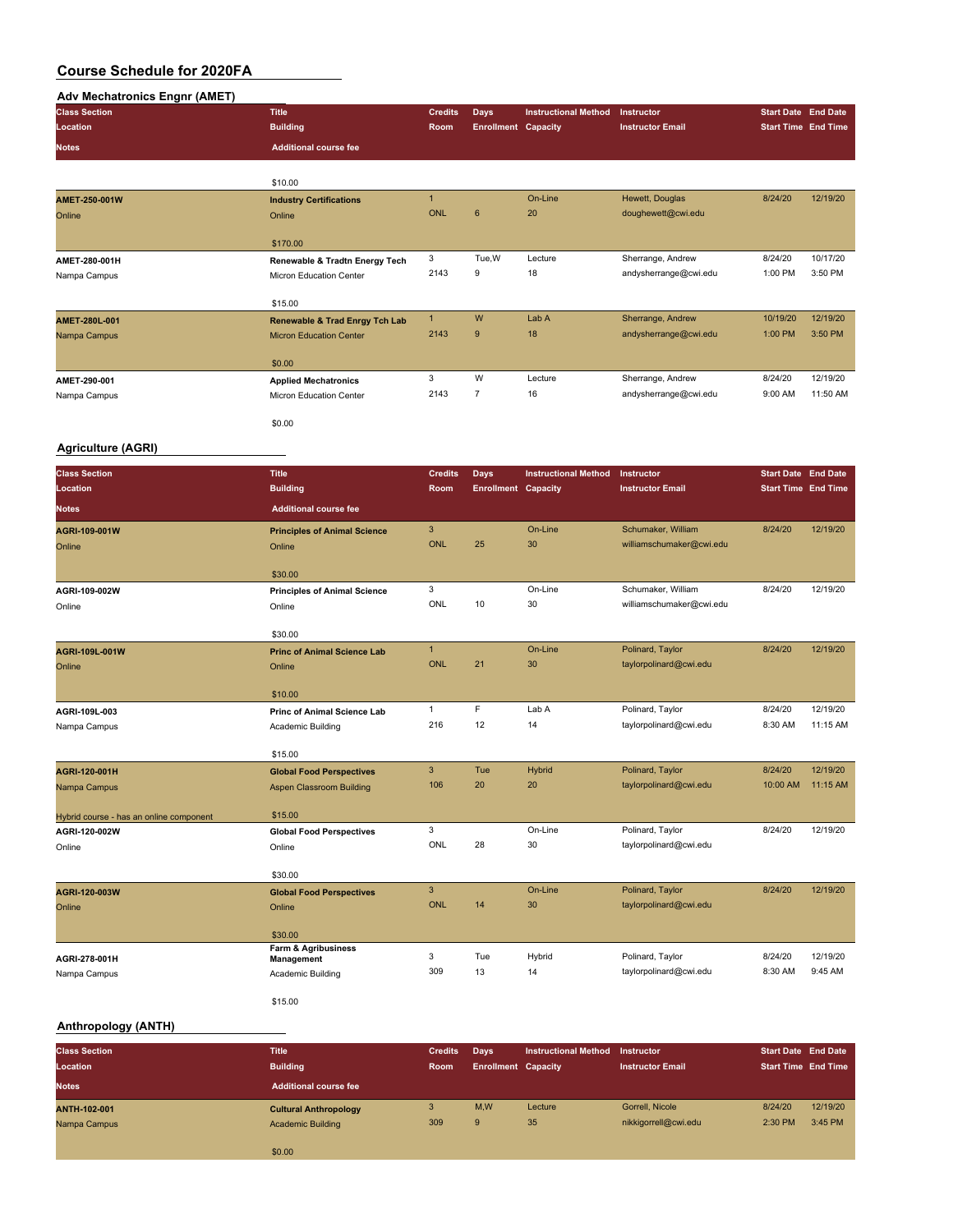| <b>Adv Mechatronics Engnr (AMET)</b>    |                                                                             |                        |                                           |                             |                                       |                                                          |          |
|-----------------------------------------|-----------------------------------------------------------------------------|------------------------|-------------------------------------------|-----------------------------|---------------------------------------|----------------------------------------------------------|----------|
| <b>Class Section</b>                    | <b>Title</b>                                                                | <b>Credits</b>         | <b>Days</b>                               | <b>Instructional Method</b> | Instructor                            | <b>Start Date End Date</b>                               |          |
| Location                                | <b>Building</b>                                                             | Room                   | <b>Enrollment Capacity</b>                |                             | <b>Instructor Email</b>               | <b>Start Time End Time</b>                               |          |
| <b>Notes</b>                            | <b>Additional course fee</b>                                                |                        |                                           |                             |                                       |                                                          |          |
|                                         |                                                                             |                        |                                           |                             |                                       |                                                          |          |
|                                         | \$10.00                                                                     |                        |                                           |                             |                                       |                                                          |          |
| AMET-250-001W                           | <b>Industry Certifications</b>                                              | $\mathbf{1}$           |                                           | On-Line                     | Hewett, Douglas                       | 8/24/20                                                  | 12/19/20 |
| Online                                  | Online                                                                      | <b>ONL</b>             | 6                                         | 20                          | doughewett@cwi.edu                    |                                                          |          |
|                                         | \$170.00                                                                    |                        |                                           |                             |                                       |                                                          |          |
| AMET-280-001H                           | Renewable & Tradtn Energy Tech                                              | 3                      | Tue, W                                    | Lecture                     | Sherrange, Andrew                     | 8/24/20                                                  | 10/17/20 |
| Nampa Campus                            | Micron Education Center                                                     | 2143                   | 9                                         | 18                          | andysherrange@cwi.edu                 | 1:00 PM                                                  | 3:50 PM  |
|                                         |                                                                             |                        |                                           |                             |                                       |                                                          |          |
| AMET-280L-001                           | \$15.00                                                                     | $\mathbf{1}$           | W                                         | Lab A                       | Sherrange, Andrew                     | 10/19/20                                                 | 12/19/20 |
| Nampa Campus                            | <b>Renewable &amp; Trad Enrgy Tch Lab</b><br><b>Micron Education Center</b> | 2143                   | $\boldsymbol{9}$                          | 18                          | andysherrange@cwi.edu                 | 1:00 PM                                                  | 3:50 PM  |
|                                         |                                                                             |                        |                                           |                             |                                       |                                                          |          |
|                                         | \$0.00                                                                      |                        |                                           |                             |                                       |                                                          |          |
| AMET-290-001                            | <b>Applied Mechatronics</b>                                                 | 3                      | W                                         | Lecture                     | Sherrange, Andrew                     | 8/24/20                                                  | 12/19/20 |
| Nampa Campus                            | Micron Education Center                                                     | 2143                   | $\overline{7}$                            | 16                          | andysherrange@cwi.edu                 | 9:00 AM                                                  | 11:50 AM |
|                                         | \$0.00                                                                      |                        |                                           |                             |                                       |                                                          |          |
| <b>Agriculture (AGRI)</b>               |                                                                             |                        |                                           |                             |                                       |                                                          |          |
|                                         |                                                                             |                        |                                           | <b>Instructional Method</b> |                                       |                                                          |          |
| <b>Class Section</b><br>Location        | <b>Title</b><br><b>Building</b>                                             | <b>Credits</b><br>Room | <b>Days</b><br><b>Enrollment Capacity</b> |                             | Instructor<br><b>Instructor Email</b> | <b>Start Date End Date</b><br><b>Start Time End Time</b> |          |
|                                         |                                                                             |                        |                                           |                             |                                       |                                                          |          |
| Notes                                   | <b>Additional course fee</b>                                                |                        |                                           |                             |                                       |                                                          |          |
| AGRI-109-001W                           | <b>Principles of Animal Science</b>                                         | 3                      |                                           | On-Line                     | Schumaker, William                    | 8/24/20                                                  | 12/19/20 |
| Online                                  | Online                                                                      | <b>ONL</b>             | 25                                        | 30                          | williamschumaker@cwi.edu              |                                                          |          |
|                                         | \$30.00                                                                     |                        |                                           |                             |                                       |                                                          |          |
| AGRI-109-002W                           | <b>Principles of Animal Science</b>                                         | 3                      |                                           | On-Line                     | Schumaker, William                    | 8/24/20                                                  | 12/19/20 |
| Online                                  | Online                                                                      | ONL                    | 10                                        | 30                          | williamschumaker@cwi.edu              |                                                          |          |
|                                         |                                                                             |                        |                                           |                             |                                       |                                                          |          |
|                                         | \$30.00                                                                     |                        |                                           |                             |                                       |                                                          |          |
| AGRI-109L-001W                          | <b>Princ of Animal Science Lab</b>                                          | $\mathbf{1}$           |                                           | On-Line                     | Polinard, Taylor                      | 8/24/20                                                  | 12/19/20 |
| Online                                  | Online                                                                      | <b>ONL</b>             | 21                                        | 30                          | taylorpolinard@cwi.edu                |                                                          |          |
|                                         | \$10.00                                                                     |                        |                                           |                             |                                       |                                                          |          |
| AGRI-109L-003                           | Princ of Animal Science Lab                                                 | $\mathbf{1}$           | F                                         | Lab A                       | Polinard, Taylor                      | 8/24/20                                                  | 12/19/20 |
| Nampa Campus                            | <b>Academic Building</b>                                                    | 216                    | 12                                        | 14                          | taylorpolinard@cwi.edu                | 8:30 AM                                                  | 11:15 AM |
|                                         |                                                                             |                        |                                           |                             |                                       |                                                          |          |
| AGRI-120-001H                           | \$15.00<br><b>Global Food Perspectives</b>                                  | $\mathbf{3}$           | Tue                                       | Hybrid                      | Polinard, Taylor                      | 8/24/20                                                  | 12/19/20 |
| Nampa Campus                            | Aspen Classroom Building                                                    | 106                    | 20                                        | 20                          | taylorpolinard@cwi.edu                | 10:00 AM                                                 | 11:15 AM |
|                                         |                                                                             |                        |                                           |                             |                                       |                                                          |          |
| Hybrid course - has an online component | \$15.00                                                                     |                        |                                           |                             |                                       |                                                          |          |
| AGRI-120-002W                           | <b>Global Food Perspectives</b>                                             | 3                      |                                           | On-Line                     | Polinard, Taylor                      | 8/24/20                                                  | 12/19/20 |
| Online                                  | Online                                                                      | ONL                    | 28                                        | $30\,$                      | taylorpolinard@cwi.edu                |                                                          |          |
|                                         | \$30.00                                                                     |                        |                                           |                             |                                       |                                                          |          |
| AGRI-120-003W                           | <b>Global Food Perspectives</b>                                             | 3                      |                                           | On-Line                     | Polinard, Taylor                      | 8/24/20                                                  | 12/19/20 |
| Online                                  | Online                                                                      | ONL                    | 14                                        | 30                          | taylorpolinard@cwi.edu                |                                                          |          |
|                                         | \$30.00                                                                     |                        |                                           |                             |                                       |                                                          |          |
|                                         | Farm & Agribusiness                                                         |                        |                                           |                             |                                       |                                                          |          |
| AGRI-278-001H                           | Management                                                                  | 3                      | Tue                                       | Hybrid                      | Polinard, Taylor                      | 8/24/20                                                  | 12/19/20 |
| Nampa Campus                            | Academic Building                                                           | 309                    | 13                                        | 14                          | taylorpolinard@cwi.edu                | 8:30 AM                                                  | 9:45 AM  |
|                                         | \$15.00                                                                     |                        |                                           |                             |                                       |                                                          |          |
|                                         |                                                                             |                        |                                           |                             |                                       |                                                          |          |
| Anthropology (ANTH)                     |                                                                             |                        |                                           |                             |                                       |                                                          |          |

**Class Section Title Credits Days Instructional Method Instructor Start Date End Date Location Building Room Enrollment Capacity Instructor Email Start Time End Time Notes Additional course fee ANTH-102-001 Cultural Anthropology** 3 M,W Lecture Gorrell, Nicole 8/24/20 12/19/20 Nampa Campus Academic Building 309 9 35 nikkigorrell@cwi.edu 2:30 PM 3:45 PM 3:45 PM \$0.00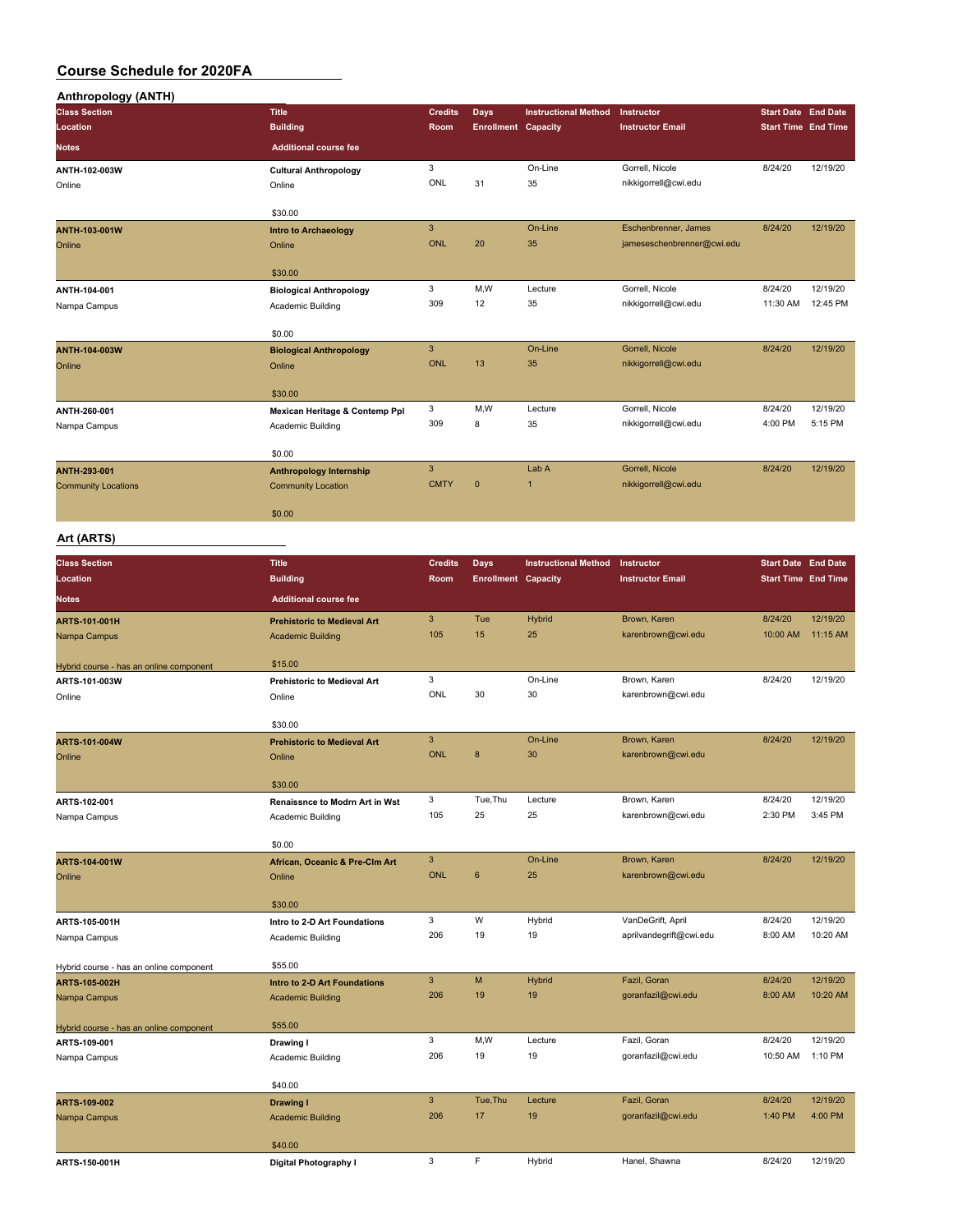| <b>Anthropology (ANTH)</b>              |                                       |                           |                            |                             |                            |                            |          |
|-----------------------------------------|---------------------------------------|---------------------------|----------------------------|-----------------------------|----------------------------|----------------------------|----------|
| <b>Class Section</b>                    | <b>Title</b>                          | <b>Credits</b>            | Days                       | <b>Instructional Method</b> | Instructor                 | <b>Start Date End Date</b> |          |
| Location                                | <b>Building</b>                       | Room                      | <b>Enrollment Capacity</b> |                             | <b>Instructor Email</b>    | <b>Start Time End Time</b> |          |
| <b>Notes</b>                            | <b>Additional course fee</b>          |                           |                            |                             |                            |                            |          |
|                                         |                                       |                           |                            |                             |                            |                            |          |
| ANTH-102-003W                           | <b>Cultural Anthropology</b>          | 3<br>ONL                  |                            | On-Line                     | Gorrell, Nicole            | 8/24/20                    | 12/19/20 |
| Online                                  | Online                                |                           | 31                         | 35                          | nikkigorrell@cwi.edu       |                            |          |
|                                         |                                       |                           |                            |                             |                            |                            |          |
|                                         | \$30.00                               |                           |                            |                             |                            |                            |          |
| <b>ANTH-103-001W</b>                    | <b>Intro to Archaeology</b>           | $\ensuremath{\mathsf{3}}$ |                            | On-Line                     | Eschenbrenner, James       | 8/24/20                    | 12/19/20 |
| Online                                  | Online                                | <b>ONL</b>                | 20                         | 35                          | jameseschenbrenner@cwi.edu |                            |          |
|                                         |                                       |                           |                            |                             |                            |                            |          |
|                                         | \$30.00                               |                           |                            |                             |                            |                            |          |
| ANTH-104-001                            | <b>Biological Anthropology</b>        | 3                         | M,W                        | Lecture                     | Gorrell, Nicole            | 8/24/20                    | 12/19/20 |
| Nampa Campus                            | Academic Building                     | 309                       | 12                         | 35                          | nikkigorrell@cwi.edu       | 11:30 AM                   | 12:45 PM |
|                                         |                                       |                           |                            |                             |                            |                            |          |
|                                         | \$0.00                                |                           |                            |                             |                            |                            |          |
| ANTH-104-003W                           | <b>Biological Anthropology</b>        | 3                         |                            | On-Line                     | Gorrell, Nicole            | 8/24/20                    | 12/19/20 |
| Online                                  | Online                                | <b>ONL</b>                | 13                         | 35                          | nikkigorrell@cwi.edu       |                            |          |
|                                         |                                       |                           |                            |                             |                            |                            |          |
|                                         | \$30.00                               |                           |                            |                             |                            |                            |          |
| ANTH-260-001                            | Mexican Heritage & Contemp Ppl        | 3                         | M, W                       | Lecture                     | Gorrell, Nicole            | 8/24/20                    | 12/19/20 |
| Nampa Campus                            | Academic Building                     | 309                       | 8                          | 35                          | nikkigorrell@cwi.edu       | 4:00 PM                    | 5:15 PM  |
|                                         |                                       |                           |                            |                             |                            |                            |          |
|                                         | \$0.00                                |                           |                            |                             |                            |                            |          |
| ANTH-293-001                            | <b>Anthropology Internship</b>        | 3                         |                            | Lab A                       | Gorrell, Nicole            | 8/24/20                    | 12/19/20 |
| <b>Community Locations</b>              | <b>Community Location</b>             | <b>CMTY</b>               | $\mathbf 0$                | 1                           | nikkigorrell@cwi.edu       |                            |          |
|                                         |                                       |                           |                            |                             |                            |                            |          |
|                                         | \$0.00                                |                           |                            |                             |                            |                            |          |
| Art (ARTS)                              |                                       |                           |                            |                             |                            |                            |          |
|                                         |                                       |                           |                            |                             |                            |                            |          |
| <b>Class Section</b>                    | <b>Title</b>                          | <b>Credits</b>            | Days                       | <b>Instructional Method</b> | Instructor                 | <b>Start Date End Date</b> |          |
| Location                                | <b>Building</b>                       | Room                      | <b>Enrollment Capacity</b> |                             | <b>Instructor Email</b>    | <b>Start Time End Time</b> |          |
| <b>Notes</b>                            | <b>Additional course fee</b>          |                           |                            |                             |                            |                            |          |
|                                         |                                       |                           |                            |                             |                            |                            |          |
| ARTS-101-001H                           | <b>Prehistoric to Medieval Art</b>    | 3                         | Tue                        | <b>Hybrid</b>               | Brown, Karen               | 8/24/20                    | 12/19/20 |
| Nampa Campus                            | <b>Academic Building</b>              | 105                       | 15                         | 25                          | karenbrown@cwi.edu         | 10:00 AM                   | 11:15 AM |
|                                         |                                       |                           |                            |                             |                            |                            |          |
| Hybrid course - has an online component | \$15.00                               |                           |                            |                             |                            |                            |          |
| ARTS-101-003W                           | <b>Prehistoric to Medieval Art</b>    | 3                         |                            | On-Line                     | Brown, Karen               | 8/24/20                    | 12/19/20 |
| Online                                  | Online                                | ONL                       | 30                         | 30                          | karenbrown@cwi.edu         |                            |          |
|                                         |                                       |                           |                            |                             |                            |                            |          |
|                                         | \$30.00                               |                           |                            |                             |                            |                            |          |
| ARTS-101-004W                           | <b>Prehistoric to Medieval Art</b>    | $\mathbf{3}$              |                            | On-Line                     | Brown, Karen               | 8/24/20                    | 12/19/20 |
| Online                                  | Online                                | <b>ONL</b>                | 8                          | 30                          | karenbrown@cwi.edu         |                            |          |
|                                         |                                       |                           |                            |                             |                            |                            |          |
|                                         | \$30.00                               |                           |                            |                             |                            |                            |          |
| ARTS-102-001                            | <b>Renaissnce to Modrn Art in Wst</b> | 3                         | Tue, Thu                   | Lecture                     | Brown, Karen               | 8/24/20                    | 12/19/20 |
| Nampa Campus                            | Academic Building                     | 105                       | 25                         | 25                          | karenbrown@cwi.edu         | 2:30 PM                    | 3:45 PM  |
|                                         |                                       |                           |                            |                             |                            |                            |          |
|                                         | \$0.00                                |                           |                            |                             |                            |                            |          |
| ARTS-104-001W                           | African, Oceanic & Pre-Clm Art        | $\overline{3}$            |                            | On-Line                     | Brown, Karen               | 8/24/20                    | 12/19/20 |
| Online                                  | Online                                | <b>ONL</b>                | $\boldsymbol{6}$           | 25                          | karenbrown@cwi.edu         |                            |          |
|                                         |                                       |                           |                            |                             |                            |                            |          |
|                                         | \$30.00                               |                           |                            |                             |                            |                            |          |
| ARTS-105-001H                           | Intro to 2-D Art Foundations          | 3                         | W                          | Hybrid                      | VanDeGrift, April          | 8/24/20                    | 12/19/20 |
| Nampa Campus                            | Academic Building                     | 206                       | 19                         | 19                          | aprilvandegrift@cwi.edu    | 8:00 AM                    | 10:20 AM |
|                                         |                                       |                           |                            |                             |                            |                            |          |
| Hybrid course - has an online component | \$55.00                               |                           |                            |                             |                            |                            |          |
| ARTS-105-002H                           | Intro to 2-D Art Foundations          | $\mathbf{3}$              | M                          | <b>Hybrid</b>               | Fazil, Goran               | 8/24/20                    | 12/19/20 |
| Nampa Campus                            | <b>Academic Building</b>              | 206                       | 19                         | 19                          | goranfazil@cwi.edu         | 8:00 AM                    | 10:20 AM |
|                                         |                                       |                           |                            |                             |                            |                            |          |
| Hybrid course - has an online component | \$55.00                               |                           |                            |                             |                            |                            |          |
| ARTS-109-001                            | Drawing I                             | 3                         | M, W                       | Lecture                     | Fazil, Goran               | 8/24/20                    | 12/19/20 |
| Nampa Campus                            | Academic Building                     | 206                       | 19                         | 19                          | goranfazil@cwi.edu         | 10:50 AM                   | 1:10 PM  |
|                                         |                                       |                           |                            |                             |                            |                            |          |
|                                         | \$40.00                               |                           |                            |                             |                            |                            |          |
| ARTS-109-002                            | Drawing I                             | $\mathbf{3}$              | Tue, Thu                   | Lecture                     | Fazil, Goran               | 8/24/20                    | 12/19/20 |
|                                         |                                       | 206                       | 17                         | 19                          | goranfazil@cwi.edu         | 1:40 PM                    | 4:00 PM  |
| Nampa Campus                            | <b>Academic Building</b>              |                           |                            |                             |                            |                            |          |
|                                         | \$40.00                               |                           |                            |                             |                            |                            |          |
|                                         |                                       | 3                         | F                          | Hybrid                      | Hanel, Shawna              | 8/24/20                    | 12/19/20 |
| ARTS-150-001H                           | Digital Photography I                 |                           |                            |                             |                            |                            |          |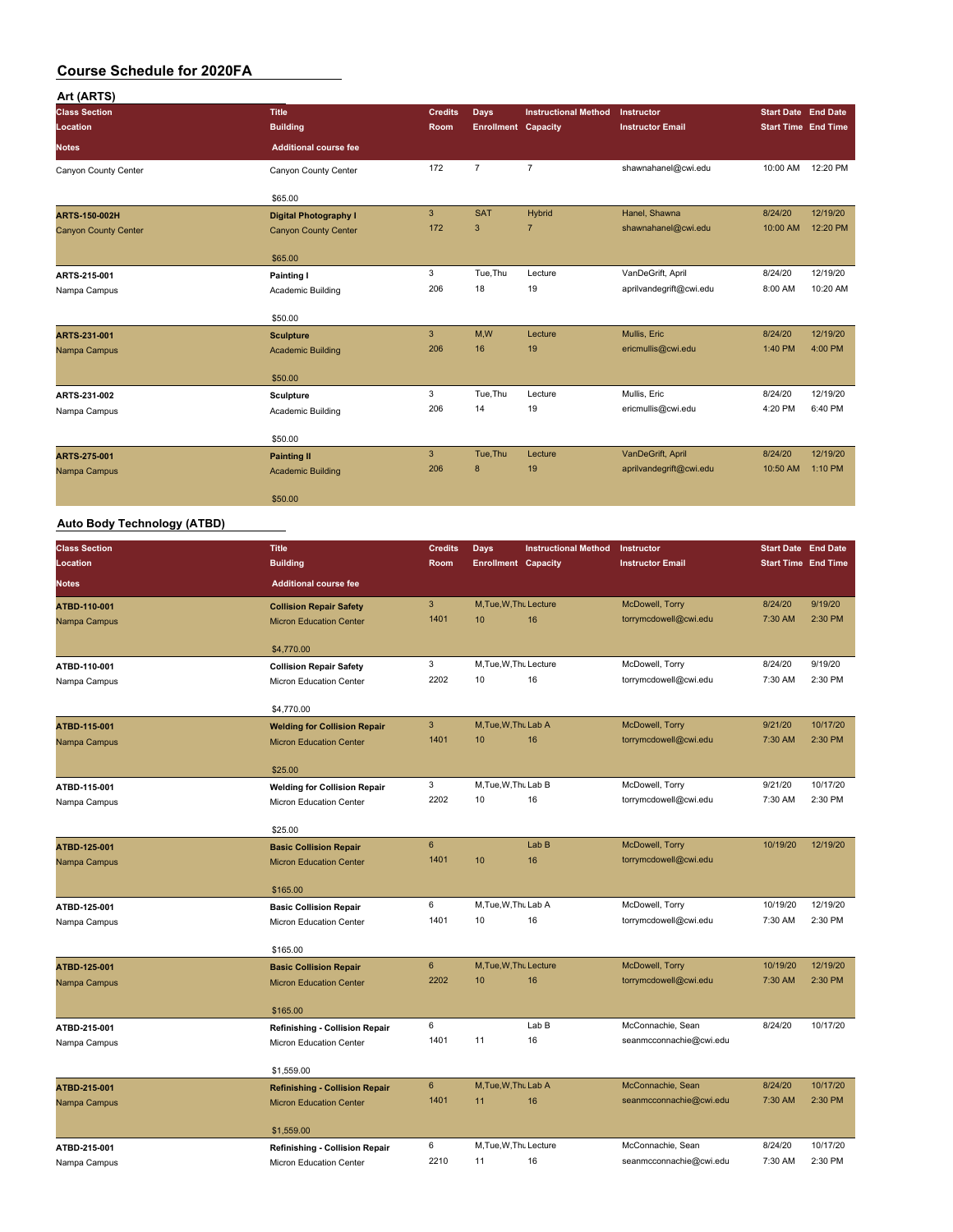| Art (ARTS)                  |                              |                |                            |                             |                         |                            |          |
|-----------------------------|------------------------------|----------------|----------------------------|-----------------------------|-------------------------|----------------------------|----------|
| <b>Class Section</b>        | <b>Title</b>                 | <b>Credits</b> | <b>Days</b>                | <b>Instructional Method</b> | Instructor              | <b>Start Date End Date</b> |          |
| Location                    | <b>Building</b>              | Room           | <b>Enrollment Capacity</b> |                             | <b>Instructor Email</b> | <b>Start Time End Time</b> |          |
| <b>Notes</b>                | <b>Additional course fee</b> |                |                            |                             |                         |                            |          |
| Canyon County Center        | Canyon County Center         | 172            | $\overline{7}$             | $\overline{7}$              | shawnahanel@cwi.edu     | 10:00 AM                   | 12:20 PM |
|                             | \$65.00                      |                |                            |                             |                         |                            |          |
| <b>ARTS-150-002H</b>        | <b>Digital Photography I</b> | $\mathbf{3}$   | <b>SAT</b>                 | <b>Hybrid</b>               | Hanel, Shawna           | 8/24/20                    | 12/19/20 |
| <b>Canyon County Center</b> | <b>Canyon County Center</b>  | 172            | 3                          | $\overline{7}$              | shawnahanel@cwi.edu     | 10:00 AM                   | 12:20 PM |
|                             | \$65.00                      |                |                            |                             |                         |                            |          |
| ARTS-215-001                | Painting I                   | 3              | Tue, Thu                   | Lecture                     | VanDeGrift, April       | 8/24/20                    | 12/19/20 |
| Nampa Campus                | Academic Building            | 206            | 18                         | 19                          | aprilvandegrift@cwi.edu | 8:00 AM                    | 10:20 AM |
|                             | \$50.00                      |                |                            |                             |                         |                            |          |
| ARTS-231-001                | <b>Sculpture</b>             | $\mathbf{3}$   | M,W                        | Lecture                     | Mullis, Eric            | 8/24/20                    | 12/19/20 |
| Nampa Campus                | <b>Academic Building</b>     | 206            | 16                         | 19                          | ericmullis@cwi.edu      | 1:40 PM                    | 4:00 PM  |
|                             | \$50.00                      |                |                            |                             |                         |                            |          |
| ARTS-231-002                | <b>Sculpture</b>             | 3              | Tue, Thu                   | Lecture                     | Mullis, Eric            | 8/24/20                    | 12/19/20 |
| Nampa Campus                | Academic Building            | 206            | 14                         | 19                          | ericmullis@cwi.edu      | 4:20 PM                    | 6:40 PM  |
|                             | \$50.00                      |                |                            |                             |                         |                            |          |
| ARTS-275-001                | <b>Painting II</b>           | 3              | Tue.Thu                    | Lecture                     | VanDeGrift, April       | 8/24/20                    | 12/19/20 |
| Nampa Campus                | <b>Academic Building</b>     | 206            | 8                          | 19                          | aprilvandegrift@cwi.edu | 10:50 AM                   | 1:10 PM  |
|                             | \$50.00                      |                |                            |                             |                         |                            |          |

### **Auto Body Technology (ATBD)**

| <b>Class Section</b> | <b>Title</b>                          | <b>Credits</b>         | <b>Days</b>                | <b>Instructional Method</b> | Instructor                               | <b>Start Date End Date</b> |          |
|----------------------|---------------------------------------|------------------------|----------------------------|-----------------------------|------------------------------------------|----------------------------|----------|
| Location             | <b>Building</b>                       | Room                   | <b>Enrollment Capacity</b> |                             | <b>Instructor Email</b>                  | <b>Start Time End Time</b> |          |
| <b>Notes</b>         | <b>Additional course fee</b>          |                        |                            |                             |                                          |                            |          |
| ATBD-110-001         | <b>Collision Repair Safety</b>        | $\mathbf{3}$           | M, Tue, W, Thu Lecture     |                             | McDowell, Torry                          | 8/24/20                    | 9/19/20  |
| Nampa Campus         | <b>Micron Education Center</b>        | 1401                   | 10                         | 16                          | torrymcdowell@cwi.edu                    | 7:30 AM                    | 2:30 PM  |
|                      | \$4,770.00                            |                        |                            |                             |                                          |                            |          |
| ATBD-110-001         | <b>Collision Repair Safety</b>        | 3                      | M, Tue, W, Thu Lecture     |                             | McDowell, Torry                          | 8/24/20                    | 9/19/20  |
| Nampa Campus         | Micron Education Center               | 2202                   | 10                         | 16                          | torrymcdowell@cwi.edu                    | 7:30 AM                    | 2:30 PM  |
|                      | \$4,770.00                            |                        |                            |                             |                                          |                            |          |
| ATBD-115-001         | <b>Welding for Collision Repair</b>   | 3                      | M, Tue, W, Thu Lab A       |                             | McDowell, Torry                          | 9/21/20                    | 10/17/20 |
| Nampa Campus         | <b>Micron Education Center</b>        | 1401                   | 10                         | 16                          | torrymcdowell@cwi.edu                    | 7:30 AM                    | 2:30 PM  |
|                      | \$25.00                               |                        |                            |                             |                                          |                            |          |
| ATBD-115-001         | <b>Welding for Collision Repair</b>   | 3                      | M, Tue, W, Thu Lab B       |                             | McDowell, Torry                          | 9/21/20                    | 10/17/20 |
| Nampa Campus         | Micron Education Center               | 2202                   | 10                         | 16                          | torrymcdowell@cwi.edu                    | 7:30 AM                    | 2:30 PM  |
|                      |                                       |                        |                            |                             |                                          |                            |          |
|                      | \$25.00                               |                        |                            |                             |                                          |                            |          |
| ATBD-125-001         | <b>Basic Collision Repair</b>         | $6\phantom{a}$<br>1401 | 10                         | Lab B<br>16                 | McDowell, Torry<br>torrymcdowell@cwi.edu | 10/19/20                   | 12/19/20 |
| Nampa Campus         | <b>Micron Education Center</b>        |                        |                            |                             |                                          |                            |          |
|                      | \$165.00                              |                        |                            |                             |                                          |                            |          |
| ATBD-125-001         | <b>Basic Collision Repair</b>         | 6                      | M, Tue, W, Thu Lab A       |                             | McDowell, Torry                          | 10/19/20                   | 12/19/20 |
| Nampa Campus         | Micron Education Center               | 1401                   | 10                         | 16                          | torrymcdowell@cwi.edu                    | 7:30 AM                    | 2:30 PM  |
|                      | \$165.00                              |                        |                            |                             |                                          |                            |          |
| ATBD-125-001         | <b>Basic Collision Repair</b>         | $6\overline{6}$        | M.Tue.W.Thu Lecture        |                             | McDowell, Torry                          | 10/19/20                   | 12/19/20 |
| Nampa Campus         | <b>Micron Education Center</b>        | 2202                   | 10                         | 16                          | torrymcdowell@cwi.edu                    | 7:30 AM                    | 2:30 PM  |
|                      | \$165.00                              |                        |                            |                             |                                          |                            |          |
| ATBD-215-001         | <b>Refinishing - Collision Repair</b> | 6                      |                            | Lab B                       | McConnachie, Sean                        | 8/24/20                    | 10/17/20 |
| Nampa Campus         | Micron Education Center               | 1401                   | 11                         | 16                          | seanmcconnachie@cwi.edu                  |                            |          |
|                      |                                       |                        |                            |                             |                                          |                            |          |
|                      | \$1,559.00                            |                        |                            |                             |                                          |                            |          |
| ATBD-215-001         | <b>Refinishing - Collision Repair</b> | $6\phantom{a}$         | M.Tue.W.Thu Lab A          |                             | McConnachie, Sean                        | 8/24/20                    | 10/17/20 |
| Nampa Campus         | <b>Micron Education Center</b>        | 1401                   | 11                         | 16                          | seanmcconnachie@cwi.edu                  | 7:30 AM                    | 2:30 PM  |
|                      | \$1,559.00                            |                        |                            |                             |                                          |                            |          |
| ATBD-215-001         | Refinishing - Collision Repair        | 6                      | M, Tue, W, Thu Lecture     |                             | McConnachie, Sean                        | 8/24/20                    | 10/17/20 |
| Nampa Campus         | Micron Education Center               | 2210                   | 11                         | 16                          | seanmcconnachie@cwi.edu                  | 7:30 AM                    | 2:30 PM  |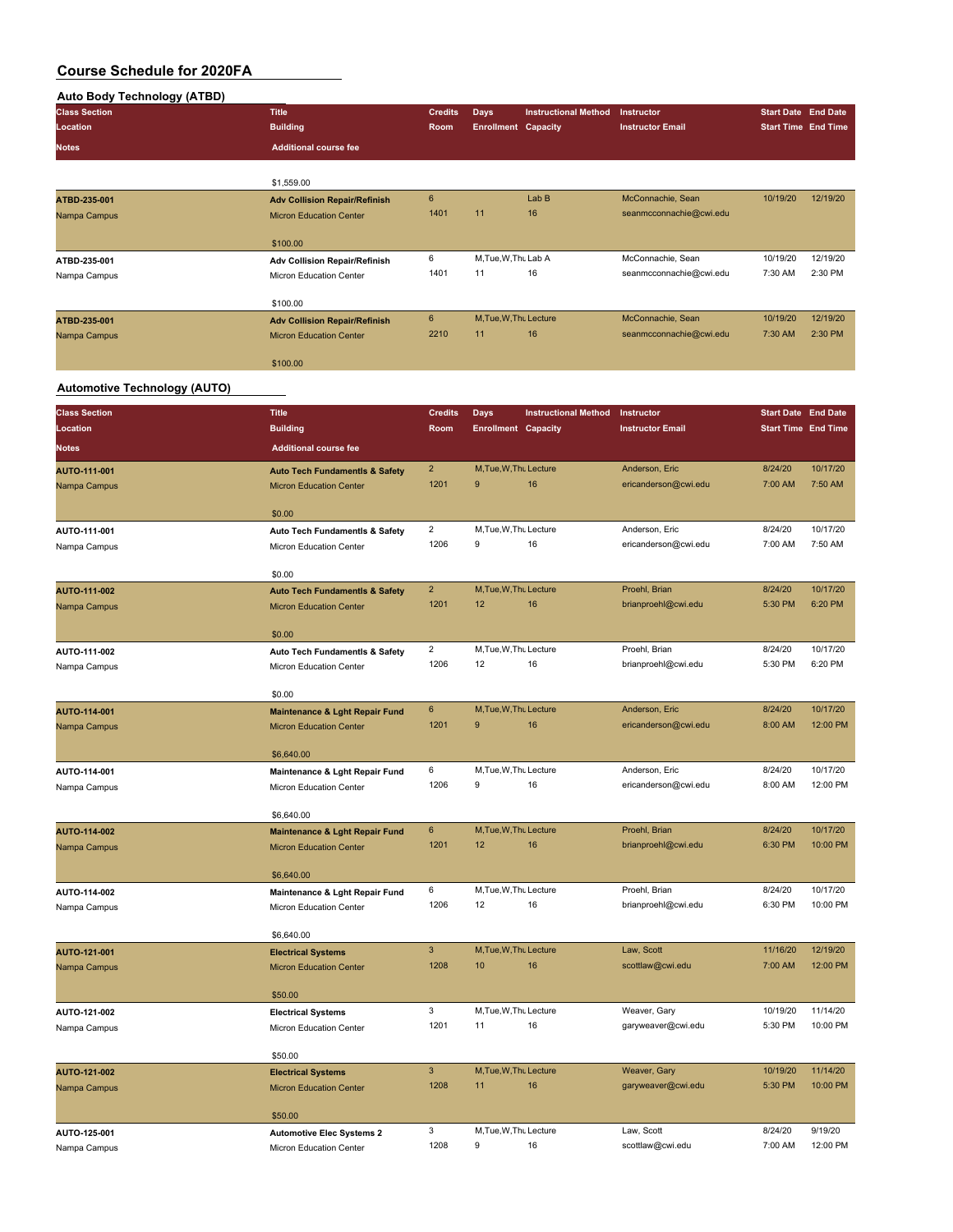### **Auto Body Technology (ATBD)**

| <b>Title</b>                         | <b>Credits</b> |    |       |                                                                                                             |                                       |                                                          |
|--------------------------------------|----------------|----|-------|-------------------------------------------------------------------------------------------------------------|---------------------------------------|----------------------------------------------------------|
| <b>Building</b>                      | Room           |    |       |                                                                                                             |                                       |                                                          |
| <b>Additional course fee</b>         |                |    |       |                                                                                                             |                                       |                                                          |
|                                      |                |    |       |                                                                                                             |                                       |                                                          |
| \$1,559.00                           |                |    |       |                                                                                                             |                                       |                                                          |
| <b>Adv Collision Repair/Refinish</b> | 6              |    | Lab B | McConnachie, Sean                                                                                           | 10/19/20                              | 12/19/20                                                 |
| <b>Micron Education Center</b>       | 1401           | 11 | 16    | seanmcconnachie@cwi.edu                                                                                     |                                       |                                                          |
|                                      |                |    |       |                                                                                                             |                                       |                                                          |
| \$100.00                             |                |    |       |                                                                                                             |                                       |                                                          |
| <b>Adv Collision Repair/Refinish</b> | 6              |    |       | McConnachie, Sean                                                                                           | 10/19/20                              | 12/19/20                                                 |
| Micron Education Center              | 1401           | 11 | 16    | seanmcconnachie@cwi.edu                                                                                     | 7:30 AM                               | 2:30 PM                                                  |
|                                      |                |    |       |                                                                                                             |                                       |                                                          |
| \$100.00                             |                |    |       |                                                                                                             |                                       |                                                          |
| <b>Adv Collision Repair/Refinish</b> | 6              |    |       | McConnachie, Sean                                                                                           | 10/19/20                              | 12/19/20                                                 |
| <b>Micron Education Center</b>       | 2210           | 11 | 16    | seanmcconnachie@cwi.edu                                                                                     | 7:30 AM                               | 2:30 PM                                                  |
|                                      |                |    |       |                                                                                                             |                                       |                                                          |
| \$100.00                             |                |    |       |                                                                                                             |                                       |                                                          |
|                                      |                |    | Days  | <b>Instructional Method</b><br><b>Enrollment Capacity</b><br>M, Tue, W, Thu Lab A<br>M, Tue, W, Thu Lecture | Instructor<br><b>Instructor Email</b> | <b>Start Date End Date</b><br><b>Start Time End Time</b> |

#### **Automotive Technology (AUTO)**

| <b>Class Section</b> | <b>Title</b>                                 | <b>Credits</b>          | <b>Days</b>                 | <b>Instructional Method</b> | Instructor                     | <b>Start Date End Date</b> |                     |
|----------------------|----------------------------------------------|-------------------------|-----------------------------|-----------------------------|--------------------------------|----------------------------|---------------------|
| Location             | <b>Building</b>                              | Room                    | <b>Enrollment Capacity</b>  |                             | <b>Instructor Email</b>        | <b>Start Time End Time</b> |                     |
| <b>Notes</b>         | <b>Additional course fee</b>                 |                         |                             |                             |                                |                            |                     |
| AUTO-111-001         | <b>Auto Tech Fundamentls &amp; Safety</b>    | $\overline{2}$          | M, Tue, W, Thu Lecture      |                             | Anderson, Eric                 | 8/24/20                    | 10/17/20            |
| Nampa Campus         | <b>Micron Education Center</b>               | 1201                    | 9                           | 16                          | ericanderson@cwi.edu           | 7:00 AM                    | 7:50 AM             |
|                      | \$0.00                                       |                         |                             |                             |                                |                            |                     |
| AUTO-111-001         | Auto Tech Fundamentls & Safety               | $\overline{2}$          | M, Tue, W, Thu Lecture      |                             | Anderson, Eric                 | 8/24/20                    | 10/17/20            |
| Nampa Campus         | Micron Education Center                      | 1206                    | 9                           | 16                          | ericanderson@cwi.edu           | 7:00 AM                    | 7:50 AM             |
|                      | \$0.00                                       |                         |                             |                             |                                |                            |                     |
| AUTO-111-002         | <b>Auto Tech Fundamentls &amp; Safety</b>    | $\overline{2}$          | M, Tue, W, Thu Lecture      |                             | Proehl, Brian                  | 8/24/20                    | 10/17/20            |
| Nampa Campus         | <b>Micron Education Center</b>               | 1201                    | 12                          | 16                          | brianproehl@cwi.edu            | 5:30 PM                    | 6:20 PM             |
|                      | \$0.00                                       |                         |                             |                             |                                |                            |                     |
| AUTO-111-002         | Auto Tech Fundamentls & Safety               | $\overline{\mathbf{c}}$ | M, Tue, W, Thu Lecture      |                             | Proehl, Brian                  | 8/24/20                    | 10/17/20            |
| Nampa Campus         | Micron Education Center                      | 1206                    | 12                          | 16                          | brianproehl@cwi.edu            | 5:30 PM                    | 6:20 PM             |
|                      |                                              |                         |                             |                             |                                |                            |                     |
|                      | \$0.00                                       |                         |                             |                             |                                |                            |                     |
| AUTO-114-001         | <b>Maintenance &amp; Lght Repair Fund</b>    | 6                       | M, Tue, W, Thu Lecture      |                             | Anderson, Eric                 | 8/24/20                    | 10/17/20            |
| Nampa Campus         | <b>Micron Education Center</b>               | 1201                    | 9                           | 16                          | ericanderson@cwi.edu           | 8:00 AM                    | 12:00 PM            |
|                      | \$6,640.00                                   |                         |                             |                             |                                |                            |                     |
| AUTO-114-001         | Maintenance & Lght Repair Fund               | 6                       | M, Tue, W, Thu Lecture      |                             | Anderson, Eric                 | 8/24/20                    | 10/17/20            |
| Nampa Campus         | Micron Education Center                      | 1206                    | 9                           | 16                          | ericanderson@cwi.edu           | 8:00 AM                    | 12:00 PM            |
|                      | \$6,640.00                                   |                         |                             |                             |                                |                            |                     |
| AUTO-114-002         | Maintenance & Lght Repair Fund               | 6                       | M, Tue, W, Thu Lecture      |                             | Proehl, Brian                  | 8/24/20                    | 10/17/20            |
| Nampa Campus         | <b>Micron Education Center</b>               | 1201                    | 12                          | 16                          | brianproehl@cwi.edu            | 6:30 PM                    | 10:00 PM            |
|                      |                                              |                         |                             |                             |                                |                            |                     |
| AUTO-114-002         | \$6,640.00<br>Maintenance & Lght Repair Fund | 6                       | M, Tue, W, Thu Lecture      |                             | Proehl, Brian                  | 8/24/20                    | 10/17/20            |
| Nampa Campus         | Micron Education Center                      | 1206                    | 12                          | 16                          | brianproehl@cwi.edu            | 6:30 PM                    | 10:00 PM            |
|                      |                                              |                         |                             |                             |                                |                            |                     |
|                      | \$6,640.00                                   |                         |                             |                             |                                |                            |                     |
| <b>AUTO-121-001</b>  | <b>Electrical Systems</b>                    | $\overline{3}$          | M, Tue, W, Thu Lecture      |                             | Law, Scott                     | 11/16/20                   | 12/19/20            |
| Nampa Campus         | <b>Micron Education Center</b>               | 1208                    | 10                          | 16                          | scottlaw@cwi.edu               | 7:00 AM                    | 12:00 PM            |
|                      | \$50.00                                      |                         |                             |                             |                                |                            |                     |
| AUTO-121-002         | <b>Electrical Systems</b>                    | 3                       | M, Tue, W, Thu Lecture      |                             | Weaver, Gary                   | 10/19/20                   | 11/14/20            |
| Nampa Campus         | Micron Education Center                      | 1201                    | 11                          | 16                          | garyweaver@cwi.edu             | 5:30 PM                    | 10:00 PM            |
|                      | \$50.00                                      |                         |                             |                             |                                |                            |                     |
| AUTO-121-002         | <b>Electrical Systems</b>                    | $\mathbf{3}$            | M, Tue, W, Thu Lecture      |                             | Weaver, Gary                   | 10/19/20                   | 11/14/20            |
| Nampa Campus         | <b>Micron Education Center</b>               | 1208                    | 11                          | 16                          | garyweaver@cwi.edu             | 5:30 PM                    | 10:00 PM            |
|                      |                                              |                         |                             |                             |                                |                            |                     |
|                      | \$50.00                                      |                         |                             |                             |                                |                            |                     |
| AUTO-125-001         | <b>Automotive Elec Systems 2</b>             | 3<br>1208               | M, Tue, W, Thu Lecture<br>9 | 16                          | Law, Scott<br>scottlaw@cwi.edu | 8/24/20<br>7:00 AM         | 9/19/20<br>12:00 PM |
| Nampa Campus         | Micron Education Center                      |                         |                             |                             |                                |                            |                     |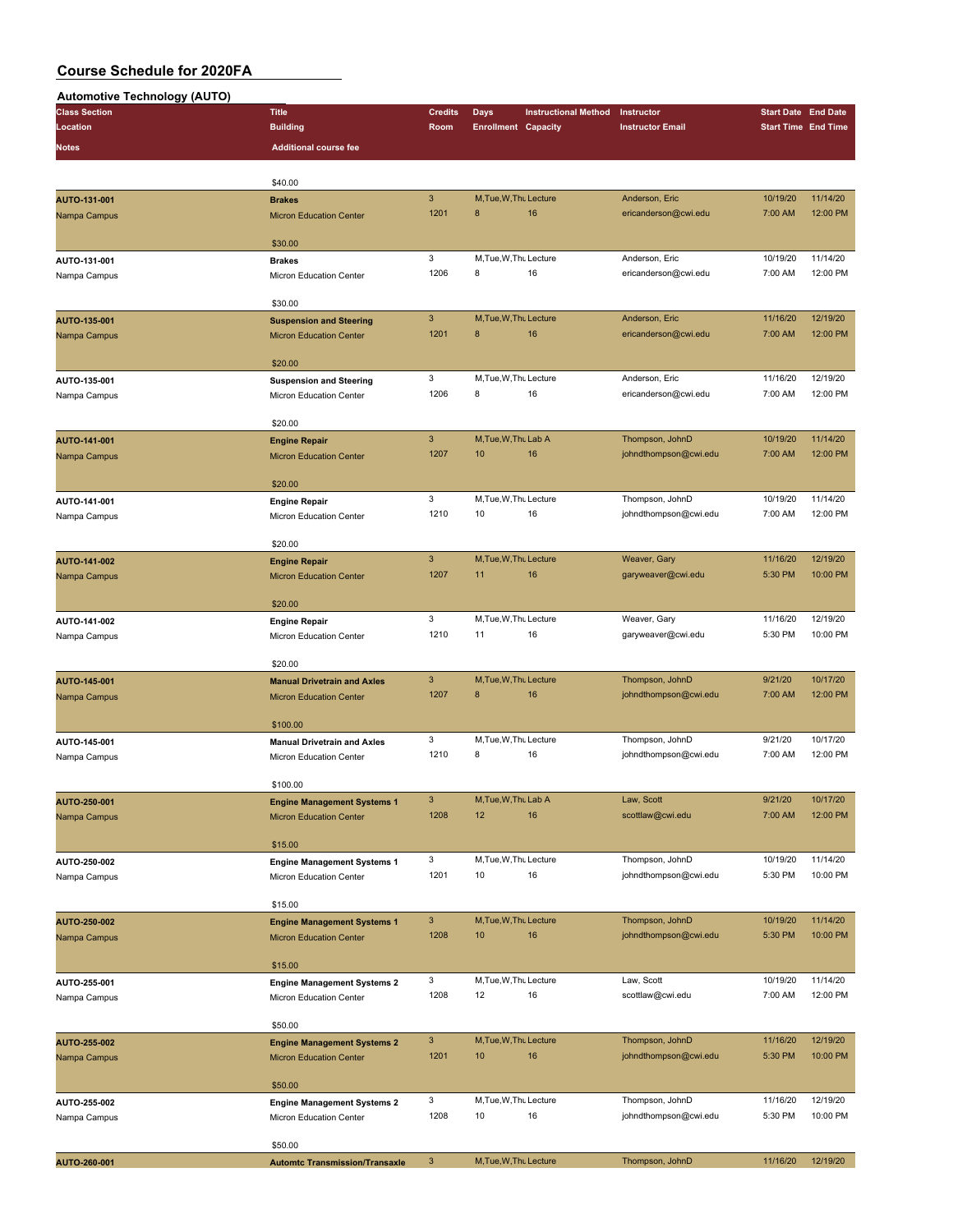**Automotive Technology (AUTO)**

| Automotive Technology (AUTO)     |                                                 |                        |                             |                             |                                       |                            |                      |
|----------------------------------|-------------------------------------------------|------------------------|-----------------------------|-----------------------------|---------------------------------------|----------------------------|----------------------|
| <b>Class Section</b><br>Location | <b>Title</b>                                    | <b>Credits</b><br>Room | <b>Days</b>                 | <b>Instructional Method</b> | Instructor<br><b>Instructor Email</b> | <b>Start Date End Date</b> |                      |
|                                  | <b>Building</b>                                 |                        | <b>Enrollment Capacity</b>  |                             |                                       | <b>Start Time End Time</b> |                      |
| Notes                            | <b>Additional course fee</b>                    |                        |                             |                             |                                       |                            |                      |
|                                  |                                                 |                        |                             |                             |                                       |                            |                      |
|                                  | \$40.00                                         | $\mathbf{3}$           | M, Tue, W, Thu Lecture      |                             | Anderson, Eric                        | 10/19/20                   | 11/14/20             |
| AUTO-131-001<br>Nampa Campus     | <b>Brakes</b><br><b>Micron Education Center</b> | 1201                   | 8                           | 16                          | ericanderson@cwi.edu                  | 7:00 AM                    | 12:00 PM             |
|                                  |                                                 |                        |                             |                             |                                       |                            |                      |
|                                  | \$30.00                                         |                        |                             |                             |                                       |                            |                      |
| AUTO-131-001                     | <b>Brakes</b>                                   | 3                      | M, Tue, W, Thu Lecture      |                             | Anderson, Eric                        | 10/19/20                   | 11/14/20             |
| Nampa Campus                     | Micron Education Center                         | 1206                   | 8                           | 16                          | ericanderson@cwi.edu                  | 7:00 AM                    | 12:00 PM             |
|                                  | \$30.00                                         |                        |                             |                             |                                       |                            |                      |
| AUTO-135-001                     | <b>Suspension and Steering</b>                  | 3                      | M, Tue, W, Thu Lecture      |                             | Anderson, Eric                        | 11/16/20                   | 12/19/20             |
| Nampa Campus                     | <b>Micron Education Center</b>                  | 1201                   | 8                           | 16                          | ericanderson@cwi.edu                  | 7:00 AM                    | 12:00 PM             |
|                                  |                                                 |                        |                             |                             |                                       |                            |                      |
|                                  | \$20.00                                         |                        |                             |                             |                                       |                            |                      |
| AUTO-135-001                     | <b>Suspension and Steering</b>                  | 3<br>1206              | M, Tue, W, Thu Lecture<br>8 |                             | Anderson, Eric                        | 11/16/20                   | 12/19/20<br>12:00 PM |
| Nampa Campus                     | Micron Education Center                         |                        |                             | 16                          | ericanderson@cwi.edu                  | 7:00 AM                    |                      |
|                                  | \$20.00                                         |                        |                             |                             |                                       |                            |                      |
| AUTO-141-001                     | <b>Engine Repair</b>                            | 3                      | M, Tue, W, Thu Lab A        |                             | Thompson, JohnD                       | 10/19/20                   | 11/14/20             |
| Nampa Campus                     | <b>Micron Education Center</b>                  | 1207                   | 10                          | 16                          | johndthompson@cwi.edu                 | 7:00 AM                    | 12:00 PM             |
|                                  |                                                 |                        |                             |                             |                                       |                            |                      |
|                                  | \$20.00                                         | 3                      | M, Tue, W, Thu Lecture      |                             | Thompson, JohnD                       | 10/19/20                   | 11/14/20             |
| AUTO-141-001<br>Nampa Campus     | <b>Engine Repair</b><br>Micron Education Center | 1210                   | 10                          | 16                          | johndthompson@cwi.edu                 | 7:00 AM                    | 12:00 PM             |
|                                  |                                                 |                        |                             |                             |                                       |                            |                      |
|                                  | \$20.00                                         |                        |                             |                             |                                       |                            |                      |
| AUTO-141-002                     | <b>Engine Repair</b>                            | 3                      | M.Tue.W.Thu Lecture         |                             | Weaver, Gary                          | 11/16/20                   | 12/19/20             |
| Nampa Campus                     | <b>Micron Education Center</b>                  | 1207                   | 11                          | 16                          | garyweaver@cwi.edu                    | 5:30 PM                    | 10:00 PM             |
|                                  | \$20.00                                         |                        |                             |                             |                                       |                            |                      |
| AUTO-141-002                     | <b>Engine Repair</b>                            | 3                      | M, Tue, W, Thu Lecture      |                             | Weaver, Gary                          | 11/16/20                   | 12/19/20             |
| Nampa Campus                     | Micron Education Center                         | 1210                   | 11                          | 16                          | garyweaver@cwi.edu                    | 5:30 PM                    | 10:00 PM             |
|                                  |                                                 |                        |                             |                             |                                       |                            |                      |
|                                  | \$20.00                                         |                        |                             |                             |                                       |                            |                      |
| AUTO-145-001                     | <b>Manual Drivetrain and Axles</b>              | 3                      | M, Tue, W, Thu Lecture      |                             | Thompson, JohnD                       | 9/21/20                    | 10/17/20             |
| Nampa Campus                     | <b>Micron Education Center</b>                  | 1207                   | 8                           | 16                          | johndthompson@cwi.edu                 | 7:00 AM                    | 12:00 PM             |
|                                  | \$100.00                                        |                        |                             |                             |                                       |                            |                      |
| AUTO-145-001                     | <b>Manual Drivetrain and Axles</b>              | 3                      | M, Tue, W, Thu Lecture      |                             | Thompson, JohnD                       | 9/21/20                    | 10/17/20             |
| Nampa Campus                     | Micron Education Center                         | 1210                   | 8                           | 16                          | johndthompson@cwi.edu                 | 7:00 AM                    | 12:00 PM             |
|                                  |                                                 |                        |                             |                             |                                       |                            |                      |
|                                  | \$100.00                                        |                        |                             |                             |                                       |                            |                      |
| AUTO-250-001                     | <b>Engine Management Systems 1</b>              | 3<br>1208              | M, Tue, W, Thu Lab A<br>12  | 16                          | Law, Scott<br>scottlaw@cwi.edu        | 9/21/20<br>7:00 AM         | 10/17/20<br>12:00 PM |
| Nampa Campus                     | <b>Micron Education Center</b>                  |                        |                             |                             |                                       |                            |                      |
|                                  | \$15.00                                         |                        |                             |                             |                                       |                            |                      |
| AUTO-250-002                     | <b>Engine Management Systems 1</b>              | 3                      | M, Tue, W, Thu Lecture      |                             | Thompson, JohnD                       | 10/19/20                   | 11/14/20             |
| Nampa Campus                     | Micron Education Center                         | 1201                   | 10                          | 16                          | johndthompson@cwi.edu                 | 5:30 PM                    | 10:00 PM             |
|                                  | \$15.00                                         |                        |                             |                             |                                       |                            |                      |
| AUTO-250-002                     | <b>Engine Management Systems 1</b>              | $\mathbf{3}$           | M, Tue, W, Thu Lecture      |                             | Thompson, JohnD                       | 10/19/20                   | 11/14/20             |
| Nampa Campus                     | <b>Micron Education Center</b>                  | 1208                   | 10                          | 16                          | johndthompson@cwi.edu                 | 5:30 PM                    | 10:00 PM             |
|                                  |                                                 |                        |                             |                             |                                       |                            |                      |
|                                  | \$15.00                                         |                        |                             |                             |                                       |                            |                      |
| AUTO-255-001                     | <b>Engine Management Systems 2</b>              | 3                      | M, Tue, W, Thu Lecture      |                             | Law, Scott                            | 10/19/20                   | 11/14/20             |
| Nampa Campus                     | Micron Education Center                         | 1208                   | 12                          | 16                          | scottlaw@cwi.edu                      | 7:00 AM                    | 12:00 PM             |
|                                  | \$50.00                                         |                        |                             |                             |                                       |                            |                      |
| AUTO-255-002                     | <b>Engine Management Systems 2</b>              | 3                      | M, Tue, W, Thu Lecture      |                             | Thompson, JohnD                       | 11/16/20                   | 12/19/20             |
| Nampa Campus                     | <b>Micron Education Center</b>                  | 1201                   | 10                          | 16                          | johndthompson@cwi.edu                 | 5:30 PM                    | 10:00 PM             |
|                                  |                                                 |                        |                             |                             |                                       |                            |                      |
|                                  | \$50.00                                         |                        |                             |                             |                                       |                            |                      |
| AUTO-255-002                     | <b>Engine Management Systems 2</b>              | 3                      | M, Tue, W, Thu Lecture      |                             | Thompson, JohnD                       | 11/16/20                   | 12/19/20             |
| Nampa Campus                     | Micron Education Center                         | 1208                   | 10                          | 16                          | johndthompson@cwi.edu                 | 5:30 PM                    | 10:00 PM             |
|                                  | \$50.00                                         |                        |                             |                             |                                       |                            |                      |
| AUTO-260-001                     | <b>Automtc Transmission/Transaxle</b>           | 3                      | M, Tue, W, Thu Lecture      |                             | Thompson, JohnD                       | 11/16/20                   | 12/19/20             |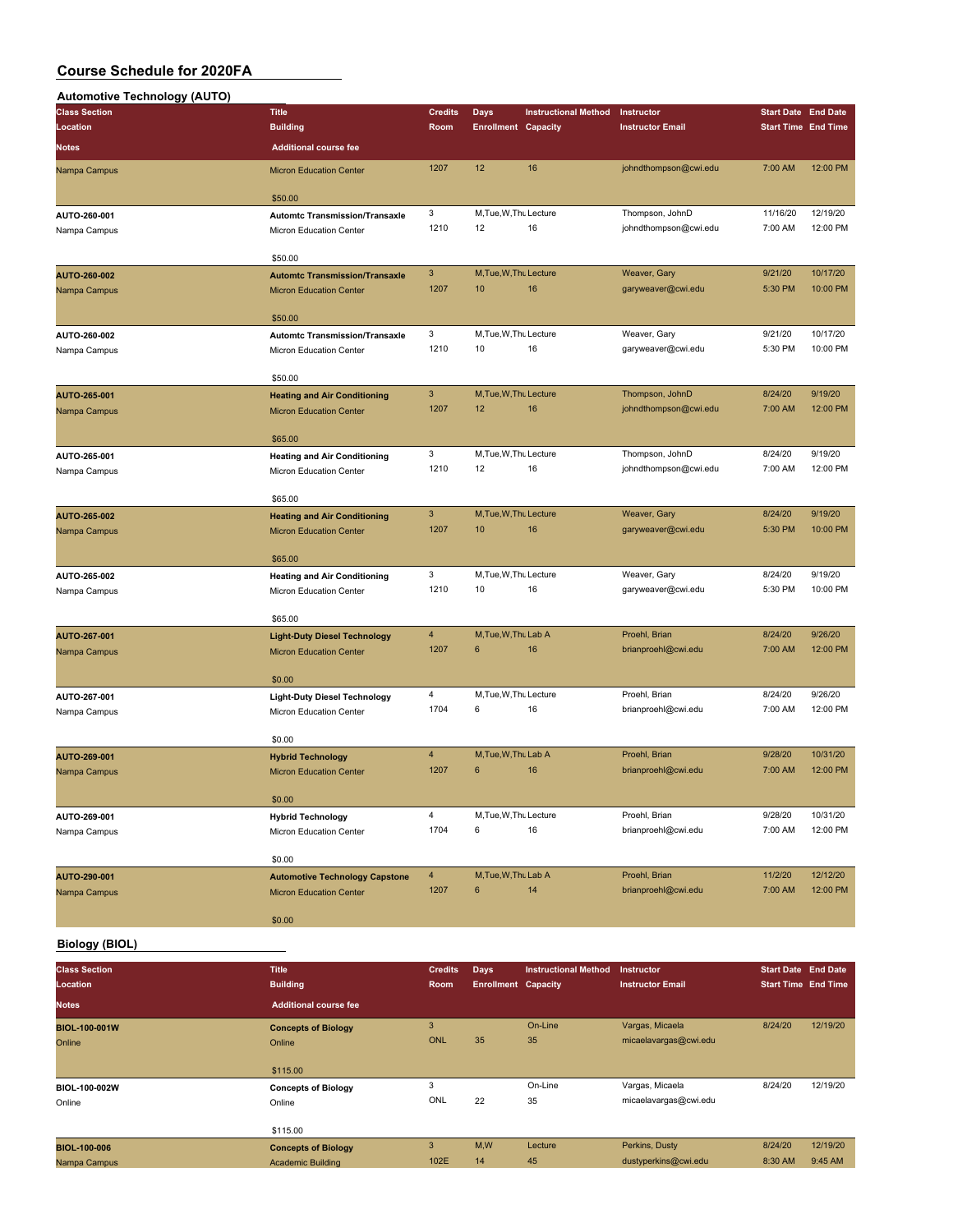### **Automotive Technology (AUTO)**

| <br><b>Class Section</b>     | <b>Title</b>                                                          | <b>Credits</b> | <b>Days</b>                  | <b>Instructional Method</b> | Instructor              | <b>Start Date End Date</b> |                      |
|------------------------------|-----------------------------------------------------------------------|----------------|------------------------------|-----------------------------|-------------------------|----------------------------|----------------------|
| Location                     | <b>Building</b>                                                       | Room           | <b>Enrollment Capacity</b>   |                             | <b>Instructor Email</b> | <b>Start Time End Time</b> |                      |
| <b>Notes</b>                 | <b>Additional course fee</b>                                          |                |                              |                             |                         |                            |                      |
| Nampa Campus                 | <b>Micron Education Center</b>                                        | 1207           | 12                           | 16                          | johndthompson@cwi.edu   | 7:00 AM                    | 12:00 PM             |
|                              |                                                                       |                |                              |                             |                         |                            |                      |
|                              | \$50.00                                                               |                |                              |                             |                         |                            |                      |
| AUTO-260-001                 | <b>Automtc Transmission/Transaxle</b>                                 | 3              | M, Tue, W, Thu Lecture       |                             | Thompson, JohnD         | 11/16/20                   | 12/19/20             |
| Nampa Campus                 | Micron Education Center                                               | 1210           | 12                           | 16                          | johndthompson@cwi.edu   | 7:00 AM                    | 12:00 PM             |
|                              | \$50.00                                                               |                |                              |                             |                         |                            |                      |
| AUTO-260-002                 | <b>Automtc Transmission/Transaxle</b>                                 | $\mathbf{3}$   | M, Tue, W, Thu Lecture       |                             | Weaver, Gary            | 9/21/20                    | 10/17/20             |
| Nampa Campus                 | <b>Micron Education Center</b>                                        | 1207           | 10                           | 16                          | garyweaver@cwi.edu      | 5:30 PM                    | 10:00 PM             |
|                              |                                                                       |                |                              |                             |                         |                            |                      |
|                              | \$50.00                                                               |                |                              |                             |                         |                            |                      |
| AUTO-260-002                 | <b>Automtc Transmission/Transaxle</b>                                 | 3<br>1210      | M, Tue, W, Thu Lecture<br>10 | 16                          | Weaver, Gary            | 9/21/20<br>5:30 PM         | 10/17/20<br>10:00 PM |
| Nampa Campus                 | Micron Education Center                                               |                |                              |                             | garyweaver@cwi.edu      |                            |                      |
|                              | \$50.00                                                               |                |                              |                             |                         |                            |                      |
| AUTO-265-001                 | <b>Heating and Air Conditioning</b>                                   | 3              | M, Tue, W, Thu Lecture       |                             | Thompson, JohnD         | 8/24/20                    | 9/19/20              |
| Nampa Campus                 | <b>Micron Education Center</b>                                        | 1207           | 12                           | 16                          | johndthompson@cwi.edu   | 7:00 AM                    | 12:00 PM             |
|                              |                                                                       |                |                              |                             |                         |                            |                      |
| AUTO-265-001                 | \$65.00                                                               | 3              | M, Tue, W, Thu Lecture       |                             | Thompson, JohnD         | 8/24/20                    | 9/19/20              |
| Nampa Campus                 | <b>Heating and Air Conditioning</b><br>Micron Education Center        | 1210           | 12                           | 16                          | johndthompson@cwi.edu   | 7:00 AM                    | 12:00 PM             |
|                              |                                                                       |                |                              |                             |                         |                            |                      |
|                              | \$65.00                                                               |                |                              |                             |                         |                            |                      |
| <b>AUTO-265-002</b>          | <b>Heating and Air Conditioning</b>                                   | 3              | M, Tue, W, Thu Lecture       |                             | Weaver, Gary            | 8/24/20                    | 9/19/20              |
| Nampa Campus                 | <b>Micron Education Center</b>                                        | 1207           | 10                           | 16                          | garyweaver@cwi.edu      | 5:30 PM                    | 10:00 PM             |
|                              | \$65.00                                                               |                |                              |                             |                         |                            |                      |
| AUTO-265-002                 | <b>Heating and Air Conditioning</b>                                   | 3              | M, Tue, W, Thu Lecture       |                             | Weaver, Gary            | 8/24/20                    | 9/19/20              |
| Nampa Campus                 | Micron Education Center                                               | 1210           | 10                           | 16                          | garyweaver@cwi.edu      | 5:30 PM                    | 10:00 PM             |
|                              |                                                                       |                |                              |                             |                         |                            |                      |
| AUTO-267-001                 | \$65.00                                                               | 4              | M, Tue, W, Thu Lab A         |                             | Proehl, Brian           | 8/24/20                    | 9/26/20              |
| Nampa Campus                 | <b>Light-Duty Diesel Technology</b><br><b>Micron Education Center</b> | 1207           | $6\phantom{1}6$              | 16                          | brianproehl@cwi.edu     | 7:00 AM                    | 12:00 PM             |
|                              |                                                                       |                |                              |                             |                         |                            |                      |
|                              | \$0.00                                                                |                |                              |                             |                         |                            |                      |
| AUTO-267-001                 | <b>Light-Duty Diesel Technology</b>                                   | 4              | M.Tue.W.Tht Lecture          |                             | Proehl, Brian           | 8/24/20                    | 9/26/20              |
| Nampa Campus                 | Micron Education Center                                               | 1704           | 6                            | 16                          | brianproehl@cwi.edu     | 7:00 AM                    | 12:00 PM             |
|                              | \$0.00                                                                |                |                              |                             |                         |                            |                      |
| AUTO-269-001                 | <b>Hybrid Technology</b>                                              | $\overline{4}$ | M.Tue.W.Thu Lab A            |                             | Proehl, Brian           | 9/28/20                    | 10/31/20             |
| Nampa Campus                 | <b>Micron Education Center</b>                                        | 1207           | $6\phantom{1}$               | 16                          | brianproehl@cwi.edu     | 7:00 AM                    | 12:00 PM             |
|                              |                                                                       |                |                              |                             |                         |                            |                      |
|                              | \$0.00                                                                | 4              | M, Tue, W, Thu Lecture       |                             | Proehl, Brian           | 9/28/20                    | 10/31/20             |
| AUTO-269-001<br>Nampa Campus | <b>Hybrid Technology</b><br>Micron Education Center                   | 1704           | 6                            | 16                          | brianproehl@cwi.edu     | 7:00 AM                    | 12:00 PM             |
|                              |                                                                       |                |                              |                             |                         |                            |                      |
|                              | \$0.00                                                                |                |                              |                             |                         |                            |                      |
| AUTO-290-001                 | <b>Automotive Technology Capstone</b>                                 | $\overline{4}$ | M, Tue, W, Thu Lab A         |                             | Proehl, Brian           | 11/2/20                    | 12/12/20             |
| Nampa Campus                 | <b>Micron Education Center</b>                                        | 1207           | 6                            | 14                          | brianproehl@cwi.edu     | 7:00 AM                    | 12:00 PM             |
|                              | \$0.00                                                                |                |                              |                             |                         |                            |                      |
|                              |                                                                       |                |                              |                             |                         |                            |                      |

### **Biology (BIOL)**

| <b>Class Section</b><br>Location | <b>Title</b><br><b>Building</b> | <b>Credits</b><br><b>Room</b> | Days<br><b>Enrollment Capacity</b> | <b>Instructional Method</b> | <b>Instructor</b><br><b>Instructor Email</b> | <b>Start Date End Date</b><br><b>Start Time End Time</b> |          |
|----------------------------------|---------------------------------|-------------------------------|------------------------------------|-----------------------------|----------------------------------------------|----------------------------------------------------------|----------|
| <b>Notes</b>                     | <b>Additional course fee</b>    |                               |                                    |                             |                                              |                                                          |          |
| <b>BIOL-100-001W</b>             | <b>Concepts of Biology</b>      | 3                             |                                    | On-Line                     | Vargas, Micaela                              | 8/24/20                                                  | 12/19/20 |
| Online                           | Online                          | ONL                           | 35                                 | 35                          | micaelavargas@cwi.edu                        |                                                          |          |
|                                  | \$115.00                        |                               |                                    |                             |                                              |                                                          |          |
| BIOL-100-002W                    | <b>Concepts of Biology</b>      | 3                             |                                    | On-Line                     | Vargas, Micaela                              | 8/24/20                                                  | 12/19/20 |
| Online                           | Online                          | ONL                           | 22                                 | 35                          | micaelavargas@cwi.edu                        |                                                          |          |
|                                  | \$115.00                        |                               |                                    |                             |                                              |                                                          |          |
| <b>BIOL-100-006</b>              | <b>Concepts of Biology</b>      | 3                             | M,W                                | Lecture                     | Perkins, Dusty                               | 8/24/20                                                  | 12/19/20 |
| Nampa Campus                     | <b>Academic Building</b>        | 102E                          | 14                                 | 45                          | dustyperkins@cwi.edu                         | 8:30 AM                                                  | 9:45 AM  |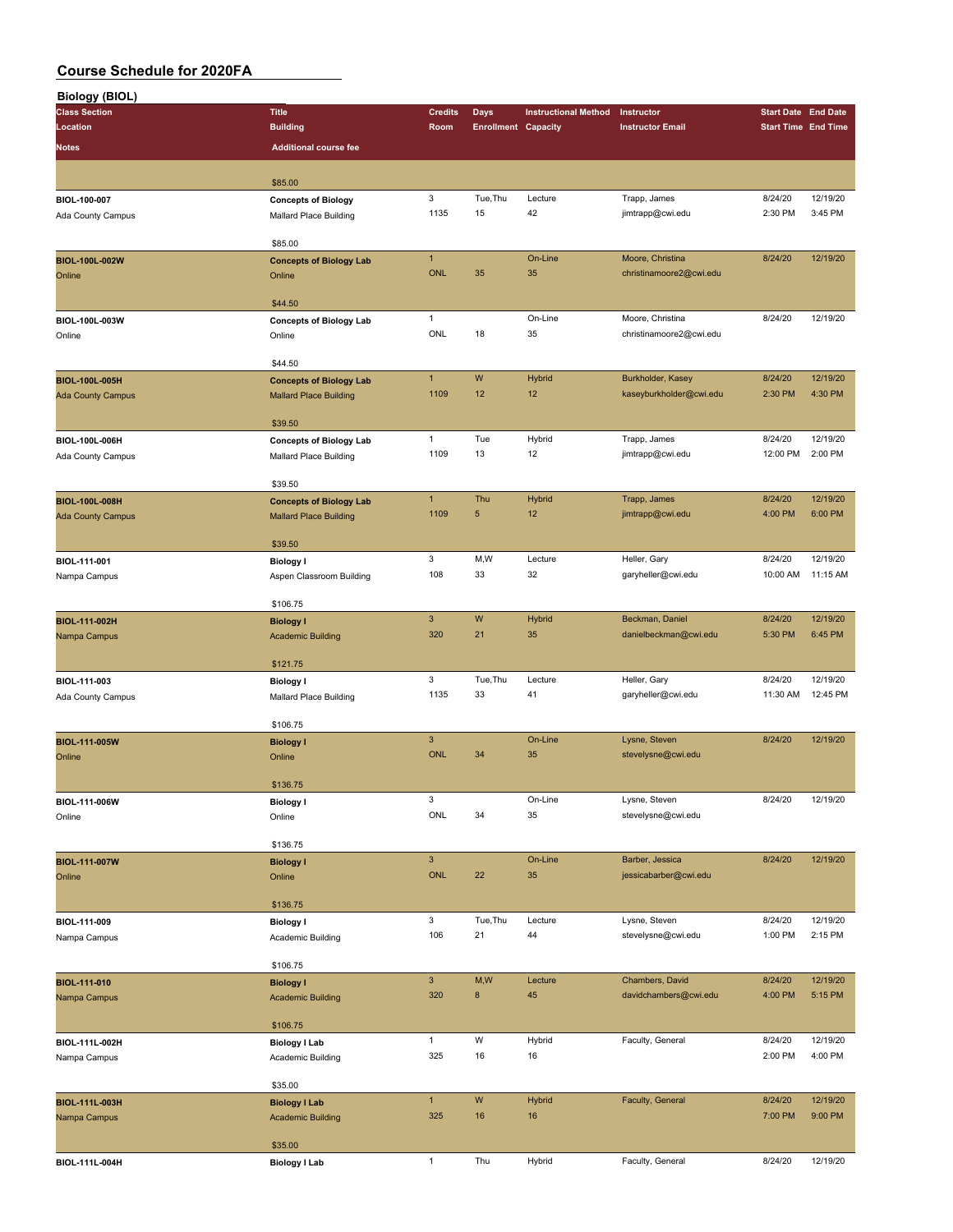| <b>Biology (BIOL)</b>    |                                |                |                            |                             |                         |                            |                            |
|--------------------------|--------------------------------|----------------|----------------------------|-----------------------------|-------------------------|----------------------------|----------------------------|
| <b>Class Section</b>     | <b>Title</b>                   | <b>Credits</b> | <b>Days</b>                | <b>Instructional Method</b> | Instructor              | <b>Start Date End Date</b> |                            |
| Location                 | <b>Building</b>                | Room           | <b>Enrollment Capacity</b> |                             | <b>Instructor Email</b> |                            | <b>Start Time End Time</b> |
|                          |                                |                |                            |                             |                         |                            |                            |
| <b>Notes</b>             | <b>Additional course fee</b>   |                |                            |                             |                         |                            |                            |
|                          |                                |                |                            |                             |                         |                            |                            |
|                          | \$85.00                        |                |                            |                             |                         |                            |                            |
| BIOL-100-007             | <b>Concepts of Biology</b>     | 3              | Tue, Thu                   | Lecture                     | Trapp, James            | 8/24/20                    | 12/19/20                   |
| Ada County Campus        | Mallard Place Building         | 1135           | 15                         | 42                          | jimtrapp@cwi.edu        | 2:30 PM                    | 3:45 PM                    |
|                          |                                |                |                            |                             |                         |                            |                            |
|                          | \$85.00                        |                |                            |                             |                         |                            |                            |
| <b>BIOL-100L-002W</b>    | <b>Concepts of Biology Lab</b> | $\mathbf{1}$   |                            | On-Line                     | Moore, Christina        | 8/24/20                    | 12/19/20                   |
| Online                   | Online                         | <b>ONL</b>     | 35                         | 35                          | christinamoore2@cwi.edu |                            |                            |
|                          |                                |                |                            |                             |                         |                            |                            |
|                          | \$44.50                        |                |                            |                             |                         |                            |                            |
| BIOL-100L-003W           | <b>Concepts of Biology Lab</b> | $\mathbf{1}$   |                            | On-Line                     | Moore, Christina        | 8/24/20                    | 12/19/20                   |
| Online                   | Online                         | ONL            | 18                         | 35                          | christinamoore2@cwi.edu |                            |                            |
|                          |                                |                |                            |                             |                         |                            |                            |
|                          | \$44.50                        |                |                            |                             |                         |                            |                            |
| BIOL-100L-005H           | <b>Concepts of Biology Lab</b> | $\mathbf{1}$   | W                          | Hybrid                      | Burkholder, Kasey       | 8/24/20                    | 12/19/20                   |
| <b>Ada County Campus</b> | <b>Mallard Place Building</b>  | 1109           | 12                         | 12                          | kaseyburkholder@cwi.edu | 2:30 PM                    | 4:30 PM                    |
|                          |                                |                |                            |                             |                         |                            |                            |
|                          | \$39.50                        |                |                            |                             |                         |                            |                            |
| BIOL-100L-006H           | <b>Concepts of Biology Lab</b> | $\mathbf{1}$   | Tue                        | Hybrid                      | Trapp, James            | 8/24/20                    | 12/19/20                   |
| Ada County Campus        | Mallard Place Building         | 1109           | 13                         | 12                          | jimtrapp@cwi.edu        | 12:00 PM                   | 2:00 PM                    |
|                          |                                |                |                            |                             |                         |                            |                            |
|                          | \$39.50                        |                |                            |                             |                         |                            |                            |
| BIOL-100L-008H           | <b>Concepts of Biology Lab</b> | $\mathbf{1}$   | Thu                        | Hybrid                      | Trapp, James            | 8/24/20                    | 12/19/20                   |
|                          | <b>Mallard Place Building</b>  | 1109           | $\sqrt{5}$                 | 12                          | jimtrapp@cwi.edu        | 4:00 PM                    | 6:00 PM                    |
| <b>Ada County Campus</b> |                                |                |                            |                             |                         |                            |                            |
|                          | \$39.50                        |                |                            |                             |                         |                            |                            |
| BIOL-111-001             |                                | 3              | M, W                       | Lecture                     | Heller, Gary            | 8/24/20                    | 12/19/20                   |
|                          | <b>Biology I</b>               | 108            | 33                         | 32                          | garyheller@cwi.edu      | 10:00 AM                   | 11:15 AM                   |
| Nampa Campus             | Aspen Classroom Building       |                |                            |                             |                         |                            |                            |
|                          | \$106.75                       |                |                            |                             |                         |                            |                            |
| BIOL-111-002H            |                                | $\mathbf{3}$   | W                          | <b>Hybrid</b>               | Beckman, Daniel         | 8/24/20                    | 12/19/20                   |
|                          | <b>Biology I</b>               | 320            | 21                         | 35                          | danielbeckman@cwi.edu   | 5:30 PM                    | 6:45 PM                    |
| Nampa Campus             | <b>Academic Building</b>       |                |                            |                             |                         |                            |                            |
|                          | \$121.75                       |                |                            |                             |                         |                            |                            |
|                          |                                | 3              | Tue, Thu                   | Lecture                     | Heller, Gary            | 8/24/20                    | 12/19/20                   |
| BIOL-111-003             | <b>Biology I</b>               | 1135           | 33                         | 41                          |                         | 11:30 AM                   | 12:45 PM                   |
| Ada County Campus        | Mallard Place Building         |                |                            |                             | garyheller@cwi.edu      |                            |                            |
|                          | \$106.75                       |                |                            |                             |                         |                            |                            |
|                          |                                | $\mathbf{3}$   |                            | On-Line                     |                         | 8/24/20                    | 12/19/20                   |
| <b>BIOL-111-005W</b>     | <b>Biology I</b>               | <b>ONL</b>     | 34                         | 35                          | Lysne, Steven           |                            |                            |
| Online                   | Online                         |                |                            |                             | stevelysne@cwi.edu      |                            |                            |
|                          |                                |                |                            |                             |                         |                            |                            |
|                          | \$136.75                       |                |                            |                             |                         |                            |                            |
| BIOL-111-006W            | <b>Biology I</b>               | 3              |                            | On-Line                     | Lysne, Steven           | 8/24/20                    | 12/19/20                   |
| Online                   | Online                         | ONL            | 34                         | 35                          | stevelysne@cwi.edu      |                            |                            |
|                          |                                |                |                            |                             |                         |                            |                            |
|                          | \$136.75                       |                |                            |                             |                         |                            |                            |
| <b>BIOL-111-007W</b>     | <b>Biology I</b>               | $\mathbf{3}$   |                            | On-Line                     | Barber, Jessica         | 8/24/20                    | 12/19/20                   |
| Online                   | Online                         | <b>ONL</b>     | 22                         | 35                          | jessicabarber@cwi.edu   |                            |                            |
|                          |                                |                |                            |                             |                         |                            |                            |
|                          | \$136.75                       |                |                            |                             |                         |                            |                            |
| BIOL-111-009             | <b>Biology I</b>               | 3              | Tue, Thu                   | Lecture                     | Lysne, Steven           | 8/24/20                    | 12/19/20                   |
| Nampa Campus             | Academic Building              | 106            | 21                         | 44                          | stevelysne@cwi.edu      | 1:00 PM                    | 2:15 PM                    |
|                          |                                |                |                            |                             |                         |                            |                            |
|                          | \$106.75                       |                |                            |                             |                         |                            |                            |
| BIOL-111-010             | <b>Biology I</b>               | $\mathbf{3}$   | M,W                        | Lecture                     | Chambers, David         | 8/24/20                    | 12/19/20                   |
| Nampa Campus             | <b>Academic Building</b>       | 320            | $\bf 8$                    | 45                          | davidchambers@cwi.edu   | 4:00 PM                    | 5:15 PM                    |
|                          |                                |                |                            |                             |                         |                            |                            |
|                          | \$106.75                       |                |                            |                             |                         |                            |                            |
| BIOL-111L-002H           | <b>Biology I Lab</b>           | $\mathbf{1}$   | W                          | Hybrid                      | Faculty, General        | 8/24/20                    | 12/19/20                   |
| Nampa Campus             | Academic Building              | 325            | 16                         | 16                          |                         | 2:00 PM                    | 4:00 PM                    |
|                          |                                |                |                            |                             |                         |                            |                            |
|                          | \$35.00                        |                |                            |                             |                         |                            |                            |
| BIOL-111L-003H           | <b>Biology I Lab</b>           | $\mathbf{1}$   | ${\sf W}$                  | <b>Hybrid</b>               | Faculty, General        | 8/24/20                    | 12/19/20                   |
| Nampa Campus             | <b>Academic Building</b>       | 325            | 16                         | 16                          |                         | 7:00 PM                    | 9:00 PM                    |
|                          |                                |                |                            |                             |                         |                            |                            |
|                          | \$35.00                        |                |                            |                             |                         |                            |                            |
| BIOL-111L-004H           | <b>Biology I Lab</b>           | $\mathbf{1}$   | Thu                        | Hybrid                      | Faculty, General        | 8/24/20                    | 12/19/20                   |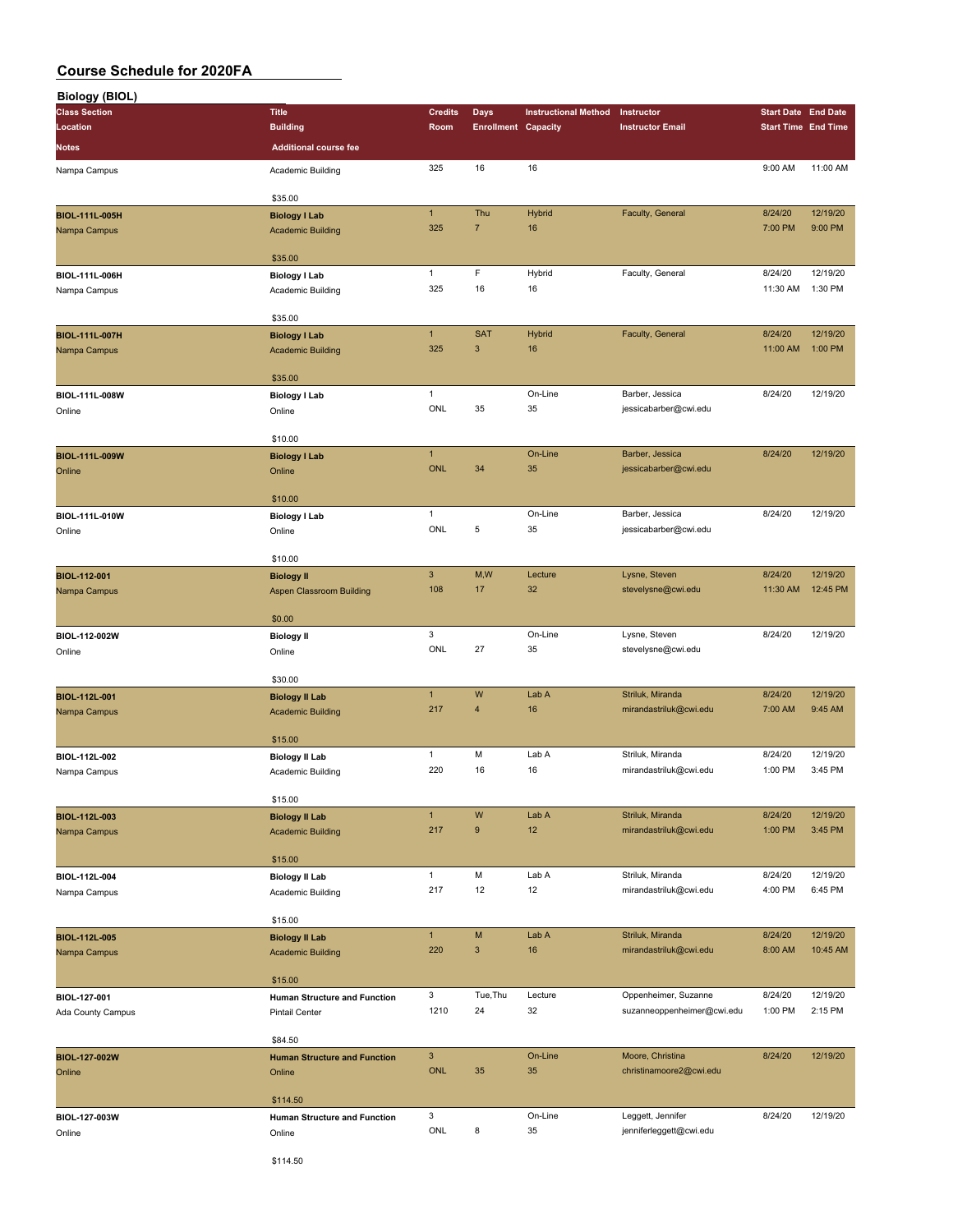| <b>Biology (BIOL)</b> |                                     |                           |                            |                             |                                            |                            |                     |
|-----------------------|-------------------------------------|---------------------------|----------------------------|-----------------------------|--------------------------------------------|----------------------------|---------------------|
| <b>Class Section</b>  | <b>Title</b>                        | <b>Credits</b>            | Days                       | <b>Instructional Method</b> | Instructor                                 | <b>Start Date End Date</b> |                     |
| Location              | <b>Building</b>                     | Room                      | <b>Enrollment Capacity</b> |                             | <b>Instructor Email</b>                    | <b>Start Time End Time</b> |                     |
| Notes                 | <b>Additional course fee</b>        |                           |                            |                             |                                            |                            |                     |
|                       |                                     |                           |                            |                             |                                            |                            |                     |
| Nampa Campus          | Academic Building                   | 325                       | 16                         | 16                          |                                            | 9:00 AM                    | 11:00 AM            |
|                       |                                     |                           |                            |                             |                                            |                            |                     |
|                       | \$35.00                             |                           |                            |                             |                                            |                            |                     |
| BIOL-111L-005H        | <b>Biology I Lab</b>                | $\mathbf{1}$              | Thu                        | Hybrid                      | Faculty, General                           | 8/24/20                    | 12/19/20            |
| Nampa Campus          | <b>Academic Building</b>            | 325                       | $\overline{7}$             | 16                          |                                            | 7:00 PM                    | 9:00 PM             |
|                       |                                     |                           |                            |                             |                                            |                            |                     |
|                       | \$35.00                             |                           |                            |                             |                                            |                            |                     |
| BIOL-111L-006H        | <b>Biology I Lab</b>                | $\mathbf{1}$              | F                          | Hybrid                      | Faculty, General                           | 8/24/20                    | 12/19/20            |
| Nampa Campus          | Academic Building                   | 325                       | 16                         | 16                          |                                            | 11:30 AM                   | 1:30 PM             |
|                       |                                     |                           |                            |                             |                                            |                            |                     |
|                       | \$35.00                             |                           |                            |                             |                                            |                            |                     |
| <b>BIOL-111L-007H</b> | <b>Biology I Lab</b>                | $\mathbf{1}$              | <b>SAT</b>                 | Hybrid                      | Faculty, General                           | 8/24/20                    | 12/19/20            |
| Nampa Campus          | <b>Academic Building</b>            | 325                       | 3                          | 16                          |                                            | 11:00 AM                   | 1:00 PM             |
|                       |                                     |                           |                            |                             |                                            |                            |                     |
|                       | \$35.00                             |                           |                            |                             |                                            |                            |                     |
| BIOL-111L-008W        | <b>Biology I Lab</b>                | $\mathbf{1}$              |                            | On-Line                     | Barber, Jessica                            | 8/24/20                    | 12/19/20            |
| Online                | Online                              | ONL                       | 35                         | 35                          | jessicabarber@cwi.edu                      |                            |                     |
|                       |                                     |                           |                            |                             |                                            |                            |                     |
|                       | \$10.00                             |                           |                            |                             |                                            |                            |                     |
| BIOL-111L-009W        | <b>Biology I Lab</b>                | $\mathbf{1}$              |                            | On-Line                     | Barber, Jessica                            | 8/24/20                    | 12/19/20            |
| Online                | Online                              | <b>ONL</b>                | 34                         | 35                          | jessicabarber@cwi.edu                      |                            |                     |
|                       |                                     |                           |                            |                             |                                            |                            |                     |
|                       | \$10.00                             |                           |                            |                             |                                            |                            |                     |
| BIOL-111L-010W        | <b>Biology I Lab</b>                | $\mathbf{1}$              |                            | On-Line                     | Barber, Jessica                            | 8/24/20                    | 12/19/20            |
| Online                | Online                              | ONL                       | 5                          | 35                          | jessicabarber@cwi.edu                      |                            |                     |
|                       |                                     |                           |                            |                             |                                            |                            |                     |
|                       | \$10.00                             |                           |                            |                             |                                            |                            |                     |
| BIOL-112-001          | <b>Biology II</b>                   | $\mathbf{3}$              | M,W                        | Lecture                     | Lysne, Steven                              | 8/24/20                    | 12/19/20            |
| Nampa Campus          | <b>Aspen Classroom Building</b>     | 108                       | 17                         | 32                          | stevelysne@cwi.edu                         | 11:30 AM                   | 12:45 PM            |
|                       |                                     |                           |                            |                             |                                            |                            |                     |
|                       | \$0.00                              |                           |                            |                             |                                            |                            |                     |
| BIOL-112-002W         | <b>Biology II</b>                   | $\mathbf 3$               |                            | On-Line                     | Lysne, Steven                              | 8/24/20                    | 12/19/20            |
| Online                | Online                              | ONL                       | 27                         | 35                          | stevelysne@cwi.edu                         |                            |                     |
|                       |                                     |                           |                            |                             |                                            |                            |                     |
|                       | \$30.00                             |                           |                            |                             |                                            |                            |                     |
| BIOL-112L-001         | <b>Biology II Lab</b>               | $\mathbf{1}$              | W                          | Lab A                       | Striluk, Miranda                           | 8/24/20                    | 12/19/20            |
| Nampa Campus          | <b>Academic Building</b>            | 217                       | 4                          | 16                          | mirandastriluk@cwi.edu                     | 7:00 AM                    | 9:45 AM             |
|                       |                                     |                           |                            |                             |                                            |                            |                     |
|                       | \$15.00                             |                           |                            |                             |                                            |                            |                     |
| BIOL-112L-002         | <b>Biology II Lab</b>               | $\mathbf{1}$              | М                          | Lab A                       | Striluk, Miranda                           | 8/24/20                    | 12/19/20<br>3:45 PM |
| Nampa Campus          | Academic Building                   | 220                       | 16                         | 16                          | mirandastriluk@cwi.edu                     | 1:00 PM                    |                     |
|                       |                                     |                           |                            |                             |                                            |                            |                     |
|                       | \$15.00                             |                           |                            |                             |                                            |                            |                     |
| BIOL-112L-003         | <b>Biology II Lab</b>               | $\mathbf{1}$              | W                          | Lab A                       | Striluk, Miranda<br>mirandastriluk@cwi.edu | 8/24/20                    | 12/19/20            |
| Nampa Campus          | <b>Academic Building</b>            | 217                       | 9                          | 12                          |                                            | 1:00 PM                    | 3:45 PM             |
|                       |                                     |                           |                            |                             |                                            |                            |                     |
|                       | \$15.00                             |                           |                            |                             |                                            |                            |                     |
| BIOL-112L-004         | <b>Biology II Lab</b>               | $\mathbf{1}$              | М                          | Lab A                       | Striluk, Miranda                           | 8/24/20                    | 12/19/20            |
| Nampa Campus          | Academic Building                   | 217                       | 12                         | 12                          | mirandastriluk@cwi.edu                     | 4:00 PM                    | 6:45 PM             |
|                       |                                     |                           |                            |                             |                                            |                            |                     |
|                       | \$15.00                             |                           |                            |                             |                                            |                            |                     |
| BIOL-112L-005         | <b>Biology II Lab</b>               | $\mathbf{1}$              | M                          | Lab A                       | Striluk, Miranda                           | 8/24/20                    | 12/19/20            |
| Nampa Campus          | <b>Academic Building</b>            | 220                       | $\ensuremath{\mathsf{3}}$  | 16                          | mirandastriluk@cwi.edu                     | 8:00 AM                    | 10:45 AM            |
|                       |                                     |                           |                            |                             |                                            |                            |                     |
|                       | \$15.00                             |                           |                            |                             |                                            |                            |                     |
| BIOL-127-001          | Human Structure and Function        | 3                         | Tue, Thu                   | Lecture                     | Oppenheimer, Suzanne                       | 8/24/20                    | 12/19/20            |
| Ada County Campus     | Pintail Center                      | 1210                      | 24                         | 32                          | suzanneoppenheimer@cwi.edu                 | 1:00 PM                    | 2:15 PM             |
|                       |                                     |                           |                            |                             |                                            |                            |                     |
|                       | \$84.50                             |                           |                            |                             |                                            |                            |                     |
| BIOL-127-002W         | <b>Human Structure and Function</b> | $\ensuremath{\mathsf{3}}$ |                            | On-Line                     | Moore, Christina                           | 8/24/20                    | 12/19/20            |
| Online                | Online                              | ONL                       | 35                         | 35                          | christinamoore2@cwi.edu                    |                            |                     |
|                       |                                     |                           |                            |                             |                                            |                            |                     |
|                       | \$114.50                            |                           |                            |                             |                                            |                            |                     |
| BIOL-127-003W         | Human Structure and Function        | 3                         |                            | On-Line                     | Leggett, Jennifer                          | 8/24/20                    | 12/19/20            |
| Online                | Online                              | ONL                       | 8                          | 35                          | jenniferleggett@cwi.edu                    |                            |                     |
|                       |                                     |                           |                            |                             |                                            |                            |                     |
|                       | \$114.50                            |                           |                            |                             |                                            |                            |                     |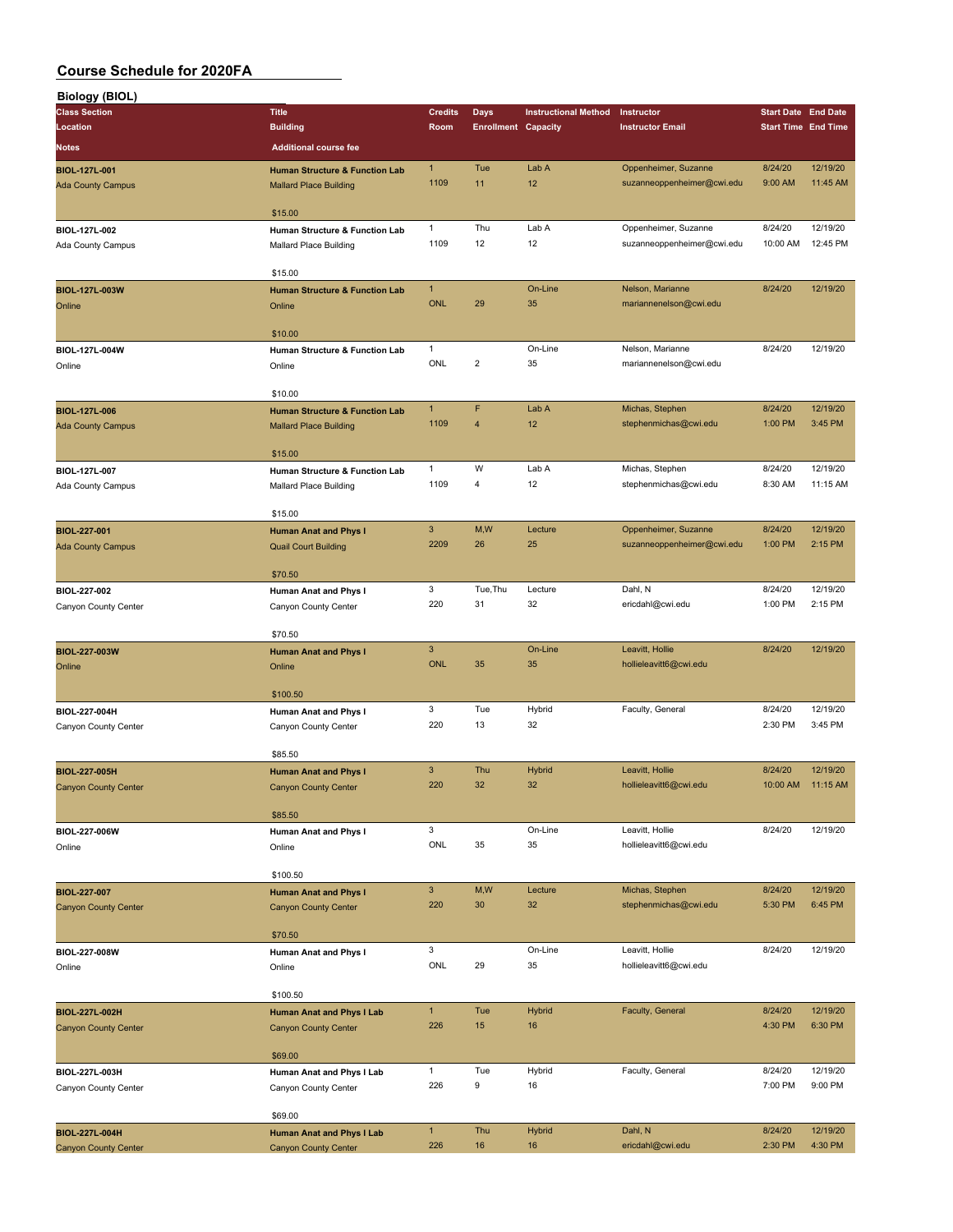| <b>Biology (BIOL)</b>                       |                                                             |                |                            |                             |                                          |                            |                     |
|---------------------------------------------|-------------------------------------------------------------|----------------|----------------------------|-----------------------------|------------------------------------------|----------------------------|---------------------|
| <b>Class Section</b>                        | <b>Title</b>                                                | <b>Credits</b> | <b>Days</b>                | <b>Instructional Method</b> | Instructor                               | <b>Start Date End Date</b> |                     |
| Location                                    | <b>Building</b>                                             | Room           | <b>Enrollment Capacity</b> |                             | <b>Instructor Email</b>                  | <b>Start Time End Time</b> |                     |
| <b>Notes</b>                                | <b>Additional course fee</b>                                |                |                            |                             |                                          |                            |                     |
| BIOL-127L-001                               | <b>Human Structure &amp; Function Lab</b>                   | $\mathbf{1}$   | Tue                        | Lab A                       | Oppenheimer, Suzanne                     | 8/24/20                    | 12/19/20            |
| <b>Ada County Campus</b>                    | <b>Mallard Place Building</b>                               | 1109           | 11                         | 12                          | suzanneoppenheimer@cwi.edu               | 9:00 AM                    | 11:45 AM            |
|                                             |                                                             |                |                            |                             |                                          |                            |                     |
|                                             | \$15.00                                                     |                |                            |                             |                                          |                            |                     |
| BIOL-127L-002                               | Human Structure & Function Lab                              | $\mathbf{1}$   | Thu                        | Lab A                       | Oppenheimer, Suzanne                     | 8/24/20                    | 12/19/20            |
| Ada County Campus                           | Mallard Place Building                                      | 1109           | 12                         | 12                          | suzanneoppenheimer@cwi.edu               | 10:00 AM                   | 12:45 PM            |
|                                             | \$15.00                                                     |                |                            |                             |                                          |                            |                     |
| BIOL-127L-003W                              | <b>Human Structure &amp; Function Lab</b>                   | $\mathbf{1}$   |                            | On-Line                     | Nelson, Marianne                         | 8/24/20                    | 12/19/20            |
| Online                                      | Online                                                      | <b>ONL</b>     | 29                         | 35                          | mariannenelson@cwi.edu                   |                            |                     |
|                                             |                                                             |                |                            |                             |                                          |                            |                     |
|                                             | \$10.00                                                     |                |                            |                             |                                          |                            |                     |
| BIOL-127L-004W                              | Human Structure & Function Lab                              | 1              |                            | On-Line                     | Nelson, Marianne                         | 8/24/20                    | 12/19/20            |
| Online                                      | Online                                                      | ONL            | $\overline{2}$             | 35                          | mariannenelson@cwi.edu                   |                            |                     |
|                                             |                                                             |                |                            |                             |                                          |                            |                     |
|                                             | \$10.00                                                     | $\mathbf{1}$   | F                          |                             |                                          |                            | 12/19/20            |
| BIOL-127L-006                               | <b>Human Structure &amp; Function Lab</b>                   | 1109           | $\overline{\mathbf{4}}$    | Lab A<br>12                 | Michas, Stephen<br>stephenmichas@cwi.edu | 8/24/20<br>1:00 PM         | 3:45 PM             |
| <b>Ada County Campus</b>                    | <b>Mallard Place Building</b>                               |                |                            |                             |                                          |                            |                     |
|                                             | \$15.00                                                     |                |                            |                             |                                          |                            |                     |
| BIOL-127L-007                               | Human Structure & Function Lab                              | 1              | W                          | Lab A                       | Michas, Stephen                          | 8/24/20                    | 12/19/20            |
| Ada County Campus                           | Mallard Place Building                                      | 1109           | 4                          | 12                          | stephenmichas@cwi.edu                    | 8:30 AM                    | 11:15 AM            |
|                                             |                                                             |                |                            |                             |                                          |                            |                     |
|                                             | \$15.00                                                     |                |                            |                             |                                          |                            |                     |
| BIOL-227-001                                | <b>Human Anat and Phys I</b>                                | $\mathbf{3}$   | M,W                        | Lecture                     | Oppenheimer, Suzanne                     | 8/24/20                    | 12/19/20            |
| <b>Ada County Campus</b>                    | <b>Quail Court Building</b>                                 | 2209           | 26                         | 25                          | suzanneoppenheimer@cwi.edu               | 1:00 PM                    | 2:15 PM             |
|                                             | \$70.50                                                     |                |                            |                             |                                          |                            |                     |
| BIOL-227-002                                |                                                             | 3              | Tue, Thu                   | Lecture                     | Dahl, N                                  | 8/24/20                    | 12/19/20            |
| Canyon County Center                        | Human Anat and Phys I<br>Canyon County Center               | 220            | 31                         | 32                          | ericdahl@cwi.edu                         | 1:00 PM                    | 2:15 PM             |
|                                             |                                                             |                |                            |                             |                                          |                            |                     |
|                                             | \$70.50                                                     |                |                            |                             |                                          |                            |                     |
| BIOL-227-003W                               | <b>Human Anat and Phys I</b>                                | 3              |                            | On-Line                     | Leavitt, Hollie                          | 8/24/20                    | 12/19/20            |
| Online                                      | Online                                                      | <b>ONL</b>     | 35                         | 35                          | hollieleavitt6@cwi.edu                   |                            |                     |
|                                             |                                                             |                |                            |                             |                                          |                            |                     |
|                                             | \$100.50                                                    |                |                            |                             |                                          |                            |                     |
| BIOL-227-004H                               | Human Anat and Phys I                                       | 3<br>220       | Tue<br>13                  | Hybrid<br>32                | Faculty, General                         | 8/24/20<br>2:30 PM         | 12/19/20<br>3:45 PM |
| Canyon County Center                        | Canyon County Center                                        |                |                            |                             |                                          |                            |                     |
|                                             | \$85.50                                                     |                |                            |                             |                                          |                            |                     |
| BIOL-227-005H                               | <b>Human Anat and Phys I</b>                                | 3              | Thu                        | Hybrid                      | Leavitt, Hollie                          | 8/24/20                    | 12/19/20            |
| Canyon County Center                        | <b>Canyon County Center</b>                                 | 220            | 32                         | 32                          | hollieleavitt6@cwi.edu                   | 10:00 AM                   | 11:15 AM            |
|                                             |                                                             |                |                            |                             |                                          |                            |                     |
|                                             | \$85.50                                                     |                |                            |                             |                                          |                            |                     |
| BIOL-227-006W                               | Human Anat and Phys I                                       | 3              |                            | On-Line                     | Leavitt, Hollie                          | 8/24/20                    | 12/19/20            |
| Online                                      | Online                                                      | <b>ONL</b>     | 35                         | 35                          | hollieleavitt6@cwi.edu                   |                            |                     |
|                                             |                                                             |                |                            |                             |                                          |                            |                     |
|                                             | \$100.50                                                    | $\mathbf{3}$   | M,W                        | Lecture                     | Michas, Stephen                          | 8/24/20                    | 12/19/20            |
| BIOL-227-007<br><b>Canyon County Center</b> | <b>Human Anat and Phys I</b><br><b>Canyon County Center</b> | 220            | 30                         | 32                          | stephenmichas@cwi.edu                    | 5:30 PM                    | 6:45 PM             |
|                                             |                                                             |                |                            |                             |                                          |                            |                     |
|                                             | \$70.50                                                     |                |                            |                             |                                          |                            |                     |
| BIOL-227-008W                               | Human Anat and Phys I                                       | 3              |                            | On-Line                     | Leavitt, Hollie                          | 8/24/20                    | 12/19/20            |
| Online                                      | Online                                                      | ONL            | 29                         | 35                          | hollieleavitt6@cwi.edu                   |                            |                     |
|                                             |                                                             |                |                            |                             |                                          |                            |                     |
|                                             | \$100.50                                                    |                |                            |                             |                                          |                            |                     |
| BIOL-227L-002H                              | <b>Human Anat and Phys I Lab</b>                            | 1              | Tue                        | <b>Hybrid</b>               | Faculty, General                         | 8/24/20                    | 12/19/20            |
| <b>Canyon County Center</b>                 | <b>Canyon County Center</b>                                 | 226            | 15                         | 16                          |                                          | 4:30 PM                    | 6:30 PM             |
|                                             | \$69.00                                                     |                |                            |                             |                                          |                            |                     |
| BIOL-227L-003H                              | Human Anat and Phys I Lab                                   | $\mathbf{1}$   | Tue                        | Hybrid                      | Faculty, General                         | 8/24/20                    | 12/19/20            |
| Canyon County Center                        | Canyon County Center                                        | 226            | 9                          | 16                          |                                          | 7:00 PM                    | 9:00 PM             |
|                                             |                                                             |                |                            |                             |                                          |                            |                     |
|                                             | \$69.00                                                     |                |                            |                             |                                          |                            |                     |
| BIOL-227L-004H                              | <b>Human Anat and Phys I Lab</b>                            | $\mathbf{1}$   | Thu                        | <b>Hybrid</b>               | Dahl, N                                  | 8/24/20                    | 12/19/20            |
| <b>Canyon County Center</b>                 | <b>Canyon County Center</b>                                 | 226            | 16                         | 16                          | ericdahl@cwi.edu                         | 2:30 PM                    | 4:30 PM             |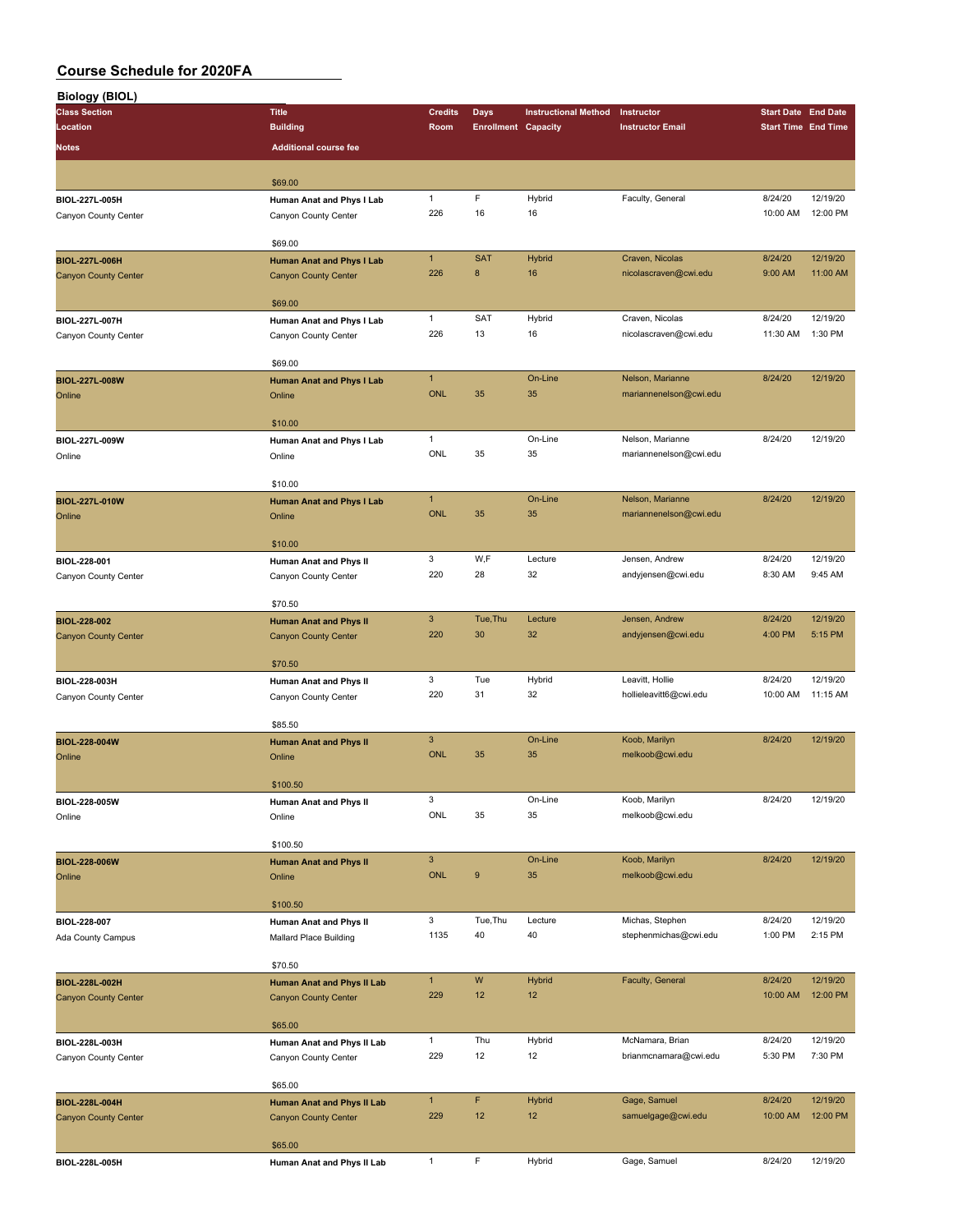| <b>Biology (BIOL)</b>          |                                   |                |                            |                             |                         |                            |          |
|--------------------------------|-----------------------------------|----------------|----------------------------|-----------------------------|-------------------------|----------------------------|----------|
| <b>Class Section</b>           | <b>Title</b>                      | <b>Credits</b> | Days                       | <b>Instructional Method</b> | Instructor              | <b>Start Date End Date</b> |          |
| Location                       | <b>Building</b>                   | Room           | <b>Enrollment Capacity</b> |                             | <b>Instructor Email</b> | <b>Start Time End Time</b> |          |
| Notes                          | <b>Additional course fee</b>      |                |                            |                             |                         |                            |          |
|                                |                                   |                |                            |                             |                         |                            |          |
|                                | \$69.00                           |                |                            |                             |                         |                            |          |
|                                |                                   | $\mathbf{1}$   | F                          | Hybrid                      | Faculty, General        | 8/24/20                    | 12/19/20 |
| BIOL-227L-005H                 | Human Anat and Phys I Lab         | 226            | 16                         | 16                          |                         | 10:00 AM                   | 12:00 PM |
| Canyon County Center           | Canyon County Center              |                |                            |                             |                         |                            |          |
|                                | \$69.00                           |                |                            |                             |                         |                            |          |
| BIOL-227L-006H                 |                                   | $\mathbf{1}$   | <b>SAT</b>                 | <b>Hybrid</b>               | Craven, Nicolas         | 8/24/20                    | 12/19/20 |
|                                | <b>Human Anat and Phys I Lab</b>  | 226            | 8                          | 16                          | nicolascraven@cwi.edu   | 9:00 AM                    | 11:00 AM |
| <b>Canyon County Center</b>    | <b>Canyon County Center</b>       |                |                            |                             |                         |                            |          |
|                                | \$69.00                           |                |                            |                             |                         |                            |          |
| BIOL-227L-007H                 | Human Anat and Phys I Lab         | $\mathbf{1}$   | SAT                        | Hybrid                      | Craven, Nicolas         | 8/24/20                    | 12/19/20 |
| Canyon County Center           | Canyon County Center              | 226            | 13                         | 16                          | nicolascraven@cwi.edu   | 11:30 AM                   | 1:30 PM  |
|                                |                                   |                |                            |                             |                         |                            |          |
|                                | \$69.00                           |                |                            |                             |                         |                            |          |
| BIOL-227L-008W                 | <b>Human Anat and Phys I Lab</b>  | $\mathbf{1}$   |                            | On-Line                     | Nelson, Marianne        | 8/24/20                    | 12/19/20 |
| Online                         | Online                            | <b>ONL</b>     | 35                         | 35                          | mariannenelson@cwi.edu  |                            |          |
|                                |                                   |                |                            |                             |                         |                            |          |
|                                | \$10.00                           |                |                            |                             |                         |                            |          |
| BIOL-227L-009W                 | Human Anat and Phys I Lab         | $\mathbf{1}$   |                            | On-Line                     | Nelson, Marianne        | 8/24/20                    | 12/19/20 |
| Online                         | Online                            | ONL            | 35                         | 35                          | mariannenelson@cwi.edu  |                            |          |
|                                |                                   |                |                            |                             |                         |                            |          |
|                                | \$10.00                           |                |                            |                             |                         |                            |          |
| <b>BIOL-227L-010W</b>          | Human Anat and Phys I Lab         | $\mathbf{1}$   |                            | On-Line                     | Nelson, Marianne        | 8/24/20                    | 12/19/20 |
| Online                         | Online                            | <b>ONL</b>     | 35                         | 35                          | mariannenelson@cwi.edu  |                            |          |
|                                |                                   |                |                            |                             |                         |                            |          |
|                                | \$10.00                           |                |                            |                             |                         |                            |          |
| BIOL-228-001                   | Human Anat and Phys II            | 3              | W,F                        | Lecture                     | Jensen, Andrew          | 8/24/20                    | 12/19/20 |
| Canyon County Center           | Canyon County Center              | 220            | 28                         | 32                          | andyjensen@cwi.edu      | 8:30 AM                    | 9:45 AM  |
|                                |                                   |                |                            |                             |                         |                            |          |
|                                | \$70.50                           |                |                            |                             |                         |                            |          |
| <b>BIOL-228-002</b>            | <b>Human Anat and Phys II</b>     | $\mathbf{3}$   | Tue, Thu                   | Lecture                     | Jensen, Andrew          | 8/24/20                    | 12/19/20 |
| <b>Canyon County Center</b>    | <b>Canyon County Center</b>       | 220            | 30                         | 32                          | andyjensen@cwi.edu      | 4:00 PM                    | 5:15 PM  |
|                                |                                   |                |                            |                             |                         |                            |          |
|                                | \$70.50                           |                |                            |                             |                         |                            |          |
| BIOL-228-003H                  | Human Anat and Phys II            | 3              | Tue                        | Hybrid                      | Leavitt, Hollie         | 8/24/20                    | 12/19/20 |
| Canyon County Center           | Canyon County Center              | 220            | 31                         | 32                          | hollieleavitt6@cwi.edu  | 10:00 AM                   | 11:15 AM |
|                                | \$85.50                           |                |                            |                             |                         |                            |          |
|                                |                                   | $\mathbf{3}$   |                            | On-Line                     | Koob, Marilyn           | 8/24/20                    | 12/19/20 |
| <b>BIOL-228-004W</b><br>Online | <b>Human Anat and Phys II</b>     | <b>ONL</b>     | 35                         | 35                          | melkoob@cwi.edu         |                            |          |
|                                | Online                            |                |                            |                             |                         |                            |          |
|                                | \$100.50                          |                |                            |                             |                         |                            |          |
| BIOL-228-005W                  | Human Anat and Phys II            | 3              |                            | On-Line                     | Koob, Marilyn           | 8/24/20                    | 12/19/20 |
| Online                         | Online                            | ONL            | 35                         | 35                          | melkoob@cwi.edu         |                            |          |
|                                |                                   |                |                            |                             |                         |                            |          |
|                                | \$100.50                          |                |                            |                             |                         |                            |          |
| BIOL-228-006W                  | <b>Human Anat and Phys II</b>     | $\mathbf{3}$   |                            | On-Line                     | Koob, Marilyn           | 8/24/20                    | 12/19/20 |
| Online                         | Online                            | ONL            | $\boldsymbol{9}$           | 35                          | melkoob@cwi.edu         |                            |          |
|                                |                                   |                |                            |                             |                         |                            |          |
|                                | \$100.50                          |                |                            |                             |                         |                            |          |
| BIOL-228-007                   | Human Anat and Phys II            | 3              | Tue, Thu                   | Lecture                     | Michas, Stephen         | 8/24/20                    | 12/19/20 |
| Ada County Campus              | Mallard Place Building            | 1135           | 40                         | 40                          | stephenmichas@cwi.edu   | 1:00 PM                    | 2:15 PM  |
|                                |                                   |                |                            |                             |                         |                            |          |
|                                | \$70.50                           |                |                            |                             |                         |                            |          |
| BIOL-228L-002H                 | <b>Human Anat and Phys II Lab</b> | $\mathbf{1}$   | W                          | <b>Hybrid</b>               | Faculty, General        | 8/24/20                    | 12/19/20 |
| <b>Canyon County Center</b>    | <b>Canyon County Center</b>       | 229            | 12                         | 12                          |                         | 10:00 AM                   | 12:00 PM |
|                                |                                   |                |                            |                             |                         |                            |          |
|                                | \$65.00                           |                |                            |                             |                         |                            |          |
| BIOL-228L-003H                 | Human Anat and Phys II Lab        | $\mathbf{1}$   | Thu                        | Hybrid                      | McNamara, Brian         | 8/24/20                    | 12/19/20 |
| Canyon County Center           | Canyon County Center              | 229            | 12                         | 12                          | brianmcnamara@cwi.edu   | 5:30 PM                    | 7:30 PM  |
|                                |                                   |                |                            |                             |                         |                            |          |
|                                | \$65.00                           |                |                            |                             |                         |                            |          |
| BIOL-228L-004H                 | <b>Human Anat and Phys II Lab</b> | $\mathbf{1}$   | F                          | <b>Hybrid</b>               | Gage, Samuel            | 8/24/20                    | 12/19/20 |
| <b>Canyon County Center</b>    | <b>Canyon County Center</b>       | 229            | 12                         | 12                          | samuelgage@cwi.edu      | 10:00 AM                   | 12:00 PM |
|                                |                                   |                |                            |                             |                         |                            |          |
|                                | \$65.00                           |                |                            |                             |                         |                            |          |
| BIOL-228L-005H                 | Human Anat and Phys II Lab        | $\mathbf{1}$   | F                          | Hybrid                      | Gage, Samuel            | 8/24/20                    | 12/19/20 |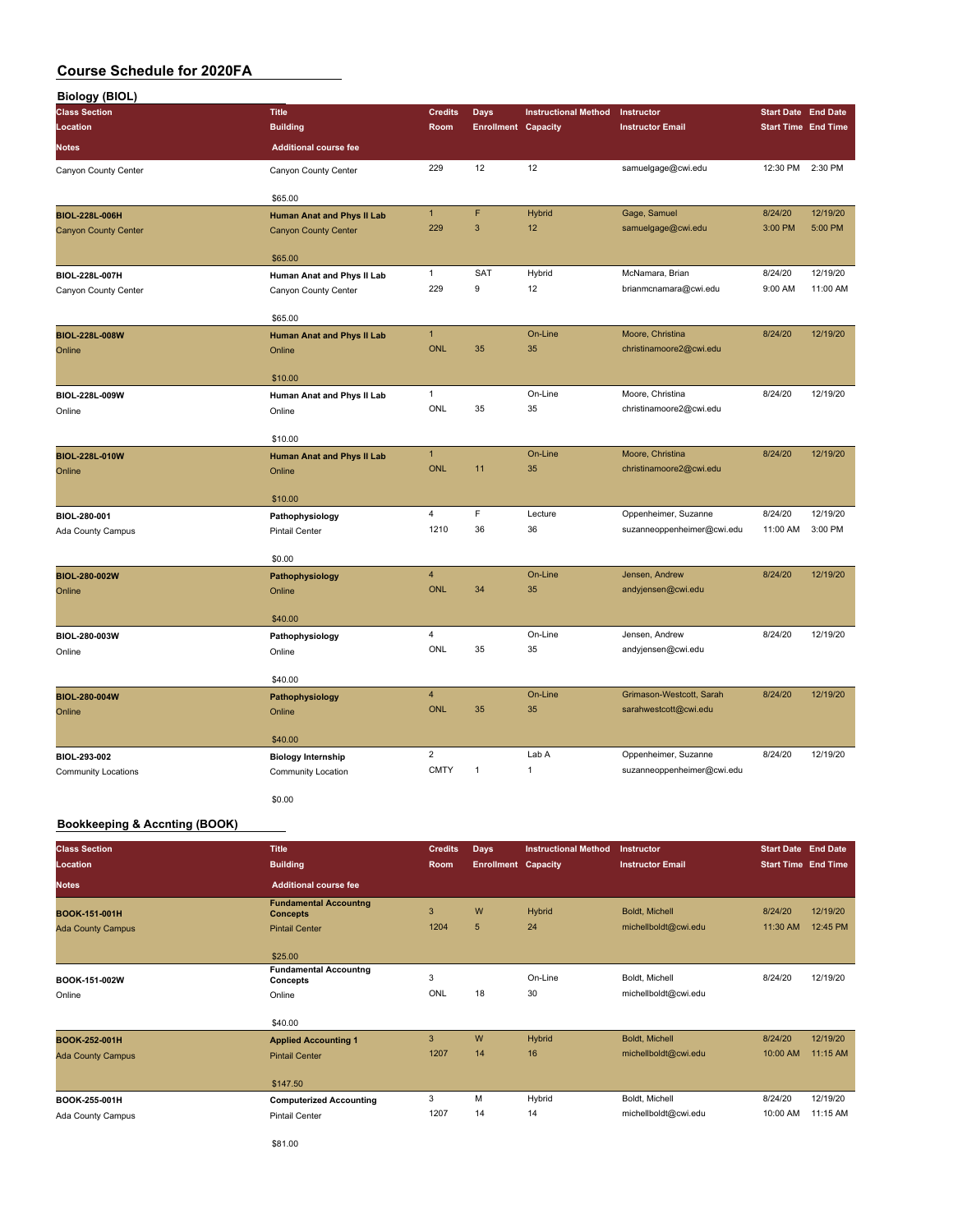| <b>Biology (BIOL)</b>       |                                   |                |                            |                             |                            |                            |                            |
|-----------------------------|-----------------------------------|----------------|----------------------------|-----------------------------|----------------------------|----------------------------|----------------------------|
| <b>Class Section</b>        | <b>Title</b>                      | <b>Credits</b> | <b>Days</b>                | <b>Instructional Method</b> | Instructor                 | <b>Start Date End Date</b> |                            |
| Location                    | <b>Building</b>                   | Room           | <b>Enrollment Capacity</b> |                             | <b>Instructor Email</b>    |                            | <b>Start Time End Time</b> |
| Notes                       | <b>Additional course fee</b>      |                |                            |                             |                            |                            |                            |
| Canyon County Center        | Canyon County Center              | 229            | 12                         | 12                          | samuelgage@cwi.edu         | 12:30 PM                   | 2:30 PM                    |
|                             | \$65.00                           |                |                            |                             |                            |                            |                            |
| BIOL-228L-006H              | <b>Human Anat and Phys II Lab</b> | $\mathbf{1}$   | F                          | <b>Hybrid</b>               | Gage, Samuel               | 8/24/20                    | 12/19/20                   |
| <b>Canyon County Center</b> | <b>Canyon County Center</b>       | 229            | $\mathbf{3}$               | 12                          | samuelgage@cwi.edu         | 3:00 PM                    | 5:00 PM                    |
|                             | \$65.00                           |                |                            |                             |                            |                            |                            |
| BIOL-228L-007H              | Human Anat and Phys II Lab        | $\mathbf{1}$   | SAT                        | Hybrid                      | McNamara, Brian            | 8/24/20                    | 12/19/20                   |
| Canyon County Center        | Canyon County Center              | 229            | 9                          | 12                          | brianmcnamara@cwi.edu      | 9:00 AM                    | 11:00 AM                   |
|                             | \$65.00                           |                |                            |                             |                            |                            |                            |
| BIOL-228L-008W              | Human Anat and Phys II Lab        | $\mathbf{1}$   |                            | On-Line                     | Moore, Christina           | 8/24/20                    | 12/19/20                   |
| Online                      | Online                            | <b>ONL</b>     | 35                         | 35                          | christinamoore2@cwi.edu    |                            |                            |
|                             | \$10.00                           |                |                            |                             |                            |                            |                            |
| BIOL-228L-009W              | Human Anat and Phys II Lab        | $\mathbf{1}$   |                            | On-Line                     | Moore, Christina           | 8/24/20                    | 12/19/20                   |
| Online                      | Online                            | ONL            | 35                         | 35                          | christinamoore2@cwi.edu    |                            |                            |
|                             | \$10.00                           |                |                            |                             |                            |                            |                            |
| BIOL-228L-010W              | Human Anat and Phys II Lab        | $\mathbf{1}$   |                            | On-Line                     | Moore, Christina           | 8/24/20                    | 12/19/20                   |
| Online                      | Online                            | <b>ONL</b>     | 11                         | 35                          | christinamoore2@cwi.edu    |                            |                            |
|                             | \$10.00                           |                |                            |                             |                            |                            |                            |
| BIOL-280-001                | Pathophysiology                   | $\overline{4}$ | F                          | Lecture                     | Oppenheimer, Suzanne       | 8/24/20                    | 12/19/20                   |
| Ada County Campus           | <b>Pintail Center</b>             | 1210           | 36                         | 36                          | suzanneoppenheimer@cwi.edu | 11:00 AM                   | 3:00 PM                    |
|                             | \$0.00                            |                |                            |                             |                            |                            |                            |
| BIOL-280-002W               | Pathophysiology                   | $\overline{4}$ |                            | On-Line                     | Jensen, Andrew             | 8/24/20                    | 12/19/20                   |
| Online                      | Online                            | <b>ONL</b>     | 34                         | 35                          | andyjensen@cwi.edu         |                            |                            |
|                             | \$40.00                           |                |                            |                             |                            |                            |                            |
| BIOL-280-003W               | Pathophysiology                   | $\overline{4}$ |                            | On-Line                     | Jensen, Andrew             | 8/24/20                    | 12/19/20                   |
| Online                      | Online                            | ONL            | 35                         | 35                          | andyjensen@cwi.edu         |                            |                            |
|                             | \$40.00                           |                |                            |                             |                            |                            |                            |
| <b>BIOL-280-004W</b>        | Pathophysiology                   | $\overline{4}$ |                            | On-Line                     | Grimason-Westcott, Sarah   | 8/24/20                    | 12/19/20                   |
| Online                      | Online                            | <b>ONL</b>     | 35                         | 35                          | sarahwestcott@cwi.edu      |                            |                            |
|                             | \$40.00                           |                |                            |                             |                            |                            |                            |
| BIOL-293-002                | <b>Biology Internship</b>         | $\overline{2}$ |                            | Lab A                       | Oppenheimer, Suzanne       | 8/24/20                    | 12/19/20                   |
| Community Locations         | Community Location                | <b>CMTY</b>    | $\mathbf{1}$               | $\mathbf{1}$                | suzanneoppenheimer@cwi.edu |                            |                            |
|                             | \$0.00                            |                |                            |                             |                            |                            |                            |

#### **Bookkeeping & Accnting (BOOK)**

| <b>Class Section</b>     | <b>Title</b>                                    | <b>Credits</b> | <b>Days</b>                | <b>Instructional Method</b> | Instructor              | <b>Start Date End Date</b> |          |
|--------------------------|-------------------------------------------------|----------------|----------------------------|-----------------------------|-------------------------|----------------------------|----------|
| Location                 | <b>Building</b>                                 | Room           | <b>Enrollment Capacity</b> |                             | <b>Instructor Email</b> | <b>Start Time End Time</b> |          |
| <b>Notes</b>             | <b>Additional course fee</b>                    |                |                            |                             |                         |                            |          |
| BOOK-151-001H            | <b>Fundamental Accountng</b><br><b>Concepts</b> | 3              | W                          | Hybrid                      | Boldt, Michell          | 8/24/20                    | 12/19/20 |
| <b>Ada County Campus</b> | <b>Pintail Center</b>                           | 1204           | 5                          | 24                          | michellboldt@cwi.edu    | 11:30 AM                   | 12:45 PM |
|                          | \$25.00                                         |                |                            |                             |                         |                            |          |
| BOOK-151-002W            | <b>Fundamental Accountng</b><br>Concepts        | 3              |                            | On-Line                     | Boldt, Michell          | 8/24/20                    | 12/19/20 |
| Online                   | Online                                          | ONL            | 18                         | 30                          | michellboldt@cwi.edu    |                            |          |
|                          | \$40.00                                         |                |                            |                             |                         |                            |          |
| BOOK-252-001H            | <b>Applied Accounting 1</b>                     | 3              | W                          | Hybrid                      | Boldt, Michell          | 8/24/20                    | 12/19/20 |
| <b>Ada County Campus</b> | <b>Pintail Center</b>                           | 1207           | 14                         | 16                          | michellboldt@cwi.edu    | 10:00 AM                   | 11:15 AM |
|                          | \$147.50                                        |                |                            |                             |                         |                            |          |
| BOOK-255-001H            | <b>Computerized Accounting</b>                  | 3              | M                          | Hybrid                      | Boldt, Michell          | 8/24/20                    | 12/19/20 |
| Ada County Campus        | Pintail Center                                  | 1207           | 14                         | 14                          | michellboldt@cwi.edu    | 10:00 AM                   | 11:15 AM |

\$81.00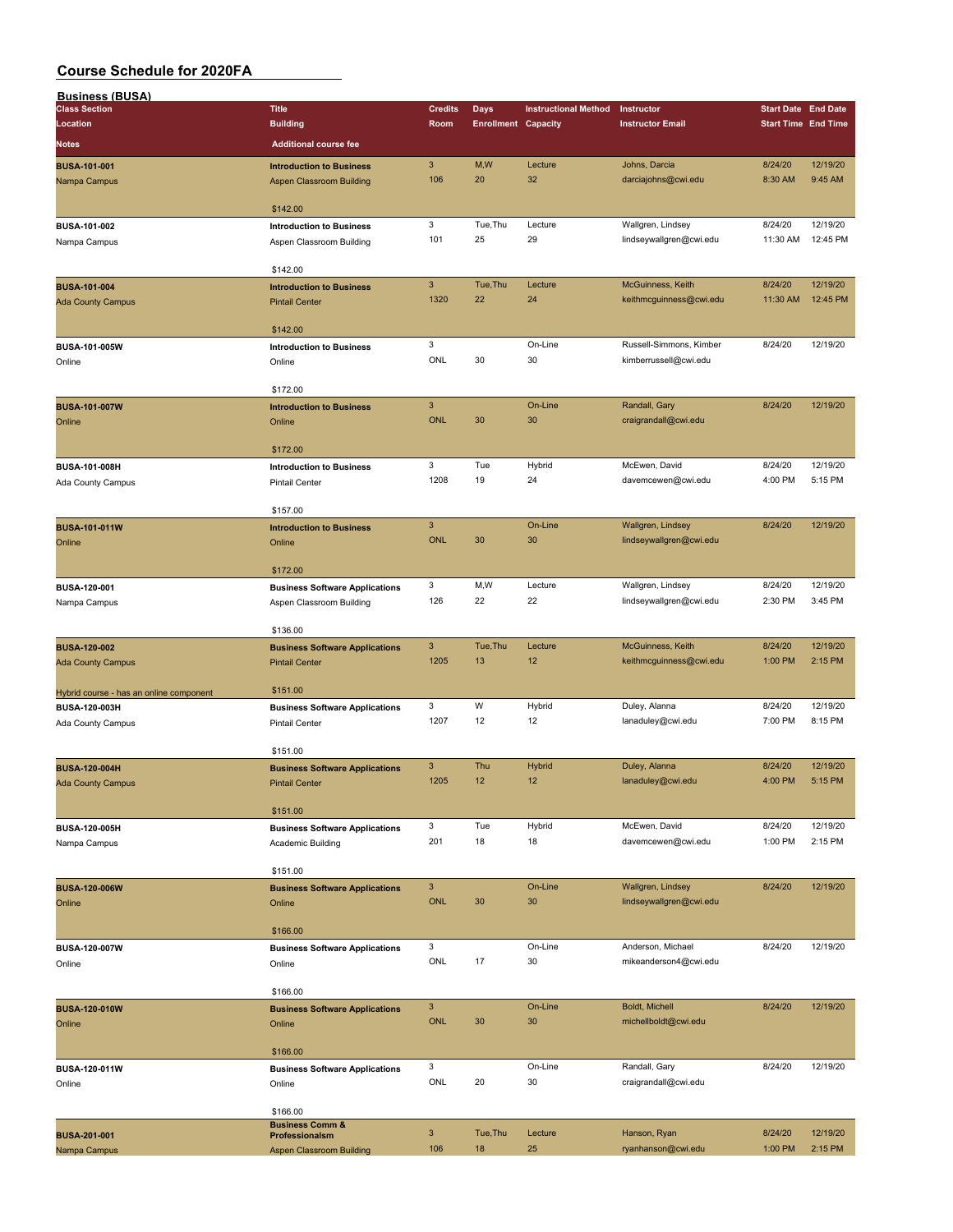| <b>Business (BUSA)</b>                  |                                       |                           |                            |                             |                         |                            |          |
|-----------------------------------------|---------------------------------------|---------------------------|----------------------------|-----------------------------|-------------------------|----------------------------|----------|
| <b>Class Section</b>                    | <b>Title</b>                          | <b>Credits</b>            | <b>Days</b>                | <b>Instructional Method</b> | Instructor              | <b>Start Date End Date</b> |          |
| Location                                | <b>Building</b>                       | Room                      | <b>Enrollment Capacity</b> |                             | <b>Instructor Email</b> | <b>Start Time End Time</b> |          |
| <b>Notes</b>                            | <b>Additional course fee</b>          |                           |                            |                             |                         |                            |          |
|                                         |                                       |                           |                            |                             |                         |                            |          |
| <b>BUSA-101-001</b>                     | <b>Introduction to Business</b>       | $\mathbf{3}$              | M,W                        | Lecture                     | Johns, Darcia           | 8/24/20                    | 12/19/20 |
| Nampa Campus                            | Aspen Classroom Building              | 106                       | 20                         | 32                          | darciajohns@cwi.edu     | 8:30 AM                    | 9:45 AM  |
|                                         |                                       |                           |                            |                             |                         |                            |          |
|                                         | \$142.00                              |                           |                            |                             |                         |                            |          |
| BUSA-101-002                            | <b>Introduction to Business</b>       | 3                         | Tue, Thu                   | Lecture                     | Wallgren, Lindsey       | 8/24/20                    | 12/19/20 |
| Nampa Campus                            | Aspen Classroom Building              | 101                       | 25                         | 29                          | lindseywallgren@cwi.edu | 11:30 AM                   | 12:45 PM |
|                                         |                                       |                           |                            |                             |                         |                            |          |
|                                         | \$142.00                              |                           |                            |                             |                         |                            |          |
| <b>BUSA-101-004</b>                     | <b>Introduction to Business</b>       | $\mathbf{3}$              | Tue, Thu                   | Lecture                     | McGuinness, Keith       | 8/24/20                    | 12/19/20 |
| <b>Ada County Campus</b>                | <b>Pintail Center</b>                 | 1320                      | 22                         | 24                          | keithmcguinness@cwi.edu | 11:30 AM                   | 12:45 PM |
|                                         |                                       |                           |                            |                             |                         |                            |          |
|                                         | \$142.00                              |                           |                            |                             |                         |                            |          |
| BUSA-101-005W                           | <b>Introduction to Business</b>       | 3                         |                            | On-Line                     | Russell-Simmons, Kimber | 8/24/20                    | 12/19/20 |
| Online                                  | Online                                | ONL                       | 30                         | 30                          | kimberrussell@cwi.edu   |                            |          |
|                                         |                                       |                           |                            |                             |                         |                            |          |
|                                         | \$172.00                              |                           |                            |                             |                         |                            |          |
| <b>BUSA-101-007W</b>                    | <b>Introduction to Business</b>       | $\ensuremath{\mathsf{3}}$ |                            | On-Line                     | Randall, Gary           | 8/24/20                    | 12/19/20 |
| Online                                  | Online                                | <b>ONL</b>                | 30                         | 30                          | craigrandall@cwi.edu    |                            |          |
|                                         |                                       |                           |                            |                             |                         |                            |          |
|                                         | \$172.00                              |                           |                            |                             |                         |                            |          |
| BUSA-101-008H                           | <b>Introduction to Business</b>       | 3                         | Tue                        | Hybrid                      | McEwen, David           | 8/24/20                    | 12/19/20 |
| Ada County Campus                       | <b>Pintail Center</b>                 | 1208                      | 19                         | 24                          | davemcewen@cwi.edu      | 4:00 PM                    | 5:15 PM  |
|                                         |                                       |                           |                            |                             |                         |                            |          |
|                                         | \$157.00                              |                           |                            |                             |                         |                            |          |
| <b>BUSA-101-011W</b>                    | <b>Introduction to Business</b>       | $\mathbf{3}$              |                            | On-Line                     | Wallgren, Lindsey       | 8/24/20                    | 12/19/20 |
| Online                                  | Online                                | <b>ONL</b>                | 30                         | 30                          | lindseywallgren@cwi.edu |                            |          |
|                                         |                                       |                           |                            |                             |                         |                            |          |
|                                         | \$172.00                              |                           |                            |                             |                         |                            |          |
| BUSA-120-001                            | <b>Business Software Applications</b> | 3                         | M,W                        | Lecture                     | Wallgren, Lindsey       | 8/24/20                    | 12/19/20 |
|                                         |                                       | 126                       | 22                         | 22                          | lindseywallgren@cwi.edu | 2:30 PM                    | 3:45 PM  |
| Nampa Campus                            | Aspen Classroom Building              |                           |                            |                             |                         |                            |          |
|                                         | \$136.00                              |                           |                            |                             |                         |                            |          |
|                                         |                                       | $\mathbf{3}$              | Tue, Thu                   | Lecture                     | McGuinness, Keith       | 8/24/20                    | 12/19/20 |
| <b>BUSA-120-002</b>                     | <b>Business Software Applications</b> |                           |                            | 12                          |                         |                            |          |
| <b>Ada County Campus</b>                | <b>Pintail Center</b>                 | 1205                      | 13                         |                             | keithmcguinness@cwi.edu | 1:00 PM                    | 2:15 PM  |
|                                         |                                       |                           |                            |                             |                         |                            |          |
| Hybrid course - has an online component | \$151.00                              |                           |                            |                             |                         |                            |          |
| BUSA-120-003H                           | <b>Business Software Applications</b> | 3                         | W                          | Hybrid                      | Duley, Alanna           | 8/24/20                    | 12/19/20 |
| Ada County Campus                       | <b>Pintail Center</b>                 | 1207                      | 12                         | 12                          | lanaduley@cwi.edu       | 7:00 PM                    | 8:15 PM  |
|                                         |                                       |                           |                            |                             |                         |                            |          |
|                                         | \$151.00                              |                           |                            |                             |                         |                            |          |
| <b>BUSA-120-004H</b>                    | <b>Business Software Applications</b> | $\mathbf{3}$              | Thu                        | Hybrid                      | Duley, Alanna           | 8/24/20                    | 12/19/20 |
| <b>Ada County Campus</b>                | <b>Pintail Center</b>                 | 1205                      | 12                         | 12                          | lanaduley@cwi.edu       | 4:00 PM                    | 5:15 PM  |
|                                         |                                       |                           |                            |                             |                         |                            |          |
|                                         | \$151.00                              |                           |                            |                             |                         |                            |          |
| BUSA-120-005H                           | <b>Business Software Applications</b> | 3                         | Tue                        | Hybrid                      | McEwen, David           | 8/24/20                    | 12/19/20 |
| Nampa Campus                            | Academic Building                     | 201                       | 18                         | 18                          | davemcewen@cwi.edu      | 1:00 PM                    | 2:15 PM  |
|                                         |                                       |                           |                            |                             |                         |                            |          |
|                                         | \$151.00                              |                           |                            |                             |                         |                            |          |
| <b>BUSA-120-006W</b>                    | <b>Business Software Applications</b> | $\mathbf{3}$              |                            | On-Line                     | Wallgren, Lindsey       | 8/24/20                    | 12/19/20 |
| Online                                  | Online                                | <b>ONL</b>                | 30                         | 30                          | lindseywallgren@cwi.edu |                            |          |
|                                         |                                       |                           |                            |                             |                         |                            |          |
|                                         | \$166.00                              |                           |                            |                             |                         |                            |          |
| BUSA-120-007W                           | <b>Business Software Applications</b> | 3                         |                            | On-Line                     | Anderson, Michael       | 8/24/20                    | 12/19/20 |
| Online                                  | Online                                | ONL                       | 17                         | 30                          | mikeanderson4@cwi.edu   |                            |          |
|                                         |                                       |                           |                            |                             |                         |                            |          |
|                                         | \$166.00                              |                           |                            |                             |                         |                            |          |
| <b>BUSA-120-010W</b>                    | <b>Business Software Applications</b> | $\mathbf{3}$              |                            | On-Line                     | Boldt, Michell          | 8/24/20                    | 12/19/20 |
| Online                                  | Online                                | <b>ONL</b>                | 30                         | 30                          | michellboldt@cwi.edu    |                            |          |
|                                         |                                       |                           |                            |                             |                         |                            |          |
|                                         | \$166.00                              |                           |                            |                             |                         |                            |          |
| BUSA-120-011W                           | <b>Business Software Applications</b> | 3                         |                            | On-Line                     | Randall, Gary           | 8/24/20                    | 12/19/20 |
|                                         |                                       | ONL                       | 20                         | 30                          | craigrandall@cwi.edu    |                            |          |
| Online                                  | Online                                |                           |                            |                             |                         |                            |          |
|                                         | \$166.00                              |                           |                            |                             |                         |                            |          |
|                                         | <b>Business Comm &amp;</b>            |                           |                            |                             |                         |                            |          |
| <b>BUSA-201-001</b>                     | Professionalsm                        | $\mathbf{3}$              | Tue, Thu                   | Lecture                     | Hanson, Ryan            | 8/24/20                    | 12/19/20 |
| Nampa Campus                            | <b>Aspen Classroom Building</b>       | 106                       | 18                         | 25                          | ryanhanson@cwi.edu      | 1:00 PM                    | 2:15 PM  |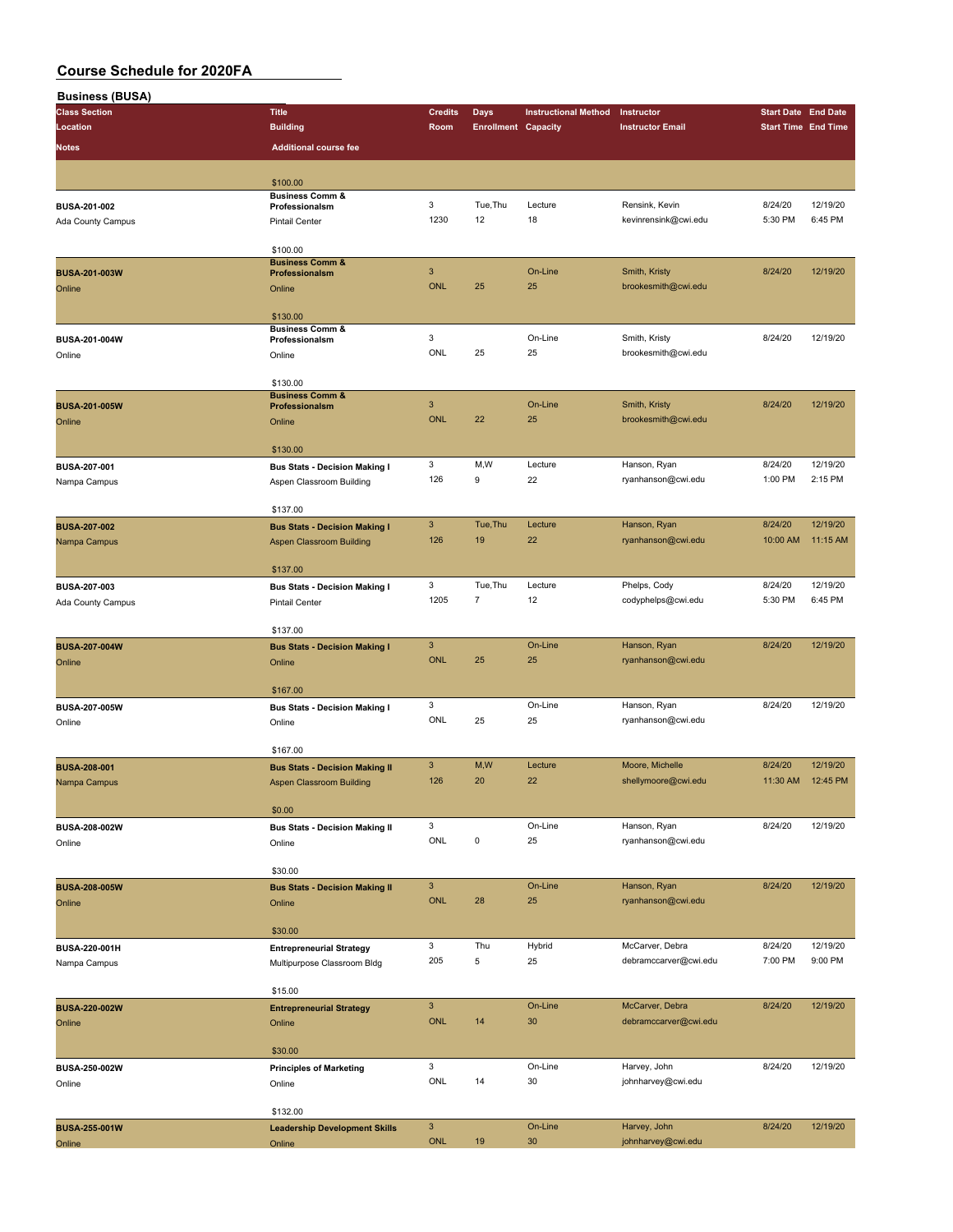| <b>Business (BUSA)</b> |                                              |                           |                            |                             |                         |                            |                     |
|------------------------|----------------------------------------------|---------------------------|----------------------------|-----------------------------|-------------------------|----------------------------|---------------------|
| <b>Class Section</b>   | <b>Title</b>                                 | <b>Credits</b>            | Days                       | <b>Instructional Method</b> | Instructor              | <b>Start Date End Date</b> |                     |
| Location               | <b>Building</b>                              | Room                      | <b>Enrollment Capacity</b> |                             | <b>Instructor Email</b> | <b>Start Time End Time</b> |                     |
| Notes                  | <b>Additional course fee</b>                 |                           |                            |                             |                         |                            |                     |
|                        |                                              |                           |                            |                             |                         |                            |                     |
|                        | \$100.00                                     |                           |                            |                             |                         |                            |                     |
|                        | <b>Business Comm &amp;</b>                   |                           |                            |                             |                         |                            |                     |
| BUSA-201-002           | Professionalsm                               | 3                         | Tue, Thu                   | Lecture                     | Rensink, Kevin          | 8/24/20                    | 12/19/20            |
| Ada County Campus      | <b>Pintail Center</b>                        | 1230                      | 12                         | 18                          | kevinrensink@cwi.edu    | 5:30 PM                    | 6:45 PM             |
|                        |                                              |                           |                            |                             |                         |                            |                     |
|                        | \$100.00<br><b>Business Comm &amp;</b>       |                           |                            |                             |                         |                            |                     |
| <b>BUSA-201-003W</b>   | Professionalsm                               | $\sqrt{3}$                |                            | On-Line                     | Smith, Kristy           | 8/24/20                    | 12/19/20            |
| Online                 | Online                                       | <b>ONL</b>                | 25                         | 25                          | brookesmith@cwi.edu     |                            |                     |
|                        |                                              |                           |                            |                             |                         |                            |                     |
|                        | \$130.00                                     |                           |                            |                             |                         |                            |                     |
| BUSA-201-004W          | <b>Business Comm &amp;</b><br>Professionalsm | 3                         |                            | On-Line                     | Smith, Kristy           | 8/24/20                    | 12/19/20            |
| Online                 | Online                                       | ONL                       | 25                         | 25                          | brookesmith@cwi.edu     |                            |                     |
|                        |                                              |                           |                            |                             |                         |                            |                     |
|                        | \$130.00                                     |                           |                            |                             |                         |                            |                     |
|                        | <b>Business Comm &amp;</b>                   |                           |                            |                             |                         |                            |                     |
| <b>BUSA-201-005W</b>   | Professionalsm                               | $\mathbf{3}$              |                            | On-Line                     | Smith, Kristy           | 8/24/20                    | 12/19/20            |
| Online                 | Online                                       | <b>ONL</b>                | 22                         | 25                          | brookesmith@cwi.edu     |                            |                     |
|                        |                                              |                           |                            |                             |                         |                            |                     |
|                        | \$130.00                                     | 3                         |                            | Lecture                     |                         | 8/24/20                    |                     |
| BUSA-207-001           | <b>Bus Stats - Decision Making I</b>         | 126                       | M,W<br>9                   |                             | Hanson, Ryan            | 1:00 PM                    | 12/19/20<br>2:15 PM |
| Nampa Campus           | Aspen Classroom Building                     |                           |                            | 22                          | ryanhanson@cwi.edu      |                            |                     |
|                        | \$137.00                                     |                           |                            |                             |                         |                            |                     |
| <b>BUSA-207-002</b>    |                                              | $\ensuremath{\mathsf{3}}$ | Tue, Thu                   | Lecture                     | Hanson, Ryan            | 8/24/20                    | 12/19/20            |
|                        | <b>Bus Stats - Decision Making I</b>         | 126                       | 19                         | 22                          | ryanhanson@cwi.edu      | 10:00 AM                   | 11:15 AM            |
| Nampa Campus           | <b>Aspen Classroom Building</b>              |                           |                            |                             |                         |                            |                     |
|                        | \$137.00                                     |                           |                            |                             |                         |                            |                     |
| <b>BUSA-207-003</b>    | <b>Bus Stats - Decision Making I</b>         | 3                         | Tue, Thu                   | Lecture                     | Phelps, Cody            | 8/24/20                    | 12/19/20            |
| Ada County Campus      | <b>Pintail Center</b>                        | 1205                      | $\overline{7}$             | 12                          | codyphelps@cwi.edu      | 5:30 PM                    | 6:45 PM             |
|                        |                                              |                           |                            |                             |                         |                            |                     |
|                        | \$137.00                                     |                           |                            |                             |                         |                            |                     |
| <b>BUSA-207-004W</b>   | <b>Bus Stats - Decision Making I</b>         | $\mathbf{3}$              |                            | On-Line                     | Hanson, Ryan            | 8/24/20                    | 12/19/20            |
| Online                 | Online                                       | <b>ONL</b>                | 25                         | 25                          | ryanhanson@cwi.edu      |                            |                     |
|                        |                                              |                           |                            |                             |                         |                            |                     |
|                        | \$167.00                                     |                           |                            |                             |                         |                            |                     |
| <b>BUSA-207-005W</b>   | <b>Bus Stats - Decision Making I</b>         | 3                         |                            | On-Line                     | Hanson, Ryan            | 8/24/20                    | 12/19/20            |
| Online                 | Online                                       | ONL                       | 25                         | 25                          | ryanhanson@cwi.edu      |                            |                     |
|                        |                                              |                           |                            |                             |                         |                            |                     |
|                        | \$167.00                                     |                           |                            |                             |                         |                            |                     |
| <b>BUSA-208-001</b>    | <b>Bus Stats - Decision Making II</b>        | $\ensuremath{\mathsf{3}}$ | M,W                        | Lecture                     | Moore, Michelle         | 8/24/20                    | 12/19/20            |
| Nampa Campus           | Aspen Classroom Building                     | 126                       | 20                         | 22                          | shellymoore@cwi.edu     | 11:30 AM                   | 12:45 PM            |
|                        |                                              |                           |                            |                             |                         |                            |                     |
|                        | \$0.00                                       |                           |                            |                             |                         |                            |                     |
| BUSA-208-002W          | <b>Bus Stats - Decision Making II</b>        | 3                         |                            | On-Line                     | Hanson, Ryan            | 8/24/20                    | 12/19/20            |
| Online                 | Online                                       | ONL                       | 0                          | 25                          | ryanhanson@cwi.edu      |                            |                     |
|                        |                                              |                           |                            |                             |                         |                            |                     |
|                        | \$30.00                                      |                           |                            |                             |                         |                            |                     |
| <b>BUSA-208-005W</b>   | <b>Bus Stats - Decision Making II</b>        | $\mathbf{3}$              |                            | On-Line                     | Hanson, Ryan            | 8/24/20                    | 12/19/20            |
| Online                 | Online                                       | <b>ONL</b>                | 28                         | 25                          | ryanhanson@cwi.edu      |                            |                     |
|                        | \$30.00                                      |                           |                            |                             |                         |                            |                     |
| BUSA-220-001H          |                                              | 3                         | Thu                        | Hybrid                      | McCarver, Debra         | 8/24/20                    | 12/19/20            |
|                        | <b>Entrepreneurial Strategy</b>              | 205                       | 5                          | 25                          | debramccarver@cwi.edu   | 7:00 PM                    | 9:00 PM             |
| Nampa Campus           | Multipurpose Classroom Bldg                  |                           |                            |                             |                         |                            |                     |
|                        | \$15.00                                      |                           |                            |                             |                         |                            |                     |
| <b>BUSA-220-002W</b>   | <b>Entrepreneurial Strategy</b>              | $\ensuremath{\mathsf{3}}$ |                            | On-Line                     | McCarver, Debra         | 8/24/20                    | 12/19/20            |
| Online                 | Online                                       | <b>ONL</b>                | 14                         | 30                          | debramccarver@cwi.edu   |                            |                     |
|                        |                                              |                           |                            |                             |                         |                            |                     |
|                        | \$30.00                                      |                           |                            |                             |                         |                            |                     |
| BUSA-250-002W          | <b>Principles of Marketing</b>               | 3                         |                            | On-Line                     | Harvey, John            | 8/24/20                    | 12/19/20            |
| Online                 | Online                                       | ONL                       | 14                         | 30                          | johnharvey@cwi.edu      |                            |                     |
|                        |                                              |                           |                            |                             |                         |                            |                     |
|                        | \$132.00                                     |                           |                            |                             |                         |                            |                     |
| <b>BUSA-255-001W</b>   | <b>Leadership Development Skills</b>         | $\mathbf{3}$              |                            | On-Line                     | Harvey, John            | 8/24/20                    | 12/19/20            |
| Online                 | Online                                       | <b>ONL</b>                | 19                         | 30                          | johnharvey@cwi.edu      |                            |                     |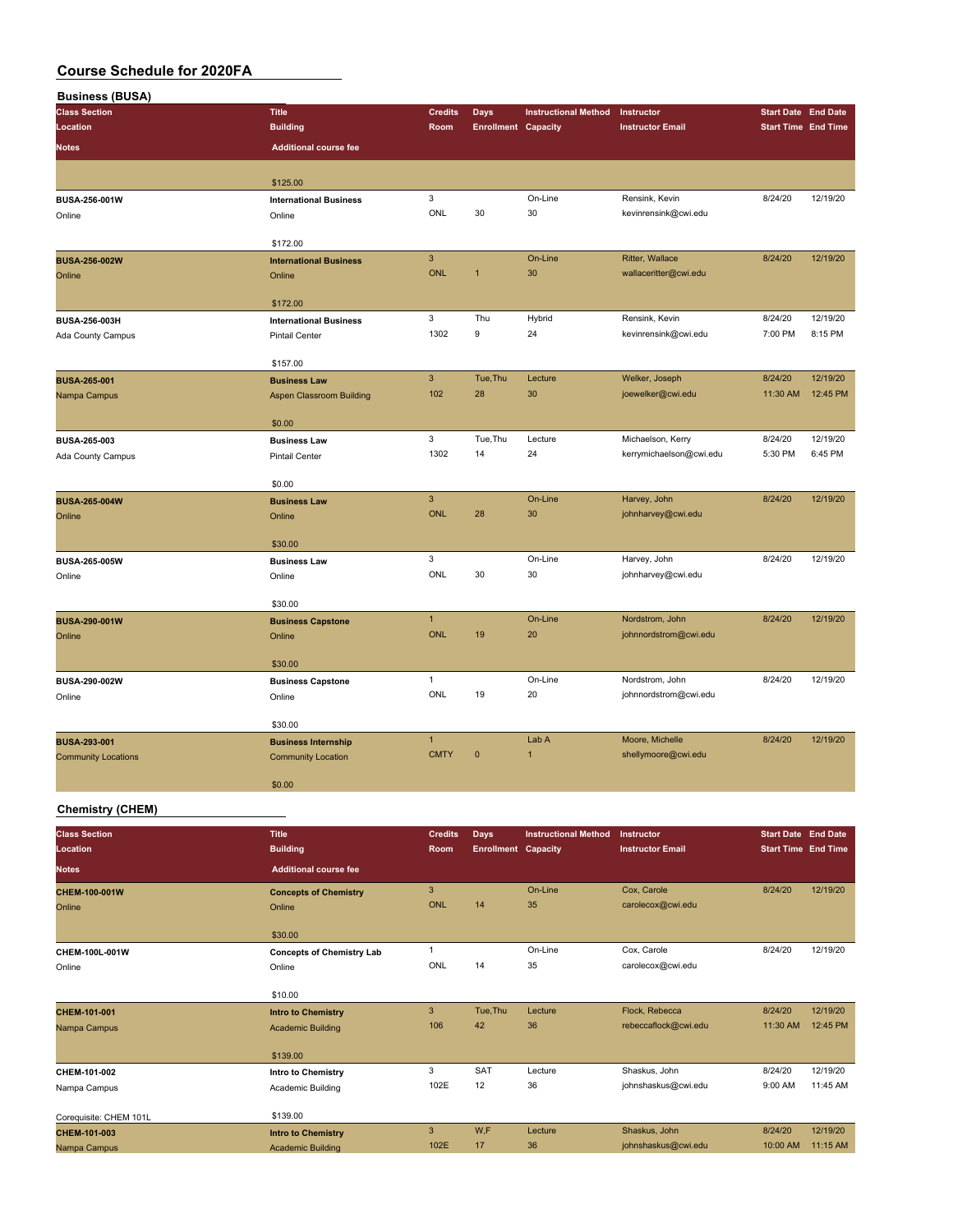| <b>Business (BUSA)</b>     |                                  |                           |                            |                             |                         |                            |                      |
|----------------------------|----------------------------------|---------------------------|----------------------------|-----------------------------|-------------------------|----------------------------|----------------------|
| <b>Class Section</b>       | <b>Title</b>                     | <b>Credits</b>            | Days                       | <b>Instructional Method</b> | Instructor              | <b>Start Date End Date</b> |                      |
| Location                   | <b>Building</b>                  | Room                      | <b>Enrollment Capacity</b> |                             | <b>Instructor Email</b> | <b>Start Time End Time</b> |                      |
| <b>Notes</b>               | <b>Additional course fee</b>     |                           |                            |                             |                         |                            |                      |
|                            |                                  |                           |                            |                             |                         |                            |                      |
|                            | \$125.00                         |                           |                            |                             |                         |                            |                      |
| BUSA-256-001W              | <b>International Business</b>    | 3                         |                            | On-Line                     | Rensink, Kevin          | 8/24/20                    | 12/19/20             |
| Online                     | Online                           | ONL                       | 30                         | 30                          | kevinrensink@cwi.edu    |                            |                      |
|                            |                                  |                           |                            |                             |                         |                            |                      |
| <b>BUSA-256-002W</b>       | \$172.00                         | $\ensuremath{\mathsf{3}}$ |                            | On-Line                     | Ritter, Wallace         | 8/24/20                    | 12/19/20             |
| Online                     | <b>International Business</b>    | <b>ONL</b>                | $\mathbf{1}$               | 30                          | wallaceritter@cwi.edu   |                            |                      |
|                            | Online                           |                           |                            |                             |                         |                            |                      |
|                            | \$172.00                         |                           |                            |                             |                         |                            |                      |
| BUSA-256-003H              | <b>International Business</b>    | 3                         | Thu                        | Hybrid                      | Rensink, Kevin          | 8/24/20                    | 12/19/20             |
| Ada County Campus          | <b>Pintail Center</b>            | 1302                      | $\boldsymbol{9}$           | 24                          | kevinrensink@cwi.edu    | 7:00 PM                    | 8:15 PM              |
|                            |                                  |                           |                            |                             |                         |                            |                      |
|                            | \$157.00                         | $\overline{3}$            |                            |                             |                         |                            |                      |
| <b>BUSA-265-001</b>        | <b>Business Law</b>              | 102                       | Tue, Thu<br>28             | Lecture<br>30               | Welker, Joseph          | 8/24/20<br>11:30 AM        | 12/19/20<br>12:45 PM |
| Nampa Campus               | <b>Aspen Classroom Building</b>  |                           |                            |                             | joewelker@cwi.edu       |                            |                      |
|                            | \$0.00                           |                           |                            |                             |                         |                            |                      |
| BUSA-265-003               | <b>Business Law</b>              | 3                         | Tue, Thu                   | Lecture                     | Michaelson, Kerry       | 8/24/20                    | 12/19/20             |
| Ada County Campus          | <b>Pintail Center</b>            | 1302                      | 14                         | 24                          | kerrymichaelson@cwi.edu | 5:30 PM                    | 6:45 PM              |
|                            |                                  |                           |                            |                             |                         |                            |                      |
|                            | \$0.00                           |                           |                            |                             |                         |                            |                      |
| <b>BUSA-265-004W</b>       | <b>Business Law</b>              | $\ensuremath{\mathsf{3}}$ |                            | On-Line                     | Harvey, John            | 8/24/20                    | 12/19/20             |
| Online                     | Online                           | <b>ONL</b>                | 28                         | 30                          | johnharvey@cwi.edu      |                            |                      |
|                            | \$30.00                          |                           |                            |                             |                         |                            |                      |
| <b>BUSA-265-005W</b>       | <b>Business Law</b>              | 3                         |                            | On-Line                     | Harvey, John            | 8/24/20                    | 12/19/20             |
| Online                     | Online                           | ONL                       | 30                         | 30                          | johnharvey@cwi.edu      |                            |                      |
|                            |                                  |                           |                            |                             |                         |                            |                      |
|                            | \$30.00                          |                           |                            |                             |                         |                            |                      |
| <b>BUSA-290-001W</b>       | <b>Business Capstone</b>         | $\mathbf{1}$              |                            | On-Line                     | Nordstrom, John         | 8/24/20                    | 12/19/20             |
| Online                     | Online                           | <b>ONL</b>                | 19                         | 20                          | johnnordstrom@cwi.edu   |                            |                      |
|                            | \$30.00                          |                           |                            |                             |                         |                            |                      |
| BUSA-290-002W              | <b>Business Capstone</b>         | $\mathbf{1}$              |                            | On-Line                     | Nordstrom, John         | 8/24/20                    | 12/19/20             |
| Online                     | Online                           | ONL                       | 19                         | 20                          | johnnordstrom@cwi.edu   |                            |                      |
|                            |                                  |                           |                            |                             |                         |                            |                      |
|                            | \$30.00                          |                           |                            |                             |                         |                            |                      |
| <b>BUSA-293-001</b>        | <b>Business Internship</b>       | $\mathbf{1}$              |                            | Lab A                       | Moore, Michelle         | 8/24/20                    | 12/19/20             |
| <b>Community Locations</b> | <b>Community Location</b>        | <b>CMTY</b>               | $\pmb{0}$                  | $\mathbf{1}$                | shellymoore@cwi.edu     |                            |                      |
|                            |                                  |                           |                            |                             |                         |                            |                      |
|                            | \$0.00                           |                           |                            |                             |                         |                            |                      |
| <b>Chemistry (CHEM)</b>    |                                  |                           |                            |                             |                         |                            |                      |
| <b>Class Section</b>       | <b>Title</b>                     | <b>Credits</b>            | <b>Days</b>                | <b>Instructional Method</b> | Instructor              | <b>Start Date End Date</b> |                      |
| Location                   | <b>Building</b>                  | Room                      | <b>Enrollment Capacity</b> |                             | <b>Instructor Email</b> | <b>Start Time End Time</b> |                      |
|                            |                                  |                           |                            |                             |                         |                            |                      |
| <b>Notes</b>               | <b>Additional course fee</b>     |                           |                            |                             |                         |                            |                      |
| CHEM-100-001W              | <b>Concepts of Chemistry</b>     | $\ensuremath{\mathsf{3}}$ |                            | On-Line                     | Cox, Carole             | 8/24/20                    | 12/19/20             |
| Online                     | Online                           | ONL                       | 14                         | 35                          | carolecox@cwi.edu       |                            |                      |
|                            | \$30.00                          |                           |                            |                             |                         |                            |                      |
| CHEM-100L-001W             | <b>Concepts of Chemistry Lab</b> | $\mathbf{1}$              |                            | On-Line                     | Cox, Carole             | 8/24/20                    | 12/19/20             |
| Online                     | Online                           | ONL                       | 14                         | 35                          | carolecox@cwi.edu       |                            |                      |
|                            |                                  |                           |                            |                             |                         |                            |                      |
|                            | \$10.00                          |                           |                            |                             |                         |                            |                      |

| CHEM-101-001           | <b>Intro to Chemistry</b> | 3    | Tue.Thu    | Lecture | Flock, Rebecca       | 8/24/20  | 12/19/20 |
|------------------------|---------------------------|------|------------|---------|----------------------|----------|----------|
| Nampa Campus           | <b>Academic Building</b>  | 106  | 42         | 36      | rebeccaflock@cwi.edu | 11:30 AM | 12:45 PM |
|                        |                           |      |            |         |                      |          |          |
|                        | \$139.00                  |      |            |         |                      |          |          |
| CHEM-101-002           | Intro to Chemistry        | 3    | <b>SAT</b> | Lecture | Shaskus, John        | 8/24/20  | 12/19/20 |
| Nampa Campus           | Academic Building         | 102E | 12         | 36      | johnshaskus@cwi.edu  | 9:00 AM  | 11:45 AM |
|                        |                           |      |            |         |                      |          |          |
| Corequisite: CHEM 101L | \$139.00                  |      |            |         |                      |          |          |
| CHEM-101-003           | <b>Intro to Chemistry</b> | 3    | W,F        | Lecture | Shaskus, John        | 8/24/20  | 12/19/20 |
| Nampa Campus           | <b>Academic Building</b>  | 102E | 17         | 36      | johnshaskus@cwi.edu  | 10:00 AM | 11:15 AM |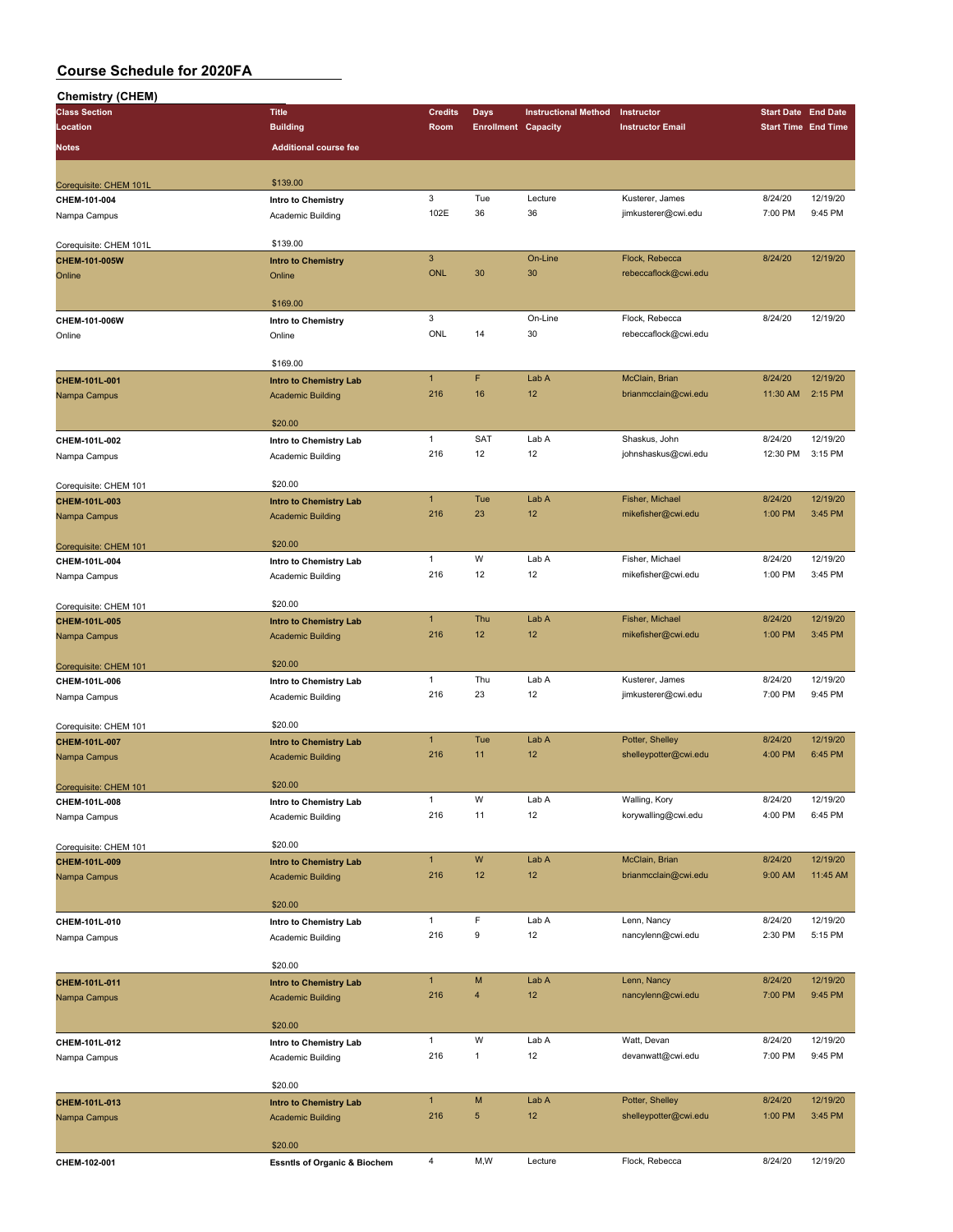| Chemistry (CHEM)                       |                                         |                |                            |                             |                         |                            |          |
|----------------------------------------|-----------------------------------------|----------------|----------------------------|-----------------------------|-------------------------|----------------------------|----------|
| <b>Class Section</b>                   | <b>Title</b>                            | <b>Credits</b> | Days                       | <b>Instructional Method</b> | Instructor              | <b>Start Date End Date</b> |          |
| Location                               | <b>Building</b>                         | Room           | <b>Enrollment Capacity</b> |                             | <b>Instructor Email</b> | <b>Start Time End Time</b> |          |
| <b>Notes</b>                           | <b>Additional course fee</b>            |                |                            |                             |                         |                            |          |
|                                        |                                         |                |                            |                             |                         |                            |          |
|                                        |                                         |                |                            |                             |                         |                            |          |
| Corequisite: CHEM 101L                 | \$139.00                                |                |                            |                             |                         |                            |          |
| CHEM-101-004                           | Intro to Chemistry                      | 3              | Tue                        | Lecture                     | Kusterer, James         | 8/24/20                    | 12/19/20 |
| Nampa Campus                           | Academic Building                       | 102E           | 36                         | 36                          | jimkusterer@cwi.edu     | 7:00 PM                    | 9:45 PM  |
|                                        |                                         |                |                            |                             |                         |                            |          |
| Corequisite: CHEM 101L                 | \$139.00                                |                |                            |                             |                         |                            |          |
| CHEM-101-005W                          | <b>Intro to Chemistry</b>               | $\mathbf{3}$   |                            | On-Line                     | Flock, Rebecca          | 8/24/20                    | 12/19/20 |
| Online                                 | Online                                  | ONL            | 30                         | 30                          | rebeccaflock@cwi.edu    |                            |          |
|                                        |                                         |                |                            |                             |                         |                            |          |
|                                        | \$169.00                                |                |                            |                             |                         |                            |          |
|                                        |                                         | 3              |                            | On-Line                     | Flock, Rebecca          | 8/24/20                    | 12/19/20 |
| CHEM-101-006W                          | Intro to Chemistry                      | ONL            |                            |                             |                         |                            |          |
| Online                                 | Online                                  |                | 14                         | 30                          | rebeccaflock@cwi.edu    |                            |          |
|                                        |                                         |                |                            |                             |                         |                            |          |
|                                        | \$169.00                                |                |                            |                             |                         |                            |          |
| CHEM-101L-001                          | <b>Intro to Chemistry Lab</b>           | $\mathbf{1}$   | F                          | Lab A                       | McClain, Brian          | 8/24/20                    | 12/19/20 |
| Nampa Campus                           | <b>Academic Building</b>                | 216            | 16                         | 12                          | brianmcclain@cwi.edu    | 11:30 AM                   | 2:15 PM  |
|                                        |                                         |                |                            |                             |                         |                            |          |
|                                        | \$20.00                                 |                |                            |                             |                         |                            |          |
| CHEM-101L-002                          | Intro to Chemistry Lab                  | 1              | SAT                        | Lab A                       | Shaskus, John           | 8/24/20                    | 12/19/20 |
| Nampa Campus                           | Academic Building                       | 216            | 12                         | 12                          | johnshaskus@cwi.edu     | 12:30 PM                   | 3:15 PM  |
|                                        |                                         |                |                            |                             |                         |                            |          |
|                                        | \$20.00                                 |                |                            |                             |                         |                            |          |
| Corequisite: CHEM 101<br>CHEM-101L-003 |                                         | $\mathbf{1}$   | Tue                        | Lab A                       | Fisher, Michael         | 8/24/20                    | 12/19/20 |
|                                        | <b>Intro to Chemistry Lab</b>           | 216            | 23                         | 12                          | mikefisher@cwi.edu      | 1:00 PM                    | 3:45 PM  |
| Nampa Campus                           | <b>Academic Building</b>                |                |                            |                             |                         |                            |          |
|                                        |                                         |                |                            |                             |                         |                            |          |
| Corequisite: CHEM 101                  | \$20.00                                 |                |                            |                             |                         |                            |          |
| CHEM-101L-004                          | Intro to Chemistry Lab                  | 1              | W                          | Lab A                       | Fisher, Michael         | 8/24/20                    | 12/19/20 |
| Nampa Campus                           | Academic Building                       | 216            | 12                         | 12                          | mikefisher@cwi.edu      | 1:00 PM                    | 3:45 PM  |
|                                        |                                         |                |                            |                             |                         |                            |          |
| Corequisite: CHEM 101                  | \$20.00                                 |                |                            |                             |                         |                            |          |
| CHEM-101L-005                          | <b>Intro to Chemistry Lab</b>           | $\overline{1}$ | Thu                        | Lab A                       | Fisher, Michael         | 8/24/20                    | 12/19/20 |
| Nampa Campus                           | <b>Academic Building</b>                | 216            | 12                         | 12                          | mikefisher@cwi.edu      | 1:00 PM                    | 3:45 PM  |
|                                        |                                         |                |                            |                             |                         |                            |          |
|                                        | \$20.00                                 |                |                            |                             |                         |                            |          |
| Corequisite: CHEM 101                  |                                         | 1              | Thu                        | Lab A                       | Kusterer, James         | 8/24/20                    | 12/19/20 |
| CHEM-101L-006                          | Intro to Chemistry Lab                  |                |                            |                             |                         |                            |          |
| Nampa Campus                           | Academic Building                       | 216            | 23                         | 12                          | jimkusterer@cwi.edu     | 7:00 PM                    | 9:45 PM  |
|                                        |                                         |                |                            |                             |                         |                            |          |
| Corequisite: CHEM 101                  | \$20.00                                 |                |                            |                             |                         |                            |          |
| CHEM-101L-007                          | Intro to Chemistry Lab                  | $\mathbf{1}$   | Tue                        | Lab A                       | Potter, Shelley         | 8/24/20                    | 12/19/20 |
| Nampa Campus                           | <b>Academic Building</b>                | 216            | 11                         | 12                          | shelleypotter@cwi.edu   | 4:00 PM                    | 6:45 PM  |
|                                        |                                         |                |                            |                             |                         |                            |          |
| Corequisite: CHEM 101                  | \$20.00                                 |                |                            |                             |                         |                            |          |
| CHEM-101L-008                          | Intro to Chemistry Lab                  | $\mathbf{1}$   | W                          | Lab A                       | Walling, Kory           | 8/24/20                    | 12/19/20 |
| Nampa Campus                           | Academic Building                       | 216            | 11                         | 12                          | korywalling@cwi.edu     | 4:00 PM                    | 6:45 PM  |
|                                        |                                         |                |                            |                             |                         |                            |          |
|                                        | \$20.00                                 |                |                            |                             |                         |                            |          |
| Corequisite: CHEM 101                  |                                         | $\mathbf{1}$   | ${\sf W}$                  | Lab A                       | McClain, Brian          | 8/24/20                    | 12/19/20 |
| CHEM-101L-009                          | <b>Intro to Chemistry Lab</b>           |                |                            |                             |                         |                            |          |
| Nampa Campus                           | <b>Academic Building</b>                | 216            | 12                         | 12                          | brianmcclain@cwi.edu    | 9:00 AM                    | 11:45 AM |
|                                        |                                         |                |                            |                             |                         |                            |          |
|                                        | \$20.00                                 |                |                            |                             |                         |                            |          |
| CHEM-101L-010                          | Intro to Chemistry Lab                  | $\mathbf{1}$   | F                          | Lab A                       | Lenn, Nancy             | 8/24/20                    | 12/19/20 |
| Nampa Campus                           | Academic Building                       | 216            | 9                          | 12                          | nancylenn@cwi.edu       | 2:30 PM                    | 5:15 PM  |
|                                        |                                         |                |                            |                             |                         |                            |          |
|                                        | \$20.00                                 |                |                            |                             |                         |                            |          |
| CHEM-101L-011                          | <b>Intro to Chemistry Lab</b>           | $\mathbf{1}$   | M                          | Lab A                       | Lenn, Nancy             | 8/24/20                    | 12/19/20 |
| Nampa Campus                           | <b>Academic Building</b>                | 216            | 4                          | 12                          | nancylenn@cwi.edu       | 7:00 PM                    | 9:45 PM  |
|                                        |                                         |                |                            |                             |                         |                            |          |
|                                        | \$20.00                                 |                |                            |                             |                         |                            |          |
|                                        |                                         |                |                            |                             |                         |                            |          |
| CHEM-101L-012                          | Intro to Chemistry Lab                  | $\mathbf{1}$   | W                          | Lab A                       | Watt, Devan             | 8/24/20                    | 12/19/20 |
| Nampa Campus                           | Academic Building                       | 216            | $\mathbf{1}$               | 12                          | devanwatt@cwi.edu       | 7:00 PM                    | 9:45 PM  |
|                                        |                                         |                |                            |                             |                         |                            |          |
|                                        | \$20.00                                 |                |                            |                             |                         |                            |          |
| CHEM-101L-013                          | <b>Intro to Chemistry Lab</b>           | $\mathbf{1}$   | M                          | Lab A                       | Potter, Shelley         | 8/24/20                    | 12/19/20 |
| Nampa Campus                           | <b>Academic Building</b>                | 216            | 5                          | 12                          | shelleypotter@cwi.edu   | 1:00 PM                    | 3:45 PM  |
|                                        |                                         |                |                            |                             |                         |                            |          |
|                                        | \$20.00                                 |                |                            |                             |                         |                            |          |
|                                        |                                         | $\overline{4}$ | M,W                        | Lecture                     | Flock, Rebecca          | 8/24/20                    | 12/19/20 |
| CHEM-102-001                           | <b>Essntls of Organic &amp; Biochem</b> |                |                            |                             |                         |                            |          |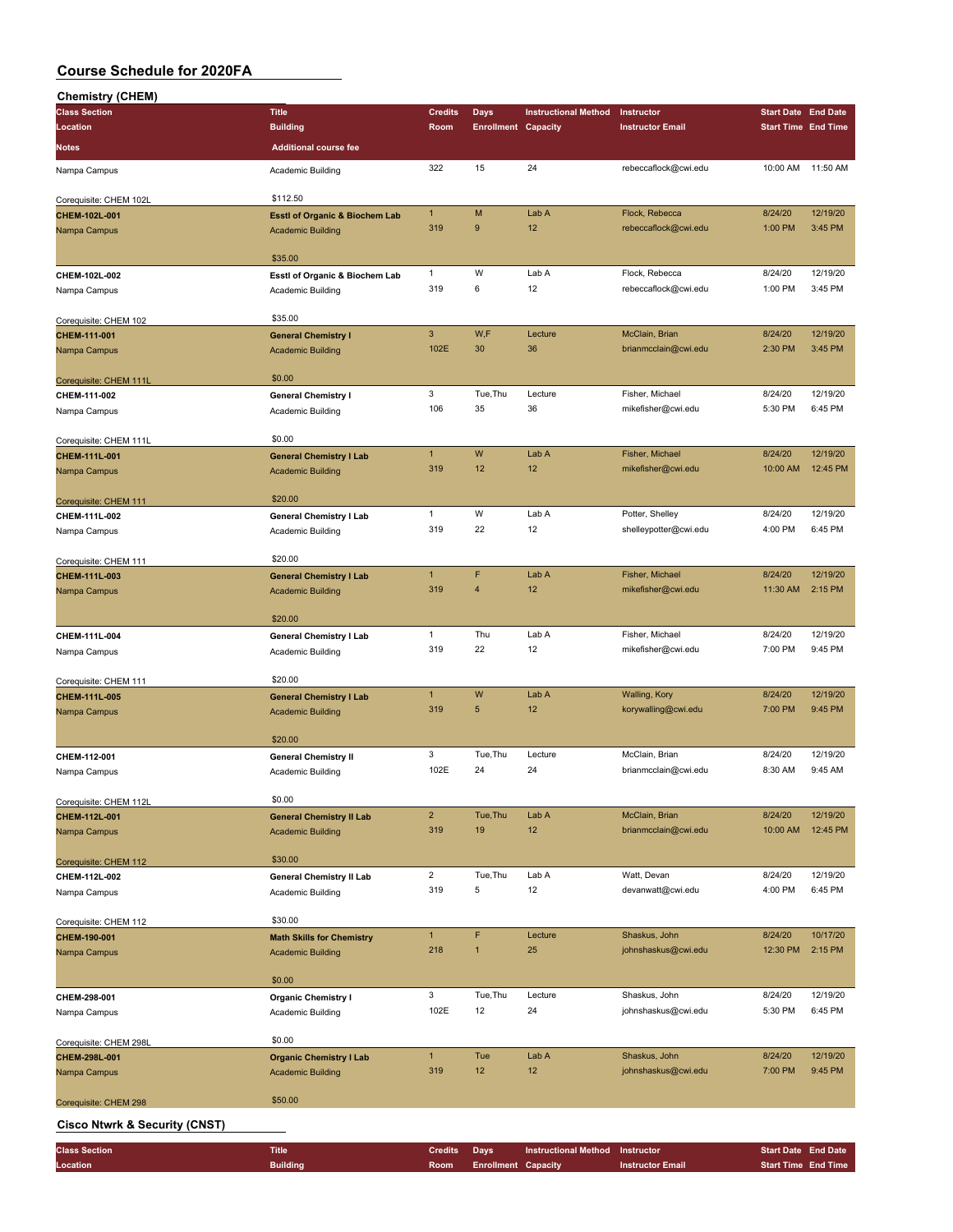| <b>Chemistry (CHEM)</b>                  |                                           |                      |                            |                             |                         |                            |                     |
|------------------------------------------|-------------------------------------------|----------------------|----------------------------|-----------------------------|-------------------------|----------------------------|---------------------|
| <b>Class Section</b>                     | <b>Title</b>                              | <b>Credits</b>       | <b>Days</b>                | <b>Instructional Method</b> | Instructor              | <b>Start Date End Date</b> |                     |
| Location                                 | <b>Building</b>                           | Room                 | <b>Enrollment Capacity</b> |                             | <b>Instructor Email</b> | <b>Start Time End Time</b> |                     |
| Notes                                    | <b>Additional course fee</b>              |                      |                            |                             |                         |                            |                     |
| Nampa Campus                             | Academic Building                         | 322                  | 15                         | 24                          | rebeccaflock@cwi.edu    | 10:00 AM                   | 11:50 AM            |
|                                          |                                           |                      |                            |                             |                         |                            |                     |
| Corequisite: CHEM 102L                   | \$112.50                                  |                      |                            |                             |                         |                            |                     |
| CHEM-102L-001                            | <b>EsstI of Organic &amp; Biochem Lab</b> | $\mathbf{1}$         | M                          | Lab A                       | Flock, Rebecca          | 8/24/20                    | 12/19/20            |
| Nampa Campus                             | <b>Academic Building</b>                  | 319                  | $9$                        | 12                          | rebeccaflock@cwi.edu    | 1:00 PM                    | 3:45 PM             |
|                                          |                                           |                      |                            |                             |                         |                            |                     |
|                                          | \$35.00                                   |                      |                            |                             |                         |                            |                     |
| CHEM-102L-002                            | Esstl of Organic & Biochem Lab            | $\mathbf{1}$         | W                          | Lab A                       | Flock, Rebecca          | 8/24/20                    | 12/19/20            |
| Nampa Campus                             | Academic Building                         | 319                  | 6                          | 12                          | rebeccaflock@cwi.edu    | 1:00 PM                    | 3:45 PM             |
|                                          |                                           |                      |                            |                             |                         |                            |                     |
| Corequisite: CHEM 102                    | \$35.00                                   |                      |                            |                             |                         |                            |                     |
| CHEM-111-001                             | <b>General Chemistry I</b>                | $\mathbf{3}$<br>102E | W,F<br>30                  | Lecture<br>36               | McClain, Brian          | 8/24/20<br>2:30 PM         | 12/19/20<br>3:45 PM |
| Nampa Campus                             | <b>Academic Building</b>                  |                      |                            |                             | brianmcclain@cwi.edu    |                            |                     |
| Corequisite: CHEM 111L                   | \$0.00                                    |                      |                            |                             |                         |                            |                     |
| CHEM-111-002                             | <b>General Chemistry I</b>                | 3                    | Tue, Thu                   | Lecture                     | Fisher, Michael         | 8/24/20                    | 12/19/20            |
| Nampa Campus                             | Academic Building                         | 106                  | 35                         | 36                          | mikefisher@cwi.edu      | 5:30 PM                    | 6:45 PM             |
|                                          |                                           |                      |                            |                             |                         |                            |                     |
| Corequisite: CHEM 111L                   | \$0.00                                    |                      |                            |                             |                         |                            |                     |
| <b>CHEM-111L-001</b>                     | <b>General Chemistry I Lab</b>            | $\mathbf{1}$         | W                          | Lab A                       | Fisher, Michael         | 8/24/20                    | 12/19/20            |
| Nampa Campus                             | <b>Academic Building</b>                  | 319                  | 12                         | 12                          | mikefisher@cwi.edu      | 10:00 AM                   | 12:45 PM            |
|                                          |                                           |                      |                            |                             |                         |                            |                     |
| Corequisite: CHEM 111                    | \$20.00                                   |                      |                            |                             |                         |                            |                     |
| CHEM-111L-002                            | <b>General Chemistry I Lab</b>            | $\mathbf{1}$         | W                          | Lab A                       | Potter, Shelley         | 8/24/20                    | 12/19/20            |
| Nampa Campus                             | Academic Building                         | 319                  | 22                         | 12                          | shelleypotter@cwi.edu   | 4:00 PM                    | 6:45 PM             |
|                                          | \$20.00                                   |                      |                            |                             |                         |                            |                     |
| Corequisite: CHEM 111                    |                                           | $\mathbf{1}$         | F                          | Lab A                       | Fisher, Michael         | 8/24/20                    | 12/19/20            |
| CHEM-111L-003                            | <b>General Chemistry I Lab</b>            | 319                  | $\overline{4}$             | 12                          | mikefisher@cwi.edu      | 11:30 AM                   | 2:15 PM             |
| Nampa Campus                             | <b>Academic Building</b>                  |                      |                            |                             |                         |                            |                     |
|                                          | \$20.00                                   |                      |                            |                             |                         |                            |                     |
| CHEM-111L-004                            | <b>General Chemistry I Lab</b>            | $\mathbf{1}$         | Thu                        | Lab A                       | Fisher, Michael         | 8/24/20                    | 12/19/20            |
| Nampa Campus                             | Academic Building                         | 319                  | 22                         | 12                          | mikefisher@cwi.edu      | 7:00 PM                    | 9:45 PM             |
|                                          |                                           |                      |                            |                             |                         |                            |                     |
| Corequisite: CHEM 111                    | \$20.00                                   |                      |                            |                             |                         |                            |                     |
| CHEM-111L-005                            | <b>General Chemistry I Lab</b>            | $\mathbf{1}$         | W                          | Lab A                       | Walling, Kory           | 8/24/20                    | 12/19/20            |
| Nampa Campus                             | <b>Academic Building</b>                  | 319                  | 5                          | 12                          | korywalling@cwi.edu     | 7:00 PM                    | 9:45 PM             |
|                                          |                                           |                      |                            |                             |                         |                            |                     |
|                                          | \$20.00                                   | 3                    | Tue, Thu                   | Lecture                     | McClain, Brian          | 8/24/20                    | 12/19/20            |
| CHEM-112-001                             | <b>General Chemistry II</b>               | 102E                 | 24                         | 24                          | brianmcclain@cwi.edu    | 8:30 AM                    | 9:45 AM             |
| Nampa Campus                             | Academic Building                         |                      |                            |                             |                         |                            |                     |
| Corequisite: CHEM 112L                   | \$0.00                                    |                      |                            |                             |                         |                            |                     |
| CHEM-112L-001                            | <b>General Chemistry II Lab</b>           | $\overline{2}$       | Tue, Thu                   | Lab A                       | McClain, Brian          | 8/24/20                    | 12/19/20            |
| Nampa Campus                             | <b>Academic Building</b>                  | 319                  | 19                         | 12                          | brianmcclain@cwi.edu    | 10:00 AM                   | 12:45 PM            |
|                                          |                                           |                      |                            |                             |                         |                            |                     |
| Corequisite: CHEM 112                    | \$30.00                                   |                      |                            |                             |                         |                            |                     |
| CHEM-112L-002                            | <b>General Chemistry II Lab</b>           | $\overline{a}$       | Tue, Thu                   | Lab A                       | Watt, Devan             | 8/24/20                    | 12/19/20            |
| Nampa Campus                             | Academic Building                         | 319                  | 5                          | 12                          | devanwatt@cwi.edu       | 4:00 PM                    | 6:45 PM             |
|                                          |                                           |                      |                            |                             |                         |                            |                     |
| Corequisite: CHEM 112                    | \$30.00                                   |                      |                            |                             |                         |                            |                     |
| CHEM-190-001                             | <b>Math Skills for Chemistry</b>          | $\mathbf{1}$         | F                          | Lecture                     | Shaskus, John           | 8/24/20                    | 10/17/20            |
| Nampa Campus                             | <b>Academic Building</b>                  | 218                  | 1                          | 25                          | johnshaskus@cwi.edu     | 12:30 PM                   | 2:15 PM             |
|                                          | \$0.00                                    |                      |                            |                             |                         |                            |                     |
| CHEM-298-001                             | <b>Organic Chemistry I</b>                | 3                    | Tue, Thu                   | Lecture                     | Shaskus, John           | 8/24/20                    | 12/19/20            |
| Nampa Campus                             | Academic Building                         | 102E                 | 12                         | 24                          | johnshaskus@cwi.edu     | 5:30 PM                    | 6:45 PM             |
|                                          |                                           |                      |                            |                             |                         |                            |                     |
| Corequisite: CHEM 298L                   | \$0.00                                    |                      |                            |                             |                         |                            |                     |
| CHEM-298L-001                            | <b>Organic Chemistry I Lab</b>            | $\mathbf{1}$         | Tue                        | Lab A                       | Shaskus, John           | 8/24/20                    | 12/19/20            |
| Nampa Campus                             | <b>Academic Building</b>                  | 319                  | 12                         | 12                          | johnshaskus@cwi.edu     | 7:00 PM                    | 9:45 PM             |
|                                          |                                           |                      |                            |                             |                         |                            |                     |
| Corequisite: CHEM 298                    | \$50.00                                   |                      |                            |                             |                         |                            |                     |
| <b>Cisco Ntwrk &amp; Security (CNST)</b> |                                           |                      |                            |                             |                         |                            |                     |

| <b>Class Section</b> | <b>Title</b>    | <b>Credits</b> Days |                                 | Instructional Method Instructor |                  |                            | <b>Start Date End Date</b> |
|----------------------|-----------------|---------------------|---------------------------------|---------------------------------|------------------|----------------------------|----------------------------|
| Location             | <b>Building</b> |                     | <b>Room</b> Enrollment Capacity |                                 | Instructor Email | <b>Start Time End Time</b> |                            |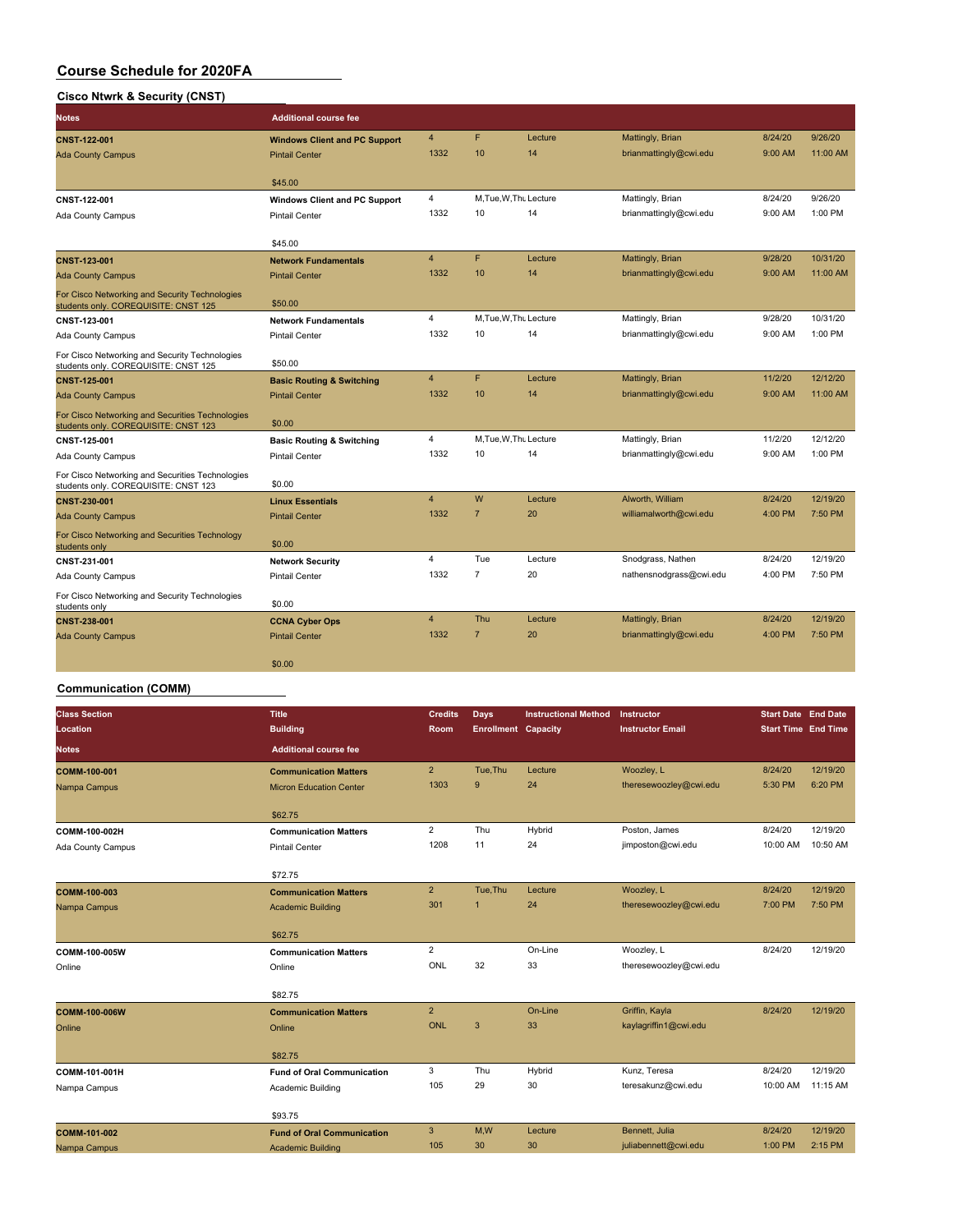#### **Cisco Ntwrk & Security (CNST)**

| Notes                                                                                    | <b>Additional course fee</b>         |                |                |                        |                         |         |            |
|------------------------------------------------------------------------------------------|--------------------------------------|----------------|----------------|------------------------|-------------------------|---------|------------|
| CNST-122-001                                                                             | <b>Windows Client and PC Support</b> | $\overline{4}$ | F              | Lecture                | Mattingly, Brian        | 8/24/20 | 9/26/20    |
| <b>Ada County Campus</b>                                                                 | <b>Pintail Center</b>                | 1332           | 10             | 14                     | brianmattingly@cwi.edu  | 9:00 AM | $11:00$ AM |
|                                                                                          | \$45.00                              |                |                |                        |                         |         |            |
| CNST-122-001                                                                             | <b>Windows Client and PC Support</b> | $\overline{4}$ |                | M.Tue, W.Th. Lecture   | Mattingly, Brian        | 8/24/20 | 9/26/20    |
| Ada County Campus                                                                        | <b>Pintail Center</b>                | 1332           | 10             | 14                     | brianmattingly@cwi.edu  | 9:00 AM | 1:00 PM    |
|                                                                                          | \$45.00                              |                |                |                        |                         |         |            |
| <b>CNST-123-001</b>                                                                      | <b>Network Fundamentals</b>          | $\overline{4}$ | F              | Lecture                | Mattingly, Brian        | 9/28/20 | 10/31/20   |
| <b>Ada County Campus</b>                                                                 | <b>Pintail Center</b>                | 1332           | 10             | 14                     | brianmattingly@cwi.edu  | 9:00 AM | 11:00 AM   |
| For Cisco Networking and Security Technologies<br>students only. COREQUISITE: CNST 125   | \$50.00                              |                |                |                        |                         |         |            |
| <b>CNST-123-001</b>                                                                      | <b>Network Fundamentals</b>          | 4              |                | M.Tue, W.Th. Lecture   | Mattingly, Brian        | 9/28/20 | 10/31/20   |
| Ada County Campus                                                                        | <b>Pintail Center</b>                | 1332           | 10             | 14                     | brianmattingly@cwi.edu  | 9:00 AM | 1:00 PM    |
| For Cisco Networking and Security Technologies<br>students only. COREQUISITE: CNST 125   | \$50.00                              |                |                |                        |                         |         |            |
| CNST-125-001                                                                             | <b>Basic Routing &amp; Switching</b> | $\overline{4}$ | F              | Lecture                | Mattingly, Brian        | 11/2/20 | 12/12/20   |
| <b>Ada County Campus</b>                                                                 | <b>Pintail Center</b>                | 1332           | 10             | 14                     | brianmattingly@cwi.edu  | 9:00 AM | 11:00 AM   |
| For Cisco Networking and Securities Technologies<br>students only. COREQUISITE: CNST 123 | \$0.00                               |                |                |                        |                         |         |            |
| CNST-125-001                                                                             | <b>Basic Routing &amp; Switching</b> | 4              |                | M, Tue, W, Thu Lecture | Mattingly, Brian        | 11/2/20 | 12/12/20   |
| Ada County Campus                                                                        | <b>Pintail Center</b>                | 1332           | 10             | 14                     | brianmattingly@cwi.edu  | 9:00 AM | 1:00 PM    |
| For Cisco Networking and Securities Technologies<br>students only. COREQUISITE: CNST 123 | \$0.00                               |                |                |                        |                         |         |            |
| <b>CNST-230-001</b>                                                                      | <b>Linux Essentials</b>              | $\overline{4}$ | W              | Lecture                | Alworth, William        | 8/24/20 | 12/19/20   |
| <b>Ada County Campus</b>                                                                 | <b>Pintail Center</b>                | 1332           | $\overline{7}$ | 20                     | williamalworth@cwi.edu  | 4:00 PM | 7:50 PM    |
| For Cisco Networking and Securities Technology<br>students only                          | \$0.00                               |                |                |                        |                         |         |            |
| CNST-231-001                                                                             | <b>Network Security</b>              | 4              | Tue            | Lecture                | Snodgrass, Nathen       | 8/24/20 | 12/19/20   |
| Ada County Campus                                                                        | <b>Pintail Center</b>                | 1332           | $\overline{7}$ | 20                     | nathensnodgrass@cwi.edu | 4:00 PM | 7:50 PM    |
| For Cisco Networking and Security Technologies<br>students only                          | \$0.00                               |                |                |                        |                         |         |            |
| <b>CNST-238-001</b>                                                                      | <b>CCNA Cyber Ops</b>                | 4              | Thu            | Lecture                | Mattingly, Brian        | 8/24/20 | 12/19/20   |
| <b>Ada County Campus</b>                                                                 | <b>Pintail Center</b>                | 1332           | $\overline{7}$ | 20                     | brianmattingly@cwi.edu  | 4:00 PM | 7:50 PM    |
|                                                                                          | \$0.00                               |                |                |                        |                         |         |            |

#### **Communication (COMM)**

| <b>Class Section</b><br>Location | <b>Title</b><br><b>Building</b>   | <b>Credits</b><br>Room | <b>Days</b><br><b>Enrollment Capacity</b> | <b>Instructional Method</b> | Instructor<br><b>Instructor Email</b> | <b>Start Date End Date</b><br><b>Start Time End Time</b> |          |
|----------------------------------|-----------------------------------|------------------------|-------------------------------------------|-----------------------------|---------------------------------------|----------------------------------------------------------|----------|
| <b>Notes</b>                     | <b>Additional course fee</b>      |                        |                                           |                             |                                       |                                                          |          |
| COMM-100-001                     | <b>Communication Matters</b>      | $\overline{2}$         | Tue, Thu                                  | Lecture                     | Woozley, L                            | 8/24/20                                                  | 12/19/20 |
| Nampa Campus                     | <b>Micron Education Center</b>    | 1303                   | 9                                         | 24                          | theresewoozley@cwi.edu                | 5:30 PM                                                  | 6:20 PM  |
|                                  | \$62.75                           |                        |                                           |                             |                                       |                                                          |          |
| COMM-100-002H                    | <b>Communication Matters</b>      | $\overline{2}$         | Thu                                       | Hybrid                      | Poston, James                         | 8/24/20                                                  | 12/19/20 |
| Ada County Campus                | <b>Pintail Center</b>             | 1208                   | 11                                        | 24                          | jimposton@cwi.edu                     | 10:00 AM                                                 | 10:50 AM |
|                                  | \$72.75                           |                        |                                           |                             |                                       |                                                          |          |
| COMM-100-003                     | <b>Communication Matters</b>      | $\overline{2}$         | Tue, Thu                                  | Lecture                     | Woozley, L                            | 8/24/20                                                  | 12/19/20 |
| Nampa Campus                     | <b>Academic Building</b>          | 301                    | $\overline{1}$                            | 24                          | theresewoozley@cwi.edu                | 7:00 PM                                                  | 7:50 PM  |
|                                  | \$62.75                           |                        |                                           |                             |                                       |                                                          |          |
| COMM-100-005W                    | <b>Communication Matters</b>      | $\overline{2}$         |                                           | On-Line                     | Woozley, L                            | 8/24/20                                                  | 12/19/20 |
| Online                           | Online                            | ONL                    | 32                                        | 33                          | theresewoozley@cwi.edu                |                                                          |          |
|                                  | \$82.75                           |                        |                                           |                             |                                       |                                                          |          |
| <b>COMM-100-006W</b>             | <b>Communication Matters</b>      | $\overline{2}$         |                                           | On-Line                     | Griffin, Kayla                        | 8/24/20                                                  | 12/19/20 |
| Online                           | Online                            | <b>ONL</b>             | $\mathbf{3}$                              | 33                          | kaylagriffin1@cwi.edu                 |                                                          |          |
|                                  | \$82.75                           |                        |                                           |                             |                                       |                                                          |          |
| COMM-101-001H                    | <b>Fund of Oral Communication</b> | 3                      | Thu                                       | Hybrid                      | Kunz, Teresa                          | 8/24/20                                                  | 12/19/20 |
| Nampa Campus                     | Academic Building                 | 105                    | 29                                        | 30                          | teresakunz@cwi.edu                    | 10:00 AM                                                 | 11:15 AM |
|                                  | \$93.75                           |                        |                                           |                             |                                       |                                                          |          |
| COMM-101-002                     | <b>Fund of Oral Communication</b> | 3                      | M,W                                       | Lecture                     | Bennett, Julia                        | 8/24/20                                                  | 12/19/20 |
| Nampa Campus                     | <b>Academic Building</b>          | 105                    | 30                                        | 30                          | juliabennett@cwi.edu                  | 1:00 PM                                                  | 2:15 PM  |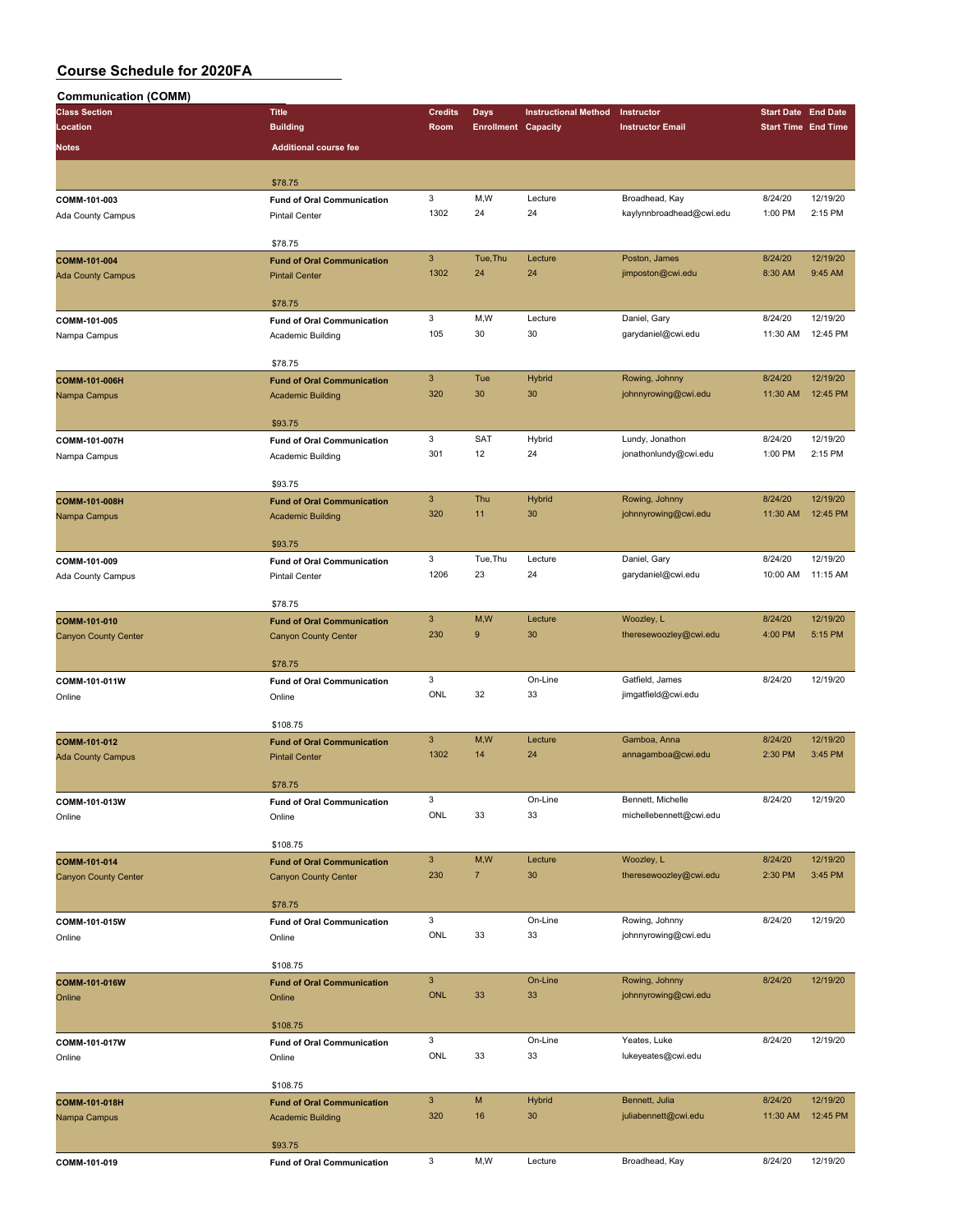| Communication (COMM)        |                                   |                |                            |                             |                                    |                                                                                                                                                                                                                                                                                                                |          |
|-----------------------------|-----------------------------------|----------------|----------------------------|-----------------------------|------------------------------------|----------------------------------------------------------------------------------------------------------------------------------------------------------------------------------------------------------------------------------------------------------------------------------------------------------------|----------|
| <b>Class Section</b>        | <b>Title</b>                      | <b>Credits</b> | <b>Days</b>                | <b>Instructional Method</b> | Instructor                         |                                                                                                                                                                                                                                                                                                                |          |
| Location                    | <b>Building</b>                   | Room           | <b>Enrollment Capacity</b> |                             | <b>Instructor Email</b>            |                                                                                                                                                                                                                                                                                                                |          |
| Notes                       | <b>Additional course fee</b>      |                |                            |                             |                                    |                                                                                                                                                                                                                                                                                                                |          |
|                             |                                   |                |                            |                             |                                    | <b>Start Date End Date</b><br><b>Start Time End Time</b><br>8/24/20<br>1:00 PM<br>8/24/20<br>8:30 AM<br>8/24/20<br>11:30 AM<br>8/24/20<br>11:30 AM<br>8/24/20<br>1:00 PM<br>8/24/20<br>11:30 AM<br>8/24/20<br>10:00 AM<br>8/24/20<br>4:00 PM<br>8/24/20<br>8/24/20<br>2:30 PM<br>8/24/20<br>8/24/20<br>2:30 PM |          |
|                             |                                   |                |                            |                             |                                    |                                                                                                                                                                                                                                                                                                                |          |
|                             | \$78.75                           |                |                            |                             |                                    |                                                                                                                                                                                                                                                                                                                |          |
| COMM-101-003                | <b>Fund of Oral Communication</b> | 3              | M,W                        | Lecture                     | Broadhead, Kay                     |                                                                                                                                                                                                                                                                                                                | 12/19/20 |
| Ada County Campus           | <b>Pintail Center</b>             | 1302           | 24                         | 24                          | kaylynnbroadhead@cwi.edu           |                                                                                                                                                                                                                                                                                                                | 2:15 PM  |
|                             |                                   |                |                            |                             |                                    |                                                                                                                                                                                                                                                                                                                |          |
|                             | \$78.75                           |                |                            |                             |                                    |                                                                                                                                                                                                                                                                                                                |          |
| COMM-101-004                | <b>Fund of Oral Communication</b> | 3              | Tue, Thu                   | Lecture                     | Poston, James                      |                                                                                                                                                                                                                                                                                                                | 12/19/20 |
| <b>Ada County Campus</b>    | <b>Pintail Center</b>             | 1302           | 24                         | 24                          | jimposton@cwi.edu                  |                                                                                                                                                                                                                                                                                                                | 9:45 AM  |
|                             |                                   |                |                            |                             |                                    |                                                                                                                                                                                                                                                                                                                |          |
|                             | \$78.75                           |                |                            |                             |                                    |                                                                                                                                                                                                                                                                                                                |          |
| COMM-101-005                | <b>Fund of Oral Communication</b> | 3              | M,W                        | Lecture                     | Daniel, Gary                       |                                                                                                                                                                                                                                                                                                                | 12/19/20 |
| Nampa Campus                | Academic Building                 | 105            | 30                         | 30                          | garydaniel@cwi.edu                 |                                                                                                                                                                                                                                                                                                                | 12:45 PM |
|                             |                                   |                |                            |                             |                                    |                                                                                                                                                                                                                                                                                                                |          |
|                             | \$78.75                           |                |                            |                             |                                    |                                                                                                                                                                                                                                                                                                                |          |
| COMM-101-006H               | <b>Fund of Oral Communication</b> | $\mathbf{3}$   | Tue                        | Hybrid                      | Rowing, Johnny                     |                                                                                                                                                                                                                                                                                                                | 12/19/20 |
| Nampa Campus                | <b>Academic Building</b>          | 320            | 30                         | 30                          | johnnyrowing@cwi.edu               |                                                                                                                                                                                                                                                                                                                | 12:45 PM |
|                             |                                   |                |                            |                             |                                    |                                                                                                                                                                                                                                                                                                                |          |
|                             | \$93.75                           |                | SAT                        |                             | Lundy, Jonathon                    |                                                                                                                                                                                                                                                                                                                | 12/19/20 |
| COMM-101-007H               | <b>Fund of Oral Communication</b> | 3              |                            | Hybrid                      |                                    |                                                                                                                                                                                                                                                                                                                |          |
| Nampa Campus                | Academic Building                 | 301            | 12                         | 24                          | jonathonlundy@cwi.edu              |                                                                                                                                                                                                                                                                                                                | 2:15 PM  |
|                             |                                   |                |                            |                             |                                    |                                                                                                                                                                                                                                                                                                                |          |
|                             | \$93.75                           | $\mathsf 3$    | Thu                        |                             |                                    |                                                                                                                                                                                                                                                                                                                | 12/19/20 |
| COMM-101-008H               | <b>Fund of Oral Communication</b> | 320            | 11                         | Hybrid<br>30                | Rowing, Johnny                     |                                                                                                                                                                                                                                                                                                                | 12:45 PM |
| Nampa Campus                | <b>Academic Building</b>          |                |                            |                             | johnnyrowing@cwi.edu               |                                                                                                                                                                                                                                                                                                                |          |
|                             | \$93.75                           |                |                            |                             |                                    |                                                                                                                                                                                                                                                                                                                |          |
|                             |                                   | 3              | Tue, Thu                   | Lecture                     |                                    |                                                                                                                                                                                                                                                                                                                | 12/19/20 |
| COMM-101-009                | <b>Fund of Oral Communication</b> | 1206           | 23                         | 24                          | Daniel, Gary<br>garydaniel@cwi.edu |                                                                                                                                                                                                                                                                                                                | 11:15 AM |
| Ada County Campus           | <b>Pintail Center</b>             |                |                            |                             |                                    |                                                                                                                                                                                                                                                                                                                |          |
|                             | \$78.75                           |                |                            |                             |                                    |                                                                                                                                                                                                                                                                                                                |          |
|                             |                                   | $\mathbf{3}$   | M,W                        | Lecture                     | Woozley, L                         |                                                                                                                                                                                                                                                                                                                | 12/19/20 |
| COMM-101-010                | <b>Fund of Oral Communication</b> | 230            | 9                          | 30                          | theresewoozley@cwi.edu             |                                                                                                                                                                                                                                                                                                                | 5:15 PM  |
| <b>Canyon County Center</b> | <b>Canyon County Center</b>       |                |                            |                             |                                    |                                                                                                                                                                                                                                                                                                                |          |
|                             | \$78.75                           |                |                            |                             |                                    |                                                                                                                                                                                                                                                                                                                |          |
|                             |                                   | 3              |                            | On-Line                     | Gatfield, James                    |                                                                                                                                                                                                                                                                                                                | 12/19/20 |
| COMM-101-011W               | <b>Fund of Oral Communication</b> | ONL            | 32                         | 33                          | jimgatfield@cwi.edu                |                                                                                                                                                                                                                                                                                                                |          |
| Online                      | Online                            |                |                            |                             |                                    |                                                                                                                                                                                                                                                                                                                |          |
|                             | \$108.75                          |                |                            |                             |                                    |                                                                                                                                                                                                                                                                                                                |          |
| COMM-101-012                | <b>Fund of Oral Communication</b> | $\mathbf{3}$   | M,W                        | Lecture                     | Gamboa, Anna                       |                                                                                                                                                                                                                                                                                                                | 12/19/20 |
|                             | <b>Pintail Center</b>             | 1302           | 14                         | 24                          | annagamboa@cwi.edu                 |                                                                                                                                                                                                                                                                                                                | 3:45 PM  |
| <b>Ada County Campus</b>    |                                   |                |                            |                             |                                    |                                                                                                                                                                                                                                                                                                                |          |
|                             | \$78.75                           |                |                            |                             |                                    |                                                                                                                                                                                                                                                                                                                |          |
| COMM-101-013W               | <b>Fund of Oral Communication</b> | 3              |                            | On-Line                     | Bennett, Michelle                  |                                                                                                                                                                                                                                                                                                                | 12/19/20 |
| Online                      | Online                            | ONL            | 33                         | 33                          | michellebennett@cwi.edu            |                                                                                                                                                                                                                                                                                                                |          |
|                             |                                   |                |                            |                             |                                    |                                                                                                                                                                                                                                                                                                                |          |
|                             | \$108.75                          |                |                            |                             |                                    |                                                                                                                                                                                                                                                                                                                |          |
| COMM-101-014                | <b>Fund of Oral Communication</b> | $\mathbf{3}$   | M,W                        | Lecture                     | Woozley, L                         |                                                                                                                                                                                                                                                                                                                | 12/19/20 |
| <b>Canyon County Center</b> | <b>Canyon County Center</b>       | 230            | $\overline{7}$             | 30                          | theresewoozley@cwi.edu             |                                                                                                                                                                                                                                                                                                                | 3:45 PM  |
|                             |                                   |                |                            |                             |                                    |                                                                                                                                                                                                                                                                                                                |          |
|                             | \$78.75                           |                |                            |                             |                                    |                                                                                                                                                                                                                                                                                                                |          |
| COMM-101-015W               | <b>Fund of Oral Communication</b> | 3              |                            | On-Line                     | Rowing, Johnny                     | 8/24/20                                                                                                                                                                                                                                                                                                        | 12/19/20 |
| Online                      | Online                            | ONL            | 33                         | 33                          | johnnyrowing@cwi.edu               |                                                                                                                                                                                                                                                                                                                |          |
|                             |                                   |                |                            |                             |                                    |                                                                                                                                                                                                                                                                                                                |          |
|                             | \$108.75                          |                |                            |                             |                                    |                                                                                                                                                                                                                                                                                                                |          |
| COMM-101-016W               | <b>Fund of Oral Communication</b> | $\mathbf{3}$   |                            | On-Line                     | Rowing, Johnny                     | 8/24/20                                                                                                                                                                                                                                                                                                        | 12/19/20 |
| Online                      | Online                            | <b>ONL</b>     | 33                         | 33                          | johnnyrowing@cwi.edu               |                                                                                                                                                                                                                                                                                                                |          |
|                             |                                   |                |                            |                             |                                    |                                                                                                                                                                                                                                                                                                                |          |
|                             | \$108.75                          |                |                            |                             |                                    |                                                                                                                                                                                                                                                                                                                |          |
| COMM-101-017W               | <b>Fund of Oral Communication</b> | 3              |                            | On-Line                     | Yeates, Luke                       | 8/24/20                                                                                                                                                                                                                                                                                                        | 12/19/20 |
| Online                      | Online                            | ONL            | 33                         | 33                          | lukeyeates@cwi.edu                 |                                                                                                                                                                                                                                                                                                                |          |
|                             |                                   |                |                            |                             |                                    |                                                                                                                                                                                                                                                                                                                |          |
|                             | \$108.75                          |                |                            |                             |                                    |                                                                                                                                                                                                                                                                                                                |          |
| COMM-101-018H               | <b>Fund of Oral Communication</b> | $\mathbf{3}$   | ${\sf M}$                  | <b>Hybrid</b>               | Bennett, Julia                     | 8/24/20                                                                                                                                                                                                                                                                                                        | 12/19/20 |
| Nampa Campus                | <b>Academic Building</b>          | 320            | 16                         | 30                          | juliabennett@cwi.edu               | 11:30 AM                                                                                                                                                                                                                                                                                                       | 12:45 PM |
|                             |                                   |                |                            |                             |                                    |                                                                                                                                                                                                                                                                                                                |          |
|                             | \$93.75                           |                |                            |                             |                                    |                                                                                                                                                                                                                                                                                                                |          |
| COMM-101-019                | <b>Fund of Oral Communication</b> | 3              | M,W                        | Lecture                     | Broadhead, Kay                     | 8/24/20                                                                                                                                                                                                                                                                                                        | 12/19/20 |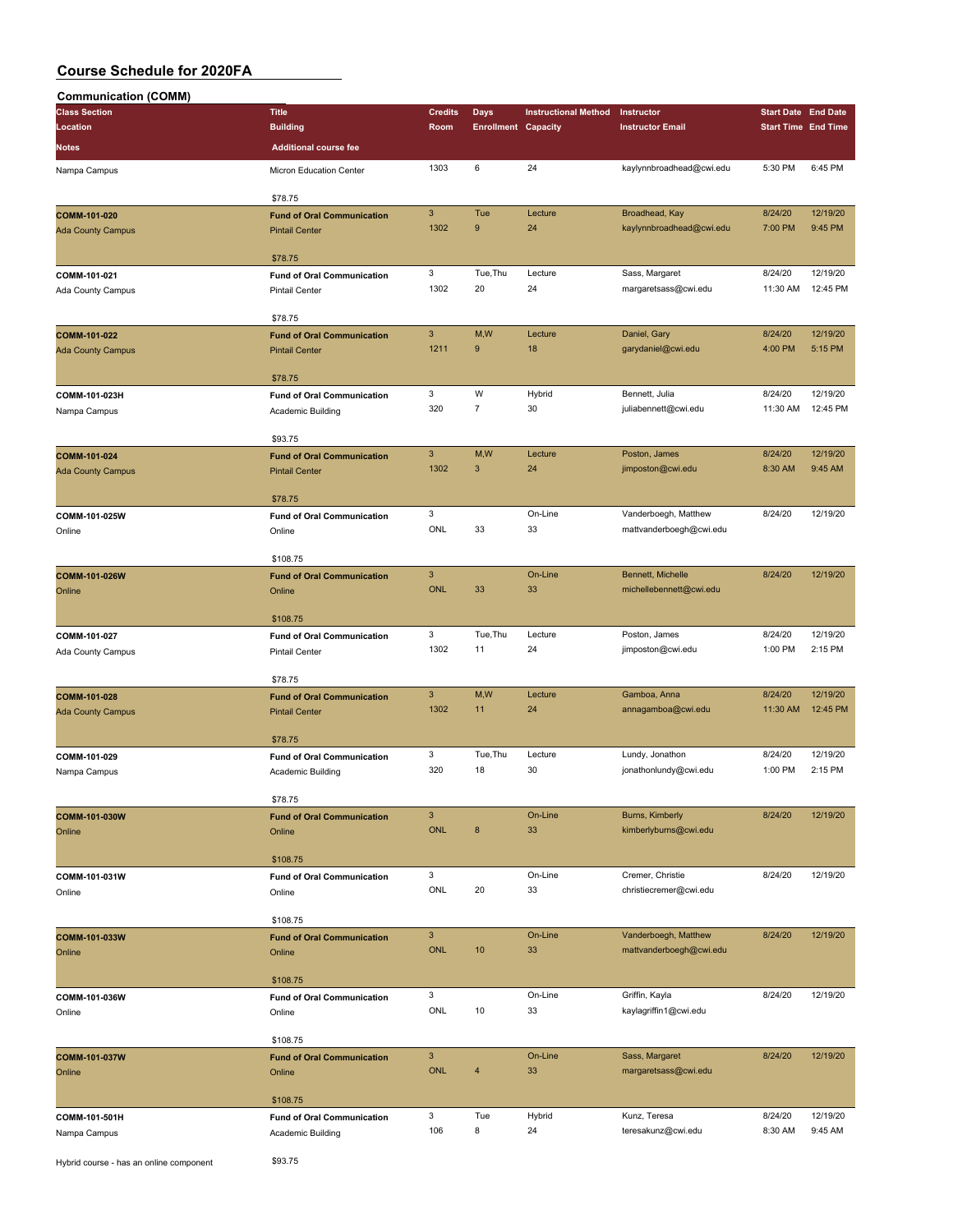| <b>Communication (COMM)</b>             |                                             |                           |                            |                             |                                        |                            |                            |
|-----------------------------------------|---------------------------------------------|---------------------------|----------------------------|-----------------------------|----------------------------------------|----------------------------|----------------------------|
| <b>Class Section</b>                    | <b>Title</b>                                | <b>Credits</b>            | Days                       | <b>Instructional Method</b> | Instructor                             | <b>Start Date End Date</b> |                            |
| Location                                | <b>Building</b>                             | Room                      | <b>Enrollment Capacity</b> |                             | <b>Instructor Email</b>                |                            | <b>Start Time End Time</b> |
| <b>Notes</b>                            | <b>Additional course fee</b>                |                           |                            |                             |                                        |                            |                            |
|                                         |                                             |                           | 6                          |                             |                                        |                            |                            |
| Nampa Campus                            | Micron Education Center                     | 1303                      |                            | 24                          | kaylynnbroadhead@cwi.edu               | 5:30 PM                    | 6:45 PM                    |
|                                         | \$78.75                                     |                           |                            |                             |                                        |                            |                            |
| COMM-101-020                            | <b>Fund of Oral Communication</b>           | $\ensuremath{\mathsf{3}}$ | Tue                        | Lecture                     | Broadhead, Kay                         | 8/24/20                    | 12/19/20                   |
| <b>Ada County Campus</b>                | <b>Pintail Center</b>                       | 1302                      | 9                          | 24                          | kaylynnbroadhead@cwi.edu               | 7:00 PM                    | 9:45 PM                    |
|                                         |                                             |                           |                            |                             |                                        |                            |                            |
|                                         | \$78.75                                     |                           |                            |                             |                                        |                            |                            |
| COMM-101-021                            | <b>Fund of Oral Communication</b>           | 3                         | Tue, Thu                   | Lecture                     | Sass, Margaret                         | 8/24/20                    | 12/19/20                   |
| Ada County Campus                       | <b>Pintail Center</b>                       | 1302                      | 20                         | 24                          | margaretsass@cwi.edu                   | 11:30 AM                   | 12:45 PM                   |
|                                         |                                             |                           |                            |                             |                                        |                            |                            |
|                                         | \$78.75                                     |                           |                            |                             |                                        |                            |                            |
| COMM-101-022                            | <b>Fund of Oral Communication</b>           | $\mathbf{3}$              | M,W                        | Lecture                     | Daniel, Gary                           | 8/24/20                    | 12/19/20                   |
| <b>Ada County Campus</b>                | <b>Pintail Center</b>                       | 1211                      | 9                          | 18                          | garydaniel@cwi.edu                     | 4:00 PM                    | 5:15 PM                    |
|                                         |                                             |                           |                            |                             |                                        |                            |                            |
|                                         | \$78.75                                     |                           | W                          |                             |                                        |                            | 12/19/20                   |
| COMM-101-023H                           | <b>Fund of Oral Communication</b>           | 3<br>320                  | $\overline{7}$             | Hybrid<br>30                | Bennett, Julia<br>juliabennett@cwi.edu | 8/24/20<br>11:30 AM        | 12:45 PM                   |
| Nampa Campus                            | Academic Building                           |                           |                            |                             |                                        |                            |                            |
|                                         | \$93.75                                     |                           |                            |                             |                                        |                            |                            |
| COMM-101-024                            | <b>Fund of Oral Communication</b>           | $\mathbf{3}$              | M,W                        | Lecture                     | Poston, James                          | 8/24/20                    | 12/19/20                   |
| <b>Ada County Campus</b>                | <b>Pintail Center</b>                       | 1302                      | 3                          | 24                          | jimposton@cwi.edu                      | 8:30 AM                    | 9:45 AM                    |
|                                         |                                             |                           |                            |                             |                                        |                            |                            |
|                                         | \$78.75                                     |                           |                            |                             |                                        |                            |                            |
| COMM-101-025W                           | <b>Fund of Oral Communication</b>           | 3                         |                            | On-Line                     | Vanderboegh, Matthew                   | 8/24/20                    | 12/19/20                   |
| Online                                  | Online                                      | ONL                       | 33                         | 33                          | mattvanderboegh@cwi.edu                |                            |                            |
|                                         |                                             |                           |                            |                             |                                        |                            |                            |
|                                         | \$108.75                                    |                           |                            |                             |                                        |                            |                            |
| COMM-101-026W                           | <b>Fund of Oral Communication</b>           | $\ensuremath{\mathsf{3}}$ |                            | On-Line                     | Bennett, Michelle                      | 8/24/20                    | 12/19/20                   |
| Online                                  | Online                                      | <b>ONL</b>                | 33                         | 33                          | michellebennett@cwi.edu                |                            |                            |
|                                         |                                             |                           |                            |                             |                                        |                            |                            |
|                                         | \$108.75                                    | $\mathbf 3$               | Tue, Thu                   | Lecture                     | Poston, James                          | 8/24/20                    | 12/19/20                   |
| COMM-101-027                            | <b>Fund of Oral Communication</b>           | 1302                      | 11                         | 24                          | jimposton@cwi.edu                      | 1:00 PM                    | 2:15 PM                    |
| Ada County Campus                       | <b>Pintail Center</b>                       |                           |                            |                             |                                        |                            |                            |
|                                         | \$78.75                                     |                           |                            |                             |                                        |                            |                            |
| COMM-101-028                            | <b>Fund of Oral Communication</b>           | $\mathbf{3}$              | M, W                       | Lecture                     | Gamboa, Anna                           | 8/24/20                    | 12/19/20                   |
| <b>Ada County Campus</b>                | <b>Pintail Center</b>                       | 1302                      | 11                         | 24                          | annagamboa@cwi.edu                     | 11:30 AM                   | 12:45 PM                   |
|                                         |                                             |                           |                            |                             |                                        |                            |                            |
|                                         | \$78.75                                     |                           |                            |                             |                                        |                            |                            |
| COMM-101-029                            | <b>Fund of Oral Communication</b>           | 3                         | Tue, Thu                   | Lecture                     | Lundy, Jonathon                        | 8/24/20                    | 12/19/20                   |
| Nampa Campus                            | Academic Building                           | 320                       | 18                         | 30                          | jonathonlundy@cwi.edu                  | 1:00 PM                    | 2:15 PM                    |
|                                         |                                             |                           |                            |                             |                                        |                            |                            |
|                                         | \$78.75                                     |                           |                            |                             |                                        |                            |                            |
| COMM-101-030W                           | <b>Fund of Oral Communication</b>           | $\ensuremath{\mathsf{3}}$ |                            | On-Line                     | Burns, Kimberly                        | 8/24/20                    | 12/19/20                   |
| Online                                  | Online                                      | <b>ONL</b>                | 8                          | 33                          | kimberlyburns@cwi.edu                  |                            |                            |
|                                         | \$108.75                                    |                           |                            |                             |                                        |                            |                            |
|                                         |                                             | $\mathbf 3$               |                            | On-Line                     | Cremer, Christie                       | 8/24/20                    | 12/19/20                   |
| COMM-101-031W                           | <b>Fund of Oral Communication</b><br>Online | ONL                       | 20                         | 33                          | christiecremer@cwi.edu                 |                            |                            |
| Online                                  |                                             |                           |                            |                             |                                        |                            |                            |
|                                         | \$108.75                                    |                           |                            |                             |                                        |                            |                            |
| COMM-101-033W                           | <b>Fund of Oral Communication</b>           | $\ensuremath{\mathsf{3}}$ |                            | On-Line                     | Vanderboegh, Matthew                   | 8/24/20                    | 12/19/20                   |
| Online                                  | Online                                      | ONL                       | 10                         | 33                          | mattvanderboegh@cwi.edu                |                            |                            |
|                                         |                                             |                           |                            |                             |                                        |                            |                            |
|                                         | \$108.75                                    |                           |                            |                             |                                        |                            |                            |
| COMM-101-036W                           | <b>Fund of Oral Communication</b>           | 3                         |                            | On-Line                     | Griffin, Kayla                         | 8/24/20                    | 12/19/20                   |
| Online                                  | Online                                      | ONL                       | 10                         | 33                          | kaylagriffin1@cwi.edu                  |                            |                            |
|                                         |                                             |                           |                            |                             |                                        |                            |                            |
|                                         | \$108.75                                    |                           |                            |                             |                                        |                            |                            |
| COMM-101-037W                           | <b>Fund of Oral Communication</b>           | $\ensuremath{\mathsf{3}}$ |                            | On-Line                     | Sass, Margaret                         | 8/24/20                    | 12/19/20                   |
| Online                                  | Online                                      | ONL                       | $\overline{4}$             | 33                          | margaretsass@cwi.edu                   |                            |                            |
|                                         |                                             |                           |                            |                             |                                        |                            |                            |
|                                         | \$108.75                                    | 3                         | Tue                        |                             | Kunz, Teresa                           | 8/24/20                    | 12/19/20                   |
| COMM-101-501H                           | <b>Fund of Oral Communication</b>           | 106                       | 8                          | Hybrid<br>24                | teresakunz@cwi.edu                     | 8:30 AM                    | 9:45 AM                    |
| Nampa Campus                            | Academic Building                           |                           |                            |                             |                                        |                            |                            |
| Hybrid course - has an online component | \$93.75                                     |                           |                            |                             |                                        |                            |                            |
|                                         |                                             |                           |                            |                             |                                        |                            |                            |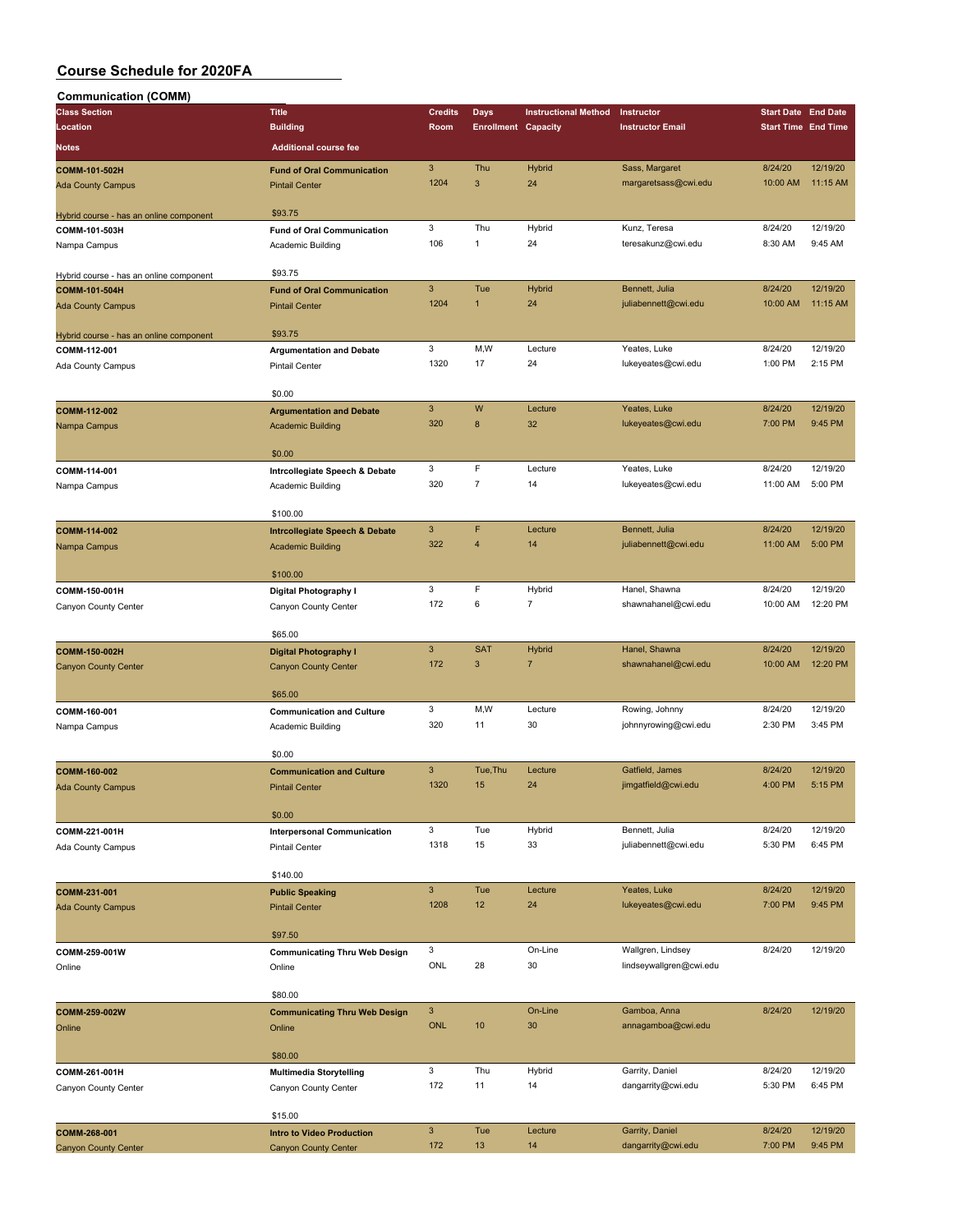| <b>Communication (COMM)</b>                              |                                           |                |                            |                             |                         |                            |                     |
|----------------------------------------------------------|-------------------------------------------|----------------|----------------------------|-----------------------------|-------------------------|----------------------------|---------------------|
| <b>Class Section</b>                                     | <b>Title</b>                              | <b>Credits</b> | Days                       | <b>Instructional Method</b> | Instructor              | <b>Start Date End Date</b> |                     |
| Location                                                 | <b>Building</b>                           | Room           | <b>Enrollment Capacity</b> |                             | <b>Instructor Email</b> | <b>Start Time End Time</b> |                     |
| <b>Notes</b>                                             | <b>Additional course fee</b>              |                |                            |                             |                         |                            |                     |
|                                                          |                                           |                |                            |                             |                         |                            |                     |
| COMM-101-502H                                            | <b>Fund of Oral Communication</b>         | $\sqrt{3}$     | Thu                        | <b>Hybrid</b>               | Sass, Margaret          | 8/24/20                    | 12/19/20            |
| <b>Ada County Campus</b>                                 | <b>Pintail Center</b>                     | 1204           | 3                          | 24                          | margaretsass@cwi.edu    | 10:00 AM                   | 11:15 AM            |
|                                                          |                                           |                |                            |                             |                         |                            |                     |
| Hybrid course - has an online component                  | \$93.75                                   |                |                            |                             |                         |                            |                     |
| COMM-101-503H                                            | <b>Fund of Oral Communication</b>         | 3<br>106       | Thu<br>$\mathbf{1}$        | Hybrid<br>24                | Kunz, Teresa            | 8/24/20<br>8:30 AM         | 12/19/20<br>9:45 AM |
| Nampa Campus                                             | Academic Building                         |                |                            |                             | teresakunz@cwi.edu      |                            |                     |
|                                                          | \$93.75                                   |                |                            |                             |                         |                            |                     |
| Hybrid course - has an online component<br>COMM-101-504H | <b>Fund of Oral Communication</b>         | $\mathbf{3}$   | Tue                        | <b>Hybrid</b>               | Bennett, Julia          | 8/24/20                    | 12/19/20            |
| <b>Ada County Campus</b>                                 | <b>Pintail Center</b>                     | 1204           | $\mathbf{1}$               | 24                          | juliabennett@cwi.edu    | 10:00 AM                   | 11:15 AM            |
|                                                          |                                           |                |                            |                             |                         |                            |                     |
| Hybrid course - has an online component                  | \$93.75                                   |                |                            |                             |                         |                            |                     |
| COMM-112-001                                             | <b>Argumentation and Debate</b>           | 3              | M,W                        | Lecture                     | Yeates, Luke            | 8/24/20                    | 12/19/20            |
| Ada County Campus                                        | <b>Pintail Center</b>                     | 1320           | 17                         | 24                          | lukeyeates@cwi.edu      | 1:00 PM                    | 2:15 PM             |
|                                                          |                                           |                |                            |                             |                         |                            |                     |
|                                                          | \$0.00                                    |                |                            |                             |                         |                            |                     |
| COMM-112-002                                             | <b>Argumentation and Debate</b>           | $\mathbf{3}$   | W                          | Lecture                     | Yeates, Luke            | 8/24/20                    | 12/19/20            |
| Nampa Campus                                             | <b>Academic Building</b>                  | 320            | 8                          | 32                          | lukeyeates@cwi.edu      | 7:00 PM                    | 9:45 PM             |
|                                                          |                                           |                |                            |                             |                         |                            |                     |
|                                                          | \$0.00                                    |                |                            |                             |                         |                            |                     |
| COMM-114-001                                             | Intrcollegiate Speech & Debate            | 3              | F                          | Lecture                     | Yeates, Luke            | 8/24/20                    | 12/19/20            |
| Nampa Campus                                             | Academic Building                         | 320            | $\overline{7}$             | 14                          | lukeyeates@cwi.edu      | 11:00 AM                   | 5:00 PM             |
|                                                          |                                           |                |                            |                             |                         |                            |                     |
|                                                          | \$100.00                                  |                |                            |                             |                         |                            |                     |
| COMM-114-002                                             | <b>Intrcollegiate Speech &amp; Debate</b> | $\mathbf{3}$   | F                          | Lecture                     | Bennett, Julia          | 8/24/20                    | 12/19/20            |
| Nampa Campus                                             | <b>Academic Building</b>                  | 322            | $\overline{4}$             | 14                          | juliabennett@cwi.edu    | 11:00 AM                   | 5:00 PM             |
|                                                          |                                           |                |                            |                             |                         |                            |                     |
|                                                          | \$100.00                                  |                |                            |                             |                         |                            |                     |
| COMM-150-001H                                            | Digital Photography I                     | 3              | F                          | Hybrid                      | Hanel, Shawna           | 8/24/20                    | 12/19/20            |
| Canyon County Center                                     | Canyon County Center                      | 172            | 6                          | $\overline{7}$              | shawnahanel@cwi.edu     | 10:00 AM                   | 12:20 PM            |
|                                                          |                                           |                |                            |                             |                         |                            |                     |
|                                                          | \$65.00                                   |                |                            |                             |                         |                            |                     |
| COMM-150-002H                                            | <b>Digital Photography I</b>              | $\mathbf{3}$   | <b>SAT</b>                 | <b>Hybrid</b>               | Hanel, Shawna           | 8/24/20                    | 12/19/20            |
| <b>Canyon County Center</b>                              | <b>Canyon County Center</b>               | 172            | 3                          | $\overline{7}$              | shawnahanel@cwi.edu     | 10:00 AM                   | 12:20 PM            |
|                                                          | \$65.00                                   |                |                            |                             |                         |                            |                     |
| COMM-160-001                                             | <b>Communication and Culture</b>          | 3              | M,W                        | Lecture                     | Rowing, Johnny          | 8/24/20                    | 12/19/20            |
|                                                          |                                           | 320            | 11                         | 30                          | johnnyrowing@cwi.edu    | 2:30 PM                    | 3:45 PM             |
| Nampa Campus                                             | Academic Building                         |                |                            |                             |                         |                            |                     |
|                                                          | \$0.00                                    |                |                            |                             |                         |                            |                     |
| COMM-160-002                                             | <b>Communication and Culture</b>          | 3              | Tue, Thu                   | Lecture                     | Gatfield, James         | 8/24/20                    | 12/19/20            |
| Ada County Campus                                        | <b>Pintail Center</b>                     | 1320           | 15                         | 24                          | jimgatfield@cwi.edu     | 4:00 PM                    | 5:15 PM             |
|                                                          |                                           |                |                            |                             |                         |                            |                     |
|                                                          | \$0.00                                    |                |                            |                             |                         |                            |                     |
| COMM-221-001H                                            | <b>Interpersonal Communication</b>        | 3              | Tue                        | Hybrid                      | Bennett, Julia          | 8/24/20                    | 12/19/20            |
| Ada County Campus                                        | <b>Pintail Center</b>                     | 1318           | 15                         | 33                          | juliabennett@cwi.edu    | 5:30 PM                    | 6:45 PM             |
|                                                          |                                           |                |                            |                             |                         |                            |                     |
|                                                          | \$140.00                                  |                |                            |                             |                         |                            |                     |
| COMM-231-001                                             | <b>Public Speaking</b>                    | $\mathbf{3}$   | Tue                        | Lecture                     | Yeates, Luke            | 8/24/20                    | 12/19/20            |
| <b>Ada County Campus</b>                                 | <b>Pintail Center</b>                     | 1208           | 12 <sup>2</sup>            | 24                          | lukeyeates@cwi.edu      | 7:00 PM                    | 9:45 PM             |
|                                                          |                                           |                |                            |                             |                         |                            |                     |
|                                                          | \$97.50                                   |                |                            |                             |                         |                            |                     |
| COMM-259-001W                                            | <b>Communicating Thru Web Design</b>      | 3              |                            | On-Line                     | Wallgren, Lindsey       | 8/24/20                    | 12/19/20            |
| Online                                                   | Online                                    | ONL            | 28                         | 30                          | lindseywallgren@cwi.edu |                            |                     |
|                                                          |                                           |                |                            |                             |                         |                            |                     |
|                                                          | \$80.00                                   |                |                            |                             |                         |                            |                     |
| COMM-259-002W                                            | <b>Communicating Thru Web Design</b>      | $\mathbf{3}$   |                            | On-Line                     | Gamboa, Anna            | 8/24/20                    | 12/19/20            |
| Online                                                   | Online                                    | <b>ONL</b>     | 10                         | 30                          | annagamboa@cwi.edu      |                            |                     |
|                                                          |                                           |                |                            |                             |                         |                            |                     |
|                                                          | \$80.00                                   |                |                            |                             |                         |                            |                     |
| COMM-261-001H                                            | <b>Multimedia Storytelling</b>            | 3<br>172       | Thu                        | Hybrid                      | Garrity, Daniel         | 8/24/20                    | 12/19/20<br>6:45 PM |
| Canyon County Center                                     | Canyon County Center                      |                | 11                         | 14                          | dangarrity@cwi.edu      | 5:30 PM                    |                     |
|                                                          | \$15.00                                   |                |                            |                             |                         |                            |                     |
| COMM-268-001                                             | <b>Intro to Video Production</b>          | $\mathbf{3}$   | Tue                        | Lecture                     | Garrity, Daniel         | 8/24/20                    | 12/19/20            |
| <b>Canyon County Center</b>                              | <b>Canyon County Center</b>               | 172            | 13                         | 14                          | dangarrity@cwi.edu      | 7:00 PM                    | 9:45 PM             |
|                                                          |                                           |                |                            |                             |                         |                            |                     |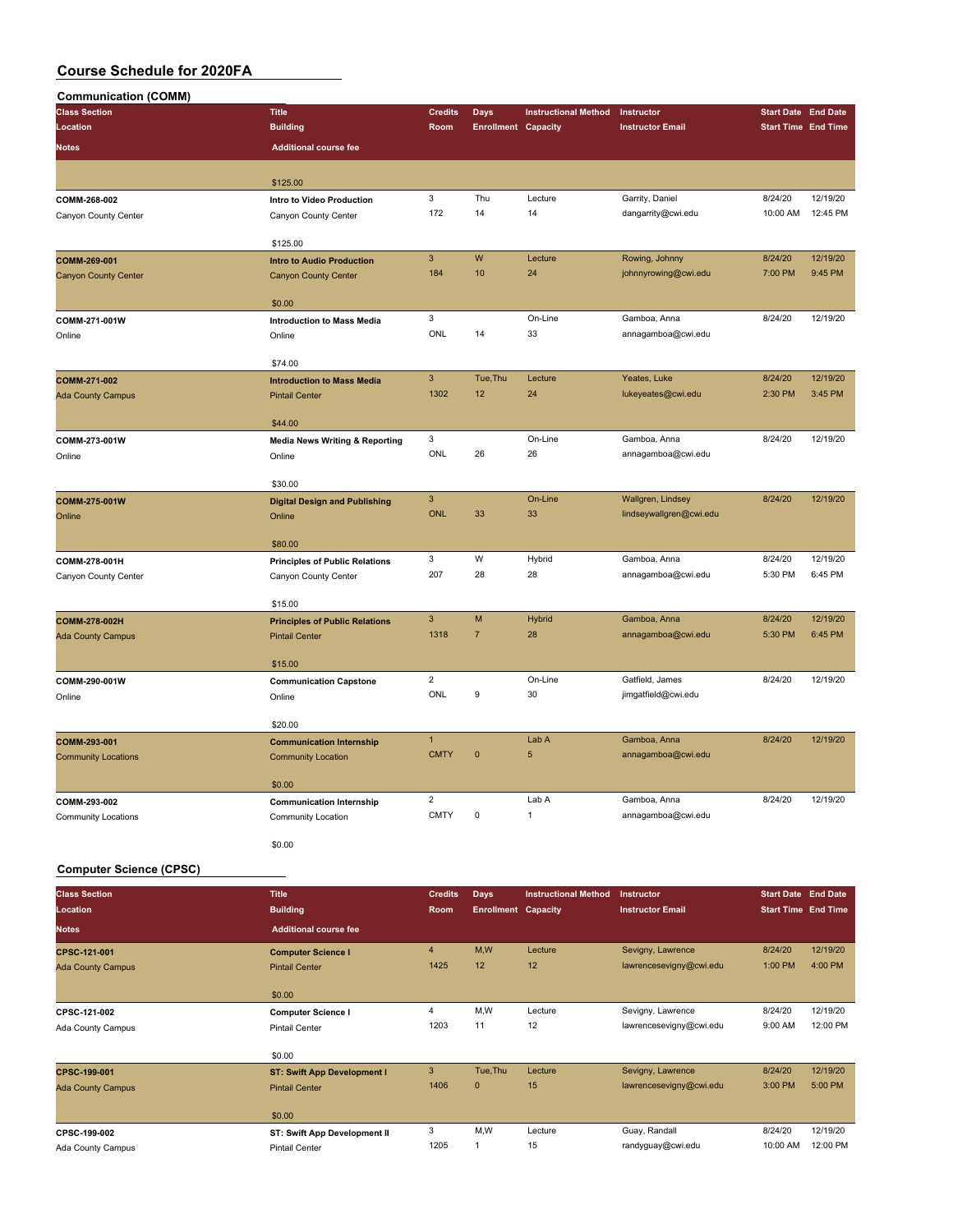| <b>Communication (COMM)</b> |                                                  |                |                            |                             |                         |                            |          |
|-----------------------------|--------------------------------------------------|----------------|----------------------------|-----------------------------|-------------------------|----------------------------|----------|
| <b>Class Section</b>        | <b>Title</b>                                     | <b>Credits</b> | <b>Days</b>                | <b>Instructional Method</b> | Instructor              | <b>Start Date End Date</b> |          |
| Location                    | <b>Building</b>                                  | Room           | <b>Enrollment Capacity</b> |                             | <b>Instructor Email</b> | <b>Start Time End Time</b> |          |
| Notes                       | <b>Additional course fee</b>                     |                |                            |                             |                         |                            |          |
|                             |                                                  |                |                            |                             |                         |                            |          |
|                             | \$125.00                                         |                |                            |                             |                         |                            |          |
| COMM-268-002                | Intro to Video Production                        | 3              | Thu                        | Lecture                     | Garrity, Daniel         | 8/24/20                    | 12/19/20 |
| Canyon County Center        | Canyon County Center                             | 172            | 14                         | 14                          | dangarrity@cwi.edu      | 10:00 AM                   | 12:45 PM |
|                             |                                                  |                |                            |                             |                         |                            |          |
|                             | \$125.00                                         | $\overline{3}$ | W                          | Lecture                     | Rowing, Johnny          | 8/24/20                    | 12/19/20 |
| COMM-269-001                | <b>Intro to Audio Production</b>                 | 184            | 10                         | 24                          | johnnyrowing@cwi.edu    | 7:00 PM                    | 9:45 PM  |
| <b>Canyon County Center</b> | <b>Canyon County Center</b>                      |                |                            |                             |                         |                            |          |
|                             | \$0.00                                           |                |                            |                             |                         |                            |          |
| COMM-271-001W               | <b>Introduction to Mass Media</b>                | 3              |                            | On-Line                     | Gamboa, Anna            | 8/24/20                    | 12/19/20 |
| Online                      | Online                                           | ONL            | 14                         | 33                          | annagamboa@cwi.edu      |                            |          |
|                             |                                                  |                |                            |                             |                         |                            |          |
|                             | \$74.00                                          | $\overline{3}$ | Tue, Thu                   | Lecture                     | Yeates, Luke            | 8/24/20                    | 12/19/20 |
| COMM-271-002                | <b>Introduction to Mass Media</b>                | 1302           | 12                         | 24                          | lukeyeates@cwi.edu      | 2:30 PM                    | 3:45 PM  |
| <b>Ada County Campus</b>    | <b>Pintail Center</b>                            |                |                            |                             |                         |                            |          |
|                             | \$44.00                                          |                |                            |                             |                         |                            |          |
| COMM-273-001W               | <b>Media News Writing &amp; Reporting</b>        | 3              |                            | On-Line                     | Gamboa, Anna            | 8/24/20                    | 12/19/20 |
| Online                      | Online                                           | ONL            | 26                         | 26                          | annagamboa@cwi.edu      |                            |          |
|                             |                                                  |                |                            |                             |                         |                            |          |
|                             | \$30.00                                          | $\overline{3}$ |                            | On-Line                     | Wallgren, Lindsey       | 8/24/20                    | 12/19/20 |
| COMM-275-001W<br>Online     | <b>Digital Design and Publishing</b><br>Online   | <b>ONL</b>     | 33                         | 33                          | lindseywallgren@cwi.edu |                            |          |
|                             |                                                  |                |                            |                             |                         |                            |          |
|                             | \$80.00                                          |                |                            |                             |                         |                            |          |
| COMM-278-001H               | <b>Principles of Public Relations</b>            | 3              | W                          | Hybrid                      | Gamboa, Anna            | 8/24/20                    | 12/19/20 |
| Canyon County Center        | Canyon County Center                             | 207            | 28                         | 28                          | annagamboa@cwi.edu      | 5:30 PM                    | 6:45 PM  |
|                             |                                                  |                |                            |                             |                         |                            |          |
| COMM-278-002H               | \$15.00<br><b>Principles of Public Relations</b> | $\overline{3}$ | M                          | <b>Hybrid</b>               | Gamboa, Anna            | 8/24/20                    | 12/19/20 |
| <b>Ada County Campus</b>    | <b>Pintail Center</b>                            | 1318           | $\overline{7}$             | 28                          | annagamboa@cwi.edu      | 5:30 PM                    | 6:45 PM  |
|                             |                                                  |                |                            |                             |                         |                            |          |
|                             | \$15.00                                          |                |                            |                             |                         |                            |          |
| COMM-290-001W               | <b>Communication Capstone</b>                    | $\overline{2}$ |                            | On-Line                     | Gatfield, James         | 8/24/20                    | 12/19/20 |
| Online                      | Online                                           | ONL            | 9                          | 30                          | jimgatfield@cwi.edu     |                            |          |
|                             | \$20.00                                          |                |                            |                             |                         |                            |          |
| COMM-293-001                | <b>Communication Internship</b>                  | $\mathbf{1}$   |                            | Lab A                       | Gamboa, Anna            | 8/24/20                    | 12/19/20 |
| <b>Community Locations</b>  | <b>Community Location</b>                        | <b>CMTY</b>    | $\mathbf{0}$               | $\overline{5}$              | annagamboa@cwi.edu      |                            |          |
|                             |                                                  |                |                            |                             |                         |                            |          |
|                             | \$0.00                                           |                |                            |                             |                         |                            |          |
| COMM-293-002                | <b>Communication Internship</b>                  | $\overline{2}$ |                            | Lab A                       | Gamboa, Anna            | 8/24/20                    | 12/19/20 |
| <b>Community Locations</b>  | Community Location                               | <b>CMTY</b>    | $\mathsf 0$                | $\mathbf{1}$                | annagamboa@cwi.edu      |                            |          |
|                             |                                                  |                |                            |                             |                         |                            |          |
|                             | \$0.00                                           |                |                            |                             |                         |                            |          |

#### **Computer Science (CPSC)**

| <b>Building</b><br><b>Start Time End Time</b><br>Room<br><b>Enrollment Capacity</b><br><b>Instructor Email</b><br><b>Additional course fee</b><br>M,W<br>8/24/20<br>$\overline{4}$<br>Lecture<br>Sevigny, Lawrence<br>12/19/20<br><b>Computer Science I</b><br>4:00 PM<br>1425<br>lawrencesevigny@cwi.edu<br>1:00 PM<br>12<br>12<br><b>Pintail Center</b><br>\$0.00<br>M,W<br>8/24/20<br>12/19/20<br>Lecture<br>Sevigny, Lawrence<br>4<br><b>Computer Science I</b><br>11<br>12<br>1203<br>12:00 PM<br>lawrencesevigny@cwi.edu<br>9:00 AM<br><b>Pintail Center</b><br>\$0.00<br>3<br>Tue, Thu<br>8/24/20<br>12/19/20<br>Sevigny, Lawrence<br>Lecture<br><b>ST: Swift App Development I</b><br>5:00 PM<br>1406<br>$\mathbf{0}$<br>15<br>lawrencesevigny@cwi.edu<br>3:00 PM<br><b>Pintail Center</b><br>\$0.00<br>3<br>M,W<br>Guay, Randall<br>8/24/20<br>12/19/20<br>Lecture<br>ST: Swift App Development II<br>1205<br>15<br>12:00 PM<br>randyguay@cwi.edu<br>10:00 AM<br><b>Pintail Center</b> | <b>Class Section</b>     | <b>Title</b> | <b>Credits</b> | <b>Days</b> | <b>Instructional Method</b> | Instructor | <b>Start Date End Date</b> |  |
|-------------------------------------------------------------------------------------------------------------------------------------------------------------------------------------------------------------------------------------------------------------------------------------------------------------------------------------------------------------------------------------------------------------------------------------------------------------------------------------------------------------------------------------------------------------------------------------------------------------------------------------------------------------------------------------------------------------------------------------------------------------------------------------------------------------------------------------------------------------------------------------------------------------------------------------------------------------------------------------------------|--------------------------|--------------|----------------|-------------|-----------------------------|------------|----------------------------|--|
|                                                                                                                                                                                                                                                                                                                                                                                                                                                                                                                                                                                                                                                                                                                                                                                                                                                                                                                                                                                                 | Location                 |              |                |             |                             |            |                            |  |
|                                                                                                                                                                                                                                                                                                                                                                                                                                                                                                                                                                                                                                                                                                                                                                                                                                                                                                                                                                                                 | <b>Notes</b>             |              |                |             |                             |            |                            |  |
|                                                                                                                                                                                                                                                                                                                                                                                                                                                                                                                                                                                                                                                                                                                                                                                                                                                                                                                                                                                                 | CPSC-121-001             |              |                |             |                             |            |                            |  |
|                                                                                                                                                                                                                                                                                                                                                                                                                                                                                                                                                                                                                                                                                                                                                                                                                                                                                                                                                                                                 | <b>Ada County Campus</b> |              |                |             |                             |            |                            |  |
|                                                                                                                                                                                                                                                                                                                                                                                                                                                                                                                                                                                                                                                                                                                                                                                                                                                                                                                                                                                                 |                          |              |                |             |                             |            |                            |  |
|                                                                                                                                                                                                                                                                                                                                                                                                                                                                                                                                                                                                                                                                                                                                                                                                                                                                                                                                                                                                 | CPSC-121-002             |              |                |             |                             |            |                            |  |
|                                                                                                                                                                                                                                                                                                                                                                                                                                                                                                                                                                                                                                                                                                                                                                                                                                                                                                                                                                                                 | Ada County Campus        |              |                |             |                             |            |                            |  |
|                                                                                                                                                                                                                                                                                                                                                                                                                                                                                                                                                                                                                                                                                                                                                                                                                                                                                                                                                                                                 |                          |              |                |             |                             |            |                            |  |
|                                                                                                                                                                                                                                                                                                                                                                                                                                                                                                                                                                                                                                                                                                                                                                                                                                                                                                                                                                                                 | CPSC-199-001             |              |                |             |                             |            |                            |  |
|                                                                                                                                                                                                                                                                                                                                                                                                                                                                                                                                                                                                                                                                                                                                                                                                                                                                                                                                                                                                 | <b>Ada County Campus</b> |              |                |             |                             |            |                            |  |
|                                                                                                                                                                                                                                                                                                                                                                                                                                                                                                                                                                                                                                                                                                                                                                                                                                                                                                                                                                                                 |                          |              |                |             |                             |            |                            |  |
|                                                                                                                                                                                                                                                                                                                                                                                                                                                                                                                                                                                                                                                                                                                                                                                                                                                                                                                                                                                                 | CPSC-199-002             |              |                |             |                             |            |                            |  |
|                                                                                                                                                                                                                                                                                                                                                                                                                                                                                                                                                                                                                                                                                                                                                                                                                                                                                                                                                                                                 | Ada County Campus        |              |                |             |                             |            |                            |  |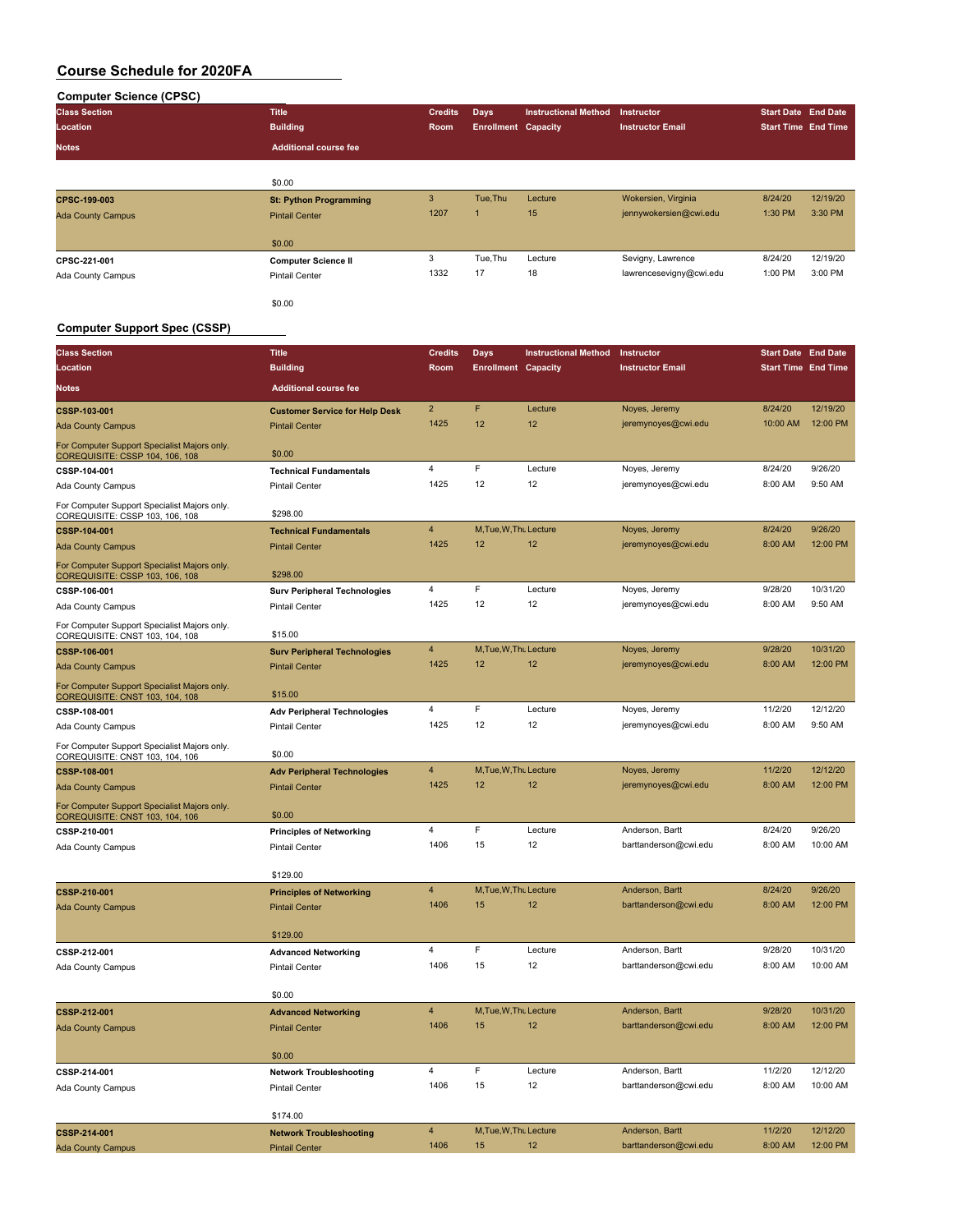| <b>Computer Science (CPSC)</b> |                               |                |                            |                             |                         |                            |          |
|--------------------------------|-------------------------------|----------------|----------------------------|-----------------------------|-------------------------|----------------------------|----------|
| <b>Class Section</b>           | <b>Title</b>                  | <b>Credits</b> | <b>Days</b>                | <b>Instructional Method</b> | <b>Instructor</b>       | <b>Start Date End Date</b> |          |
| Location                       | <b>Building</b>               | Room           | <b>Enrollment Capacity</b> |                             | <b>Instructor Email</b> | <b>Start Time End Time</b> |          |
| <b>Notes</b>                   | <b>Additional course fee</b>  |                |                            |                             |                         |                            |          |
|                                |                               |                |                            |                             |                         |                            |          |
|                                | \$0.00                        |                |                            |                             |                         |                            |          |
| CPSC-199-003                   | <b>St: Python Programming</b> | 3              | Tue, Thu                   | Lecture                     | Wokersien, Virginia     | 8/24/20                    | 12/19/20 |
| <b>Ada County Campus</b>       | <b>Pintail Center</b>         | 1207           | $\mathbf{1}$               | 15                          | jennywokersien@cwi.edu  | 1:30 PM                    | 3:30 PM  |
|                                | \$0.00                        |                |                            |                             |                         |                            |          |
| CPSC-221-001                   | <b>Computer Science II</b>    | 3              | Tue, Thu                   | Lecture                     | Sevigny, Lawrence       | 8/24/20                    | 12/19/20 |
| Ada County Campus              | <b>Pintail Center</b>         | 1332           | 17                         | 18                          | lawrencesevigny@cwi.edu | 1:00 PM                    | 3:00 PM  |
|                                | \$0.00                        |                |                            |                             |                         |                            |          |

### **Computer Support Spec (CSSP)**

| <b>Class Section</b>                                                                    | <b>Title</b>                          | <b>Credits</b> | <b>Days</b>                | <b>Instructional Method</b> | Instructor              | <b>Start Date End Date</b> |          |
|-----------------------------------------------------------------------------------------|---------------------------------------|----------------|----------------------------|-----------------------------|-------------------------|----------------------------|----------|
| Location                                                                                | <b>Building</b>                       | Room           | <b>Enrollment Capacity</b> |                             | <b>Instructor Email</b> | <b>Start Time End Time</b> |          |
| Notes                                                                                   | <b>Additional course fee</b>          |                |                            |                             |                         |                            |          |
| CSSP-103-001                                                                            | <b>Customer Service for Help Desk</b> | $\overline{2}$ | F                          | Lecture                     | Noyes, Jeremy           | 8/24/20                    | 12/19/20 |
| <b>Ada County Campus</b>                                                                | <b>Pintail Center</b>                 | 1425           | 12                         | 12                          | jeremynoyes@cwi.edu     | 10:00 AM                   | 12:00 PM |
| For Computer Support Specialist Majors only.<br>COREQUISITE: CSSP 104, 106, 108         | \$0.00                                |                |                            |                             |                         |                            |          |
| CSSP-104-001                                                                            | <b>Technical Fundamentals</b>         | $\overline{4}$ | F                          | Lecture                     | Noyes, Jeremy           | 8/24/20                    | 9/26/20  |
| Ada County Campus                                                                       | <b>Pintail Center</b>                 | 1425           | 12                         | 12                          | jeremynoyes@cwi.edu     | 8:00 AM                    | 9:50 AM  |
| For Computer Support Specialist Majors only.<br>COREQUISITE: CSSP 103, 106, 108         | \$298.00                              |                |                            |                             |                         |                            |          |
| CSSP-104-001                                                                            | <b>Technical Fundamentals</b>         | $\overline{4}$ | M, Tue, W, Thu Lecture     |                             | Noyes, Jeremy           | 8/24/20                    | 9/26/20  |
| <b>Ada County Campus</b>                                                                | <b>Pintail Center</b>                 | 1425           | 12                         | 12                          | jeremynoyes@cwi.edu     | 8:00 AM                    | 12:00 PM |
| For Computer Support Specialist Majors only.<br><u> COREQUISITE: CSSP 103, 106, 108</u> | \$298.00                              |                |                            |                             |                         |                            |          |
| CSSP-106-001                                                                            | <b>Surv Peripheral Technologies</b>   | 4              | $\mathsf F$                | Lecture                     | Noyes, Jeremy           | 9/28/20                    | 10/31/20 |
| Ada County Campus                                                                       | <b>Pintail Center</b>                 | 1425           | 12                         | 12                          | jeremynoyes@cwi.edu     | 8:00 AM                    | 9:50 AM  |
| For Computer Support Specialist Majors only.<br>COREQUISITE: CNST 103, 104, 108         | \$15.00                               |                |                            |                             |                         |                            |          |
| CSSP-106-001                                                                            | <b>Surv Peripheral Technologies</b>   | $\overline{4}$ | M, Tue, W, Thu Lecture     |                             | Noyes, Jeremy           | 9/28/20                    | 10/31/20 |
| Ada County Campus                                                                       | <b>Pintail Center</b>                 | 1425           | 12                         | 12                          | jeremynoyes@cwi.edu     | 8:00 AM                    | 12:00 PM |
| For Computer Support Specialist Majors only.<br>COREQUISITE: CNST 103, 104, 108         | \$15.00                               |                |                            |                             |                         |                            |          |
| CSSP-108-001                                                                            | <b>Adv Peripheral Technologies</b>    | $\sqrt{4}$     | F                          | Lecture                     | Noyes, Jeremy           | 11/2/20                    | 12/12/20 |
| Ada County Campus                                                                       | <b>Pintail Center</b>                 | 1425           | 12                         | 12                          | jeremynoyes@cwi.edu     | 8:00 AM                    | 9:50 AM  |
| For Computer Support Specialist Majors only.<br>COREQUISITE: CNST 103, 104, 106         | \$0.00                                |                |                            |                             |                         |                            |          |
| CSSP-108-001                                                                            | <b>Adv Peripheral Technologies</b>    | $\overline{4}$ | M, Tue, W, Thu Lecture     |                             | Noyes, Jeremy           | 11/2/20                    | 12/12/20 |
| <b>Ada County Campus</b>                                                                | <b>Pintail Center</b>                 | 1425           | 12                         | 12                          | jeremynoyes@cwi.edu     | 8:00 AM                    | 12:00 PM |
| For Computer Support Specialist Majors only.<br>COREQUISITE: CNST 103, 104, 106         | \$0.00                                |                |                            |                             |                         |                            |          |
| CSSP-210-001                                                                            | <b>Principles of Networking</b>       | 4              | F                          | Lecture                     | Anderson, Bartt         | 8/24/20                    | 9/26/20  |
| Ada County Campus                                                                       | <b>Pintail Center</b>                 | 1406           | 15                         | 12                          | barttanderson@cwi.edu   | 8:00 AM                    | 10:00 AM |
|                                                                                         | \$129.00                              |                |                            |                             |                         |                            |          |
| CSSP-210-001                                                                            | <b>Principles of Networking</b>       | $\overline{4}$ | M, Tue, W, Thu Lecture     |                             | Anderson, Bartt         | 8/24/20                    | 9/26/20  |
| <b>Ada County Campus</b>                                                                | <b>Pintail Center</b>                 | 1406           | 15                         | 12                          | barttanderson@cwi.edu   | 8:00 AM                    | 12:00 PM |
|                                                                                         | \$129.00                              |                |                            |                             |                         |                            |          |
| CSSP-212-001                                                                            | <b>Advanced Networking</b>            | $\overline{4}$ | F                          | Lecture                     | Anderson, Bartt         | 9/28/20                    | 10/31/20 |
| Ada County Campus                                                                       | <b>Pintail Center</b>                 | 1406           | 15                         | 12                          | barttanderson@cwi.edu   | 8:00 AM                    | 10:00 AM |
|                                                                                         | \$0.00                                |                |                            |                             |                         |                            |          |
| <b>CSSP-212-001</b>                                                                     | <b>Advanced Networking</b>            | $\overline{4}$ | M, Tue, W, Thu Lecture     |                             | Anderson, Bartt         | 9/28/20                    | 10/31/20 |
| <b>Ada County Campus</b>                                                                | <b>Pintail Center</b>                 | 1406           | 15                         | 12                          | barttanderson@cwi.edu   | 8:00 AM                    | 12:00 PM |
|                                                                                         | \$0.00                                |                |                            |                             |                         |                            |          |
| CSSP-214-001                                                                            | <b>Network Troubleshooting</b>        | 4              | E                          | Lecture                     | Anderson, Bartt         | 11/2/20                    | 12/12/20 |
| Ada County Campus                                                                       | <b>Pintail Center</b>                 | 1406           | 15                         | 12                          | barttanderson@cwi.edu   | 8:00 AM                    | 10:00 AM |
|                                                                                         | \$174.00                              |                |                            |                             |                         |                            |          |
| CSSP-214-001                                                                            | <b>Network Troubleshooting</b>        | $\overline{4}$ | M, Tue, W, Thu Lecture     |                             | Anderson, Bartt         | 11/2/20                    | 12/12/20 |
| <b>Ada County Campus</b>                                                                | <b>Pintail Center</b>                 | 1406           | 15                         | 12                          | barttanderson@cwi.edu   | 8:00 AM                    | 12:00 PM |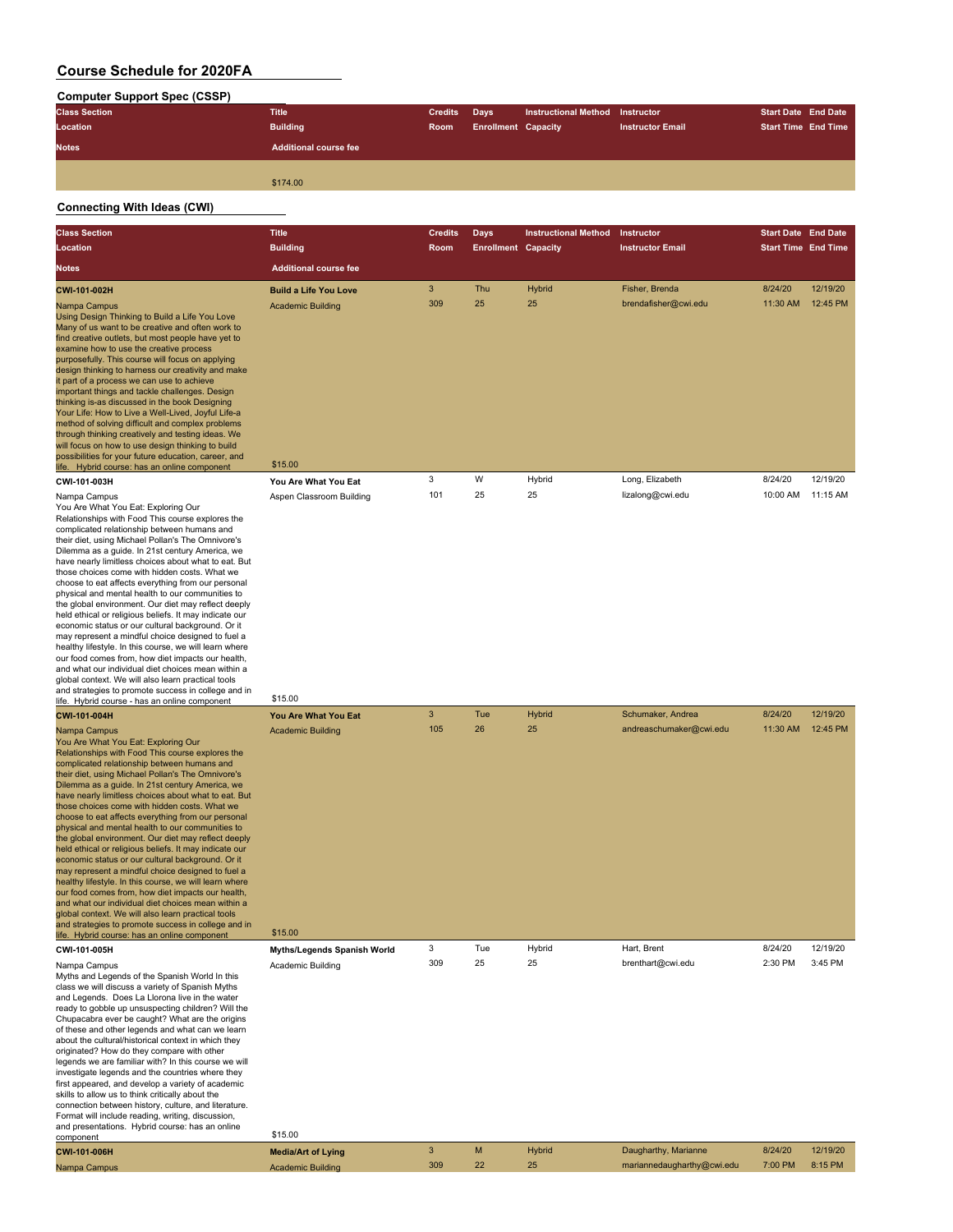#### **Computer Support Spec (CSSP)**

| sompater support opee (ssor ) |                              |                |                            |                                 |                         |                            |                            |
|-------------------------------|------------------------------|----------------|----------------------------|---------------------------------|-------------------------|----------------------------|----------------------------|
| <b>Class Section</b>          | <b>Title</b>                 | <b>Credits</b> | <b>Days</b>                | Instructional Method Instructor |                         | <b>Start Date End Date</b> |                            |
| Location                      | <b>Building</b>              | Room           | <b>Enrollment Capacity</b> |                                 | <b>Instructor Email</b> |                            | <b>Start Time End Time</b> |
| <b>Notes</b>                  | <b>Additional course fee</b> |                |                            |                                 |                         |                            |                            |
|                               |                              |                |                            |                                 |                         |                            |                            |
|                               | \$174.00                     |                |                            |                                 |                         |                            |                            |
|                               |                              |                |                            |                                 |                         |                            |                            |

### **Connecting With Ideas (CWI)**

| <b>Class Section</b>                                                                                                                                                                                                                                                                                                                                                                                                                                                                                                                                                                                                                                                                                                                                                                                                                                                                                                                                                                                                                           | <b>Title</b>                                                | <b>Credits</b> | <b>Days</b>                | <b>Instructional Method</b> | Instructor                             | <b>Start Date End Date</b> |                      |
|------------------------------------------------------------------------------------------------------------------------------------------------------------------------------------------------------------------------------------------------------------------------------------------------------------------------------------------------------------------------------------------------------------------------------------------------------------------------------------------------------------------------------------------------------------------------------------------------------------------------------------------------------------------------------------------------------------------------------------------------------------------------------------------------------------------------------------------------------------------------------------------------------------------------------------------------------------------------------------------------------------------------------------------------|-------------------------------------------------------------|----------------|----------------------------|-----------------------------|----------------------------------------|----------------------------|----------------------|
| Location                                                                                                                                                                                                                                                                                                                                                                                                                                                                                                                                                                                                                                                                                                                                                                                                                                                                                                                                                                                                                                       | <b>Building</b>                                             | Room           | <b>Enrollment Capacity</b> |                             | <b>Instructor Email</b>                | <b>Start Time End Time</b> |                      |
| Notes                                                                                                                                                                                                                                                                                                                                                                                                                                                                                                                                                                                                                                                                                                                                                                                                                                                                                                                                                                                                                                          | <b>Additional course fee</b>                                |                |                            |                             |                                        |                            |                      |
| CWI-101-002H<br>Nampa Campus<br>Using Design Thinking to Build a Life You Love<br>Many of us want to be creative and often work to<br>find creative outlets, but most people have yet to<br>examine how to use the creative process<br>purposefully. This course will focus on applying<br>design thinking to harness our creativity and make<br>it part of a process we can use to achieve<br>important things and tackle challenges. Design<br>thinking is-as discussed in the book Designing<br>Your Life: How to Live a Well-Lived, Joyful Life-a<br>method of solving difficult and complex problems<br>through thinking creatively and testing ideas. We<br>will focus on how to use design thinking to build<br>possibilities for your future education, career, and                                                                                                                                                                                                                                                                    | <b>Build a Life You Love</b><br><b>Academic Building</b>    | 3<br>309       | Thu<br>25                  | Hybrid<br>25                | Fisher, Brenda<br>brendafisher@cwi.edu | 8/24/20<br>11:30 AM        | 12/19/20<br>12:45 PM |
| life. Hybrid course: has an online component                                                                                                                                                                                                                                                                                                                                                                                                                                                                                                                                                                                                                                                                                                                                                                                                                                                                                                                                                                                                   | \$15.00                                                     | 3              | W                          | Hybrid                      | Long, Elizabeth                        | 8/24/20                    | 12/19/20             |
| CWI-101-003H<br>Nampa Campus<br>You Are What You Eat: Exploring Our<br>Relationships with Food This course explores the<br>complicated relationship between humans and<br>their diet, using Michael Pollan's The Omnivore's<br>Dilemma as a guide. In 21st century America, we<br>have nearly limitless choices about what to eat. But<br>those choices come with hidden costs. What we<br>choose to eat affects everything from our personal<br>physical and mental health to our communities to<br>the global environment. Our diet may reflect deeply<br>held ethical or religious beliefs. It may indicate our<br>economic status or our cultural background. Or it<br>may represent a mindful choice designed to fuel a<br>healthy lifestyle. In this course, we will learn where<br>our food comes from, how diet impacts our health,<br>and what our individual diet choices mean within a<br>global context. We will also learn practical tools<br>and strategies to promote success in college and in                                 | You Are What You Eat<br>Aspen Classroom Building            | 101            | 25                         | 25                          | lizalong@cwi.edu                       | 10:00 AM                   | 11:15 AM             |
| life. Hybrid course - has an online component<br>CWI-101-004H                                                                                                                                                                                                                                                                                                                                                                                                                                                                                                                                                                                                                                                                                                                                                                                                                                                                                                                                                                                  | \$15.00                                                     | $\mathbf{3}$   | Tue                        | Hybrid                      | Schumaker, Andrea                      | 8/24/20                    | 12/19/20             |
| Nampa Campus<br>You Are What You Eat: Exploring Our<br>Relationships with Food This course explores the<br>complicated relationship between humans and<br>their diet, using Michael Pollan's The Omnivore's<br>Dilemma as a guide. In 21st century America, we<br>have nearly limitless choices about what to eat. But<br>those choices come with hidden costs. What we<br>choose to eat affects everything from our personal<br>physical and mental health to our communities to<br>the global environment. Our diet may reflect deeply<br>held ethical or religious beliefs. It may indicate our<br>economic status or our cultural background. Or it<br>may represent a mindful choice designed to fuel a<br>healthy lifestyle. In this course, we will learn where<br>our food comes from, how diet impacts our health,<br>and what our individual diet choices mean within a<br>global context. We will also learn practical tools<br>and strategies to promote success in college and in<br>life. Hybrid course: has an online component | You Are What You Eat<br><b>Academic Building</b><br>\$15.00 | 105<br>3       | 26<br>Tue                  | 25<br>Hybrid                | andreaschumaker@cwi.edu<br>Hart, Brent | 11:30 AM<br>8/24/20        | 12:45 PM<br>12/19/20 |
| CWI-101-005H                                                                                                                                                                                                                                                                                                                                                                                                                                                                                                                                                                                                                                                                                                                                                                                                                                                                                                                                                                                                                                   | Myths/Legends Spanish World                                 | 309            | 25                         | 25                          | brenthart@cwi.edu                      | 2:30 PM                    | 3:45 PM              |
| Nampa Campus<br>Myths and Legends of the Spanish World In this<br>class we will discuss a variety of Spanish Myths<br>and Legends. Does La Llorona live in the water<br>ready to gobble up unsuspecting children? Will the<br>Chupacabra ever be caught? What are the origins<br>of these and other legends and what can we learn<br>about the cultural/historical context in which they<br>originated? How do they compare with other<br>legends we are familiar with? In this course we will<br>investigate legends and the countries where they<br>first appeared, and develop a variety of academic<br>skills to allow us to think critically about the<br>connection between history, culture, and literature.<br>Format will include reading, writing, discussion,<br>and presentations. Hybrid course: has an online                                                                                                                                                                                                                    | Academic Building                                           |                |                            |                             |                                        |                            |                      |
| component<br>CWI-101-006H                                                                                                                                                                                                                                                                                                                                                                                                                                                                                                                                                                                                                                                                                                                                                                                                                                                                                                                                                                                                                      | \$15.00                                                     | $\mathbf{3}$   | M                          | <b>Hybrid</b>               | Daugharthy, Marianne                   | 8/24/20                    | 12/19/20             |
| Nampa Campus                                                                                                                                                                                                                                                                                                                                                                                                                                                                                                                                                                                                                                                                                                                                                                                                                                                                                                                                                                                                                                   | <b>Media/Art of Lying</b><br><b>Academic Building</b>       | 309            | 22                         | 25                          | mariannedaugharthy@cwi.edu             | 7:00 PM                    | 8:15 PM              |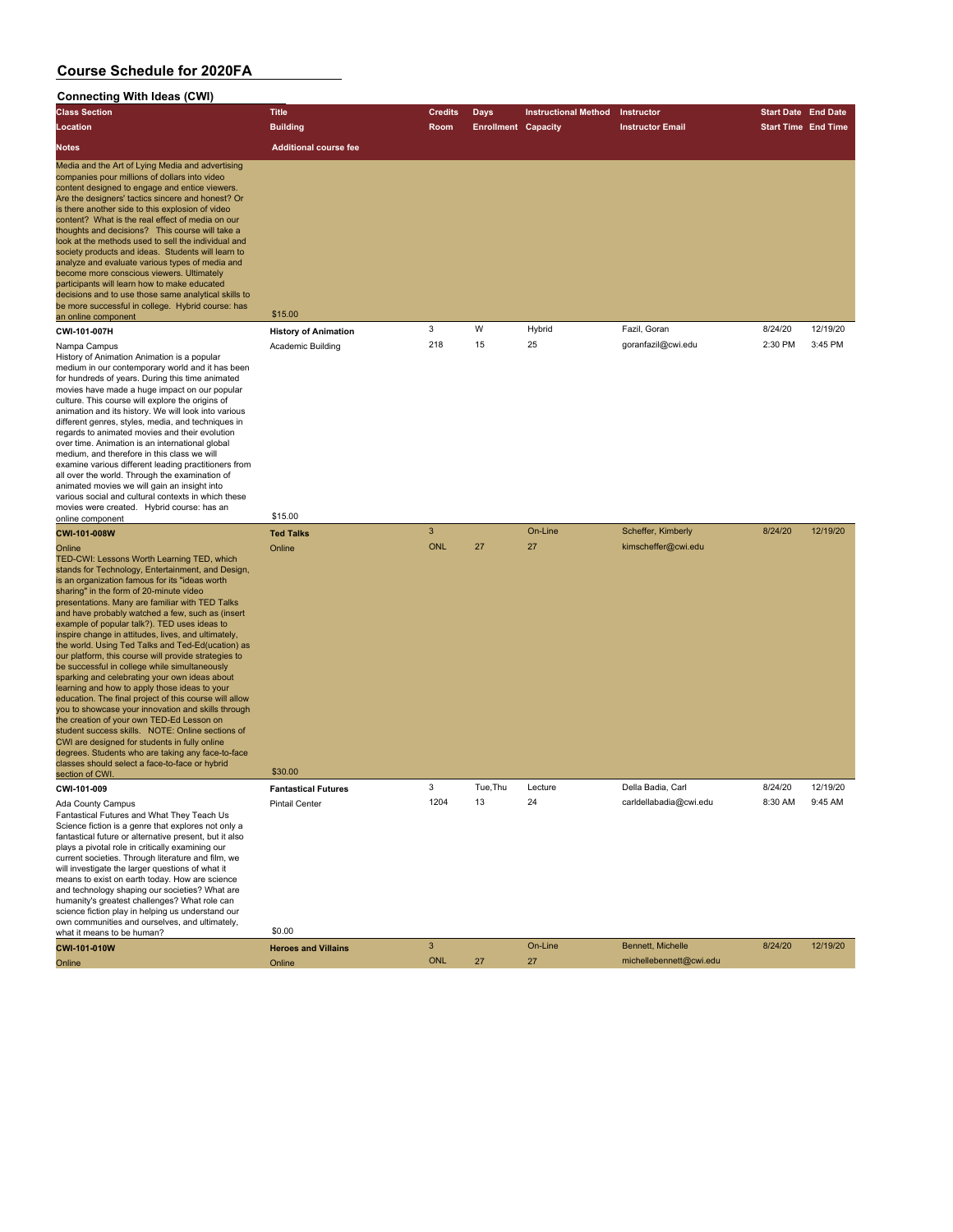| <b>Connecting With Ideas (CWI)</b>                                                                                                                                                                                                                                                                                                                                                                                                                                                                                                                                                                                                                                                                                                                                                                                                                                                                                                                                                                                                                                                               |                                       |                            |                            |                             |                                           |                            |          |
|--------------------------------------------------------------------------------------------------------------------------------------------------------------------------------------------------------------------------------------------------------------------------------------------------------------------------------------------------------------------------------------------------------------------------------------------------------------------------------------------------------------------------------------------------------------------------------------------------------------------------------------------------------------------------------------------------------------------------------------------------------------------------------------------------------------------------------------------------------------------------------------------------------------------------------------------------------------------------------------------------------------------------------------------------------------------------------------------------|---------------------------------------|----------------------------|----------------------------|-----------------------------|-------------------------------------------|----------------------------|----------|
| <b>Class Section</b>                                                                                                                                                                                                                                                                                                                                                                                                                                                                                                                                                                                                                                                                                                                                                                                                                                                                                                                                                                                                                                                                             | <b>Title</b>                          | <b>Credits</b>             | <b>Days</b>                | <b>Instructional Method</b> | Instructor                                | <b>Start Date End Date</b> |          |
| Location                                                                                                                                                                                                                                                                                                                                                                                                                                                                                                                                                                                                                                                                                                                                                                                                                                                                                                                                                                                                                                                                                         | <b>Building</b>                       | Room                       | <b>Enrollment Capacity</b> |                             | <b>Instructor Email</b>                   | <b>Start Time End Time</b> |          |
| <b>Notes</b>                                                                                                                                                                                                                                                                                                                                                                                                                                                                                                                                                                                                                                                                                                                                                                                                                                                                                                                                                                                                                                                                                     | <b>Additional course fee</b>          |                            |                            |                             |                                           |                            |          |
| Media and the Art of Lying Media and advertising<br>companies pour millions of dollars into video<br>content designed to engage and entice viewers.<br>Are the designers' tactics sincere and honest? Or<br>is there another side to this explosion of video<br>content? What is the real effect of media on our<br>thoughts and decisions? This course will take a<br>look at the methods used to sell the individual and<br>society products and ideas. Students will learn to<br>analyze and evaluate various types of media and<br>become more conscious viewers. Ultimately<br>participants will learn how to make educated<br>decisions and to use those same analytical skills to<br>be more successful in college. Hybrid course: has<br>an online component                                                                                                                                                                                                                                                                                                                             | \$15.00                               |                            |                            |                             |                                           |                            |          |
| CWI-101-007H                                                                                                                                                                                                                                                                                                                                                                                                                                                                                                                                                                                                                                                                                                                                                                                                                                                                                                                                                                                                                                                                                     | <b>History of Animation</b>           | 3                          | W                          | Hybrid                      | Fazil, Goran                              | 8/24/20                    | 12/19/20 |
| Nampa Campus<br>History of Animation Animation is a popular<br>medium in our contemporary world and it has been<br>for hundreds of years. During this time animated<br>movies have made a huge impact on our popular<br>culture. This course will explore the origins of<br>animation and its history. We will look into various<br>different genres, styles, media, and techniques in<br>regards to animated movies and their evolution<br>over time. Animation is an international global<br>medium, and therefore in this class we will<br>examine various different leading practitioners from<br>all over the world. Through the examination of<br>animated movies we will gain an insight into<br>various social and cultural contexts in which these<br>movies were created. Hybrid course: has an                                                                                                                                                                                                                                                                                        | Academic Building                     | 218                        | 15                         | 25                          | goranfazil@cwi.edu                        | 2:30 PM                    | 3:45 PM  |
| online component                                                                                                                                                                                                                                                                                                                                                                                                                                                                                                                                                                                                                                                                                                                                                                                                                                                                                                                                                                                                                                                                                 | \$15.00                               |                            |                            |                             |                                           |                            |          |
| CWI-101-008W<br>Online<br>TED-CWI: Lessons Worth Learning TED, which<br>stands for Technology, Entertainment, and Design,<br>is an organization famous for its "ideas worth<br>sharing" in the form of 20-minute video<br>presentations. Many are familiar with TED Talks<br>and have probably watched a few, such as (insert<br>example of popular talk?). TED uses ideas to<br>inspire change in attitudes, lives, and ultimately,<br>the world. Using Ted Talks and Ted-Ed(ucation) as<br>our platform, this course will provide strategies to<br>be successful in college while simultaneously<br>sparking and celebrating your own ideas about<br>learning and how to apply those ideas to your<br>education. The final project of this course will allow<br>you to showcase your innovation and skills through<br>the creation of your own TED-Ed Lesson on<br>student success skills. NOTE: Online sections of<br>CWI are designed for students in fully online<br>degrees. Students who are taking any face-to-face<br>classes should select a face-to-face or hybrid<br>section of CWI. | <b>Ted Talks</b><br>Online<br>\$30.00 | $\mathbf{3}$<br><b>ONL</b> | 27                         | On-Line<br>27               | Scheffer, Kimberly<br>kimscheffer@cwi.edu | 8/24/20                    | 12/19/20 |
| <b>CWI-101-009</b>                                                                                                                                                                                                                                                                                                                                                                                                                                                                                                                                                                                                                                                                                                                                                                                                                                                                                                                                                                                                                                                                               | <b>Fantastical Futures</b>            | 3                          | Tue, Thu                   | Lecture                     | Della Badia, Carl                         | 8/24/20                    | 12/19/20 |
| Ada County Campus<br>Fantastical Futures and What They Teach Us<br>Science fiction is a genre that explores not only a                                                                                                                                                                                                                                                                                                                                                                                                                                                                                                                                                                                                                                                                                                                                                                                                                                                                                                                                                                           | <b>Pintail Center</b>                 | 1204                       | 13                         | 24                          | carldellabadia@cwi.edu                    | 8:30 AM                    | 9:45 AM  |
| fantastical future or alternative present, but it also<br>plays a pivotal role in critically examining our<br>current societies. Through literature and film, we<br>will investigate the larger questions of what it<br>means to exist on earth today. How are science<br>and technology shaping our societies? What are<br>humanity's greatest challenges? What role can<br>science fiction play in helping us understand our                                                                                                                                                                                                                                                                                                                                                                                                                                                                                                                                                                                                                                                                   |                                       |                            |                            |                             |                                           |                            |          |
| own communities and ourselves, and ultimately,<br>what it means to be human?<br>CWI-101-010W                                                                                                                                                                                                                                                                                                                                                                                                                                                                                                                                                                                                                                                                                                                                                                                                                                                                                                                                                                                                     | \$0.00<br><b>Heroes and Villains</b>  | $\ensuremath{\mathsf{3}}$  |                            | On-Line                     | Bennett, Michelle                         | 8/24/20                    | 12/19/20 |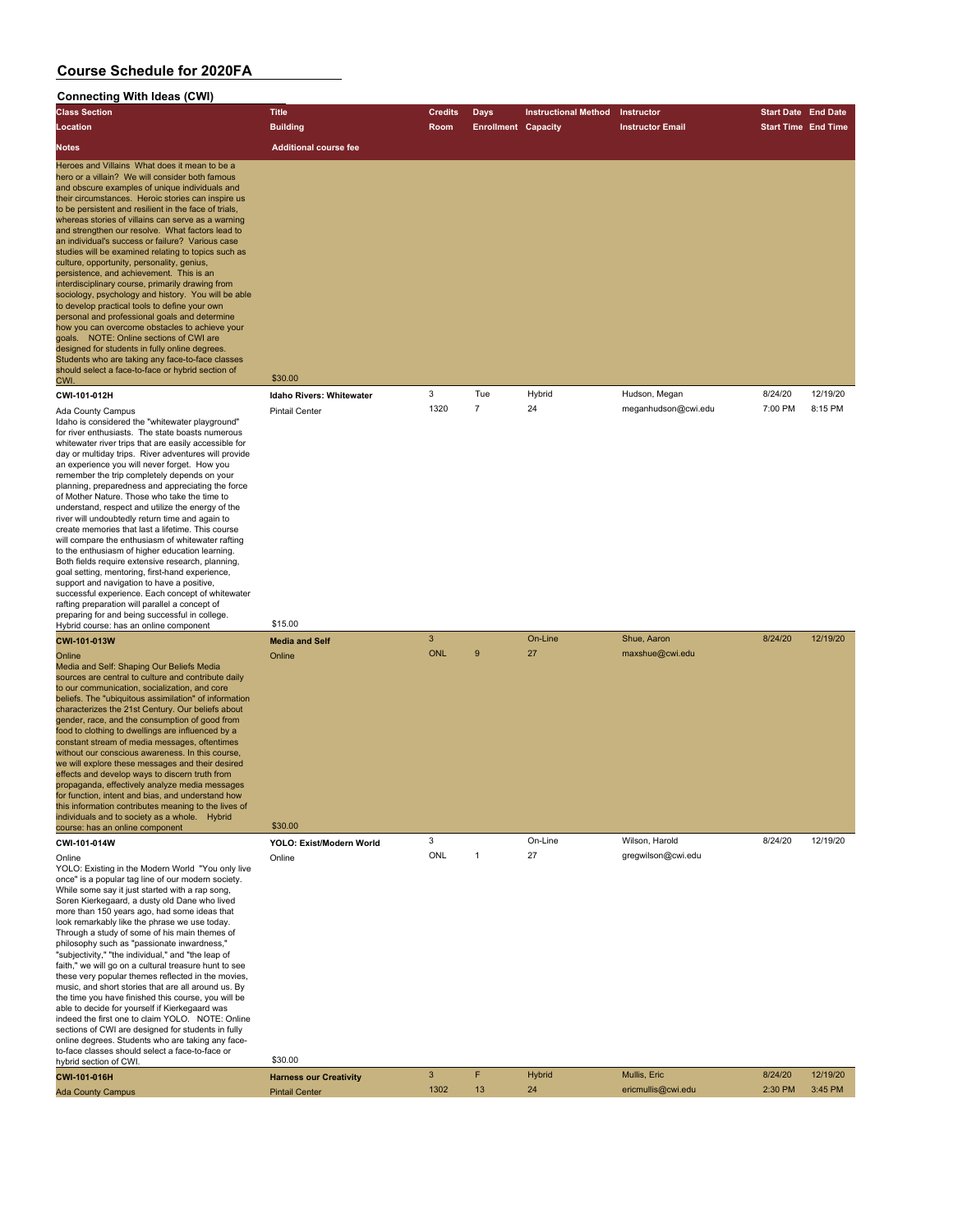| <b>Connecting With Ideas (CWI)</b>                                                                                                                                                                                                                                                                                                                                                                                                                                                                                                                                                                                                                                                                                                                                                                                                                                                                                                                                                                                                                            |                                            |                            |                            |                             |                                    |                            |                     |
|---------------------------------------------------------------------------------------------------------------------------------------------------------------------------------------------------------------------------------------------------------------------------------------------------------------------------------------------------------------------------------------------------------------------------------------------------------------------------------------------------------------------------------------------------------------------------------------------------------------------------------------------------------------------------------------------------------------------------------------------------------------------------------------------------------------------------------------------------------------------------------------------------------------------------------------------------------------------------------------------------------------------------------------------------------------|--------------------------------------------|----------------------------|----------------------------|-----------------------------|------------------------------------|----------------------------|---------------------|
| <b>Class Section</b>                                                                                                                                                                                                                                                                                                                                                                                                                                                                                                                                                                                                                                                                                                                                                                                                                                                                                                                                                                                                                                          | <b>Title</b>                               | <b>Credits</b>             | Days                       | <b>Instructional Method</b> | Instructor                         | <b>Start Date End Date</b> |                     |
| Location                                                                                                                                                                                                                                                                                                                                                                                                                                                                                                                                                                                                                                                                                                                                                                                                                                                                                                                                                                                                                                                      | <b>Building</b>                            | Room                       | <b>Enrollment Capacity</b> |                             | <b>Instructor Email</b>            | <b>Start Time End Time</b> |                     |
| <b>Notes</b>                                                                                                                                                                                                                                                                                                                                                                                                                                                                                                                                                                                                                                                                                                                                                                                                                                                                                                                                                                                                                                                  | <b>Additional course fee</b>               |                            |                            |                             |                                    |                            |                     |
| Heroes and Villains What does it mean to be a<br>hero or a villain? We will consider both famous<br>and obscure examples of unique individuals and<br>their circumstances. Heroic stories can inspire us<br>to be persistent and resilient in the face of trials,<br>whereas stories of villains can serve as a warning<br>and strengthen our resolve. What factors lead to<br>an individual's success or failure? Various case<br>studies will be examined relating to topics such as<br>culture, opportunity, personality, genius,<br>persistence, and achievement. This is an<br>interdisciplinary course, primarily drawing from<br>sociology, psychology and history. You will be able<br>to develop practical tools to define your own<br>personal and professional goals and determine<br>how you can overcome obstacles to achieve your<br>goals. NOTE: Online sections of CWI are<br>designed for students in fully online degrees.<br>Students who are taking any face-to-face classes<br>should select a face-to-face or hybrid section of<br>CWI. | \$30.00                                    |                            |                            |                             |                                    |                            |                     |
| CWI-101-012H                                                                                                                                                                                                                                                                                                                                                                                                                                                                                                                                                                                                                                                                                                                                                                                                                                                                                                                                                                                                                                                  | Idaho Rivers: Whitewater                   | 3                          | Tue                        | Hybrid                      | Hudson, Megan                      | 8/24/20                    | 12/19/20            |
| Ada County Campus<br>Idaho is considered the "whitewater playground"<br>for river enthusiasts. The state boasts numerous<br>whitewater river trips that are easily accessible for<br>day or multiday trips. River adventures will provide<br>an experience you will never forget. How you<br>remember the trip completely depends on your<br>planning, preparedness and appreciating the force<br>of Mother Nature. Those who take the time to<br>understand, respect and utilize the energy of the<br>river will undoubtedly return time and again to<br>create memories that last a lifetime. This course<br>will compare the enthusiasm of whitewater rafting<br>to the enthusiasm of higher education learning.<br>Both fields require extensive research, planning,<br>goal setting, mentoring, first-hand experience,<br>support and navigation to have a positive,<br>successful experience. Each concept of whitewater<br>rafting preparation will parallel a concept of<br>preparing for and being successful in college.                            | <b>Pintail Center</b>                      | 1320                       | $\overline{7}$             | 24                          | meganhudson@cwi.edu                | 7:00 PM                    | 8:15 PM             |
| Hybrid course: has an online component                                                                                                                                                                                                                                                                                                                                                                                                                                                                                                                                                                                                                                                                                                                                                                                                                                                                                                                                                                                                                        | \$15.00                                    |                            |                            |                             |                                    |                            |                     |
| CWI-101-013W<br>Online<br>Media and Self: Shaping Our Beliefs Media<br>sources are central to culture and contribute daily<br>to our communication, socialization, and core<br>beliefs. The "ubiquitous assimilation" of information<br>characterizes the 21st Century. Our beliefs about<br>gender, race, and the consumption of good from<br>food to clothing to dwellings are influenced by a<br>constant stream of media messages, oftentimes<br>without our conscious awareness. In this course,<br>we will explore these messages and their desired<br>effects and develop ways to discern truth from<br>propaganda, effectively analyze media messages<br>for function, intent and bias, and understand how<br>this information contributes meaning to the lives of<br>individuals and to society as a whole. Hybrid<br>course: has an online component                                                                                                                                                                                                | <b>Media and Self</b><br>Online<br>\$30.00 | $\mathbf{3}$<br><b>ONL</b> | 9                          | On-Line<br>27               | Shue, Aaron<br>maxshue@cwi.edu     | 8/24/20                    | 12/19/20            |
| CWI-101-014W                                                                                                                                                                                                                                                                                                                                                                                                                                                                                                                                                                                                                                                                                                                                                                                                                                                                                                                                                                                                                                                  | YOLO: Exist/Modern World                   | 3                          |                            | On-Line                     | Wilson, Harold                     | 8/24/20                    | 12/19/20            |
| Online<br>YOLO: Existing in the Modern World "You only live<br>once" is a popular tag line of our modern society.<br>While some say it just started with a rap song,<br>Soren Kierkegaard, a dusty old Dane who lived<br>more than 150 years ago, had some ideas that<br>look remarkably like the phrase we use today.<br>Through a study of some of his main themes of<br>philosophy such as "passionate inwardness,"<br>"subjectivity," "the individual," and "the leap of<br>faith," we will go on a cultural treasure hunt to see<br>these very popular themes reflected in the movies,<br>music, and short stories that are all around us. By<br>the time you have finished this course, you will be<br>able to decide for yourself if Kierkegaard was<br>indeed the first one to claim YOLO. NOTE: Online<br>sections of CWI are designed for students in fully<br>online degrees. Students who are taking any face-<br>to-face classes should select a face-to-face or                                                                                 | Online                                     | ONL                        | 1                          | 27                          | gregwilson@cwi.edu                 |                            |                     |
| hybrid section of CWI.                                                                                                                                                                                                                                                                                                                                                                                                                                                                                                                                                                                                                                                                                                                                                                                                                                                                                                                                                                                                                                        | \$30.00                                    |                            |                            |                             |                                    |                            |                     |
| CWI-101-016H                                                                                                                                                                                                                                                                                                                                                                                                                                                                                                                                                                                                                                                                                                                                                                                                                                                                                                                                                                                                                                                  | <b>Harness our Creativity</b>              | $\mathbf{3}$<br>1302       | F<br>13                    | <b>Hybrid</b><br>24         | Mullis, Eric<br>ericmullis@cwi.edu | 8/24/20<br>2:30 PM         | 12/19/20<br>3:45 PM |
| <b>Ada County Campus</b>                                                                                                                                                                                                                                                                                                                                                                                                                                                                                                                                                                                                                                                                                                                                                                                                                                                                                                                                                                                                                                      | <b>Pintail Center</b>                      |                            |                            |                             |                                    |                            |                     |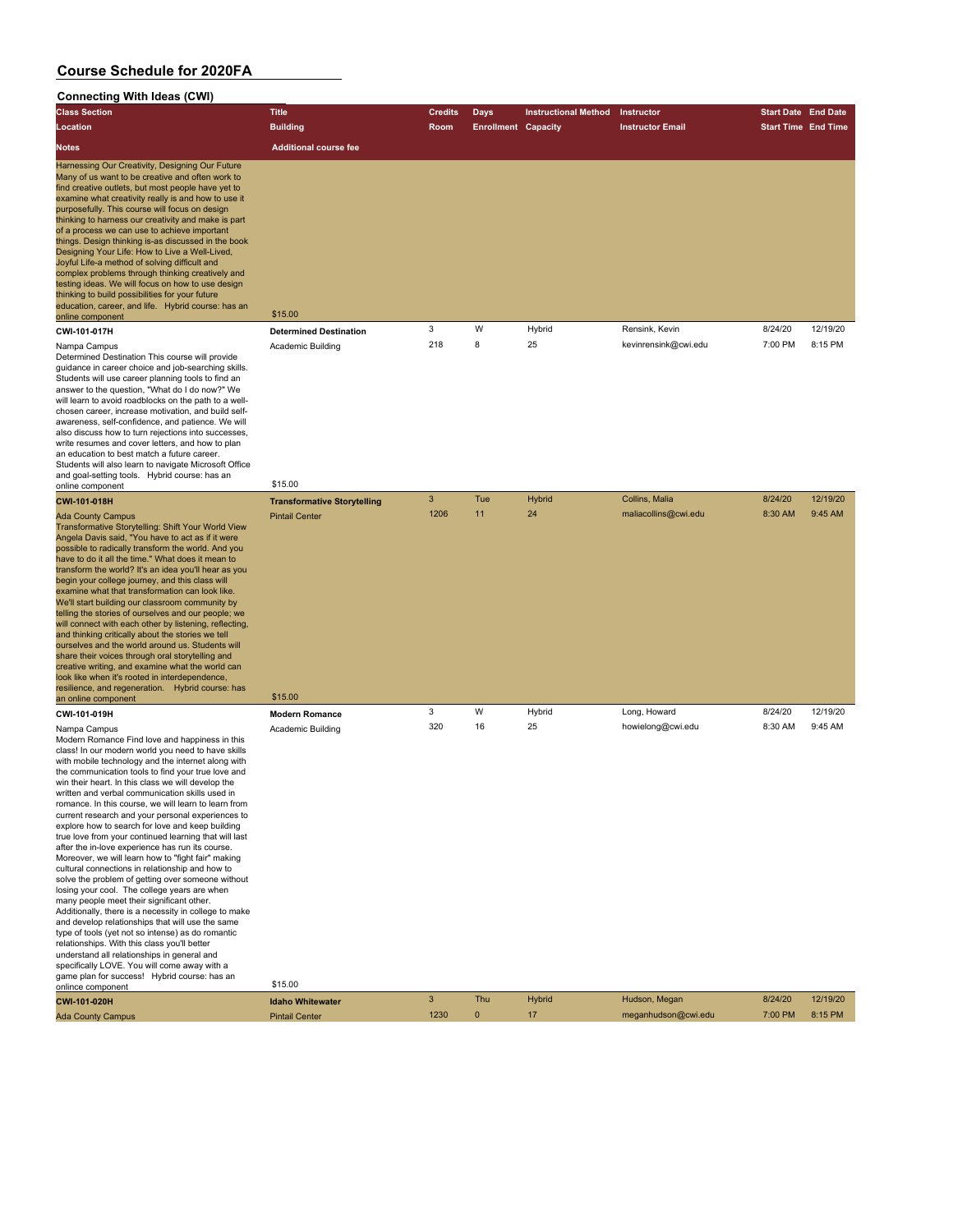#### **Connecting With Ideas (CWI) Class Section Title Credits Days Instructional Method Instructor Start Date End Date Location Building Room Enrollment Capacity Instructor Email Start Time End Time Notes Additional course fee** Harnessing Our Creativity, Designing Our Future Many of us want to be creative and often work to find creative outlets, but most people have yet to examine what creativity really is and how to use it purposefully. This course will focus on design thinking to harness our creativity and make is part of a process we can use to achieve important things. Design thinking is-as discussed in the book Designing Your Life: How to Live a Well-Lived, Joyful Life-a method of solving difficult and complex problems through thinking creatively and testing ideas. We will focus on how to use design thinking to build possibilities for your future education, career, and life. Hybrid course: has an online component \$15.00 **CWI-101-017H Determined Destination** 3 W Hybrid Rensink, Kevin 8/24/20 12/19/20 Nampa Campus Academic Building 218 8 25 kevinrensink@cwi.edu 7:00 PM 8:15 PM Determined Destination This course will provide guidance in career choice and job-searching skills. Students will use career planning tools to find an

answer to the question, "What do I do now?" We will learn to avoid roadblocks on the path to a wellchosen career, increase motivation, and build selfawareness, self-confidence, and patience. We will also discuss how to turn rejections into successes, write resumes and cover letters, and how to plan an education to best match a future career. Students will also learn to navigate Microsoft Office and goal-setting tools. Hybrid course: has an online component \$15.00

Angela Davis said, "You have to act as if it were

begin your college journey, and this class will examine what that transformation can look like.

and thinking critically about the stories we tell

share their voices through oral storytelling and

look like when it's rooted in interdependence,

**CWI-101-018H Transformative Storytelling** 3 Tue Hybrid Collins, Malia 8/24/20 12/19/20 Ada County Campus Pintail Center 1206 11 24 maliacollins@cwi.edu 8:30 AM 9:45 AM Transformative Storytelling: Shift Your World View possible to radically transform the world. And you have to do it all the time." What does it mean to transform the world? It's an idea you'll hear as you We'll start building our classroom community by telling the stories of ourselves and our people; we will connect with each other by listening, reflecting ourselves and the world around us. Students will creative writing, and examine what the world can resilience, and regeneration. Hybrid course: has an online component \$15.00 **CWI-101-019H Modern Romance** 3 W Hybrid Long, Howard 8/24/20 12/19/20 Nampa Campus Academic Building 320 16 25 howielong@cwi.edu 8:30 AM 9:45 AM

Modern Romance Find love and happiness in this class! In our modern world you need to have skills with mobile technology and the internet along with the communication tools to find your true love and win their heart. In this class we will develop the written and verbal communication skills used in romance. In this course, we will learn to learn from current research and your personal experiences to explore how to search for love and keep building true love from your continued learning that will last after the in-love experience has run its course. Moreover, we will learn how to "fight fair" making cultural connections in relationship and how to solve the problem of getting over someone without losing your cool. The college years are when many people meet their significant other. Additionally, there is a necessity in college to make and develop relationships that will use the same type of tools (yet not so intense) as do romantic relationships. With this class you'll better understand all relationships in general and specifically LOVE. You will come away with a game

| game plan for success! Hybrid course: has an |                         |      |     |               |                     |         |          |
|----------------------------------------------|-------------------------|------|-----|---------------|---------------------|---------|----------|
| onlince component                            | \$15.00                 |      |     |               |                     |         |          |
| CWI-101-020H                                 | <b>Idaho Whitewater</b> |      | Thu | <b>Hybrid</b> | Hudson, Megan       | 8/24/20 | 12/19/20 |
| <b>Ada County Campus</b>                     | <b>Pintail Center</b>   | 1230 |     |               | meganhudson@cwi.edu | 7:00 PM | 8:15 PM  |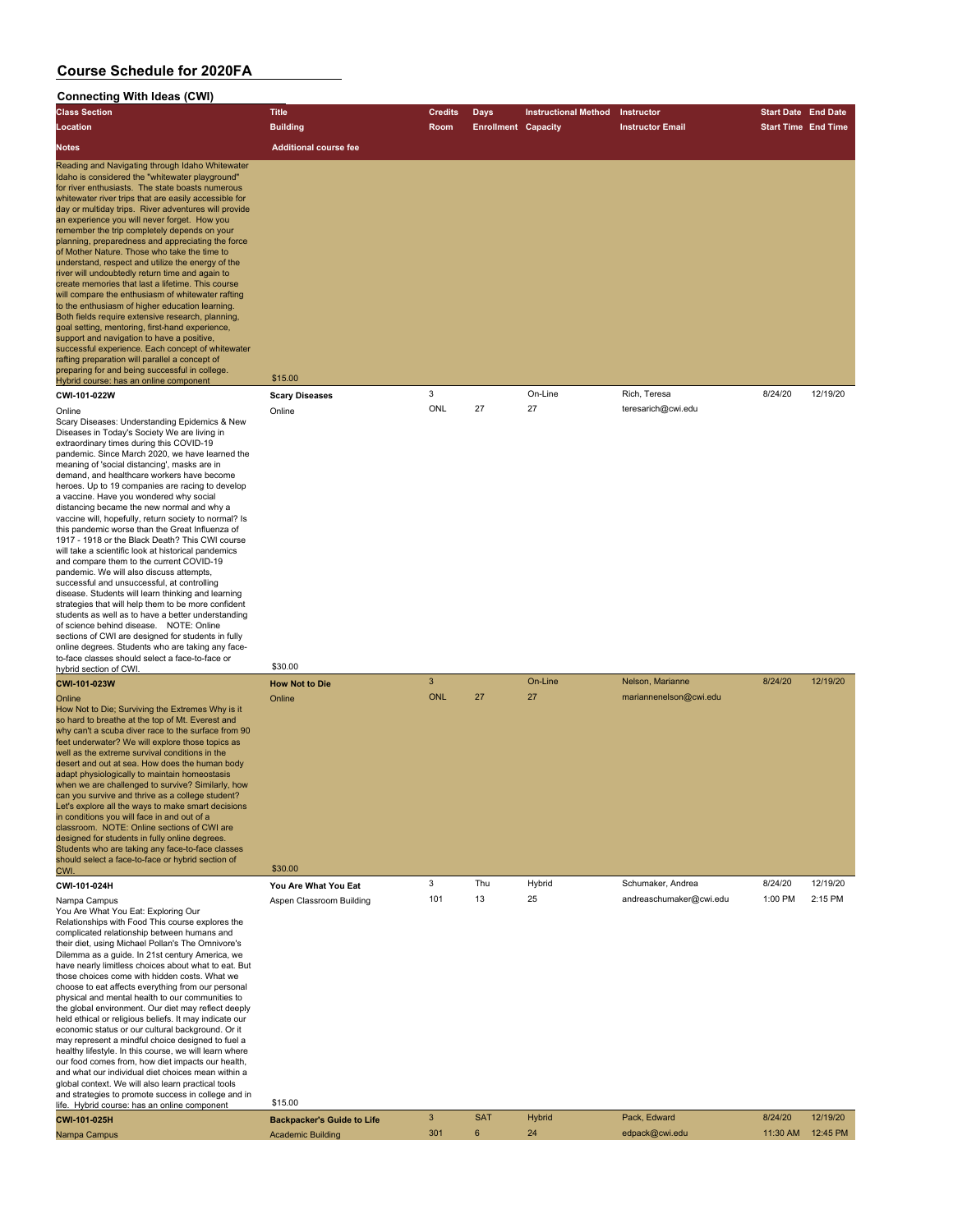#### **Connecting With Ideas (CWI) Class Section Title Credits Days Instructional Method Instructor Start Date End Date Location Building Room Enrollment Capacity Instructor Email Start Time End Time Notes Additional course fee** Reading and Navigating through Idaho Whitewater Idaho is considered the "whitewater playground" for river enthusiasts. The state boasts numerous whitewater river trips that are easily accessible for day or multiday trips. River adventures will provide an experience you will never forget. How you remember the trip completely depends on your planning, preparedness and appreciating the force of Mother Nature. Those who take the time to understand, respect and utilize the energy of the river will undoubtedly return time and again to create memories that last a lifetime. This course will compare the enthusiasm of whitewater rafting to the enthusiasm of higher education learning. Both fields require extensive research, planning, goal setting, mentoring, first-hand experience, support and navigation to have a positive. successful experience. Each concept of whitewater rafting preparation will parallel a concept of preparing for and being successful in college. Hybrid course: has an online component \$15.00 **CWI-101-022W Scary Diseases** 3 On-Line Rich, Teresa 8/24/20 12/19/20 Online Online ONL 27 27 teresarich@cwi.edu Scary Diseases: Understanding Epidemics & New Diseases in Today's Society We are living in extraordinary times during this COVID-19 pandemic. Since March 2020, we have learned the meaning of 'social distancing', masks are in demand, and healthcare workers have become heroes. Up to 19 companies are racing to develop a vaccine. Have you wondered why social distancing became the new normal and why a vaccine will, hopefully, return society to normal? Is this pandemic worse than the Great Influenza of 1917 - 1918 or the Black Death? This CWI course will take a scientific look at historical pandemics and compare them to the current COVID-19 pandemic. We will also discuss attempts, successful and unsuccessful, at controlling disease. Students will learn thinking and learning strategies that will help them to be more confident students as well as to have a better understanding of science behind disease. NOTE: Online sections of CWI are designed for students in fully online degrees. Students who are taking any faceto-face classes should select a face-to-face or hybrid section of CWI. \$30.00 **CWI-101-023W How Not to Die** 3 On-Line Nelson, Marianne 8/24/20 12/19/20 Online Online ONL 27 27 mariannenelson@cwi.edu How Not to Die; Surviving the Extremes Why is it so hard to breathe at the top of Mt. Everest and why can't a scuba diver race to the surface from 90 feet underwater? We will explore those topics as well as the extreme survival conditions in the esert and out at sea. How does the human body adapt physiologically to maintain homeostasis when we are challenged to survive? Similarly, how an you survive and thrive as a college student? Let's explore all the ways to make smart decisions in conditions you will face in and out of a classroom. NOTE: Online sections of CWI are designed for students in fully online degrees. Students who are taking any face-to-face classes should select a face-to-face or hybrid section of CWI. \$30.00 **CWI-101-024H You Are What You Eat** 3 Thu Hybrid Schumaker, Andrea 8/24/20 12/19/20 Nampa Campus **Aspen Classroom Building** 101 13 25 andreaschumaker@cwi.edu 1:00 PM 2:15 PM You Are What You Eat: Exploring Our Relationships with Food This course explores the complicated relationship between humans and their diet, using Michael Pollan's The Omnivore's Dilemma as a guide. In 21st century America, we have nearly limitless choices about what to eat. But those choices come with hidden costs. What we choose to eat affects everything from our personal physical and mental health to our communities to the global environment. Our diet may reflect deeply held ethical or religious beliefs. It may indicate our economic status or our cultural background. Or it may represent a mindful choice designed to fuel a healthy lifestyle. In this course, we will learn where our food comes from, how diet impacts our health and what our individual diet choices mean within a global context. We will also learn practical tools and strategies to promote success in college and in life. Hybrid course: has an online component \$15.00 **CWI-101-025H Backpacker's Guide to Life** 3 SAT Hybrid Pack, Edward 8/24/20 12/19/20

Nampa Campus Academic Building 301 6 24 edpack@cwi.edu 11:30 AM 12:45 PM 12:45 PM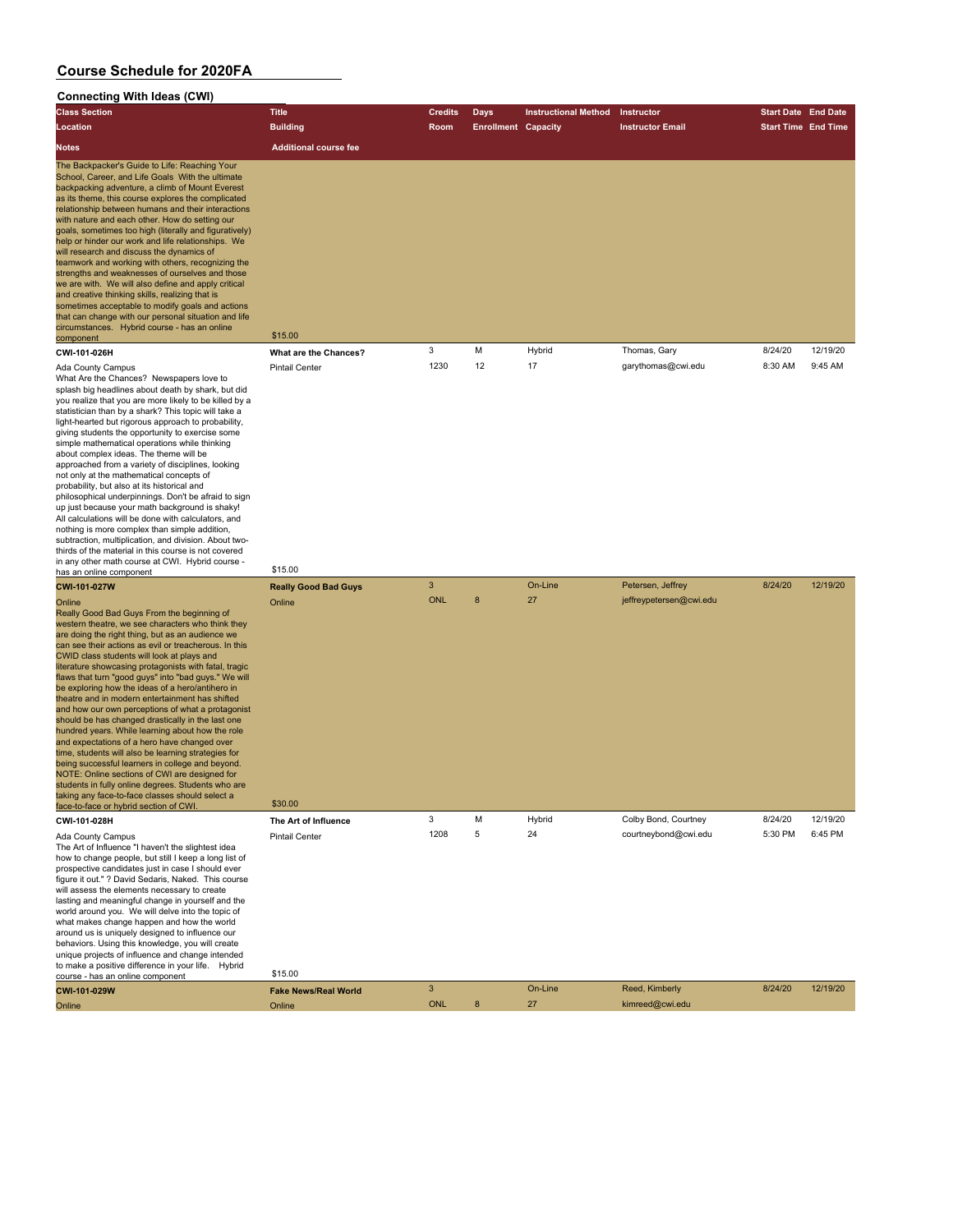#### **Connecting With Ideas (CWI) Class Section Title Credits Days Instructional Method Instructor Start Date End Date Location Building Room Enrollment Capacity Instructor Email Start Time End Time Notes Additional course fee** The Backpacker's Guide to Life: Reaching Your School, Career, and Life Goals With the ultimate backpacking adventure, a climb of Mount Everest as its theme, this course explores the complicated relationship between humans and their interactions with nature and each other. How do setting our goals, sometimes too high (literally and figuratively) help or hinder our work and life relationships. We will research and discuss the dynamics of amwork and working with others, recognizing the strengths and weaknesses of ourselves and those we are with. We will also define and apply critical and creative thinking skills, realizing that is sometimes acceptable to modify goals and actions that can change with our personal situation and life circumstances. Hybrid course - has an online component **CWI-101-026H What are the Chances?** 3 M Hybrid Thomas, Gary 8/24/20 12/19/20<br>
Ada County Campus Pintail Center 1230 12 17 garythomas@cwi.edu 8:30 AM 9:45 AM Ada County Campus Pintail Center 1230 12 17 garythomas@cwi.edu 8:30 AM 9:45 AM What Are the Chances? Newspapers love to splash big headlines about death by shark, but did you realize that you are more likely to be killed by a statistician than by a shark? This topic will take a light-hearted but rigorous approach to probability, giving students the opportunity to exercise some simple mathematical operations while thinking about complex ideas. The theme will be approached from a variety of disciplines, looking not only at the mathematical concepts of probability, but also at its historical and philosophical underpinnings. Don't be afraid to sign up just because your math background is shaky! All calculations will be done with calculators, and nothing is more complex than simple addition, subtraction, multiplication, and division. About twothirds of the material in this course is not covered in any other math course at CWI. Hybrid course has an online component \$15.00 **CWI-101-027W Really Good Bad Guys** 3 On-Line Petersen, Jeffrey 8/24/20 12/19/20<br>Coline Coline Petersen@cwiedu Online Online ONL 8 27 jeffreypetersen@cwi.edu Really Good Bad Guys From the beginning of western theatre, we see characters who think they are doing the right thing, but as an audience we can see their actions as evil or treacherous. In this CWID class students will look at plays and literature showcasing protagonists with fatal, tragic flaws that turn "good guys" into "bad guys." We will be exploring how the ideas of a hero/antihero in theatre and in modern entertainment has shifted and how our own perceptions of what a protagonist should be has changed drastically in the last one hundred years. While learning about how the role and expectations of a hero have changed over time, students will also be learning strategies for being successful learners in college and beyond. NOTE: Online sections of CWI are designed for students in fully online degrees. Students who are taking any face-to-face classes should select a face-to-face or hybrid section of CWI. \$30.00 **CWI-101-028H The Art of Influence** 3 M Hybrid Colby Bond, Courtney 8/24/20 12/19/20 Ada County Campus Pintail Center 1208 5 24 courtneybond@cwi.edu 5:30 PM 6:45 PM<br>The Art of Influence "I haven't the slightest idea how to change people, but still I keep a long list of prospective candidates just in case I should ever figure it out." ? David Sedaris, Naked. This course will assess the elements necessary to create

lasting and meaningful change in yourself and the world around you. We will delve into the topic of what makes change happen and how the world around us is uniquely designed to influence our behaviors. Using this knowledge, you will create unique projects of influence and change intended to make a positive difference in your life. Hybrid course - has an online component \$15.00

**CWI-101-029W Fake News/Real World** 3 On-Line Reed, Kimberly 8/24/20 12/19/20 Online Online ONL 8 27 kimreed@cwi.edu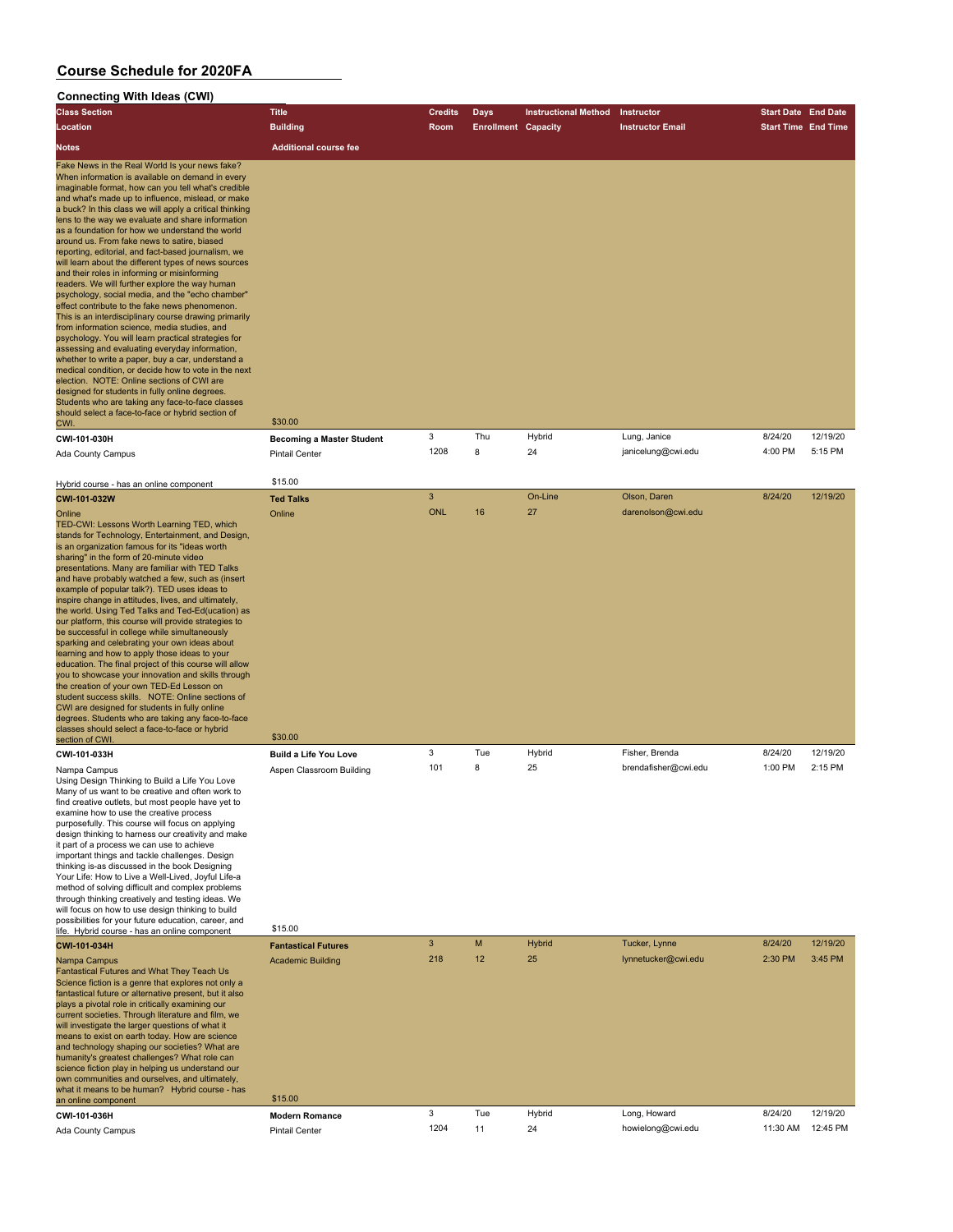| <b>Connecting With Ideas (CWI)</b> |  |
|------------------------------------|--|
|------------------------------------|--|

| <b>Connecting With Ideas (CWI)</b>                                                                                                                                                                                                                                                                                                                                                                                                                                                                                                                                                                                                                                                                                                                                                                                                                                                                                                                                                                                                                                                                                                                                                     |                                                                   |                 |                            |                             |                                      |                            |                     |
|----------------------------------------------------------------------------------------------------------------------------------------------------------------------------------------------------------------------------------------------------------------------------------------------------------------------------------------------------------------------------------------------------------------------------------------------------------------------------------------------------------------------------------------------------------------------------------------------------------------------------------------------------------------------------------------------------------------------------------------------------------------------------------------------------------------------------------------------------------------------------------------------------------------------------------------------------------------------------------------------------------------------------------------------------------------------------------------------------------------------------------------------------------------------------------------|-------------------------------------------------------------------|-----------------|----------------------------|-----------------------------|--------------------------------------|----------------------------|---------------------|
| <b>Class Section</b>                                                                                                                                                                                                                                                                                                                                                                                                                                                                                                                                                                                                                                                                                                                                                                                                                                                                                                                                                                                                                                                                                                                                                                   | <b>Title</b>                                                      | <b>Credits</b>  | Days                       | <b>Instructional Method</b> | Instructor                           | <b>Start Date End Date</b> |                     |
| Location                                                                                                                                                                                                                                                                                                                                                                                                                                                                                                                                                                                                                                                                                                                                                                                                                                                                                                                                                                                                                                                                                                                                                                               | <b>Building</b>                                                   | Room            | <b>Enrollment Capacity</b> |                             | <b>Instructor Email</b>              | <b>Start Time End Time</b> |                     |
| Notes                                                                                                                                                                                                                                                                                                                                                                                                                                                                                                                                                                                                                                                                                                                                                                                                                                                                                                                                                                                                                                                                                                                                                                                  | <b>Additional course fee</b>                                      |                 |                            |                             |                                      |                            |                     |
| Fake News in the Real World Is your news fake?<br>When information is available on demand in every<br>imaginable format, how can you tell what's credible<br>and what's made up to influence, mislead, or make<br>a buck? In this class we will apply a critical thinking<br>lens to the way we evaluate and share information<br>as a foundation for how we understand the world<br>around us. From fake news to satire, biased<br>reporting, editorial, and fact-based journalism, we<br>will learn about the different types of news sources<br>and their roles in informing or misinforming<br>readers. We will further explore the way human<br>psychology, social media, and the "echo chamber"<br>effect contribute to the fake news phenomenon.<br>This is an interdisciplinary course drawing primarily<br>from information science, media studies, and<br>psychology. You will learn practical strategies for<br>assessing and evaluating everyday information,<br>whether to write a paper, buy a car, understand a<br>medical condition, or decide how to vote in the next<br>election. NOTE: Online sections of CWI are<br>designed for students in fully online degrees. |                                                                   |                 |                            |                             |                                      |                            |                     |
| Students who are taking any face-to-face classes                                                                                                                                                                                                                                                                                                                                                                                                                                                                                                                                                                                                                                                                                                                                                                                                                                                                                                                                                                                                                                                                                                                                       |                                                                   |                 |                            |                             |                                      |                            |                     |
| should select a face-to-face or hybrid section of<br>CWI.                                                                                                                                                                                                                                                                                                                                                                                                                                                                                                                                                                                                                                                                                                                                                                                                                                                                                                                                                                                                                                                                                                                              | \$30.00                                                           |                 |                            |                             |                                      |                            |                     |
| CWI-101-030H                                                                                                                                                                                                                                                                                                                                                                                                                                                                                                                                                                                                                                                                                                                                                                                                                                                                                                                                                                                                                                                                                                                                                                           | <b>Becoming a Master Student</b>                                  | 3               | Thu                        | Hybrid                      | Lung, Janice                         | 8/24/20                    | 12/19/20            |
| Ada County Campus                                                                                                                                                                                                                                                                                                                                                                                                                                                                                                                                                                                                                                                                                                                                                                                                                                                                                                                                                                                                                                                                                                                                                                      | <b>Pintail Center</b>                                             | 1208            | 8                          | 24                          | janicelung@cwi.edu                   | 4:00 PM                    | 5:15 PM             |
|                                                                                                                                                                                                                                                                                                                                                                                                                                                                                                                                                                                                                                                                                                                                                                                                                                                                                                                                                                                                                                                                                                                                                                                        |                                                                   |                 |                            |                             |                                      |                            |                     |
| Hybrid course - has an online component                                                                                                                                                                                                                                                                                                                                                                                                                                                                                                                                                                                                                                                                                                                                                                                                                                                                                                                                                                                                                                                                                                                                                | \$15.00                                                           |                 |                            |                             |                                      |                            |                     |
| CWI-101-032W<br>Online<br>TED-CWI: Lessons Worth Learning TED, which<br>stands for Technology, Entertainment, and Design,<br>is an organization famous for its "ideas worth<br>sharing" in the form of 20-minute video<br>presentations. Many are familiar with TED Talks<br>and have probably watched a few, such as (insert<br>example of popular talk?). TED uses ideas to<br>inspire change in attitudes, lives, and ultimately,<br>the world. Using Ted Talks and Ted-Ed(ucation) as<br>our platform, this course will provide strategies to<br>be successful in college while simultaneously<br>sparking and celebrating your own ideas about<br>learning and how to apply those ideas to your<br>education. The final project of this course will allow<br>you to showcase your innovation and skills through<br>the creation of your own TED-Ed Lesson on<br>student success skills. NOTE: Online sections of<br>CWI are designed for students in fully online<br>degrees. Students who are taking any face-to-face<br>classes should select a face-to-face or hybrid<br>section of CWI                                                                                        | <b>Ted Talks</b><br>Online<br>\$30.00                             | 3<br><b>ONL</b> | 16                         | On-Line<br>27               | Olson, Daren<br>darenolson@cwi.edu   | 8/24/20                    | 12/19/20            |
| CWI-101-033H                                                                                                                                                                                                                                                                                                                                                                                                                                                                                                                                                                                                                                                                                                                                                                                                                                                                                                                                                                                                                                                                                                                                                                           | <b>Build a Life You Love</b>                                      | 3               | Tue                        | Hybrid                      | Fisher, Brenda                       | 8/24/20                    | 12/19/20            |
| Nampa Campus<br>Using Design Thinking to Build a Life You Love<br>Many of us want to be creative and often work to<br>find creative outlets, but most people have yet to<br>examine how to use the creative process<br>purposefully. This course will focus on applying<br>design thinking to harness our creativity and make<br>it part of a process we can use to achieve<br>important things and tackle challenges. Design<br>thinking is-as discussed in the book Designing<br>Your Life: How to Live a Well-Lived, Joyful Life-a<br>method of solving difficult and complex problems<br>through thinking creatively and testing ideas. We<br>will focus on how to use design thinking to build<br>possibilities for your future education, career, and                                                                                                                                                                                                                                                                                                                                                                                                                            | Aspen Classroom Building                                          | 101             | 8                          | 25                          | brendafisher@cwi.edu                 | 1:00 PM                    | 2:15 PM             |
| life. Hybrid course - has an online component                                                                                                                                                                                                                                                                                                                                                                                                                                                                                                                                                                                                                                                                                                                                                                                                                                                                                                                                                                                                                                                                                                                                          | \$15.00                                                           |                 |                            |                             |                                      |                            |                     |
| CWI-101-034H<br>Nampa Campus<br><b>Fantastical Futures and What They Teach Us</b><br>Science fiction is a genre that explores not only a<br>fantastical future or alternative present, but it also<br>plays a pivotal role in critically examining our<br>current societies. Through literature and film, we<br>will investigate the larger questions of what it<br>means to exist on earth today. How are science<br>and technology shaping our societies? What are<br>humanity's greatest challenges? What role can<br>science fiction play in helping us understand our<br>own communities and ourselves, and ultimately,<br>what it means to be human? Hybrid course - has                                                                                                                                                                                                                                                                                                                                                                                                                                                                                                         | <b>Fantastical Futures</b><br><b>Academic Building</b><br>\$15.00 | 3<br>218        | M<br>12                    | <b>Hybrid</b><br>25         | Tucker, Lynne<br>lynnetucker@cwi.edu | 8/24/20<br>2:30 PM         | 12/19/20<br>3:45 PM |
| an online component<br>CWI-101-036H                                                                                                                                                                                                                                                                                                                                                                                                                                                                                                                                                                                                                                                                                                                                                                                                                                                                                                                                                                                                                                                                                                                                                    | <b>Modern Romance</b>                                             | 3               | Tue                        | Hybrid                      | Long, Howard                         | 8/24/20                    | 12/19/20            |
| <b>Ada County Campus</b>                                                                                                                                                                                                                                                                                                                                                                                                                                                                                                                                                                                                                                                                                                                                                                                                                                                                                                                                                                                                                                                                                                                                                               | <b>Pintail Center</b>                                             | 1204            | 11                         | 24                          | howielong@cwi.edu                    | 11:30 AM                   | 12:45 PM            |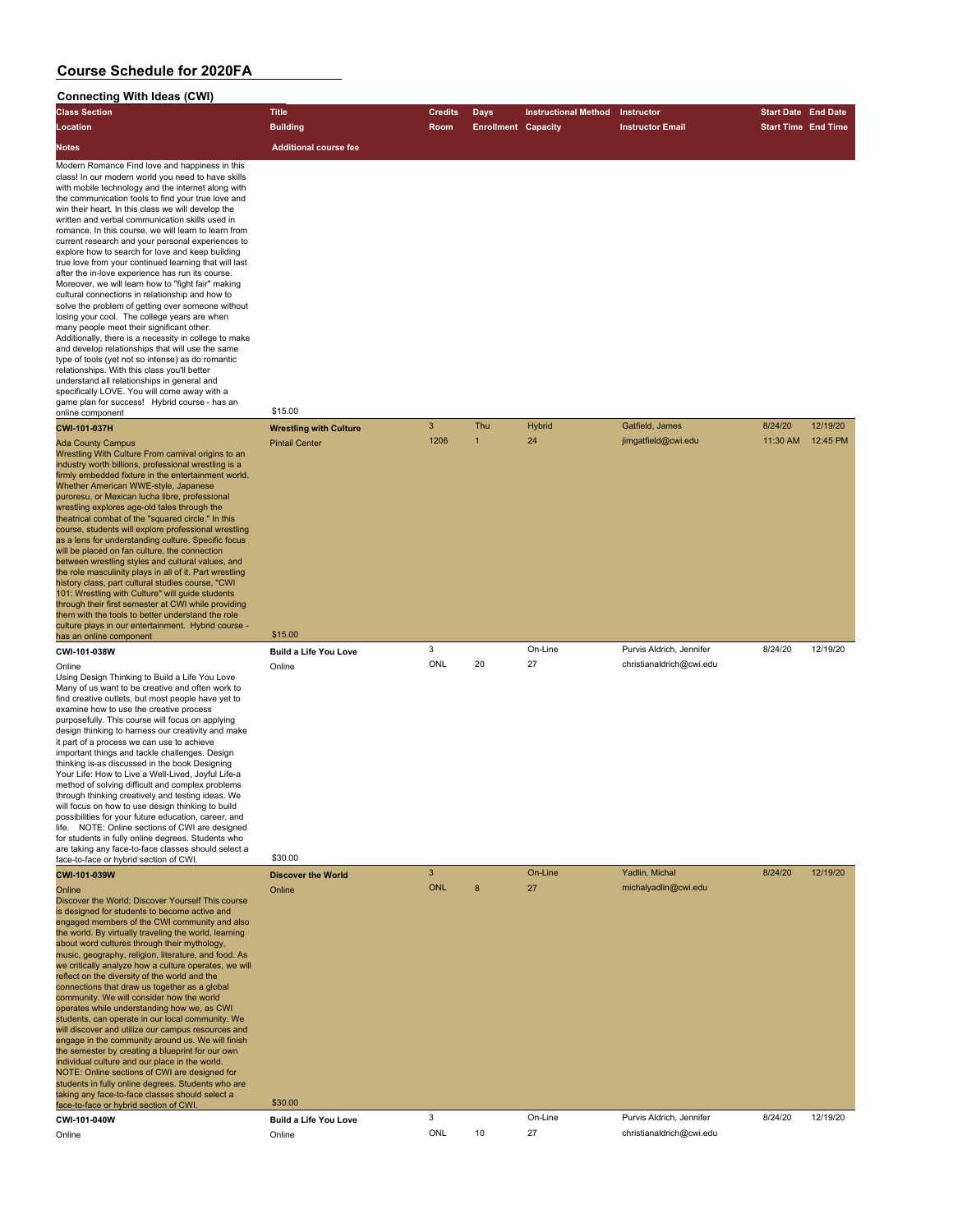| <b>Connecting With Ideas (CWI)</b>                                                                                                                                                                                                                                                                                                                                                                                                                                                                                                                                                                                                                                                                                                                                                                                                                                                                                                                                                                                                                                                                                                                                                                                                                       |                                  |                |                            |                             |                          |                            |          |
|----------------------------------------------------------------------------------------------------------------------------------------------------------------------------------------------------------------------------------------------------------------------------------------------------------------------------------------------------------------------------------------------------------------------------------------------------------------------------------------------------------------------------------------------------------------------------------------------------------------------------------------------------------------------------------------------------------------------------------------------------------------------------------------------------------------------------------------------------------------------------------------------------------------------------------------------------------------------------------------------------------------------------------------------------------------------------------------------------------------------------------------------------------------------------------------------------------------------------------------------------------|----------------------------------|----------------|----------------------------|-----------------------------|--------------------------|----------------------------|----------|
| <b>Class Section</b>                                                                                                                                                                                                                                                                                                                                                                                                                                                                                                                                                                                                                                                                                                                                                                                                                                                                                                                                                                                                                                                                                                                                                                                                                                     | <b>Title</b>                     | <b>Credits</b> | <b>Days</b>                | <b>Instructional Method</b> | Instructor               | <b>Start Date End Date</b> |          |
| Location                                                                                                                                                                                                                                                                                                                                                                                                                                                                                                                                                                                                                                                                                                                                                                                                                                                                                                                                                                                                                                                                                                                                                                                                                                                 | <b>Building</b>                  | Room           | <b>Enrollment Capacity</b> |                             | <b>Instructor Email</b>  | <b>Start Time End Time</b> |          |
| Notes                                                                                                                                                                                                                                                                                                                                                                                                                                                                                                                                                                                                                                                                                                                                                                                                                                                                                                                                                                                                                                                                                                                                                                                                                                                    | <b>Additional course fee</b>     |                |                            |                             |                          |                            |          |
| Modern Romance Find love and happiness in this<br>class! In our modern world you need to have skills<br>with mobile technology and the internet along with<br>the communication tools to find your true love and<br>win their heart. In this class we will develop the<br>written and verbal communication skills used in<br>romance. In this course, we will learn to learn from<br>current research and your personal experiences to<br>explore how to search for love and keep building<br>true love from your continued learning that will last<br>after the in-love experience has run its course.<br>Moreover, we will learn how to "fight fair" making<br>cultural connections in relationship and how to<br>solve the problem of getting over someone without<br>losing your cool. The college years are when<br>many people meet their significant other.<br>Additionally, there is a necessity in college to make<br>and develop relationships that will use the same<br>type of tools (yet not so intense) as do romantic<br>relationships. With this class you'll better<br>understand all relationships in general and<br>specifically LOVE. You will come away with a<br>game plan for success! Hybrid course - has an<br>online component | \$15.00                          |                |                            |                             |                          |                            |          |
| CWI-101-037H                                                                                                                                                                                                                                                                                                                                                                                                                                                                                                                                                                                                                                                                                                                                                                                                                                                                                                                                                                                                                                                                                                                                                                                                                                             | <b>Wrestling with Culture</b>    | 3              | Thu                        | Hybrid                      | Gatfield, James          | 8/24/20                    | 12/19/20 |
| <b>Ada County Campus</b><br>Wrestling With Culture From carnival origins to an<br>industry worth billions, professional wrestling is a<br>firmly embedded fixture in the entertainment world.<br>Whether American WWE-style, Japanese<br>puroresu, or Mexican lucha libre, professional<br>wrestling explores age-old tales through the<br>theatrical combat of the "squared circle." In this<br>course, students will explore professional wrestling<br>as a lens for understanding culture. Specific focus<br>will be placed on fan culture, the connection<br>between wrestling styles and cultural values, and<br>the role masculinity plays in all of it. Part wrestling<br>history class, part cultural studies course, "CWI<br>101: Wrestling with Culture" will guide students<br>through their first semester at CWI while providing<br>them with the tools to better understand the role<br>culture plays in our entertainment. Hybrid course -                                                                                                                                                                                                                                                                                                | <b>Pintail Center</b><br>\$15.00 | 1206           | $\mathbf{1}$               | 24                          | jimgatfield@cwi.edu      | 11:30 AM                   | 12:45 PM |
| has an online component<br>CWI-101-038W                                                                                                                                                                                                                                                                                                                                                                                                                                                                                                                                                                                                                                                                                                                                                                                                                                                                                                                                                                                                                                                                                                                                                                                                                  | <b>Build a Life You Love</b>     | 3              |                            | On-Line                     | Purvis Aldrich, Jennifer | 8/24/20                    | 12/19/20 |
| Online<br>Using Design Thinking to Build a Life You Love<br>Many of us want to be creative and often work to<br>find creative outlets, but most people have yet to<br>examine how to use the creative process<br>purposefully. This course will focus on applying<br>design thinking to harness our creativity and make<br>it part of a process we can use to achieve<br>important things and tackle challenges. Design<br>thinking is-as discussed in the book Designing<br>Your Life: How to Live a Well-Lived, Joyful Life-a<br>method of solving difficult and complex problems<br>through thinking creatively and testing ideas. We<br>will focus on how to use design thinking to build<br>possibilities for your future education, career, and<br>life. NOTE: Online sections of CWI are designed<br>for students in fully online degrees. Students who<br>are taking any face-to-face classes should select a<br>face-to-face or hybrid section of CWI.                                                                                                                                                                                                                                                                                          | Online<br>\$30.00                | ONL            | 20                         | 27                          | christianaldrich@cwi.edu |                            |          |
| CWI-101-039W                                                                                                                                                                                                                                                                                                                                                                                                                                                                                                                                                                                                                                                                                                                                                                                                                                                                                                                                                                                                                                                                                                                                                                                                                                             | <b>Discover the World</b>        | $\overline{3}$ |                            | On-Line                     | Yadlin, Michal           | 8/24/20                    | 12/19/20 |
| Online<br>Discover the World; Discover Yourself This course<br>is designed for students to become active and<br>engaged members of the CWI community and also<br>the world. By virtually traveling the world, learning<br>about word cultures through their mythology,<br>music, geography, religion, literature, and food. As<br>we critically analyze how a culture operates, we will<br>reflect on the diversity of the world and the<br>connections that draw us together as a global<br>community. We will consider how the world<br>operates while understanding how we, as CWI<br>students, can operate in our local community. We<br>will discover and utilize our campus resources and<br>engage in the community around us. We will finish<br>the semester by creating a blueprint for our own<br>individual culture and our place in the world.<br>NOTE: Online sections of CWI are designed for<br>students in fully online degrees. Students who are<br>taking any face-to-face classes should select a<br>face-to-face or hybrid section of CWI                                                                                                                                                                                            | Online<br>\$30.00                | <b>ONL</b>     | 8                          | 27                          | michalyadlin@cwi.edu     |                            |          |
| CWI-101-040W                                                                                                                                                                                                                                                                                                                                                                                                                                                                                                                                                                                                                                                                                                                                                                                                                                                                                                                                                                                                                                                                                                                                                                                                                                             | <b>Build a Life You Love</b>     | 3              |                            | On-Line                     | Purvis Aldrich, Jennifer | 8/24/20                    | 12/19/20 |
|                                                                                                                                                                                                                                                                                                                                                                                                                                                                                                                                                                                                                                                                                                                                                                                                                                                                                                                                                                                                                                                                                                                                                                                                                                                          |                                  | <b>ONL</b>     | 10                         | 27                          | christianaldrich@cwi.edu |                            |          |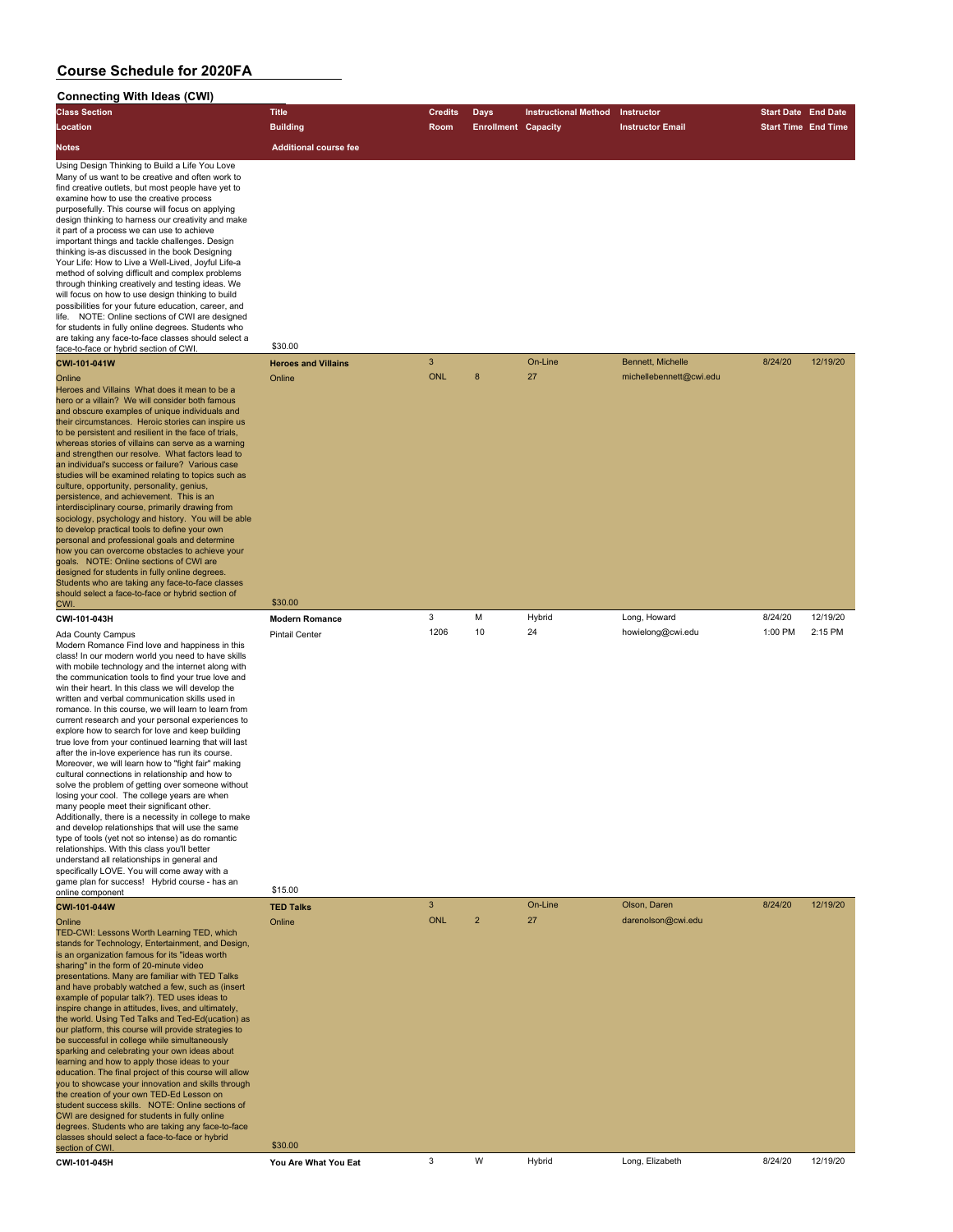#### **Connecting With Ideas (CWI) Class Section Title Credits Days Instructional Method Instructor Start Date End Date Location Building Room Enrollment Capacity Instructor Email Start Time End Time Notes Additional course fee** Using Design Thinking to Build a Life You Love Many of us want to be creative and often work to find creative outlets, but most people have yet to examine how to use the creative process purposefully. This course will focus on applying design thinking to harness our creativity and make it part of a process we can use to achieve important things and tackle challenges. Design thinking is-as discussed in the book Designing Your Life: How to Live a Well-Lived, Joyful Life-a method of solving difficult and complex problems through thinking creatively and testing ideas. We will focus on how to use design thinking to build possibilities for your future education, career, and life. NOTE: Online sections of CWI are designed for students in fully online degrees. Students who are taking any face-to-face classes should select a face-to-face or hybrid section of CWI. \$30.00 **CWI-101-041W Heroes and Villains** 3 **CWI-101-041W Bennett, Michelle 8/24/20 12/19/20** Online Online ONL 8 27 michellebennett@cwi.edu Heroes and Villains What does it mean to be a hero or a villain? We will consider both famous and obscure examples of unique individuals and their circumstances. Heroic stories can inspire us to be persistent and resilient in the face of trials, whereas stories of villains can serve as a warning and strengthen our resolve. What factors lead to an individual's success or failure? Various case studies will be examined relating to topics such as culture, opportunity, personality, genius, persistence, and achievement. This is an interdisciplinary course, primarily drawing from sociology, psychology and history. You will be able to develop practical tools to define your own personal and professional goals and determine how you can overcome obstacles to achieve your goals. NOTE: Online sections of CWI are designed for students in fully online degrees. Students who are taking any face-to-face classes should select a face-to-face or hybrid section of CWI. \$30.00 **CWI-101-043H Modern Romance** 3 M Hybrid Long, Howard 8/24/20 12/19/20 Ada County Campus Pintail Center 1206 10 24 howielong@cwi.edu 1:00 PM 2:15 PM Modern Romance Find love and happiness in this class! In our modern world you need to have skills with mobile technology and the internet along with the communication tools to find your true love and win their heart. In this class we will develop the written and verbal communication skills used in romance. In this course, we will learn to learn from current research and your personal experiences to explore how to search for love and keep building true love from your continued learning that will last after the in-love experience has run its course. Moreover, we will learn how to "fight fair" making cultural connections in relationship and how to solve the problem of getting over someone without losing your cool. The college years are when many people meet their significant other. Additionally, there is a necessity in college to make and develop relationships that will use the same type of tools (yet not so intense) as do romantic relationships. With this class you'll better understand all relationships in general and specifically LOVE. You will come away with a game plan for success! Hybrid course - has an State plan for success. Typing course Thus and S15.00 **CWI-101-044W TED Talks** 3 On-Line Olson, Daren 8/24/20 12/19/20 Online Online ONL 2 27 darenolson@cwi.edu TED-CWI: Lessons Worth Learning TED, which stands for Technology, Entertainment, and Design, is an organization famous for its "ideas worth sharing" in the form of 20-minute video presentations. Many are familiar with TED Talks and have probably watched a few, such as (insert example of popular talk?). TED uses ideas to inspire change in attitudes, lives, and ultimately, the world. Using Ted Talks and Ted-Ed(ucation) as our platform, this course will provide strategies to be successful in college while simultaneously sparking and celebrating your own ideas about learning and how to apply those ideas to your education. The final project of this course will allow you to showcase your innovation and skills through the creation of your own TED-Ed Lesson on student success skills. NOTE: Online sections of CWI are designed for students in fully online degrees. Students who are taking any face-to-face classes should select a face-to-face or hybrid section of CWI. \$30.00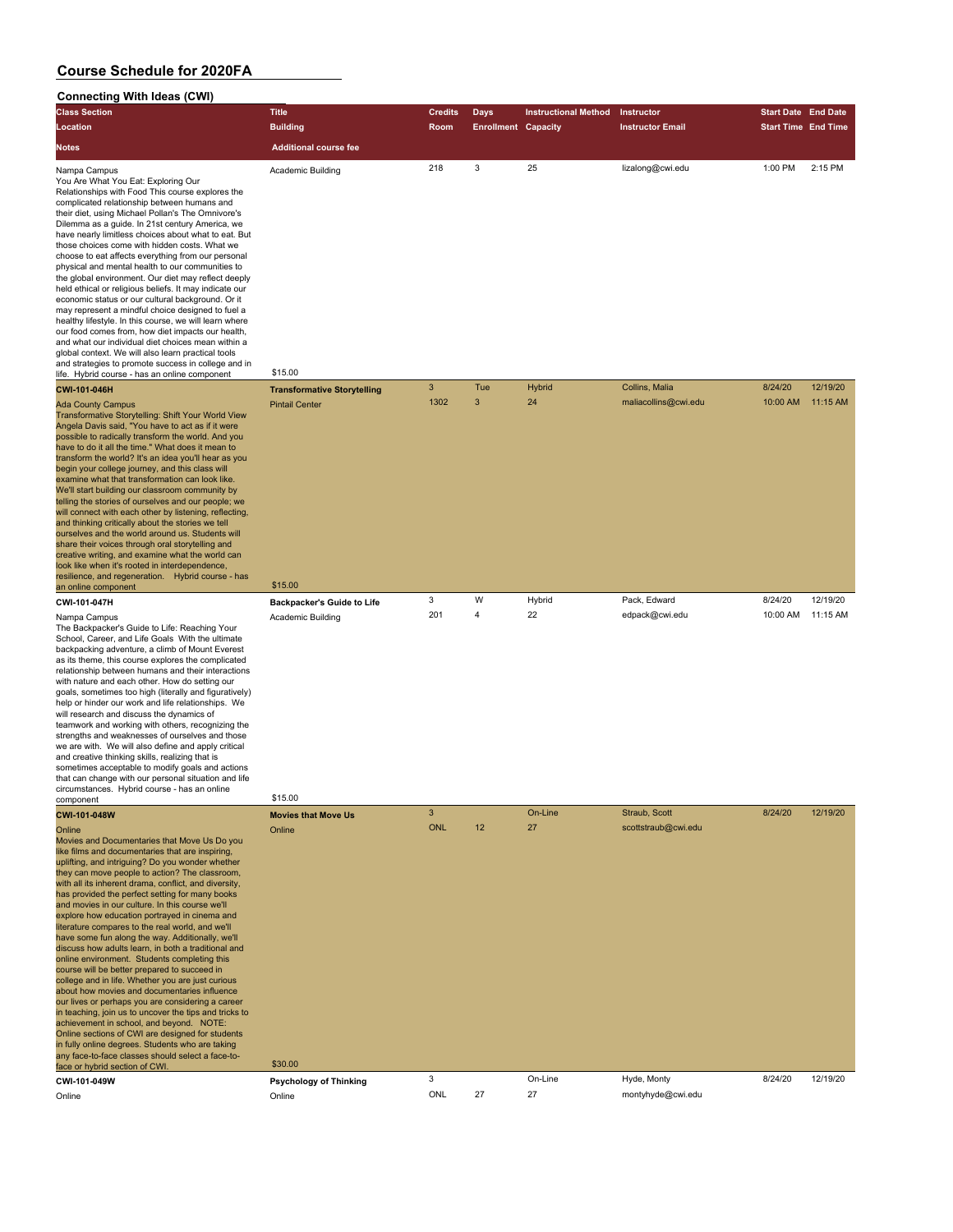#### **Connecting With Ideas (CWI) Class Section Title Credits Days Instructional Method Instructor Start Date End Date Location Building Room Enrollment Capacity Instructor Email Start Time End Time Notes Additional course fee** Nampa Campus Academic Building 218 25 lizalong@cwi.edu 1:00 PM 2:15 PM You Are What You Eat: Exploring Our Relationships with Food This course explores the complicated relationship between humans and their diet, using Michael Pollan's The Omnivore's Dilemma as a guide. In 21st century America, we have nearly limitless choices about what to eat. But those choices come with hidden costs. What we choose to eat affects everything from our personal physical and mental health to our communities to the global environment. Our diet may reflect deeply held ethical or religious beliefs. It may indicate our economic status or our cultural background. Or it may represent a mindful choice designed to fuel a healthy lifestyle. In this course, we will learn where our food comes from, how diet impacts our health and what our individual diet choices mean within a global context. We will also learn practical tools and strategies to promote success in college and in life. Hybrid course - has an online component \$15.00 **CWI-101-046H Transformative Storytelling** 3 Tue Hybrid Collins, Malia 8/24/20 12/19/20 Ada County Campus Pintail Center 1302 3 24 maliacollins@cwi.edu 10:00 AM 11:15 AM Transformative Storytelling: Shift Your World View Angela Davis said, "You have to act as if it were possible to radically transform the world. And you have to do it all the time." What does it mean to transform the world? It's an idea you'll hear as you begin your college journey, and this class will examine what that transformation can look like. We'll start building our classroom community by telling the stories of ourselves and our people; we will connect with each other by listening, reflecting, and thinking critically about the stories we tell ourselves and the world around us. Students will share their voices through oral storytelling and creative writing, and examine what the world can look like when it's rooted in interdependence, resilience, and regeneration. Hybrid course - has<br>an online component \$15.00 **CWI-101-047H Backpacker's Guide to Life** 3 W Hybrid Pack, Edward 8/24/20 12/19/20 Nampa Campus Academic Building 201 4 22 edpack@cwi.edu 10:00 AM 11:15 AM The Backpacker's Guide to Life: Reaching Your School, Career, and Life Goals, With the ultimate backpacking adventure, a climb of Mount Everest as its theme, this course explores the complicated relationship between humans and their interactions with nature and each other. How do setting our goals, sometimes too high (literally and figuratively) help or hinder our work and life relationships. We will research and discuss the dynamics of teamwork and working with others, recognizing the strengths and weaknesses of ourselves and those we are with. We will also define and apply critical and creative thinking skills, realizing that is sometimes acceptable to modify goals and actions that can change with our personal situation and life circumstances. Hybrid course - has an online component \$15.00 **CWI-101-048W Movies that Move Us** 3 On-Line Straub, Scott 8/24/20 12/19/20 Online Online ONL 12 27 scottstraub@cwi.edu Movies and Documentaries that Move Us Do you like films and documentaries that are inspiring uplifting, and intriguing? Do you wonder whether they can move people to action? The classroom, with all its inherent drama, conflict, and diversity, has provided the perfect setting for many books and movies in our culture. In this course we'll explore how education portrayed in cinema and lerature compares to the real world, and we'll have some fun along the way. Additionally, we'll discuss how adults learn, in both a traditional and online environment. Students completing this course will be better prepared to succeed in college and in life. Whether you are just curious about how movies and documentaries influence our lives or perhaps you are considering a caree in teaching, join us to uncover the tips and tricks to achievement in school, and beyond. NOTE: Online sections of CWI are designed for students in fully online degrees. Students who are taking any face-to-face classes should select a face-toface or hybrid section of CWI. \$30.00

**CWI-101-049W Psychology of Thinking** 3 On-Line Hyde, Monty 8/24/20 12/19/20 Online Online ONL 27 27 montyhyde@cwi.edu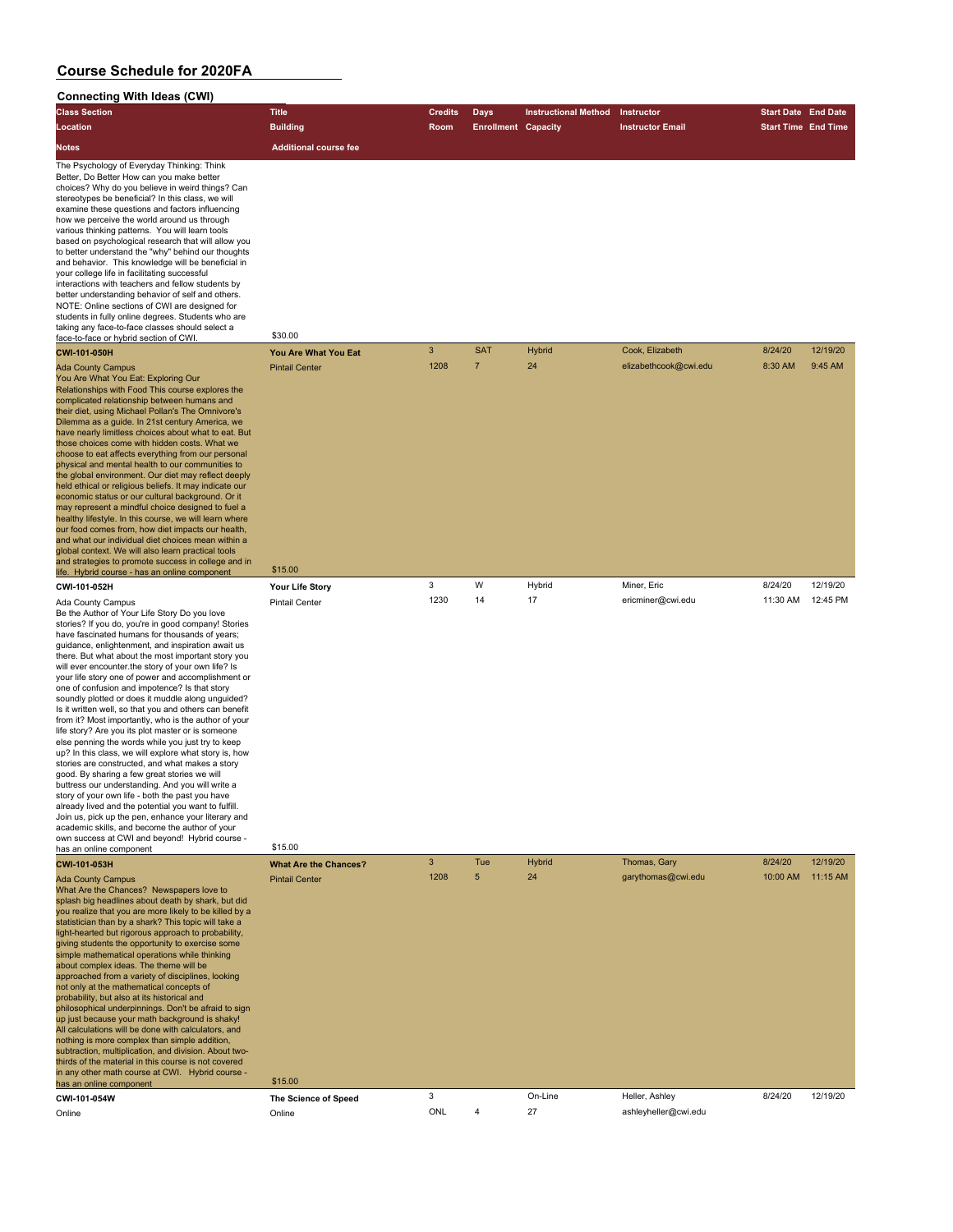| <b>Connecting With Ideas (CWI)</b>                                                                                                                                                                                                                                                                                                                                                                                                                                                                                                                                                                                                                                                                                                                                                                                                                                                                                                                                                                                                                                                                                                                                                                                                                   |                                  |                |                            |                             |                         |                            |          |
|------------------------------------------------------------------------------------------------------------------------------------------------------------------------------------------------------------------------------------------------------------------------------------------------------------------------------------------------------------------------------------------------------------------------------------------------------------------------------------------------------------------------------------------------------------------------------------------------------------------------------------------------------------------------------------------------------------------------------------------------------------------------------------------------------------------------------------------------------------------------------------------------------------------------------------------------------------------------------------------------------------------------------------------------------------------------------------------------------------------------------------------------------------------------------------------------------------------------------------------------------|----------------------------------|----------------|----------------------------|-----------------------------|-------------------------|----------------------------|----------|
| <b>Class Section</b>                                                                                                                                                                                                                                                                                                                                                                                                                                                                                                                                                                                                                                                                                                                                                                                                                                                                                                                                                                                                                                                                                                                                                                                                                                 | <b>Title</b>                     | Credits        | <b>Days</b>                | <b>Instructional Method</b> | Instructor              | <b>Start Date End Date</b> |          |
| Location                                                                                                                                                                                                                                                                                                                                                                                                                                                                                                                                                                                                                                                                                                                                                                                                                                                                                                                                                                                                                                                                                                                                                                                                                                             | <b>Building</b>                  | Room           | <b>Enrollment Capacity</b> |                             | <b>Instructor Email</b> | <b>Start Time End Time</b> |          |
| <b>Notes</b>                                                                                                                                                                                                                                                                                                                                                                                                                                                                                                                                                                                                                                                                                                                                                                                                                                                                                                                                                                                                                                                                                                                                                                                                                                         | <b>Additional course fee</b>     |                |                            |                             |                         |                            |          |
| The Psychology of Everyday Thinking: Think<br>Better, Do Better How can you make better<br>choices? Why do you believe in weird things? Can<br>stereotypes be beneficial? In this class, we will<br>examine these questions and factors influencing<br>how we perceive the world around us through<br>various thinking patterns. You will learn tools<br>based on psychological research that will allow you<br>to better understand the "why" behind our thoughts<br>and behavior. This knowledge will be beneficial in<br>your college life in facilitating successful<br>interactions with teachers and fellow students by<br>better understanding behavior of self and others.<br>NOTE: Online sections of CWI are designed for<br>students in fully online degrees. Students who are<br>taking any face-to-face classes should select a<br>face-to-face or hybrid section of CWI.                                                                                                                                                                                                                                                                                                                                                               | \$30.00                          |                |                            |                             |                         |                            |          |
| CWI-101-050H                                                                                                                                                                                                                                                                                                                                                                                                                                                                                                                                                                                                                                                                                                                                                                                                                                                                                                                                                                                                                                                                                                                                                                                                                                         | You Are What You Eat             | $\overline{3}$ | <b>SAT</b>                 | Hybrid                      | Cook, Elizabeth         | 8/24/20                    | 12/19/20 |
| <b>Ada County Campus</b><br>You Are What You Eat: Exploring Our<br>Relationships with Food This course explores the<br>complicated relationship between humans and<br>their diet, using Michael Pollan's The Omnivore's<br>Dilemma as a guide. In 21st century America, we<br>have nearly limitless choices about what to eat. But<br>those choices come with hidden costs. What we<br>choose to eat affects everything from our personal<br>physical and mental health to our communities to<br>the global environment. Our diet may reflect deeply<br>held ethical or religious beliefs. It may indicate our<br>economic status or our cultural background. Or it<br>may represent a mindful choice designed to fuel a<br>healthy lifestyle. In this course, we will learn where<br>our food comes from, how diet impacts our health,<br>and what our individual diet choices mean within a<br>global context. We will also learn practical tools<br>and strategies to promote success in college and in<br>life. Hybrid course - has an online component                                                                                                                                                                                          | <b>Pintail Center</b><br>\$15.00 | 1208           | $\overline{7}$             | 24                          | elizabethcook@cwi.edu   | 8:30 AM                    | 9:45 AM  |
| CWI-101-052H                                                                                                                                                                                                                                                                                                                                                                                                                                                                                                                                                                                                                                                                                                                                                                                                                                                                                                                                                                                                                                                                                                                                                                                                                                         | Your Life Story                  | 3              | W                          | Hybrid                      | Miner, Eric             | 8/24/20                    | 12/19/20 |
| Ada County Campus<br>Be the Author of Your Life Story Do you love<br>stories? If you do, you're in good company! Stories<br>have fascinated humans for thousands of years;<br>guidance, enlightenment, and inspiration await us<br>there. But what about the most important story you<br>will ever encounter the story of your own life? Is<br>your life story one of power and accomplishment or<br>one of confusion and impotence? Is that story<br>soundly plotted or does it muddle along unguided?<br>Is it written well, so that you and others can benefit<br>from it? Most importantly, who is the author of your<br>life story? Are you its plot master or is someone<br>else penning the words while you just try to keep<br>up? In this class, we will explore what story is, how<br>stories are constructed, and what makes a story<br>good. By sharing a few great stories we will<br>buttress our understanding. And you will write a<br>story of your own life - both the past you have<br>already lived and the potential you want to fulfill.<br>Join us, pick up the pen, enhance your literary and<br>academic skills, and become the author of your<br>own success at CWI and beyond! Hybrid course -<br>has an online component | Pintail Center<br>\$15.00        | 1230           | 14                         | 17                          | ericminer@cwi.edu       | 11:30 AM                   | 12:45 PM |
| CWI-101-053H                                                                                                                                                                                                                                                                                                                                                                                                                                                                                                                                                                                                                                                                                                                                                                                                                                                                                                                                                                                                                                                                                                                                                                                                                                         | <b>What Are the Chances?</b>     | 3              | Tue                        | <b>Hybrid</b>               | Thomas, Gary            | 8/24/20                    | 12/19/20 |
| <b>Ada County Campus</b><br>What Are the Chances? Newspapers love to<br>splash big headlines about death by shark, but did<br>you realize that you are more likely to be killed by a<br>statistician than by a shark? This topic will take a<br>light-hearted but rigorous approach to probability,<br>giving students the opportunity to exercise some<br>simple mathematical operations while thinking<br>about complex ideas. The theme will be<br>approached from a variety of disciplines, looking<br>not only at the mathematical concepts of<br>probability, but also at its historical and<br>philosophical underpinnings. Don't be afraid to sign<br>up just because your math background is shaky!<br>All calculations will be done with calculators, and<br>nothing is more complex than simple addition,<br>subtraction, multiplication, and division. About two-<br>thirds of the material in this course is not covered<br>in any other math course at CWI. Hybrid course -                                                                                                                                                                                                                                                            | <b>Pintail Center</b><br>\$15.00 | 1208           | 5                          | 24                          | garythomas@cwi.edu      | 10:00 AM                   | 11:15 AM |
| has an online component<br>CWI-101-054W                                                                                                                                                                                                                                                                                                                                                                                                                                                                                                                                                                                                                                                                                                                                                                                                                                                                                                                                                                                                                                                                                                                                                                                                              | The Science of Speed             | 3              |                            | On-Line                     | Heller, Ashley          | 8/24/20                    | 12/19/20 |
| Online                                                                                                                                                                                                                                                                                                                                                                                                                                                                                                                                                                                                                                                                                                                                                                                                                                                                                                                                                                                                                                                                                                                                                                                                                                               | Online                           | ONL            | 4                          | 27                          | ashleyheller@cwi.edu    |                            |          |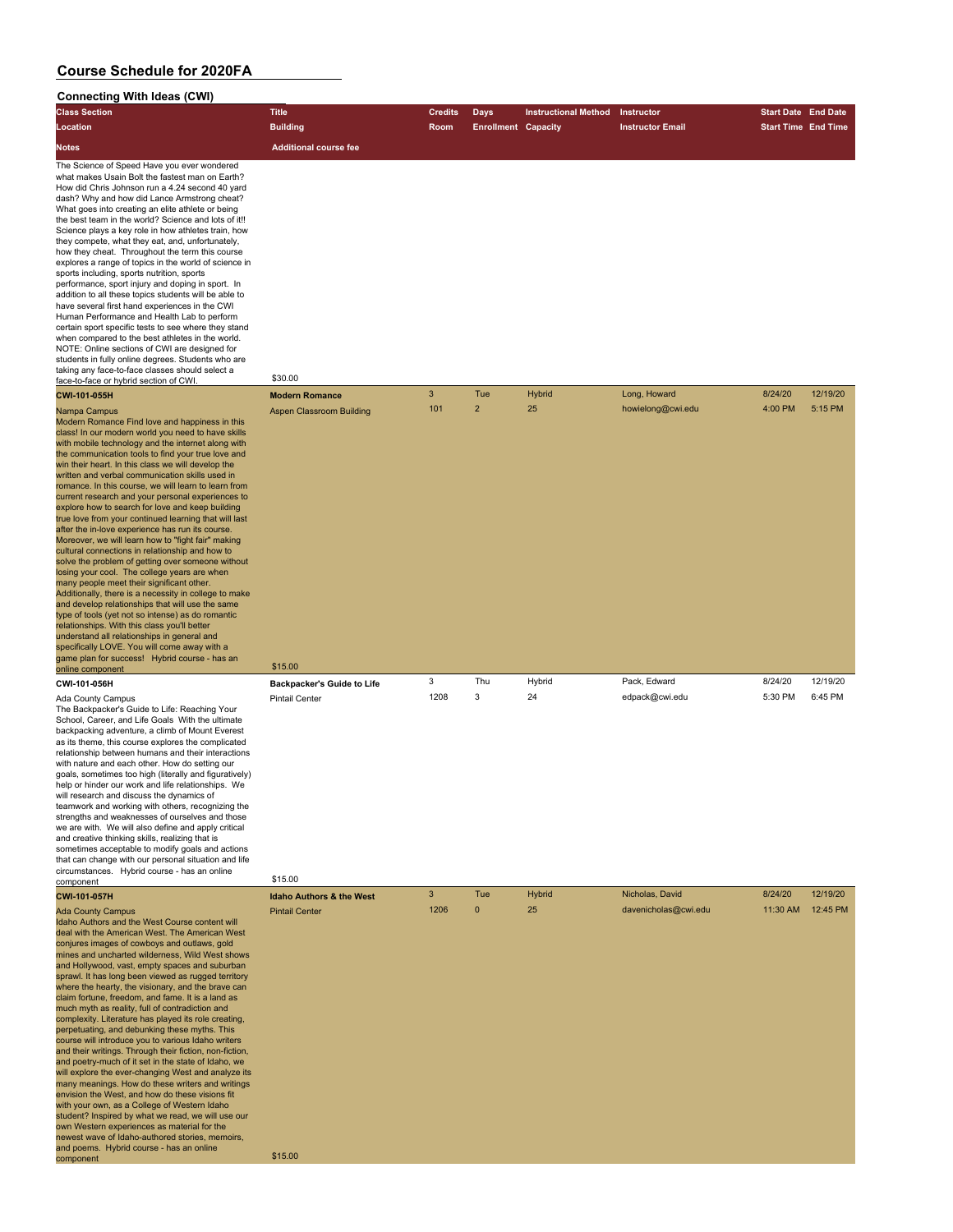#### **Connecting With Ideas (CWI) Class Section Title Credits Days Instructional Method Instructor Start Date End Date Location Building Room Enrollment Capacity Instructor Email Start Time End Time Notes Additional course fee** The Science of Speed Have you ever wondered what makes Usain Bolt the fastest man on Earth? How did Chris Johnson run a 4.24 second 40 yard dash? Why and how did Lance Armstrong cheat? What goes into creating an elite athlete or being the best team in the world? Science and lots of it!! Science plays a key role in how athletes train, how they compete, what they eat, and, unfortunately, how they cheat. Throughout the term this course explores a range of topics in the world of science in sports including, sports nutrition, sports performance, sport injury and doping in sport. In addition to all these topics students will be able to have several first hand experiences in the CWI Human Performance and Health Lab to perform certain sport specific tests to see where they stand when compared to the best athletes in the world. NOTE: Online sections of CWI are designed for students in fully online degrees. Students who are taking any face-to-face classes should select a face-to-face or hybrid section of CWI. \$30.00 **CWI-101-055H Modern Romance** 3 Tue Hybrid Long, Howard 8/24/20 12/19/20 Nampa Campus Aspen Classroom Building 101 2 25 howielong@cwi.edu 4:00 PM 5:15 PM Modern Romance Find love and happiness in this class! In our modern world you need to have skills with mobile technology and the internet along with the communication tools to find your true love and win their heart. In this class we will develop the written and verbal communication skills used in romance. In this course, we will learn to learn from current research and your personal experiences to explore how to search for love and keep building true love from your continued learning that will last after the in-love experience has run its course. Moreover, we will learn how to "fight fair" making cultural connections in relationship and how to solve the problem of getting over someone without losing your cool. The college years are when many people meet their significant other. Additionally, there is a necessity in college to make and develop relationships that will use the same type of tools (yet not so intense) as do romantic **relationships. With this class you'll better** understand all relationships in general and specifically LOVE. You will come away with a ame plan for success! Hybrid course - has an online component \$15.00 **CWI-101-056H Backpacker's Guide to Life** 3 Thu Hybrid Pack, Edward 8/24/20 12/19/20 Ada County Campus Pintail Center 1208 3 24 edpack@cwi.edu 5:30 PM 6:45 PM The Backpacker's Guide to Life: Reaching Your School, Career, and Life Goals, With the ultimate backpacking adventure, a climb of Mount Everest as its theme, this course explores the complicated relationship between humans and their interactions with nature and each other. How do setting our goals, sometimes too high (literally and figuratively) help or hinder our work and life relationships. We will research and discuss the dynamics of teamwork and working with others, recognizing the strengths and weaknesses of ourselves and those we are with. We will also define and apply critical and creative thinking skills, realizing that is sometimes acceptable to modify goals and actions that can change with our personal situation and life circumstances. Hybrid course - has an online component \$15.00 **CWI-101-057H Idaho Authors & the West** 3 Tue Hybrid Nicholas, David 8/24/20 12/19/20 Ada County Campus Photos Pintail Center 1206 0 25 davenicholas@cwi.edu 11:30 AM 12:45 PM Idaho Authors and the West Course content will deal with the American West. The American West conjures images of cowboys and outlaws, gold mines and uncharted wilderness, Wild West shows and Hollywood, vast, empty spaces and suburban sprawl. It has long been viewed as rugged territory where the hearty, the visionary, and the brave can claim fortune, freedom, and fame. It is a land as much myth as reality, full of contradiction and complexity. Literature has played its role creating, perpetuating, and debunking these myths. This course will introduce you to various Idaho writers and their writings. Through their fiction, non-fiction, and poetry-much of it set in the state of Idaho, we will explore the ever-changing West and analyze its many meanings. How do these writers and writings envision the West, and how do these visions fit with your own, as a College of Western Idaho student? Inspired by what we read, we will use our own Western experiences as material for the newest wave of Idaho-authored stories, memoirs and poems. Hybrid course - has an online

component \$15.00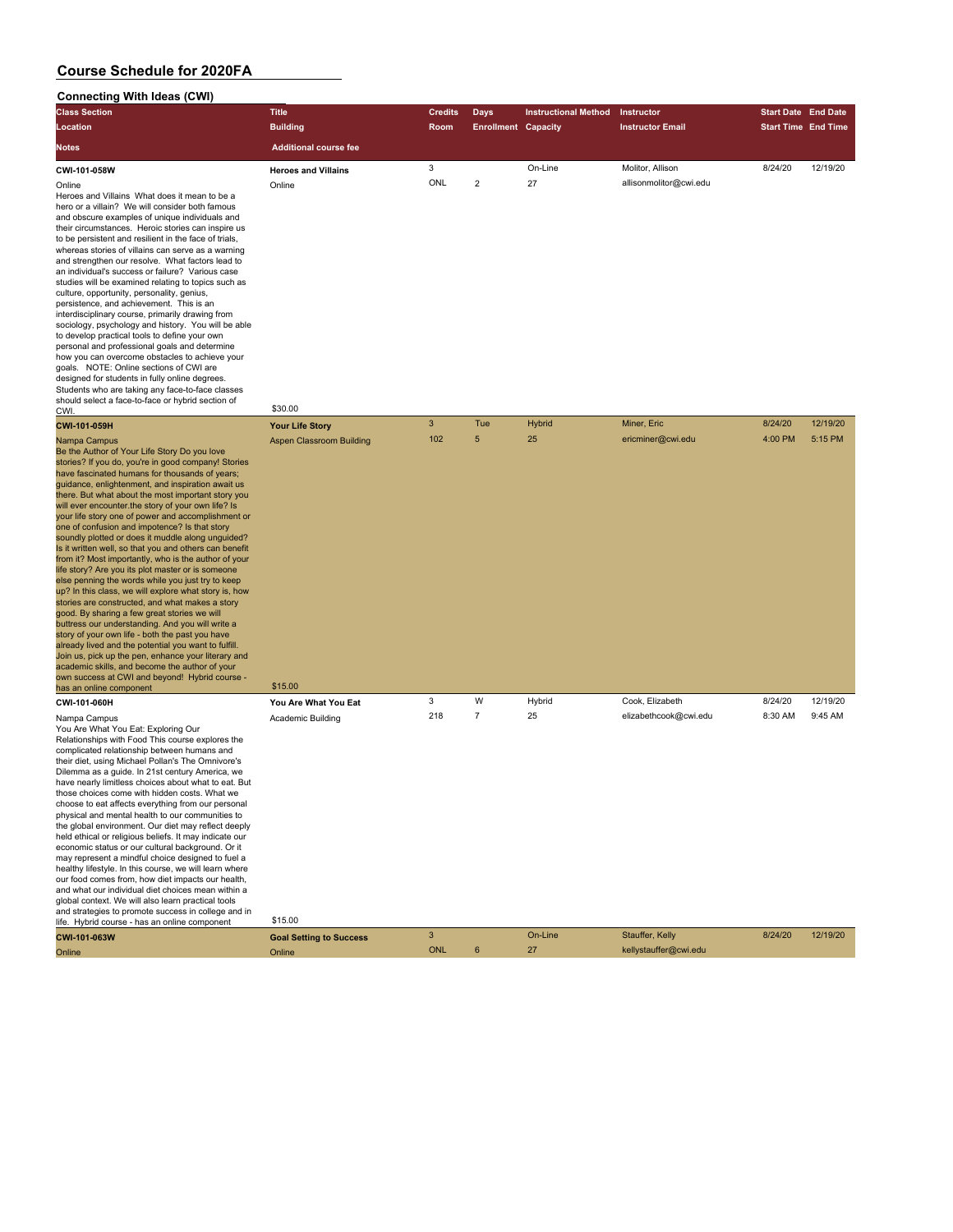| Connecting With Ideas (CWI)                                                                                                                                                                                                                                                                                                                                                                                                                                                                                                                                                                                                                                                                                                                                                                                                                                                                                                                                                                                                                                                                                                                                                                                                                     |                                            |              |                            |                             |                         |                            |          |
|-------------------------------------------------------------------------------------------------------------------------------------------------------------------------------------------------------------------------------------------------------------------------------------------------------------------------------------------------------------------------------------------------------------------------------------------------------------------------------------------------------------------------------------------------------------------------------------------------------------------------------------------------------------------------------------------------------------------------------------------------------------------------------------------------------------------------------------------------------------------------------------------------------------------------------------------------------------------------------------------------------------------------------------------------------------------------------------------------------------------------------------------------------------------------------------------------------------------------------------------------|--------------------------------------------|--------------|----------------------------|-----------------------------|-------------------------|----------------------------|----------|
| <b>Class Section</b>                                                                                                                                                                                                                                                                                                                                                                                                                                                                                                                                                                                                                                                                                                                                                                                                                                                                                                                                                                                                                                                                                                                                                                                                                            | <b>Title</b>                               | Credits      | <b>Days</b>                | <b>Instructional Method</b> | Instructor              | <b>Start Date End Date</b> |          |
| Location                                                                                                                                                                                                                                                                                                                                                                                                                                                                                                                                                                                                                                                                                                                                                                                                                                                                                                                                                                                                                                                                                                                                                                                                                                        | <b>Building</b>                            | Room         | <b>Enrollment Capacity</b> |                             | <b>Instructor Email</b> | <b>Start Time End Time</b> |          |
| Notes                                                                                                                                                                                                                                                                                                                                                                                                                                                                                                                                                                                                                                                                                                                                                                                                                                                                                                                                                                                                                                                                                                                                                                                                                                           | <b>Additional course fee</b>               |              |                            |                             |                         |                            |          |
| CWI-101-058W                                                                                                                                                                                                                                                                                                                                                                                                                                                                                                                                                                                                                                                                                                                                                                                                                                                                                                                                                                                                                                                                                                                                                                                                                                    | <b>Heroes and Villains</b>                 | 3            |                            | On-Line                     | Molitor, Allison        | 8/24/20                    | 12/19/20 |
| Online<br>Heroes and Villains What does it mean to be a<br>hero or a villain? We will consider both famous<br>and obscure examples of unique individuals and<br>their circumstances. Heroic stories can inspire us<br>to be persistent and resilient in the face of trials,<br>whereas stories of villains can serve as a warning<br>and strengthen our resolve. What factors lead to<br>an individual's success or failure? Various case<br>studies will be examined relating to topics such as<br>culture, opportunity, personality, genius,<br>persistence, and achievement. This is an<br>interdisciplinary course, primarily drawing from<br>sociology, psychology and history. You will be able<br>to develop practical tools to define your own<br>personal and professional goals and determine<br>how you can overcome obstacles to achieve your<br>goals. NOTE: Online sections of CWI are<br>designed for students in fully online degrees.<br>Students who are taking any face-to-face classes<br>should select a face-to-face or hybrid section of<br>CWI.                                                                                                                                                                         | Online<br>\$30.00                          | ONL          | $\overline{2}$             | 27                          | allisonmolitor@cwi.edu  |                            |          |
| CWI-101-059H                                                                                                                                                                                                                                                                                                                                                                                                                                                                                                                                                                                                                                                                                                                                                                                                                                                                                                                                                                                                                                                                                                                                                                                                                                    | <b>Your Life Story</b>                     | $\mathbf{3}$ | Tue                        | Hybrid                      | Miner, Eric             | 8/24/20                    | 12/19/20 |
| Nampa Campus<br>Be the Author of Your Life Story Do you love<br>stories? If you do, you're in good company! Stories<br>have fascinated humans for thousands of years;<br>guidance, enlightenment, and inspiration await us<br>there. But what about the most important story you<br>will ever encounter the story of your own life? Is<br>your life story one of power and accomplishment or<br>one of confusion and impotence? Is that story<br>soundly plotted or does it muddle along unguided?<br>Is it written well, so that you and others can benefit<br>from it? Most importantly, who is the author of your<br>life story? Are you its plot master or is someone<br>else penning the words while you just try to keep<br>up? In this class, we will explore what story is, how<br>stories are constructed, and what makes a story<br>good. By sharing a few great stories we will<br>buttress our understanding. And you will write a<br>story of your own life - both the past you have<br>already lived and the potential you want to fulfill.<br>Join us, pick up the pen, enhance your literary and<br>academic skills, and become the author of your<br>own success at CWI and beyond! Hybrid course -<br>has an online component | <b>Aspen Classroom Building</b><br>\$15.00 | 102          | 5                          | 25                          | ericminer@cwi.edu       | 4:00 PM                    | 5:15 PM  |
| CWI-101-060H                                                                                                                                                                                                                                                                                                                                                                                                                                                                                                                                                                                                                                                                                                                                                                                                                                                                                                                                                                                                                                                                                                                                                                                                                                    | You Are What You Eat                       | 3            | W                          | Hybrid                      | Cook, Elizabeth         | 8/24/20                    | 12/19/20 |
| Nampa Campus<br>You Are What You Eat: Exploring Our<br>Relationships with Food This course explores the<br>complicated relationship between humans and<br>their diet, using Michael Pollan's The Omnivore's<br>Dilemma as a quide. In 21st century America, we<br>have nearly limitless choices about what to eat. But<br>those choices come with hidden costs. What we<br>choose to eat affects everything from our personal<br>physical and mental health to our communities to<br>the global environment. Our diet may reflect deeply<br>held ethical or religious beliefs. It may indicate our<br>economic status or our cultural background. Or it<br>may represent a mindful choice designed to fuel a<br>healthy lifestyle. In this course, we will learn where<br>our food comes from, how diet impacts our health,<br>and what our individual diet choices mean within a<br>global context. We will also learn practical tools<br>and strategies to promote success in college and in<br>life. Hybrid course - has an online component                                                                                                                                                                                                 | Academic Building<br>\$15.00               | 218          | $\overline{7}$             | 25                          | elizabethcook@cwi.edu   | 8:30 AM                    | 9:45 AM  |
| CWI-101-063W                                                                                                                                                                                                                                                                                                                                                                                                                                                                                                                                                                                                                                                                                                                                                                                                                                                                                                                                                                                                                                                                                                                                                                                                                                    | <b>Goal Setting to Success</b>             | $\mathbf{3}$ |                            | On-Line                     | Stauffer, Kelly         | 8/24/20                    | 12/19/20 |
| Online                                                                                                                                                                                                                                                                                                                                                                                                                                                                                                                                                                                                                                                                                                                                                                                                                                                                                                                                                                                                                                                                                                                                                                                                                                          | Online                                     | <b>ONL</b>   | 6                          | 27                          | kellystauffer@cwi.edu   |                            |          |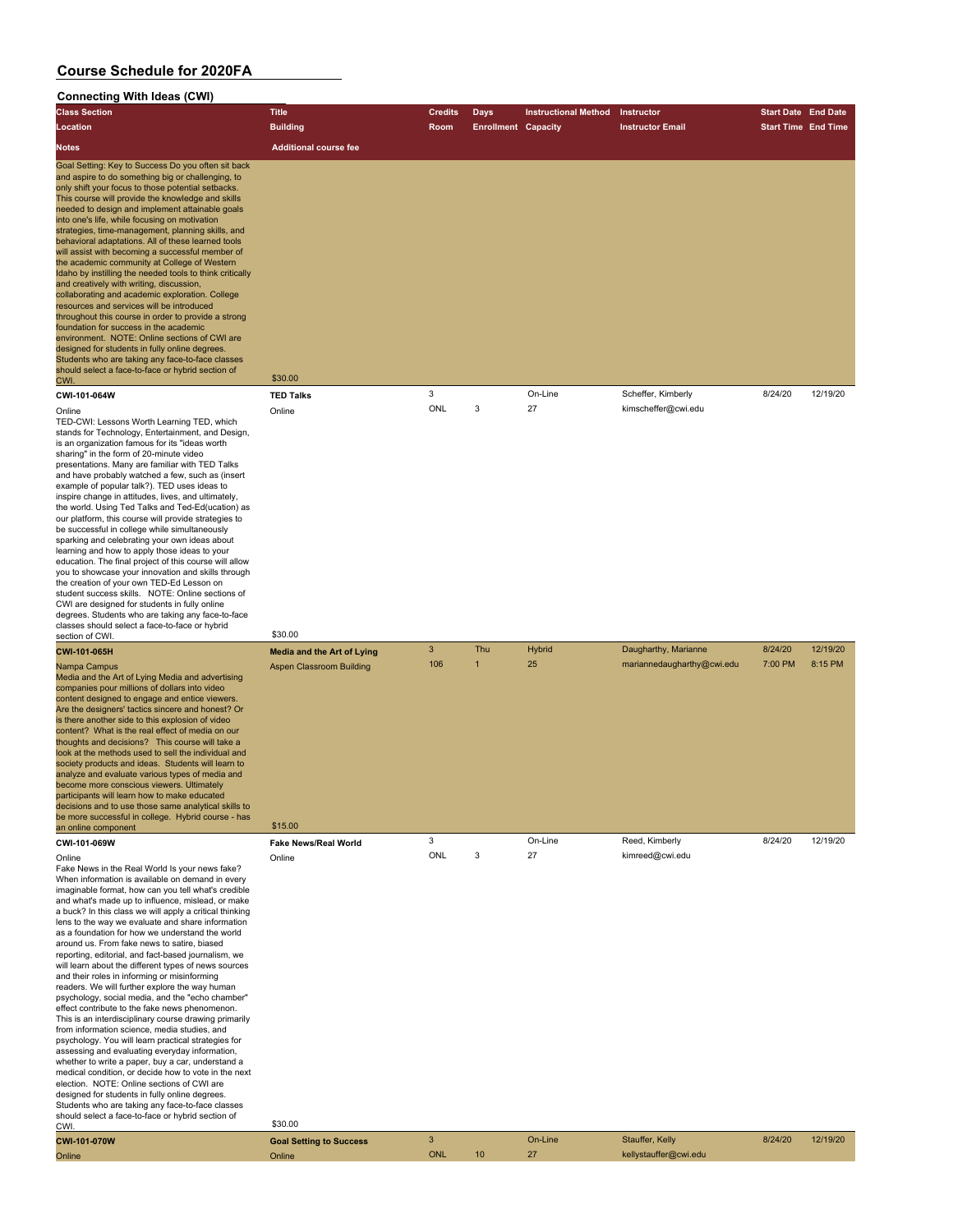| <b>Connecting With Ideas (CWI)</b>                                                                                                                                                                                                                                                                                                                                                                                                                                                                                                                                                                                                                                                                                                                                                                                                                                                                                                                                                                                                                                                                                                                                                                                                                                                                                                    |                                              |                     |                            |                             |                                   |                            |          |
|---------------------------------------------------------------------------------------------------------------------------------------------------------------------------------------------------------------------------------------------------------------------------------------------------------------------------------------------------------------------------------------------------------------------------------------------------------------------------------------------------------------------------------------------------------------------------------------------------------------------------------------------------------------------------------------------------------------------------------------------------------------------------------------------------------------------------------------------------------------------------------------------------------------------------------------------------------------------------------------------------------------------------------------------------------------------------------------------------------------------------------------------------------------------------------------------------------------------------------------------------------------------------------------------------------------------------------------|----------------------------------------------|---------------------|----------------------------|-----------------------------|-----------------------------------|----------------------------|----------|
| <b>Class Section</b>                                                                                                                                                                                                                                                                                                                                                                                                                                                                                                                                                                                                                                                                                                                                                                                                                                                                                                                                                                                                                                                                                                                                                                                                                                                                                                                  | <b>Title</b>                                 | <b>Credits</b>      | <b>Days</b>                | <b>Instructional Method</b> | Instructor                        | <b>Start Date End Date</b> |          |
| Location                                                                                                                                                                                                                                                                                                                                                                                                                                                                                                                                                                                                                                                                                                                                                                                                                                                                                                                                                                                                                                                                                                                                                                                                                                                                                                                              | <b>Building</b>                              | Room                | <b>Enrollment Capacity</b> |                             | <b>Instructor Email</b>           | <b>Start Time End Time</b> |          |
| Notes                                                                                                                                                                                                                                                                                                                                                                                                                                                                                                                                                                                                                                                                                                                                                                                                                                                                                                                                                                                                                                                                                                                                                                                                                                                                                                                                 | <b>Additional course fee</b>                 |                     |                            |                             |                                   |                            |          |
| Goal Setting: Key to Success Do you often sit back<br>and aspire to do something big or challenging, to<br>only shift your focus to those potential setbacks.<br>This course will provide the knowledge and skills<br>needed to design and implement attainable goals<br>into one's life, while focusing on motivation<br>strategies, time-management, planning skills, and<br>behavioral adaptations. All of these learned tools<br>will assist with becoming a successful member of<br>the academic community at College of Western<br>Idaho by instilling the needed tools to think critically<br>and creatively with writing, discussion,<br>collaborating and academic exploration. College<br>resources and services will be introduced<br>throughout this course in order to provide a strong<br>foundation for success in the academic<br>environment. NOTE: Online sections of CWI are<br>designed for students in fully online degrees.<br>Students who are taking any face-to-face classes<br>should select a face-to-face or hybrid section of<br>CWI.                                                                                                                                                                                                                                                                    | \$30.00                                      |                     |                            |                             |                                   |                            |          |
| CWI-101-064W                                                                                                                                                                                                                                                                                                                                                                                                                                                                                                                                                                                                                                                                                                                                                                                                                                                                                                                                                                                                                                                                                                                                                                                                                                                                                                                          | <b>TED Talks</b>                             | 3                   |                            | On-Line                     | Scheffer, Kimberly                | 8/24/20                    | 12/19/20 |
| Online<br>TED-CWI: Lessons Worth Learning TED, which<br>stands for Technology, Entertainment, and Design,<br>is an organization famous for its "ideas worth<br>sharing" in the form of 20-minute video<br>presentations. Many are familiar with TED Talks<br>and have probably watched a few, such as (insert<br>example of popular talk?). TED uses ideas to<br>inspire change in attitudes, lives, and ultimately,<br>the world. Using Ted Talks and Ted-Ed(ucation) as<br>our platform, this course will provide strategies to<br>be successful in college while simultaneously<br>sparking and celebrating your own ideas about<br>learning and how to apply those ideas to your<br>education. The final project of this course will allow<br>you to showcase your innovation and skills through<br>the creation of your own TED-Ed Lesson on<br>student success skills. NOTE: Online sections of<br>CWI are designed for students in fully online<br>degrees. Students who are taking any face-to-face<br>classes should select a face-to-face or hybrid                                                                                                                                                                                                                                                                         | Online                                       | ONL                 | 3                          | 27                          | kimscheffer@cwi.edu               |                            |          |
| section of CWI<br>CWI-101-065H                                                                                                                                                                                                                                                                                                                                                                                                                                                                                                                                                                                                                                                                                                                                                                                                                                                                                                                                                                                                                                                                                                                                                                                                                                                                                                        | \$30.00<br><b>Media and the Art of Lying</b> | 3                   | Thu                        | <b>Hybrid</b>               | Daugharthy, Marianne              | 8/24/20                    | 12/19/20 |
| Nampa Campus<br>Media and the Art of Lying Media and advertising<br>companies pour millions of dollars into video<br>content designed to engage and entice viewers.<br>Are the designers' tactics sincere and honest? Or<br>is there another side to this explosion of video<br>content? What is the real effect of media on our<br>thoughts and decisions? This course will take a<br>look at the methods used to sell the individual and<br>society products and ideas. Students will learn to<br>analyze and evaluate various types of media and<br>become more conscious viewers. Ultimately<br>participants will learn how to make educated<br>decisions and to use those same analytical skills to<br>be more successful in college. Hybrid course - has<br>an online component                                                                                                                                                                                                                                                                                                                                                                                                                                                                                                                                                 | <b>Aspen Classroom Building</b><br>\$15.00   | 106                 | $\mathbf{1}$               | 25                          | mariannedaugharthy@cwi.edu        | 7:00 PM                    | 8:15 PM  |
| CWI-101-069W                                                                                                                                                                                                                                                                                                                                                                                                                                                                                                                                                                                                                                                                                                                                                                                                                                                                                                                                                                                                                                                                                                                                                                                                                                                                                                                          | Fake News/Real World                         | 3                   |                            | On-Line                     | Reed, Kimberly                    | 8/24/20                    | 12/19/20 |
| Online<br>Fake News in the Real World Is your news fake?<br>When information is available on demand in every<br>imaginable format, how can you tell what's credible<br>and what's made up to influence, mislead, or make<br>a buck? In this class we will apply a critical thinking<br>lens to the way we evaluate and share information<br>as a foundation for how we understand the world<br>around us. From fake news to satire, biased<br>reporting, editorial, and fact-based journalism, we<br>will learn about the different types of news sources<br>and their roles in informing or misinforming<br>readers. We will further explore the way human<br>psychology, social media, and the "echo chamber"<br>effect contribute to the fake news phenomenon.<br>This is an interdisciplinary course drawing primarily<br>from information science, media studies, and<br>psychology. You will learn practical strategies for<br>assessing and evaluating everyday information,<br>whether to write a paper, buy a car, understand a<br>medical condition, or decide how to vote in the next<br>election. NOTE: Online sections of CWI are<br>designed for students in fully online degrees.<br>Students who are taking any face-to-face classes<br>should select a face-to-face or hybrid section of<br>CWI.<br>CIALL 404 0701AL | Online<br>\$30.00                            | ONL<br>$\mathbf{R}$ | 3                          | 27<br>$On-I$ ine            | kimreed@cwi.edu<br>Stauffer Kelly | R/24/20                    | 12/19/20 |

| <b>CWI-101-070W</b> | <b>Goal Setting to Success</b> |            |    | On-Line | Stauffer, Kelly       | 8/24/20 | 12/19/20 |
|---------------------|--------------------------------|------------|----|---------|-----------------------|---------|----------|
| Online              | <b>Online</b>                  | <b>ONL</b> | 10 | $\sim$  | kellystauffer@cwi.edu |         |          |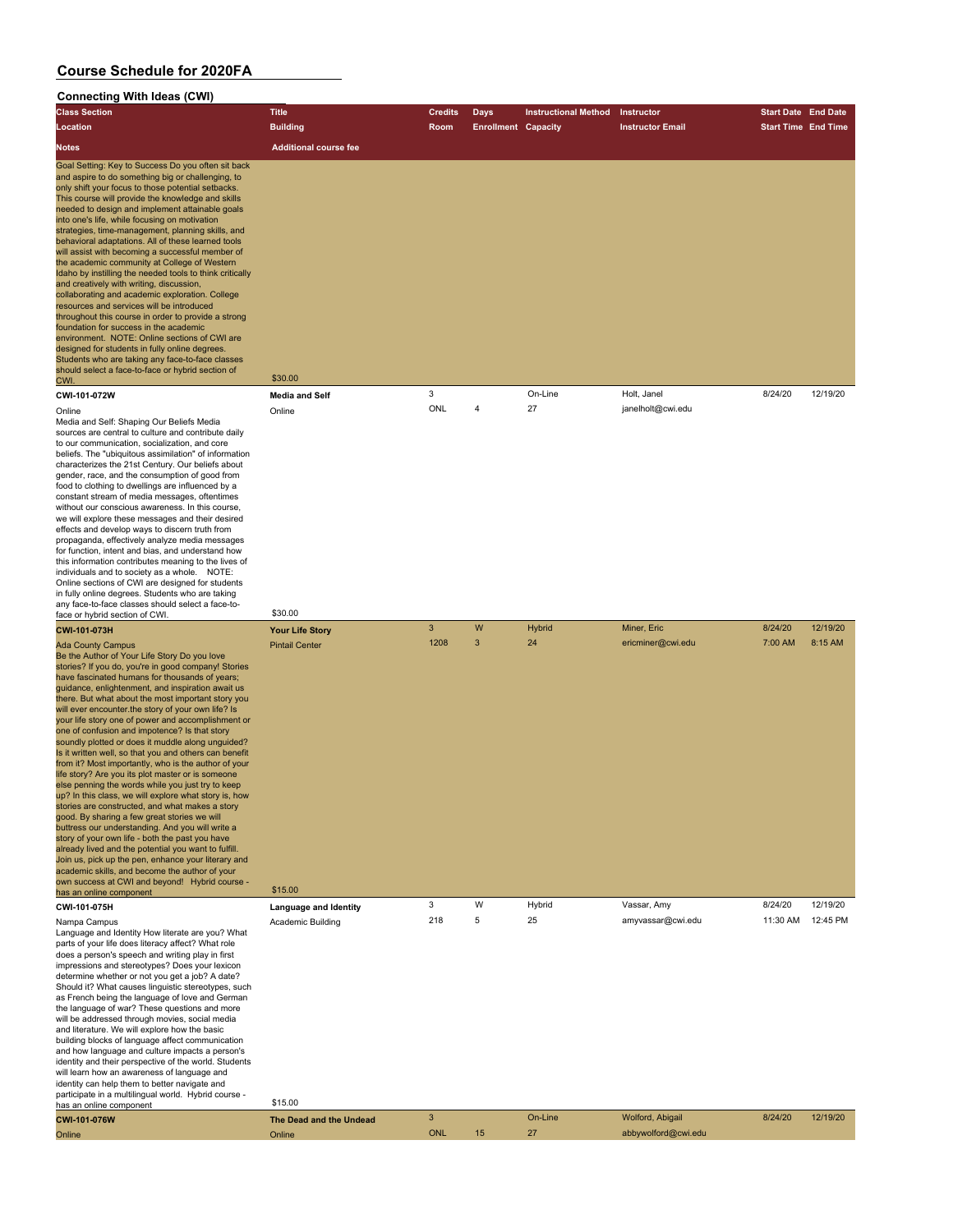#### **Connecting With Ideas (CWI) Class Section Title Credits Days Instructional Method Instructor Start Date End Date Location Building Room Enrollment Capacity Instructor Email Start Time End Time Notes Additional course fee** Goal Setting: Key to Success Do you often sit back and aspire to do something big or challenging, to only shift your focus to those potential setbacks. This course will provide the knowledge and skills needed to design and implement attainable goals into one's life, while focusing on motivation strategies, time-management, planning skills, and behavioral adaptations. All of these learned tools will assist with becoming a successful member of the academic community at College of Western Idaho by instilling the needed tools to think critically and creatively with writing, discussion, collaborating and academic exploration. College resources and services will be introduced throughout this course in order to provide a strong foundation for success in the academic environment. NOTE: Online sections of CWI are designed for students in fully online degrees. Students who are taking any face-to-face classes should select a face-to-face or hybrid section of CWI. \$30.00 **CWI-101-072W Media and Self** 3 On-Line Holt, Janel 8/24/20 12/19/20 Online Online ONL 4 27 janelholt@cwi.edu Media and Self: Shaping Our Beliefs Media sources are central to culture and contribute daily to our communication, socialization, and core beliefs. The "ubiquitous assimilation" of information characterizes the 21st Century. Our beliefs about gender, race, and the consumption of good from food to clothing to dwellings are influenced by a constant stream of media messages, oftentimes without our conscious awareness. In this course, we will explore these messages and their desired effects and develop ways to discern truth from propaganda, effectively analyze media messages for function, intent and bias, and understand how this information contributes meaning to the lives of individuals and to society as a whole. NOTE: Online sections of CWI are designed for students in fully online degrees. Students who are taking any face-to-face classes should select a face-toface or hybrid section of CWI. \$30.00 **CWI-101-073H Your Life Story** 3 W Hybrid Miner, Eric 8/24/20 12/19/20 Ada County Campus Photos Ada County Campus Pintail Center 1208 3 24 ericminer@cwi.edu 7:00 AM 8:15 AM 8:15 AM Be the Author of Your Life Story Do you love stories? If you do, you're in good company! Stories have fascinated humans for thousands of years; guidance, enlightenment, and inspiration await us there. But what about the most important story you will ever encounter.the story of your own life? Is your life story one of power and accomplishment or one of confusion and impotence? Is that story soundly plotted or does it muddle along unguided? Is it written well, so that you and others can benefit from it? Most importantly, who is the author of your life story? Are you its plot master or is someone else penning the words while you just try to keep up? In this class, we will explore what story is, how stories are constructed, and what makes a story good. By sharing a few great stories we will buttress our understanding. And you will write a story of your own life - both the past you have already lived and the potential you want to fulfill. Join us, pick up the pen, enhance your literary and academic skills, and become the author of your own success at CWI and beyond! Hybrid course has an online component \$15.00 **CWI-101-075H Language and Identity** 3 W Hybrid Vassar, Amy 8/24/20 12/19/20 Nampa Campus Academic Building 218 25 amyvassar@cwi.edu 11:30 AM 12:45 PM Language and Identity How literate are you? What parts of your life does literacy affect? What role does a person's speech and writing play in first impressions and stereotypes? Does your lexicon determine whether or not you get a job? A date? Should it? What causes linguistic stereotypes, such as French being the language of love and German the language of war? These questions and more will be addressed through movies, social media and literature. We will explore how the basic building blocks of language affect communication and how language and culture impacts a person's identity and their perspective of the world. Students will learn how an awareness of language and

identity can help them to better navigate and participate in a multilingual world. Hybrid course has an online component \$15.00

| <b>CWI-101-076W</b> | The Dead and the Undead |            | On-Line | Wolford, Abigail    | 8/24/20 | 12/19/20 |
|---------------------|-------------------------|------------|---------|---------------------|---------|----------|
| Online              | <b>Online</b>           | <b>ONL</b> |         | abbywolford@cwi.edu |         |          |
|                     |                         |            |         |                     |         |          |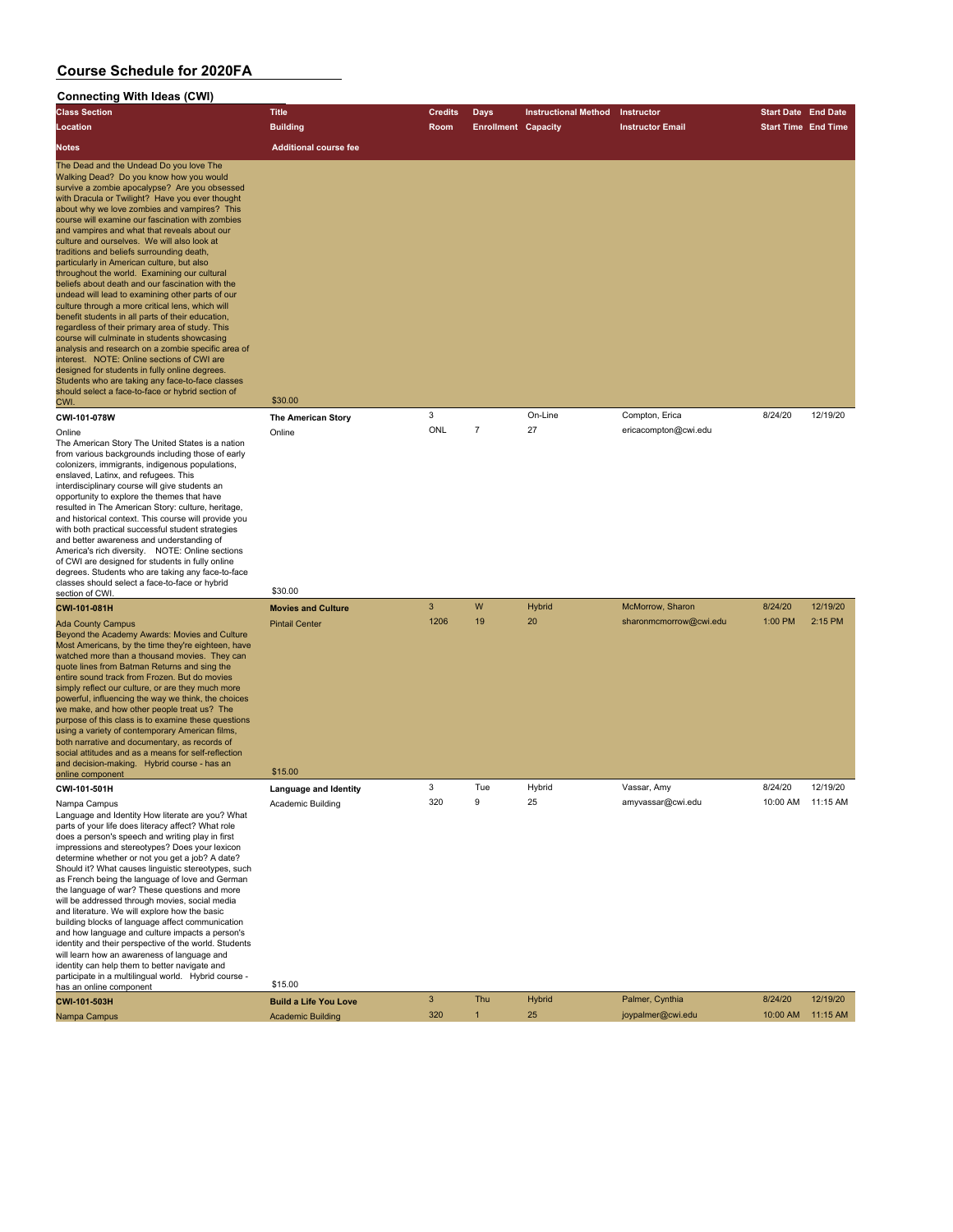| Connecting With Ideas (CWI)                                                                                                                                                                                                                                                                                                                                                                                                                                                                                                                                                                                                                                                                                                                                                                                                                                                                                                                                                                                                                                                                                                     |                                                               |                      |                            |                             |                                            |                            |                     |
|---------------------------------------------------------------------------------------------------------------------------------------------------------------------------------------------------------------------------------------------------------------------------------------------------------------------------------------------------------------------------------------------------------------------------------------------------------------------------------------------------------------------------------------------------------------------------------------------------------------------------------------------------------------------------------------------------------------------------------------------------------------------------------------------------------------------------------------------------------------------------------------------------------------------------------------------------------------------------------------------------------------------------------------------------------------------------------------------------------------------------------|---------------------------------------------------------------|----------------------|----------------------------|-----------------------------|--------------------------------------------|----------------------------|---------------------|
| <b>Class Section</b>                                                                                                                                                                                                                                                                                                                                                                                                                                                                                                                                                                                                                                                                                                                                                                                                                                                                                                                                                                                                                                                                                                            | <b>Title</b>                                                  | Credits              | <b>Days</b>                | <b>Instructional Method</b> | Instructor                                 | <b>Start Date End Date</b> |                     |
| Location                                                                                                                                                                                                                                                                                                                                                                                                                                                                                                                                                                                                                                                                                                                                                                                                                                                                                                                                                                                                                                                                                                                        | <b>Building</b>                                               | Room                 | <b>Enrollment Capacity</b> |                             | <b>Instructor Email</b>                    | <b>Start Time End Time</b> |                     |
| Notes                                                                                                                                                                                                                                                                                                                                                                                                                                                                                                                                                                                                                                                                                                                                                                                                                                                                                                                                                                                                                                                                                                                           | <b>Additional course fee</b>                                  |                      |                            |                             |                                            |                            |                     |
|                                                                                                                                                                                                                                                                                                                                                                                                                                                                                                                                                                                                                                                                                                                                                                                                                                                                                                                                                                                                                                                                                                                                 |                                                               |                      |                            |                             |                                            |                            |                     |
| The Dead and the Undead Do you love The<br>Walking Dead? Do you know how you would<br>survive a zombie apocalypse? Are you obsessed<br>with Dracula or Twilight? Have you ever thought<br>about why we love zombies and vampires? This<br>course will examine our fascination with zombies<br>and vampires and what that reveals about our<br>culture and ourselves. We will also look at<br>traditions and beliefs surrounding death,<br>particularly in American culture, but also<br>throughout the world. Examining our cultural<br>beliefs about death and our fascination with the<br>undead will lead to examining other parts of our<br>culture through a more critical lens, which will<br>benefit students in all parts of their education,<br>regardless of their primary area of study. This<br>course will culminate in students showcasing<br>analysis and research on a zombie specific area of<br>interest. NOTE: Online sections of CWI are<br>designed for students in fully online degrees.<br>Students who are taking any face-to-face classes<br>should select a face-to-face or hybrid section of<br>CWI. | \$30.00                                                       |                      |                            |                             |                                            |                            |                     |
| CWI-101-078W                                                                                                                                                                                                                                                                                                                                                                                                                                                                                                                                                                                                                                                                                                                                                                                                                                                                                                                                                                                                                                                                                                                    | <b>The American Story</b>                                     | 3                    |                            | On-Line                     | Compton, Erica                             | 8/24/20                    | 12/19/20            |
| Online<br>The American Story The United States is a nation<br>from various backgrounds including those of early<br>colonizers, immigrants, indigenous populations,<br>enslaved, Latinx, and refugees. This<br>interdisciplinary course will give students an<br>opportunity to explore the themes that have<br>resulted in The American Story: culture, heritage,<br>and historical context. This course will provide you<br>with both practical successful student strategies<br>and better awareness and understanding of<br>America's rich diversity. NOTE: Online sections<br>of CWI are designed for students in fully online<br>degrees. Students who are taking any face-to-face<br>classes should select a face-to-face or hybrid                                                                                                                                                                                                                                                                                                                                                                                       | Online<br>\$30.00                                             | ONL                  | $\overline{7}$             | 27                          | ericacompton@cwi.edu                       |                            |                     |
| section of CWI                                                                                                                                                                                                                                                                                                                                                                                                                                                                                                                                                                                                                                                                                                                                                                                                                                                                                                                                                                                                                                                                                                                  |                                                               |                      |                            |                             |                                            |                            |                     |
| CWI-101-081H<br><b>Ada County Campus</b><br>Beyond the Academy Awards: Movies and Culture<br>Most Americans, by the time they're eighteen, have<br>watched more than a thousand movies. They can<br>quote lines from Batman Returns and sing the<br>entire sound track from Frozen. But do movies<br>simply reflect our culture, or are they much more<br>powerful, influencing the way we think, the choices<br>we make, and how other people treat us? The<br>purpose of this class is to examine these questions<br>using a variety of contemporary American films,<br>both narrative and documentary, as records of<br>social attitudes and as a means for self-reflection<br>and decision-making. Hybrid course - has an<br>online component                                                                                                                                                                                                                                                                                                                                                                               | <b>Movies and Culture</b><br><b>Pintail Center</b><br>\$15.00 | $\mathbf{3}$<br>1206 | W<br>19                    | Hybrid<br>20                | McMorrow, Sharon<br>sharonmcmorrow@cwi.edu | 8/24/20<br>1:00 PM         | 12/19/20<br>2:15 PM |
| CWI-101-501H                                                                                                                                                                                                                                                                                                                                                                                                                                                                                                                                                                                                                                                                                                                                                                                                                                                                                                                                                                                                                                                                                                                    | Language and Identity                                         | 3                    | Tue                        | Hybrid                      | Vassar, Amy                                | 8/24/20                    | 12/19/20            |
| Nampa Campus<br>Language and Identity How literate are you? What<br>parts of your life does literacy affect? What role<br>does a person's speech and writing play in first<br>impressions and stereotypes? Does your lexicon<br>determine whether or not you get a job? A date?<br>Should it? What causes linguistic stereotypes, such<br>as French being the language of love and German<br>the language of war? These questions and more<br>will be addressed through movies, social media<br>and literature. We will explore how the basic<br>building blocks of language affect communication<br>and how language and culture impacts a person's<br>identity and their perspective of the world. Students<br>will learn how an awareness of language and<br>identity can help them to better navigate and<br>participate in a multilingual world. Hybrid course -                                                                                                                                                                                                                                                           | Academic Building                                             | 320                  | 9                          | 25                          | amyvassar@cwi.edu                          | 10:00 AM 11:15 AM          |                     |
| has an online component                                                                                                                                                                                                                                                                                                                                                                                                                                                                                                                                                                                                                                                                                                                                                                                                                                                                                                                                                                                                                                                                                                         | \$15.00                                                       |                      |                            |                             |                                            |                            |                     |
| CWI-101-503H                                                                                                                                                                                                                                                                                                                                                                                                                                                                                                                                                                                                                                                                                                                                                                                                                                                                                                                                                                                                                                                                                                                    | <b>Build a Life You Love</b>                                  | $\mathbf{3}$         | Thu                        | <b>Hybrid</b>               | Palmer, Cynthia                            | 8/24/20                    | 12/19/20            |
| Nampa Campus                                                                                                                                                                                                                                                                                                                                                                                                                                                                                                                                                                                                                                                                                                                                                                                                                                                                                                                                                                                                                                                                                                                    | <b>Academic Building</b>                                      | 320                  | $\mathbf{1}$               | 25                          | joypalmer@cwi.edu                          | 10:00 AM                   | 11:15 AM            |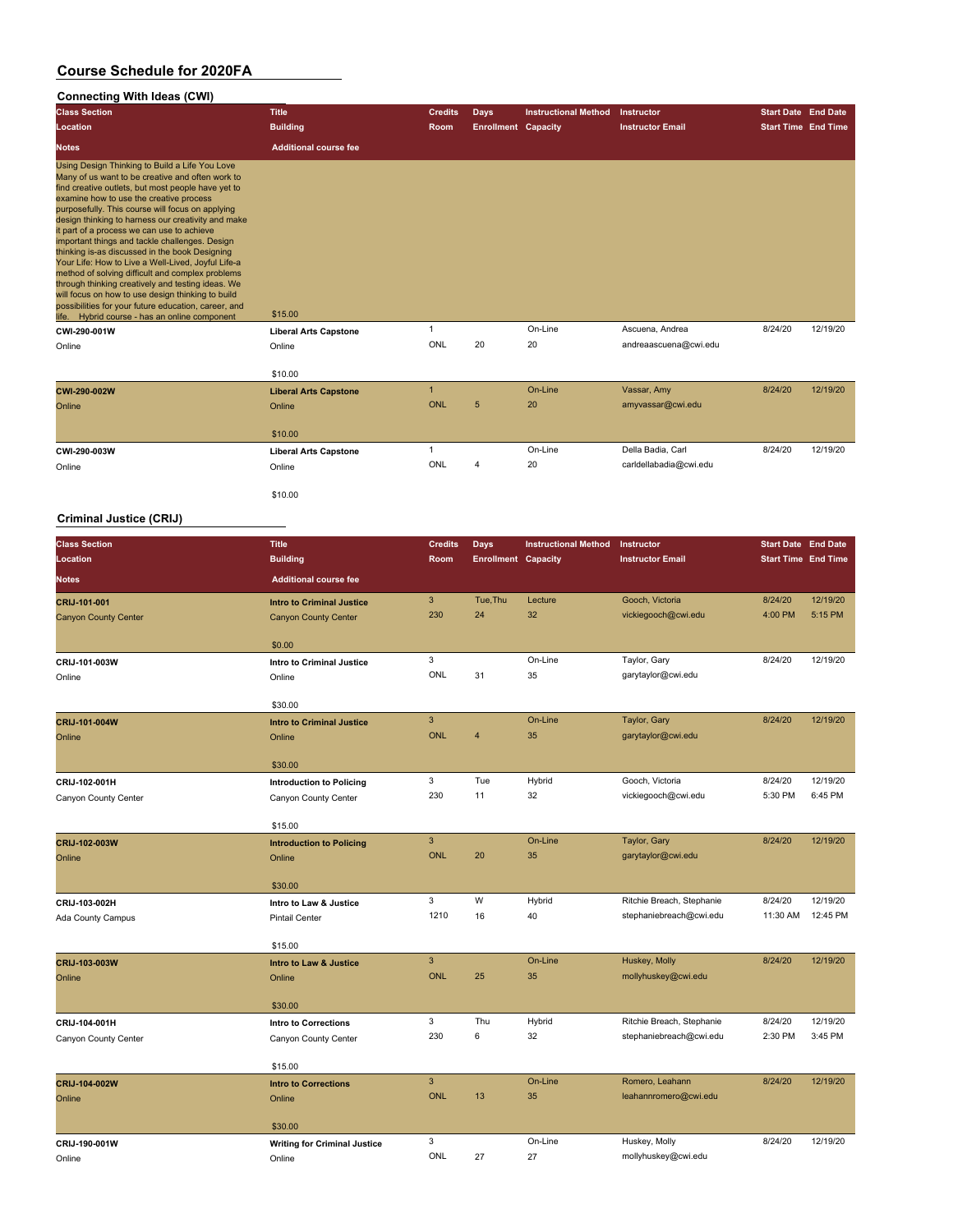### **Connecting With Ideas (CWI)**

| <b>Class Section</b>                                                                                                                                                                                                                                                                                                                                                                                                                                                                                                                                                                                                                                                                                                                                                                         | <b>Title</b>                 | <b>Credits</b> | <b>Days</b>                | <b>Instructional Method</b> | Instructor              | <b>Start Date End Date</b> |          |
|----------------------------------------------------------------------------------------------------------------------------------------------------------------------------------------------------------------------------------------------------------------------------------------------------------------------------------------------------------------------------------------------------------------------------------------------------------------------------------------------------------------------------------------------------------------------------------------------------------------------------------------------------------------------------------------------------------------------------------------------------------------------------------------------|------------------------------|----------------|----------------------------|-----------------------------|-------------------------|----------------------------|----------|
| Location                                                                                                                                                                                                                                                                                                                                                                                                                                                                                                                                                                                                                                                                                                                                                                                     | <b>Building</b>              | Room           | <b>Enrollment Capacity</b> |                             | <b>Instructor Email</b> | <b>Start Time End Time</b> |          |
| <b>Notes</b>                                                                                                                                                                                                                                                                                                                                                                                                                                                                                                                                                                                                                                                                                                                                                                                 | <b>Additional course fee</b> |                |                            |                             |                         |                            |          |
| Using Design Thinking to Build a Life You Love<br>Many of us want to be creative and often work to<br>find creative outlets, but most people have yet to<br>examine how to use the creative process<br>purposefully. This course will focus on applying<br>design thinking to harness our creativity and make<br>it part of a process we can use to achieve<br>important things and tackle challenges. Design<br>thinking is-as discussed in the book Designing<br>Your Life: How to Live a Well-Lived, Joyful Life-a<br>method of solving difficult and complex problems<br>through thinking creatively and testing ideas. We<br>will focus on how to use design thinking to build<br>possibilities for your future education, career, and<br>life. Hybrid course - has an online component | \$15.00                      |                |                            |                             |                         |                            |          |
| CWI-290-001W                                                                                                                                                                                                                                                                                                                                                                                                                                                                                                                                                                                                                                                                                                                                                                                 | <b>Liberal Arts Capstone</b> |                |                            | On-Line                     | Ascuena, Andrea         | 8/24/20                    | 12/19/20 |
| Online                                                                                                                                                                                                                                                                                                                                                                                                                                                                                                                                                                                                                                                                                                                                                                                       | Online                       | ONL            | 20                         | 20                          | andreaascuena@cwi.edu   |                            |          |
|                                                                                                                                                                                                                                                                                                                                                                                                                                                                                                                                                                                                                                                                                                                                                                                              | \$10.00                      |                |                            |                             |                         |                            |          |
| CWI-290-002W                                                                                                                                                                                                                                                                                                                                                                                                                                                                                                                                                                                                                                                                                                                                                                                 | <b>Liberal Arts Capstone</b> |                |                            | On-Line                     | Vassar, Amy             | 8/24/20                    | 12/19/20 |
| Online                                                                                                                                                                                                                                                                                                                                                                                                                                                                                                                                                                                                                                                                                                                                                                                       | Online                       | ONL            | 5                          | 20                          | amyvassar@cwi.edu       |                            |          |
|                                                                                                                                                                                                                                                                                                                                                                                                                                                                                                                                                                                                                                                                                                                                                                                              | \$10.00                      |                |                            |                             |                         |                            |          |
| CWI-290-003W                                                                                                                                                                                                                                                                                                                                                                                                                                                                                                                                                                                                                                                                                                                                                                                 | <b>Liberal Arts Capstone</b> |                |                            | On-Line                     | Della Badia, Carl       | 8/24/20                    | 12/19/20 |
| Online                                                                                                                                                                                                                                                                                                                                                                                                                                                                                                                                                                                                                                                                                                                                                                                       | Online                       | ONL            | 4                          | 20                          | carldellabadia@cwi.edu  |                            |          |

\$10.00

#### **Criminal Justice (CRIJ)**

| <b>Class Section</b>        | <b>Title</b>                        | <b>Credits</b> | <b>Days</b>                | <b>Instructional Method</b> | Instructor                | <b>Start Date End Date</b> |          |
|-----------------------------|-------------------------------------|----------------|----------------------------|-----------------------------|---------------------------|----------------------------|----------|
| Location                    | <b>Building</b>                     | Room           | <b>Enrollment Capacity</b> |                             | <b>Instructor Email</b>   | <b>Start Time End Time</b> |          |
| <b>Notes</b>                | <b>Additional course fee</b>        |                |                            |                             |                           |                            |          |
| CRIJ-101-001                | <b>Intro to Criminal Justice</b>    | $\mathbf{3}$   | Tue, Thu                   | Lecture                     | Gooch, Victoria           | 8/24/20                    | 12/19/20 |
| <b>Canyon County Center</b> | <b>Canyon County Center</b>         | 230            | 24                         | 32                          | vickiegooch@cwi.edu       | 4:00 PM                    | 5:15 PM  |
|                             | \$0.00                              |                |                            |                             |                           |                            |          |
| CRIJ-101-003W               | <b>Intro to Criminal Justice</b>    | 3              |                            | On-Line                     | Taylor, Gary              | 8/24/20                    | 12/19/20 |
| Online                      | Online                              | ONL            | 31                         | 35                          | garytaylor@cwi.edu        |                            |          |
|                             |                                     |                |                            |                             |                           |                            |          |
|                             | \$30.00                             |                |                            |                             |                           |                            |          |
| CRIJ-101-004W               | <b>Intro to Criminal Justice</b>    | $\mathbf{3}$   |                            | On-Line                     | Taylor, Gary              | 8/24/20                    | 12/19/20 |
| Online                      | Online                              | <b>ONL</b>     | $\overline{4}$             | 35                          | garytaylor@cwi.edu        |                            |          |
|                             | \$30.00                             |                |                            |                             |                           |                            |          |
| CRIJ-102-001H               | <b>Introduction to Policing</b>     | 3              | Tue                        | Hybrid                      | Gooch, Victoria           | 8/24/20                    | 12/19/20 |
| Canyon County Center        | Canyon County Center                | 230            | 11                         | 32                          | vickiegooch@cwi.edu       | 5:30 PM                    | 6:45 PM  |
|                             |                                     |                |                            |                             |                           |                            |          |
|                             | \$15.00                             |                |                            |                             |                           |                            |          |
| CRIJ-102-003W               | <b>Introduction to Policing</b>     | 3              |                            | On-Line                     | Taylor, Gary              | 8/24/20                    | 12/19/20 |
| Online                      | Online                              | <b>ONL</b>     | 20                         | 35                          | garytaylor@cwi.edu        |                            |          |
|                             | \$30.00                             |                |                            |                             |                           |                            |          |
| CRIJ-103-002H               | Intro to Law & Justice              | 3              | W                          | Hybrid                      | Ritchie Breach, Stephanie | 8/24/20                    | 12/19/20 |
| Ada County Campus           | <b>Pintail Center</b>               | 1210           | 16                         | 40                          | stephaniebreach@cwi.edu   | 11:30 AM                   | 12:45 PM |
|                             |                                     |                |                            |                             |                           |                            |          |
|                             | \$15.00                             |                |                            |                             |                           |                            |          |
| CRIJ-103-003W               | Intro to Law & Justice              | 3              |                            | On-Line                     | Huskey, Molly             | 8/24/20                    | 12/19/20 |
| Online                      | Online                              | <b>ONL</b>     | 25                         | 35                          | mollyhuskey@cwi.edu       |                            |          |
|                             | \$30.00                             |                |                            |                             |                           |                            |          |
| CRIJ-104-001H               | <b>Intro to Corrections</b>         | 3              | Thu                        | Hybrid                      | Ritchie Breach, Stephanie | 8/24/20                    | 12/19/20 |
| Canyon County Center        | Canyon County Center                | 230            | 6                          | 32                          | stephaniebreach@cwi.edu   | 2:30 PM                    | 3:45 PM  |
|                             |                                     |                |                            |                             |                           |                            |          |
|                             | \$15.00                             |                |                            |                             |                           |                            |          |
| CRIJ-104-002W               | <b>Intro to Corrections</b>         | 3              |                            | On-Line                     | Romero, Leahann           | 8/24/20                    | 12/19/20 |
| Online                      | Online                              | <b>ONL</b>     | 13                         | 35                          | leahannromero@cwi.edu     |                            |          |
|                             | \$30.00                             |                |                            |                             |                           |                            |          |
| CRIJ-190-001W               | <b>Writing for Criminal Justice</b> | 3              |                            | On-Line                     | Huskey, Molly             | 8/24/20                    | 12/19/20 |
| Online                      | Online                              | ONL            | 27                         | 27                          | mollyhuskey@cwi.edu       |                            |          |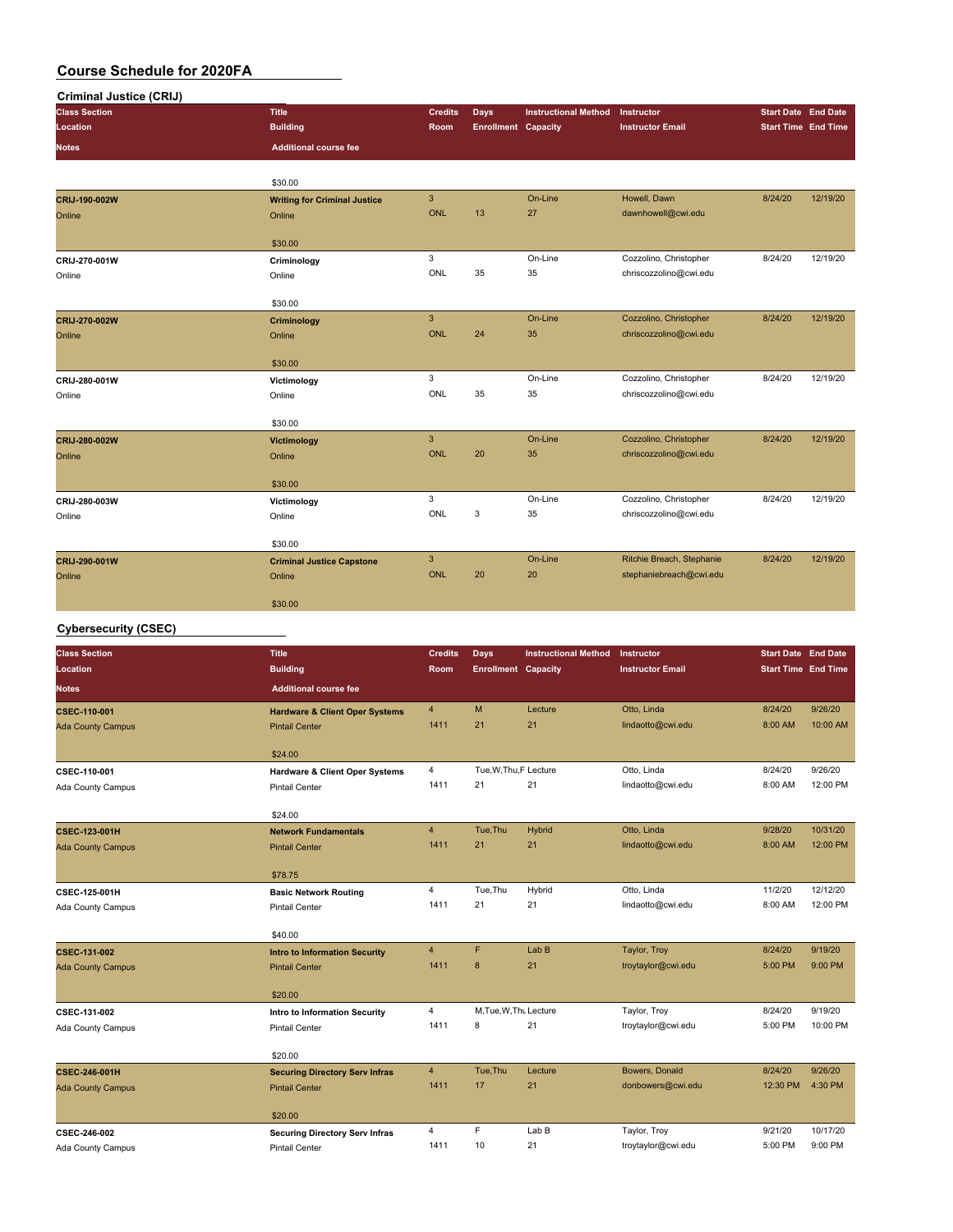| <b>Criminal Justice (CRIJ)</b> |                                     |                |                            |                             |                           |                            |          |
|--------------------------------|-------------------------------------|----------------|----------------------------|-----------------------------|---------------------------|----------------------------|----------|
| <b>Class Section</b>           | <b>Title</b>                        | <b>Credits</b> | Days                       | <b>Instructional Method</b> | Instructor                | <b>Start Date End Date</b> |          |
| Location                       | <b>Building</b>                     | <b>Room</b>    | <b>Enrollment Capacity</b> |                             | <b>Instructor Email</b>   | <b>Start Time End Time</b> |          |
| <b>Notes</b>                   | <b>Additional course fee</b>        |                |                            |                             |                           |                            |          |
|                                |                                     |                |                            |                             |                           |                            |          |
|                                | \$30.00                             |                |                            |                             |                           |                            |          |
| CRIJ-190-002W                  | <b>Writing for Criminal Justice</b> | $\mathbf{3}$   |                            | On-Line                     | Howell, Dawn              | 8/24/20                    | 12/19/20 |
| Online                         | Online                              | <b>ONL</b>     | 13                         | 27                          | dawnhowell@cwi.edu        |                            |          |
|                                | \$30.00                             |                |                            |                             |                           |                            |          |
| CRIJ-270-001W                  | Criminology                         | 3              |                            | On-Line                     | Cozzolino, Christopher    | 8/24/20                    | 12/19/20 |
| Online                         | Online                              | ONL            | 35                         | 35                          | chriscozzolino@cwi.edu    |                            |          |
|                                | \$30.00                             |                |                            |                             |                           |                            |          |
| CRIJ-270-002W                  | Criminology                         | $\mathbf{3}$   |                            | On-Line                     | Cozzolino, Christopher    | 8/24/20                    | 12/19/20 |
| Online                         | Online                              | <b>ONL</b>     | 24                         | 35                          | chriscozzolino@cwi.edu    |                            |          |
|                                | \$30.00                             |                |                            |                             |                           |                            |          |
| CRIJ-280-001W                  | Victimology                         | 3              |                            | On-Line                     | Cozzolino, Christopher    | 8/24/20                    | 12/19/20 |
| Online                         | Online                              | ONL            | 35                         | 35                          | chriscozzolino@cwi.edu    |                            |          |
|                                | \$30.00                             |                |                            |                             |                           |                            |          |
| CRIJ-280-002W                  | <b>Victimology</b>                  | $\mathbf{3}$   |                            | On-Line                     | Cozzolino, Christopher    | 8/24/20                    | 12/19/20 |
| Online                         | Online                              | <b>ONL</b>     | 20                         | 35                          | chriscozzolino@cwi.edu    |                            |          |
|                                | \$30.00                             |                |                            |                             |                           |                            |          |
| CRIJ-280-003W                  | Victimology                         | 3              |                            | On-Line                     | Cozzolino, Christopher    | 8/24/20                    | 12/19/20 |
| Online                         | Online                              | ONL            | 3                          | 35                          | chriscozzolino@cwi.edu    |                            |          |
|                                | \$30.00                             |                |                            |                             |                           |                            |          |
| CRIJ-290-001W                  | <b>Criminal Justice Capstone</b>    | $\mathbf{3}$   |                            | On-Line                     | Ritchie Breach, Stephanie | 8/24/20                    | 12/19/20 |
| Online                         | Online                              | <b>ONL</b>     | 20                         | 20                          | stephaniebreach@cwi.edu   |                            |          |
|                                | \$30.00                             |                |                            |                             |                           |                            |          |

#### **Cybersecurity (CSEC)**

| <b>Class Section</b>     | <b>Title</b>                              | <b>Credits</b> | Days                       | <b>Instructional Method</b> | Instructor              | <b>Start Date End Date</b> |          |
|--------------------------|-------------------------------------------|----------------|----------------------------|-----------------------------|-------------------------|----------------------------|----------|
| Location                 | <b>Building</b>                           | Room           | <b>Enrollment Capacity</b> |                             | <b>Instructor Email</b> | <b>Start Time End Time</b> |          |
| <b>Notes</b>             | <b>Additional course fee</b>              |                |                            |                             |                         |                            |          |
| CSEC-110-001             | <b>Hardware &amp; Client Oper Systems</b> | $\overline{4}$ | M                          | Lecture                     | Otto, Linda             | 8/24/20                    | 9/26/20  |
| <b>Ada County Campus</b> | <b>Pintail Center</b>                     | 1411           | 21                         | 21                          | lindaotto@cwi.edu       | 8:00 AM                    | 10:00 AM |
|                          | \$24.00                                   |                |                            |                             |                         |                            |          |
| CSEC-110-001             | <b>Hardware &amp; Client Oper Systems</b> | 4              | Tue, W, Thu, F Lecture     |                             | Otto, Linda             | 8/24/20                    | 9/26/20  |
| Ada County Campus        | <b>Pintail Center</b>                     | 1411           | 21                         | 21                          | lindaotto@cwi.edu       | 8:00 AM                    | 12:00 PM |
|                          | \$24.00                                   |                |                            |                             |                         |                            |          |
| <b>CSEC-123-001H</b>     | <b>Network Fundamentals</b>               | $\overline{4}$ | Tue, Thu                   | Hybrid                      | Otto, Linda             | 9/28/20                    | 10/31/20 |
| <b>Ada County Campus</b> | <b>Pintail Center</b>                     | 1411           | 21                         | 21                          | lindaotto@cwi.edu       | 8:00 AM                    | 12:00 PM |
|                          |                                           |                |                            |                             |                         |                            |          |
|                          | \$78.75                                   |                |                            |                             |                         |                            |          |
| <b>CSEC-125-001H</b>     | <b>Basic Network Routing</b>              | $\overline{4}$ | Tue, Thu                   | Hybrid                      | Otto, Linda             | 11/2/20                    | 12/12/20 |
| Ada County Campus        | <b>Pintail Center</b>                     | 1411           | 21                         | 21                          | lindaotto@cwi.edu       | 8:00 AM                    | 12:00 PM |
|                          | \$40.00                                   |                |                            |                             |                         |                            |          |
| <b>CSEC-131-002</b>      | <b>Intro to Information Security</b>      | $\overline{4}$ | F                          | Lab <sub>B</sub>            | Taylor, Troy            | 8/24/20                    | 9/19/20  |
| <b>Ada County Campus</b> | <b>Pintail Center</b>                     | 1411           | 8                          | 21                          | troytaylor@cwi.edu      | 5:00 PM                    | 9:00 PM  |
|                          | \$20.00                                   |                |                            |                             |                         |                            |          |
| CSEC-131-002             | <b>Intro to Information Security</b>      | 4              | M.Tue, W.Thu Lecture       |                             | Taylor, Troy            | 8/24/20                    | 9/19/20  |
| Ada County Campus        | <b>Pintail Center</b>                     | 1411           | 8                          | 21                          | troytaylor@cwi.edu      | 5:00 PM                    | 10:00 PM |
|                          |                                           |                |                            |                             |                         |                            |          |
|                          | \$20.00                                   |                |                            |                             |                         |                            |          |
| <b>CSEC-246-001H</b>     | <b>Securing Directory Serv Infras</b>     | $\overline{4}$ | Tue, Thu                   | Lecture                     | Bowers, Donald          | 8/24/20                    | 9/26/20  |
| <b>Ada County Campus</b> | <b>Pintail Center</b>                     | 1411           | 17                         | 21                          | donbowers@cwi.edu       | 12:30 PM                   | 4:30 PM  |
|                          | \$20.00                                   |                |                            |                             |                         |                            |          |
| CSEC-246-002             | <b>Securing Directory Serv Infras</b>     | $\overline{4}$ | F                          | Lab B                       | Taylor, Troy            | 9/21/20                    | 10/17/20 |
| Ada County Campus        | <b>Pintail Center</b>                     | 1411           | 10                         | 21                          | troytaylor@cwi.edu      | 5:00 PM                    | 9:00 PM  |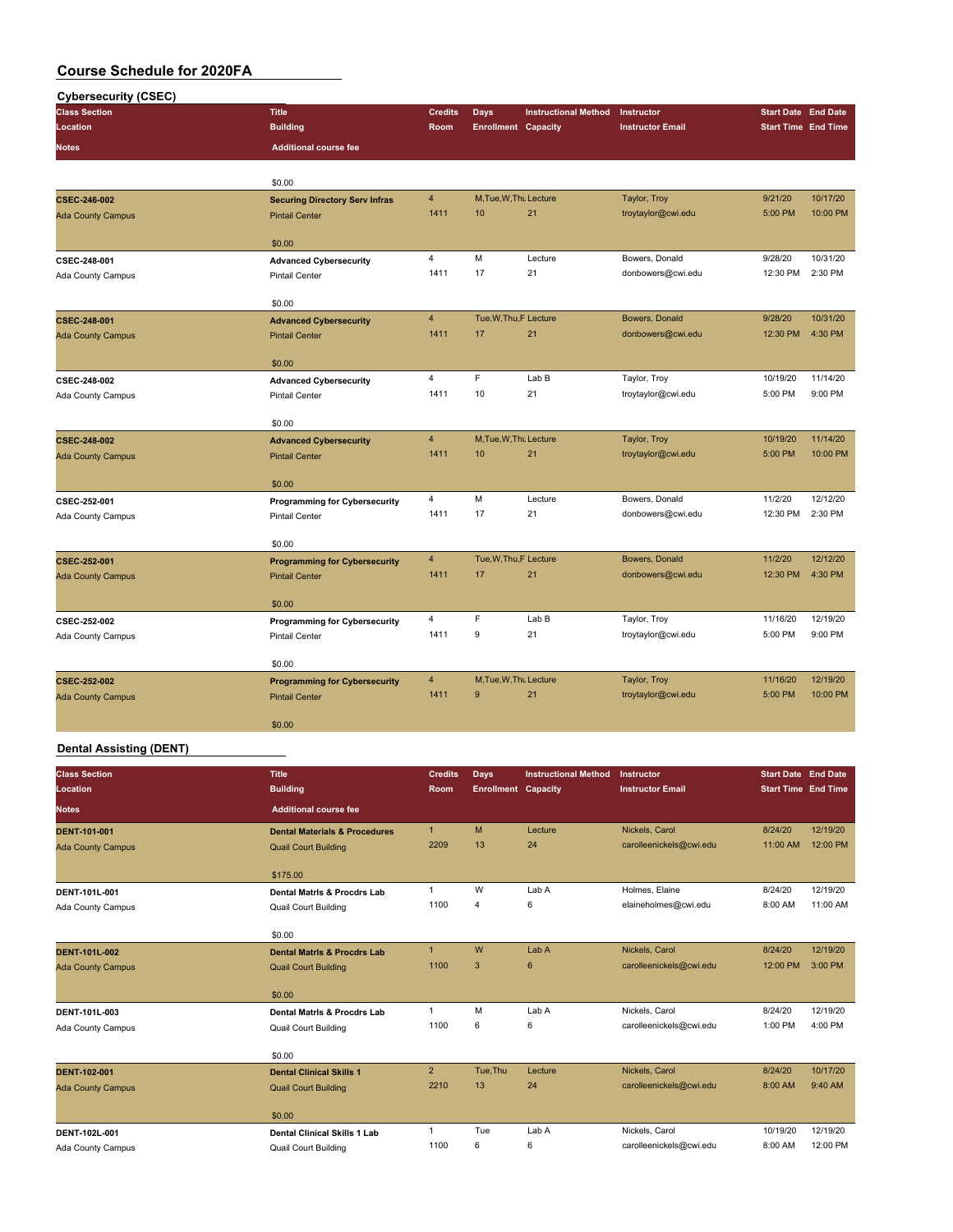| <b>Cybersecurity (CSEC)</b>       |                                                               |                |                            |                             |                         |                            |          |
|-----------------------------------|---------------------------------------------------------------|----------------|----------------------------|-----------------------------|-------------------------|----------------------------|----------|
| <b>Class Section</b>              | <b>Title</b>                                                  | <b>Credits</b> | <b>Days</b>                | <b>Instructional Method</b> | Instructor              | <b>Start Date End Date</b> |          |
| Location                          | <b>Building</b>                                               | Room           | <b>Enrollment Capacity</b> |                             | <b>Instructor Email</b> | <b>Start Time End Time</b> |          |
| <b>Notes</b>                      | <b>Additional course fee</b>                                  |                |                            |                             |                         |                            |          |
|                                   | \$0.00                                                        |                |                            |                             |                         |                            |          |
| CSEC-246-002                      | <b>Securing Directory Serv Infras</b>                         | $\overline{4}$ | M, Tue, W, Thu Lecture     |                             | Taylor, Troy            | 9/21/20                    | 10/17/20 |
| <b>Ada County Campus</b>          | <b>Pintail Center</b>                                         | 1411           | 10                         | 21                          | troytaylor@cwi.edu      | 5:00 PM                    | 10:00 PM |
|                                   | \$0.00                                                        |                |                            |                             |                         |                            |          |
| CSEC-248-001                      | <b>Advanced Cybersecurity</b>                                 | $\overline{4}$ | M                          | Lecture                     | Bowers, Donald          | 9/28/20                    | 10/31/20 |
| Ada County Campus                 | <b>Pintail Center</b>                                         | 1411           | 17                         | 21                          | donbowers@cwi.edu       | 12:30 PM                   | 2:30 PM  |
|                                   | \$0.00                                                        |                |                            |                             |                         |                            |          |
| CSEC-248-001                      | <b>Advanced Cybersecurity</b>                                 | $\overline{4}$ | Tue, W, Thu, F Lecture     |                             | Bowers, Donald          | 9/28/20                    | 10/31/20 |
| <b>Ada County Campus</b>          | <b>Pintail Center</b>                                         | 1411           | 17                         | 21                          | donbowers@cwi.edu       | 12:30 PM                   | 4:30 PM  |
|                                   | \$0.00                                                        |                |                            |                             |                         |                            |          |
| CSEC-248-002                      | <b>Advanced Cybersecurity</b>                                 | $\overline{4}$ | E                          | Lab B                       | Taylor, Troy            | 10/19/20                   | 11/14/20 |
| Ada County Campus                 | <b>Pintail Center</b>                                         | 1411           | 10                         | 21                          | troytaylor@cwi.edu      | 5:00 PM                    | 9:00 PM  |
|                                   | \$0.00                                                        |                |                            |                             |                         |                            |          |
| CSEC-248-002                      | <b>Advanced Cybersecurity</b>                                 | $\overline{4}$ | M.Tue.W.Thu Lecture        |                             | Taylor, Troy            | 10/19/20                   | 11/14/20 |
| <b>Ada County Campus</b>          | <b>Pintail Center</b>                                         | 1411           | 10                         | 21                          | troytaylor@cwi.edu      | 5:00 PM                    | 10:00 PM |
|                                   | \$0.00                                                        |                |                            |                             |                         |                            |          |
| CSEC-252-001                      | <b>Programming for Cybersecurity</b>                          | $\overline{4}$ | M                          | Lecture                     | Bowers, Donald          | 11/2/20                    | 12/12/20 |
| Ada County Campus                 | <b>Pintail Center</b>                                         | 1411           | 17                         | 21                          | donbowers@cwi.edu       | 12:30 PM                   | 2:30 PM  |
|                                   | \$0.00                                                        |                |                            |                             |                         |                            |          |
| CSEC-252-001                      | <b>Programming for Cybersecurity</b>                          | $\overline{4}$ | Tue, W, Thu, F Lecture     |                             | Bowers, Donald          | 11/2/20                    | 12/12/20 |
| <b>Ada County Campus</b>          | <b>Pintail Center</b>                                         | 1411           | 17                         | 21                          | donbowers@cwi.edu       | 12:30 PM                   | 4:30 PM  |
|                                   | \$0.00                                                        |                |                            |                             |                         |                            |          |
|                                   |                                                               | $\overline{4}$ | F                          | Lab B                       | Taylor, Troy            | 11/16/20                   | 12/19/20 |
| CSEC-252-002<br>Ada County Campus | <b>Programming for Cybersecurity</b><br><b>Pintail Center</b> | 1411           | 9                          | 21                          | troytaylor@cwi.edu      | 5:00 PM                    | 9:00 PM  |
|                                   |                                                               |                |                            |                             |                         |                            |          |
|                                   | \$0.00                                                        |                |                            |                             |                         |                            |          |
| CSEC-252-002                      | <b>Programming for Cybersecurity</b>                          | $\overline{4}$ | M.Tue.W.Thu Lecture        |                             | Taylor, Troy            | 11/16/20                   | 12/19/20 |
| <b>Ada County Campus</b>          | <b>Pintail Center</b>                                         | 1411           | 9                          | 21                          | troytaylor@cwi.edu      | 5:00 PM                    | 10:00 PM |
|                                   | \$0.00                                                        |                |                            |                             |                         |                            |          |

#### **Dental Assisting (DENT)**

| <b>Class Section</b><br>Location | <b>Title</b><br><b>Building</b>          | <b>Credits</b><br>Room | <b>Days</b><br><b>Enrollment Capacity</b> | <b>Instructional Method</b> | Instructor<br><b>Instructor Email</b> | <b>Start Date End Date</b><br><b>Start Time End Time</b> |          |
|----------------------------------|------------------------------------------|------------------------|-------------------------------------------|-----------------------------|---------------------------------------|----------------------------------------------------------|----------|
| <b>Notes</b>                     | <b>Additional course fee</b>             |                        |                                           |                             |                                       |                                                          |          |
| <b>DENT-101-001</b>              | <b>Dental Materials &amp; Procedures</b> | $\mathbf{1}$           | M                                         | Lecture                     | Nickels, Carol                        | 8/24/20                                                  | 12/19/20 |
| <b>Ada County Campus</b>         | <b>Quail Court Building</b>              | 2209                   | 13                                        | 24                          | carolleenickels@cwi.edu               | 11:00 AM                                                 | 12:00 PM |
|                                  | \$175.00                                 |                        |                                           |                             |                                       |                                                          |          |
| DENT-101L-001                    | <b>Dental Matris &amp; Procdrs Lab</b>   | 1                      | W                                         | Lab A                       | Holmes, Elaine                        | 8/24/20                                                  | 12/19/20 |
| Ada County Campus                | <b>Quail Court Building</b>              | 1100                   | $\overline{\mathbf{4}}$                   | 6                           | elaineholmes@cwi.edu                  | 8:00 AM                                                  | 11:00 AM |
|                                  | \$0.00                                   |                        |                                           |                             |                                       |                                                          |          |
| <b>DENT-101L-002</b>             | <b>Dental Matris &amp; Procdrs Lab</b>   | $\mathbf{1}$           | W                                         | Lab A                       | Nickels, Carol                        | 8/24/20                                                  | 12/19/20 |
| <b>Ada County Campus</b>         | <b>Quail Court Building</b>              | 1100                   | 3                                         | 6                           | carolleenickels@cwi.edu               | 12:00 PM                                                 | 3:00 PM  |
|                                  | \$0.00                                   |                        |                                           |                             |                                       |                                                          |          |
| DENT-101L-003                    | <b>Dental Matris &amp; Procdrs Lab</b>   | $\mathbf{1}$           | M                                         | Lab A                       | Nickels, Carol                        | 8/24/20                                                  | 12/19/20 |
| Ada County Campus                | <b>Quail Court Building</b>              | 1100                   | 6                                         | 6                           | carolleenickels@cwi.edu               | 1:00 PM                                                  | 4:00 PM  |
|                                  | \$0.00                                   |                        |                                           |                             |                                       |                                                          |          |
| <b>DENT-102-001</b>              | <b>Dental Clinical Skills 1</b>          | $\overline{2}$         | Tue, Thu                                  | Lecture                     | Nickels, Carol                        | 8/24/20                                                  | 10/17/20 |
| <b>Ada County Campus</b>         | <b>Quail Court Building</b>              | 2210                   | 13                                        | 24                          | carolleenickels@cwi.edu               | 8:00 AM                                                  | 9:40 AM  |
|                                  | \$0.00                                   |                        |                                           |                             |                                       |                                                          |          |
| DENT-102L-001                    | <b>Dental Clinical Skills 1 Lab</b>      | 1                      | Tue                                       | Lab A                       | Nickels, Carol                        | 10/19/20                                                 | 12/19/20 |
| Ada County Campus                | <b>Quail Court Building</b>              | 1100                   | 6                                         | 6                           | carolleenickels@cwi.edu               | 8:00 AM                                                  | 12:00 PM |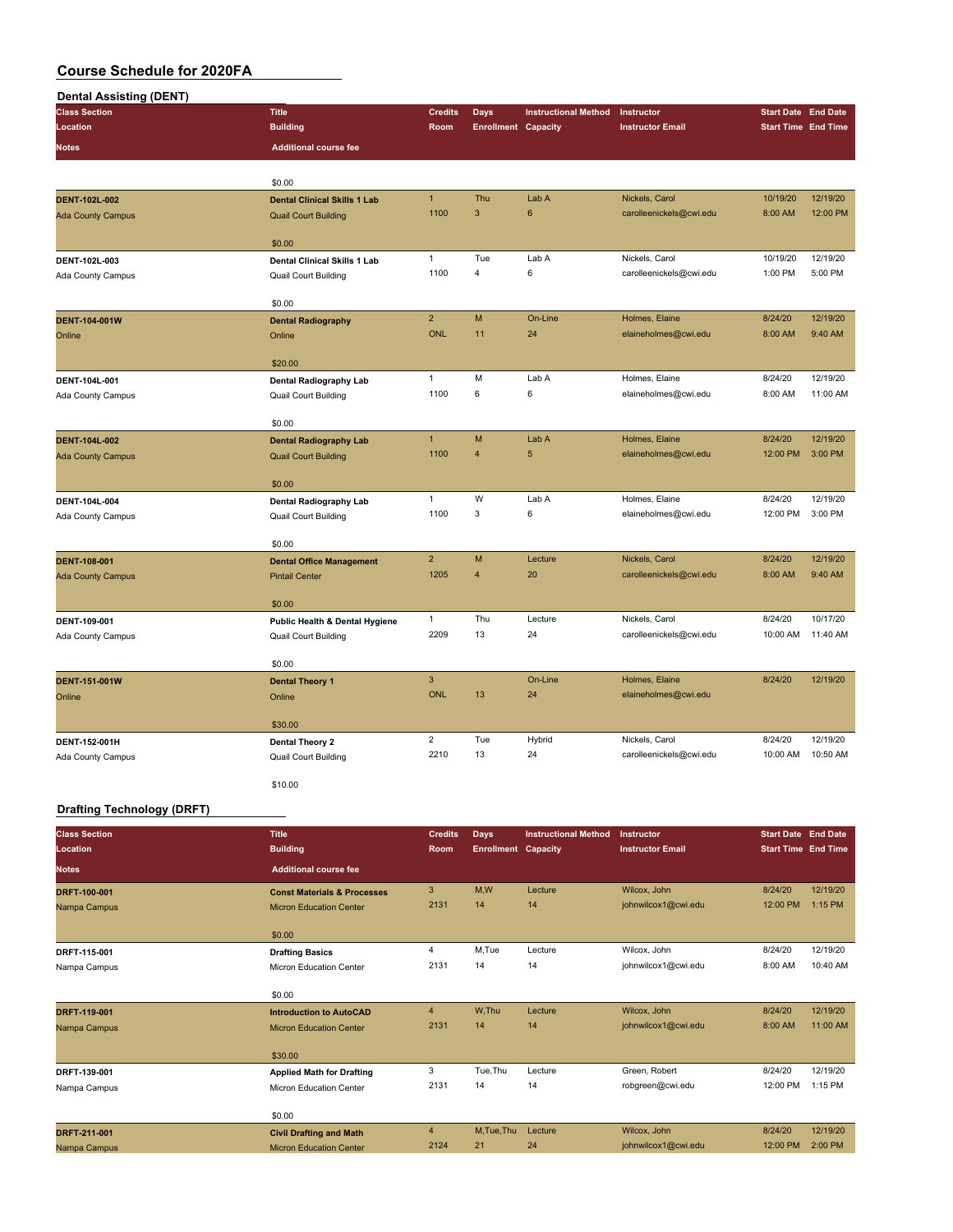| <b>Dental Assisting (DENT)</b> |                                     |                |                            |                             |                         |                            |          |
|--------------------------------|-------------------------------------|----------------|----------------------------|-----------------------------|-------------------------|----------------------------|----------|
| <b>Class Section</b>           | <b>Title</b>                        | <b>Credits</b> | Days                       | <b>Instructional Method</b> | Instructor              | <b>Start Date End Date</b> |          |
| Location                       | <b>Building</b>                     | Room           | <b>Enrollment Capacity</b> |                             | <b>Instructor Email</b> | <b>Start Time End Time</b> |          |
| Notes                          | <b>Additional course fee</b>        |                |                            |                             |                         |                            |          |
|                                |                                     |                |                            |                             |                         |                            |          |
|                                | \$0.00                              |                |                            |                             |                         |                            |          |
| DENT-102L-002                  | <b>Dental Clinical Skills 1 Lab</b> | $\mathbf{1}$   | Thu                        | Lab A                       | Nickels, Carol          | 10/19/20                   | 12/19/20 |
| <b>Ada County Campus</b>       | <b>Quail Court Building</b>         | 1100           | 3                          | $6\phantom{1}$              | carolleenickels@cwi.edu | 8:00 AM                    | 12:00 PM |
|                                | \$0.00                              |                |                            |                             |                         |                            |          |
| DENT-102L-003                  | <b>Dental Clinical Skills 1 Lab</b> | $\mathbf{1}$   | Tue                        | Lab A                       | Nickels, Carol          | 10/19/20                   | 12/19/20 |
| Ada County Campus              | <b>Quail Court Building</b>         | 1100           | $\overline{4}$             | 6                           | carolleenickels@cwi.edu | 1:00 PM                    | 5:00 PM  |
|                                |                                     |                |                            |                             |                         |                            |          |
|                                | \$0.00                              |                |                            |                             |                         |                            |          |
| <b>DENT-104-001W</b>           | <b>Dental Radiography</b>           | $\overline{2}$ | M                          | On-Line                     | Holmes, Elaine          | 8/24/20                    | 12/19/20 |
| Online                         | Online                              | <b>ONL</b>     | 11                         | 24                          | elaineholmes@cwi.edu    | 8:00 AM                    | 9:40 AM  |
|                                | \$20.00                             |                |                            |                             |                         |                            |          |
| DENT-104L-001                  | Dental Radiography Lab              | $\mathbf{1}$   | M                          | Lab A                       | Holmes, Elaine          | 8/24/20                    | 12/19/20 |
| Ada County Campus              | Quail Court Building                | 1100           | 6                          | 6                           | elaineholmes@cwi.edu    | 8:00 AM                    | 11:00 AM |
|                                |                                     |                |                            |                             |                         |                            |          |
|                                | \$0.00                              |                |                            |                             |                         |                            |          |
| <b>DENT-104L-002</b>           | <b>Dental Radiography Lab</b>       | $\mathbf{1}$   | M                          | Lab A                       | Holmes, Elaine          | 8/24/20                    | 12/19/20 |
| <b>Ada County Campus</b>       | <b>Quail Court Building</b>         | 1100           | $\overline{4}$             | 5                           | elaineholmes@cwi.edu    | 12:00 PM                   | 3:00 PM  |
|                                | \$0.00                              |                |                            |                             |                         |                            |          |
| DENT-104L-004                  | <b>Dental Radiography Lab</b>       | $\mathbf{1}$   | W                          | Lab A                       | Holmes, Elaine          | 8/24/20                    | 12/19/20 |
| Ada County Campus              | <b>Quail Court Building</b>         | 1100           | 3                          | 6                           | elaineholmes@cwi.edu    | 12:00 PM                   | 3:00 PM  |
|                                |                                     |                |                            |                             |                         |                            |          |
|                                | \$0.00                              |                |                            |                             |                         |                            |          |
| <b>DENT-108-001</b>            | <b>Dental Office Management</b>     | $\overline{2}$ | M                          | Lecture                     | Nickels, Carol          | 8/24/20                    | 12/19/20 |
| <b>Ada County Campus</b>       | <b>Pintail Center</b>               | 1205           | $\overline{4}$             | 20                          | carolleenickels@cwi.edu | 8:00 AM                    | 9:40 AM  |
|                                | \$0.00                              |                |                            |                             |                         |                            |          |
| DENT-109-001                   | Public Health & Dental Hygiene      | $\mathbf{1}$   | Thu                        | Lecture                     | Nickels, Carol          | 8/24/20                    | 10/17/20 |
| Ada County Campus              | <b>Quail Court Building</b>         | 2209           | 13                         | 24                          | carolleenickels@cwi.edu | 10:00 AM                   | 11:40 AM |
|                                |                                     |                |                            |                             |                         |                            |          |
|                                | \$0.00                              |                |                            |                             |                         |                            |          |
| <b>DENT-151-001W</b>           | <b>Dental Theory 1</b>              | $\mathbf{3}$   |                            | On-Line                     | Holmes, Elaine          | 8/24/20                    | 12/19/20 |
| Online                         | Online                              | ONL            | 13                         | 24                          | elaineholmes@cwi.edu    |                            |          |
|                                | \$30.00                             |                |                            |                             |                         |                            |          |
| DENT-152-001H                  | Dental Theory 2                     | $\overline{2}$ | Tue                        | Hybrid                      | Nickels, Carol          | 8/24/20                    | 12/19/20 |
| Ada County Campus              | Quail Court Building                | 2210           | 13                         | 24                          | carolleenickels@cwi.edu | 10:00 AM                   | 10:50 AM |
|                                |                                     |                |                            |                             |                         |                            |          |
|                                | \$10.00                             |                |                            |                             |                         |                            |          |

#### **Drafting Technology (DRFT)**

| <b>Class Section</b> | <b>Title</b>                           | <b>Credits</b> | <b>Days</b>                | <b>Instructional Method</b> | Instructor              | <b>Start Date End Date</b> |          |
|----------------------|----------------------------------------|----------------|----------------------------|-----------------------------|-------------------------|----------------------------|----------|
| Location             | <b>Building</b>                        | <b>Room</b>    | <b>Enrollment Capacity</b> |                             | <b>Instructor Email</b> | <b>Start Time End Time</b> |          |
| <b>Notes</b>         | <b>Additional course fee</b>           |                |                            |                             |                         |                            |          |
| DRFT-100-001         | <b>Const Materials &amp; Processes</b> | 3              | M,W                        | Lecture                     | Wilcox, John            | 8/24/20                    | 12/19/20 |
| Nampa Campus         | <b>Micron Education Center</b>         | 2131           | 14                         | 14                          | johnwilcox1@cwi.edu     | 12:00 PM                   | 1:15 PM  |
|                      | \$0.00                                 |                |                            |                             |                         |                            |          |
| DRFT-115-001         | <b>Drafting Basics</b>                 | $\overline{4}$ | M,Tue                      | Lecture                     | Wilcox, John            | 8/24/20                    | 12/19/20 |
| Nampa Campus         | <b>Micron Education Center</b>         | 2131           | 14                         | 14                          | johnwilcox1@cwi.edu     | 8:00 AM                    | 10:40 AM |
|                      | \$0.00                                 |                |                            |                             |                         |                            |          |
| DRFT-119-001         | <b>Introduction to AutoCAD</b>         | $\overline{4}$ | W.Thu                      | Lecture                     | Wilcox, John            | 8/24/20                    | 12/19/20 |
| Nampa Campus         | <b>Micron Education Center</b>         | 2131           | 14                         | 14                          | johnwilcox1@cwi.edu     | 8:00 AM                    | 11:00 AM |
|                      | \$30.00                                |                |                            |                             |                         |                            |          |
| DRFT-139-001         | <b>Applied Math for Drafting</b>       | 3              | Tue, Thu                   | Lecture                     | Green, Robert           | 8/24/20                    | 12/19/20 |
| Nampa Campus         | <b>Micron Education Center</b>         | 2131           | 14                         | 14                          | robgreen@cwi.edu        | 12:00 PM                   | 1:15 PM  |
|                      | \$0.00                                 |                |                            |                             |                         |                            |          |
| DRFT-211-001         | <b>Civil Drafting and Math</b>         | $\overline{4}$ | M, Tue, Thu                | Lecture                     | Wilcox, John            | 8/24/20                    | 12/19/20 |
| Nampa Campus         | <b>Micron Education Center</b>         | 2124           | 21                         | 24                          | johnwilcox1@cwi.edu     | 12:00 PM                   | 2:00 PM  |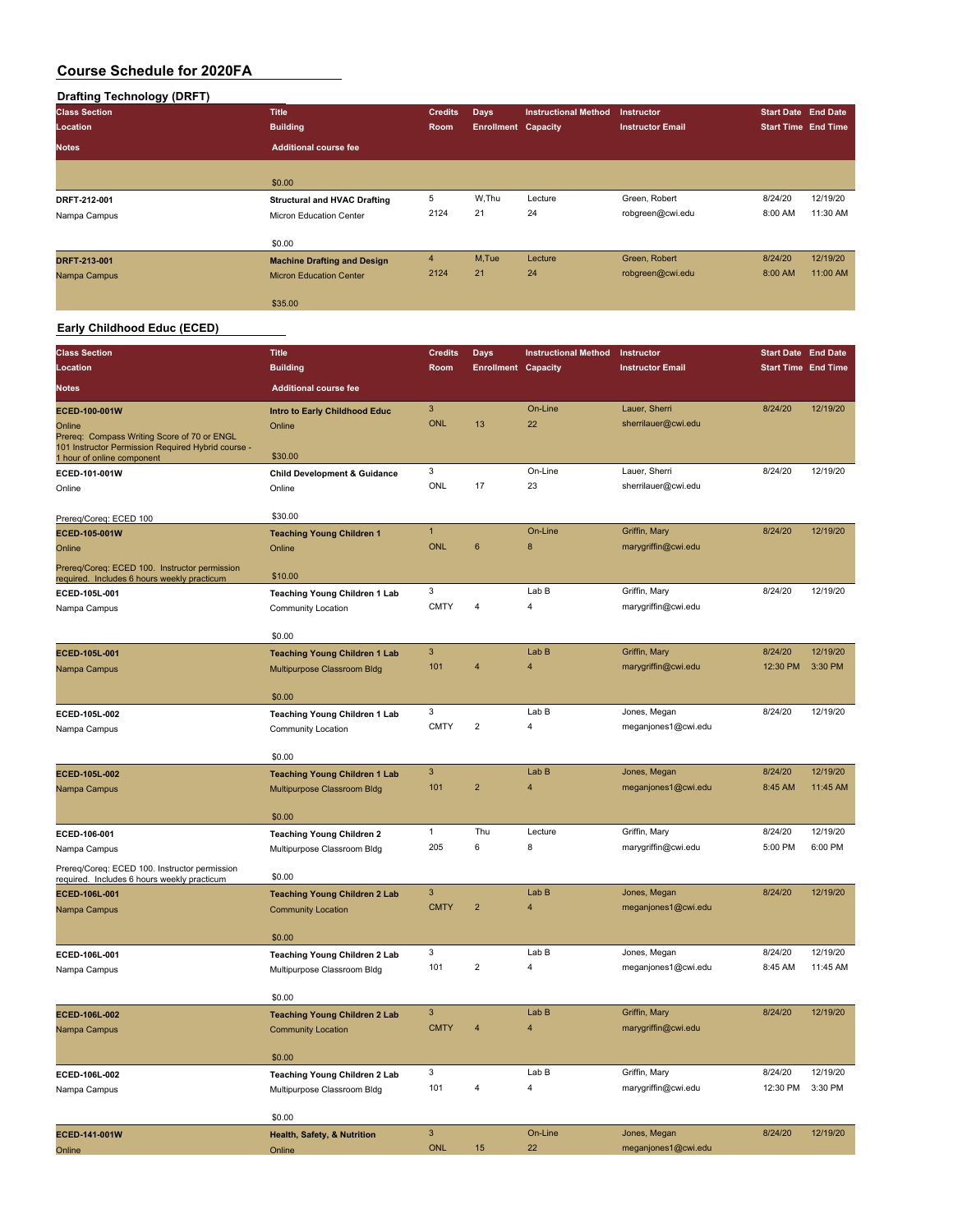# **Drafting Technology (DRFT)**

| <b>Class Section</b> | <b>Title</b>                        | <b>Credits</b> | <b>Days</b>                | <b>Instructional Method</b> | <b>Instructor</b>       | <b>Start Date End Date</b> |          |
|----------------------|-------------------------------------|----------------|----------------------------|-----------------------------|-------------------------|----------------------------|----------|
| Location             | <b>Building</b>                     | Room           | <b>Enrollment Capacity</b> |                             | <b>Instructor Email</b> | <b>Start Time End Time</b> |          |
| <b>Notes</b>         | <b>Additional course fee</b>        |                |                            |                             |                         |                            |          |
|                      |                                     |                |                            |                             |                         |                            |          |
|                      | \$0.00                              |                |                            |                             |                         |                            |          |
| DRFT-212-001         | <b>Structural and HVAC Drafting</b> | 5              | W.Thu                      | Lecture                     | Green, Robert           | 8/24/20                    | 12/19/20 |
| Nampa Campus         | Micron Education Center             | 2124           | 21                         | 24                          | robgreen@cwi.edu        | 8:00 AM                    | 11:30 AM |
|                      | \$0.00                              |                |                            |                             |                         |                            |          |
| DRFT-213-001         | <b>Machine Drafting and Design</b>  | $\overline{4}$ | M,Tue                      | Lecture                     | Green, Robert           | 8/24/20                    | 12/19/20 |
| Nampa Campus         | <b>Micron Education Center</b>      | 2124           | 21                         | 24                          | robgreen@cwi.edu        | 8:00 AM                    | 11:00 AM |
|                      | \$35.00                             |                |                            |                             |                         |                            |          |

## **Early Childhood Educ (ECED)**

| <b>Class Section</b>                                                                                        | <b>Title</b>                            | <b>Credits</b>               | Days                       | <b>Instructional Method</b> | Instructor                           | <b>Start Date End Date</b> |          |
|-------------------------------------------------------------------------------------------------------------|-----------------------------------------|------------------------------|----------------------------|-----------------------------|--------------------------------------|----------------------------|----------|
| Location                                                                                                    | <b>Building</b>                         | Room                         | <b>Enrollment Capacity</b> |                             | <b>Instructor Email</b>              | <b>Start Time End Time</b> |          |
| <b>Notes</b>                                                                                                | <b>Additional course fee</b>            |                              |                            |                             |                                      |                            |          |
|                                                                                                             |                                         |                              |                            |                             |                                      |                            |          |
| ECED-100-001W                                                                                               | Intro to Early Childhood Educ           | $\overline{3}$<br><b>ONL</b> | 13                         | On-Line<br>22               | Lauer, Sherri<br>sherrilauer@cwi.edu | 8/24/20                    | 12/19/20 |
| Online<br>Prereq: Compass Writing Score of 70 or ENGL<br>101 Instructor Permission Required Hybrid course - | Online<br>\$30.00                       |                              |                            |                             |                                      |                            |          |
| 1 hour of online component<br>ECED-101-001W                                                                 | <b>Child Development &amp; Guidance</b> | 3                            |                            | On-Line                     | Lauer, Sherri                        | 8/24/20                    | 12/19/20 |
| Online                                                                                                      | Online                                  | ONL                          | 17                         | 23                          | sherrilauer@cwi.edu                  |                            |          |
|                                                                                                             |                                         |                              |                            |                             |                                      |                            |          |
| Prereg/Coreg: ECED 100                                                                                      | \$30.00                                 |                              |                            |                             |                                      |                            |          |
| ECED-105-001W                                                                                               | <b>Teaching Young Children 1</b>        | $\mathbf{1}$                 |                            | On-Line                     | Griffin, Mary                        | 8/24/20                    | 12/19/20 |
| Online                                                                                                      | Online                                  | <b>ONL</b>                   | 6                          | 8                           | marygriffin@cwi.edu                  |                            |          |
| Prereq/Coreq: ECED 100. Instructor permission<br>required. Includes 6 hours weekly practicum                | \$10.00                                 |                              |                            |                             |                                      |                            |          |
| ECED-105L-001                                                                                               | <b>Teaching Young Children 1 Lab</b>    | 3                            |                            | Lab B                       | Griffin, Mary                        | 8/24/20                    | 12/19/20 |
| Nampa Campus                                                                                                | Community Location                      | <b>CMTY</b>                  | 4                          | $\overline{\mathbf{4}}$     | marygriffin@cwi.edu                  |                            |          |
|                                                                                                             | \$0.00                                  |                              |                            |                             |                                      |                            |          |
| ECED-105L-001                                                                                               | <b>Teaching Young Children 1 Lab</b>    | 3                            |                            | Lab B                       | Griffin, Mary                        | 8/24/20                    | 12/19/20 |
| Nampa Campus                                                                                                | Multipurpose Classroom Bldg             | 101                          | $\overline{\mathbf{4}}$    | $\overline{\mathbf{4}}$     | marygriffin@cwi.edu                  | 12:30 PM                   | 3:30 PM  |
|                                                                                                             |                                         |                              |                            |                             |                                      |                            |          |
|                                                                                                             | \$0.00                                  |                              |                            |                             |                                      |                            |          |
| ECED-105L-002                                                                                               | <b>Teaching Young Children 1 Lab</b>    | 3                            |                            | Lab B                       | Jones, Megan                         | 8/24/20                    | 12/19/20 |
| Nampa Campus                                                                                                | Community Location                      | <b>CMTY</b>                  | $\overline{2}$             | $\overline{4}$              | meganjones1@cwi.edu                  |                            |          |
|                                                                                                             | \$0.00                                  |                              |                            |                             |                                      |                            |          |
| ECED-105L-002                                                                                               | <b>Teaching Young Children 1 Lab</b>    | 3                            |                            | Lab B                       | Jones, Megan                         | 8/24/20                    | 12/19/20 |
| Nampa Campus                                                                                                | Multipurpose Classroom Bldg             | 101                          | $\overline{2}$             | $\overline{4}$              | meganjones1@cwi.edu                  | 8:45 AM                    | 11:45 AM |
|                                                                                                             |                                         |                              |                            |                             |                                      |                            |          |
|                                                                                                             | \$0.00                                  |                              |                            |                             |                                      |                            |          |
| ECED-106-001                                                                                                | <b>Teaching Young Children 2</b>        | $\mathbf{1}$                 | Thu                        | Lecture                     | Griffin, Mary                        | 8/24/20                    | 12/19/20 |
| Nampa Campus                                                                                                | Multipurpose Classroom Bldg             | 205                          | 6                          | 8                           | marygriffin@cwi.edu                  | 5:00 PM                    | 6:00 PM  |
| Prereq/Coreq: ECED 100. Instructor permission<br>required. Includes 6 hours weekly practicum                | \$0.00                                  |                              |                            |                             |                                      |                            |          |
| ECED-106L-001                                                                                               | <b>Teaching Young Children 2 Lab</b>    | 3                            |                            | Lab B                       | Jones, Megan                         | 8/24/20                    | 12/19/20 |
| Nampa Campus                                                                                                | <b>Community Location</b>               | <b>CMTY</b>                  | $\overline{2}$             | $\overline{4}$              | meganjones1@cwi.edu                  |                            |          |
|                                                                                                             | \$0.00                                  |                              |                            |                             |                                      |                            |          |
| ECED-106L-001                                                                                               | Teaching Young Children 2 Lab           | 3                            |                            | Lab B                       | Jones, Megan                         | 8/24/20                    | 12/19/20 |
| Nampa Campus                                                                                                | Multipurpose Classroom Bldg             | 101                          | $\overline{2}$             | 4                           | meganjones1@cwi.edu                  | 8:45 AM                    | 11:45 AM |
|                                                                                                             |                                         |                              |                            |                             |                                      |                            |          |
|                                                                                                             | \$0.00                                  |                              |                            |                             |                                      |                            |          |
| ECED-106L-002                                                                                               | <b>Teaching Young Children 2 Lab</b>    | 3                            |                            | Lab B                       | Griffin, Mary                        | 8/24/20                    | 12/19/20 |
| Nampa Campus                                                                                                | <b>Community Location</b>               | <b>CMTY</b>                  | $\overline{4}$             | $\overline{\mathbf{4}}$     | marygriffin@cwi.edu                  |                            |          |
|                                                                                                             | \$0.00                                  |                              |                            |                             |                                      |                            |          |
| ECED-106L-002                                                                                               | Teaching Young Children 2 Lab           | 3                            |                            | Lab B                       | Griffin, Mary                        | 8/24/20                    | 12/19/20 |
| Nampa Campus                                                                                                | Multipurpose Classroom Bldg             | 101                          | 4                          | 4                           | marygriffin@cwi.edu                  | 12:30 PM                   | 3:30 PM  |
|                                                                                                             |                                         |                              |                            |                             |                                      |                            |          |
|                                                                                                             | \$0.00                                  |                              |                            |                             |                                      |                            |          |
| ECED-141-001W                                                                                               | Health, Safety, & Nutrition             | $\ensuremath{\mathsf{3}}$    |                            | On-Line                     | Jones, Megan                         | 8/24/20                    | 12/19/20 |
| Online                                                                                                      | Online                                  | <b>ONL</b>                   | 15                         | 22                          | meganjones1@cwi.edu                  |                            |          |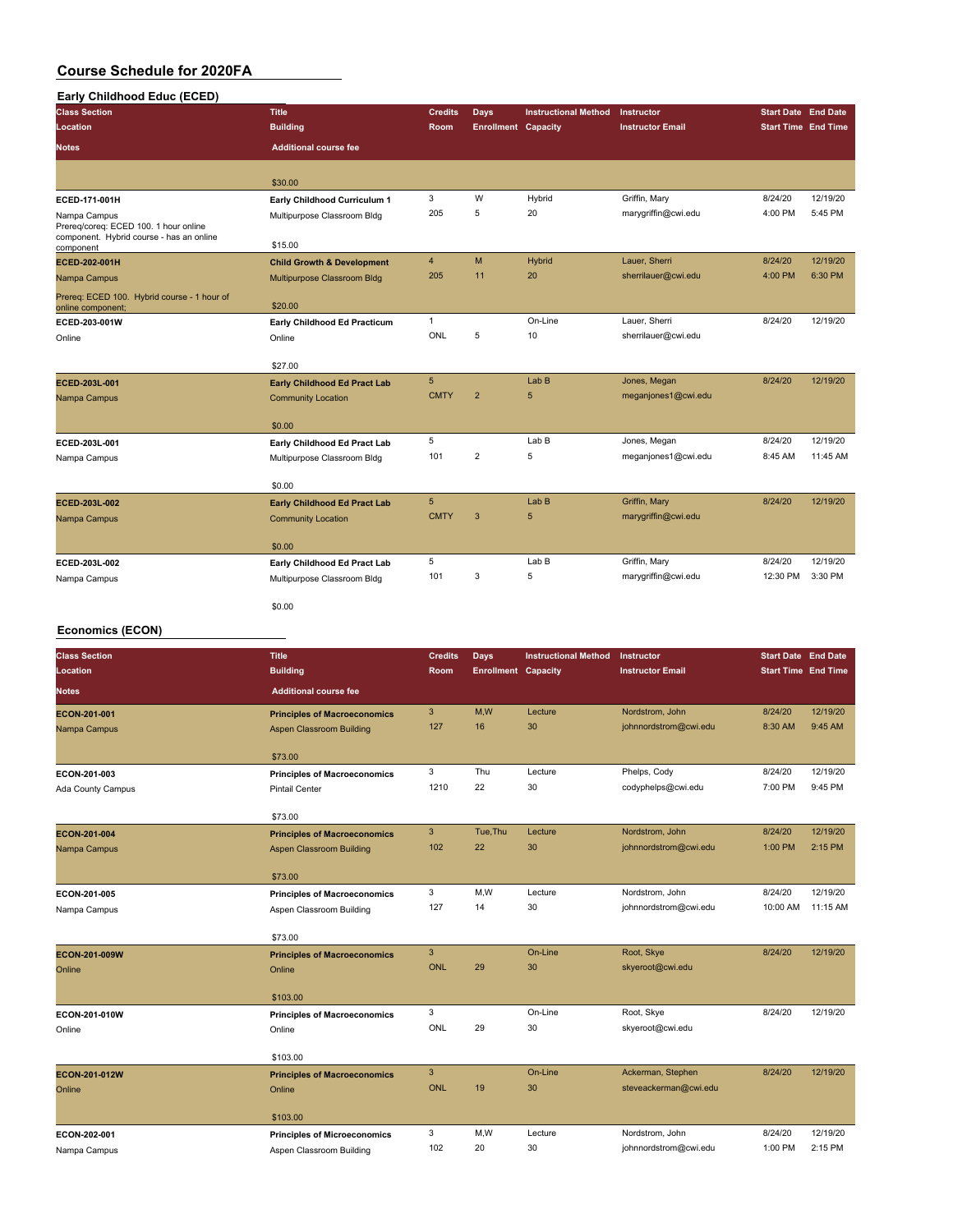#### **Early Childhood Educ (ECED)**

| <b>Class Section</b>                                                                              | <b>Title</b>                          | <b>Credits</b> | Days                       | <b>Instructional Method</b> | <b>Instructor</b>       | <b>Start Date End Date</b> |          |
|---------------------------------------------------------------------------------------------------|---------------------------------------|----------------|----------------------------|-----------------------------|-------------------------|----------------------------|----------|
| Location                                                                                          | <b>Building</b>                       | Room           | <b>Enrollment Capacity</b> |                             | <b>Instructor Email</b> | <b>Start Time End Time</b> |          |
| <b>Notes</b>                                                                                      | <b>Additional course fee</b>          |                |                            |                             |                         |                            |          |
|                                                                                                   |                                       |                |                            |                             |                         |                            |          |
|                                                                                                   | \$30.00                               |                |                            |                             |                         |                            |          |
| ECED-171-001H                                                                                     | Early Childhood Curriculum 1          | 3              | W                          | Hybrid                      | Griffin, Mary           | 8/24/20                    | 12/19/20 |
| Nampa Campus<br>Prereg/coreg: ECED 100. 1 hour online<br>component. Hybrid course - has an online | Multipurpose Classroom Bldg           | 205            | 5                          | 20                          | marygriffin@cwi.edu     | 4:00 PM                    | 5:45 PM  |
| component                                                                                         | \$15.00                               |                |                            |                             |                         |                            |          |
| ECED-202-001H                                                                                     | <b>Child Growth &amp; Development</b> | $\overline{4}$ | M                          | Hybrid                      | Lauer, Sherri           | 8/24/20                    | 12/19/20 |
| Nampa Campus                                                                                      | Multipurpose Classroom Bldg           | 205            | 11                         | 20                          | sherrilauer@cwi.edu     | 4:00 PM                    | 6:30 PM  |
| Prereq: ECED 100. Hybrid course - 1 hour of<br>online component;                                  | \$20.00                               |                |                            |                             |                         |                            |          |
| ECED-203-001W                                                                                     | Early Childhood Ed Practicum          | $\mathbf{1}$   |                            | On-Line                     | Lauer, Sherri           | 8/24/20                    | 12/19/20 |
| Online                                                                                            | Online                                | ONL            | 5                          | 10                          | sherrilauer@cwi.edu     |                            |          |
|                                                                                                   | \$27.00                               |                |                            |                             |                         |                            |          |
| ECED-203L-001                                                                                     | <b>Early Childhood Ed Pract Lab</b>   | 5              |                            | Lab <sub>B</sub>            | Jones, Megan            | 8/24/20                    | 12/19/20 |
| Nampa Campus                                                                                      | <b>Community Location</b>             | <b>CMTY</b>    | $\overline{2}$             | 5                           | meganjones1@cwi.edu     |                            |          |
|                                                                                                   | \$0.00                                |                |                            |                             |                         |                            |          |
| ECED-203L-001                                                                                     | Early Childhood Ed Pract Lab          | 5              |                            | Lab B                       | Jones, Megan            | 8/24/20                    | 12/19/20 |
| Nampa Campus                                                                                      | Multipurpose Classroom Bldg           | 101            | $\overline{2}$             | 5                           | meganjones1@cwi.edu     | 8:45 AM                    | 11:45 AM |
|                                                                                                   | \$0.00                                |                |                            |                             |                         |                            |          |
| ECED-203L-002                                                                                     | <b>Early Childhood Ed Pract Lab</b>   | 5              |                            | Lab <sub>B</sub>            | Griffin, Mary           | 8/24/20                    | 12/19/20 |
| Nampa Campus                                                                                      | <b>Community Location</b>             | <b>CMTY</b>    | 3                          | 5                           | marygriffin@cwi.edu     |                            |          |
|                                                                                                   | \$0.00                                |                |                            |                             |                         |                            |          |
| ECED-203L-002                                                                                     | Early Childhood Ed Pract Lab          | 5              |                            | Lab B                       | Griffin, Mary           | 8/24/20                    | 12/19/20 |
| Nampa Campus                                                                                      | Multipurpose Classroom Bldg           | 101            | 3                          | 5                           | marygriffin@cwi.edu     | 12:30 PM                   | 3:30 PM  |
|                                                                                                   | \$0.00                                |                |                            |                             |                         |                            |          |

#### **Economics (ECON)**

| <b>Class Section</b> | <b>Title</b>                        | <b>Credits</b> | Days                       | <b>Instructional Method</b> | Instructor              | <b>Start Date End Date</b> |          |
|----------------------|-------------------------------------|----------------|----------------------------|-----------------------------|-------------------------|----------------------------|----------|
| Location             | <b>Building</b>                     | <b>Room</b>    | <b>Enrollment Capacity</b> |                             | <b>Instructor Email</b> | <b>Start Time End Time</b> |          |
| <b>Notes</b>         | <b>Additional course fee</b>        |                |                            |                             |                         |                            |          |
| ECON-201-001         | <b>Principles of Macroeconomics</b> | 3              | M,W                        | Lecture                     | Nordstrom, John         | 8/24/20                    | 12/19/20 |
| Nampa Campus         | <b>Aspen Classroom Building</b>     | 127            | 16                         | 30                          | johnnordstrom@cwi.edu   | 8:30 AM                    | 9:45 AM  |
|                      | \$73.00                             |                |                            |                             |                         |                            |          |
| ECON-201-003         | <b>Principles of Macroeconomics</b> | 3              | Thu                        | Lecture                     | Phelps, Cody            | 8/24/20                    | 12/19/20 |
| Ada County Campus    | <b>Pintail Center</b>               | 1210           | 22                         | 30                          | codyphelps@cwi.edu      | 7:00 PM                    | 9:45 PM  |
|                      |                                     |                |                            |                             |                         |                            |          |
|                      | \$73.00                             |                |                            |                             |                         |                            |          |
| ECON-201-004         | <b>Principles of Macroeconomics</b> | $\mathbf{3}$   | Tue, Thu                   | Lecture                     | Nordstrom, John         | 8/24/20                    | 12/19/20 |
| Nampa Campus         | <b>Aspen Classroom Building</b>     | 102            | 22                         | 30                          | johnnordstrom@cwi.edu   | 1:00 PM                    | 2:15 PM  |
|                      |                                     |                |                            |                             |                         |                            |          |
|                      | \$73.00                             |                |                            |                             |                         |                            |          |
| ECON-201-005         | <b>Principles of Macroeconomics</b> | 3              | M, W                       | Lecture                     | Nordstrom, John         | 8/24/20                    | 12/19/20 |
| Nampa Campus         | Aspen Classroom Building            | 127            | 14                         | 30                          | johnnordstrom@cwi.edu   | 10:00 AM                   | 11:15 AM |
|                      | \$73.00                             |                |                            |                             |                         |                            |          |
| ECON-201-009W        | <b>Principles of Macroeconomics</b> | $\mathbf{3}$   |                            | On-Line                     | Root, Skye              | 8/24/20                    | 12/19/20 |
| Online               | Online                              | <b>ONL</b>     | 29                         | 30                          | skyeroot@cwi.edu        |                            |          |
|                      |                                     |                |                            |                             |                         |                            |          |
|                      | \$103.00                            |                |                            |                             |                         |                            |          |
| ECON-201-010W        | <b>Principles of Macroeconomics</b> | 3              |                            | On-Line                     | Root, Skye              | 8/24/20                    | 12/19/20 |
| Online               | Online                              | <b>ONL</b>     | 29                         | 30                          | skyeroot@cwi.edu        |                            |          |
|                      |                                     |                |                            |                             |                         |                            |          |
|                      | \$103.00                            |                |                            |                             |                         |                            |          |
| ECON-201-012W        | <b>Principles of Macroeconomics</b> | $\mathbf{3}$   |                            | On-Line                     | Ackerman, Stephen       | 8/24/20                    | 12/19/20 |
| Online               | Online                              | <b>ONL</b>     | 19                         | 30                          | steveackerman@cwi.edu   |                            |          |
|                      | \$103.00                            |                |                            |                             |                         |                            |          |
| ECON-202-001         | <b>Principles of Microeconomics</b> | 3              | M, W                       | Lecture                     | Nordstrom, John         | 8/24/20                    | 12/19/20 |
| Nampa Campus         | Aspen Classroom Building            | 102            | 20                         | 30                          | johnnordstrom@cwi.edu   | 1:00 PM                    | 2:15 PM  |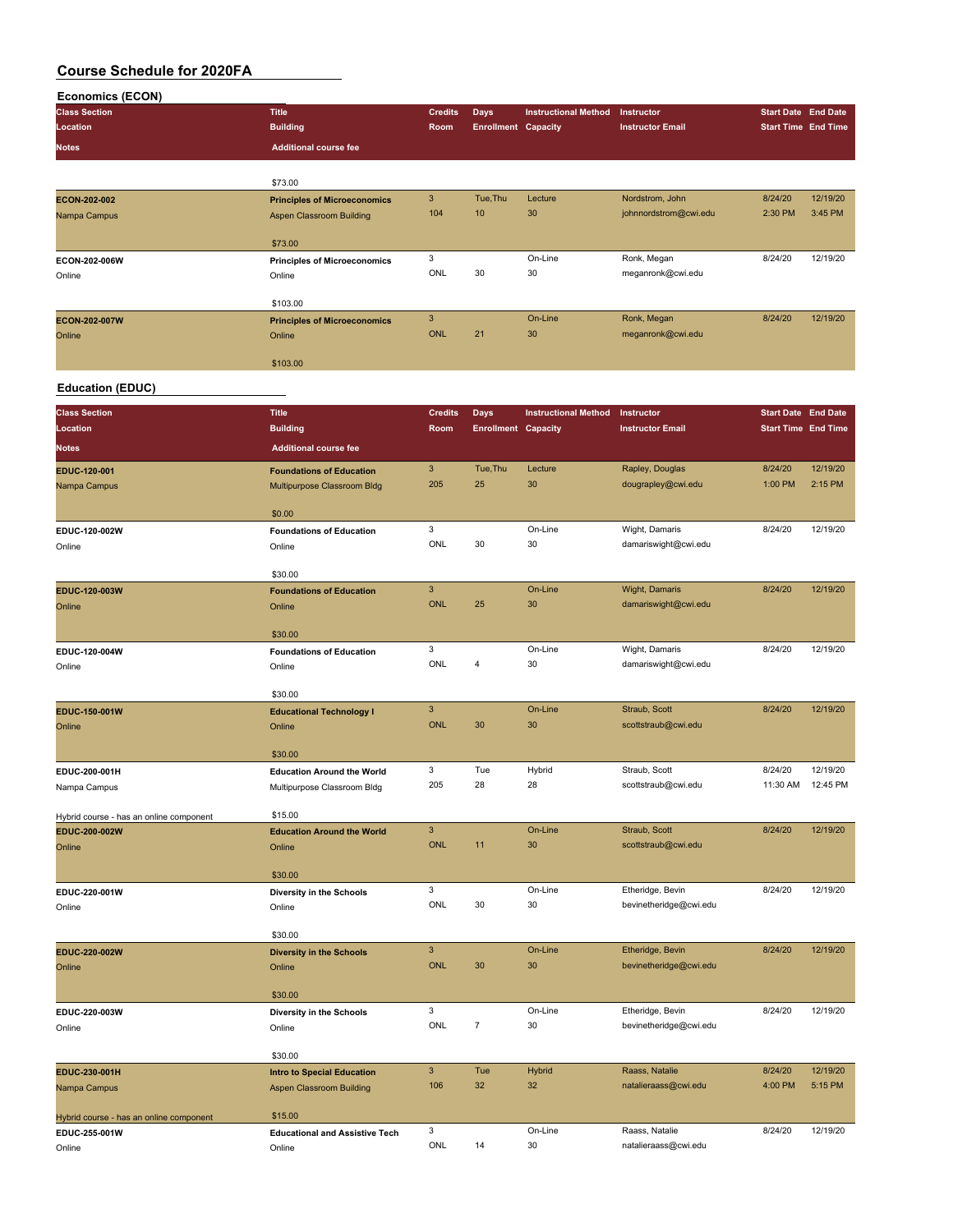| <b>Economics (ECON)</b>                 |                                                                |                |                            |                             |                                            |                            |          |
|-----------------------------------------|----------------------------------------------------------------|----------------|----------------------------|-----------------------------|--------------------------------------------|----------------------------|----------|
| <b>Class Section</b>                    | <b>Title</b>                                                   | <b>Credits</b> | Days                       | <b>Instructional Method</b> | Instructor                                 | <b>Start Date End Date</b> |          |
| Location                                | <b>Building</b>                                                | Room           | <b>Enrollment Capacity</b> |                             | <b>Instructor Email</b>                    | <b>Start Time End Time</b> |          |
| <b>Notes</b>                            | <b>Additional course fee</b>                                   |                |                            |                             |                                            |                            |          |
|                                         |                                                                |                |                            |                             |                                            |                            |          |
| ECON-202-002                            | \$73.00<br><b>Principles of Microeconomics</b>                 | 3              | Tue, Thu                   | Lecture                     | Nordstrom, John                            | 8/24/20                    | 12/19/20 |
| Nampa Campus                            | Aspen Classroom Building                                       | 104            | 10                         | 30                          | johnnordstrom@cwi.edu                      | 2:30 PM                    | 3:45 PM  |
|                                         |                                                                |                |                            |                             |                                            |                            |          |
|                                         | \$73.00                                                        |                |                            |                             |                                            |                            |          |
| ECON-202-006W                           | <b>Principles of Microeconomics</b>                            | 3<br>ONL       | 30                         | On-Line<br>30               | Ronk, Megan<br>meganronk@cwi.edu           | 8/24/20                    | 12/19/20 |
| Online                                  | Online                                                         |                |                            |                             |                                            |                            |          |
|                                         | \$103.00                                                       |                |                            |                             |                                            |                            |          |
| ECON-202-007W                           | <b>Principles of Microeconomics</b>                            | 3              |                            | On-Line                     | Ronk, Megan                                | 8/24/20                    | 12/19/20 |
| Online                                  | Online                                                         | <b>ONL</b>     | 21                         | 30                          | meganronk@cwi.edu                          |                            |          |
|                                         | \$103.00                                                       |                |                            |                             |                                            |                            |          |
| <b>Education (EDUC)</b>                 |                                                                |                |                            |                             |                                            |                            |          |
| <b>Class Section</b>                    | <b>Title</b>                                                   | <b>Credits</b> | <b>Days</b>                | <b>Instructional Method</b> | Instructor                                 | <b>Start Date End Date</b> |          |
| Location                                | <b>Building</b>                                                | Room           | <b>Enrollment Capacity</b> |                             | <b>Instructor Email</b>                    | <b>Start Time End Time</b> |          |
| <b>Notes</b>                            | <b>Additional course fee</b>                                   |                |                            |                             |                                            |                            |          |
|                                         |                                                                | 3              | Tue, Thu                   | Lecture                     | Rapley, Douglas                            | 8/24/20                    | 12/19/20 |
| EDUC-120-001<br>Nampa Campus            | <b>Foundations of Education</b><br>Multipurpose Classroom Bldg | 205            | 25                         | 30                          | dougrapley@cwi.edu                         | 1:00 PM                    | 2:15 PM  |
|                                         |                                                                |                |                            |                             |                                            |                            |          |
|                                         | \$0.00                                                         |                |                            |                             |                                            |                            |          |
| EDUC-120-002W                           | <b>Foundations of Education</b>                                | 3              |                            | On-Line                     | Wight, Damaris                             | 8/24/20                    | 12/19/20 |
| Online                                  | Online                                                         | ONL            | 30                         | 30                          | damariswight@cwi.edu                       |                            |          |
|                                         | \$30.00                                                        |                |                            |                             |                                            |                            |          |
| EDUC-120-003W                           | <b>Foundations of Education</b>                                | $\overline{3}$ |                            | On-Line                     | Wight, Damaris                             | 8/24/20                    | 12/19/20 |
| Online                                  | Online                                                         | <b>ONL</b>     | 25                         | 30                          | damariswight@cwi.edu                       |                            |          |
|                                         | \$30.00                                                        |                |                            |                             |                                            |                            |          |
| EDUC-120-004W                           | <b>Foundations of Education</b>                                | 3              |                            | On-Line                     | Wight, Damaris                             | 8/24/20                    | 12/19/20 |
| Online                                  | Online                                                         | ONL            | $\overline{4}$             | 30                          | damariswight@cwi.edu                       |                            |          |
|                                         |                                                                |                |                            |                             |                                            |                            |          |
| EDUC-150-001W                           | \$30.00                                                        | 3              |                            | On-Line                     | Straub, Scott                              | 8/24/20                    | 12/19/20 |
| Online                                  | <b>Educational Technology I</b><br>Online                      | <b>ONL</b>     | 30                         | 30                          | scottstraub@cwi.edu                        |                            |          |
|                                         |                                                                |                |                            |                             |                                            |                            |          |
|                                         | \$30.00                                                        |                |                            |                             |                                            |                            |          |
| EDUC-200-001H                           | <b>Education Around the World</b>                              | 3              | Tue<br>28                  | Hybrid                      | Straub, Scott                              | 8/24/20                    | 12/19/20 |
| Nampa Campus                            | Multipurpose Classroom Bldg                                    | 205            |                            | 28                          | scottstraub@cwi.edu                        | 11:30 AM  12:45 PM         |          |
| Hybrid course - has an online component | \$15.00                                                        |                |                            |                             |                                            |                            |          |
| EDUC-200-002W                           | <b>Education Around the World</b>                              | $\mathbf{3}$   |                            | On-Line                     | Straub, Scott                              | 8/24/20                    | 12/19/20 |
| Online                                  | Online                                                         | ONL            | 11                         | 30                          | scottstraub@cwi.edu                        |                            |          |
|                                         | \$30.00                                                        |                |                            |                             |                                            |                            |          |
| EDUC-220-001W                           | Diversity in the Schools                                       | 3              |                            | On-Line                     | Etheridge, Bevin                           | 8/24/20                    | 12/19/20 |
| Online                                  | Online                                                         | ONL            | 30                         | 30                          | bevinetheridge@cwi.edu                     |                            |          |
|                                         |                                                                |                |                            |                             |                                            |                            |          |
| EDUC-220-002W                           | \$30.00<br><b>Diversity in the Schools</b>                     | $\mathbf{3}$   |                            | On-Line                     | Etheridge, Bevin                           | 8/24/20                    | 12/19/20 |
| Online                                  | Online                                                         | ONL            | 30                         | 30                          | bevinetheridge@cwi.edu                     |                            |          |
|                                         |                                                                |                |                            |                             |                                            |                            |          |
|                                         | \$30.00                                                        |                |                            |                             |                                            |                            |          |
| EDUC-220-003W                           | Diversity in the Schools                                       | 3<br>ONL       | $\boldsymbol{7}$           | On-Line<br>30               | Etheridge, Bevin<br>bevinetheridge@cwi.edu | 8/24/20                    | 12/19/20 |
| Online                                  | Online                                                         |                |                            |                             |                                            |                            |          |

|                                         | \$30.00                               |     |     |         |                      |         |          |
|-----------------------------------------|---------------------------------------|-----|-----|---------|----------------------|---------|----------|
| EDUC-230-001H                           | <b>Intro to Special Education</b>     |     | Tue | Hybrid  | Raass, Natalie       | 8/24/20 | 12/19/20 |
| Nampa Campus                            | Aspen Classroom Building              | 106 | 32  | 32      | natalieraass@cwi.edu | 4:00 PM | 5:15 PM  |
|                                         |                                       |     |     |         |                      |         |          |
| Hybrid course - has an online component | \$15.00                               |     |     |         |                      |         |          |
| EDUC-255-001W                           | <b>Educational and Assistive Tech</b> |     |     | On-Line | Raass, Natalie       | 8/24/20 | 12/19/20 |
|                                         |                                       | ONL | 14  | 30      | natalieraass@cwi.edu |         |          |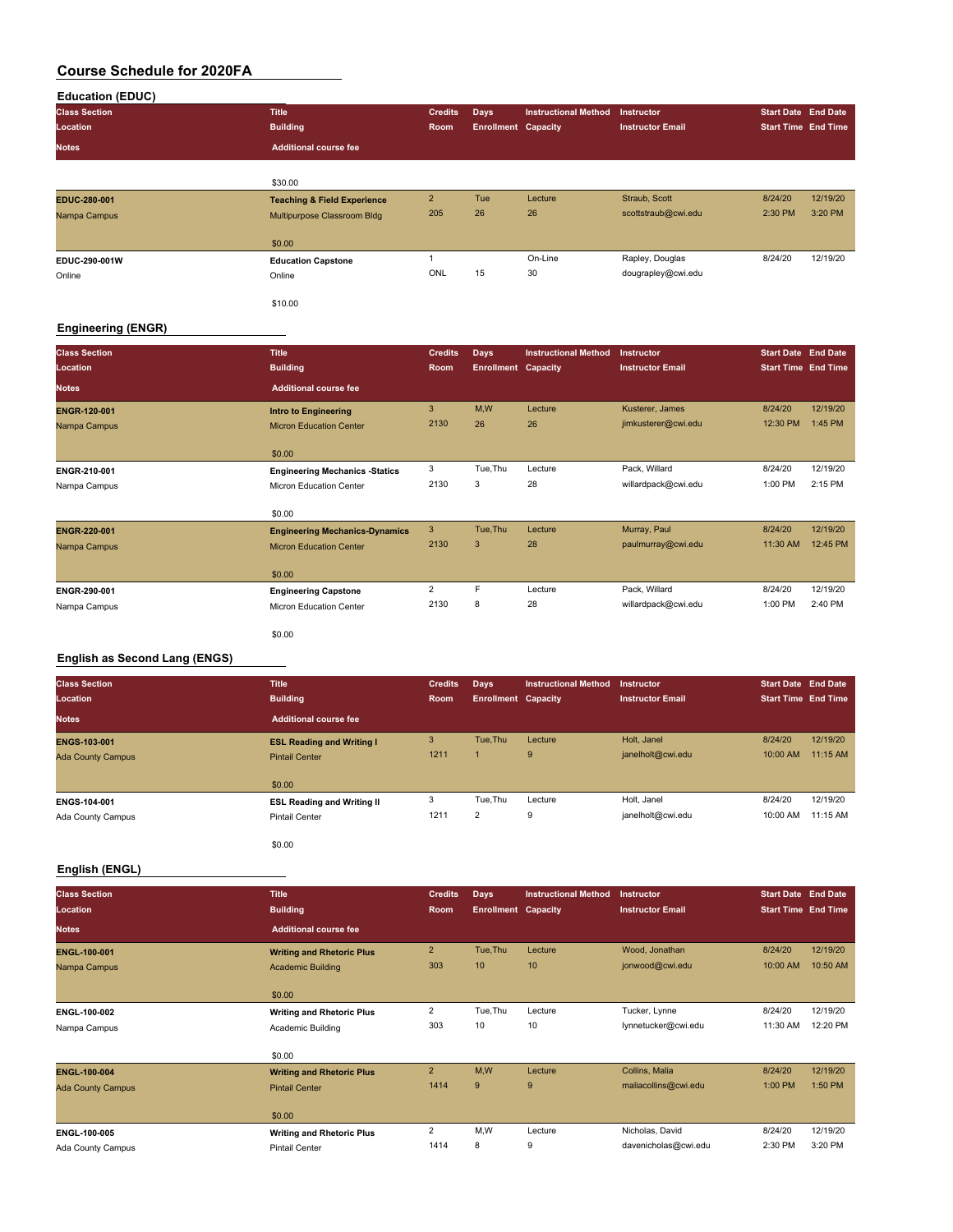|--|

| <b>Class Section</b> | <b>Title</b>                           | <b>Credits</b> | <b>Days</b>                | <b>Instructional Method</b> | <b>Instructor</b>       | <b>Start Date End Date</b> |          |
|----------------------|----------------------------------------|----------------|----------------------------|-----------------------------|-------------------------|----------------------------|----------|
| Location             | <b>Building</b>                        | Room           | <b>Enrollment Capacity</b> |                             | <b>Instructor Email</b> | <b>Start Time End Time</b> |          |
| <b>Notes</b>         | <b>Additional course fee</b>           |                |                            |                             |                         |                            |          |
|                      |                                        |                |                            |                             |                         |                            |          |
|                      | \$30.00                                |                |                            |                             |                         |                            |          |
| EDUC-280-001         | <b>Teaching &amp; Field Experience</b> | $\overline{2}$ | Tue                        | Lecture                     | Straub, Scott           | 8/24/20                    | 12/19/20 |
| Nampa Campus         | Multipurpose Classroom Bldg            | 205            | 26                         | 26                          | scottstraub@cwi.edu     | 2:30 PM                    | 3:20 PM  |
|                      | \$0.00                                 |                |                            |                             |                         |                            |          |
| EDUC-290-001W        | <b>Education Capstone</b>              |                |                            | On-Line                     | Rapley, Douglas         | 8/24/20                    | 12/19/20 |
| Online               | Online                                 | ONL            | 15                         | 30                          | dougrapley@cwi.edu      |                            |          |
|                      | \$10.00                                |                |                            |                             |                         |                            |          |

#### **Engineering (ENGR)**

| <b>Class Section</b> | <b>Title</b>                          | <b>Credits</b> | <b>Days</b>                | <b>Instructional Method</b> | Instructor              | <b>Start Date End Date</b> |          |
|----------------------|---------------------------------------|----------------|----------------------------|-----------------------------|-------------------------|----------------------------|----------|
| Location             | <b>Building</b>                       | Room           | <b>Enrollment Capacity</b> |                             | <b>Instructor Email</b> | <b>Start Time End Time</b> |          |
| <b>Notes</b>         | <b>Additional course fee</b>          |                |                            |                             |                         |                            |          |
| <b>ENGR-120-001</b>  | <b>Intro to Engineering</b>           | 3              | M,W                        | Lecture                     | Kusterer, James         | 8/24/20                    | 12/19/20 |
| Nampa Campus         | <b>Micron Education Center</b>        | 2130           | 26                         | 26                          | jimkusterer@cwi.edu     | 12:30 PM                   | 1:45 PM  |
|                      | \$0.00                                |                |                            |                             |                         |                            |          |
| ENGR-210-001         | <b>Engineering Mechanics -Statics</b> | 3              | Tue, Thu                   | Lecture                     | Pack, Willard           | 8/24/20                    | 12/19/20 |
| Nampa Campus         | Micron Education Center               | 2130           | 3                          | 28                          | willardpack@cwi.edu     | 1:00 PM                    | 2:15 PM  |
|                      | \$0.00                                |                |                            |                             |                         |                            |          |
| ENGR-220-001         | <b>Engineering Mechanics-Dynamics</b> | 3              | Tue, Thu                   | Lecture                     | Murray, Paul            | 8/24/20                    | 12/19/20 |
| Nampa Campus         | <b>Micron Education Center</b>        | 2130           | 3                          | 28                          | paulmurray@cwi.edu      | 11:30 AM                   | 12:45 PM |
|                      | \$0.00                                |                |                            |                             |                         |                            |          |
| ENGR-290-001         | <b>Engineering Capstone</b>           | $\overline{2}$ | F.                         | Lecture                     | Pack, Willard           | 8/24/20                    | 12/19/20 |
| Nampa Campus         | Micron Education Center               | 2130           | 8                          | 28                          | willardpack@cwi.edu     | 1:00 PM                    | 2:40 PM  |
|                      | \$0.00                                |                |                            |                             |                         |                            |          |

#### **English as Second Lang (ENGS)**

| <b>Class Section</b>     | <b>Title</b>                      | <b>Credits</b> | Days                       | <b>Instructional Method</b> | <b>Instructor</b>       | <b>Start Date End Date</b> |          |
|--------------------------|-----------------------------------|----------------|----------------------------|-----------------------------|-------------------------|----------------------------|----------|
| Location                 | <b>Building</b>                   | Room           | <b>Enrollment Capacity</b> |                             | <b>Instructor Email</b> | <b>Start Time End Time</b> |          |
| <b>Notes</b>             | <b>Additional course fee</b>      |                |                            |                             |                         |                            |          |
| <b>ENGS-103-001</b>      | <b>ESL Reading and Writing I</b>  | 3              | Tue.Thu                    | Lecture                     | Holt, Janel             | 8/24/20                    | 12/19/20 |
| <b>Ada County Campus</b> | <b>Pintail Center</b>             | 1211           |                            | 9                           | janelholt@cwi.edu       | 10:00 AM                   | 11:15 AM |
|                          |                                   |                |                            |                             |                         |                            |          |
|                          | \$0.00                            |                |                            |                             |                         |                            |          |
| ENGS-104-001             | <b>ESL Reading and Writing II</b> | 3              | Tue, Thu                   | Lecture                     | Holt, Janel             | 8/24/20                    | 12/19/20 |
| Ada County Campus        | <b>Pintail Center</b>             | 1211           | 2                          | 9                           | janelholt@cwi.edu       | 10:00 AM                   | 11:15 AM |
|                          |                                   |                |                            |                             |                         |                            |          |
|                          | \$0.00                            |                |                            |                             |                         |                            |          |

#### **English (ENGL)**

| <b>Class Section</b>     | <b>Title</b>                     | <b>Credits</b> | <b>Days</b>                | <b>Instructional Method</b> | Instructor              | <b>Start Date End Date</b> |          |
|--------------------------|----------------------------------|----------------|----------------------------|-----------------------------|-------------------------|----------------------------|----------|
| Location                 | <b>Building</b>                  | Room           | <b>Enrollment Capacity</b> |                             | <b>Instructor Email</b> | <b>Start Time End Time</b> |          |
| <b>Notes</b>             | <b>Additional course fee</b>     |                |                            |                             |                         |                            |          |
| ENGL-100-001             | <b>Writing and Rhetoric Plus</b> | $\overline{2}$ | Tue, Thu                   | Lecture                     | Wood, Jonathan          | 8/24/20                    | 12/19/20 |
| Nampa Campus             | <b>Academic Building</b>         | 303            | 10                         | 10                          | jonwood@cwi.edu         | 10:00 AM                   | 10:50 AM |
|                          | \$0.00                           |                |                            |                             |                         |                            |          |
| ENGL-100-002             | <b>Writing and Rhetoric Plus</b> | 2              | Tue, Thu                   | Lecture                     | Tucker, Lynne           | 8/24/20                    | 12/19/20 |
| Nampa Campus             | Academic Building                | 303            | 10                         | 10                          | lynnetucker@cwi.edu     | 11:30 AM                   | 12:20 PM |
|                          | \$0.00                           |                |                            |                             |                         |                            |          |
| <b>ENGL-100-004</b>      | <b>Writing and Rhetoric Plus</b> | $\overline{2}$ | M,W                        | Lecture                     | Collins, Malia          | 8/24/20                    | 12/19/20 |
| <b>Ada County Campus</b> | <b>Pintail Center</b>            | 1414           | 9                          | 9                           | maliacollins@cwi.edu    | 1:00 PM                    | 1:50 PM  |
|                          | \$0.00                           |                |                            |                             |                         |                            |          |
| ENGL-100-005             | <b>Writing and Rhetoric Plus</b> | $\overline{2}$ | M,W                        | Lecture                     | Nicholas, David         | 8/24/20                    | 12/19/20 |
| Ada County Campus        | <b>Pintail Center</b>            | 1414           | 8                          | 9                           | davenicholas@cwi.edu    | 2:30 PM                    | 3:20 PM  |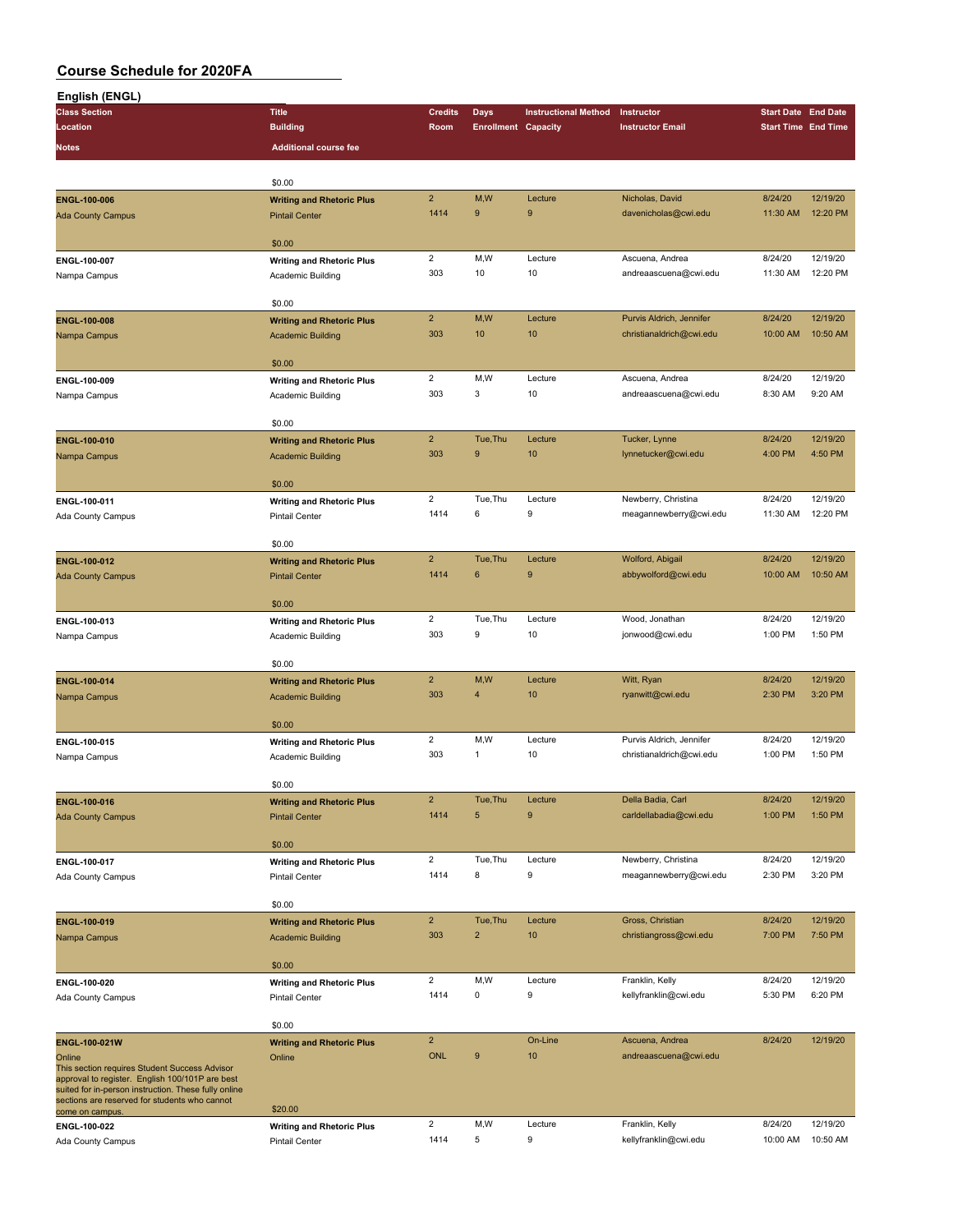| English (ENGL)                                                                                          |                                  |                |                            |                             |                                          |                            |                     |
|---------------------------------------------------------------------------------------------------------|----------------------------------|----------------|----------------------------|-----------------------------|------------------------------------------|----------------------------|---------------------|
| <b>Class Section</b>                                                                                    | <b>Title</b>                     | <b>Credits</b> | <b>Days</b>                | <b>Instructional Method</b> | Instructor                               | <b>Start Date End Date</b> |                     |
| Location                                                                                                | <b>Building</b>                  | Room           | <b>Enrollment Capacity</b> |                             | <b>Instructor Email</b>                  | <b>Start Time End Time</b> |                     |
| Notes                                                                                                   | <b>Additional course fee</b>     |                |                            |                             |                                          |                            |                     |
|                                                                                                         |                                  |                |                            |                             |                                          |                            |                     |
|                                                                                                         |                                  |                |                            |                             |                                          |                            |                     |
|                                                                                                         | \$0.00                           | $\overline{2}$ |                            |                             |                                          |                            | 12/19/20            |
| ENGL-100-006                                                                                            | <b>Writing and Rhetoric Plus</b> | 1414           | M,W<br>9                   | Lecture<br>9                | Nicholas, David                          | 8/24/20                    | 12:20 PM            |
| <b>Ada County Campus</b>                                                                                | <b>Pintail Center</b>            |                |                            |                             | davenicholas@cwi.edu                     | 11:30 AM                   |                     |
|                                                                                                         | \$0.00                           |                |                            |                             |                                          |                            |                     |
| ENGL-100-007                                                                                            | <b>Writing and Rhetoric Plus</b> | $\overline{c}$ | M,W                        | Lecture                     | Ascuena, Andrea                          | 8/24/20                    | 12/19/20            |
|                                                                                                         |                                  | 303            | 10                         | 10                          | andreaascuena@cwi.edu                    | 11:30 AM                   | 12:20 PM            |
| Nampa Campus                                                                                            | Academic Building                |                |                            |                             |                                          |                            |                     |
|                                                                                                         | \$0.00                           |                |                            |                             |                                          |                            |                     |
| ENGL-100-008                                                                                            | <b>Writing and Rhetoric Plus</b> | $\overline{2}$ | M,W                        | Lecture                     | Purvis Aldrich, Jennifer                 | 8/24/20                    | 12/19/20            |
| Nampa Campus                                                                                            | <b>Academic Building</b>         | 303            | 10                         | 10                          | christianaldrich@cwi.edu                 | 10:00 AM                   | 10:50 AM            |
|                                                                                                         |                                  |                |                            |                             |                                          |                            |                     |
|                                                                                                         | \$0.00                           |                |                            |                             |                                          |                            |                     |
| ENGL-100-009                                                                                            | <b>Writing and Rhetoric Plus</b> | $\overline{2}$ | M, W                       | Lecture                     | Ascuena, Andrea                          | 8/24/20                    | 12/19/20            |
| Nampa Campus                                                                                            | Academic Building                | 303            | 3                          | 10                          | andreaascuena@cwi.edu                    | 8:30 AM                    | 9:20 AM             |
|                                                                                                         |                                  |                |                            |                             |                                          |                            |                     |
|                                                                                                         | \$0.00                           |                |                            |                             |                                          |                            |                     |
| ENGL-100-010                                                                                            | <b>Writing and Rhetoric Plus</b> | $\overline{2}$ | Tue, Thu                   | Lecture                     | Tucker, Lynne                            | 8/24/20                    | 12/19/20            |
| Nampa Campus                                                                                            | <b>Academic Building</b>         | 303            | $9$                        | 10                          | lynnetucker@cwi.edu                      | 4:00 PM                    | 4:50 PM             |
|                                                                                                         |                                  |                |                            |                             |                                          |                            |                     |
|                                                                                                         | \$0.00                           |                |                            |                             |                                          |                            |                     |
| ENGL-100-011                                                                                            | <b>Writing and Rhetoric Plus</b> | $\overline{2}$ | Tue, Thu                   | Lecture                     | Newberry, Christina                      | 8/24/20                    | 12/19/20            |
| Ada County Campus                                                                                       | <b>Pintail Center</b>            | 1414           | 6                          | 9                           | meagannewberry@cwi.edu                   | 11:30 AM                   | 12:20 PM            |
|                                                                                                         |                                  |                |                            |                             |                                          |                            |                     |
|                                                                                                         | \$0.00                           |                |                            |                             |                                          |                            |                     |
| ENGL-100-012                                                                                            | <b>Writing and Rhetoric Plus</b> | $\overline{2}$ | Tue, Thu                   | Lecture                     | Wolford, Abigail                         | 8/24/20                    | 12/19/20            |
| <b>Ada County Campus</b>                                                                                | <b>Pintail Center</b>            | 1414           | $\bf 6$                    | 9                           | abbywolford@cwi.edu                      | 10:00 AM                   | 10:50 AM            |
|                                                                                                         | \$0.00                           |                |                            |                             |                                          |                            |                     |
|                                                                                                         |                                  | $\overline{2}$ | Tue, Thu                   | Lecture                     | Wood, Jonathan                           | 8/24/20                    | 12/19/20            |
| ENGL-100-013                                                                                            | <b>Writing and Rhetoric Plus</b> | 303            | 9                          | 10                          | jonwood@cwi.edu                          | 1:00 PM                    | 1:50 PM             |
| Nampa Campus                                                                                            | Academic Building                |                |                            |                             |                                          |                            |                     |
|                                                                                                         | \$0.00                           |                |                            |                             |                                          |                            |                     |
| ENGL-100-014                                                                                            | <b>Writing and Rhetoric Plus</b> | $\overline{2}$ | M,W                        | Lecture                     | Witt, Ryan                               | 8/24/20                    | 12/19/20            |
| Nampa Campus                                                                                            | <b>Academic Building</b>         | 303            | $\overline{4}$             | 10                          | ryanwitt@cwi.edu                         | 2:30 PM                    | 3:20 PM             |
|                                                                                                         |                                  |                |                            |                             |                                          |                            |                     |
|                                                                                                         | \$0.00                           |                |                            |                             |                                          |                            |                     |
| ENGL-100-015                                                                                            | <b>Writing and Rhetoric Plus</b> | $\overline{2}$ | M,W                        | Lecture                     | Purvis Aldrich, Jennifer                 | 8/24/20                    | 12/19/20            |
| Nampa Campus                                                                                            | Academic Building                | 303            | $\mathbf{1}$               | 10                          | christianaldrich@cwi.edu                 | 1:00 PM                    | 1:50 PM             |
|                                                                                                         |                                  |                |                            |                             |                                          |                            |                     |
|                                                                                                         | \$0.00                           |                |                            |                             |                                          |                            |                     |
| ENGL-100-016                                                                                            | <b>Writing and Rhetoric Plus</b> | $\overline{a}$ | Tue, Thu                   | Lecture                     | Della Badia, Carl                        | 8/24/20                    | 12/19/20            |
| <b>Ada County Campus</b>                                                                                | <b>Pintail Center</b>            | 1414           | 5                          | 9                           | carldellabadia@cwi.edu                   | 1:00 PM                    | 1:50 PM             |
|                                                                                                         |                                  |                |                            |                             |                                          |                            |                     |
|                                                                                                         | \$0.00                           |                |                            |                             |                                          |                            |                     |
| ENGL-100-017                                                                                            | <b>Writing and Rhetoric Plus</b> | $\overline{2}$ | Tue, Thu                   | Lecture                     | Newberry, Christina                      | 8/24/20                    | 12/19/20<br>3:20 PM |
| <b>Ada County Campus</b>                                                                                | Pintail Center                   | 1414           | 8                          | 9                           | meagannewberry@cwi.edu                   | 2:30 PM                    |                     |
|                                                                                                         | \$0.00                           |                |                            |                             |                                          |                            |                     |
| ENGL-100-019                                                                                            | <b>Writing and Rhetoric Plus</b> | $\overline{2}$ | Tue, Thu                   | Lecture                     | Gross, Christian                         | 8/24/20                    | 12/19/20            |
| Nampa Campus                                                                                            | <b>Academic Building</b>         | 303            | $\overline{2}$             | 10                          | christiangross@cwi.edu                   | 7:00 PM                    | 7:50 PM             |
|                                                                                                         |                                  |                |                            |                             |                                          |                            |                     |
|                                                                                                         | \$0.00                           |                |                            |                             |                                          |                            |                     |
| ENGL-100-020                                                                                            | <b>Writing and Rhetoric Plus</b> | $\overline{2}$ | M,W                        | Lecture                     | Franklin, Kelly                          | 8/24/20                    | 12/19/20            |
| Ada County Campus                                                                                       | <b>Pintail Center</b>            | 1414           | $\pmb{0}$                  | 9                           | kellyfranklin@cwi.edu                    | 5:30 PM                    | 6:20 PM             |
|                                                                                                         |                                  |                |                            |                             |                                          |                            |                     |
|                                                                                                         | \$0.00                           |                |                            |                             |                                          |                            |                     |
| ENGL-100-021W                                                                                           | <b>Writing and Rhetoric Plus</b> | $\overline{2}$ |                            | On-Line                     | Ascuena, Andrea                          | 8/24/20                    | 12/19/20            |
| Online                                                                                                  | Online                           | <b>ONL</b>     | $\boldsymbol{9}$           | 10                          | andreaascuena@cwi.edu                    |                            |                     |
| This section requires Student Success Advisor                                                           |                                  |                |                            |                             |                                          |                            |                     |
| approval to register. English 100/101P are best<br>suited for in-person instruction. These fully online |                                  |                |                            |                             |                                          |                            |                     |
| sections are reserved for students who cannot                                                           | \$20.00                          |                |                            |                             |                                          |                            |                     |
| come on campus.                                                                                         |                                  | $\overline{2}$ | M,W                        | Lecture                     |                                          | 8/24/20                    | 12/19/20            |
| ENGL-100-022                                                                                            | <b>Writing and Rhetoric Plus</b> | 1414           | 5                          | 9                           | Franklin, Kelly<br>kellyfranklin@cwi.edu | 10:00 AM                   | 10:50 AM            |
| Ada County Campus                                                                                       | <b>Pintail Center</b>            |                |                            |                             |                                          |                            |                     |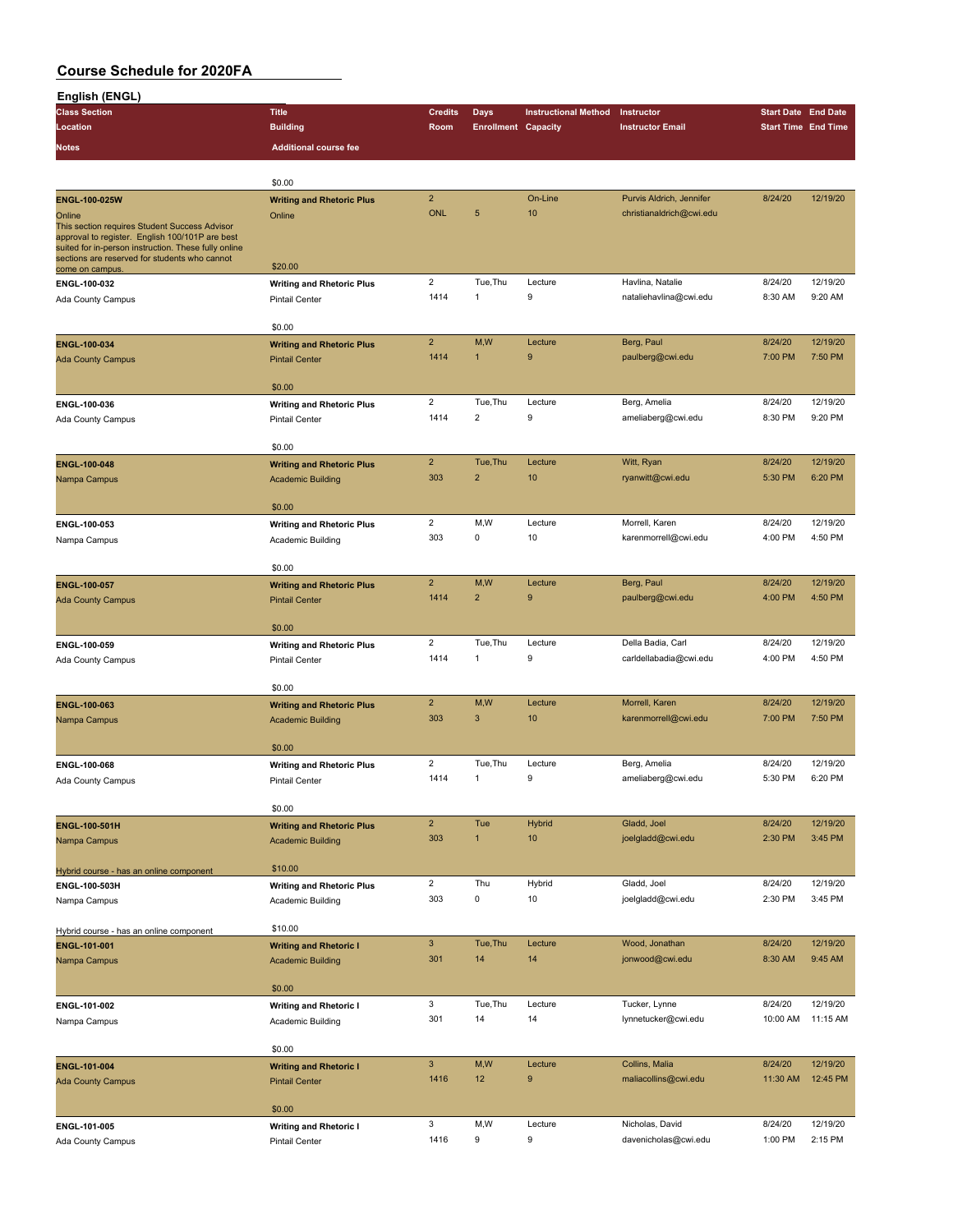| English (ENGL)                                                                                   |                                                    |                         |                            |                             |                                        |                            |                     |
|--------------------------------------------------------------------------------------------------|----------------------------------------------------|-------------------------|----------------------------|-----------------------------|----------------------------------------|----------------------------|---------------------|
| <b>Class Section</b>                                                                             | <b>Title</b>                                       | <b>Credits</b>          | Days                       | <b>Instructional Method</b> | Instructor                             | <b>Start Date End Date</b> |                     |
| Location                                                                                         | <b>Building</b>                                    | Room                    | <b>Enrollment Capacity</b> |                             | <b>Instructor Email</b>                | <b>Start Time End Time</b> |                     |
| Notes                                                                                            | <b>Additional course fee</b>                       |                         |                            |                             |                                        |                            |                     |
|                                                                                                  |                                                    |                         |                            |                             |                                        |                            |                     |
|                                                                                                  | \$0.00                                             |                         |                            |                             |                                        |                            |                     |
| ENGL-100-025W                                                                                    | <b>Writing and Rhetoric Plus</b>                   | $\overline{2}$          |                            | On-Line                     | Purvis Aldrich, Jennifer               | 8/24/20                    | 12/19/20            |
| Online                                                                                           | Online                                             | <b>ONL</b>              | 5                          | 10                          | christianaldrich@cwi.edu               |                            |                     |
| This section requires Student Success Advisor<br>approval to register. English 100/101P are best |                                                    |                         |                            |                             |                                        |                            |                     |
| suited for in-person instruction. These fully online                                             |                                                    |                         |                            |                             |                                        |                            |                     |
| sections are reserved for students who cannot<br>come on campus                                  | \$20.00                                            |                         |                            |                             |                                        |                            |                     |
| ENGL-100-032                                                                                     | <b>Writing and Rhetoric Plus</b>                   | $\overline{2}$          | Tue, Thu                   | Lecture                     | Havlina, Natalie                       | 8/24/20                    | 12/19/20            |
| Ada County Campus                                                                                | <b>Pintail Center</b>                              | 1414                    | $\mathbf{1}$               | 9                           | nataliehavlina@cwi.edu                 | 8:30 AM                    | 9:20 AM             |
|                                                                                                  |                                                    |                         |                            |                             |                                        |                            |                     |
|                                                                                                  | \$0.00                                             |                         |                            |                             |                                        |                            |                     |
| ENGL-100-034                                                                                     | <b>Writing and Rhetoric Plus</b>                   | $\overline{2}$          | M,W                        | Lecture                     | Berg, Paul                             | 8/24/20                    | 12/19/20            |
| <b>Ada County Campus</b>                                                                         | <b>Pintail Center</b>                              | 1414                    | 1                          | 9                           | paulberg@cwi.edu                       | 7:00 PM                    | 7:50 PM             |
|                                                                                                  |                                                    |                         |                            |                             |                                        |                            |                     |
|                                                                                                  | \$0.00                                             | $\overline{2}$          | Tue, Thu                   | Lecture                     | Berg, Amelia                           | 8/24/20                    | 12/19/20            |
| ENGL-100-036<br>Ada County Campus                                                                | <b>Writing and Rhetoric Plus</b><br>Pintail Center | 1414                    | $\overline{2}$             | 9                           | ameliaberg@cwi.edu                     | 8:30 PM                    | 9:20 PM             |
|                                                                                                  |                                                    |                         |                            |                             |                                        |                            |                     |
|                                                                                                  | \$0.00                                             |                         |                            |                             |                                        |                            |                     |
| <b>ENGL-100-048</b>                                                                              | <b>Writing and Rhetoric Plus</b>                   | $\overline{2}$          | Tue, Thu                   | Lecture                     | Witt, Ryan                             | 8/24/20                    | 12/19/20            |
| Nampa Campus                                                                                     | <b>Academic Building</b>                           | 303                     | $\overline{2}$             | 10                          | ryanwitt@cwi.edu                       | 5:30 PM                    | 6:20 PM             |
|                                                                                                  |                                                    |                         |                            |                             |                                        |                            |                     |
|                                                                                                  | \$0.00                                             |                         |                            |                             |                                        |                            |                     |
| ENGL-100-053                                                                                     | <b>Writing and Rhetoric Plus</b>                   | $\overline{\mathbf{c}}$ | M,W                        | Lecture                     | Morrell, Karen                         | 8/24/20                    | 12/19/20            |
| Nampa Campus                                                                                     | Academic Building                                  | 303                     | 0                          | 10                          | karenmorrell@cwi.edu                   | 4:00 PM                    | 4:50 PM             |
|                                                                                                  | \$0.00                                             |                         |                            |                             |                                        |                            |                     |
|                                                                                                  |                                                    | $\overline{2}$          | M,W                        | Lecture                     | Berg, Paul                             | 8/24/20                    | 12/19/20            |
| ENGL-100-057                                                                                     | <b>Writing and Rhetoric Plus</b>                   | 1414                    | $\overline{2}$             | 9                           | paulberg@cwi.edu                       | 4:00 PM                    | 4:50 PM             |
| <b>Ada County Campus</b>                                                                         | <b>Pintail Center</b>                              |                         |                            |                             |                                        |                            |                     |
|                                                                                                  | \$0.00                                             |                         |                            |                             |                                        |                            |                     |
| ENGL-100-059                                                                                     | <b>Writing and Rhetoric Plus</b>                   | $\overline{2}$          | Tue, Thu                   | Lecture                     | Della Badia, Carl                      | 8/24/20                    | 12/19/20            |
| Ada County Campus                                                                                | <b>Pintail Center</b>                              | 1414                    | 1                          | 9                           | carldellabadia@cwi.edu                 | 4:00 PM                    | 4:50 PM             |
|                                                                                                  |                                                    |                         |                            |                             |                                        |                            |                     |
|                                                                                                  | \$0.00                                             |                         |                            |                             |                                        |                            |                     |
| ENGL-100-063                                                                                     | <b>Writing and Rhetoric Plus</b>                   | $\overline{2}$          | M,W                        | Lecture                     | Morrell, Karen                         | 8/24/20                    | 12/19/20            |
| Nampa Campus                                                                                     | <b>Academic Building</b>                           | 303                     | $\mathbf{3}$               | 10                          | karenmorrell@cwi.edu                   | 7:00 PM                    | 7:50 PM             |
|                                                                                                  | \$0.00                                             |                         |                            |                             |                                        |                            |                     |
| ENGL-100-068                                                                                     | <b>Writing and Rhetoric Plus</b>                   | $\overline{2}$          | Tue, Thu                   | Lecture                     | Berg, Amelia                           | 8/24/20                    | 12/19/20            |
| Ada County Campus                                                                                | <b>Pintail Center</b>                              | 1414                    | $\mathbf{1}$               | 9                           | ameliaberg@cwi.edu                     | 5:30 PM                    | 6:20 PM             |
|                                                                                                  |                                                    |                         |                            |                             |                                        |                            |                     |
|                                                                                                  | \$0.00                                             |                         |                            |                             |                                        |                            |                     |
| ENGL-100-501H                                                                                    | <b>Writing and Rhetoric Plus</b>                   | $\overline{2}$          | Tue                        | <b>Hybrid</b>               | Gladd, Joel                            | 8/24/20                    | 12/19/20            |
| Nampa Campus                                                                                     | <b>Academic Building</b>                           | 303                     | $\overline{1}$             | 10                          | joelgladd@cwi.edu                      | 2:30 PM                    | 3:45 PM             |
|                                                                                                  |                                                    |                         |                            |                             |                                        |                            |                     |
| Hybrid course - has an online component                                                          | \$10.00                                            |                         |                            |                             |                                        |                            |                     |
| ENGL-100-503H                                                                                    | <b>Writing and Rhetoric Plus</b>                   | $\overline{2}$<br>303   | Thu<br>$\mathsf 0$         | Hybrid<br>10                | Gladd, Joel<br>joelgladd@cwi.edu       | 8/24/20<br>2:30 PM         | 12/19/20<br>3:45 PM |
| Nampa Campus                                                                                     | Academic Building                                  |                         |                            |                             |                                        |                            |                     |
| Hybrid course - has an online component                                                          | \$10.00                                            |                         |                            |                             |                                        |                            |                     |
| ENGL-101-001                                                                                     | <b>Writing and Rhetoric I</b>                      | $\mathsf 3$             | Tue, Thu                   | Lecture                     | Wood, Jonathan                         | 8/24/20                    | 12/19/20            |
| Nampa Campus                                                                                     | <b>Academic Building</b>                           | 301                     | 14                         | 14                          | jonwood@cwi.edu                        | 8:30 AM                    | 9:45 AM             |
|                                                                                                  |                                                    |                         |                            |                             |                                        |                            |                     |
|                                                                                                  | \$0.00                                             |                         |                            |                             |                                        |                            |                     |
| ENGL-101-002                                                                                     | <b>Writing and Rhetoric I</b>                      | 3                       | Tue, Thu                   | Lecture                     | Tucker, Lynne                          | 8/24/20                    | 12/19/20            |
| Nampa Campus                                                                                     | Academic Building                                  | 301                     | 14                         | 14                          | lynnetucker@cwi.edu                    | 10:00 AM                   | 11:15 AM            |
|                                                                                                  |                                                    |                         |                            |                             |                                        |                            |                     |
|                                                                                                  | \$0.00                                             |                         |                            |                             |                                        |                            | 12/19/20            |
| ENGL-101-004                                                                                     | <b>Writing and Rhetoric I</b>                      | $\mathbf{3}$<br>1416    | M,W<br>12                  | Lecture<br>9                | Collins, Malia<br>maliacollins@cwi.edu | 8/24/20<br>11:30 AM        | 12:45 PM            |
| <b>Ada County Campus</b>                                                                         | <b>Pintail Center</b>                              |                         |                            |                             |                                        |                            |                     |
|                                                                                                  | \$0.00                                             |                         |                            |                             |                                        |                            |                     |
| ENGL-101-005                                                                                     | <b>Writing and Rhetoric I</b>                      | 3                       | M,W                        | Lecture                     | Nicholas, David                        | 8/24/20                    | 12/19/20            |
| Ada County Campus                                                                                | Pintail Center                                     | 1416                    | 9                          | 9                           | davenicholas@cwi.edu                   | 1:00 PM                    | 2:15 PM             |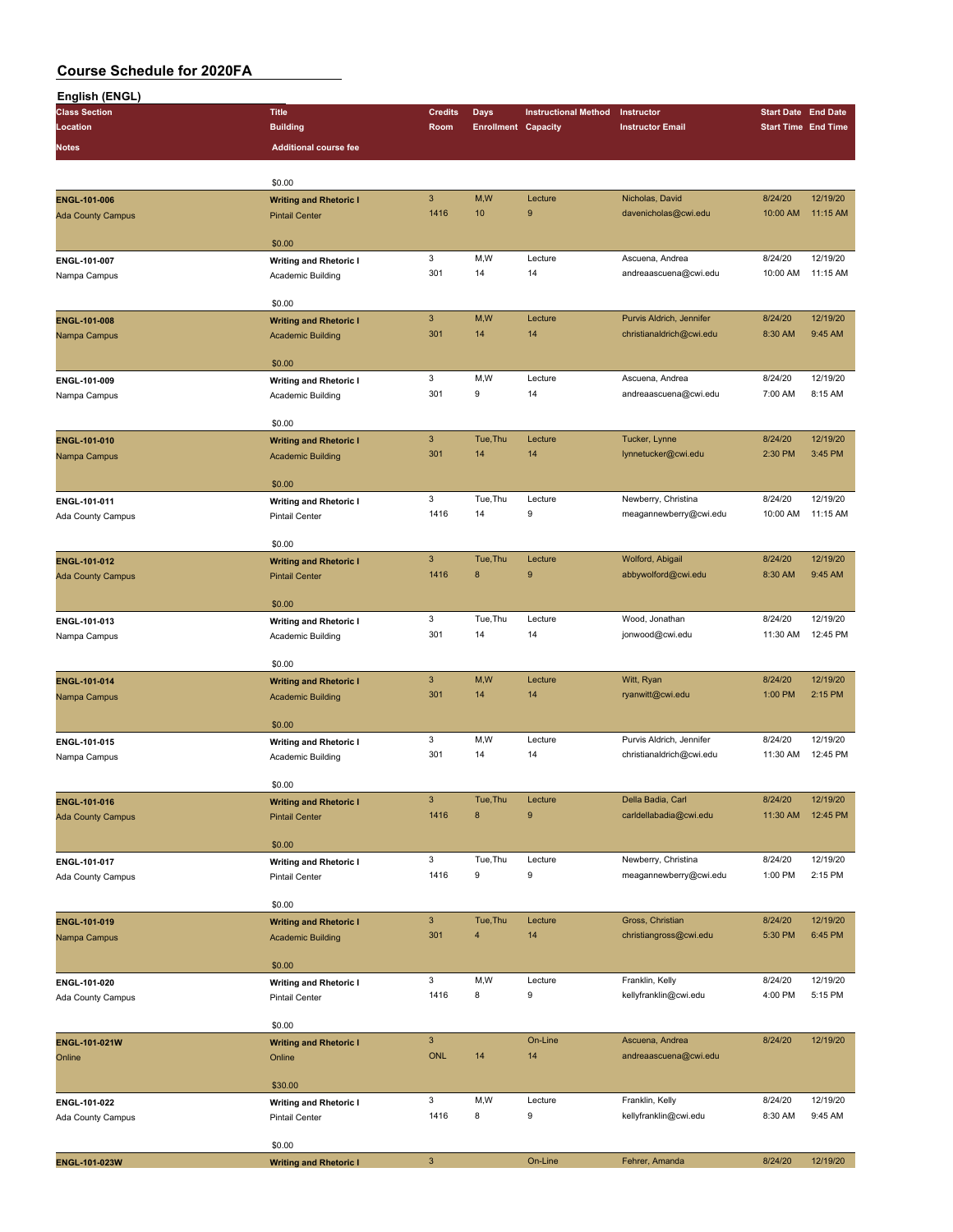| English (ENGL)           |                                                    |                           |                            |                             |                          |                            |                            |
|--------------------------|----------------------------------------------------|---------------------------|----------------------------|-----------------------------|--------------------------|----------------------------|----------------------------|
| <b>Class Section</b>     | <b>Title</b>                                       | <b>Credits</b>            | <b>Days</b>                | <b>Instructional Method</b> | Instructor               | <b>Start Date End Date</b> |                            |
| Location                 | <b>Building</b>                                    | Room                      | <b>Enrollment Capacity</b> |                             | <b>Instructor Email</b>  |                            | <b>Start Time End Time</b> |
| Notes                    | <b>Additional course fee</b>                       |                           |                            |                             |                          |                            |                            |
|                          |                                                    |                           |                            |                             |                          |                            |                            |
|                          |                                                    |                           |                            |                             |                          |                            |                            |
|                          | \$0.00                                             | $\mathbf{3}$              | M,W                        | Lecture                     | Nicholas, David          | 8/24/20                    | 12/19/20                   |
| ENGL-101-006             | <b>Writing and Rhetoric I</b>                      |                           | 10                         | 9                           |                          |                            |                            |
| <b>Ada County Campus</b> | <b>Pintail Center</b>                              | 1416                      |                            |                             | davenicholas@cwi.edu     | 10:00 AM                   | 11:15 AM                   |
|                          | \$0.00                                             |                           |                            |                             |                          |                            |                            |
|                          |                                                    | 3                         | M,W                        | Lecture                     | Ascuena, Andrea          | 8/24/20                    | 12/19/20                   |
| ENGL-101-007             | <b>Writing and Rhetoric I</b>                      | 301                       | 14                         | 14                          | andreaascuena@cwi.edu    | 10:00 AM                   | 11:15 AM                   |
| Nampa Campus             | Academic Building                                  |                           |                            |                             |                          |                            |                            |
|                          | \$0.00                                             |                           |                            |                             |                          |                            |                            |
|                          |                                                    | $\mathbf{3}$              | M,W                        | Lecture                     | Purvis Aldrich, Jennifer | 8/24/20                    | 12/19/20                   |
| ENGL-101-008             | <b>Writing and Rhetoric I</b>                      | 301                       | 14                         | 14                          | christianaldrich@cwi.edu | 8:30 AM                    | 9:45 AM                    |
| Nampa Campus             | <b>Academic Building</b>                           |                           |                            |                             |                          |                            |                            |
|                          | \$0.00                                             |                           |                            |                             |                          |                            |                            |
| ENGL-101-009             |                                                    | 3                         | M,W                        | Lecture                     | Ascuena, Andrea          | 8/24/20                    | 12/19/20                   |
|                          | <b>Writing and Rhetoric I</b><br>Academic Building | 301                       | 9                          | 14                          | andreaascuena@cwi.edu    | 7:00 AM                    | 8:15 AM                    |
| Nampa Campus             |                                                    |                           |                            |                             |                          |                            |                            |
|                          | \$0.00                                             |                           |                            |                             |                          |                            |                            |
| ENGL-101-010             |                                                    | $\mathbf{3}$              | Tue, Thu                   | Lecture                     | Tucker, Lynne            | 8/24/20                    | 12/19/20                   |
|                          | <b>Writing and Rhetoric I</b>                      | 301                       | 14                         | 14                          | lynnetucker@cwi.edu      | 2:30 PM                    | 3:45 PM                    |
| Nampa Campus             | <b>Academic Building</b>                           |                           |                            |                             |                          |                            |                            |
|                          | \$0.00                                             |                           |                            |                             |                          |                            |                            |
|                          |                                                    | 3                         | Tue, Thu                   | Lecture                     | Newberry, Christina      | 8/24/20                    | 12/19/20                   |
| ENGL-101-011             | <b>Writing and Rhetoric I</b>                      | 1416                      | 14                         | 9                           | meagannewberry@cwi.edu   | 10:00 AM                   | 11:15 AM                   |
| Ada County Campus        | <b>Pintail Center</b>                              |                           |                            |                             |                          |                            |                            |
|                          | \$0.00                                             |                           |                            |                             |                          |                            |                            |
| ENGL-101-012             |                                                    | $\mathbf{3}$              | Tue, Thu                   | Lecture                     | Wolford, Abigail         | 8/24/20                    | 12/19/20                   |
|                          | <b>Writing and Rhetoric I</b>                      | 1416                      | $\bf 8$                    | 9                           | abbywolford@cwi.edu      | 8:30 AM                    | 9:45 AM                    |
| <b>Ada County Campus</b> | <b>Pintail Center</b>                              |                           |                            |                             |                          |                            |                            |
|                          | \$0.00                                             |                           |                            |                             |                          |                            |                            |
| ENGL-101-013             |                                                    | 3                         | Tue, Thu                   | Lecture                     | Wood, Jonathan           | 8/24/20                    | 12/19/20                   |
|                          | <b>Writing and Rhetoric I</b>                      | 301                       | 14                         | 14                          | jonwood@cwi.edu          | 11:30 AM                   | 12:45 PM                   |
| Nampa Campus             | Academic Building                                  |                           |                            |                             |                          |                            |                            |
|                          | \$0.00                                             |                           |                            |                             |                          |                            |                            |
|                          |                                                    | $\mathbf{3}$              | M,W                        | Lecture                     | Witt, Ryan               | 8/24/20                    | 12/19/20                   |
| ENGL-101-014             | <b>Writing and Rhetoric I</b>                      | 301                       | 14                         | 14                          | ryanwitt@cwi.edu         | 1:00 PM                    | 2:15 PM                    |
| Nampa Campus             | <b>Academic Building</b>                           |                           |                            |                             |                          |                            |                            |
|                          | \$0.00                                             |                           |                            |                             |                          |                            |                            |
|                          |                                                    | 3                         | M,W                        | Lecture                     | Purvis Aldrich, Jennifer | 8/24/20                    | 12/19/20                   |
| ENGL-101-015             | <b>Writing and Rhetoric I</b>                      | 301                       | 14                         | 14                          | christianaldrich@cwi.edu | 11:30 AM                   | 12:45 PM                   |
| Nampa Campus             | Academic Building                                  |                           |                            |                             |                          |                            |                            |
|                          | \$0.00                                             |                           |                            |                             |                          |                            |                            |
|                          |                                                    | $\mathbf{3}$              | Tue, Thu                   | Lecture                     | Della Badia, Carl        | 8/24/20                    | 12/19/20                   |
| ENGL-101-016             | <b>Writing and Rhetoric I</b>                      | 1416                      | $\bf 8$                    | 9                           | carldellabadia@cwi.edu   | 11:30 AM                   | 12:45 PM                   |
| <b>Ada County Campus</b> | <b>Pintail Center</b>                              |                           |                            |                             |                          |                            |                            |
|                          | \$0.00                                             |                           |                            |                             |                          |                            |                            |
|                          |                                                    | 3                         | Tue, Thu                   | Lecture                     | Newberry, Christina      | 8/24/20                    | 12/19/20                   |
| ENGL-101-017             | <b>Writing and Rhetoric I</b>                      | 1416                      | 9                          | 9                           | meagannewberry@cwi.edu   | 1:00 PM                    | 2:15 PM                    |
| Ada County Campus        | Pintail Center                                     |                           |                            |                             |                          |                            |                            |
|                          | \$0.00                                             |                           |                            |                             |                          |                            |                            |
|                          |                                                    | $\mathbf{3}$              | Tue, Thu                   | Lecture                     | Gross, Christian         | 8/24/20                    | 12/19/20                   |
| ENGL-101-019             | <b>Writing and Rhetoric I</b>                      | 301                       | $\overline{4}$             | 14                          | christiangross@cwi.edu   | 5:30 PM                    | 6:45 PM                    |
| Nampa Campus             | <b>Academic Building</b>                           |                           |                            |                             |                          |                            |                            |
|                          | \$0.00                                             |                           |                            |                             |                          |                            |                            |
|                          |                                                    | 3                         | M,W                        | Lecture                     | Franklin, Kelly          | 8/24/20                    | 12/19/20                   |
| ENGL-101-020             | <b>Writing and Rhetoric I</b>                      | 1416                      | 8                          | 9                           | kellyfranklin@cwi.edu    | 4:00 PM                    | 5:15 PM                    |
| Ada County Campus        | Pintail Center                                     |                           |                            |                             |                          |                            |                            |
|                          | \$0.00                                             |                           |                            |                             |                          |                            |                            |
|                          |                                                    | $\mathbf{3}$              |                            | On-Line                     | Ascuena, Andrea          | 8/24/20                    | 12/19/20                   |
| ENGL-101-021W            | <b>Writing and Rhetoric I</b>                      | <b>ONL</b>                | 14                         | 14                          | andreaascuena@cwi.edu    |                            |                            |
| Online                   | Online                                             |                           |                            |                             |                          |                            |                            |
|                          | \$30.00                                            |                           |                            |                             |                          |                            |                            |
|                          |                                                    | 3                         | M,W                        | Lecture                     | Franklin, Kelly          | 8/24/20                    | 12/19/20                   |
| ENGL-101-022             | <b>Writing and Rhetoric I</b>                      | 1416                      | 8                          | 9                           | kellyfranklin@cwi.edu    | 8:30 AM                    | 9:45 AM                    |
| <b>Ada County Campus</b> | <b>Pintail Center</b>                              |                           |                            |                             |                          |                            |                            |
|                          | \$0.00                                             |                           |                            |                             |                          |                            |                            |
|                          |                                                    | $\ensuremath{\mathsf{3}}$ |                            | On-Line                     | Fehrer, Amanda           | 8/24/20                    | 12/19/20                   |
| ENGL-101-023W            | <b>Writing and Rhetoric I</b>                      |                           |                            |                             |                          |                            |                            |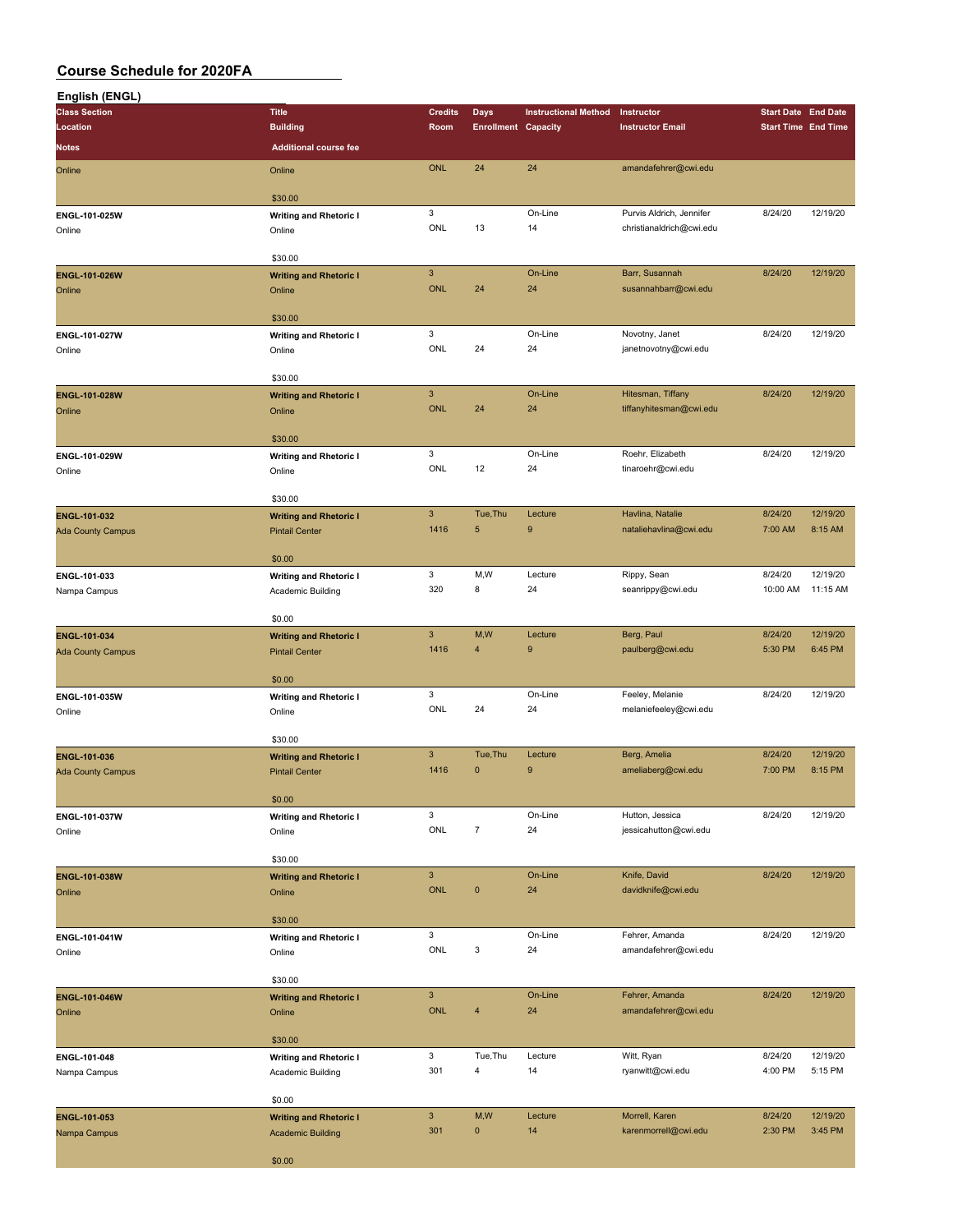| English (ENGL)                           |                                                        |                           |                            |                             |                                    |                            |                     |
|------------------------------------------|--------------------------------------------------------|---------------------------|----------------------------|-----------------------------|------------------------------------|----------------------------|---------------------|
| <b>Class Section</b>                     | <b>Title</b>                                           | <b>Credits</b>            | <b>Days</b>                | <b>Instructional Method</b> | Instructor                         | <b>Start Date End Date</b> |                     |
| Location                                 | <b>Building</b>                                        | Room                      | <b>Enrollment Capacity</b> |                             | <b>Instructor Email</b>            | <b>Start Time End Time</b> |                     |
| <b>Notes</b>                             | <b>Additional course fee</b>                           |                           |                            |                             |                                    |                            |                     |
| Online                                   | Online                                                 | <b>ONL</b>                | 24                         | 24                          | amandafehrer@cwi.edu               |                            |                     |
|                                          |                                                        |                           |                            |                             |                                    |                            |                     |
|                                          | \$30.00                                                |                           |                            |                             |                                    |                            |                     |
| ENGL-101-025W                            | <b>Writing and Rhetoric I</b>                          | 3                         |                            | On-Line                     | Purvis Aldrich, Jennifer           | 8/24/20                    | 12/19/20            |
| Online                                   | Online                                                 | ONL                       | 13                         | 14                          | christianaldrich@cwi.edu           |                            |                     |
|                                          | \$30.00                                                |                           |                            |                             |                                    |                            |                     |
| ENGL-101-026W                            | <b>Writing and Rhetoric I</b>                          | $\ensuremath{\mathsf{3}}$ |                            | On-Line                     | Barr, Susannah                     | 8/24/20                    | 12/19/20            |
| Online                                   | Online                                                 | <b>ONL</b>                | 24                         | 24                          | susannahbarr@cwi.edu               |                            |                     |
|                                          |                                                        |                           |                            |                             |                                    |                            |                     |
|                                          | \$30.00                                                |                           |                            |                             |                                    |                            |                     |
| ENGL-101-027W                            | <b>Writing and Rhetoric I</b>                          | 3<br>ONL                  | 24                         | On-Line<br>24               | Novotny, Janet                     | 8/24/20                    | 12/19/20            |
| Online                                   | Online                                                 |                           |                            |                             | janetnovotny@cwi.edu               |                            |                     |
|                                          | \$30.00                                                |                           |                            |                             |                                    |                            |                     |
| ENGL-101-028W                            | <b>Writing and Rhetoric I</b>                          | $\mathbf{3}$              |                            | On-Line                     | Hitesman, Tiffany                  | 8/24/20                    | 12/19/20            |
| Online                                   | Online                                                 | <b>ONL</b>                | 24                         | 24                          | tiffanyhitesman@cwi.edu            |                            |                     |
|                                          |                                                        |                           |                            |                             |                                    |                            |                     |
|                                          | \$30.00                                                | 3                         |                            | On-Line                     | Roehr, Elizabeth                   | 8/24/20                    | 12/19/20            |
| ENGL-101-029W<br>Online                  | <b>Writing and Rhetoric I</b><br>Online                | ONL                       | 12                         | 24                          | tinaroehr@cwi.edu                  |                            |                     |
|                                          |                                                        |                           |                            |                             |                                    |                            |                     |
|                                          | \$30.00                                                |                           |                            |                             |                                    |                            |                     |
| ENGL-101-032                             | <b>Writing and Rhetoric I</b>                          | $\mathbf{3}$              | Tue, Thu                   | Lecture                     | Havlina, Natalie                   | 8/24/20                    | 12/19/20            |
| <b>Ada County Campus</b>                 | <b>Pintail Center</b>                                  | 1416                      | $\sqrt{5}$                 | 9                           | nataliehavlina@cwi.edu             | 7:00 AM                    | 8:15 AM             |
|                                          | \$0.00                                                 |                           |                            |                             |                                    |                            |                     |
| ENGL-101-033                             | <b>Writing and Rhetoric I</b>                          | 3                         | M,W                        | Lecture                     | Rippy, Sean                        | 8/24/20                    | 12/19/20            |
| Nampa Campus                             | Academic Building                                      | 320                       | 8                          | 24                          | seanrippy@cwi.edu                  | 10:00 AM                   | 11:15 AM            |
|                                          |                                                        |                           |                            |                             |                                    |                            |                     |
|                                          | \$0.00                                                 |                           |                            |                             |                                    |                            |                     |
| ENGL-101-034                             | <b>Writing and Rhetoric I</b>                          | $\mathbf{3}$              | M,W                        | Lecture                     | Berg, Paul                         | 8/24/20                    | 12/19/20            |
| <b>Ada County Campus</b>                 | <b>Pintail Center</b>                                  | 1416                      | $\overline{4}$             | $\boldsymbol{9}$            | paulberg@cwi.edu                   | 5:30 PM                    | 6:45 PM             |
|                                          | \$0.00                                                 |                           |                            |                             |                                    |                            |                     |
| ENGL-101-035W                            | <b>Writing and Rhetoric I</b>                          | 3                         |                            | On-Line                     | Feeley, Melanie                    | 8/24/20                    | 12/19/20            |
| Online                                   | Online                                                 | ONL                       | 24                         | 24                          | melaniefeeley@cwi.edu              |                            |                     |
|                                          |                                                        |                           |                            |                             |                                    |                            |                     |
|                                          | \$30.00                                                | $\mathbf{3}$              | Tue, Thu                   |                             |                                    |                            | 12/19/20            |
| ENGL-101-036<br><b>Ada County Campus</b> | <b>Writing and Rhetoric I</b><br><b>Pintail Center</b> | 1416                      | $\mathbf{0}$               | Lecture<br>9                | Berg, Amelia<br>ameliaberg@cwi.edu | 8/24/20<br>7:00 PM         | 8:15 PM             |
|                                          |                                                        |                           |                            |                             |                                    |                            |                     |
|                                          | \$0.00                                                 |                           |                            |                             |                                    |                            |                     |
| ENGL-101-037W                            | <b>Writing and Rhetoric I</b>                          | 3                         |                            | On-Line                     | Hutton, Jessica                    | 8/24/20                    | 12/19/20            |
| Online                                   | Online                                                 | ONL                       | $\overline{7}$             | 24                          | jessicahutton@cwi.edu              |                            |                     |
|                                          | \$30.00                                                |                           |                            |                             |                                    |                            |                     |
| ENGL-101-038W                            | <b>Writing and Rhetoric I</b>                          | $\mathbf{3}$              |                            | On-Line                     | Knife, David                       | 8/24/20                    | 12/19/20            |
| Online                                   | Online                                                 | <b>ONL</b>                | $\pmb{0}$                  | 24                          | davidknife@cwi.edu                 |                            |                     |
|                                          |                                                        |                           |                            |                             |                                    |                            |                     |
|                                          | \$30.00                                                |                           |                            |                             |                                    |                            |                     |
| ENGL-101-041W                            | <b>Writing and Rhetoric I</b>                          | 3                         |                            | On-Line                     | Fehrer, Amanda                     | 8/24/20                    | 12/19/20            |
| Online                                   | Online                                                 | ONL                       | 3                          | 24                          | amandafehrer@cwi.edu               |                            |                     |
|                                          | \$30.00                                                |                           |                            |                             |                                    |                            |                     |
| ENGL-101-046W                            | <b>Writing and Rhetoric I</b>                          | $\mathbf{3}$              |                            | On-Line                     | Fehrer, Amanda                     | 8/24/20                    | 12/19/20            |
| Online                                   | Online                                                 | <b>ONL</b>                | $\overline{4}$             | 24                          | amandafehrer@cwi.edu               |                            |                     |
|                                          |                                                        |                           |                            |                             |                                    |                            |                     |
|                                          | \$30.00                                                |                           |                            |                             |                                    |                            |                     |
| ENGL-101-048                             | <b>Writing and Rhetoric I</b>                          | 3<br>301                  | Tue, Thu<br>$\overline{4}$ | Lecture<br>14               | Witt, Ryan<br>ryanwitt@cwi.edu     | 8/24/20<br>4:00 PM         | 12/19/20<br>5:15 PM |
| Nampa Campus                             | Academic Building                                      |                           |                            |                             |                                    |                            |                     |
|                                          | \$0.00                                                 |                           |                            |                             |                                    |                            |                     |
| ENGL-101-053                             | <b>Writing and Rhetoric I</b>                          | $\mathsf 3$               | M,W                        | Lecture                     | Morrell, Karen                     | 8/24/20                    | 12/19/20            |
| Nampa Campus                             | <b>Academic Building</b>                               | 301                       | $\mathbf 0$                | 14                          | karenmorrell@cwi.edu               | 2:30 PM                    | 3:45 PM             |
|                                          |                                                        |                           |                            |                             |                                    |                            |                     |
|                                          | \$0.00                                                 |                           |                            |                             |                                    |                            |                     |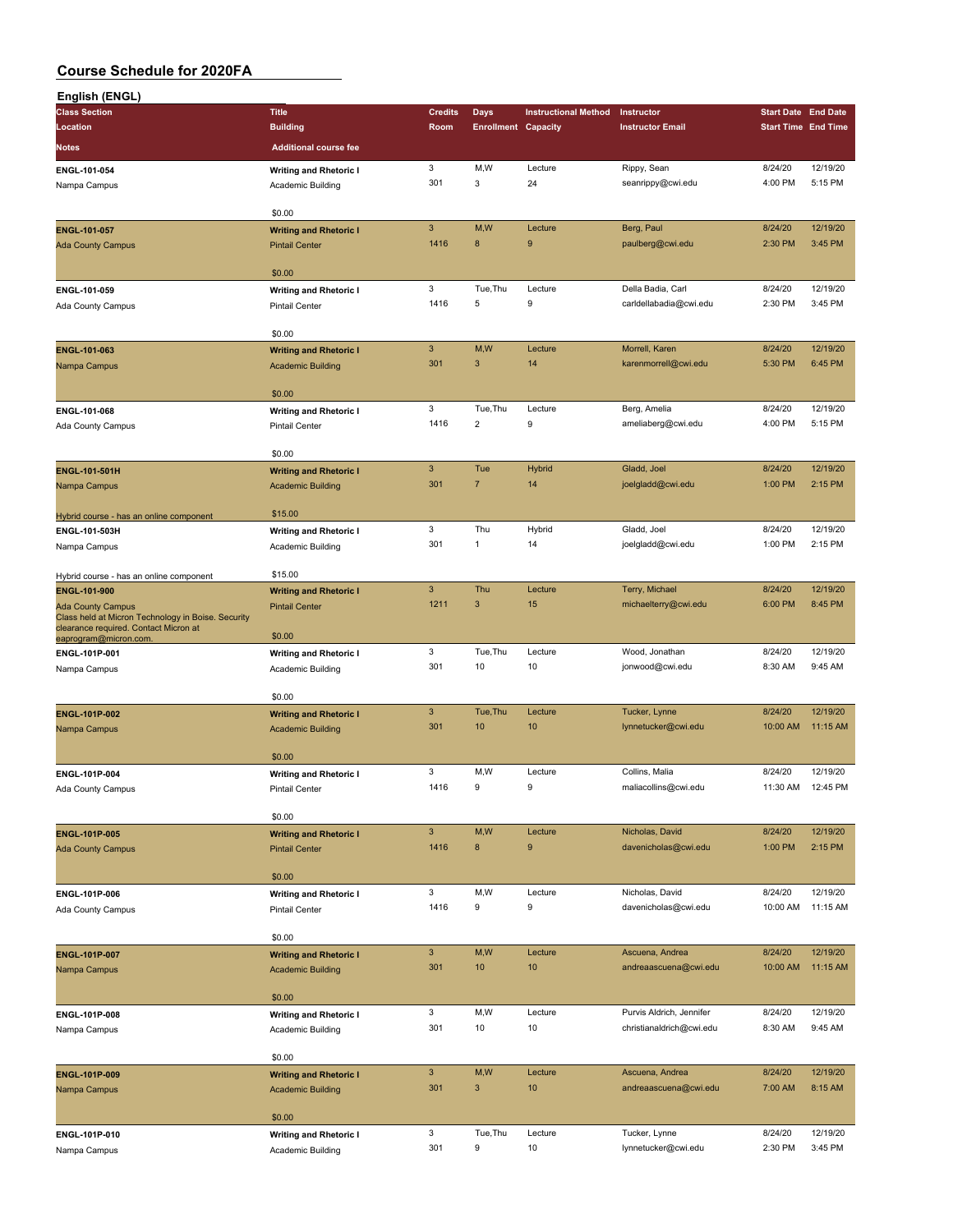| English (ENGL)                                                                              |                                                    |                           |                            |                             |                                                      |                            |          |
|---------------------------------------------------------------------------------------------|----------------------------------------------------|---------------------------|----------------------------|-----------------------------|------------------------------------------------------|----------------------------|----------|
| <b>Class Section</b>                                                                        | <b>Title</b>                                       | <b>Credits</b>            | Days                       | <b>Instructional Method</b> | Instructor                                           | <b>Start Date End Date</b> |          |
| Location                                                                                    | <b>Building</b>                                    | Room                      | <b>Enrollment Capacity</b> |                             | <b>Instructor Email</b>                              | <b>Start Time End Time</b> |          |
| Notes                                                                                       | <b>Additional course fee</b>                       |                           |                            |                             |                                                      |                            |          |
|                                                                                             |                                                    | 3                         | M,W                        | Lecture                     | Rippy, Sean                                          | 8/24/20                    | 12/19/20 |
| ENGL-101-054                                                                                | <b>Writing and Rhetoric I</b><br>Academic Building | 301                       | 3                          | 24                          | seanrippy@cwi.edu                                    | 4:00 PM                    | 5:15 PM  |
| Nampa Campus                                                                                |                                                    |                           |                            |                             |                                                      |                            |          |
|                                                                                             | \$0.00                                             |                           |                            |                             |                                                      |                            |          |
| <b>ENGL-101-057</b>                                                                         | <b>Writing and Rhetoric I</b>                      | $\ensuremath{\mathsf{3}}$ | M,W                        | Lecture                     | Berg, Paul                                           | 8/24/20                    | 12/19/20 |
| <b>Ada County Campus</b>                                                                    | <b>Pintail Center</b>                              | 1416                      | 8                          | 9                           | paulberg@cwi.edu                                     | 2:30 PM                    | 3:45 PM  |
|                                                                                             |                                                    |                           |                            |                             |                                                      |                            |          |
|                                                                                             | \$0.00                                             |                           |                            |                             |                                                      |                            |          |
| ENGL-101-059                                                                                | <b>Writing and Rhetoric I</b>                      | 3                         | Tue, Thu                   | Lecture                     | Della Badia, Carl                                    | 8/24/20                    | 12/19/20 |
| Ada County Campus                                                                           | <b>Pintail Center</b>                              | 1416                      | 5                          | 9                           | carldellabadia@cwi.edu                               | 2:30 PM                    | 3:45 PM  |
|                                                                                             |                                                    |                           |                            |                             |                                                      |                            |          |
|                                                                                             | \$0.00                                             |                           |                            |                             |                                                      |                            |          |
| ENGL-101-063                                                                                | <b>Writing and Rhetoric I</b>                      | $\mathbf{3}$              | M,W                        | Lecture                     | Morrell, Karen                                       | 8/24/20                    | 12/19/20 |
| Nampa Campus                                                                                | <b>Academic Building</b>                           | 301                       | 3                          | 14                          | karenmorrell@cwi.edu                                 | 5:30 PM                    | 6:45 PM  |
|                                                                                             |                                                    |                           |                            |                             |                                                      |                            |          |
|                                                                                             | \$0.00                                             | 3                         | Tue, Thu                   |                             |                                                      |                            | 12/19/20 |
| ENGL-101-068                                                                                | <b>Writing and Rhetoric I</b>                      | 1416                      | $\overline{2}$             | Lecture<br>9                | Berg, Amelia                                         | 8/24/20<br>4:00 PM         | 5:15 PM  |
| Ada County Campus                                                                           | <b>Pintail Center</b>                              |                           |                            |                             | ameliaberg@cwi.edu                                   |                            |          |
|                                                                                             | \$0.00                                             |                           |                            |                             |                                                      |                            |          |
| ENGL-101-501H                                                                               | <b>Writing and Rhetoric I</b>                      | $\ensuremath{\mathsf{3}}$ | Tue                        | Hybrid                      | Gladd, Joel                                          | 8/24/20                    | 12/19/20 |
| Nampa Campus                                                                                | <b>Academic Building</b>                           | 301                       | $\overline{7}$             | 14                          | joelgladd@cwi.edu                                    | 1:00 PM                    | 2:15 PM  |
|                                                                                             |                                                    |                           |                            |                             |                                                      |                            |          |
| Hybrid course - has an online component                                                     | \$15.00                                            |                           |                            |                             |                                                      |                            |          |
| ENGL-101-503H                                                                               | <b>Writing and Rhetoric I</b>                      | 3                         | Thu                        | Hybrid                      | Gladd, Joel                                          | 8/24/20                    | 12/19/20 |
| Nampa Campus                                                                                | Academic Building                                  | 301                       | 1                          | 14                          | joelgladd@cwi.edu                                    | 1:00 PM                    | 2:15 PM  |
|                                                                                             |                                                    |                           |                            |                             |                                                      |                            |          |
| Hybrid course - has an online component                                                     | \$15.00                                            |                           |                            |                             |                                                      |                            |          |
| ENGL-101-900                                                                                | <b>Writing and Rhetoric I</b>                      | $\mathbf{3}$              | Thu                        | Lecture                     | Terry, Michael                                       | 8/24/20                    | 12/19/20 |
| <b>Ada County Campus</b>                                                                    | <b>Pintail Center</b>                              | 1211                      | 3                          | 15                          | michaelterry@cwi.edu                                 | 6:00 PM                    | 8:45 PM  |
| Class held at Micron Technology in Boise. Security<br>clearance required. Contact Micron at |                                                    |                           |                            |                             |                                                      |                            |          |
| eaprogram@micron.com                                                                        | \$0.00                                             |                           |                            |                             |                                                      |                            |          |
| ENGL-101P-001                                                                               | <b>Writing and Rhetoric I</b>                      | 3                         | Tue, Thu                   | Lecture                     | Wood, Jonathan                                       | 8/24/20                    | 12/19/20 |
| Nampa Campus                                                                                | Academic Building                                  | 301                       | 10                         | 10                          | jonwood@cwi.edu                                      | 8:30 AM                    | 9:45 AM  |
|                                                                                             |                                                    |                           |                            |                             |                                                      |                            |          |
|                                                                                             | \$0.00                                             |                           |                            |                             |                                                      |                            |          |
| ENGL-101P-002                                                                               | <b>Writing and Rhetoric I</b>                      | $\mathbf{3}$<br>301       | Tue, Thu                   | Lecture                     | Tucker, Lynne                                        | 8/24/20                    | 12/19/20 |
| Nampa Campus                                                                                | <b>Academic Building</b>                           |                           | 10                         | 10                          | lynnetucker@cwi.edu                                  | 10:00 AM                   | 11:15 AM |
|                                                                                             | \$0.00                                             |                           |                            |                             |                                                      |                            |          |
| ENGL-101P-004                                                                               |                                                    | 3                         | M,W                        | Lecture                     | Collins, Malia                                       | 8/24/20                    | 12/19/20 |
| Ada County Campus                                                                           | <b>Writing and Rhetoric I</b><br>Pintail Center    | 1416                      | 9                          | 9                           | maliacollins@cwi.edu                                 | 11:30 AM                   | 12:45 PM |
|                                                                                             |                                                    |                           |                            |                             |                                                      |                            |          |
|                                                                                             | \$0.00                                             |                           |                            |                             |                                                      |                            |          |
| <b>ENGL-101P-005</b>                                                                        | <b>Writing and Rhetoric I</b>                      | $\mathbf{3}$              | M,W                        | Lecture                     | Nicholas, David                                      | 8/24/20                    | 12/19/20 |
| <b>Ada County Campus</b>                                                                    | <b>Pintail Center</b>                              | 1416                      | $\bf8$                     | 9                           | davenicholas@cwi.edu                                 | 1:00 PM                    | 2:15 PM  |
|                                                                                             |                                                    |                           |                            |                             |                                                      |                            |          |
|                                                                                             | \$0.00                                             |                           |                            |                             |                                                      |                            |          |
| ENGL-101P-006                                                                               | <b>Writing and Rhetoric I</b>                      | 3                         | M,W                        | Lecture                     | Nicholas, David                                      | 8/24/20                    | 12/19/20 |
| Ada County Campus                                                                           | Pintail Center                                     | 1416                      | 9                          | 9                           | davenicholas@cwi.edu                                 | 10:00 AM                   | 11:15 AM |
|                                                                                             |                                                    |                           |                            |                             |                                                      |                            |          |
|                                                                                             | \$0.00                                             |                           |                            |                             |                                                      |                            |          |
| <b>ENGL-101P-007</b>                                                                        | <b>Writing and Rhetoric I</b>                      | $\mathbf{3}$              | M,W                        | Lecture                     | Ascuena, Andrea                                      | 8/24/20                    | 12/19/20 |
| Nampa Campus                                                                                | <b>Academic Building</b>                           | 301                       | 10                         | 10                          | andreaascuena@cwi.edu                                | 10:00 AM                   | 11:15 AM |
|                                                                                             |                                                    |                           |                            |                             |                                                      |                            |          |
|                                                                                             | \$0.00                                             | 3                         | M,W                        | Lecture                     |                                                      | 8/24/20                    | 12/19/20 |
| ENGL-101P-008                                                                               | <b>Writing and Rhetoric I</b>                      | 301                       | 10                         | 10                          | Purvis Aldrich, Jennifer<br>christianaldrich@cwi.edu | 8:30 AM                    | 9:45 AM  |
| Nampa Campus                                                                                | Academic Building                                  |                           |                            |                             |                                                      |                            |          |
|                                                                                             | \$0.00                                             |                           |                            |                             |                                                      |                            |          |
| ENGL-101P-009                                                                               | <b>Writing and Rhetoric I</b>                      | $\mathbf{3}$              | M,W                        | Lecture                     | Ascuena, Andrea                                      | 8/24/20                    | 12/19/20 |
| Nampa Campus                                                                                | <b>Academic Building</b>                           | 301                       | $\ensuremath{\mathsf{3}}$  | 10                          | andreaascuena@cwi.edu                                | 7:00 AM                    | 8:15 AM  |
|                                                                                             |                                                    |                           |                            |                             |                                                      |                            |          |
|                                                                                             | \$0.00                                             |                           |                            |                             |                                                      |                            |          |
| ENGL-101P-010                                                                               | <b>Writing and Rhetoric I</b>                      | 3                         | Tue, Thu                   | Lecture                     | Tucker, Lynne                                        | 8/24/20                    | 12/19/20 |
| Nampa Campus                                                                                | Academic Building                                  | 301                       | 9                          | $10$                        | lynnetucker@cwi.edu                                  | 2:30 PM                    | 3:45 PM  |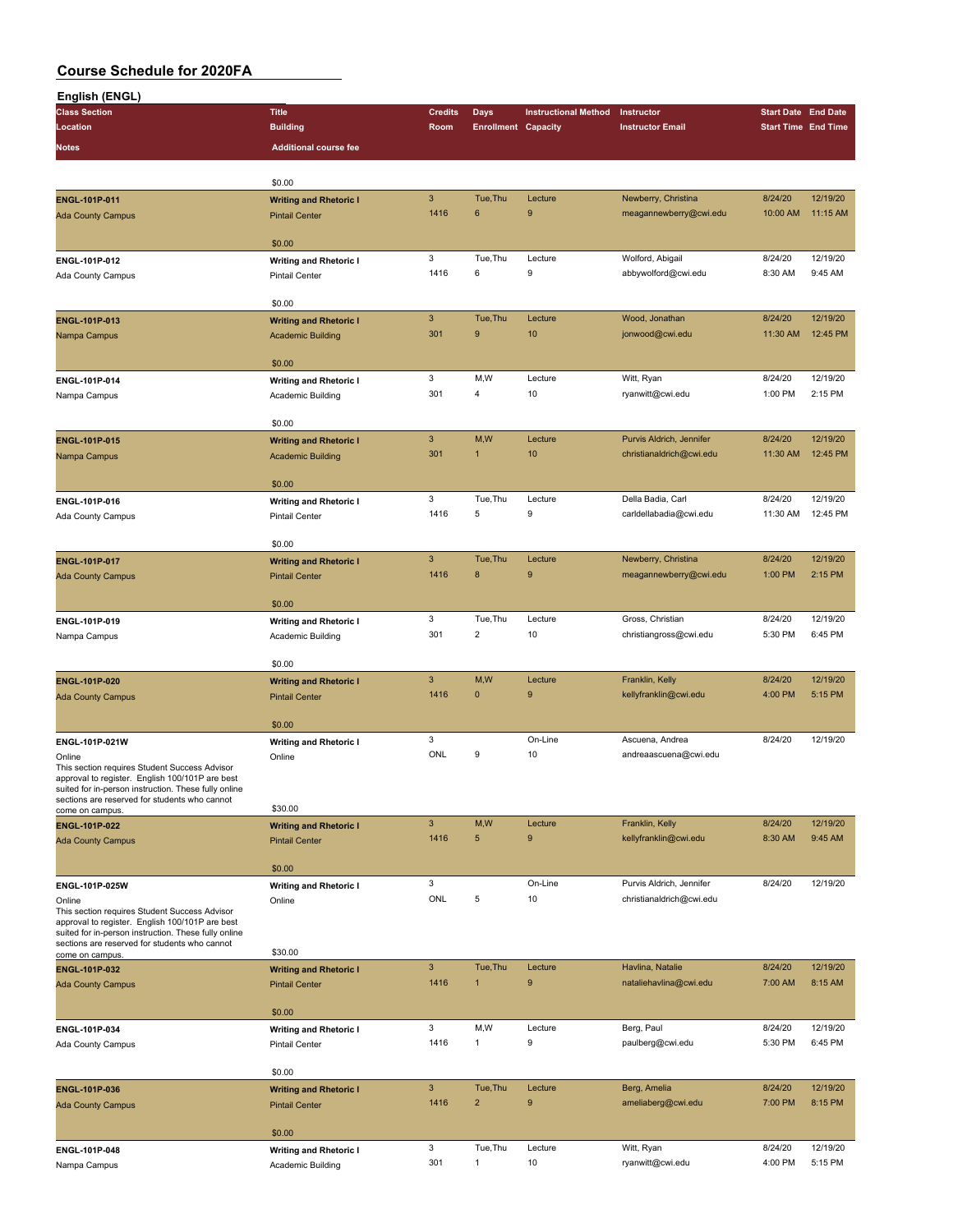| English (ENGL)                                                                                          |                               |                           |                            |                             |                          |                            |                     |
|---------------------------------------------------------------------------------------------------------|-------------------------------|---------------------------|----------------------------|-----------------------------|--------------------------|----------------------------|---------------------|
| <b>Class Section</b>                                                                                    | <b>Title</b>                  | <b>Credits</b>            | <b>Days</b>                | <b>Instructional Method</b> | Instructor               | <b>Start Date End Date</b> |                     |
| Location                                                                                                | <b>Building</b>               | Room                      | <b>Enrollment Capacity</b> |                             | <b>Instructor Email</b>  | <b>Start Time End Time</b> |                     |
| <b>Notes</b>                                                                                            | <b>Additional course fee</b>  |                           |                            |                             |                          |                            |                     |
|                                                                                                         |                               |                           |                            |                             |                          |                            |                     |
|                                                                                                         | \$0.00                        |                           |                            |                             |                          |                            |                     |
| ENGL-101P-011                                                                                           | <b>Writing and Rhetoric I</b> | $\mathsf 3$               | Tue, Thu                   | Lecture                     | Newberry, Christina      | 8/24/20                    | 12/19/20            |
| <b>Ada County Campus</b>                                                                                | <b>Pintail Center</b>         | 1416                      | 6                          | 9                           | meagannewberry@cwi.edu   | 10:00 AM                   | 11:15 AM            |
|                                                                                                         |                               |                           |                            |                             |                          |                            |                     |
|                                                                                                         | \$0.00                        | 3                         | Tue, Thu                   | Lecture                     | Wolford, Abigail         | 8/24/20                    | 12/19/20            |
| ENGL-101P-012                                                                                           | <b>Writing and Rhetoric I</b> | 1416                      | 6                          | 9                           | abbywolford@cwi.edu      | 8:30 AM                    | 9:45 AM             |
| Ada County Campus                                                                                       | <b>Pintail Center</b>         |                           |                            |                             |                          |                            |                     |
|                                                                                                         | \$0.00                        |                           |                            |                             |                          |                            |                     |
| ENGL-101P-013                                                                                           | <b>Writing and Rhetoric I</b> | $\ensuremath{\mathsf{3}}$ | Tue, Thu                   | Lecture                     | Wood, Jonathan           | 8/24/20                    | 12/19/20            |
| Nampa Campus                                                                                            | <b>Academic Building</b>      | 301                       | $\boldsymbol{9}$           | 10                          | jonwood@cwi.edu          | 11:30 AM                   | 12:45 PM            |
|                                                                                                         |                               |                           |                            |                             |                          |                            |                     |
|                                                                                                         | \$0.00                        |                           |                            |                             |                          |                            |                     |
| ENGL-101P-014                                                                                           | <b>Writing and Rhetoric I</b> | 3<br>301                  | M,W<br>4                   | Lecture<br>10               | Witt, Ryan               | 8/24/20<br>1:00 PM         | 12/19/20<br>2:15 PM |
| Nampa Campus                                                                                            | Academic Building             |                           |                            |                             | ryanwitt@cwi.edu         |                            |                     |
|                                                                                                         | \$0.00                        |                           |                            |                             |                          |                            |                     |
| ENGL-101P-015                                                                                           | <b>Writing and Rhetoric I</b> | $\mathbf{3}$              | M,W                        | Lecture                     | Purvis Aldrich, Jennifer | 8/24/20                    | 12/19/20            |
| Nampa Campus                                                                                            | <b>Academic Building</b>      | 301                       | $\mathbf{1}$               | 10                          | christianaldrich@cwi.edu | 11:30 AM                   | 12:45 PM            |
|                                                                                                         |                               |                           |                            |                             |                          |                            |                     |
|                                                                                                         | \$0.00                        |                           |                            |                             |                          |                            |                     |
| ENGL-101P-016                                                                                           | <b>Writing and Rhetoric I</b> | 3                         | Tue, Thu                   | Lecture                     | Della Badia, Carl        | 8/24/20                    | 12/19/20            |
| Ada County Campus                                                                                       | <b>Pintail Center</b>         | 1416                      | 5                          | 9                           | carldellabadia@cwi.edu   | 11:30 AM                   | 12:45 PM            |
|                                                                                                         | \$0.00                        |                           |                            |                             |                          |                            |                     |
| ENGL-101P-017                                                                                           | <b>Writing and Rhetoric I</b> | $\mathbf{3}$              | Tue, Thu                   | Lecture                     | Newberry, Christina      | 8/24/20                    | 12/19/20            |
| <b>Ada County Campus</b>                                                                                | <b>Pintail Center</b>         | 1416                      | 8                          | 9                           | meagannewberry@cwi.edu   | 1:00 PM                    | 2:15 PM             |
|                                                                                                         |                               |                           |                            |                             |                          |                            |                     |
|                                                                                                         | \$0.00                        |                           |                            |                             |                          |                            |                     |
| ENGL-101P-019                                                                                           | <b>Writing and Rhetoric I</b> | 3                         | Tue, Thu                   | Lecture                     | Gross, Christian         | 8/24/20                    | 12/19/20            |
| Nampa Campus                                                                                            | Academic Building             | 301                       | $\overline{2}$             | 10                          | christiangross@cwi.edu   | 5:30 PM                    | 6:45 PM             |
|                                                                                                         | \$0.00                        |                           |                            |                             |                          |                            |                     |
| ENGL-101P-020                                                                                           | <b>Writing and Rhetoric I</b> | $\mathbf{3}$              | M,W                        | Lecture                     | Franklin, Kelly          | 8/24/20                    | 12/19/20            |
| <b>Ada County Campus</b>                                                                                | <b>Pintail Center</b>         | 1416                      | $\mathbf{0}$               | 9                           | kellyfranklin@cwi.edu    | 4:00 PM                    | 5:15 PM             |
|                                                                                                         |                               |                           |                            |                             |                          |                            |                     |
|                                                                                                         | \$0.00                        |                           |                            |                             |                          |                            |                     |
| ENGL-101P-021W                                                                                          | <b>Writing and Rhetoric I</b> | 3                         |                            | On-Line                     | Ascuena, Andrea          | 8/24/20                    | 12/19/20            |
| Online<br>This section requires Student Success Advisor                                                 | Online                        | ONL                       | 9                          | 10                          | andreaascuena@cwi.edu    |                            |                     |
| approval to register. English 100/101P are best                                                         |                               |                           |                            |                             |                          |                            |                     |
| suited for in-person instruction. These fully online<br>sections are reserved for students who cannot   |                               |                           |                            |                             |                          |                            |                     |
| come on campus.                                                                                         | \$30.00                       |                           |                            |                             |                          |                            |                     |
| ENGL-101P-022                                                                                           | <b>Writing and Rhetoric I</b> | $\mathbf{3}$              | M,W                        | Lecture                     | Franklin, Kelly          | 8/24/20                    | 12/19/20            |
| <b>Ada County Campus</b>                                                                                | <b>Pintail Center</b>         | 1416                      | 5                          | 9                           | kellyfranklin@cwi.edu    | 8:30 AM                    | 9:45 AM             |
|                                                                                                         | \$0.00                        |                           |                            |                             |                          |                            |                     |
| ENGL-101P-025W                                                                                          | <b>Writing and Rhetoric I</b> | 3                         |                            | On-Line                     | Purvis Aldrich, Jennifer | 8/24/20                    | 12/19/20            |
| Online                                                                                                  | Online                        | ONL                       | 5                          | 10                          | christianaldrich@cwi.edu |                            |                     |
| This section requires Student Success Advisor                                                           |                               |                           |                            |                             |                          |                            |                     |
| approval to register. English 100/101P are best<br>suited for in-person instruction. These fully online |                               |                           |                            |                             |                          |                            |                     |
| sections are reserved for students who cannot                                                           | \$30.00                       |                           |                            |                             |                          |                            |                     |
| come on campus.<br>ENGL-101P-032                                                                        | <b>Writing and Rhetoric I</b> | $\ensuremath{\mathsf{3}}$ | Tue, Thu                   | Lecture                     | Havlina, Natalie         | 8/24/20                    | 12/19/20            |
| <b>Ada County Campus</b>                                                                                | <b>Pintail Center</b>         | 1416                      | $\mathbf{1}$               | 9                           | nataliehavlina@cwi.edu   | 7:00 AM                    | 8:15 AM             |
|                                                                                                         |                               |                           |                            |                             |                          |                            |                     |
|                                                                                                         | \$0.00                        |                           |                            |                             |                          |                            |                     |
| ENGL-101P-034                                                                                           | <b>Writing and Rhetoric I</b> | 3                         | M,W                        | Lecture                     | Berg, Paul               | 8/24/20                    | 12/19/20            |
| Ada County Campus                                                                                       | Pintail Center                | 1416                      | $\mathbf{1}$               | 9                           | paulberg@cwi.edu         | 5:30 PM                    | 6:45 PM             |
|                                                                                                         | \$0.00                        |                           |                            |                             |                          |                            |                     |
| ENGL-101P-036                                                                                           | <b>Writing and Rhetoric I</b> | $\mathbf{3}$              | Tue, Thu                   | Lecture                     | Berg, Amelia             | 8/24/20                    | 12/19/20            |
| <b>Ada County Campus</b>                                                                                | <b>Pintail Center</b>         | 1416                      | $\overline{2}$             | 9                           | ameliaberg@cwi.edu       | 7:00 PM                    | 8:15 PM             |
|                                                                                                         |                               |                           |                            |                             |                          |                            |                     |
|                                                                                                         | \$0.00                        |                           |                            |                             |                          |                            |                     |
| ENGL-101P-048                                                                                           | <b>Writing and Rhetoric I</b> | 3                         | Tue, Thu                   | Lecture                     | Witt, Ryan               | 8/24/20                    | 12/19/20            |
| Nampa Campus                                                                                            | Academic Building             | 301                       | $\mathbf{1}$               | 10                          | ryanwitt@cwi.edu         | 4:00 PM                    | 5:15 PM             |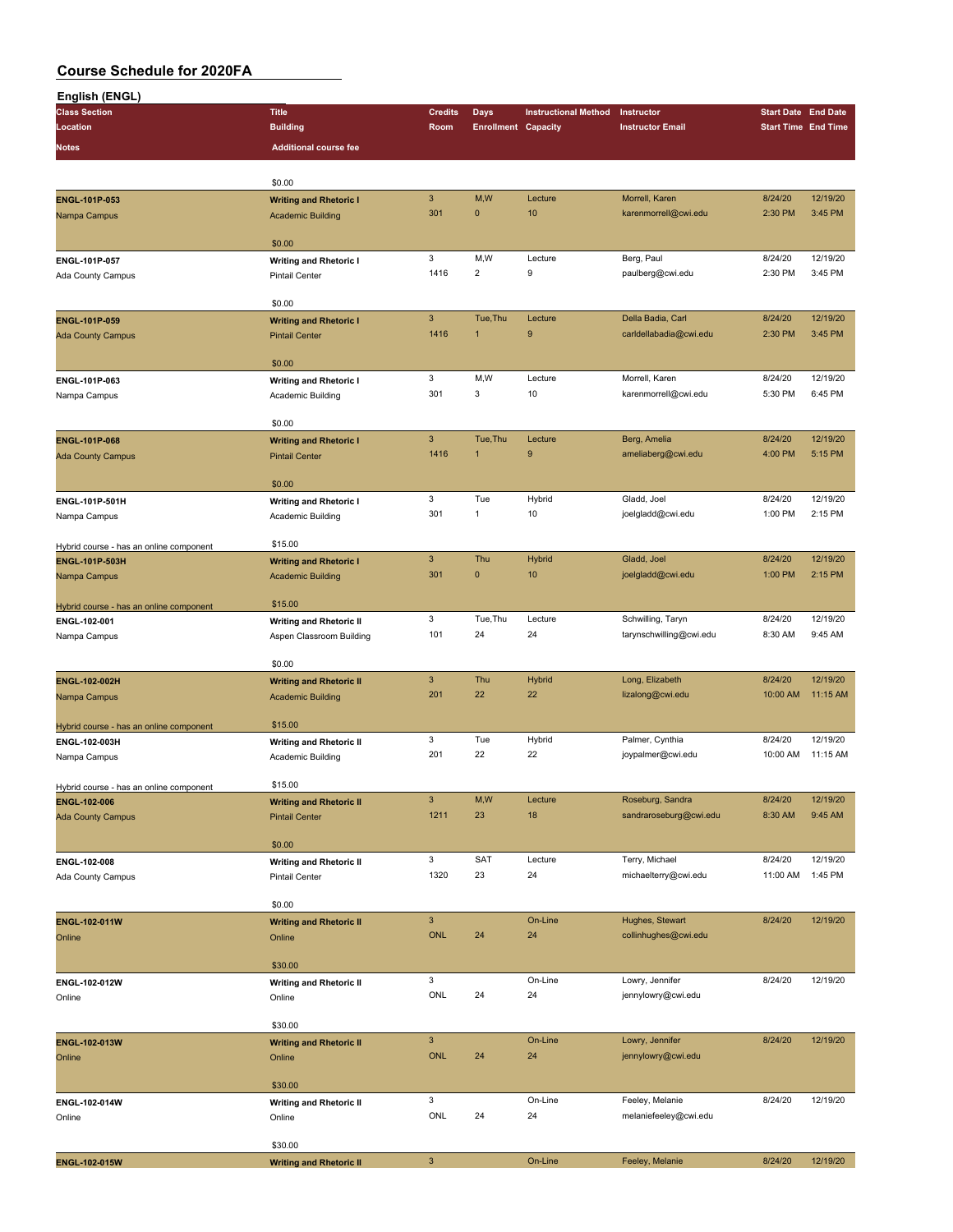| English (ENGL)                          |                                |                |                            |                             |                         |                            |                     |
|-----------------------------------------|--------------------------------|----------------|----------------------------|-----------------------------|-------------------------|----------------------------|---------------------|
| <b>Class Section</b>                    | <b>Title</b>                   | <b>Credits</b> | Days                       | <b>Instructional Method</b> | Instructor              | <b>Start Date End Date</b> |                     |
| Location                                | <b>Building</b>                | Room           | <b>Enrollment Capacity</b> |                             | <b>Instructor Email</b> | <b>Start Time End Time</b> |                     |
| Notes                                   | <b>Additional course fee</b>   |                |                            |                             |                         |                            |                     |
|                                         |                                |                |                            |                             |                         |                            |                     |
|                                         | \$0.00                         |                |                            |                             |                         |                            |                     |
| ENGL-101P-053                           | <b>Writing and Rhetoric I</b>  | $\mathbf{3}$   | M,W                        | Lecture                     | Morrell, Karen          | 8/24/20                    | 12/19/20            |
| Nampa Campus                            | <b>Academic Building</b>       | 301            | $\mathbf 0$                | 10                          | karenmorrell@cwi.edu    | 2:30 PM                    | 3:45 PM             |
|                                         |                                |                |                            |                             |                         |                            |                     |
|                                         | \$0.00                         |                |                            |                             |                         |                            |                     |
| ENGL-101P-057                           | <b>Writing and Rhetoric I</b>  | 3              | M,W                        | Lecture                     | Berg, Paul              | 8/24/20                    | 12/19/20            |
| Ada County Campus                       | <b>Pintail Center</b>          | 1416           | $\overline{2}$             | 9                           | paulberg@cwi.edu        | 2:30 PM                    | 3:45 PM             |
|                                         |                                |                |                            |                             |                         |                            |                     |
|                                         | \$0.00                         |                |                            |                             |                         |                            |                     |
| ENGL-101P-059                           | <b>Writing and Rhetoric I</b>  | $\mathbf{3}$   | Tue, Thu                   | Lecture                     | Della Badia, Carl       | 8/24/20                    | 12/19/20            |
| <b>Ada County Campus</b>                | <b>Pintail Center</b>          | 1416           | 1                          | 9                           | carldellabadia@cwi.edu  | 2:30 PM                    | 3:45 PM             |
|                                         | \$0.00                         |                |                            |                             |                         |                            |                     |
| ENGL-101P-063                           | <b>Writing and Rhetoric I</b>  | 3              | M,W                        | Lecture                     | Morrell, Karen          | 8/24/20                    | 12/19/20            |
| Nampa Campus                            | Academic Building              | 301            | 3                          | 10                          | karenmorrell@cwi.edu    | 5:30 PM                    | 6:45 PM             |
|                                         |                                |                |                            |                             |                         |                            |                     |
|                                         | \$0.00                         |                |                            |                             |                         |                            |                     |
| <b>ENGL-101P-068</b>                    | <b>Writing and Rhetoric I</b>  | $\mathbf{3}$   | Tue, Thu                   | Lecture                     | Berg, Amelia            | 8/24/20                    | 12/19/20            |
| <b>Ada County Campus</b>                | <b>Pintail Center</b>          | 1416           | 1                          | 9                           | ameliaberg@cwi.edu      | 4:00 PM                    | 5:15 PM             |
|                                         |                                |                |                            |                             |                         |                            |                     |
|                                         | \$0.00                         |                |                            |                             |                         |                            |                     |
| ENGL-101P-501H                          | <b>Writing and Rhetoric I</b>  | 3              | Tue                        | Hybrid                      | Gladd, Joel             | 8/24/20                    | 12/19/20            |
| Nampa Campus                            | Academic Building              | 301            | $\mathbf{1}$               | 10                          | joelgladd@cwi.edu       | 1:00 PM                    | 2:15 PM             |
|                                         |                                |                |                            |                             |                         |                            |                     |
| Hybrid course - has an online component | \$15.00                        |                |                            |                             |                         |                            |                     |
| ENGL-101P-503H                          | <b>Writing and Rhetoric I</b>  | $\mathbf{3}$   | Thu                        | Hybrid                      | Gladd, Joel             | 8/24/20                    | 12/19/20            |
| Nampa Campus                            | <b>Academic Building</b>       | 301            | $\pmb{0}$                  | 10                          | joelgladd@cwi.edu       | 1:00 PM                    | 2:15 PM             |
|                                         |                                |                |                            |                             |                         |                            |                     |
| Hybrid course - has an online component | \$15.00                        |                |                            |                             |                         |                            |                     |
| ENGL-102-001                            | <b>Writing and Rhetoric II</b> | 3              | Tue, Thu                   | Lecture                     | Schwilling, Taryn       | 8/24/20                    | 12/19/20<br>9:45 AM |
| Nampa Campus                            | Aspen Classroom Building       | 101            | 24                         | 24                          | tarynschwilling@cwi.edu | 8:30 AM                    |                     |
|                                         | \$0.00                         |                |                            |                             |                         |                            |                     |
| ENGL-102-002H                           | <b>Writing and Rhetoric II</b> | $\mathbf{3}$   | Thu                        | <b>Hybrid</b>               | Long, Elizabeth         | 8/24/20                    | 12/19/20            |
| Nampa Campus                            | <b>Academic Building</b>       | 201            | 22                         | 22                          | lizalong@cwi.edu        | 10:00 AM                   | 11:15 AM            |
|                                         |                                |                |                            |                             |                         |                            |                     |
| Hybrid course - has an online component | \$15.00                        |                |                            |                             |                         |                            |                     |
| ENGL-102-003H                           | <b>Writing and Rhetoric II</b> | 3              | Tue                        | Hybrid                      | Palmer, Cynthia         | 8/24/20                    | 12/19/20            |
| Nampa Campus                            | Academic Building              | 201            | 22                         | 22                          | joypalmer@cwi.edu       | 10:00 AM                   | 11:15 AM            |
|                                         |                                |                |                            |                             |                         |                            |                     |
| Hybrid course - has an online component | \$15.00                        |                |                            |                             |                         |                            |                     |
| ENGL-102-006                            | <b>Writing and Rhetoric II</b> | $\mathbf{3}$   | M,W                        | Lecture                     | Roseburg, Sandra        | 8/24/20                    | 12/19/20            |
| <b>Ada County Campus</b>                | <b>Pintail Center</b>          | 1211           | 23                         | 18                          | sandraroseburg@cwi.edu  | 8:30 AM                    | 9:45 AM             |
|                                         |                                |                |                            |                             |                         |                            |                     |
|                                         | \$0.00                         |                |                            |                             |                         |                            |                     |
| ENGL-102-008                            | <b>Writing and Rhetoric II</b> | 3              | SAT                        | Lecture                     | Terry, Michael          | 8/24/20                    | 12/19/20            |
| Ada County Campus                       | Pintail Center                 | 1320           | 23                         | 24                          | michaelterry@cwi.edu    | 11:00 AM                   | 1:45 PM             |
|                                         | \$0.00                         |                |                            |                             |                         |                            |                     |
|                                         |                                | $\mathbf{3}$   |                            | On-Line                     | Hughes, Stewart         | 8/24/20                    | 12/19/20            |
| ENGL-102-011W                           | <b>Writing and Rhetoric II</b> | <b>ONL</b>     | 24                         | 24                          | collinhughes@cwi.edu    |                            |                     |
| Online                                  | Online                         |                |                            |                             |                         |                            |                     |
|                                         | \$30.00                        |                |                            |                             |                         |                            |                     |
| ENGL-102-012W                           | <b>Writing and Rhetoric II</b> | 3              |                            | On-Line                     | Lowry, Jennifer         | 8/24/20                    | 12/19/20            |
| Online                                  | Online                         | ONL            | 24                         | 24                          | jennylowry@cwi.edu      |                            |                     |
|                                         |                                |                |                            |                             |                         |                            |                     |
|                                         | \$30.00                        |                |                            |                             |                         |                            |                     |
| ENGL-102-013W                           | <b>Writing and Rhetoric II</b> | $\mathsf 3$    |                            | On-Line                     | Lowry, Jennifer         | 8/24/20                    | 12/19/20            |
| Online                                  | Online                         | <b>ONL</b>     | 24                         | 24                          | jennylowry@cwi.edu      |                            |                     |
|                                         |                                |                |                            |                             |                         |                            |                     |
|                                         | \$30.00                        |                |                            |                             |                         |                            |                     |
| ENGL-102-014W                           | <b>Writing and Rhetoric II</b> | 3              |                            | On-Line                     | Feeley, Melanie         | 8/24/20                    | 12/19/20            |
| Online                                  | Online                         | ONL            | 24                         | 24                          | melaniefeeley@cwi.edu   |                            |                     |
|                                         |                                |                |                            |                             |                         |                            |                     |
|                                         | \$30.00                        |                |                            |                             |                         |                            |                     |
| ENGL-102-015W                           | <b>Writing and Rhetoric II</b> | $\mathbf{3}$   |                            | On-Line                     | Feeley, Melanie         | 8/24/20                    | 12/19/20            |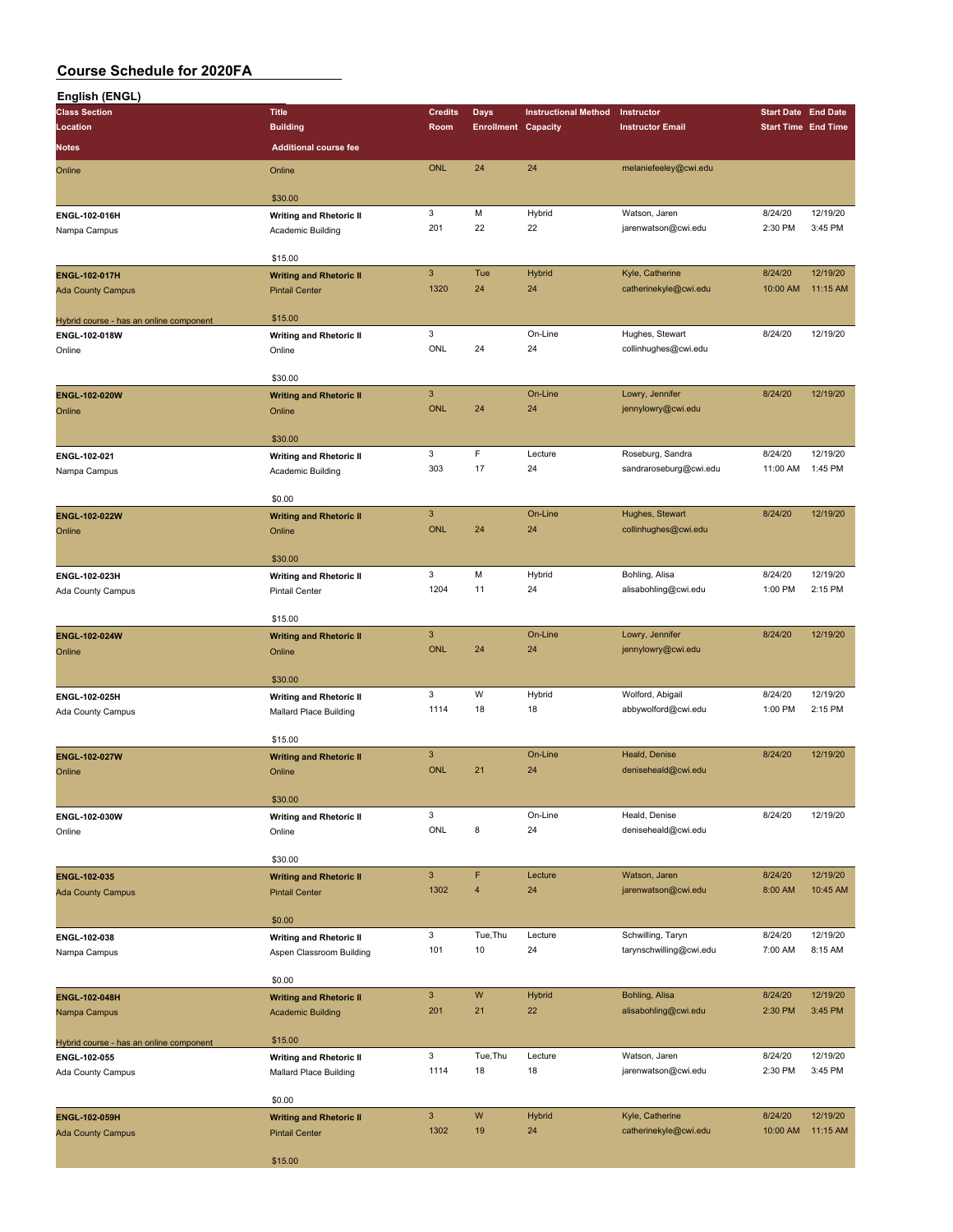| English (ENGL)                          |                                |                |                            |                             |                         |                            |          |
|-----------------------------------------|--------------------------------|----------------|----------------------------|-----------------------------|-------------------------|----------------------------|----------|
| <b>Class Section</b>                    | <b>Title</b>                   | <b>Credits</b> | <b>Days</b>                | <b>Instructional Method</b> | Instructor              | <b>Start Date End Date</b> |          |
| Location                                | <b>Building</b>                | Room           | <b>Enrollment Capacity</b> |                             | <b>Instructor Email</b> | <b>Start Time End Time</b> |          |
| <b>Notes</b>                            | <b>Additional course fee</b>   |                |                            |                             |                         |                            |          |
|                                         |                                |                |                            |                             |                         |                            |          |
| Online                                  | Online                         | <b>ONL</b>     | 24                         | 24                          | melaniefeeley@cwi.edu   |                            |          |
|                                         |                                |                |                            |                             |                         |                            |          |
|                                         | \$30.00                        |                |                            |                             |                         |                            |          |
| ENGL-102-016H                           | <b>Writing and Rhetoric II</b> | 3              | M                          | Hybrid                      | Watson, Jaren           | 8/24/20                    | 12/19/20 |
| Nampa Campus                            | Academic Building              | 201            | 22                         | 22                          | jarenwatson@cwi.edu     | 2:30 PM                    | 3:45 PM  |
|                                         |                                |                |                            |                             |                         |                            |          |
|                                         | \$15.00                        |                |                            |                             |                         |                            |          |
| <b>ENGL-102-017H</b>                    | <b>Writing and Rhetoric II</b> | $\mathbf{3}$   | Tue                        | Hybrid                      | Kyle, Catherine         | 8/24/20                    | 12/19/20 |
| <b>Ada County Campus</b>                | <b>Pintail Center</b>          | 1320           | 24                         | 24                          | catherinekyle@cwi.edu   | 10:00 AM                   | 11:15 AM |
|                                         |                                |                |                            |                             |                         |                            |          |
|                                         | \$15.00                        |                |                            |                             |                         |                            |          |
| Hybrid course - has an online component |                                | 3              |                            | On-Line                     | Hughes, Stewart         | 8/24/20                    | 12/19/20 |
| ENGL-102-018W                           | <b>Writing and Rhetoric II</b> | ONL            | 24                         | 24                          |                         |                            |          |
| Online                                  | Online                         |                |                            |                             | collinhughes@cwi.edu    |                            |          |
|                                         |                                |                |                            |                             |                         |                            |          |
|                                         | \$30.00                        |                |                            |                             |                         |                            |          |
| ENGL-102-020W                           | <b>Writing and Rhetoric II</b> | $\mathsf 3$    |                            | On-Line                     | Lowry, Jennifer         | 8/24/20                    | 12/19/20 |
| Online                                  | Online                         | <b>ONL</b>     | 24                         | 24                          | jennylowry@cwi.edu      |                            |          |
|                                         |                                |                |                            |                             |                         |                            |          |
|                                         | \$30.00                        |                |                            |                             |                         |                            |          |
| ENGL-102-021                            | <b>Writing and Rhetoric II</b> | 3              | $\mathsf F$                | Lecture                     | Roseburg, Sandra        | 8/24/20                    | 12/19/20 |
| Nampa Campus                            | Academic Building              | 303            | 17                         | 24                          | sandraroseburg@cwi.edu  | 11:00 AM                   | 1:45 PM  |
|                                         |                                |                |                            |                             |                         |                            |          |
|                                         | \$0.00                         |                |                            |                             |                         |                            |          |
| ENGL-102-022W                           |                                | $\mathbf{3}$   |                            | On-Line                     | Hughes, Stewart         | 8/24/20                    | 12/19/20 |
|                                         | <b>Writing and Rhetoric II</b> | <b>ONL</b>     | 24                         | 24                          | collinhughes@cwi.edu    |                            |          |
| Online                                  | Online                         |                |                            |                             |                         |                            |          |
|                                         |                                |                |                            |                             |                         |                            |          |
|                                         | \$30.00                        |                |                            |                             |                         |                            |          |
| ENGL-102-023H                           | <b>Writing and Rhetoric II</b> | 3              | M                          | Hybrid                      | Bohling, Alisa          | 8/24/20                    | 12/19/20 |
| Ada County Campus                       | Pintail Center                 | 1204           | 11                         | 24                          | alisabohling@cwi.edu    | 1:00 PM                    | 2:15 PM  |
|                                         |                                |                |                            |                             |                         |                            |          |
|                                         | \$15.00                        |                |                            |                             |                         |                            |          |
| ENGL-102-024W                           | <b>Writing and Rhetoric II</b> | $\overline{3}$ |                            | On-Line                     | Lowry, Jennifer         | 8/24/20                    | 12/19/20 |
| Online                                  | Online                         | <b>ONL</b>     | 24                         | 24                          | jennylowry@cwi.edu      |                            |          |
|                                         |                                |                |                            |                             |                         |                            |          |
|                                         | \$30.00                        |                |                            |                             |                         |                            |          |
| ENGL-102-025H                           | <b>Writing and Rhetoric II</b> | 3              | W                          | Hybrid                      | Wolford, Abigail        | 8/24/20                    | 12/19/20 |
| Ada County Campus                       | Mallard Place Building         | 1114           | 18                         | 18                          | abbywolford@cwi.edu     | 1:00 PM                    | 2:15 PM  |
|                                         |                                |                |                            |                             |                         |                            |          |
|                                         | \$15.00                        |                |                            |                             |                         |                            |          |
|                                         |                                | $\mathbf{3}$   |                            | On-Line                     | Heald, Denise           | 8/24/20                    | 12/19/20 |
| ENGL-102-027W                           | <b>Writing and Rhetoric II</b> | <b>ONL</b>     |                            |                             | deniseheald@cwi.edu     |                            |          |
| Online                                  | Online                         |                | 21                         | 24                          |                         |                            |          |
|                                         |                                |                |                            |                             |                         |                            |          |
|                                         | \$30.00                        |                |                            |                             |                         |                            |          |
| ENGL-102-030W                           | <b>Writing and Rhetoric II</b> | 3              |                            | On-Line                     | Heald, Denise           | 8/24/20                    | 12/19/20 |
| Online                                  | Online                         | ONL            | 8                          | 24                          | deniseheald@cwi.edu     |                            |          |
|                                         |                                |                |                            |                             |                         |                            |          |
|                                         | \$30.00                        |                |                            |                             |                         |                            |          |
| ENGL-102-035                            | <b>Writing and Rhetoric II</b> | $\mathbf{3}$   | F                          | Lecture                     | Watson, Jaren           | 8/24/20                    | 12/19/20 |
| <b>Ada County Campus</b>                | <b>Pintail Center</b>          | 1302           | $\overline{4}$             | 24                          | jarenwatson@cwi.edu     | 8:00 AM                    | 10:45 AM |
|                                         |                                |                |                            |                             |                         |                            |          |
|                                         | \$0.00                         |                |                            |                             |                         |                            |          |
| ENGL-102-038                            | <b>Writing and Rhetoric II</b> | 3              | Tue, Thu                   | Lecture                     | Schwilling, Taryn       | 8/24/20                    | 12/19/20 |
| Nampa Campus                            | Aspen Classroom Building       | 101            | 10                         | 24                          | tarynschwilling@cwi.edu | 7:00 AM                    | 8:15 AM  |
|                                         |                                |                |                            |                             |                         |                            |          |
|                                         | \$0.00                         |                |                            |                             |                         |                            |          |
|                                         |                                | $\mathbf{3}$   | W                          |                             |                         |                            |          |
| ENGL-102-048H                           | <b>Writing and Rhetoric II</b> |                |                            | Hybrid                      | Bohling, Alisa          | 8/24/20                    | 12/19/20 |
| Nampa Campus                            | <b>Academic Building</b>       | 201            | 21                         | 22                          | alisabohling@cwi.edu    | 2:30 PM                    | 3:45 PM  |
|                                         |                                |                |                            |                             |                         |                            |          |
| Hybrid course - has an online component | \$15.00                        |                |                            |                             |                         |                            |          |
| ENGL-102-055                            | <b>Writing and Rhetoric II</b> | 3              | Tue, Thu                   | Lecture                     | Watson, Jaren           | 8/24/20                    | 12/19/20 |
| Ada County Campus                       | Mallard Place Building         | 1114           | 18                         | 18                          | jarenwatson@cwi.edu     | 2:30 PM                    | 3:45 PM  |
|                                         |                                |                |                            |                             |                         |                            |          |
|                                         | \$0.00                         |                |                            |                             |                         |                            |          |
| ENGL-102-059H                           | <b>Writing and Rhetoric II</b> | $\mathbf{3}$   | W                          | <b>Hybrid</b>               | Kyle, Catherine         | 8/24/20                    | 12/19/20 |
| <b>Ada County Campus</b>                | <b>Pintail Center</b>          | 1302           | 19                         | 24                          | catherinekyle@cwi.edu   | 10:00 AM                   | 11:15 AM |
|                                         |                                |                |                            |                             |                         |                            |          |
|                                         | \$15.00                        |                |                            |                             |                         |                            |          |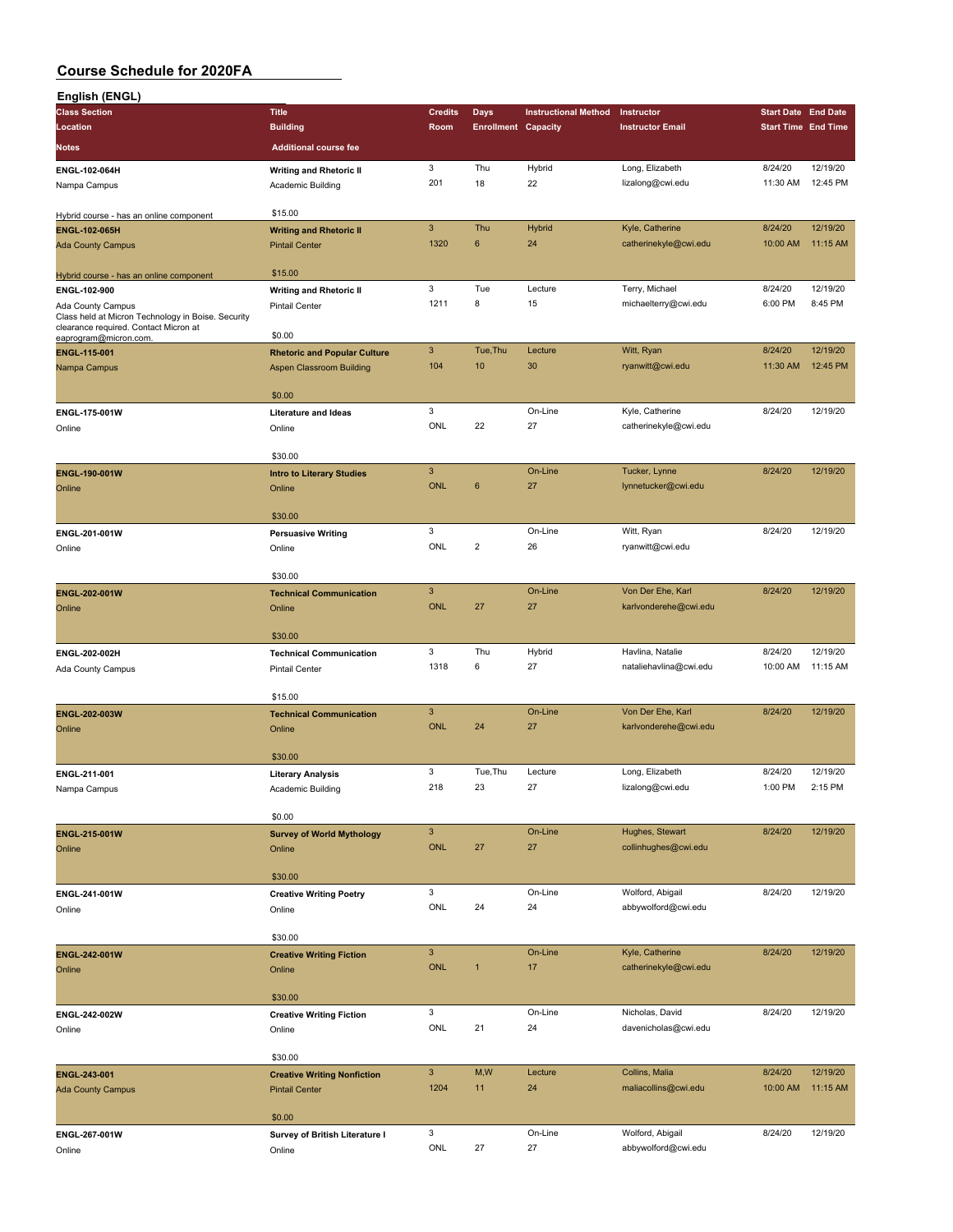| English (ENGL)                                                                              |                                           |                |                            |                             |                                         |                            |          |
|---------------------------------------------------------------------------------------------|-------------------------------------------|----------------|----------------------------|-----------------------------|-----------------------------------------|----------------------------|----------|
| <b>Class Section</b>                                                                        | <b>Title</b>                              | <b>Credits</b> | <b>Days</b>                | <b>Instructional Method</b> | Instructor                              | <b>Start Date End Date</b> |          |
| Location                                                                                    | <b>Building</b>                           | Room           | <b>Enrollment Capacity</b> |                             | <b>Instructor Email</b>                 | <b>Start Time End Time</b> |          |
| <b>Notes</b>                                                                                | <b>Additional course fee</b>              |                |                            |                             |                                         |                            |          |
|                                                                                             |                                           | 3              | Thu                        | Hybrid                      | Long, Elizabeth                         | 8/24/20                    | 12/19/20 |
| ENGL-102-064H                                                                               | <b>Writing and Rhetoric II</b>            | 201            | 18                         | 22                          | lizalong@cwi.edu                        | 11:30 AM                   | 12:45 PM |
| Nampa Campus                                                                                | Academic Building                         |                |                            |                             |                                         |                            |          |
| Hybrid course - has an online component                                                     | \$15.00                                   |                |                            |                             |                                         |                            |          |
| <b>ENGL-102-065H</b>                                                                        | <b>Writing and Rhetoric II</b>            | $\mathsf 3$    | Thu                        | Hybrid                      | Kyle, Catherine                         | 8/24/20                    | 12/19/20 |
| <b>Ada County Campus</b>                                                                    | <b>Pintail Center</b>                     | 1320           | 6                          | 24                          | catherinekyle@cwi.edu                   | 10:00 AM                   | 11:15 AM |
|                                                                                             |                                           |                |                            |                             |                                         |                            |          |
| Hybrid course - has an online component                                                     | \$15.00                                   |                |                            |                             |                                         |                            |          |
| ENGL-102-900                                                                                | <b>Writing and Rhetoric II</b>            | 3              | Tue                        | Lecture                     | Terry, Michael                          | 8/24/20                    | 12/19/20 |
| Ada County Campus                                                                           | <b>Pintail Center</b>                     | 1211           | 8                          | 15                          | michaelterry@cwi.edu                    | 6:00 PM                    | 8:45 PM  |
| Class held at Micron Technology in Boise. Security<br>clearance required. Contact Micron at |                                           |                |                            |                             |                                         |                            |          |
| eaprogram@micron.com.                                                                       | \$0.00                                    |                |                            |                             |                                         |                            |          |
| ENGL-115-001                                                                                | <b>Rhetoric and Popular Culture</b>       | 3              | Tue, Thu                   | Lecture                     | Witt, Ryan                              | 8/24/20                    | 12/19/20 |
| Nampa Campus                                                                                | Aspen Classroom Building                  | 104            | 10                         | 30                          | ryanwitt@cwi.edu                        | 11:30 AM                   | 12:45 PM |
|                                                                                             |                                           |                |                            |                             |                                         |                            |          |
|                                                                                             | \$0.00                                    |                |                            |                             |                                         |                            |          |
| ENGL-175-001W                                                                               | <b>Literature and Ideas</b>               | 3<br>ONL       | 22                         | On-Line                     | Kyle, Catherine                         | 8/24/20                    | 12/19/20 |
| Online                                                                                      | Online                                    |                |                            | 27                          | catherinekyle@cwi.edu                   |                            |          |
|                                                                                             | \$30.00                                   |                |                            |                             |                                         |                            |          |
| ENGL-190-001W                                                                               | <b>Intro to Literary Studies</b>          | $\mathbf{3}$   |                            | On-Line                     | Tucker, Lynne                           | 8/24/20                    | 12/19/20 |
| Online                                                                                      | Online                                    | <b>ONL</b>     | $6\phantom{1}6$            | 27                          | lynnetucker@cwi.edu                     |                            |          |
|                                                                                             |                                           |                |                            |                             |                                         |                            |          |
|                                                                                             | \$30.00                                   |                |                            |                             |                                         |                            |          |
| ENGL-201-001W                                                                               | <b>Persuasive Writing</b>                 | 3              |                            | On-Line                     | Witt, Ryan                              | 8/24/20                    | 12/19/20 |
| Online                                                                                      | Online                                    | ONL            | $\overline{2}$             | 26                          | ryanwitt@cwi.edu                        |                            |          |
|                                                                                             |                                           |                |                            |                             |                                         |                            |          |
|                                                                                             | \$30.00                                   |                |                            |                             |                                         |                            |          |
| ENGL-202-001W                                                                               | <b>Technical Communication</b>            | 3              |                            | On-Line                     | Von Der Ehe, Karl                       | 8/24/20                    | 12/19/20 |
| Online                                                                                      | Online                                    | <b>ONL</b>     | 27                         | 27                          | karlvonderehe@cwi.edu                   |                            |          |
|                                                                                             |                                           |                |                            |                             |                                         |                            |          |
|                                                                                             | \$30.00                                   |                |                            |                             |                                         |                            |          |
| ENGL-202-002H                                                                               | <b>Technical Communication</b>            | 3              | Thu                        | Hybrid                      | Havlina, Natalie                        | 8/24/20                    | 12/19/20 |
| Ada County Campus                                                                           | <b>Pintail Center</b>                     | 1318           | 6                          | 27                          | nataliehavlina@cwi.edu                  | 10:00 AM                   | 11:15 AM |
|                                                                                             | \$15.00                                   |                |                            |                             |                                         |                            |          |
| ENGL-202-003W                                                                               | <b>Technical Communication</b>            | 3              |                            | On-Line                     | Von Der Ehe, Karl                       | 8/24/20                    | 12/19/20 |
| Online                                                                                      | Online                                    | <b>ONL</b>     | 24                         | 27                          | karlvonderehe@cwi.edu                   |                            |          |
|                                                                                             |                                           |                |                            |                             |                                         |                            |          |
|                                                                                             | \$30.00                                   |                |                            |                             |                                         |                            |          |
| ENGL-211-001                                                                                | <b>Literary Analysis</b>                  | 3              | Tue, Thu                   | Lecture                     | Long, Elizabeth                         | 8/24/20                    | 12/19/20 |
| Nampa Campus                                                                                | Academic Building                         | 218            | 23                         | 27                          | lizalong@cwi.edu                        | 1:00 PM                    | 2:15 PM  |
|                                                                                             |                                           |                |                            |                             |                                         |                            |          |
|                                                                                             | \$0.00                                    |                |                            |                             |                                         |                            |          |
| ENGL-215-001W                                                                               | <b>Survey of World Mythology</b>          | $\mathbf{3}$   |                            | On-Line                     | Hughes, Stewart                         | 8/24/20                    | 12/19/20 |
| Online                                                                                      | Online                                    | ONL            | 27                         | 27                          | collinhughes@cwi.edu                    |                            |          |
|                                                                                             |                                           |                |                            |                             |                                         |                            |          |
|                                                                                             | \$30.00                                   |                |                            |                             |                                         |                            |          |
| ENGL-241-001W                                                                               | <b>Creative Writing Poetry</b>            | $\mathbf{3}$   |                            | On-Line                     | Wolford, Abigail                        | 8/24/20                    | 12/19/20 |
| Online                                                                                      | Online                                    | ONL            | 24                         | 24                          | abbywolford@cwi.edu                     |                            |          |
|                                                                                             | \$30.00                                   |                |                            |                             |                                         |                            |          |
|                                                                                             |                                           | $\mathbf{3}$   |                            | On-Line                     | Kyle, Catherine                         | 8/24/20                    | 12/19/20 |
| ENGL-242-001W<br>Online                                                                     | <b>Creative Writing Fiction</b><br>Online | <b>ONL</b>     | $\mathbf{1}$               | 17                          | catherinekyle@cwi.edu                   |                            |          |
|                                                                                             |                                           |                |                            |                             |                                         |                            |          |
|                                                                                             | \$30.00                                   |                |                            |                             |                                         |                            |          |
| ENGL-242-002W                                                                               | <b>Creative Writing Fiction</b>           | 3              |                            | On-Line                     | Nicholas, David                         | 8/24/20                    | 12/19/20 |
| Online                                                                                      | Online                                    | ONL            | 21                         | 24                          | davenicholas@cwi.edu                    |                            |          |
|                                                                                             |                                           |                |                            |                             |                                         |                            |          |
|                                                                                             | \$30.00                                   |                |                            |                             |                                         |                            |          |
| ENGL-243-001                                                                                | <b>Creative Writing Nonfiction</b>        | $\mathbf{3}$   | M,W                        | Lecture                     | Collins, Malia                          | 8/24/20                    | 12/19/20 |
| <b>Ada County Campus</b>                                                                    | <b>Pintail Center</b>                     | 1204           | 11                         | 24                          | maliacollins@cwi.edu                    | 10:00 AM                   | 11:15 AM |
|                                                                                             |                                           |                |                            |                             |                                         |                            |          |
|                                                                                             | \$0.00                                    |                |                            |                             |                                         |                            |          |
| ENGL-267-001W                                                                               | Survey of British Literature I            | 3              |                            | On-Line                     | Wolford, Abigail<br>abbywolford@cwi.edu | 8/24/20                    | 12/19/20 |
| Online                                                                                      | Online                                    | ONL            | 27                         | 27                          |                                         |                            |          |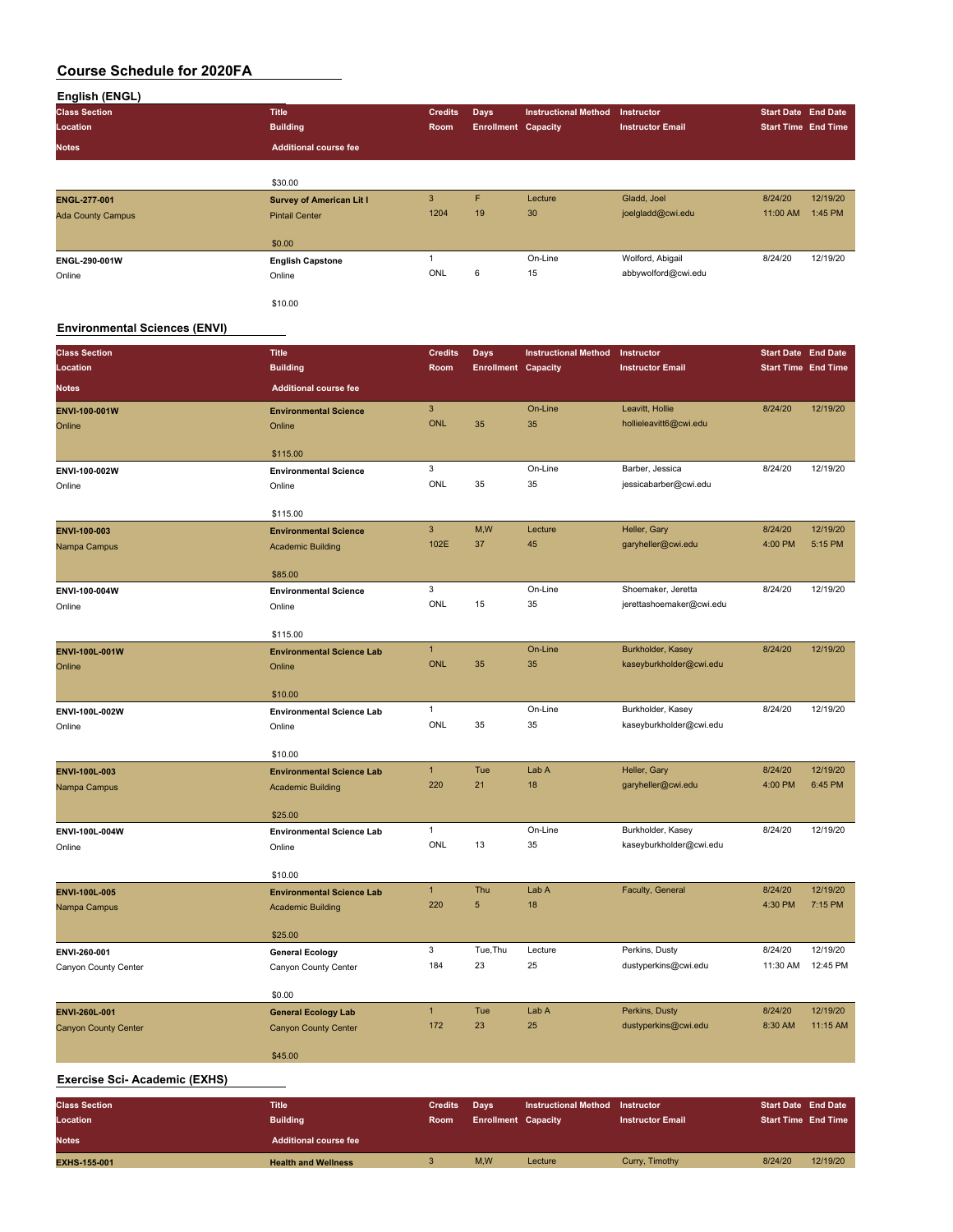| English (ENGL)           |                                 |                |                            |                             |                         |                            |          |
|--------------------------|---------------------------------|----------------|----------------------------|-----------------------------|-------------------------|----------------------------|----------|
| <b>Class Section</b>     | <b>Title</b>                    | <b>Credits</b> | <b>Days</b>                | <b>Instructional Method</b> | <b>Instructor</b>       | Start Date End Date        |          |
| Location                 | <b>Building</b>                 | Room           | <b>Enrollment Capacity</b> |                             | <b>Instructor Email</b> | <b>Start Time End Time</b> |          |
| <b>Notes</b>             | <b>Additional course fee</b>    |                |                            |                             |                         |                            |          |
|                          |                                 |                |                            |                             |                         |                            |          |
|                          | \$30.00                         |                |                            |                             |                         |                            |          |
| <b>ENGL-277-001</b>      | <b>Survey of American Lit I</b> | 3              | F                          | Lecture                     | Gladd, Joel             | 8/24/20                    | 12/19/20 |
| <b>Ada County Campus</b> | <b>Pintail Center</b>           | 1204           | 19                         | 30                          | joelgladd@cwi.edu       | 11:00 AM                   | 1:45 PM  |
|                          | \$0.00                          |                |                            |                             |                         |                            |          |
| ENGL-290-001W            | <b>English Capstone</b>         |                |                            | On-Line                     | Wolford, Abigail        | 8/24/20                    | 12/19/20 |
| Online                   | Online                          | ONL            | 6                          | 15                          | abbywolford@cwi.edu     |                            |          |
|                          | \$10.00                         |                |                            |                             |                         |                            |          |

### **Environmental Sciences (ENVI)**

| <b>Class Section</b>                | <b>Title</b>                     | <b>Credits</b>            | <b>Days</b>                | <b>Instructional Method</b>            | Instructor                         | <b>Start Date End Date</b> |                     |
|-------------------------------------|----------------------------------|---------------------------|----------------------------|----------------------------------------|------------------------------------|----------------------------|---------------------|
| Location                            | <b>Building</b>                  | Room                      | <b>Enrollment Capacity</b> |                                        | <b>Instructor Email</b>            | <b>Start Time End Time</b> |                     |
| <b>Notes</b>                        | <b>Additional course fee</b>     |                           |                            |                                        |                                    |                            |                     |
| ENVI-100-001W                       | <b>Environmental Science</b>     | $\ensuremath{\mathsf{3}}$ |                            | On-Line                                | Leavitt, Hollie                    | 8/24/20                    | 12/19/20            |
| Online                              | Online                           | <b>ONL</b>                | 35                         | 35                                     | hollieleavitt6@cwi.edu             |                            |                     |
|                                     |                                  |                           |                            |                                        |                                    |                            |                     |
|                                     | \$115.00                         |                           |                            |                                        |                                    |                            |                     |
| ENVI-100-002W                       | <b>Environmental Science</b>     | 3                         |                            | On-Line                                | Barber, Jessica                    | 8/24/20                    | 12/19/20            |
| Online                              | Online                           | ONL                       | 35                         | 35                                     | jessicabarber@cwi.edu              |                            |                     |
|                                     | \$115.00                         |                           |                            |                                        |                                    |                            |                     |
| ENVI-100-003                        | <b>Environmental Science</b>     | 3                         | M, W                       | Lecture                                | Heller, Gary                       | 8/24/20                    | 12/19/20            |
| Nampa Campus                        | <b>Academic Building</b>         | 102E                      | 37                         | 45                                     | garyheller@cwi.edu                 | 4:00 PM                    | 5:15 PM             |
|                                     |                                  |                           |                            |                                        |                                    |                            |                     |
|                                     | \$85.00                          |                           |                            |                                        |                                    |                            |                     |
| ENVI-100-004W                       | <b>Environmental Science</b>     | 3                         |                            | On-Line                                | Shoemaker, Jeretta                 | 8/24/20                    | 12/19/20            |
| Online                              | Online                           | ONL                       | 15                         | 35                                     | jerettashoemaker@cwi.edu           |                            |                     |
|                                     | \$115.00                         |                           |                            |                                        |                                    |                            |                     |
| ENVI-100L-001W                      | <b>Environmental Science Lab</b> | $\mathbf{1}$              |                            | On-Line                                | Burkholder, Kasey                  | 8/24/20                    | 12/19/20            |
| Online                              | Online                           | <b>ONL</b>                | 35                         | 35                                     | kaseyburkholder@cwi.edu            |                            |                     |
|                                     |                                  |                           |                            |                                        |                                    |                            |                     |
|                                     | \$10.00                          |                           |                            |                                        |                                    |                            |                     |
| ENVI-100L-002W                      | <b>Environmental Science Lab</b> | $\mathbf{1}$              |                            | On-Line                                | Burkholder, Kasey                  | 8/24/20                    | 12/19/20            |
| Online                              | Online                           | ONL                       | 35                         | 35                                     | kaseyburkholder@cwi.edu            |                            |                     |
|                                     |                                  |                           |                            |                                        |                                    |                            |                     |
|                                     | \$10.00                          |                           |                            |                                        |                                    |                            |                     |
| ENVI-100L-003                       | <b>Environmental Science Lab</b> | $\mathbf{1}$<br>220       | Tue<br>21                  | Lab A<br>18                            | Heller, Gary<br>garyheller@cwi.edu | 8/24/20<br>4:00 PM         | 12/19/20<br>6:45 PM |
| Nampa Campus                        | <b>Academic Building</b>         |                           |                            |                                        |                                    |                            |                     |
|                                     | \$25.00                          |                           |                            |                                        |                                    |                            |                     |
| ENVI-100L-004W                      | <b>Environmental Science Lab</b> | $\mathbf{1}$              |                            | On-Line                                | Burkholder, Kasey                  | 8/24/20                    | 12/19/20            |
| Online                              | Online                           | ONL                       | 13                         | 35                                     | kaseyburkholder@cwi.edu            |                            |                     |
|                                     |                                  |                           |                            |                                        |                                    |                            |                     |
|                                     | \$10.00                          |                           |                            |                                        |                                    |                            |                     |
| ENVI-100L-005                       | <b>Environmental Science Lab</b> | 1                         | Thu                        | Lab A                                  | Faculty, General                   | 8/24/20                    | 12/19/20            |
| Nampa Campus                        | <b>Academic Building</b>         | 220                       | $\sqrt{5}$                 | 18                                     |                                    | 4:30 PM                    | 7:15 PM             |
|                                     | \$25.00                          |                           |                            |                                        |                                    |                            |                     |
| ENVI-260-001                        | <b>General Ecology</b>           | 3                         | Tue, Thu                   | Lecture                                | Perkins, Dusty                     | 8/24/20                    | 12/19/20            |
| Canyon County Center                | Canyon County Center             | 184                       | 23                         | 25                                     | dustyperkins@cwi.edu               | 11:30 AM                   | 12:45 PM            |
|                                     |                                  |                           |                            |                                        |                                    |                            |                     |
|                                     | \$0.00                           |                           |                            |                                        |                                    |                            |                     |
| ENVI-260L-001                       | <b>General Ecology Lab</b>       | $\mathbf{1}$              | Tue                        | Lab A                                  | Perkins, Dusty                     | 8/24/20                    | 12/19/20            |
| <b>Canyon County Center</b>         | <b>Canyon County Center</b>      | 172                       | 23                         | 25                                     | dustyperkins@cwi.edu               | 8:30 AM                    | 11:15 AM            |
|                                     |                                  |                           |                            |                                        |                                    |                            |                     |
|                                     | \$45.00                          |                           |                            |                                        |                                    |                            |                     |
| <b>Exercise Sci-Academic (EXHS)</b> |                                  |                           |                            |                                        |                                    |                            |                     |
| <b>Class Section</b>                | <b>Title</b>                     | <b>Credits</b>            | Days                       | <b>Instructional Method Instructor</b> |                                    | <b>Start Date End Date</b> |                     |
| Location                            | <b>Building</b>                  | Room                      | <b>Enrollment Capacity</b> |                                        | <b>Instructor Email</b>            | <b>Start Time End Time</b> |                     |
| <b>Notes</b>                        | <b>Additional course fee</b>     |                           |                            |                                        |                                    |                            |                     |
|                                     |                                  | $\ensuremath{\mathsf{3}}$ | M,W                        | Lecture                                | Curry, Timothy                     | 8/24/20                    | 12/19/20            |
| <b>EXHS-155-001</b>                 | <b>Health and Wellness</b>       |                           |                            |                                        |                                    |                            |                     |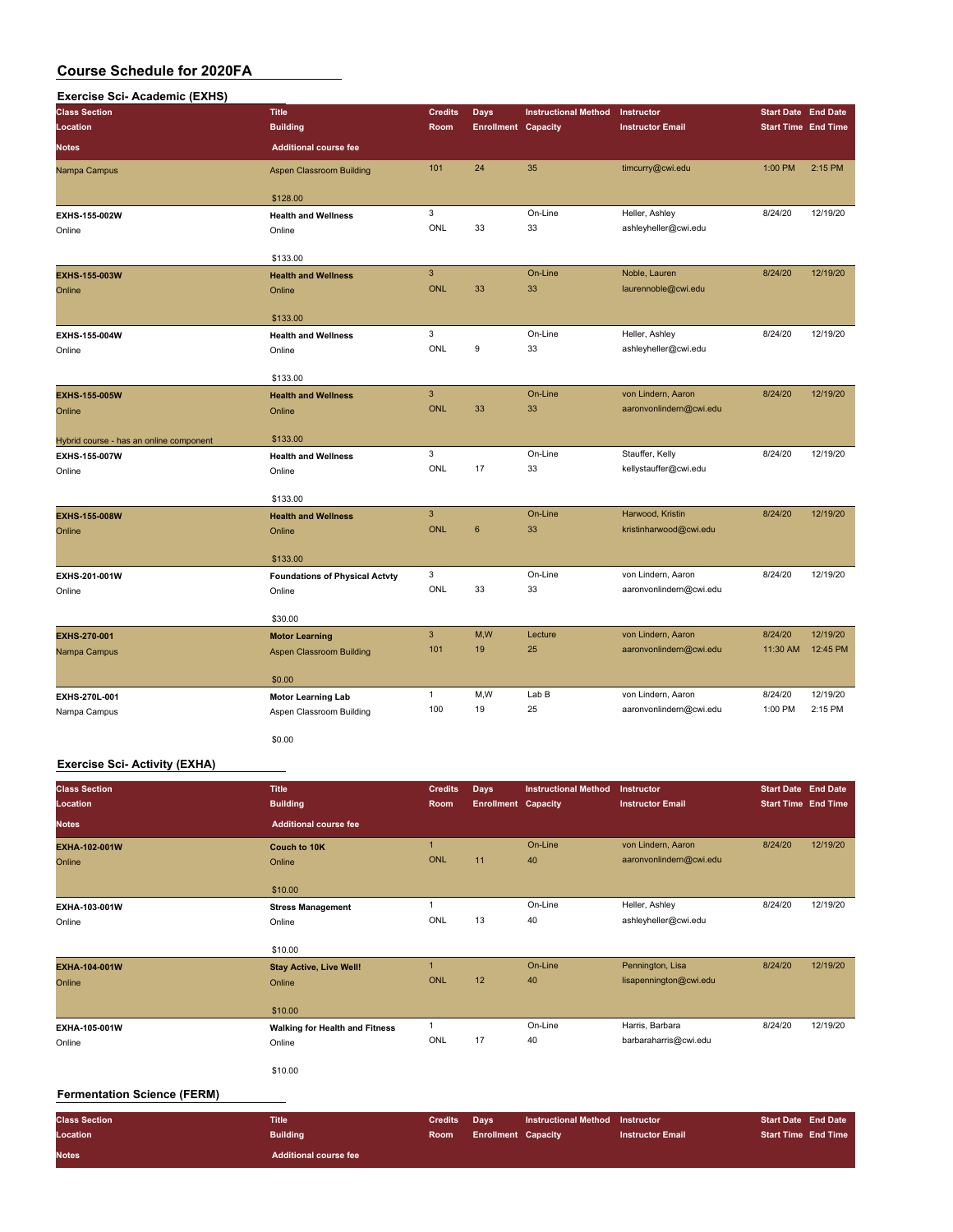| <b>Title</b><br><b>Credits</b><br>Days<br><b>Instructional Method</b><br><b>Start Date End Date</b><br>Instructor<br><b>Building</b><br><b>Start Time End Time</b><br><b>Location</b><br>Room<br><b>Enrollment Capacity</b><br><b>Instructor Email</b><br><b>Additional course fee</b><br>101<br>24<br>35<br>timcurry@cwi.edu<br>1:00 PM<br>$2:15$ PM<br><b>Aspen Classroom Building</b><br>\$128.00<br>3<br>On-Line<br>8/24/20<br>12/19/20<br>Heller, Ashley<br><b>Health and Wellness</b><br>ONL<br>33<br>33<br>ashleyheller@cwi.edu<br>Online<br>\$133.00<br>$\mathbf{3}$<br>On-Line<br>Noble, Lauren<br>12/19/20<br>8/24/20<br><b>Health and Wellness</b><br><b>ONL</b><br>33<br>33<br>laurennoble@cwi.edu<br>Online<br>\$133.00<br>3<br>On-Line<br>8/24/20<br>12/19/20<br>Heller, Ashley<br><b>Health and Wellness</b><br>ONL<br>9<br>33<br>ashleyheller@cwi.edu<br>Online<br>\$133.00<br>$\overline{3}$<br>On-Line<br>8/24/20<br>12/19/20<br>von Lindern, Aaron<br><b>EXHS-155-005W</b><br><b>Health and Wellness</b><br><b>ONL</b><br>33<br>33<br>aaronvonlindern@cwi.edu<br>Online<br>Online<br>\$133.00<br>Hybrid course - has an online component<br>3<br>8/24/20<br>12/19/20<br>On-Line<br>Stauffer, Kelly<br>EXHS-155-007W<br><b>Health and Wellness</b><br>ONL<br>17<br>33<br>kellystauffer@cwi.edu<br>Online<br>Online<br>\$133.00<br>$\overline{3}$<br>Harwood, Kristin<br>8/24/20<br>12/19/20<br>On-Line<br><b>Health and Wellness</b><br><b>ONL</b><br>6<br>33<br>kristinharwood@cwi.edu<br>Online | <b>Exercise Sci-Academic (EXHS)</b> |  |  |  |  |
|---------------------------------------------------------------------------------------------------------------------------------------------------------------------------------------------------------------------------------------------------------------------------------------------------------------------------------------------------------------------------------------------------------------------------------------------------------------------------------------------------------------------------------------------------------------------------------------------------------------------------------------------------------------------------------------------------------------------------------------------------------------------------------------------------------------------------------------------------------------------------------------------------------------------------------------------------------------------------------------------------------------------------------------------------------------------------------------------------------------------------------------------------------------------------------------------------------------------------------------------------------------------------------------------------------------------------------------------------------------------------------------------------------------------------------------------------------------------------------------------------------------------|-------------------------------------|--|--|--|--|
|                                                                                                                                                                                                                                                                                                                                                                                                                                                                                                                                                                                                                                                                                                                                                                                                                                                                                                                                                                                                                                                                                                                                                                                                                                                                                                                                                                                                                                                                                                                     | <b>Class Section</b>                |  |  |  |  |
|                                                                                                                                                                                                                                                                                                                                                                                                                                                                                                                                                                                                                                                                                                                                                                                                                                                                                                                                                                                                                                                                                                                                                                                                                                                                                                                                                                                                                                                                                                                     |                                     |  |  |  |  |
|                                                                                                                                                                                                                                                                                                                                                                                                                                                                                                                                                                                                                                                                                                                                                                                                                                                                                                                                                                                                                                                                                                                                                                                                                                                                                                                                                                                                                                                                                                                     | <b>Notes</b>                        |  |  |  |  |
|                                                                                                                                                                                                                                                                                                                                                                                                                                                                                                                                                                                                                                                                                                                                                                                                                                                                                                                                                                                                                                                                                                                                                                                                                                                                                                                                                                                                                                                                                                                     | Nampa Campus                        |  |  |  |  |
|                                                                                                                                                                                                                                                                                                                                                                                                                                                                                                                                                                                                                                                                                                                                                                                                                                                                                                                                                                                                                                                                                                                                                                                                                                                                                                                                                                                                                                                                                                                     |                                     |  |  |  |  |
|                                                                                                                                                                                                                                                                                                                                                                                                                                                                                                                                                                                                                                                                                                                                                                                                                                                                                                                                                                                                                                                                                                                                                                                                                                                                                                                                                                                                                                                                                                                     | EXHS-155-002W                       |  |  |  |  |
|                                                                                                                                                                                                                                                                                                                                                                                                                                                                                                                                                                                                                                                                                                                                                                                                                                                                                                                                                                                                                                                                                                                                                                                                                                                                                                                                                                                                                                                                                                                     | Online                              |  |  |  |  |
|                                                                                                                                                                                                                                                                                                                                                                                                                                                                                                                                                                                                                                                                                                                                                                                                                                                                                                                                                                                                                                                                                                                                                                                                                                                                                                                                                                                                                                                                                                                     |                                     |  |  |  |  |
|                                                                                                                                                                                                                                                                                                                                                                                                                                                                                                                                                                                                                                                                                                                                                                                                                                                                                                                                                                                                                                                                                                                                                                                                                                                                                                                                                                                                                                                                                                                     |                                     |  |  |  |  |
|                                                                                                                                                                                                                                                                                                                                                                                                                                                                                                                                                                                                                                                                                                                                                                                                                                                                                                                                                                                                                                                                                                                                                                                                                                                                                                                                                                                                                                                                                                                     | EXHS-155-003W                       |  |  |  |  |
|                                                                                                                                                                                                                                                                                                                                                                                                                                                                                                                                                                                                                                                                                                                                                                                                                                                                                                                                                                                                                                                                                                                                                                                                                                                                                                                                                                                                                                                                                                                     | Online                              |  |  |  |  |
|                                                                                                                                                                                                                                                                                                                                                                                                                                                                                                                                                                                                                                                                                                                                                                                                                                                                                                                                                                                                                                                                                                                                                                                                                                                                                                                                                                                                                                                                                                                     |                                     |  |  |  |  |
|                                                                                                                                                                                                                                                                                                                                                                                                                                                                                                                                                                                                                                                                                                                                                                                                                                                                                                                                                                                                                                                                                                                                                                                                                                                                                                                                                                                                                                                                                                                     |                                     |  |  |  |  |
|                                                                                                                                                                                                                                                                                                                                                                                                                                                                                                                                                                                                                                                                                                                                                                                                                                                                                                                                                                                                                                                                                                                                                                                                                                                                                                                                                                                                                                                                                                                     | EXHS-155-004W                       |  |  |  |  |
|                                                                                                                                                                                                                                                                                                                                                                                                                                                                                                                                                                                                                                                                                                                                                                                                                                                                                                                                                                                                                                                                                                                                                                                                                                                                                                                                                                                                                                                                                                                     | Online                              |  |  |  |  |
|                                                                                                                                                                                                                                                                                                                                                                                                                                                                                                                                                                                                                                                                                                                                                                                                                                                                                                                                                                                                                                                                                                                                                                                                                                                                                                                                                                                                                                                                                                                     |                                     |  |  |  |  |
|                                                                                                                                                                                                                                                                                                                                                                                                                                                                                                                                                                                                                                                                                                                                                                                                                                                                                                                                                                                                                                                                                                                                                                                                                                                                                                                                                                                                                                                                                                                     |                                     |  |  |  |  |
|                                                                                                                                                                                                                                                                                                                                                                                                                                                                                                                                                                                                                                                                                                                                                                                                                                                                                                                                                                                                                                                                                                                                                                                                                                                                                                                                                                                                                                                                                                                     |                                     |  |  |  |  |
|                                                                                                                                                                                                                                                                                                                                                                                                                                                                                                                                                                                                                                                                                                                                                                                                                                                                                                                                                                                                                                                                                                                                                                                                                                                                                                                                                                                                                                                                                                                     |                                     |  |  |  |  |
|                                                                                                                                                                                                                                                                                                                                                                                                                                                                                                                                                                                                                                                                                                                                                                                                                                                                                                                                                                                                                                                                                                                                                                                                                                                                                                                                                                                                                                                                                                                     |                                     |  |  |  |  |
|                                                                                                                                                                                                                                                                                                                                                                                                                                                                                                                                                                                                                                                                                                                                                                                                                                                                                                                                                                                                                                                                                                                                                                                                                                                                                                                                                                                                                                                                                                                     |                                     |  |  |  |  |
|                                                                                                                                                                                                                                                                                                                                                                                                                                                                                                                                                                                                                                                                                                                                                                                                                                                                                                                                                                                                                                                                                                                                                                                                                                                                                                                                                                                                                                                                                                                     |                                     |  |  |  |  |
|                                                                                                                                                                                                                                                                                                                                                                                                                                                                                                                                                                                                                                                                                                                                                                                                                                                                                                                                                                                                                                                                                                                                                                                                                                                                                                                                                                                                                                                                                                                     |                                     |  |  |  |  |
|                                                                                                                                                                                                                                                                                                                                                                                                                                                                                                                                                                                                                                                                                                                                                                                                                                                                                                                                                                                                                                                                                                                                                                                                                                                                                                                                                                                                                                                                                                                     |                                     |  |  |  |  |
|                                                                                                                                                                                                                                                                                                                                                                                                                                                                                                                                                                                                                                                                                                                                                                                                                                                                                                                                                                                                                                                                                                                                                                                                                                                                                                                                                                                                                                                                                                                     | <b>EXHS-155-008W</b>                |  |  |  |  |
|                                                                                                                                                                                                                                                                                                                                                                                                                                                                                                                                                                                                                                                                                                                                                                                                                                                                                                                                                                                                                                                                                                                                                                                                                                                                                                                                                                                                                                                                                                                     | Online                              |  |  |  |  |
|                                                                                                                                                                                                                                                                                                                                                                                                                                                                                                                                                                                                                                                                                                                                                                                                                                                                                                                                                                                                                                                                                                                                                                                                                                                                                                                                                                                                                                                                                                                     |                                     |  |  |  |  |
| \$133.00                                                                                                                                                                                                                                                                                                                                                                                                                                                                                                                                                                                                                                                                                                                                                                                                                                                                                                                                                                                                                                                                                                                                                                                                                                                                                                                                                                                                                                                                                                            |                                     |  |  |  |  |
| 3<br>8/24/20<br>12/19/20<br>On-Line<br>von Lindern, Aaron<br><b>Foundations of Physical Actvty</b>                                                                                                                                                                                                                                                                                                                                                                                                                                                                                                                                                                                                                                                                                                                                                                                                                                                                                                                                                                                                                                                                                                                                                                                                                                                                                                                                                                                                                  | EXHS-201-001W                       |  |  |  |  |
| ONL<br>33<br>33<br>aaronvonlindern@cwi.edu<br>Online                                                                                                                                                                                                                                                                                                                                                                                                                                                                                                                                                                                                                                                                                                                                                                                                                                                                                                                                                                                                                                                                                                                                                                                                                                                                                                                                                                                                                                                                | Online                              |  |  |  |  |
|                                                                                                                                                                                                                                                                                                                                                                                                                                                                                                                                                                                                                                                                                                                                                                                                                                                                                                                                                                                                                                                                                                                                                                                                                                                                                                                                                                                                                                                                                                                     |                                     |  |  |  |  |
| \$30.00                                                                                                                                                                                                                                                                                                                                                                                                                                                                                                                                                                                                                                                                                                                                                                                                                                                                                                                                                                                                                                                                                                                                                                                                                                                                                                                                                                                                                                                                                                             |                                     |  |  |  |  |
| $\mathbf{3}$<br>M,W<br>Lecture<br>von Lindern, Aaron<br>8/24/20<br>12/19/20<br><b>Motor Learning</b>                                                                                                                                                                                                                                                                                                                                                                                                                                                                                                                                                                                                                                                                                                                                                                                                                                                                                                                                                                                                                                                                                                                                                                                                                                                                                                                                                                                                                | EXHS-270-001                        |  |  |  |  |
| 101<br>19<br>25<br>aaronvonlindern@cwi.edu<br>11:30 AM<br>12:45 PM<br>Aspen Classroom Building                                                                                                                                                                                                                                                                                                                                                                                                                                                                                                                                                                                                                                                                                                                                                                                                                                                                                                                                                                                                                                                                                                                                                                                                                                                                                                                                                                                                                      | Nampa Campus                        |  |  |  |  |
|                                                                                                                                                                                                                                                                                                                                                                                                                                                                                                                                                                                                                                                                                                                                                                                                                                                                                                                                                                                                                                                                                                                                                                                                                                                                                                                                                                                                                                                                                                                     |                                     |  |  |  |  |
| \$0.00                                                                                                                                                                                                                                                                                                                                                                                                                                                                                                                                                                                                                                                                                                                                                                                                                                                                                                                                                                                                                                                                                                                                                                                                                                                                                                                                                                                                                                                                                                              |                                     |  |  |  |  |
| $\mathbf{1}$<br>M, W<br>Lab B<br>12/19/20<br>von Lindern, Aaron<br>8/24/20<br><b>Motor Learning Lab</b>                                                                                                                                                                                                                                                                                                                                                                                                                                                                                                                                                                                                                                                                                                                                                                                                                                                                                                                                                                                                                                                                                                                                                                                                                                                                                                                                                                                                             | EXHS-270L-001                       |  |  |  |  |
| 100<br>19<br>25<br>1:00 PM<br>2:15 PM<br>aaronvonlindern@cwi.edu<br>Aspen Classroom Building                                                                                                                                                                                                                                                                                                                                                                                                                                                                                                                                                                                                                                                                                                                                                                                                                                                                                                                                                                                                                                                                                                                                                                                                                                                                                                                                                                                                                        | Nampa Campus                        |  |  |  |  |
| \$0.00                                                                                                                                                                                                                                                                                                                                                                                                                                                                                                                                                                                                                                                                                                                                                                                                                                                                                                                                                                                                                                                                                                                                                                                                                                                                                                                                                                                                                                                                                                              |                                     |  |  |  |  |

#### **Exercise Sci- Activity (EXHA)**

| <b>Class Section</b><br>Location   | <b>Title</b><br><b>Building</b> | <b>Credits</b><br>Room | <b>Days</b><br><b>Enrollment Capacity</b> | <b>Instructional Method</b> | Instructor<br><b>Instructor Email</b> | <b>Start Date End Date</b><br><b>Start Time End Time</b> |          |
|------------------------------------|---------------------------------|------------------------|-------------------------------------------|-----------------------------|---------------------------------------|----------------------------------------------------------|----------|
| <b>Notes</b>                       | <b>Additional course fee</b>    |                        |                                           |                             |                                       |                                                          |          |
| <b>EXHA-102-001W</b>               | Couch to 10K                    | $\mathbf{1}$           |                                           | On-Line                     | von Lindern, Aaron                    | 8/24/20                                                  | 12/19/20 |
| Online                             | Online                          | <b>ONL</b>             | 11                                        | 40                          | aaronvonlindern@cwi.edu               |                                                          |          |
|                                    | \$10.00                         |                        |                                           |                             |                                       |                                                          |          |
| EXHA-103-001W                      | <b>Stress Management</b>        | 1                      |                                           | On-Line                     | Heller, Ashley                        | 8/24/20                                                  | 12/19/20 |
| Online                             | Online                          | ONL                    | 13                                        | 40                          | ashleyheller@cwi.edu                  |                                                          |          |
|                                    | \$10.00                         |                        |                                           |                             |                                       |                                                          |          |
| <b>EXHA-104-001W</b>               | <b>Stay Active, Live Well!</b>  | $\overline{1}$         |                                           | On-Line                     | Pennington, Lisa                      | 8/24/20                                                  | 12/19/20 |
| Online                             | Online                          | <b>ONL</b>             | 12                                        | 40                          | lisapennington@cwi.edu                |                                                          |          |
|                                    | \$10.00                         |                        |                                           |                             |                                       |                                                          |          |
| EXHA-105-001W                      | Walking for Health and Fitness  | 1                      |                                           | On-Line                     | Harris, Barbara                       | 8/24/20                                                  | 12/19/20 |
| Online                             | Online                          | ONL                    | 17                                        | 40                          | barbaraharris@cwi.edu                 |                                                          |          |
|                                    | \$10.00                         |                        |                                           |                             |                                       |                                                          |          |
| <b>Fermentation Science (FERM)</b> |                                 |                        |                                           |                             |                                       |                                                          |          |

**Class Section Title Credits Days Instructional Method Instructor Start Date End Date Location Building Room Enrollment Capacity Instructor Email Start Time End Time Notes Additional course fee**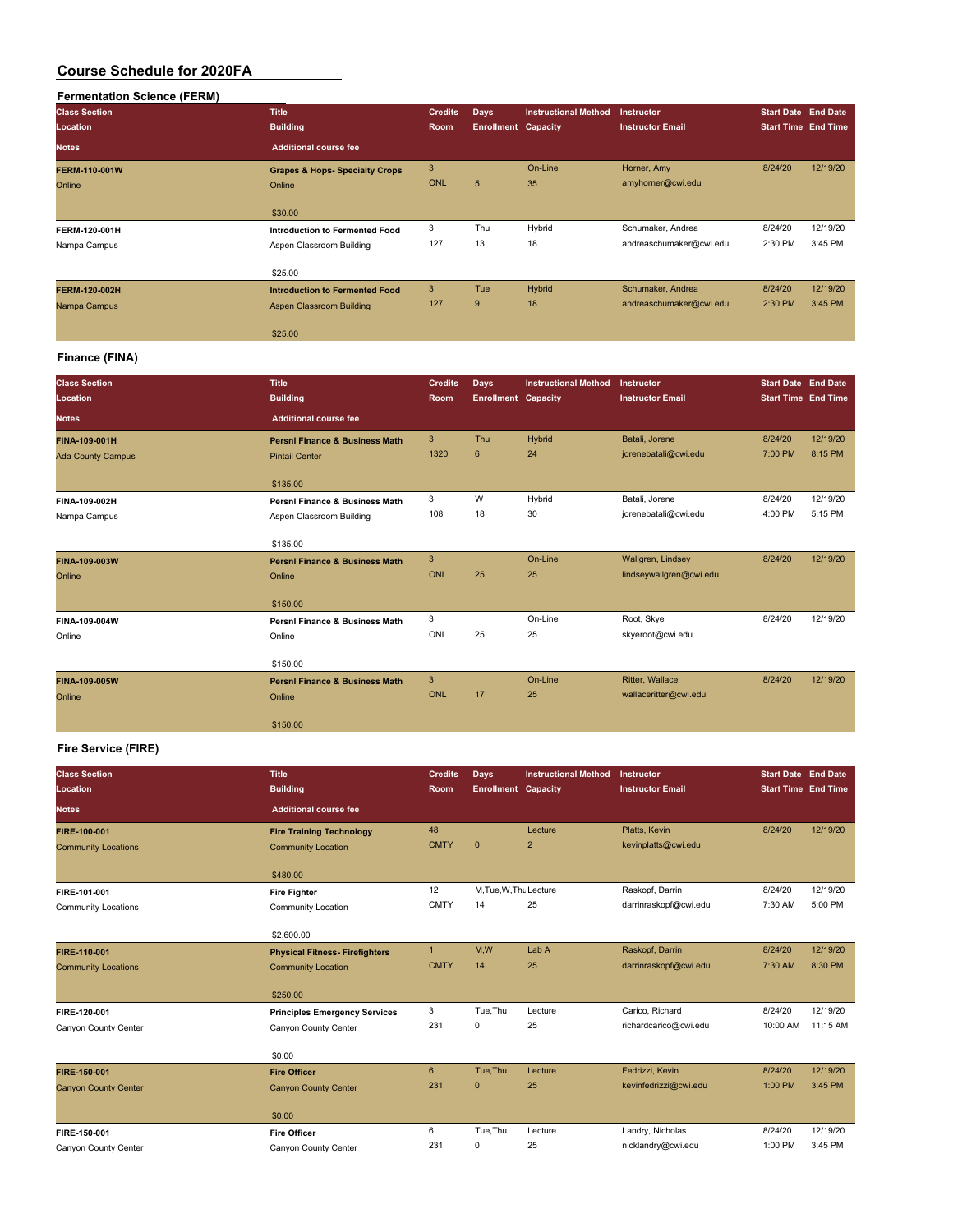| <b>Fermentation Science (FERM)</b> |                                           |                |                            |                             |                         |                            |          |
|------------------------------------|-------------------------------------------|----------------|----------------------------|-----------------------------|-------------------------|----------------------------|----------|
| <b>Class Section</b>               | <b>Title</b>                              | <b>Credits</b> | <b>Days</b>                | <b>Instructional Method</b> | Instructor              | <b>Start Date End Date</b> |          |
| Location                           | <b>Building</b>                           | Room           | <b>Enrollment Capacity</b> |                             | <b>Instructor Email</b> | <b>Start Time End Time</b> |          |
| <b>Notes</b>                       | <b>Additional course fee</b>              |                |                            |                             |                         |                            |          |
| <b>FERM-110-001W</b>               | <b>Grapes &amp; Hops- Specialty Crops</b> | 3              |                            | On-Line                     | Horner, Amy             | 8/24/20                    | 12/19/20 |
| Online                             | Online                                    | <b>ONL</b>     | 5                          | 35                          | amyhorner@cwi.edu       |                            |          |
|                                    | \$30.00                                   |                |                            |                             |                         |                            |          |
| FERM-120-001H                      | Introduction to Fermented Food            | 3              | Thu                        | Hybrid                      | Schumaker, Andrea       | 8/24/20                    | 12/19/20 |
| Nampa Campus                       | Aspen Classroom Building                  | 127            | 13                         | 18                          | andreaschumaker@cwi.edu | 2:30 PM                    | 3:45 PM  |
|                                    | \$25.00                                   |                |                            |                             |                         |                            |          |
| <b>FERM-120-002H</b>               | <b>Introduction to Fermented Food</b>     | 3              | Tue                        | Hybrid                      | Schumaker, Andrea       | 8/24/20                    | 12/19/20 |
| Nampa Campus                       | <b>Aspen Classroom Building</b>           | 127            | 9                          | 18                          | andreaschumaker@cwi.edu | 2:30 PM                    | 3:45 PM  |
|                                    | \$25.00                                   |                |                            |                             |                         |                            |          |
|                                    |                                           |                |                            |                             |                         |                            |          |

#### **Finance (FINA)**

| <b>Class Section</b><br>Location | <b>Title</b><br><b>Building</b>           | <b>Credits</b><br>Room | Days<br><b>Enrollment Capacity</b> | <b>Instructional Method</b> | Instructor<br><b>Instructor Email</b> | <b>Start Date End Date</b><br><b>Start Time End Time</b> |          |
|----------------------------------|-------------------------------------------|------------------------|------------------------------------|-----------------------------|---------------------------------------|----------------------------------------------------------|----------|
| <b>Notes</b>                     | <b>Additional course fee</b>              |                        |                                    |                             |                                       |                                                          |          |
| FINA-109-001H                    | <b>Persni Finance &amp; Business Math</b> | 3                      | Thu                                | Hybrid                      | Batali, Jorene                        | 8/24/20                                                  | 12/19/20 |
| <b>Ada County Campus</b>         | <b>Pintail Center</b>                     | 1320                   | $6\phantom{1}$                     | 24                          | jorenebatali@cwi.edu                  | 7:00 PM                                                  | 8:15 PM  |
|                                  | \$135.00                                  |                        |                                    |                             |                                       |                                                          |          |
| FINA-109-002H                    | <b>Persni Finance &amp; Business Math</b> | 3                      | W                                  | Hybrid                      | Batali, Jorene                        | 8/24/20                                                  | 12/19/20 |
| Nampa Campus                     | Aspen Classroom Building                  | 108                    | 18                                 | 30                          | jorenebatali@cwi.edu                  | 4:00 PM                                                  | 5:15 PM  |
|                                  | \$135.00                                  |                        |                                    |                             |                                       |                                                          |          |
| FINA-109-003W                    | <b>Persni Finance &amp; Business Math</b> | 3                      |                                    | On-Line                     | Wallgren, Lindsey                     | 8/24/20                                                  | 12/19/20 |
| Online                           | Online                                    | <b>ONL</b>             | 25                                 | 25                          | lindseywallgren@cwi.edu               |                                                          |          |
|                                  | \$150.00                                  |                        |                                    |                             |                                       |                                                          |          |
| FINA-109-004W                    | <b>Persni Finance &amp; Business Math</b> | 3                      |                                    | On-Line                     | Root, Skye                            | 8/24/20                                                  | 12/19/20 |
| Online                           | Online                                    | <b>ONL</b>             | 25                                 | 25                          | skyeroot@cwi.edu                      |                                                          |          |
|                                  | \$150.00                                  |                        |                                    |                             |                                       |                                                          |          |
| FINA-109-005W                    | <b>Persni Finance &amp; Business Math</b> | 3                      |                                    | On-Line                     | Ritter, Wallace                       | 8/24/20                                                  | 12/19/20 |
| Online                           | Online                                    | <b>ONL</b>             | 17                                 | 25                          | wallaceritter@cwi.edu                 |                                                          |          |
|                                  | \$150.00                                  |                        |                                    |                             |                                       |                                                          |          |

#### **Fire Service (FIRE)**

| <b>Class Section</b><br>Location | <b>Title</b><br><b>Building</b>       | <b>Credits</b><br>Room | Days<br><b>Enrollment Capacity</b> | <b>Instructional Method</b> | Instructor<br><b>Instructor Email</b> | <b>Start Date End Date</b><br><b>Start Time End Time</b> |          |
|----------------------------------|---------------------------------------|------------------------|------------------------------------|-----------------------------|---------------------------------------|----------------------------------------------------------|----------|
| <b>Notes</b>                     | <b>Additional course fee</b>          |                        |                                    |                             |                                       |                                                          |          |
| FIRE-100-001                     | <b>Fire Training Technology</b>       | 48                     |                                    | Lecture                     | Platts, Kevin                         | 8/24/20                                                  | 12/19/20 |
| <b>Community Locations</b>       | <b>Community Location</b>             | <b>CMTY</b>            | $\overline{0}$                     | $\overline{2}$              | kevinplatts@cwi.edu                   |                                                          |          |
|                                  | \$480.00                              |                        |                                    |                             |                                       |                                                          |          |
| FIRE-101-001                     | <b>Fire Fighter</b>                   | 12                     | M.Tue, W.Thu Lecture               |                             | Raskopf, Darrin                       | 8/24/20                                                  | 12/19/20 |
| <b>Community Locations</b>       | Community Location                    | <b>CMTY</b>            | 14                                 | 25                          | darrinraskopf@cwi.edu                 | 7:30 AM                                                  | 5:00 PM  |
|                                  | \$2,600.00                            |                        |                                    |                             |                                       |                                                          |          |
| FIRE-110-001                     | <b>Physical Fitness- Firefighters</b> | $\mathbf{1}$           | M,W                                | Lab A                       | Raskopf, Darrin                       | 8/24/20                                                  | 12/19/20 |
| <b>Community Locations</b>       | <b>Community Location</b>             | <b>CMTY</b>            | 14                                 | 25                          | darrinraskopf@cwi.edu                 | 7:30 AM                                                  | 8:30 PM  |
|                                  | \$250.00                              |                        |                                    |                             |                                       |                                                          |          |
| FIRE-120-001                     | <b>Principles Emergency Services</b>  | 3                      | Tue, Thu                           | Lecture                     | Carico, Richard                       | 8/24/20                                                  | 12/19/20 |
| Canyon County Center             | Canyon County Center                  | 231                    | 0                                  | 25                          | richardcarico@cwi.edu                 | 10:00 AM                                                 | 11:15 AM |
|                                  | \$0.00                                |                        |                                    |                             |                                       |                                                          |          |
| FIRE-150-001                     | <b>Fire Officer</b>                   | 6                      | Tue.Thu                            | Lecture                     | Fedrizzi, Kevin                       | 8/24/20                                                  | 12/19/20 |
| <b>Canyon County Center</b>      | <b>Canyon County Center</b>           | 231                    | $\mathbf{0}$                       | 25                          | kevinfedrizzi@cwi.edu                 | 1:00 PM                                                  | 3:45 PM  |
|                                  | \$0.00                                |                        |                                    |                             |                                       |                                                          |          |
| FIRE-150-001                     | <b>Fire Officer</b>                   | 6                      | Tue, Thu                           | Lecture                     | Landry, Nicholas                      | 8/24/20                                                  | 12/19/20 |
| Canyon County Center             | Canyon County Center                  | 231                    | 0                                  | 25                          | nicklandry@cwi.edu                    | 1:00 PM                                                  | 3:45 PM  |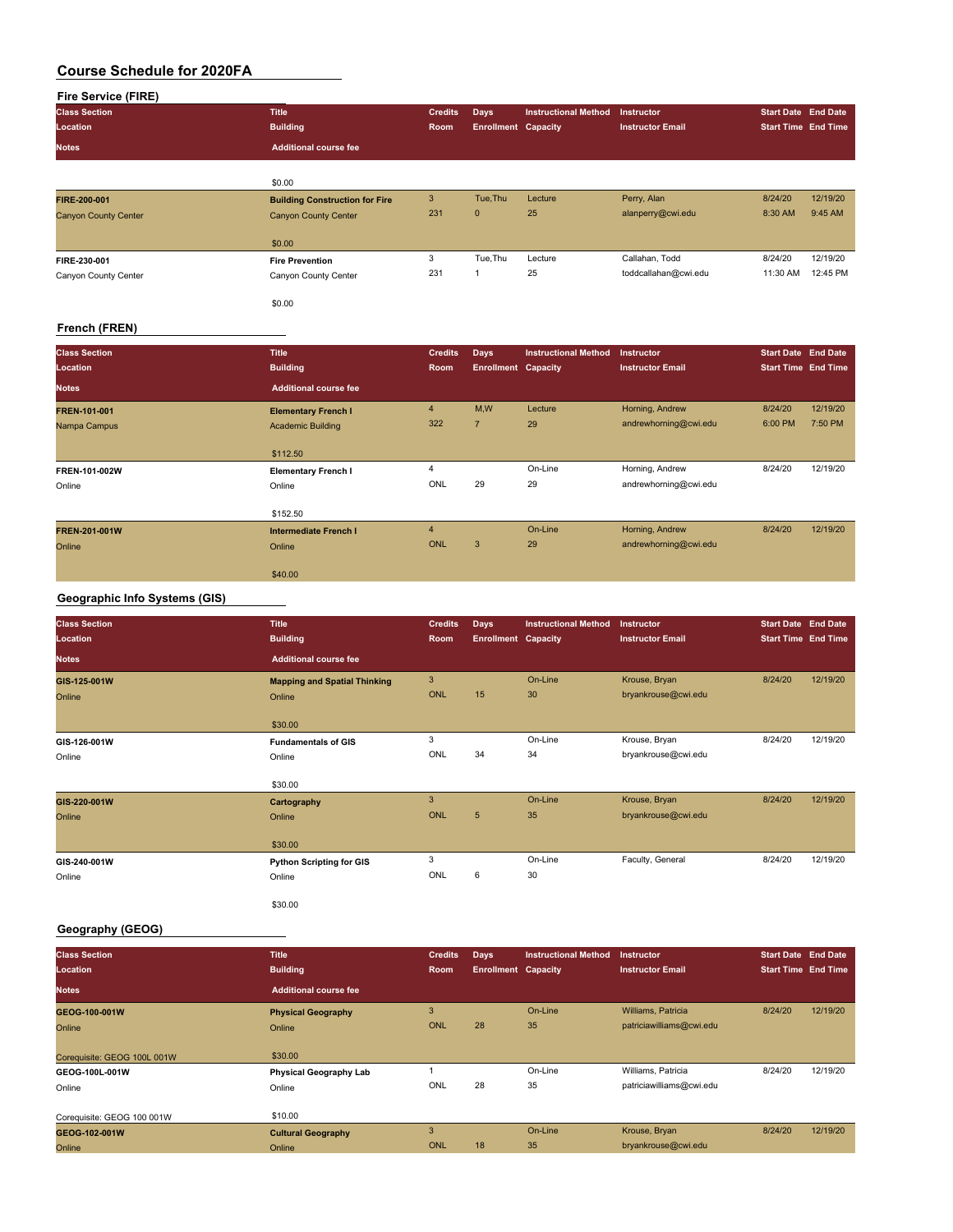|  | <b>Fire Service (FIRE)</b> |
|--|----------------------------|

| Fire Service (FIRE)         |                                       |                |                            |                             |                         |                            |          |
|-----------------------------|---------------------------------------|----------------|----------------------------|-----------------------------|-------------------------|----------------------------|----------|
| <b>Class Section</b>        | <b>Title</b>                          | <b>Credits</b> | <b>Days</b>                | <b>Instructional Method</b> | Instructor              | <b>Start Date End Date</b> |          |
| Location                    | <b>Building</b>                       | Room           | <b>Enrollment Capacity</b> |                             | <b>Instructor Email</b> | <b>Start Time End Time</b> |          |
| <b>Notes</b>                | <b>Additional course fee</b>          |                |                            |                             |                         |                            |          |
|                             | \$0.00                                |                |                            |                             |                         |                            |          |
| FIRE-200-001                | <b>Building Construction for Fire</b> | 3              | Tue, Thu                   | Lecture                     | Perry, Alan             | 8/24/20                    | 12/19/20 |
| <b>Canyon County Center</b> | <b>Canyon County Center</b>           | 231            | $\mathbf{0}$               | 25                          | alanperry@cwi.edu       | 8:30 AM                    | 9:45 AM  |
|                             | \$0.00                                |                |                            |                             |                         |                            |          |
| FIRE-230-001                | <b>Fire Prevention</b>                | 3              | Tue, Thu                   | Lecture                     | Callahan, Todd          | 8/24/20                    | 12/19/20 |
| Canyon County Center        | Canyon County Center                  | 231            | 1                          | 25                          | toddcallahan@cwi.edu    | 11:30 AM                   | 12:45 PM |
|                             | \$0.00                                |                |                            |                             |                         |                            |          |
| French (FREN)               |                                       |                |                            |                             |                         |                            |          |
| <b>Class Section</b>        | <b>Title</b>                          | <b>Credits</b> | <b>Days</b>                | <b>Instructional Method</b> | Instructor              | <b>Start Date End Date</b> |          |
| Location                    | <b>Building</b>                       | Room           | <b>Enrollment Capacity</b> |                             | <b>Instructor Email</b> | <b>Start Time End Time</b> |          |
| <b>Notes</b>                | <b>Additional course fee</b>          |                |                            |                             |                         |                            |          |
| FREN-101-001                | <b>Elementary French I</b>            | 4              | M,W                        | Lecture                     | Horning, Andrew         | 8/24/20                    | 12/19/20 |
| Nampa Campus                | <b>Academic Building</b>              | 322            | $\overline{7}$             | 29                          | andrewhorning@cwi.edu   | 6:00 PM                    | 7:50 PM  |
|                             | \$112.50                              |                |                            |                             |                         |                            |          |

| Online               | Online                | ONL        | 29 | 29      | andrewhorning@cwi.edu |         |          |
|----------------------|-----------------------|------------|----|---------|-----------------------|---------|----------|
|                      | \$152.50              |            |    |         |                       |         |          |
| <b>FREN-201-001W</b> | Intermediate French I |            |    | On-Line | Horning, Andrew       | 8/24/20 | 12/19/20 |
| Online               | Online                | <b>ONL</b> | 3  | 29      | andrewhorning@cwi.edu |         |          |
|                      | \$40.00               |            |    |         |                       |         |          |

**FREN-101-002W Elementary French I** 4 On-Line Horning, Andrew 8/24/20 12/19/20

#### **Geographic Info Systems (GIS)**

| <b>Class Section</b><br>Location | <b>Title</b><br><b>Building</b>     | <b>Credits</b><br>Room | Days<br><b>Enrollment Capacity</b> | <b>Instructional Method</b> | Instructor<br><b>Instructor Email</b> | <b>Start Date End Date</b><br><b>Start Time End Time</b> |          |
|----------------------------------|-------------------------------------|------------------------|------------------------------------|-----------------------------|---------------------------------------|----------------------------------------------------------|----------|
| <b>Notes</b>                     | <b>Additional course fee</b>        |                        |                                    |                             |                                       |                                                          |          |
| GIS-125-001W                     | <b>Mapping and Spatial Thinking</b> | $\mathbf{3}$           |                                    | On-Line                     | Krouse, Bryan                         | 8/24/20                                                  | 12/19/20 |
| Online                           | Online                              | ONL                    | 15                                 | 30                          | bryankrouse@cwi.edu                   |                                                          |          |
|                                  | \$30.00                             |                        |                                    |                             |                                       |                                                          |          |
| GIS-126-001W                     | <b>Fundamentals of GIS</b>          | 3                      |                                    | On-Line                     | Krouse, Bryan                         | 8/24/20                                                  | 12/19/20 |
| Online                           | Online                              | ONL                    | 34                                 | 34                          | bryankrouse@cwi.edu                   |                                                          |          |
|                                  | \$30.00                             |                        |                                    |                             |                                       |                                                          |          |
| GIS-220-001W                     | Cartography                         | 3                      |                                    | On-Line                     | Krouse, Bryan                         | 8/24/20                                                  | 12/19/20 |
| Online                           | Online                              | <b>ONL</b>             | $5\phantom{.0}$                    | 35                          | bryankrouse@cwi.edu                   |                                                          |          |
|                                  | \$30.00                             |                        |                                    |                             |                                       |                                                          |          |
| GIS-240-001W                     | <b>Python Scripting for GIS</b>     | 3                      |                                    | On-Line                     | Faculty, General                      | 8/24/20                                                  | 12/19/20 |
| Online                           | Online                              | ONL                    | 6                                  | 30                          |                                       |                                                          |          |
|                                  | \$30.00                             |                        |                                    |                             |                                       |                                                          |          |

#### **Geography (GEOG)**

| <b>Class Section</b>        | <b>Title</b>                  | <b>Credits</b> | Days                       | <b>Instructional Method</b> | <b>Instructor</b>        | Start Date End Date        |          |
|-----------------------------|-------------------------------|----------------|----------------------------|-----------------------------|--------------------------|----------------------------|----------|
| Location                    | <b>Building</b>               | <b>Room</b>    | <b>Enrollment Capacity</b> |                             | <b>Instructor Email</b>  | <b>Start Time End Time</b> |          |
| <b>Notes</b>                | <b>Additional course fee</b>  |                |                            |                             |                          |                            |          |
| GEOG-100-001W               | <b>Physical Geography</b>     | 3              |                            | On-Line                     | Williams, Patricia       | 8/24/20                    | 12/19/20 |
| Online                      | Online                        | <b>ONL</b>     | 28                         | 35                          | patriciawilliams@cwi.edu |                            |          |
|                             |                               |                |                            |                             |                          |                            |          |
| Coreguisite: GEOG 100L 001W | \$30.00                       |                |                            |                             |                          |                            |          |
| GEOG-100L-001W              | <b>Physical Geography Lab</b> |                |                            | On-Line                     | Williams, Patricia       | 8/24/20                    | 12/19/20 |
| Online                      | Online                        | ONL            | 28                         | 35                          | patriciawilliams@cwi.edu |                            |          |
|                             |                               |                |                            |                             |                          |                            |          |
| Corequisite: GEOG 100 001W  | \$10.00                       |                |                            |                             |                          |                            |          |
| GEOG-102-001W               | <b>Cultural Geography</b>     | 3              |                            | On-Line                     | Krouse, Bryan            | 8/24/20                    | 12/19/20 |
| Online                      | Online                        | <b>ONL</b>     | 18                         | 35                          | bryankrouse@cwi.edu      |                            |          |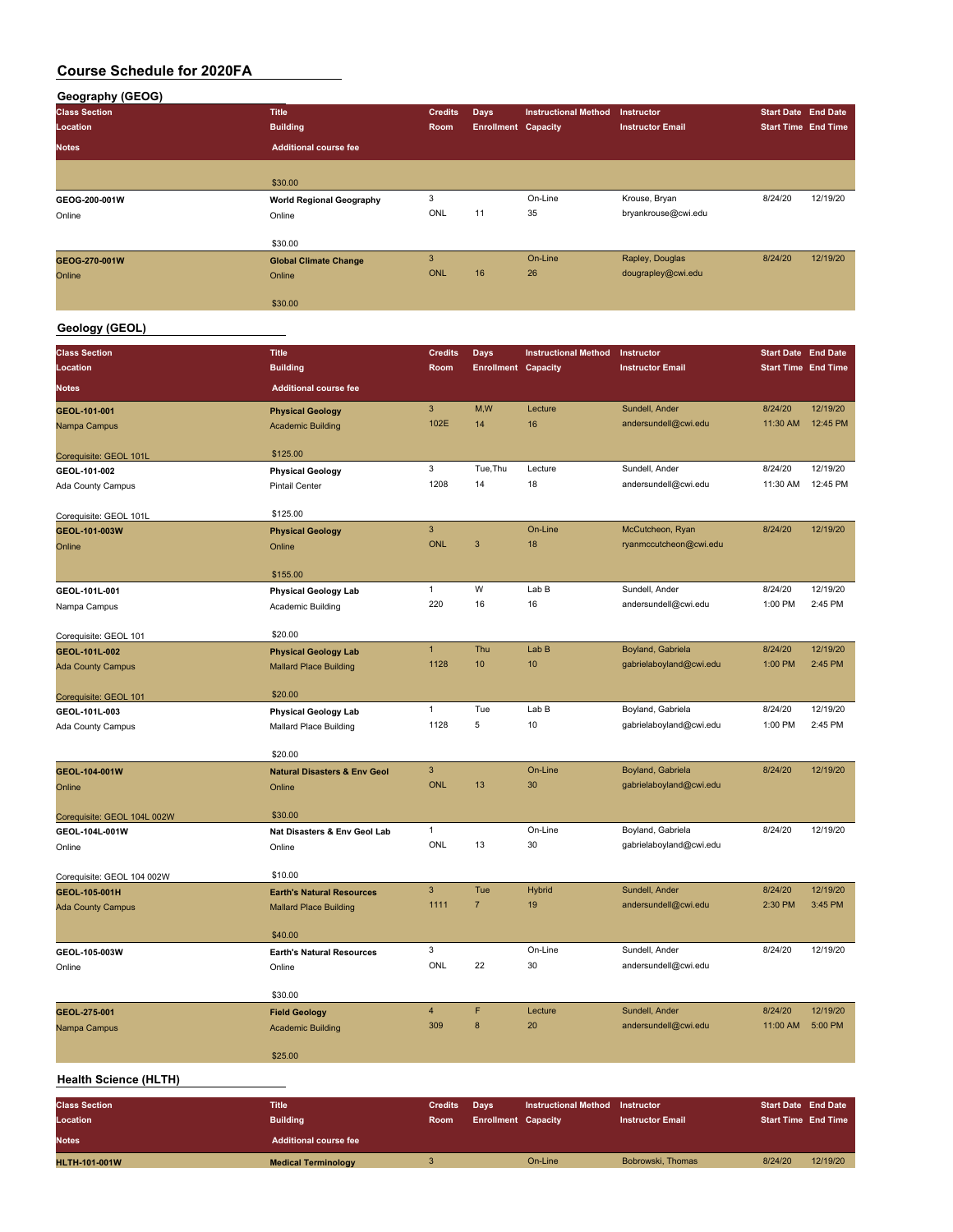#### **Geography (GEOG)**

| <b>Class Section</b> | <b>Title</b>                    | <b>Credits</b> | <b>Days</b>                | <b>Instructional Method</b> | <b>Instructor</b>       | <b>Start Date End Date</b> |          |
|----------------------|---------------------------------|----------------|----------------------------|-----------------------------|-------------------------|----------------------------|----------|
| Location             | <b>Building</b>                 | Room           | <b>Enrollment Capacity</b> |                             | <b>Instructor Email</b> | <b>Start Time End Time</b> |          |
| <b>Notes</b>         | <b>Additional course fee</b>    |                |                            |                             |                         |                            |          |
|                      |                                 |                |                            |                             |                         |                            |          |
|                      | \$30.00                         |                |                            |                             |                         |                            |          |
| GEOG-200-001W        | <b>World Regional Geography</b> | 3              |                            | On-Line                     | Krouse, Bryan           | 8/24/20                    | 12/19/20 |
| Online               | Online                          | ONL            | 11                         | 35                          | bryankrouse@cwi.edu     |                            |          |
|                      | \$30.00                         |                |                            |                             |                         |                            |          |
| GEOG-270-001W        | <b>Global Climate Change</b>    | 3              |                            | On-Line                     | Rapley, Douglas         | 8/24/20                    | 12/19/20 |
| Online               | Online                          | <b>ONL</b>     | 16                         | 26                          | dougrapley@cwi.edu      |                            |          |
|                      | \$30.00                         |                |                            |                             |                         |                            |          |

# **Geology (GEOL)**

| <b>Class Section</b>         | <b>Title</b>                            | <b>Credits</b>            | <b>Days</b>                | <b>Instructional Method</b> | Instructor                             | <b>Start Date End Date</b> |          |
|------------------------------|-----------------------------------------|---------------------------|----------------------------|-----------------------------|----------------------------------------|----------------------------|----------|
| Location                     | <b>Building</b>                         | Room                      | <b>Enrollment Capacity</b> |                             | <b>Instructor Email</b>                | <b>Start Time End Time</b> |          |
| <b>Notes</b>                 | <b>Additional course fee</b>            |                           |                            |                             |                                        |                            |          |
| GEOL-101-001                 | <b>Physical Geology</b>                 | 3                         | M,W                        | Lecture                     | Sundell, Ander                         | 8/24/20                    | 12/19/20 |
| Nampa Campus                 | <b>Academic Building</b>                | 102E                      | 14                         | 16                          | andersundell@cwi.edu                   | 11:30 AM                   | 12:45 PM |
|                              |                                         |                           |                            |                             |                                        |                            |          |
| Corequisite: GEOL 101L       | \$125.00                                |                           |                            |                             |                                        |                            |          |
| GEOL-101-002                 | <b>Physical Geology</b>                 | 3                         | Tue, Thu                   | Lecture                     | Sundell, Ander                         | 8/24/20                    | 12/19/20 |
| Ada County Campus            | <b>Pintail Center</b>                   | 1208                      | 14                         | 18                          | andersundell@cwi.edu                   | 11:30 AM                   | 12:45 PM |
| Corequisite: GEOL 101L       | \$125.00                                |                           |                            |                             |                                        |                            |          |
| GEOL-101-003W                | <b>Physical Geology</b>                 | $\mathbf{3}$              |                            | On-Line                     | McCutcheon, Ryan                       | 8/24/20                    | 12/19/20 |
| Online                       | Online                                  | <b>ONL</b>                | 3                          | 18                          | ryanmccutcheon@cwi.edu                 |                            |          |
|                              |                                         |                           |                            |                             |                                        |                            |          |
|                              | \$155.00                                |                           |                            |                             |                                        |                            |          |
| GEOL-101L-001                | <b>Physical Geology Lab</b>             | 1                         | W                          | Lab B                       | Sundell, Ander                         | 8/24/20                    | 12/19/20 |
| Nampa Campus                 | Academic Building                       | 220                       | 16                         | 16                          | andersundell@cwi.edu                   | 1:00 PM                    | 2:45 PM  |
| Corequisite: GEOL 101        | \$20.00                                 |                           |                            |                             |                                        |                            |          |
| GEOL-101L-002                | <b>Physical Geology Lab</b>             | $\mathbf{1}$              | Thu                        | Lab B                       | Boyland, Gabriela                      | 8/24/20                    | 12/19/20 |
| <b>Ada County Campus</b>     | <b>Mallard Place Building</b>           | 1128                      | 10                         | 10                          | gabrielaboyland@cwi.edu                | 1:00 PM                    | 2:45 PM  |
|                              |                                         |                           |                            |                             |                                        |                            |          |
| Corequisite: GEOL 101        | \$20.00                                 |                           |                            |                             |                                        |                            |          |
| GEOL-101L-003                | <b>Physical Geology Lab</b>             | 1                         | Tue                        | Lab B                       | Boyland, Gabriela                      | 8/24/20                    | 12/19/20 |
| Ada County Campus            | Mallard Place Building                  | 1128                      | 5                          | 10                          | gabrielaboyland@cwi.edu                | 1:00 PM                    | 2:45 PM  |
|                              | \$20.00                                 |                           |                            |                             |                                        |                            |          |
| GEOL-104-001W                | <b>Natural Disasters &amp; Env Geol</b> | 3                         |                            | On-Line                     | Boyland, Gabriela                      | 8/24/20                    | 12/19/20 |
| Online                       | Online                                  | <b>ONL</b>                | 13                         | 30                          | gabrielaboyland@cwi.edu                |                            |          |
|                              |                                         |                           |                            |                             |                                        |                            |          |
| Corequisite: GEOL 104L 002W  | \$30.00                                 |                           |                            |                             |                                        |                            |          |
| GEOL-104L-001W               | Nat Disasters & Env Geol Lab            | 1                         |                            | On-Line                     | Boyland, Gabriela                      | 8/24/20                    | 12/19/20 |
| Online                       | Online                                  | ONL                       | 13                         | 30                          | gabrielaboyland@cwi.edu                |                            |          |
| Corequisite: GEOL 104 002W   | \$10.00                                 |                           |                            |                             |                                        |                            |          |
| GEOL-105-001H                | <b>Earth's Natural Resources</b>        | 3                         | Tue                        | <b>Hybrid</b>               | Sundell, Ander                         | 8/24/20                    | 12/19/20 |
| <b>Ada County Campus</b>     | <b>Mallard Place Building</b>           | 1111                      | $\overline{7}$             | 19                          | andersundell@cwi.edu                   | 2:30 PM                    | 3:45 PM  |
|                              |                                         |                           |                            |                             |                                        |                            |          |
|                              | \$40.00                                 |                           |                            |                             |                                        |                            |          |
| GEOL-105-003W                | <b>Earth's Natural Resources</b>        | 3<br>ONL                  | 22                         | On-Line<br>30               | Sundell, Ander<br>andersundell@cwi.edu | 8/24/20                    | 12/19/20 |
| Online                       | Online                                  |                           |                            |                             |                                        |                            |          |
|                              | \$30.00                                 |                           |                            |                             |                                        |                            |          |
| GEOL-275-001                 | <b>Field Geology</b>                    | 4                         | F                          | Lecture                     | Sundell, Ander                         | 8/24/20                    | 12/19/20 |
| Nampa Campus                 | <b>Academic Building</b>                | 309                       | 8                          | 20                          | andersundell@cwi.edu                   | 11:00 AM                   | 5:00 PM  |
|                              |                                         |                           |                            |                             |                                        |                            |          |
|                              | \$25.00                                 |                           |                            |                             |                                        |                            |          |
| <b>Health Science (HLTH)</b> |                                         |                           |                            |                             |                                        |                            |          |
| <b>Class Section</b>         | <b>Title</b>                            | <b>Credits</b>            | <b>Days</b>                | <b>Instructional Method</b> | Instructor                             | <b>Start Date End Date</b> |          |
| Location                     | <b>Building</b>                         | Room                      | <b>Enrollment Capacity</b> |                             | <b>Instructor Email</b>                | <b>Start Time End Time</b> |          |
| <b>Notes</b>                 | <b>Additional course fee</b>            |                           |                            |                             |                                        |                            |          |
| <b>HLTH-101-001W</b>         | <b>Medical Terminology</b>              | $\ensuremath{\mathsf{3}}$ |                            | On-Line                     | Bobrowski, Thomas                      | 8/24/20                    | 12/19/20 |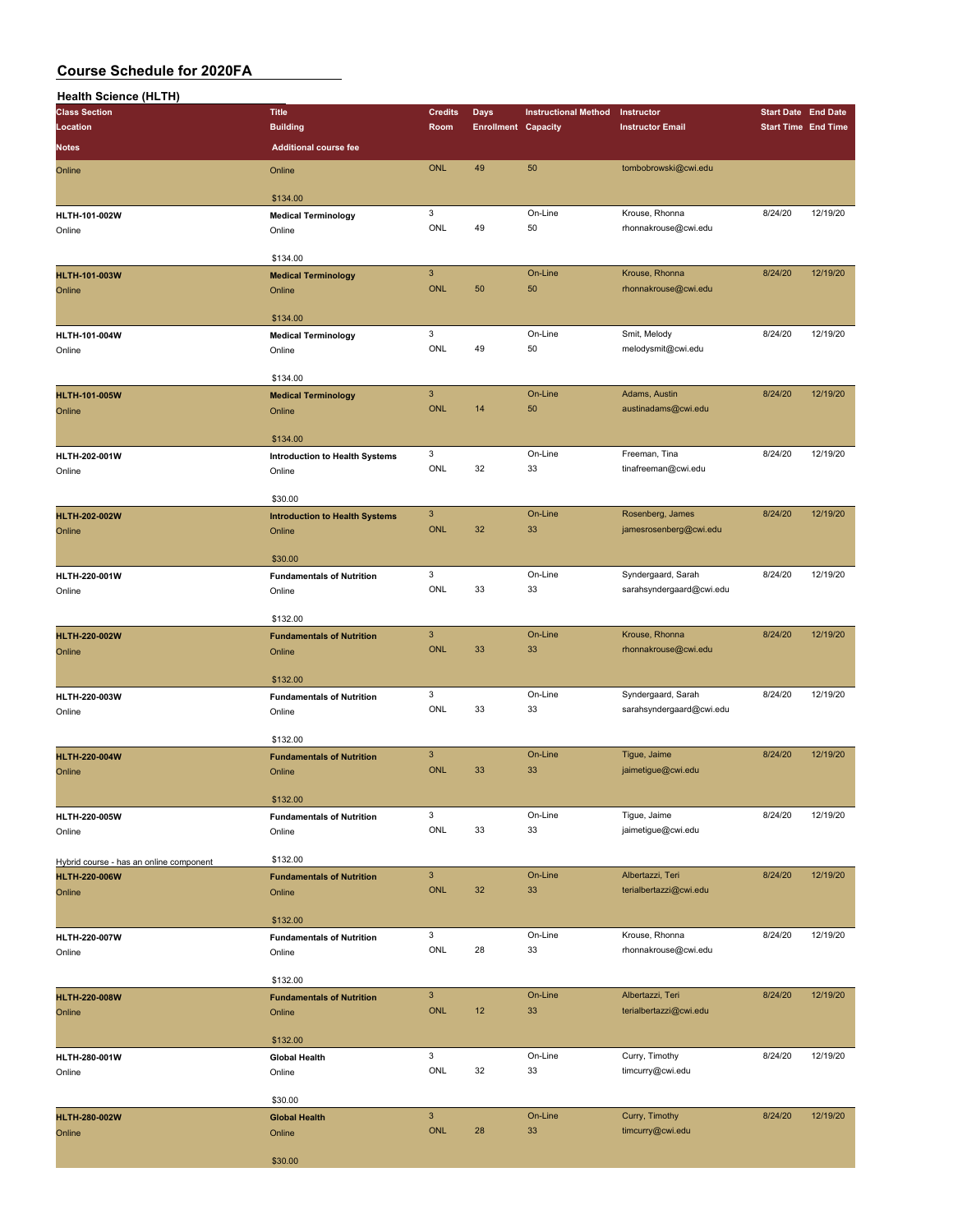| <b>Health Science (HLTH)</b>            |                                                 |                           |                            |                             |                          |                            |                            |
|-----------------------------------------|-------------------------------------------------|---------------------------|----------------------------|-----------------------------|--------------------------|----------------------------|----------------------------|
| <b>Class Section</b>                    | <b>Title</b>                                    | <b>Credits</b>            | Days                       | <b>Instructional Method</b> | Instructor               | <b>Start Date End Date</b> |                            |
| Location                                | <b>Building</b>                                 | Room                      | <b>Enrollment Capacity</b> |                             | <b>Instructor Email</b>  |                            | <b>Start Time End Time</b> |
| Notes                                   | <b>Additional course fee</b>                    |                           |                            |                             |                          |                            |                            |
| Online                                  | Online                                          | <b>ONL</b>                | 49                         | 50                          | tombobrowski@cwi.edu     |                            |                            |
|                                         |                                                 |                           |                            |                             |                          |                            |                            |
|                                         | \$134.00                                        |                           |                            |                             |                          |                            |                            |
| HLTH-101-002W                           | <b>Medical Terminology</b>                      | 3                         |                            | On-Line                     | Krouse, Rhonna           | 8/24/20                    | 12/19/20                   |
| Online                                  | Online                                          | ONL                       | 49                         | 50                          | rhonnakrouse@cwi.edu     |                            |                            |
|                                         |                                                 |                           |                            |                             |                          |                            |                            |
|                                         | \$134.00                                        |                           |                            |                             |                          |                            |                            |
| <b>HLTH-101-003W</b>                    | <b>Medical Terminology</b>                      | $\mathsf 3$               |                            | On-Line                     | Krouse, Rhonna           | 8/24/20                    | 12/19/20                   |
| Online                                  | Online                                          | <b>ONL</b>                | 50                         | 50                          | rhonnakrouse@cwi.edu     |                            |                            |
|                                         |                                                 |                           |                            |                             |                          |                            |                            |
|                                         | \$134.00                                        |                           |                            |                             |                          |                            |                            |
| HLTH-101-004W                           | <b>Medical Terminology</b>                      | 3                         |                            | On-Line                     | Smit, Melody             | 8/24/20                    | 12/19/20                   |
| Online                                  | Online                                          | ONL                       | 49                         | 50                          | melodysmit@cwi.edu       |                            |                            |
|                                         |                                                 |                           |                            |                             |                          |                            |                            |
|                                         | \$134.00                                        |                           |                            |                             |                          |                            |                            |
| <b>HLTH-101-005W</b>                    | <b>Medical Terminology</b>                      | $\mathbf{3}$              |                            | On-Line                     | Adams, Austin            | 8/24/20                    | 12/19/20                   |
| Online                                  | Online                                          | <b>ONL</b>                | 14                         | 50                          | austinadams@cwi.edu      |                            |                            |
|                                         | \$134.00                                        |                           |                            |                             |                          |                            |                            |
|                                         |                                                 | 3                         |                            | On-Line                     | Freeman, Tina            | 8/24/20                    | 12/19/20                   |
| HLTH-202-001W                           | <b>Introduction to Health Systems</b><br>Online | ONL                       | 32                         | 33                          | tinafreeman@cwi.edu      |                            |                            |
| Online                                  |                                                 |                           |                            |                             |                          |                            |                            |
|                                         | \$30.00                                         |                           |                            |                             |                          |                            |                            |
| <b>HLTH-202-002W</b>                    | <b>Introduction to Health Systems</b>           | $\mathbf{3}$              |                            | On-Line                     | Rosenberg, James         | 8/24/20                    | 12/19/20                   |
| Online                                  | Online                                          | ONL                       | 32                         | 33                          | jamesrosenberg@cwi.edu   |                            |                            |
|                                         |                                                 |                           |                            |                             |                          |                            |                            |
|                                         | \$30.00                                         |                           |                            |                             |                          |                            |                            |
| HLTH-220-001W                           | <b>Fundamentals of Nutrition</b>                | 3                         |                            | On-Line                     | Syndergaard, Sarah       | 8/24/20                    | 12/19/20                   |
| Online                                  | Online                                          | ONL                       | 33                         | 33                          | sarahsyndergaard@cwi.edu |                            |                            |
|                                         |                                                 |                           |                            |                             |                          |                            |                            |
|                                         | \$132.00                                        |                           |                            |                             |                          |                            |                            |
| <b>HLTH-220-002W</b>                    | <b>Fundamentals of Nutrition</b>                | $\ensuremath{\mathsf{3}}$ |                            | On-Line                     | Krouse, Rhonna           | 8/24/20                    | 12/19/20                   |
| Online                                  | Online                                          | <b>ONL</b>                | 33                         | 33                          | rhonnakrouse@cwi.edu     |                            |                            |
|                                         |                                                 |                           |                            |                             |                          |                            |                            |
|                                         | \$132.00                                        |                           |                            |                             |                          |                            |                            |
| HLTH-220-003W                           | <b>Fundamentals of Nutrition</b>                | 3                         |                            | On-Line                     | Syndergaard, Sarah       | 8/24/20                    | 12/19/20                   |
| Online                                  | Online                                          | ONL                       | 33                         | 33                          | sarahsyndergaard@cwi.edu |                            |                            |
|                                         | \$132.00                                        |                           |                            |                             |                          |                            |                            |
|                                         |                                                 | $\mathbf{3}$              |                            | On-Line                     | Tigue, Jaime             | 8/24/20                    | 12/19/20                   |
| <b>HLTH-220-004W</b>                    | <b>Fundamentals of Nutrition</b>                | ONL                       | 33                         | 33                          | jaimetigue@cwi.edu       |                            |                            |
| Online                                  | Online                                          |                           |                            |                             |                          |                            |                            |
|                                         | \$132.00                                        |                           |                            |                             |                          |                            |                            |
| HLTH-220-005W                           | <b>Fundamentals of Nutrition</b>                | 3                         |                            | On-Line                     | Tigue, Jaime             | 8/24/20                    | 12/19/20                   |
| Online                                  | Online                                          | ONL                       | 33                         | 33                          | jaimetigue@cwi.edu       |                            |                            |
|                                         |                                                 |                           |                            |                             |                          |                            |                            |
| Hybrid course - has an online component | \$132.00                                        |                           |                            |                             |                          |                            |                            |
| <b>HLTH-220-006W</b>                    | <b>Fundamentals of Nutrition</b>                | $\mathbf{3}$              |                            | On-Line                     | Albertazzi, Teri         | 8/24/20                    | 12/19/20                   |
| Online                                  | Online                                          | <b>ONL</b>                | 32                         | 33                          | terialbertazzi@cwi.edu   |                            |                            |
|                                         |                                                 |                           |                            |                             |                          |                            |                            |
|                                         | \$132.00                                        |                           |                            |                             |                          |                            |                            |
| HLTH-220-007W                           | <b>Fundamentals of Nutrition</b>                | 3                         |                            | On-Line                     | Krouse, Rhonna           | 8/24/20                    | 12/19/20                   |
| Online                                  | Online                                          | ONL                       | 28                         | 33                          | rhonnakrouse@cwi.edu     |                            |                            |
|                                         |                                                 |                           |                            |                             |                          |                            |                            |
|                                         | \$132.00                                        |                           |                            |                             |                          |                            |                            |
| <b>HLTH-220-008W</b>                    | <b>Fundamentals of Nutrition</b>                | $\mathbf{3}$              |                            | On-Line                     | Albertazzi, Teri         | 8/24/20                    | 12/19/20                   |
| Online                                  | Online                                          | <b>ONL</b>                | 12                         | 33                          | terialbertazzi@cwi.edu   |                            |                            |
|                                         |                                                 |                           |                            |                             |                          |                            |                            |
|                                         | \$132.00                                        |                           |                            |                             |                          |                            |                            |
| HLTH-280-001W                           | <b>Global Health</b>                            | 3                         |                            | On-Line                     | Curry, Timothy           | 8/24/20                    | 12/19/20                   |
| Online                                  | Online                                          | ONL                       | 32                         | 33                          | timcurry@cwi.edu         |                            |                            |
|                                         |                                                 |                           |                            |                             |                          |                            |                            |
|                                         | \$30.00                                         | $\mathsf 3$               |                            |                             |                          |                            |                            |
| <b>HLTH-280-002W</b>                    | <b>Global Health</b>                            | ONL                       | 28                         | On-Line                     | Curry, Timothy           | 8/24/20                    | 12/19/20                   |
| Online                                  | Online                                          |                           |                            | 33                          | timcurry@cwi.edu         |                            |                            |
|                                         | \$30.00                                         |                           |                            |                             |                          |                            |                            |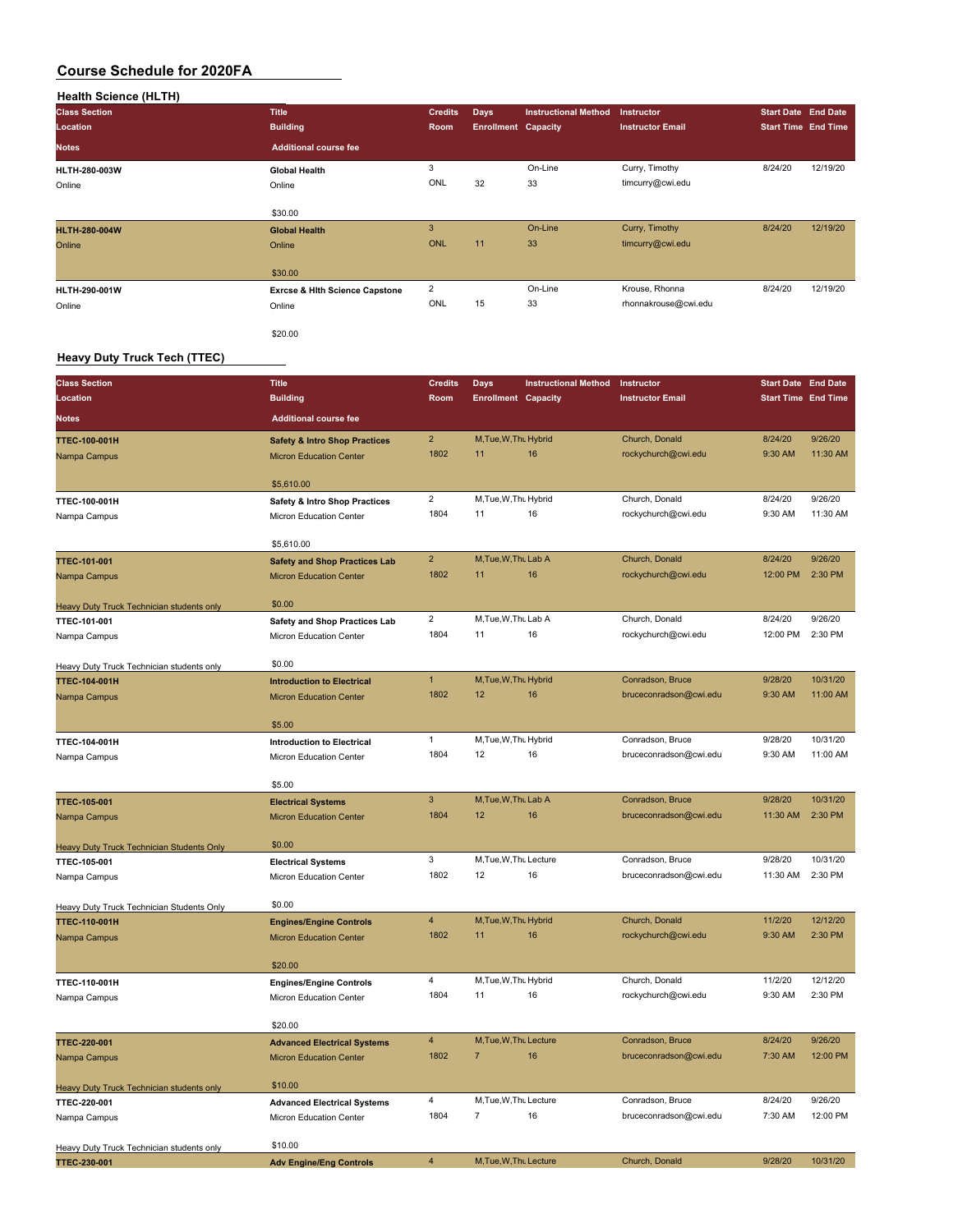| <b>Health Science (HLTH)</b> |                                           |                |                            |                             |                         |                            |                            |
|------------------------------|-------------------------------------------|----------------|----------------------------|-----------------------------|-------------------------|----------------------------|----------------------------|
| <b>Class Section</b>         | <b>Title</b>                              | <b>Credits</b> | <b>Days</b>                | <b>Instructional Method</b> | Instructor              | <b>Start Date End Date</b> |                            |
| Location                     | <b>Building</b>                           | Room           | <b>Enrollment Capacity</b> |                             | <b>Instructor Email</b> |                            | <b>Start Time End Time</b> |
| <b>Notes</b>                 | <b>Additional course fee</b>              |                |                            |                             |                         |                            |                            |
| HLTH-280-003W                | <b>Global Health</b>                      | 3              |                            | On-Line                     | Curry, Timothy          | 8/24/20                    | 12/19/20                   |
| Online                       | Online                                    | ONL            | 32                         | 33                          | timcurry@cwi.edu        |                            |                            |
|                              | \$30.00                                   |                |                            |                             |                         |                            |                            |
| <b>HLTH-280-004W</b>         | <b>Global Health</b>                      | 3              |                            | On-Line                     | Curry, Timothy          | 8/24/20                    | 12/19/20                   |
| Online                       | Online                                    | <b>ONL</b>     | 11                         | 33                          | timcurry@cwi.edu        |                            |                            |
|                              | \$30.00                                   |                |                            |                             |                         |                            |                            |
| HLTH-290-001W                | <b>Exrcse &amp; Hith Science Capstone</b> | $\overline{2}$ |                            | On-Line                     | Krouse, Rhonna          | 8/24/20                    | 12/19/20                   |
| Online                       | Online                                    | ONL            | 15                         | 33                          | rhonnakrouse@cwi.edu    |                            |                            |
|                              | \$20.00                                   |                |                            |                             |                         |                            |                            |

#### **Heavy Duty Truck Tech (TTEC)**

 $\overline{\phantom{a}}$ 

| <b>Class Section</b>                             | <b>Title</b>                             | <b>Credits</b>                  | Days                        | <b>Instructional Method</b> | Instructor                            | <b>Start Date End Date</b> |                     |
|--------------------------------------------------|------------------------------------------|---------------------------------|-----------------------------|-----------------------------|---------------------------------------|----------------------------|---------------------|
| Location                                         | <b>Building</b>                          | Room                            | <b>Enrollment Capacity</b>  |                             | <b>Instructor Email</b>               | <b>Start Time End Time</b> |                     |
| <b>Notes</b>                                     | <b>Additional course fee</b>             |                                 |                             |                             |                                       |                            |                     |
| <b>TTEC-100-001H</b>                             | <b>Safety &amp; Intro Shop Practices</b> | $\overline{2}$                  | M, Tue, W, Thu Hybrid       |                             | Church, Donald                        | 8/24/20                    | 9/26/20             |
| Nampa Campus                                     | <b>Micron Education Center</b>           | 1802                            | 11                          | 16                          | rockychurch@cwi.edu                   | 9:30 AM                    | 11:30 AM            |
|                                                  |                                          |                                 |                             |                             |                                       |                            |                     |
|                                                  | \$5,610.00                               |                                 |                             |                             |                                       |                            |                     |
| TTEC-100-001H                                    | <b>Safety &amp; Intro Shop Practices</b> | $\overline{\mathbf{c}}$<br>1804 | M, Tue, W, Thu Hybrid<br>11 | 16                          | Church, Donald<br>rockychurch@cwi.edu | 8/24/20<br>9:30 AM         | 9/26/20<br>11:30 AM |
| Nampa Campus                                     | Micron Education Center                  |                                 |                             |                             |                                       |                            |                     |
|                                                  | \$5,610.00                               |                                 |                             |                             |                                       |                            |                     |
| TTEC-101-001                                     | <b>Safety and Shop Practices Lab</b>     | $\overline{2}$                  | M, Tue, W, Thu Lab A        |                             | Church, Donald                        | 8/24/20                    | 9/26/20             |
| Nampa Campus                                     | <b>Micron Education Center</b>           | 1802                            | 11                          | 16                          | rockychurch@cwi.edu                   | 12:00 PM                   | 2:30 PM             |
|                                                  |                                          |                                 |                             |                             |                                       |                            |                     |
| Heavy Duty Truck Technician students only        | \$0.00                                   | $\overline{c}$                  | M, Tue, W, Thu Lab A        |                             | Church, Donald                        | 8/24/20                    | 9/26/20             |
| TTEC-101-001                                     | <b>Safety and Shop Practices Lab</b>     | 1804                            | 11                          | 16                          | rockychurch@cwi.edu                   | 12:00 PM                   | 2:30 PM             |
| Nampa Campus                                     | Micron Education Center                  |                                 |                             |                             |                                       |                            |                     |
| Heavy Duty Truck Technician students only        | \$0.00                                   |                                 |                             |                             |                                       |                            |                     |
| <b>TTEC-104-001H</b>                             | <b>Introduction to Electrical</b>        | $\mathbf{1}$                    | M, Tue, W, Thu Hybrid       |                             | Conradson, Bruce                      | 9/28/20                    | 10/31/20            |
| Nampa Campus                                     | <b>Micron Education Center</b>           | 1802                            | 12                          | 16                          | bruceconradson@cwi.edu                | 9:30 AM                    | 11:00 AM            |
|                                                  |                                          |                                 |                             |                             |                                       |                            |                     |
|                                                  | \$5.00                                   |                                 |                             |                             |                                       |                            |                     |
| TTEC-104-001H                                    | <b>Introduction to Electrical</b>        | $\mathbf{1}$                    | M, Tue, W, Thu Hybrid       |                             | Conradson, Bruce                      | 9/28/20                    | 10/31/20            |
| Nampa Campus                                     | Micron Education Center                  | 1804                            | 12                          | 16                          | bruceconradson@cwi.edu                | 9:30 AM                    | 11:00 AM            |
|                                                  | \$5.00                                   |                                 |                             |                             |                                       |                            |                     |
| TTEC-105-001                                     | <b>Electrical Systems</b>                | $\ensuremath{\mathsf{3}}$       | M, Tue, W, Thu Lab A        |                             | Conradson, Bruce                      | 9/28/20                    | 10/31/20            |
| Nampa Campus                                     | <b>Micron Education Center</b>           | 1804                            | 12                          | 16                          | bruceconradson@cwi.edu                | 11:30 AM                   | 2:30 PM             |
| Heavy Duty Truck Technician Students Only        | \$0.00                                   |                                 |                             |                             |                                       |                            |                     |
| TTEC-105-001                                     | <b>Electrical Systems</b>                | 3                               | M.Tue, W.Thu Lecture        |                             | Conradson, Bruce                      | 9/28/20                    | 10/31/20            |
| Nampa Campus                                     | Micron Education Center                  | 1802                            | 12                          | 16                          | bruceconradson@cwi.edu                | 11:30 AM                   | 2:30 PM             |
|                                                  |                                          |                                 |                             |                             |                                       |                            |                     |
| <b>Heavy Duty Truck Technician Students Only</b> | \$0.00                                   |                                 |                             |                             |                                       |                            |                     |
| <b>TTEC-110-001H</b>                             | <b>Engines/Engine Controls</b>           | $\overline{4}$                  | M, Tue, W, Thu Hybrid       |                             | Church, Donald                        | 11/2/20                    | 12/12/20            |
| Nampa Campus                                     | <b>Micron Education Center</b>           | 1802                            | 11                          | 16                          | rockychurch@cwi.edu                   | 9:30 AM                    | 2:30 PM             |
|                                                  | \$20.00                                  |                                 |                             |                             |                                       |                            |                     |
| TTEC-110-001H                                    | <b>Engines/Engine Controls</b>           | 4                               | M, Tue, W, Thu Hybrid       |                             | Church, Donald                        | 11/2/20                    | 12/12/20            |
| Nampa Campus                                     | Micron Education Center                  | 1804                            | 11                          | 16                          | rockychurch@cwi.edu                   | 9:30 AM                    | 2:30 PM             |
|                                                  |                                          |                                 |                             |                             |                                       |                            |                     |
|                                                  | \$20.00                                  |                                 |                             |                             |                                       |                            |                     |
| TTEC-220-001                                     | <b>Advanced Electrical Systems</b>       | $\overline{\mathbf{4}}$         | M, Tue, W, Thu Lecture      |                             | Conradson, Bruce                      | 8/24/20                    | 9/26/20             |
| Nampa Campus                                     | <b>Micron Education Center</b>           | 1802                            | $\overline{7}$              | 16                          | bruceconradson@cwi.edu                | 7:30 AM                    | 12:00 PM            |
| <b>Heavy Duty Truck Technician students only</b> | \$10.00                                  |                                 |                             |                             |                                       |                            |                     |
| TTEC-220-001                                     | <b>Advanced Electrical Systems</b>       | 4                               | M, Tue, W, Thu Lecture      |                             | Conradson, Bruce                      | 8/24/20                    | 9/26/20             |
| Nampa Campus                                     | <b>Micron Education Center</b>           | 1804                            | $\overline{7}$              | 16                          | bruceconradson@cwi.edu                | 7:30 AM                    | 12:00 PM            |
|                                                  |                                          |                                 |                             |                             |                                       |                            |                     |
| Heavy Duty Truck Technician students only        | \$10.00                                  |                                 |                             |                             |                                       |                            |                     |
| TTEC-230-001                                     | <b>Adv Engine/Eng Controls</b>           | $\overline{\mathbf{4}}$         | M, Tue, W, Thu Lecture      |                             | Church, Donald                        | 9/28/20                    | 10/31/20            |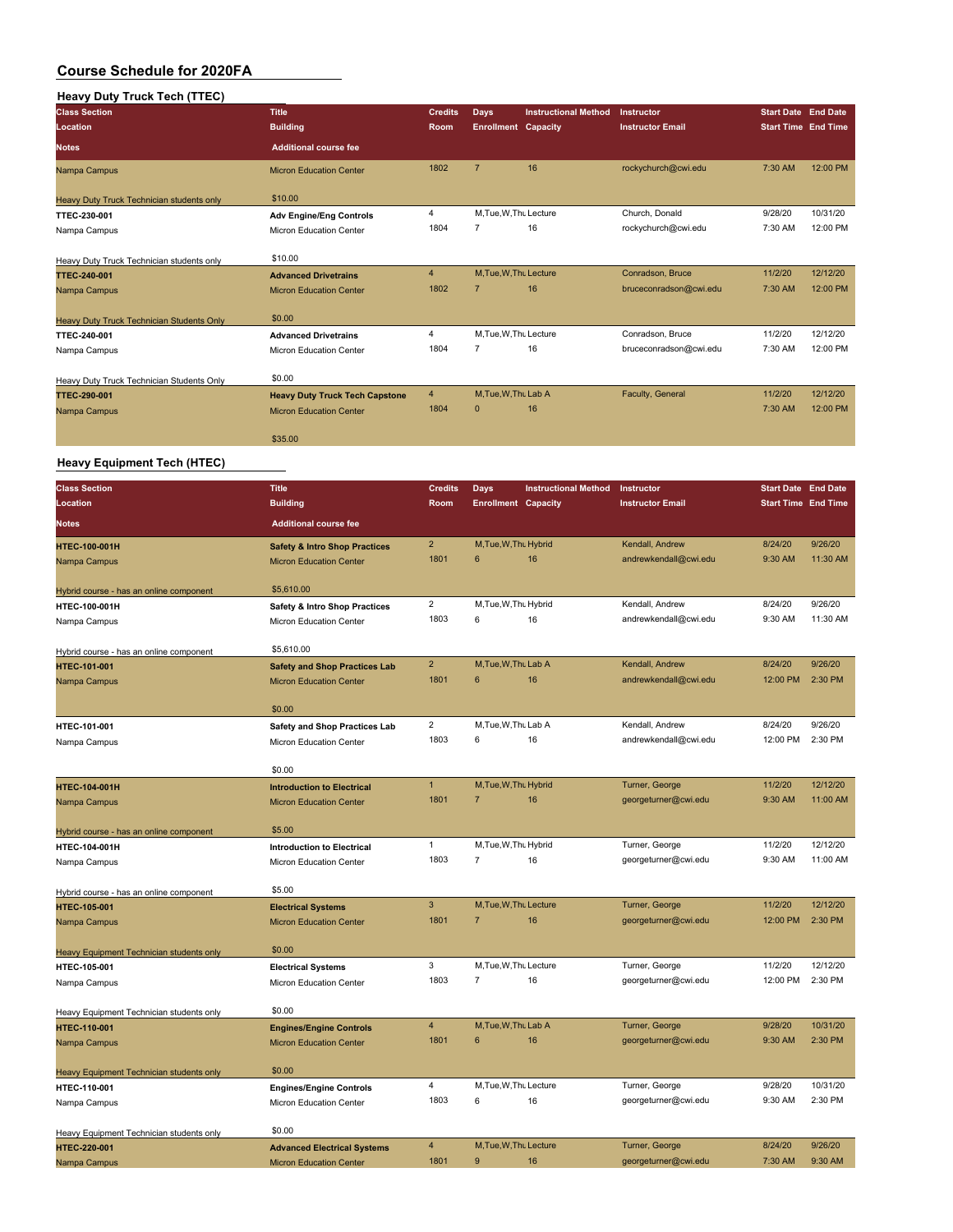## **Heavy Duty Truck Tech (TTEC)**

| <b>Class Section</b>                      | <b>Title</b>                          | <b>Credits</b> | <b>Days</b>                | <b>Instructional Method</b> | Instructor              | <b>Start Date End Date</b> |          |
|-------------------------------------------|---------------------------------------|----------------|----------------------------|-----------------------------|-------------------------|----------------------------|----------|
| Location                                  | <b>Building</b>                       | <b>Room</b>    | <b>Enrollment Capacity</b> |                             | <b>Instructor Email</b> | <b>Start Time End Time</b> |          |
| <b>Notes</b>                              | <b>Additional course fee</b>          |                |                            |                             |                         |                            |          |
| Nampa Campus                              | <b>Micron Education Center</b>        | 1802           | $\overline{7}$             | 16                          | rockychurch@cwi.edu     | 7:30 AM                    | 12:00 PM |
| Heavy Duty Truck Technician students only | \$10.00                               |                |                            |                             |                         |                            |          |
| TTEC-230-001                              | <b>Adv Engine/Eng Controls</b>        | 4              | M.Tue, W.Thu Lecture       |                             | Church, Donald          | 9/28/20                    | 10/31/20 |
| Nampa Campus                              | Micron Education Center               | 1804           |                            | 16                          | rockychurch@cwi.edu     | 7:30 AM                    | 12:00 PM |
|                                           |                                       |                |                            |                             |                         |                            |          |
| Heavy Duty Truck Technician students only | \$10.00                               |                |                            |                             |                         |                            |          |
| <b>TTEC-240-001</b>                       | <b>Advanced Drivetrains</b>           | $\overline{4}$ | M, Tue, W, Thu Lecture     |                             | Conradson, Bruce        | 11/2/20                    | 12/12/20 |
| Nampa Campus                              | <b>Micron Education Center</b>        | 1802           | $\overline{7}$             | 16                          | bruceconradson@cwi.edu  | 7:30 AM                    | 12:00 PM |
|                                           |                                       |                |                            |                             |                         |                            |          |
| Heavy Duty Truck Technician Students Only | \$0.00                                |                |                            |                             |                         |                            |          |
| TTEC-240-001                              | <b>Advanced Drivetrains</b>           | 4              | M, Tue, W, Thu Lecture     |                             | Conradson, Bruce        | 11/2/20                    | 12/12/20 |
| Nampa Campus                              | <b>Micron Education Center</b>        | 1804           | 7                          | 16                          | bruceconradson@cwi.edu  | 7:30 AM                    | 12:00 PM |
|                                           |                                       |                |                            |                             |                         |                            |          |
| Heavy Duty Truck Technician Students Only | \$0.00                                |                |                            |                             |                         |                            |          |
| <b>TTEC-290-001</b>                       | <b>Heavy Duty Truck Tech Capstone</b> | $\overline{4}$ | M, Tue, W, Thu Lab A       |                             | Faculty, General        | 11/2/20                    | 12/12/20 |
| Nampa Campus                              | <b>Micron Education Center</b>        | 1804           | $\mathbf{0}$               | 16                          |                         | 7:30 AM                    | 12:00 PM |
|                                           |                                       |                |                            |                             |                         |                            |          |
|                                           | \$35.00                               |                |                            |                             |                         |                            |          |
|                                           |                                       |                |                            |                             |                         |                            |          |

#### **Heavy Equipment Tech (HTEC)**

| <b>Class Section</b>                     | <b>Title</b>                             | <b>Credits</b> | Days                       | <b>Instructional Method</b> | Instructor              | <b>Start Date End Date</b> |          |
|------------------------------------------|------------------------------------------|----------------|----------------------------|-----------------------------|-------------------------|----------------------------|----------|
| Location                                 | <b>Building</b>                          | Room           | <b>Enrollment Capacity</b> |                             | <b>Instructor Email</b> | <b>Start Time End Time</b> |          |
| <b>Notes</b>                             | <b>Additional course fee</b>             |                |                            |                             |                         |                            |          |
| HTEC-100-001H                            | <b>Safety &amp; Intro Shop Practices</b> | $\overline{2}$ | M, Tue, W, Thu Hybrid      |                             | Kendall, Andrew         | 8/24/20                    | 9/26/20  |
| Nampa Campus                             | <b>Micron Education Center</b>           | 1801           | 6                          | 16                          | andrewkendall@cwi.edu   | 9:30 AM                    | 11:30 AM |
| Hybrid course - has an online component  | \$5,610.00                               |                |                            |                             |                         |                            |          |
| HTEC-100-001H                            | <b>Safety &amp; Intro Shop Practices</b> | $\overline{2}$ | M, Tue, W, Thu Hybrid      |                             | Kendall, Andrew         | 8/24/20                    | 9/26/20  |
| Nampa Campus                             | Micron Education Center                  | 1803           | 6                          | 16                          | andrewkendall@cwi.edu   | 9:30 AM                    | 11:30 AM |
| Hybrid course - has an online component  | \$5,610.00                               |                |                            |                             |                         |                            |          |
| HTEC-101-001                             | <b>Safety and Shop Practices Lab</b>     | $\overline{2}$ | M, Tue, W, Thu Lab A       |                             | Kendall, Andrew         | 8/24/20                    | 9/26/20  |
| Nampa Campus                             | <b>Micron Education Center</b>           | 1801           | 6                          | 16                          | andrewkendall@cwi.edu   | 12:00 PM                   | 2:30 PM  |
|                                          | \$0.00                                   |                |                            |                             |                         |                            |          |
| HTEC-101-001                             | Safety and Shop Practices Lab            | $\overline{2}$ | M, Tue, W, Thu Lab A       |                             | Kendall, Andrew         | 8/24/20                    | 9/26/20  |
| Nampa Campus                             | Micron Education Center                  | 1803           | 6                          | 16                          | andrewkendall@cwi.edu   | 12:00 PM                   | 2:30 PM  |
|                                          | \$0.00                                   |                |                            |                             |                         |                            |          |
| <b>HTEC-104-001H</b>                     | <b>Introduction to Electrical</b>        | $\mathbf{1}$   | M, Tue, W, Thu Hybrid      |                             | Turner, George          | 11/2/20                    | 12/12/20 |
| Nampa Campus                             | <b>Micron Education Center</b>           | 1801           | $\overline{7}$             | 16                          | georgeturner@cwi.edu    | 9:30 AM                    | 11:00 AM |
| Hybrid course - has an online component  | \$5.00                                   |                |                            |                             |                         |                            |          |
| HTEC-104-001H                            | <b>Introduction to Electrical</b>        | $\mathbf{1}$   | M, Tue, W, Thu Hybrid      |                             | Turner, George          | 11/2/20                    | 12/12/20 |
| Nampa Campus                             | Micron Education Center                  | 1803           | $\overline{7}$             | 16                          | georgeturner@cwi.edu    | 9:30 AM                    | 11:00 AM |
| Hybrid course - has an online component  | \$5.00                                   |                |                            |                             |                         |                            |          |
| <b>HTEC-105-001</b>                      | <b>Electrical Systems</b>                | 3              | M, Tue, W, Thu Lecture     |                             | Turner, George          | 11/2/20                    | 12/12/20 |
| Nampa Campus                             | <b>Micron Education Center</b>           | 1801           | $\overline{7}$             | 16                          | georgeturner@cwi.edu    | 12:00 PM                   | 2:30 PM  |
| Heavy Equipment Technician students only | \$0.00                                   |                |                            |                             |                         |                            |          |
| HTEC-105-001                             | <b>Electrical Systems</b>                | 3              | M, Tue, W, Thu Lecture     |                             | Turner, George          | 11/2/20                    | 12/12/20 |
| Nampa Campus                             | Micron Education Center                  | 1803           | $\overline{7}$             | 16                          | georgeturner@cwi.edu    | 12:00 PM                   | 2:30 PM  |
| Heavy Equipment Technician students only | \$0.00                                   |                |                            |                             |                         |                            |          |
| <b>HTEC-110-001</b>                      | <b>Engines/Engine Controls</b>           | $\overline{4}$ | M.Tue.W.Thu Lab A          |                             | Turner, George          | 9/28/20                    | 10/31/20 |
| Nampa Campus                             | <b>Micron Education Center</b>           | 1801           | 6                          | 16                          | georgeturner@cwi.edu    | 9:30 AM                    | 2:30 PM  |
| Heavy Equipment Technician students only | \$0.00                                   |                |                            |                             |                         |                            |          |
| HTEC-110-001                             | <b>Engines/Engine Controls</b>           | 4              | M, Tue, W, Thu Lecture     |                             | Turner, George          | 9/28/20                    | 10/31/20 |
| Nampa Campus                             | Micron Education Center                  | 1803           | 6                          | 16                          | georgeturner@cwi.edu    | 9:30 AM                    | 2:30 PM  |
| Heavy Equipment Technician students only | \$0.00                                   |                |                            |                             |                         |                            |          |
| <b>HTEC-220-001</b>                      | <b>Advanced Electrical Systems</b>       | $\overline{4}$ | M, Tue, W, Thu Lecture     |                             | Turner, George          | 8/24/20                    | 9/26/20  |
| Nampa Campus                             | <b>Micron Education Center</b>           | 1801           | 9                          | 16                          | georgeturner@cwi.edu    | 7:30 AM                    | 9:30 AM  |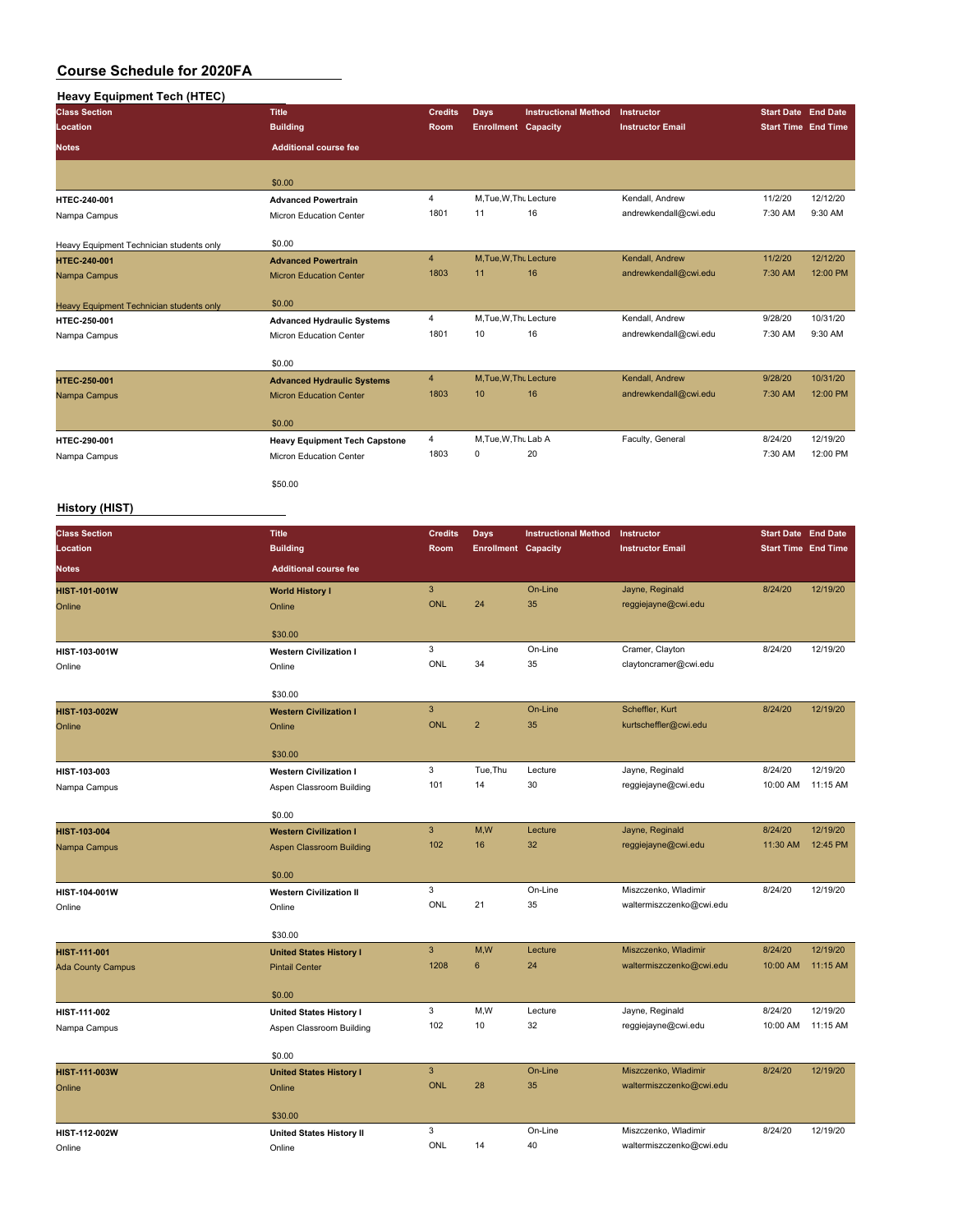## **Heavy Equipment Tech (HTEC)**

| <b>Class Section</b>                     | Title                                | <b>Credits</b> | Days                       | <b>Instructional Method</b> | Instructor              | <b>Start Date End Date</b> |          |
|------------------------------------------|--------------------------------------|----------------|----------------------------|-----------------------------|-------------------------|----------------------------|----------|
| Location                                 | <b>Building</b>                      | <b>Room</b>    | <b>Enrollment Capacity</b> |                             | <b>Instructor Email</b> | <b>Start Time</b> End Time |          |
| <b>Notes</b>                             | <b>Additional course fee</b>         |                |                            |                             |                         |                            |          |
|                                          |                                      |                |                            |                             |                         |                            |          |
|                                          | \$0.00                               |                |                            |                             |                         |                            |          |
| HTEC-240-001                             | <b>Advanced Powertrain</b>           | $\overline{4}$ | M, Tue, W, Thu Lecture     |                             | Kendall, Andrew         | 11/2/20                    | 12/12/20 |
| Nampa Campus                             | <b>Micron Education Center</b>       | 1801           | 11                         | 16                          | andrewkendall@cwi.edu   | 7:30 AM                    | 9:30 AM  |
|                                          | \$0.00                               |                |                            |                             |                         |                            |          |
| Heavy Equipment Technician students only | <b>Advanced Powertrain</b>           | $\overline{4}$ | M.Tue.W.Thu Lecture        |                             | Kendall, Andrew         | 11/2/20                    | 12/12/20 |
| <b>HTEC-240-001</b>                      |                                      | 1803           | 11                         | 16                          | andrewkendall@cwi.edu   | 7:30 AM                    | 12:00 PM |
| Nampa Campus                             | <b>Micron Education Center</b>       |                |                            |                             |                         |                            |          |
| Heavy Equipment Technician students only | \$0.00                               |                |                            |                             |                         |                            |          |
| HTEC-250-001                             | <b>Advanced Hydraulic Systems</b>    | $\overline{4}$ | M, Tue, W, Thu Lecture     |                             | Kendall, Andrew         | 9/28/20                    | 10/31/20 |
| Nampa Campus                             | Micron Education Center              | 1801           | 10                         | 16                          | andrewkendall@cwi.edu   | 7:30 AM                    | 9:30 AM  |
|                                          | \$0.00                               |                |                            |                             |                         |                            |          |
| <b>HTEC-250-001</b>                      | <b>Advanced Hydraulic Systems</b>    | $\overline{4}$ | M, Tue, W, Thu Lecture     |                             | Kendall, Andrew         | 9/28/20                    | 10/31/20 |
| Nampa Campus                             | <b>Micron Education Center</b>       | 1803           | 10                         | 16                          | andrewkendall@cwi.edu   | 7:30 AM                    | 12:00 PM |
|                                          |                                      |                |                            |                             |                         |                            |          |
|                                          | \$0.00                               |                |                            |                             |                         |                            |          |
| HTEC-290-001                             | <b>Heavy Equipment Tech Capstone</b> | 4              | M.Tue, W.Thu Lab A         |                             | Faculty, General        | 8/24/20                    | 12/19/20 |
| Nampa Campus                             | <b>Micron Education Center</b>       | 1803           | 0                          | 20                          |                         | 7:30 AM                    | 12:00 PM |
|                                          |                                      |                |                            |                             |                         |                            |          |
|                                          | \$50.00                              |                |                            |                             |                         |                            |          |

#### **History (HIST)**

| <b>Class Section</b>     | <b>Title</b>                    | <b>Credits</b> | <b>Days</b>                | <b>Instructional Method</b> | Instructor               | <b>Start Date End Date</b> |          |
|--------------------------|---------------------------------|----------------|----------------------------|-----------------------------|--------------------------|----------------------------|----------|
| Location                 | <b>Building</b>                 | Room           | <b>Enrollment Capacity</b> |                             | <b>Instructor Email</b>  | <b>Start Time End Time</b> |          |
| <b>Notes</b>             | <b>Additional course fee</b>    |                |                            |                             |                          |                            |          |
| <b>HIST-101-001W</b>     | <b>World History I</b>          | $\mathbf{3}$   |                            | On-Line                     | Jayne, Reginald          | 8/24/20                    | 12/19/20 |
| Online                   | Online                          | <b>ONL</b>     | 24                         | 35                          | reggiejayne@cwi.edu      |                            |          |
|                          |                                 |                |                            |                             |                          |                            |          |
|                          | \$30.00                         | 3              |                            | On-Line                     | Cramer, Clayton          | 8/24/20                    | 12/19/20 |
| HIST-103-001W            | <b>Western Civilization I</b>   | ONL            | 34                         | 35                          | claytoncramer@cwi.edu    |                            |          |
| Online                   | Online                          |                |                            |                             |                          |                            |          |
|                          | \$30.00                         |                |                            |                             |                          |                            |          |
| HIST-103-002W            | <b>Western Civilization I</b>   | $\mathbf{3}$   |                            | On-Line                     | Scheffler, Kurt          | 8/24/20                    | 12/19/20 |
| Online                   | Online                          | <b>ONL</b>     | $\overline{2}$             | 35                          | kurtscheffler@cwi.edu    |                            |          |
|                          | \$30.00                         |                |                            |                             |                          |                            |          |
| HIST-103-003             | <b>Western Civilization I</b>   | 3              | Tue, Thu                   | Lecture                     | Jayne, Reginald          | 8/24/20                    | 12/19/20 |
| Nampa Campus             | Aspen Classroom Building        | 101            | 14                         | 30                          | reggiejayne@cwi.edu      | 10:00 AM                   | 11:15 AM |
|                          | \$0.00                          |                |                            |                             |                          |                            |          |
| HIST-103-004             | <b>Western Civilization I</b>   | $\mathbf{3}$   | M,W                        | Lecture                     | Jayne, Reginald          | 8/24/20                    | 12/19/20 |
| Nampa Campus             | <b>Aspen Classroom Building</b> | 102            | 16                         | 32                          | reggiejayne@cwi.edu      | 11:30 AM                   | 12:45 PM |
|                          |                                 |                |                            |                             |                          |                            |          |
|                          | \$0.00                          |                |                            |                             |                          |                            |          |
| HIST-104-001W            | <b>Western Civilization II</b>  | 3              |                            | On-Line                     | Miszczenko, Wladimir     | 8/24/20                    | 12/19/20 |
| Online                   | Online                          | ONL            | 21                         | 35                          | waltermiszczenko@cwi.edu |                            |          |
|                          | \$30.00                         |                |                            |                             |                          |                            |          |
| HIST-111-001             | <b>United States History I</b>  | $\mathbf{3}$   | M,W                        | Lecture                     | Miszczenko, Wladimir     | 8/24/20                    | 12/19/20 |
| <b>Ada County Campus</b> | <b>Pintail Center</b>           | 1208           | 6                          | 24                          | waltermiszczenko@cwi.edu | 10:00 AM                   | 11:15 AM |
|                          | \$0.00                          |                |                            |                             |                          |                            |          |
| HIST-111-002             | <b>United States History I</b>  | 3              | M,W                        | Lecture                     | Jayne, Reginald          | 8/24/20                    | 12/19/20 |
| Nampa Campus             | Aspen Classroom Building        | 102            | 10                         | 32                          | reggiejayne@cwi.edu      | 10:00 AM                   | 11:15 AM |
|                          |                                 |                |                            |                             |                          |                            |          |
|                          | \$0.00                          |                |                            |                             |                          |                            |          |
| HIST-111-003W            | <b>United States History I</b>  | $\mathbf{3}$   |                            | On-Line                     | Miszczenko, Wladimir     | 8/24/20                    | 12/19/20 |
| Online                   | Online                          | <b>ONL</b>     | 28                         | 35                          | waltermiszczenko@cwi.edu |                            |          |
|                          | \$30.00                         |                |                            |                             |                          |                            |          |
| HIST-112-002W            | <b>United States History II</b> | 3              |                            | On-Line                     | Miszczenko, Wladimir     | 8/24/20                    | 12/19/20 |
| Online                   | Online                          | ONL            | 14                         | 40                          | waltermiszczenko@cwi.edu |                            |          |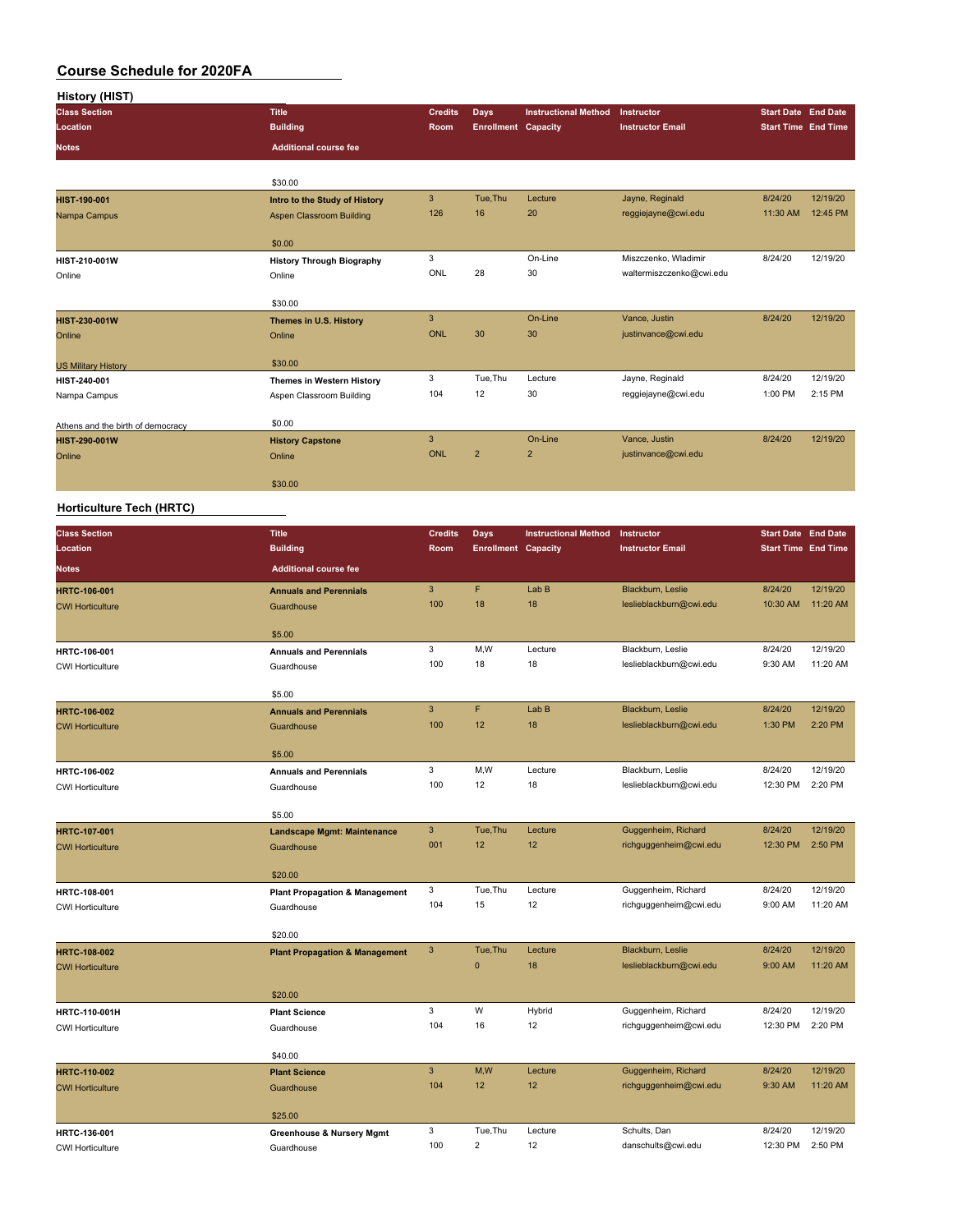| History (HIST)                                                                                                                                                                                     |                                                    |                           |                            |                             |                                              |                            |                      |
|----------------------------------------------------------------------------------------------------------------------------------------------------------------------------------------------------|----------------------------------------------------|---------------------------|----------------------------|-----------------------------|----------------------------------------------|----------------------------|----------------------|
| <b>Class Section</b>                                                                                                                                                                               | <b>Title</b>                                       | <b>Credits</b>            | <b>Days</b>                | <b>Instructional Method</b> | Instructor                                   | <b>Start Date End Date</b> |                      |
| Location                                                                                                                                                                                           | <b>Building</b>                                    | Room                      | <b>Enrollment Capacity</b> |                             | <b>Instructor Email</b>                      | <b>Start Time End Time</b> |                      |
| <b>Notes</b>                                                                                                                                                                                       | <b>Additional course fee</b>                       |                           |                            |                             |                                              |                            |                      |
|                                                                                                                                                                                                    |                                                    |                           |                            |                             |                                              |                            |                      |
|                                                                                                                                                                                                    | \$30.00                                            |                           |                            |                             |                                              |                            |                      |
| HIST-190-001                                                                                                                                                                                       | Intro to the Study of History                      | $\ensuremath{\mathsf{3}}$ | Tue, Thu                   | Lecture                     | Jayne, Reginald                              | 8/24/20                    | 12/19/20             |
| Nampa Campus                                                                                                                                                                                       | <b>Aspen Classroom Building</b>                    | 126                       | 16                         | 20                          | reggiejayne@cwi.edu                          | 11:30 AM                   | 12:45 PM             |
|                                                                                                                                                                                                    |                                                    |                           |                            |                             |                                              |                            |                      |
|                                                                                                                                                                                                    | \$0.00                                             | 3                         |                            | On-Line                     | Miszczenko, Wladimir                         | 8/24/20                    | 12/19/20             |
| Online                                                                                                                                                                                             | <b>History Through Biography</b><br>Online         | <b>ONL</b>                | 28                         | 30                          | waltermiszczenko@cwi.edu                     |                            |                      |
|                                                                                                                                                                                                    |                                                    |                           |                            |                             |                                              |                            |                      |
|                                                                                                                                                                                                    | \$30.00                                            |                           |                            |                             |                                              |                            |                      |
| HIST-230-001W                                                                                                                                                                                      | Themes in U.S. History                             | 3                         |                            | On-Line                     | Vance, Justin                                | 8/24/20                    | 12/19/20             |
| Online                                                                                                                                                                                             | Online                                             | <b>ONL</b>                | 30                         | 30                          | justinvance@cwi.edu                          |                            |                      |
|                                                                                                                                                                                                    |                                                    |                           |                            |                             |                                              |                            |                      |
| <b>US Military History</b>                                                                                                                                                                         | \$30.00                                            |                           |                            |                             |                                              |                            |                      |
| HIST-240-001                                                                                                                                                                                       | Themes in Western History                          | 3<br>104                  | Tue, Thu<br>12             | Lecture<br>30               | Jayne, Reginald<br>reggiejayne@cwi.edu       | 8/24/20<br>1:00 PM         | 12/19/20<br>2:15 PM  |
|                                                                                                                                                                                                    | Aspen Classroom Building                           |                           |                            |                             |                                              |                            |                      |
|                                                                                                                                                                                                    | \$0.00                                             |                           |                            |                             |                                              |                            |                      |
| HIST-290-001W                                                                                                                                                                                      | <b>History Capstone</b>                            | $\mathbf{3}$              |                            | On-Line                     | Vance, Justin                                | 8/24/20                    | 12/19/20             |
| Online                                                                                                                                                                                             | Online                                             | <b>ONL</b>                | $\overline{2}$             | $\overline{\mathbf{c}}$     | justinvance@cwi.edu                          |                            |                      |
|                                                                                                                                                                                                    |                                                    |                           |                            |                             |                                              |                            |                      |
|                                                                                                                                                                                                    | \$30.00                                            |                           |                            |                             |                                              |                            |                      |
|                                                                                                                                                                                                    |                                                    |                           |                            |                             |                                              |                            |                      |
| HIST-210-001W<br>Nampa Campus<br>Athens and the birth of democracy<br>Horticulture Tech (HRTC)<br><b>HRTC-107-001</b><br><b>CWI Horticulture</b><br><b>HRTC-108-002</b><br><b>CWI Horticulture</b> |                                                    |                           |                            |                             |                                              |                            |                      |
| <b>Class Section</b>                                                                                                                                                                               | <b>Title</b>                                       | <b>Credits</b>            | Days                       | <b>Instructional Method</b> | Instructor                                   | <b>Start Date End Date</b> |                      |
| Location                                                                                                                                                                                           | <b>Building</b>                                    | Room                      | <b>Enrollment Capacity</b> |                             | <b>Instructor Email</b>                      | <b>Start Time End Time</b> |                      |
| Notes                                                                                                                                                                                              | <b>Additional course fee</b>                       |                           |                            |                             |                                              |                            |                      |
| <b>HRTC-106-001</b>                                                                                                                                                                                | <b>Annuals and Perennials</b>                      | 3                         | F                          | Lab B                       | Blackburn, Leslie                            | 8/24/20                    | 12/19/20             |
| <b>CWI Horticulture</b>                                                                                                                                                                            | Guardhouse                                         | 100                       | 18                         | 18                          | leslieblackburn@cwi.edu                      | 10:30 AM                   | 11:20 AM             |
|                                                                                                                                                                                                    |                                                    |                           |                            |                             |                                              |                            |                      |
|                                                                                                                                                                                                    | \$5.00                                             |                           |                            |                             |                                              |                            |                      |
| HRTC-106-001                                                                                                                                                                                       | <b>Annuals and Perennials</b>                      | 3                         | M,W                        | Lecture                     | Blackburn, Leslie                            | 8/24/20                    | 12/19/20             |
| <b>CWI Horticulture</b>                                                                                                                                                                            | Guardhouse                                         | 100                       | 18                         | 18                          | leslieblackburn@cwi.edu                      | 9:30 AM                    | 11:20 AM             |
|                                                                                                                                                                                                    | \$5.00                                             |                           |                            |                             |                                              |                            |                      |
| <b>HRTC-106-002</b>                                                                                                                                                                                | <b>Annuals and Perennials</b>                      | 3                         | F                          | Lab B                       | Blackburn, Leslie                            | 8/24/20                    | 12/19/20             |
| <b>CWI Horticulture</b>                                                                                                                                                                            | Guardhouse                                         | 100                       | 12                         | 18                          | leslieblackburn@cwi.edu                      | 1:30 PM                    | 2:20 PM              |
|                                                                                                                                                                                                    |                                                    |                           |                            |                             |                                              |                            |                      |
|                                                                                                                                                                                                    | \$5.00                                             |                           |                            |                             |                                              |                            |                      |
| HRTC-106-002                                                                                                                                                                                       | <b>Annuals and Perennials</b>                      | 3                         | M,W                        | Lecture                     | Blackburn, Leslie                            | 8/24/20                    | 12/19/20             |
| <b>CWI Horticulture</b>                                                                                                                                                                            | Guardhouse                                         | 100                       | 12                         | 18                          | leslieblackburn@cwi.edu                      | 12:30 PM                   | 2:20 PM              |
|                                                                                                                                                                                                    |                                                    |                           |                            |                             |                                              |                            |                      |
|                                                                                                                                                                                                    | \$5.00                                             | $\mathbf{3}$              | Tue, Thu                   | Lecture                     | Guggenheim, Richard                          | 8/24/20                    | 12/19/20             |
|                                                                                                                                                                                                    | <b>Landscape Mgmt: Maintenance</b><br>Guardhouse   | 001                       | 12                         | 12                          | richguggenheim@cwi.edu                       | 12:30 PM                   | 2:50 PM              |
|                                                                                                                                                                                                    |                                                    |                           |                            |                             |                                              |                            |                      |
|                                                                                                                                                                                                    | \$20.00                                            |                           |                            |                             |                                              |                            |                      |
| HRTC-108-001                                                                                                                                                                                       | <b>Plant Propagation &amp; Management</b>          | 3                         | Tue, Thu                   | Lecture                     | Guggenheim, Richard                          | 8/24/20                    | 12/19/20             |
| <b>CWI Horticulture</b>                                                                                                                                                                            | Guardhouse                                         | 104                       | 15                         | 12                          | richguggenheim@cwi.edu                       | 9:00 AM                    | 11:20 AM             |
|                                                                                                                                                                                                    |                                                    |                           |                            |                             |                                              |                            |                      |
|                                                                                                                                                                                                    | \$20.00                                            |                           |                            |                             |                                              |                            |                      |
|                                                                                                                                                                                                    | <b>Plant Propagation &amp; Management</b>          | $\mathbf{3}$              | Tue, Thu<br>$\pmb{0}$      | Lecture<br>18               | Blackburn, Leslie<br>leslieblackburn@cwi.edu | 8/24/20<br>9:00 AM         | 12/19/20<br>11:20 AM |
|                                                                                                                                                                                                    |                                                    |                           |                            |                             |                                              |                            |                      |
|                                                                                                                                                                                                    | \$20.00                                            |                           |                            |                             |                                              |                            |                      |
| HRTC-110-001H                                                                                                                                                                                      | <b>Plant Science</b>                               | 3                         | W                          | Hybrid                      | Guggenheim, Richard                          | 8/24/20                    | 12/19/20             |
| <b>CWI Horticulture</b>                                                                                                                                                                            | Guardhouse                                         | 104                       | 16                         | 12                          | richguggenheim@cwi.edu                       | 12:30 PM                   | 2:20 PM              |
|                                                                                                                                                                                                    |                                                    |                           |                            |                             |                                              |                            |                      |
|                                                                                                                                                                                                    | \$40.00                                            |                           |                            |                             |                                              |                            |                      |
| HRTC-110-002                                                                                                                                                                                       | <b>Plant Science</b>                               | $\mathbf{3}$              | M, W                       | Lecture                     | Guggenheim, Richard                          | 8/24/20                    | 12/19/20             |
| <b>CWI Horticulture</b>                                                                                                                                                                            | Guardhouse                                         | 104                       | 12                         | 12                          | richguggenheim@cwi.edu                       | 9:30 AM                    | 11:20 AM             |
|                                                                                                                                                                                                    | \$25.00                                            |                           |                            |                             |                                              |                            |                      |
|                                                                                                                                                                                                    |                                                    | 3                         | Tue, Thu                   | Lecture                     | Schults, Dan                                 | 8/24/20                    | 12/19/20             |
| HRTC-136-001<br><b>CWI Horticulture</b>                                                                                                                                                            | <b>Greenhouse &amp; Nursery Mgmt</b><br>Guardhouse | 100                       | $\overline{c}$             | 12                          | danschults@cwi.edu                           | 12:30 PM                   | 2:50 PM              |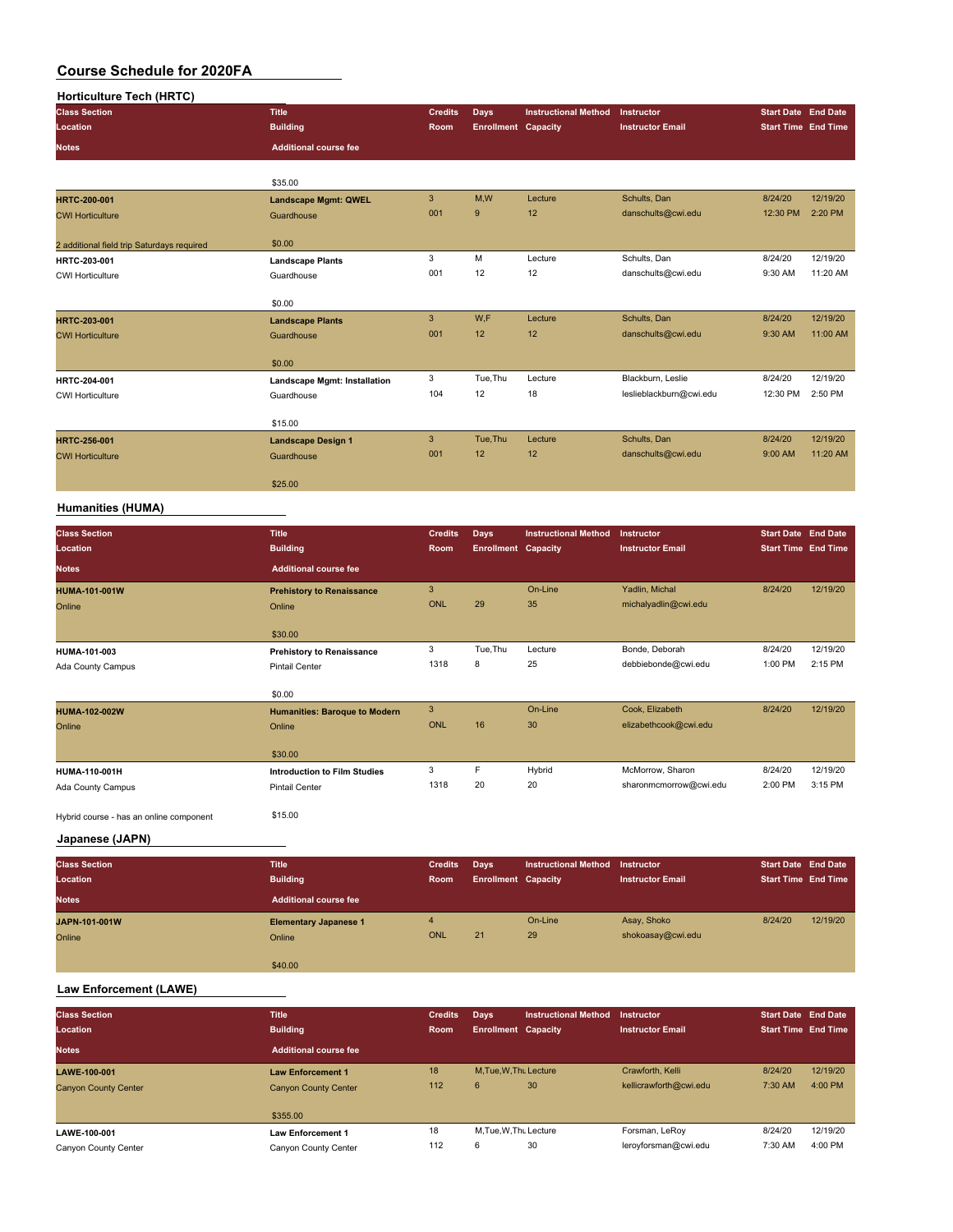| <b>Horticulture Tech (HRTC)</b>            |                                     |                |                            |                             |                         |                            |          |
|--------------------------------------------|-------------------------------------|----------------|----------------------------|-----------------------------|-------------------------|----------------------------|----------|
| <b>Class Section</b>                       | <b>Title</b>                        | <b>Credits</b> | Days                       | <b>Instructional Method</b> | Instructor              | <b>Start Date End Date</b> |          |
| Location                                   | <b>Building</b>                     | Room           | <b>Enrollment Capacity</b> |                             | <b>Instructor Email</b> | <b>Start Time End Time</b> |          |
| <b>Notes</b>                               | <b>Additional course fee</b>        |                |                            |                             |                         |                            |          |
|                                            | \$35.00                             |                |                            |                             |                         |                            |          |
| HRTC-200-001                               | <b>Landscape Mgmt: QWEL</b>         | 3              | M,W                        | Lecture                     | Schults, Dan            | 8/24/20                    | 12/19/20 |
| <b>CWI Horticulture</b>                    | Guardhouse                          | 001            | 9                          | 12                          | danschults@cwi.edu      | 12:30 PM                   | 2:20 PM  |
| 2 additional field trip Saturdays required | \$0.00                              |                |                            |                             |                         |                            |          |
| HRTC-203-001                               | <b>Landscape Plants</b>             | 3              | M                          | Lecture                     | Schults, Dan            | 8/24/20                    | 12/19/20 |
| <b>CWI Horticulture</b>                    | Guardhouse                          | 001            | 12                         | 12                          | danschults@cwi.edu      | 9:30 AM                    | 11:20 AM |
|                                            | \$0.00                              |                |                            |                             |                         |                            |          |
| HRTC-203-001                               | <b>Landscape Plants</b>             | 3              | W,F                        | Lecture                     | Schults, Dan            | 8/24/20                    | 12/19/20 |
| <b>CWI Horticulture</b>                    | Guardhouse                          | 001            | 12                         | 12                          | danschults@cwi.edu      | 9:30 AM                    | 11:00 AM |
|                                            | \$0.00                              |                |                            |                             |                         |                            |          |
| HRTC-204-001                               | <b>Landscape Mgmt: Installation</b> | 3              | Tue, Thu                   | Lecture                     | Blackburn, Leslie       | 8/24/20                    | 12/19/20 |
| <b>CWI Horticulture</b>                    | Guardhouse                          | 104            | 12                         | 18                          | leslieblackburn@cwi.edu | 12:30 PM                   | 2:50 PM  |
|                                            | \$15.00                             |                |                            |                             |                         |                            |          |
| <b>HRTC-256-001</b>                        | <b>Landscape Design 1</b>           | 3              | Tue, Thu                   | Lecture                     | Schults, Dan            | 8/24/20                    | 12/19/20 |
| <b>CWI Horticulture</b>                    | Guardhouse                          | 001            | 12                         | 12                          | danschults@cwi.edu      | 9:00 AM                    | 11:20 AM |
|                                            | \$25.00                             |                |                            |                             |                         |                            |          |
| <b>Humanities (HUMA)</b>                   |                                     |                |                            |                             |                         |                            |          |
| <b>Class Section</b>                       | <b>Title</b>                        | <b>Credits</b> | Days                       | <b>Instructional Method</b> | <b>Instructor</b>       | <b>Start Date End Date</b> |          |
| Location                                   | <b>Building</b>                     | Room           | <b>Enrollment Capacity</b> |                             | <b>Instructor Email</b> | <b>Start Time End Time</b> |          |
| <b>Notes</b>                               | <b>Additional course fee</b>        |                |                            |                             |                         |                            |          |
| <b>HUMA-101-001W</b>                       | <b>Prehistory to Renaissance</b>    | 3              |                            | On-Line                     | Yadlin, Michal          | 8/24/20                    | 12/19/20 |
| Online                                     | Online                              | <b>ONL</b>     | 29                         | 35                          | michalyadlin@cwi.edu    |                            |          |

Ada County Campus **Ada County Campus Pintail Center** 1318 1318 20 20 sharonmcmorrow@cwi.edu

\$30.00

\$0.00

\$30.00

Hybrid course - has an online component \$15.00

**Japanese (JAPN)**

| <b>Class Section</b> | <b>Title</b>                 | <b>Credits</b> | Days                       | Instructional Method Instructor |                         | <b>Start Date End Date</b> |          |
|----------------------|------------------------------|----------------|----------------------------|---------------------------------|-------------------------|----------------------------|----------|
| Location             | <b>Building</b>              | <b>Room</b>    | <b>Enrollment Capacity</b> |                                 | <b>Instructor Email</b> | <b>Start Time End Time</b> |          |
| <b>Notes</b>         | <b>Additional course fee</b> |                |                            |                                 |                         |                            |          |
| JAPN-101-001W        | <b>Elementary Japanese 1</b> | 4              |                            | On-Line                         | Asay, Shoko             | 8/24/20                    | 12/19/20 |
| Online               | Online                       | <b>ONL</b>     | 21                         | 29                              | shokoasay@cwi.edu       |                            |          |
|                      |                              |                |                            |                                 |                         |                            |          |
|                      | \$40.00                      |                |                            |                                 |                         |                            |          |

**HUMA-101-003 Prehistory to Renaissance** 3 Tue,Thu Lecture Bonde, Deborah 8/24/20 12/19/20

**HUMA-102-002W Humanities: Baroque to Modern** 3 On-Line Cook, Elizabeth 8/24/20 12/19/20

**HUMA-110-001H Introduction to Film Studies** 3 F Hybrid McMorrow, Sharon 8/24/20 12/19/20

Ada County Campus **Ada County Campus** Pintail Center 1318 8 25 debbiebonde@cwi.edu

Online Charles Contine Charles Charles Charles Charles Charles Charles Charles Charles Charles Charles Charles Charles Charles Charles Charles Charles Charles Charles Charles Charles Charles Charles Charles Charles Charles

#### **Law Enforcement (LAWE)**

| <b>Class Section</b><br>Location | <b>Title</b><br><b>Building</b> | <b>Credits</b><br>Room | Days<br><b>Enrollment Capacity</b> | <b>Instructional Method</b> | Instructor<br><b>Instructor Email</b> | Start Date End Date<br><b>Start Time End Time</b> |          |
|----------------------------------|---------------------------------|------------------------|------------------------------------|-----------------------------|---------------------------------------|---------------------------------------------------|----------|
| <b>Notes</b>                     | <b>Additional course fee</b>    |                        |                                    |                             |                                       |                                                   |          |
| LAWE-100-001                     | <b>Law Enforcement 1</b>        | 18                     | M.Tue.W.Thu Lecture                |                             | Crawforth, Kelli                      | 8/24/20                                           | 12/19/20 |
| <b>Canyon County Center</b>      | <b>Canyon County Center</b>     | 112                    | 6                                  | 30                          | kellicrawforth@cwi.edu                | 7:30 AM                                           | 4:00 PM  |
|                                  | \$355.00                        |                        |                                    |                             |                                       |                                                   |          |
| LAWE-100-001                     | <b>Law Enforcement 1</b>        | 18                     | M.Tue.W.Thu Lecture                |                             | Forsman, LeRoy                        | 8/24/20                                           | 12/19/20 |
| Canyon County Center             | Canyon County Center            | 112                    | 6                                  | 30                          | leroyforsman@cwi.edu                  | 7:30 AM                                           | 4:00 PM  |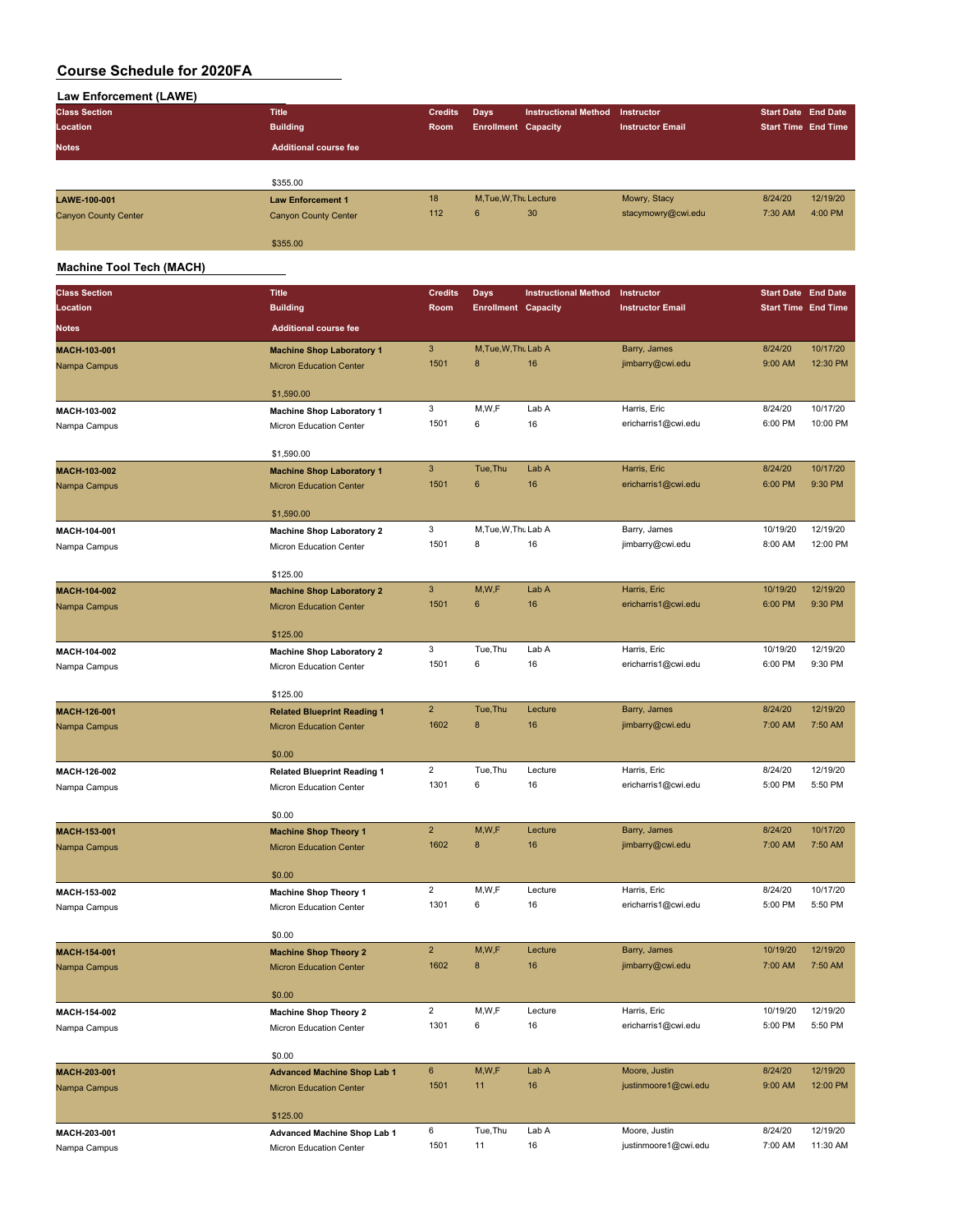| Law Enforcement (LAWE)                       |                              |                |                            |                             |                         |                            |          |
|----------------------------------------------|------------------------------|----------------|----------------------------|-----------------------------|-------------------------|----------------------------|----------|
| <b>Class Section</b>                         | <b>Title</b>                 | <b>Credits</b> | Days                       | <b>Instructional Method</b> | Instructor              | Start Date End Date        |          |
| Location                                     | <b>Building</b>              | Room           | <b>Enrollment Capacity</b> |                             | <b>Instructor Email</b> | <b>Start Time End Time</b> |          |
| <b>Notes</b>                                 | <b>Additional course fee</b> |                |                            |                             |                         |                            |          |
|                                              |                              |                |                            |                             |                         |                            |          |
|                                              | \$355.00                     |                |                            |                             |                         |                            |          |
| LAWE-100-001                                 | <b>Law Enforcement 1</b>     | 18             | M, Tue, W, Thu Lecture     |                             | Mowry, Stacy            | 8/24/20                    | 12/19/20 |
| <b>Canyon County Center</b>                  | <b>Canyon County Center</b>  | 112            | 6                          | 30                          | stacymowry@cwi.edu      | 7:30 AM                    | 4:00 PM  |
|                                              | \$355.00                     |                |                            |                             |                         |                            |          |
| $\cdots$ $\cdots$ $\cdots$ $\cdots$ $\cdots$ |                              |                |                            |                             |                         |                            |          |

#### **Machine Tool Tech (MACH)**

| <b>Class Section</b>         | <b>Title</b>                                                         | <b>Credits</b>          | Days                       | <b>Instructional Method</b> | Instructor                       | <b>Start Date End Date</b> |                     |
|------------------------------|----------------------------------------------------------------------|-------------------------|----------------------------|-----------------------------|----------------------------------|----------------------------|---------------------|
| Location                     | <b>Building</b>                                                      | Room                    | <b>Enrollment Capacity</b> |                             | <b>Instructor Email</b>          | <b>Start Time End Time</b> |                     |
| <b>Notes</b>                 | <b>Additional course fee</b>                                         |                         |                            |                             |                                  |                            |                     |
| MACH-103-001                 | <b>Machine Shop Laboratory 1</b>                                     | 3                       | M, Tue, W, Thu Lab A       |                             | Barry, James                     | 8/24/20                    | 10/17/20            |
| Nampa Campus                 | <b>Micron Education Center</b>                                       | 1501                    | 8                          | 16                          | jimbarry@cwi.edu                 | 9:00 AM                    | 12:30 PM            |
|                              | \$1,590.00                                                           |                         |                            |                             |                                  |                            |                     |
| MACH-103-002                 | <b>Machine Shop Laboratory 1</b>                                     | 3                       | M,W,F                      | Lab A                       | Harris, Eric                     | 8/24/20                    | 10/17/20            |
| Nampa Campus                 | Micron Education Center                                              | 1501                    | 6                          | 16                          | ericharris1@cwi.edu              | 6:00 PM                    | 10:00 PM            |
|                              | \$1,590.00                                                           |                         |                            |                             |                                  |                            |                     |
| MACH-103-002                 | <b>Machine Shop Laboratory 1</b>                                     | 3                       | Tue, Thu                   | Lab A                       | Harris, Eric                     | 8/24/20                    | 10/17/20            |
| Nampa Campus                 | <b>Micron Education Center</b>                                       | 1501                    | $6\phantom{1}6$            | 16                          | ericharris1@cwi.edu              | 6:00 PM                    | 9:30 PM             |
|                              | \$1,590.00                                                           |                         |                            |                             |                                  |                            |                     |
| MACH-104-001                 | <b>Machine Shop Laboratory 2</b>                                     | 3                       | M, Tue, W, Thu Lab A       |                             | Barry, James                     | 10/19/20                   | 12/19/20            |
| Nampa Campus                 | Micron Education Center                                              | 1501                    | 8                          | 16                          | jimbarry@cwi.edu                 | 8:00 AM                    | 12:00 PM            |
|                              | \$125.00                                                             |                         |                            |                             |                                  |                            |                     |
| MACH-104-002                 | <b>Machine Shop Laboratory 2</b>                                     | $\mathbf{3}$            | M,W,F                      | Lab A                       | Harris, Eric                     | 10/19/20                   | 12/19/20            |
| Nampa Campus                 | <b>Micron Education Center</b>                                       | 1501                    | $\boldsymbol{6}$           | 16                          | ericharris1@cwi.edu              | 6:00 PM                    | 9:30 PM             |
|                              | \$125.00                                                             |                         |                            |                             |                                  |                            |                     |
| MACH-104-002                 | <b>Machine Shop Laboratory 2</b>                                     | 3                       | Tue, Thu                   | Lab A                       | Harris, Eric                     | 10/19/20                   | 12/19/20            |
| Nampa Campus                 | Micron Education Center                                              | 1501                    | 6                          | 16                          | ericharris1@cwi.edu              | 6:00 PM                    | 9:30 PM             |
|                              |                                                                      |                         |                            |                             |                                  |                            |                     |
|                              | \$125.00                                                             | $\overline{2}$          | Tue, Thu                   | Lecture                     | Barry, James                     | 8/24/20                    | 12/19/20            |
| MACH-126-001<br>Nampa Campus | <b>Related Blueprint Reading 1</b><br><b>Micron Education Center</b> | 1602                    | 8                          | 16                          | jimbarry@cwi.edu                 | 7:00 AM                    | 7:50 AM             |
|                              |                                                                      |                         |                            |                             |                                  |                            |                     |
|                              | \$0.00                                                               |                         |                            |                             |                                  |                            |                     |
| MACH-126-002                 | <b>Related Blueprint Reading 1</b>                                   | 2                       | Tue, Thu                   | Lecture                     | Harris, Eric                     | 8/24/20                    | 12/19/20            |
| Nampa Campus                 | Micron Education Center                                              | 1301                    | 6                          | 16                          | ericharris1@cwi.edu              | 5:00 PM                    | 5:50 PM             |
|                              | \$0.00                                                               |                         |                            |                             |                                  |                            |                     |
| MACH-153-001                 | <b>Machine Shop Theory 1</b>                                         | $\overline{c}$          | M,W,F                      | Lecture                     | Barry, James                     | 8/24/20                    | 10/17/20            |
| Nampa Campus                 | <b>Micron Education Center</b>                                       | 1602                    | 8                          | 16                          | jimbarry@cwi.edu                 | 7:00 AM                    | 7:50 AM             |
|                              | \$0.00                                                               |                         |                            |                             |                                  |                            |                     |
| MACH-153-002                 | <b>Machine Shop Theory 1</b>                                         | $\overline{2}$          | M,W,F                      | Lecture                     | Harris, Eric                     | 8/24/20                    | 10/17/20            |
| Nampa Campus                 | Micron Education Center                                              | 1301                    | 6                          | 16                          | ericharris1@cwi.edu              | 5:00 PM                    | 5:50 PM             |
|                              |                                                                      |                         |                            |                             |                                  |                            |                     |
|                              | \$0.00                                                               |                         |                            |                             |                                  |                            |                     |
| MACH-154-001                 | <b>Machine Shop Theory 2</b>                                         | $\overline{2}$<br>1602  | M,W,F<br>8                 | Lecture<br>16               | Barry, James<br>jimbarry@cwi.edu | 10/19/20<br>7:00 AM        | 12/19/20<br>7:50 AM |
| Nampa Campus                 | <b>Micron Education Center</b>                                       |                         |                            |                             |                                  |                            |                     |
|                              | \$0.00                                                               |                         |                            |                             |                                  |                            |                     |
| MACH-154-002                 | <b>Machine Shop Theory 2</b>                                         | $\overline{\mathbf{c}}$ | M, W, F                    | Lecture                     | Harris, Eric                     | 10/19/20                   | 12/19/20            |
| Nampa Campus                 | Micron Education Center                                              | 1301                    | 6                          | 16                          | ericharris1@cwi.edu              | 5:00 PM                    | 5:50 PM             |
|                              | \$0.00                                                               |                         |                            |                             |                                  |                            |                     |
| MACH-203-001                 | <b>Advanced Machine Shop Lab 1</b>                                   | 6                       | M,W,F                      | Lab A                       | Moore, Justin                    | 8/24/20                    | 12/19/20            |
| Nampa Campus                 | <b>Micron Education Center</b>                                       | 1501                    | 11                         | 16                          | justinmoore1@cwi.edu             | 9:00 AM                    | 12:00 PM            |
|                              | \$125.00                                                             |                         |                            |                             |                                  |                            |                     |
| MACH-203-001                 | Advanced Machine Shop Lab 1                                          | 6                       | Tue, Thu                   | Lab A                       | Moore, Justin                    | 8/24/20                    | 12/19/20            |
| Nampa Campus                 | Micron Education Center                                              | 1501                    | 11                         | 16                          | justinmoore1@cwi.edu             | 7:00 AM                    | 11:30 AM            |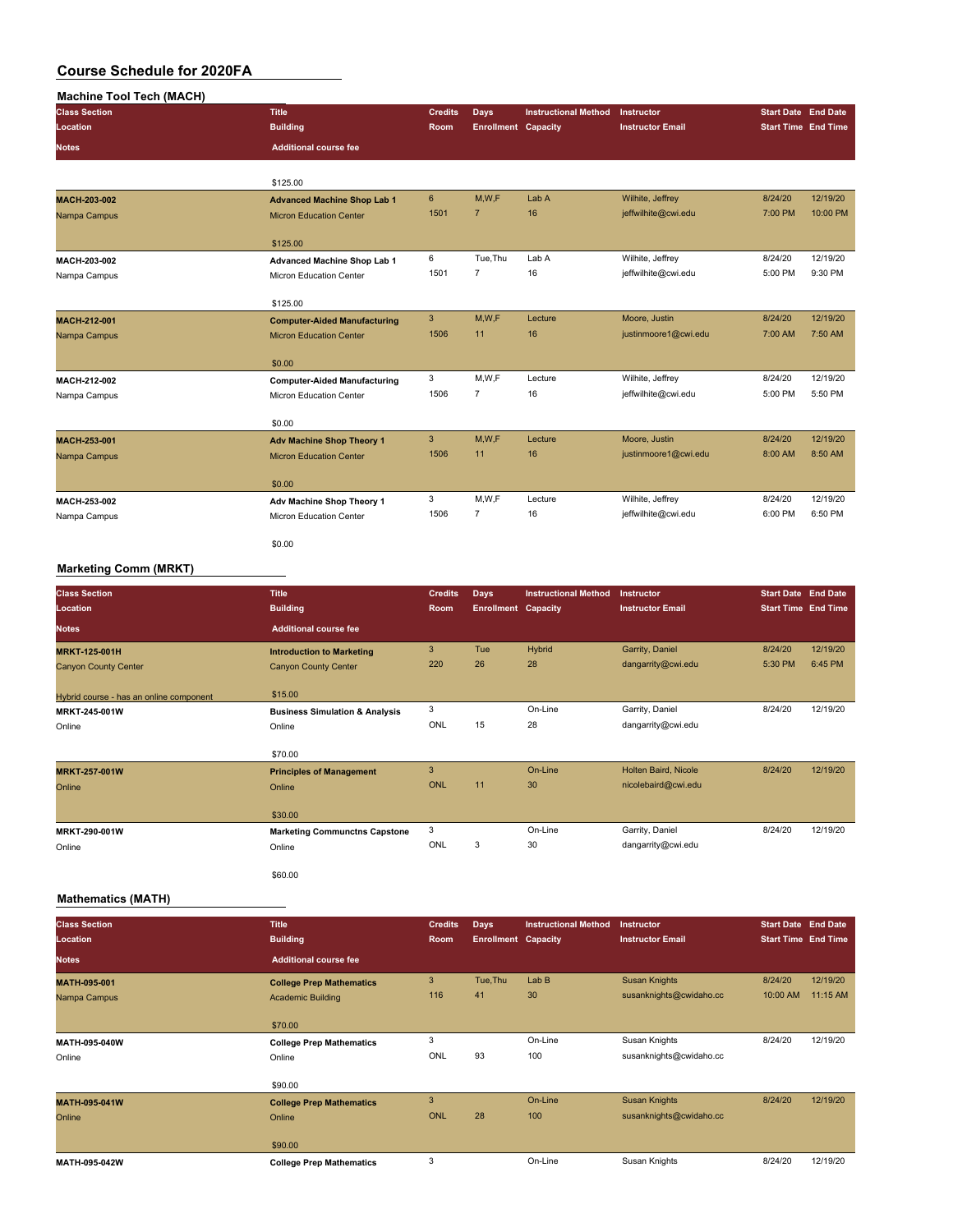| <b>Machine Tool Tech (MACH)</b> |                                     |                |                            |                             |                         |                            |          |
|---------------------------------|-------------------------------------|----------------|----------------------------|-----------------------------|-------------------------|----------------------------|----------|
| <b>Class Section</b>            | <b>Title</b>                        | <b>Credits</b> | Days                       | <b>Instructional Method</b> | <b>Instructor</b>       | <b>Start Date End Date</b> |          |
| Location                        | <b>Building</b>                     | Room           | <b>Enrollment Capacity</b> |                             | <b>Instructor Email</b> | <b>Start Time End Time</b> |          |
| <b>Notes</b>                    | <b>Additional course fee</b>        |                |                            |                             |                         |                            |          |
|                                 | \$125.00                            |                |                            |                             |                         |                            |          |
| MACH-203-002                    | <b>Advanced Machine Shop Lab 1</b>  | $6\phantom{1}$ | M, W, F                    | Lab A                       | Wilhite, Jeffrey        | 8/24/20                    | 12/19/20 |
| Nampa Campus                    | <b>Micron Education Center</b>      | 1501           | $\overline{7}$             | 16                          | jeffwilhite@cwi.edu     | 7:00 PM                    | 10:00 PM |
|                                 | \$125.00                            |                |                            |                             |                         |                            |          |
| MACH-203-002                    | <b>Advanced Machine Shop Lab 1</b>  | 6              | Tue, Thu                   | Lab A                       | Wilhite, Jeffrey        | 8/24/20                    | 12/19/20 |
| Nampa Campus                    | Micron Education Center             | 1501           | $\overline{7}$             | 16                          | jeffwilhite@cwi.edu     | 5:00 PM                    | 9:30 PM  |
|                                 | \$125.00                            |                |                            |                             |                         |                            |          |
| MACH-212-001                    | <b>Computer-Aided Manufacturing</b> | $\mathbf{3}$   | M,W,F                      | Lecture                     | Moore, Justin           | 8/24/20                    | 12/19/20 |
| Nampa Campus                    | <b>Micron Education Center</b>      | 1506           | 11                         | 16                          | justinmoore1@cwi.edu    | 7:00 AM                    | 7:50 AM  |
|                                 | \$0.00                              |                |                            |                             |                         |                            |          |
| MACH-212-002                    | <b>Computer-Aided Manufacturing</b> | 3              | M, W, F                    | Lecture                     | Wilhite, Jeffrey        | 8/24/20                    | 12/19/20 |
| Nampa Campus                    | Micron Education Center             | 1506           | $\overline{7}$             | 16                          | jeffwilhite@cwi.edu     | 5:00 PM                    | 5:50 PM  |
|                                 | \$0.00                              |                |                            |                             |                         |                            |          |
| MACH-253-001                    | <b>Adv Machine Shop Theory 1</b>    | 3              | M,W,F                      | Lecture                     | Moore, Justin           | 8/24/20                    | 12/19/20 |
| Nampa Campus                    | <b>Micron Education Center</b>      | 1506           | 11                         | 16                          | justinmoore1@cwi.edu    | 8:00 AM                    | 8:50 AM  |
|                                 | \$0.00                              |                |                            |                             |                         |                            |          |
| MACH-253-002                    | Adv Machine Shop Theory 1           | 3              | M, W, F                    | Lecture                     | Wilhite, Jeffrey        | 8/24/20                    | 12/19/20 |
| Nampa Campus                    | Micron Education Center             | 1506           | $\overline{7}$             | 16                          | jeffwilhite@cwi.edu     | 6:00 PM                    | 6:50 PM  |
|                                 | \$0.00                              |                |                            |                             |                         |                            |          |
| <b>Marketing Comm (MRKT)</b>    |                                     |                |                            |                             |                         |                            |          |

| <b>Class Section</b><br>Location        | <b>Title</b><br><b>Building</b>           | <b>Credits</b><br>Room | <b>Days</b><br><b>Enrollment Capacity</b> | <b>Instructional Method</b> | Instructor<br><b>Instructor Email</b> | <b>Start Date End Date</b><br><b>Start Time End Time</b> |          |
|-----------------------------------------|-------------------------------------------|------------------------|-------------------------------------------|-----------------------------|---------------------------------------|----------------------------------------------------------|----------|
| <b>Notes</b>                            | <b>Additional course fee</b>              |                        |                                           |                             |                                       |                                                          |          |
| <b>MRKT-125-001H</b>                    | <b>Introduction to Marketing</b>          | 3                      | Tue                                       | Hybrid                      | Garrity, Daniel                       | 8/24/20                                                  | 12/19/20 |
| <b>Canyon County Center</b>             | <b>Canyon County Center</b>               | 220                    | 26                                        | 28                          | dangarrity@cwi.edu                    | 5:30 PM                                                  | 6:45 PM  |
| Hybrid course - has an online component | \$15.00                                   |                        |                                           |                             |                                       |                                                          |          |
| MRKT-245-001W                           | <b>Business Simulation &amp; Analysis</b> | 3                      |                                           | On-Line                     | Garrity, Daniel                       | 8/24/20                                                  | 12/19/20 |
| Online                                  | Online                                    | ONL                    | 15                                        | 28                          | dangarrity@cwi.edu                    |                                                          |          |
|                                         | \$70.00                                   |                        |                                           |                             |                                       |                                                          |          |
| <b>MRKT-257-001W</b>                    | <b>Principles of Management</b>           | 3                      |                                           | On-Line                     | Holten Baird, Nicole                  | 8/24/20                                                  | 12/19/20 |
| Online                                  | Online                                    | <b>ONL</b>             | 11                                        | 30                          | nicolebaird@cwi.edu                   |                                                          |          |
|                                         | \$30.00                                   |                        |                                           |                             |                                       |                                                          |          |
| MRKT-290-001W                           | <b>Marketing Communctns Capstone</b>      | 3                      |                                           | On-Line                     | Garrity, Daniel                       | 8/24/20                                                  | 12/19/20 |
| Online                                  | Online                                    | ONL                    | 3                                         | 30                          | dangarrity@cwi.edu                    |                                                          |          |
|                                         | \$60.00                                   |                        |                                           |                             |                                       |                                                          |          |

#### **Mathematics (MATH)**

| <b>Class Section</b> | <b>Title</b>                    | <b>Credits</b> | <b>Days</b>                | <b>Instructional Method</b> | <b>Instructor</b>       | <b>Start Date End Date</b> |          |
|----------------------|---------------------------------|----------------|----------------------------|-----------------------------|-------------------------|----------------------------|----------|
| Location             | <b>Building</b>                 | Room           | <b>Enrollment Capacity</b> |                             | <b>Instructor Email</b> | <b>Start Time End Time</b> |          |
| <b>Notes</b>         | <b>Additional course fee</b>    |                |                            |                             |                         |                            |          |
| <b>MATH-095-001</b>  | <b>College Prep Mathematics</b> | 3              | Tue, Thu                   | LabB                        | <b>Susan Knights</b>    | 8/24/20                    | 12/19/20 |
| Nampa Campus         | <b>Academic Building</b>        | 116            | 41                         | 30                          | susanknights@cwidaho.cc | 10:00 AM                   | 11:15 AM |
|                      |                                 |                |                            |                             |                         |                            |          |
|                      | \$70.00                         |                |                            |                             |                         |                            |          |
| MATH-095-040W        | <b>College Prep Mathematics</b> | 3              |                            | On-Line                     | Susan Knights           | 8/24/20                    | 12/19/20 |
| Online               | Online                          | ONL            | 93                         | 100                         | susanknights@cwidaho.cc |                            |          |
|                      | \$90.00                         |                |                            |                             |                         |                            |          |
| MATH-095-041W        | <b>College Prep Mathematics</b> | 3              |                            | On-Line                     | <b>Susan Knights</b>    | 8/24/20                    | 12/19/20 |
| Online               | Online                          | <b>ONL</b>     | 28                         | 100                         | susanknights@cwidaho.cc |                            |          |
|                      | \$90.00                         |                |                            |                             |                         |                            |          |
| MATH-095-042W        | <b>College Prep Mathematics</b> | 3              |                            | On-Line                     | Susan Knights           | 8/24/20                    | 12/19/20 |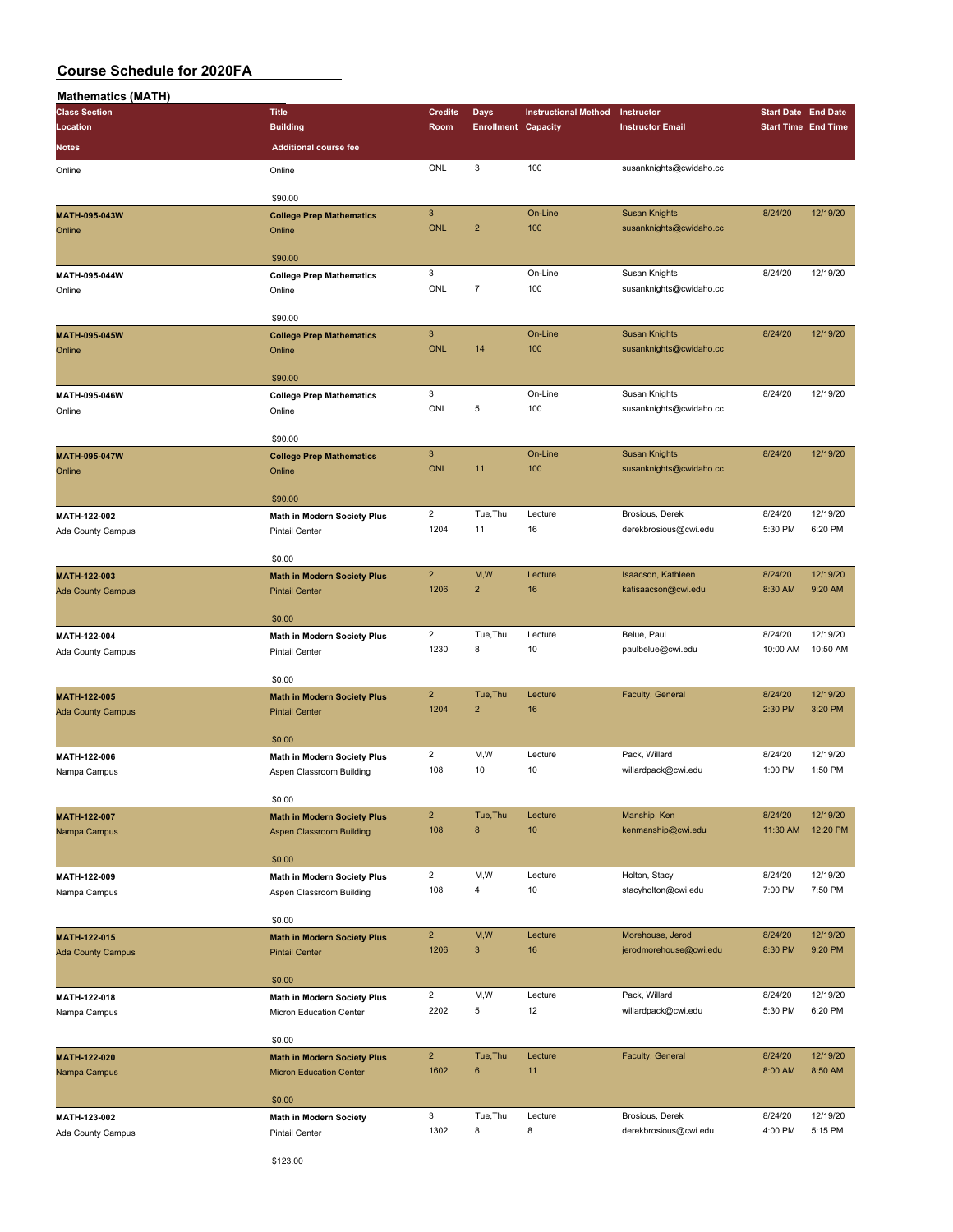| <b>Mathematics (MATH)</b> |                                    |                           |                            |                             |                         |                            |          |
|---------------------------|------------------------------------|---------------------------|----------------------------|-----------------------------|-------------------------|----------------------------|----------|
| <b>Class Section</b>      | <b>Title</b>                       | <b>Credits</b>            | Days                       | <b>Instructional Method</b> | Instructor              | <b>Start Date End Date</b> |          |
| Location                  | <b>Building</b>                    | Room                      | <b>Enrollment Capacity</b> |                             | <b>Instructor Email</b> | <b>Start Time End Time</b> |          |
| Notes                     | <b>Additional course fee</b>       |                           |                            |                             |                         |                            |          |
|                           |                                    |                           |                            |                             |                         |                            |          |
| Online                    | Online                             | ONL                       | 3                          | 100                         | susanknights@cwidaho.cc |                            |          |
|                           |                                    |                           |                            |                             |                         |                            |          |
|                           | \$90.00                            |                           |                            |                             |                         |                            |          |
| MATH-095-043W             | <b>College Prep Mathematics</b>    | $\ensuremath{\mathsf{3}}$ |                            | On-Line                     | <b>Susan Knights</b>    | 8/24/20                    | 12/19/20 |
| Online                    | Online                             | <b>ONL</b>                | $\overline{2}$             | 100                         | susanknights@cwidaho.cc |                            |          |
|                           |                                    |                           |                            |                             |                         |                            |          |
|                           | \$90.00                            |                           |                            |                             |                         |                            |          |
| MATH-095-044W             | <b>College Prep Mathematics</b>    | 3                         |                            | On-Line                     | Susan Knights           | 8/24/20                    | 12/19/20 |
| Online                    | Online                             | ONL                       | $\overline{7}$             | 100                         | susanknights@cwidaho.cc |                            |          |
|                           |                                    |                           |                            |                             |                         |                            |          |
|                           | \$90.00                            |                           |                            |                             |                         |                            |          |
| MATH-095-045W             | <b>College Prep Mathematics</b>    | $\mathbf{3}$              |                            | On-Line                     | <b>Susan Knights</b>    | 8/24/20                    | 12/19/20 |
| Online                    | Online                             | <b>ONL</b>                | 14                         | 100                         | susanknights@cwidaho.cc |                            |          |
|                           |                                    |                           |                            |                             |                         |                            |          |
|                           | \$90.00                            |                           |                            |                             |                         |                            |          |
| MATH-095-046W             | <b>College Prep Mathematics</b>    | $\mathbf 3$               |                            | On-Line                     | Susan Knights           | 8/24/20                    | 12/19/20 |
| Online                    | Online                             | ONL                       | 5                          | 100                         | susanknights@cwidaho.cc |                            |          |
|                           |                                    |                           |                            |                             |                         |                            |          |
|                           | \$90.00                            |                           |                            |                             |                         |                            |          |
| MATH-095-047W             | <b>College Prep Mathematics</b>    | $\mathbf{3}$              |                            | On-Line                     | <b>Susan Knights</b>    | 8/24/20                    | 12/19/20 |
| Online                    | Online                             | <b>ONL</b>                | 11                         | 100                         | susanknights@cwidaho.cc |                            |          |
|                           |                                    |                           |                            |                             |                         |                            |          |
|                           | \$90.00                            |                           |                            |                             |                         |                            |          |
| MATH-122-002              | Math in Modern Society Plus        | $\overline{2}$            | Tue, Thu                   | Lecture                     | Brosious, Derek         | 8/24/20                    | 12/19/20 |
| Ada County Campus         | <b>Pintail Center</b>              | 1204                      | 11                         | 16                          | derekbrosious@cwi.edu   | 5:30 PM                    | 6:20 PM  |
|                           |                                    |                           |                            |                             |                         |                            |          |
|                           | \$0.00                             |                           |                            |                             |                         |                            |          |
| MATH-122-003              |                                    | $\overline{2}$            | M,W                        | Lecture                     | Isaacson, Kathleen      | 8/24/20                    | 12/19/20 |
|                           | <b>Math in Modern Society Plus</b> | 1206                      | $\overline{\mathbf{c}}$    | 16                          | katisaacson@cwi.edu     | 8:30 AM                    | 9:20 AM  |
| <b>Ada County Campus</b>  | <b>Pintail Center</b>              |                           |                            |                             |                         |                            |          |
|                           | \$0.00                             |                           |                            |                             |                         |                            |          |
|                           |                                    | $\overline{2}$            | Tue, Thu                   | Lecture                     | Belue, Paul             | 8/24/20                    | 12/19/20 |
| MATH-122-004              | <b>Math in Modern Society Plus</b> | 1230                      |                            | 10                          |                         | 10:00 AM                   | 10:50 AM |
| Ada County Campus         | <b>Pintail Center</b>              |                           | 8                          |                             | paulbelue@cwi.edu       |                            |          |
|                           |                                    |                           |                            |                             |                         |                            |          |
|                           | \$0.00                             |                           |                            |                             |                         |                            |          |
| MATH-122-005              | <b>Math in Modern Society Plus</b> | $\overline{2}$            | Tue, Thu                   | Lecture                     | Faculty, General        | 8/24/20                    | 12/19/20 |
| <b>Ada County Campus</b>  | <b>Pintail Center</b>              | 1204                      | $\overline{2}$             | 16                          |                         | 2:30 PM                    | 3:20 PM  |
|                           |                                    |                           |                            |                             |                         |                            |          |
|                           | \$0.00                             |                           |                            |                             |                         |                            |          |
| MATH-122-006              | <b>Math in Modern Society Plus</b> | $\overline{2}$            | M,W                        | Lecture                     | Pack, Willard           | 8/24/20                    | 12/19/20 |
| Nampa Campus              | Aspen Classroom Building           | 108                       | 10                         | 10                          | willardpack@cwi.edu     | 1:00 PM                    | 1:50 PM  |
|                           |                                    |                           |                            |                             |                         |                            |          |
|                           | \$0.00                             |                           |                            |                             |                         |                            |          |
| <b>MATH-122-007</b>       | <b>Math in Modern Society Plus</b> | $\overline{2}$            | Tue, Thu                   | Lecture                     | Manship, Ken            | 8/24/20                    | 12/19/20 |
| Nampa Campus              | <b>Aspen Classroom Building</b>    | 108                       | 8                          | 10                          | kenmanship@cwi.edu      | 11:30 AM                   | 12:20 PM |
|                           |                                    |                           |                            |                             |                         |                            |          |
|                           | \$0.00                             |                           |                            |                             |                         |                            |          |
| MATH-122-009              | <b>Math in Modern Society Plus</b> | $\overline{2}$            | M, W                       | Lecture                     | Holton, Stacy           | 8/24/20                    | 12/19/20 |
| Nampa Campus              | Aspen Classroom Building           | 108                       | 4                          | 10                          | stacyholton@cwi.edu     | 7:00 PM                    | 7:50 PM  |
|                           |                                    |                           |                            |                             |                         |                            |          |
|                           | \$0.00                             |                           |                            |                             |                         |                            |          |
| MATH-122-015              | <b>Math in Modern Society Plus</b> | $\overline{2}$            | M,W                        | Lecture                     | Morehouse, Jerod        | 8/24/20                    | 12/19/20 |
| <b>Ada County Campus</b>  | <b>Pintail Center</b>              | 1206                      | 3                          | 16                          | jerodmorehouse@cwi.edu  | 8:30 PM                    | 9:20 PM  |
|                           |                                    |                           |                            |                             |                         |                            |          |
|                           | \$0.00                             |                           |                            |                             |                         |                            |          |
| MATH-122-018              |                                    | $\overline{2}$            | M, W                       | Lecture                     | Pack, Willard           | 8/24/20                    | 12/19/20 |
|                           | Math in Modern Society Plus        | 2202                      | 5                          | 12                          | willardpack@cwi.edu     | 5:30 PM                    | 6:20 PM  |
| Nampa Campus              | Micron Education Center            |                           |                            |                             |                         |                            |          |
|                           | \$0.00                             |                           |                            |                             |                         |                            |          |
|                           |                                    |                           |                            |                             |                         |                            |          |
| MATH-122-020              | <b>Math in Modern Society Plus</b> | $\overline{2}$            | Tue, Thu                   | Lecture                     | Faculty, General        | 8/24/20                    | 12/19/20 |
| Nampa Campus              | <b>Micron Education Center</b>     | 1602                      | 6                          | 11                          |                         | 8:00 AM                    | 8:50 AM  |
|                           |                                    |                           |                            |                             |                         |                            |          |
|                           | \$0.00                             |                           |                            |                             |                         |                            |          |
| MATH-123-002              | <b>Math in Modern Society</b>      | 3                         | Tue, Thu                   | Lecture                     | Brosious, Derek         | 8/24/20                    | 12/19/20 |
| Ada County Campus         | Pintail Center                     | 1302                      | 8                          | 8                           | derekbrosious@cwi.edu   | 4:00 PM                    | 5:15 PM  |
|                           |                                    |                           |                            |                             |                         |                            |          |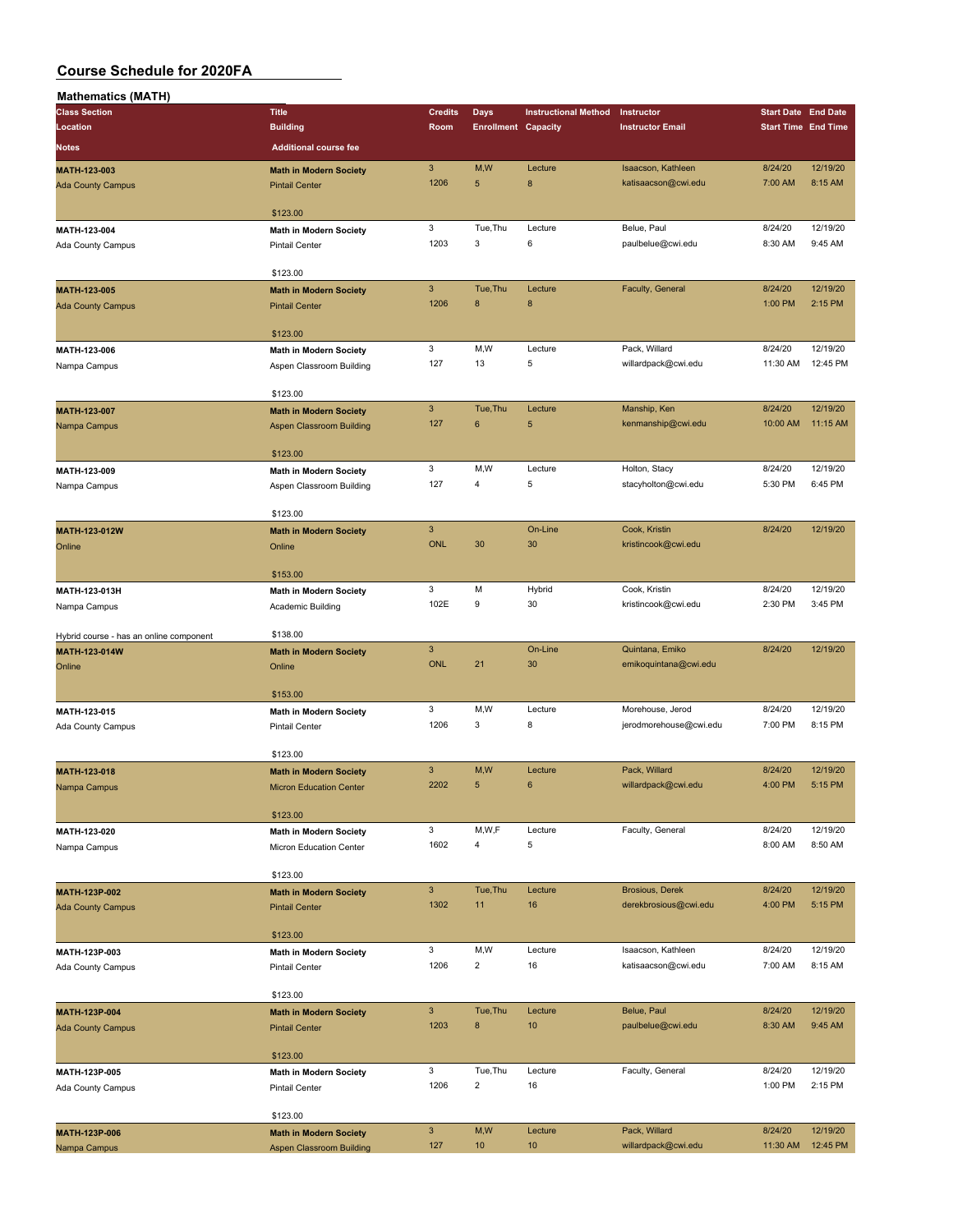| Mathematics (MATH)                      |                                 |                           |                            |                             |                                            |                            |                      |
|-----------------------------------------|---------------------------------|---------------------------|----------------------------|-----------------------------|--------------------------------------------|----------------------------|----------------------|
| <b>Class Section</b>                    | <b>Title</b>                    | <b>Credits</b>            | Days                       | <b>Instructional Method</b> | Instructor                                 | <b>Start Date End Date</b> |                      |
| Location                                | <b>Building</b>                 | Room                      | <b>Enrollment Capacity</b> |                             | <b>Instructor Email</b>                    | <b>Start Time End Time</b> |                      |
| Notes                                   | <b>Additional course fee</b>    |                           |                            |                             |                                            |                            |                      |
| MATH-123-003                            | <b>Math in Modern Society</b>   | $\sqrt{3}$                | M,W                        | Lecture                     | Isaacson, Kathleen                         | 8/24/20                    | 12/19/20             |
| <b>Ada County Campus</b>                | <b>Pintail Center</b>           | 1206                      | 5                          | $\boldsymbol{8}$            | katisaacson@cwi.edu                        | 7:00 AM                    | 8:15 AM              |
|                                         |                                 |                           |                            |                             |                                            |                            |                      |
|                                         | \$123.00                        |                           |                            |                             |                                            |                            |                      |
| MATH-123-004                            | <b>Math in Modern Society</b>   | 3<br>1203                 | Tue, Thu<br>3              | Lecture<br>6                | Belue, Paul<br>paulbelue@cwi.edu           | 8/24/20<br>8:30 AM         | 12/19/20<br>9:45 AM  |
| Ada County Campus                       | <b>Pintail Center</b>           |                           |                            |                             |                                            |                            |                      |
|                                         | \$123.00                        |                           |                            |                             |                                            |                            |                      |
| MATH-123-005                            | <b>Math in Modern Society</b>   | $\mathsf 3$               | Tue, Thu                   | Lecture                     | Faculty, General                           | 8/24/20                    | 12/19/20             |
| <b>Ada County Campus</b>                | <b>Pintail Center</b>           | 1206                      | 8                          | $\boldsymbol{8}$            |                                            | 1:00 PM                    | 2:15 PM              |
|                                         |                                 |                           |                            |                             |                                            |                            |                      |
|                                         | \$123.00                        |                           |                            |                             |                                            |                            |                      |
| MATH-123-006                            | <b>Math in Modern Society</b>   | 3<br>127                  | M,W<br>13                  | Lecture<br>5                | Pack, Willard                              | 8/24/20<br>11:30 AM        | 12/19/20<br>12:45 PM |
| Nampa Campus                            | Aspen Classroom Building        |                           |                            |                             | willardpack@cwi.edu                        |                            |                      |
|                                         | \$123.00                        |                           |                            |                             |                                            |                            |                      |
| MATH-123-007                            | <b>Math in Modern Society</b>   | $\mathsf 3$               | Tue, Thu                   | Lecture                     | Manship, Ken                               | 8/24/20                    | 12/19/20             |
| Nampa Campus                            | Aspen Classroom Building        | 127                       | 6                          | 5                           | kenmanship@cwi.edu                         | 10:00 AM                   | 11:15 AM             |
|                                         |                                 |                           |                            |                             |                                            |                            |                      |
|                                         | \$123.00                        |                           |                            |                             |                                            |                            |                      |
| MATH-123-009                            | Math in Modern Society          | 3                         | M, W                       | Lecture                     | Holton, Stacy                              | 8/24/20                    | 12/19/20             |
| Nampa Campus                            | Aspen Classroom Building        | 127                       | 4                          | 5                           | stacyholton@cwi.edu                        | 5:30 PM                    | 6:45 PM              |
|                                         | \$123.00                        |                           |                            |                             |                                            |                            |                      |
| MATH-123-012W                           | <b>Math in Modern Society</b>   | $\overline{3}$            |                            | On-Line                     | Cook, Kristin                              | 8/24/20                    | 12/19/20             |
| Online                                  | Online                          | <b>ONL</b>                | 30                         | 30                          | kristincook@cwi.edu                        |                            |                      |
|                                         |                                 |                           |                            |                             |                                            |                            |                      |
|                                         | \$153.00                        |                           |                            |                             |                                            |                            |                      |
| MATH-123-013H                           | Math in Modern Society          | 3                         | M                          | Hybrid                      | Cook, Kristin                              | 8/24/20                    | 12/19/20             |
| Nampa Campus                            | Academic Building               | 102E                      | 9                          | 30                          | kristincook@cwi.edu                        | 2:30 PM                    | 3:45 PM              |
| Hybrid course - has an online component | \$138.00                        |                           |                            |                             |                                            |                            |                      |
| MATH-123-014W                           | <b>Math in Modern Society</b>   | $\sqrt{3}$                |                            | On-Line                     | Quintana, Emiko                            | 8/24/20                    | 12/19/20             |
| Online                                  | Online                          | <b>ONL</b>                | 21                         | 30                          | emikoquintana@cwi.edu                      |                            |                      |
|                                         |                                 |                           |                            |                             |                                            |                            |                      |
|                                         | \$153.00                        |                           |                            |                             |                                            |                            |                      |
| MATH-123-015                            | <b>Math in Modern Society</b>   | 3<br>1206                 | M,W<br>3                   | Lecture<br>8                | Morehouse, Jerod<br>jerodmorehouse@cwi.edu | 8/24/20<br>7:00 PM         | 12/19/20<br>8:15 PM  |
| Ada County Campus                       | <b>Pintail Center</b>           |                           |                            |                             |                                            |                            |                      |
|                                         | \$123.00                        |                           |                            |                             |                                            |                            |                      |
| <b>MATH-123-018</b>                     | <b>Math in Modern Society</b>   | $\mathbf{3}$              | M,W                        | Lecture                     | Pack, Willard                              | 8/24/20                    | 12/19/20             |
| Nampa Campus                            | <b>Micron Education Center</b>  | 2202                      | 5                          | 6                           | willardpack@cwi.edu                        | 4:00 PM                    | 5:15 PM              |
|                                         |                                 |                           |                            |                             |                                            |                            |                      |
|                                         | \$123.00                        |                           |                            |                             |                                            |                            |                      |
| MATH-123-020                            | Math in Modern Society          | 3<br>1602                 | M,W,F<br>$\overline{4}$    | Lecture<br>5                | Faculty, General                           | 8/24/20<br>8:00 AM         | 12/19/20<br>8:50 AM  |
| Nampa Campus                            | Micron Education Center         |                           |                            |                             |                                            |                            |                      |
|                                         | \$123.00                        |                           |                            |                             |                                            |                            |                      |
| MATH-123P-002                           | <b>Math in Modern Society</b>   | $\mathbf{3}$              | Tue, Thu                   | Lecture                     | <b>Brosious, Derek</b>                     | 8/24/20                    | 12/19/20             |
| <b>Ada County Campus</b>                | <b>Pintail Center</b>           | 1302                      | 11                         | 16                          | derekbrosious@cwi.edu                      | 4:00 PM                    | 5:15 PM              |
|                                         |                                 |                           |                            |                             |                                            |                            |                      |
|                                         | \$123.00                        |                           |                            |                             |                                            |                            |                      |
| MATH-123P-003                           | <b>Math in Modern Society</b>   | 3<br>1206                 | M,W<br>$\overline{2}$      | Lecture<br>16               | Isaacson, Kathleen<br>katisaacson@cwi.edu  | 8/24/20<br>7:00 AM         | 12/19/20<br>8:15 AM  |
| Ada County Campus                       | <b>Pintail Center</b>           |                           |                            |                             |                                            |                            |                      |
|                                         | \$123.00                        |                           |                            |                             |                                            |                            |                      |
| MATH-123P-004                           | <b>Math in Modern Society</b>   | 3 <sup>2</sup>            | Tue, Thu                   | Lecture                     | Belue, Paul                                | 8/24/20                    | 12/19/20             |
| <b>Ada County Campus</b>                | <b>Pintail Center</b>           | 1203                      | $\bf8$                     | 10                          | paulbelue@cwi.edu                          | 8:30 AM                    | 9:45 AM              |
|                                         |                                 |                           |                            |                             |                                            |                            |                      |
|                                         | \$123.00                        |                           |                            |                             |                                            |                            |                      |
| MATH-123P-005                           | <b>Math in Modern Society</b>   | 3<br>1206                 | Tue, Thu<br>$\overline{2}$ | Lecture                     | Faculty, General                           | 8/24/20                    | 12/19/20<br>2:15 PM  |
| Ada County Campus                       | <b>Pintail Center</b>           |                           |                            | 16                          |                                            | 1:00 PM                    |                      |
|                                         | \$123.00                        |                           |                            |                             |                                            |                            |                      |
| MATH-123P-006                           | <b>Math in Modern Society</b>   | $\ensuremath{\mathsf{3}}$ | M, W                       | Lecture                     | Pack, Willard                              | 8/24/20                    | 12/19/20             |
| Nampa Campus                            | <b>Aspen Classroom Building</b> | 127                       | 10                         | 10                          | willardpack@cwi.edu                        | 11:30 AM                   | 12:45 PM             |
|                                         |                                 |                           |                            |                             |                                            |                            |                      |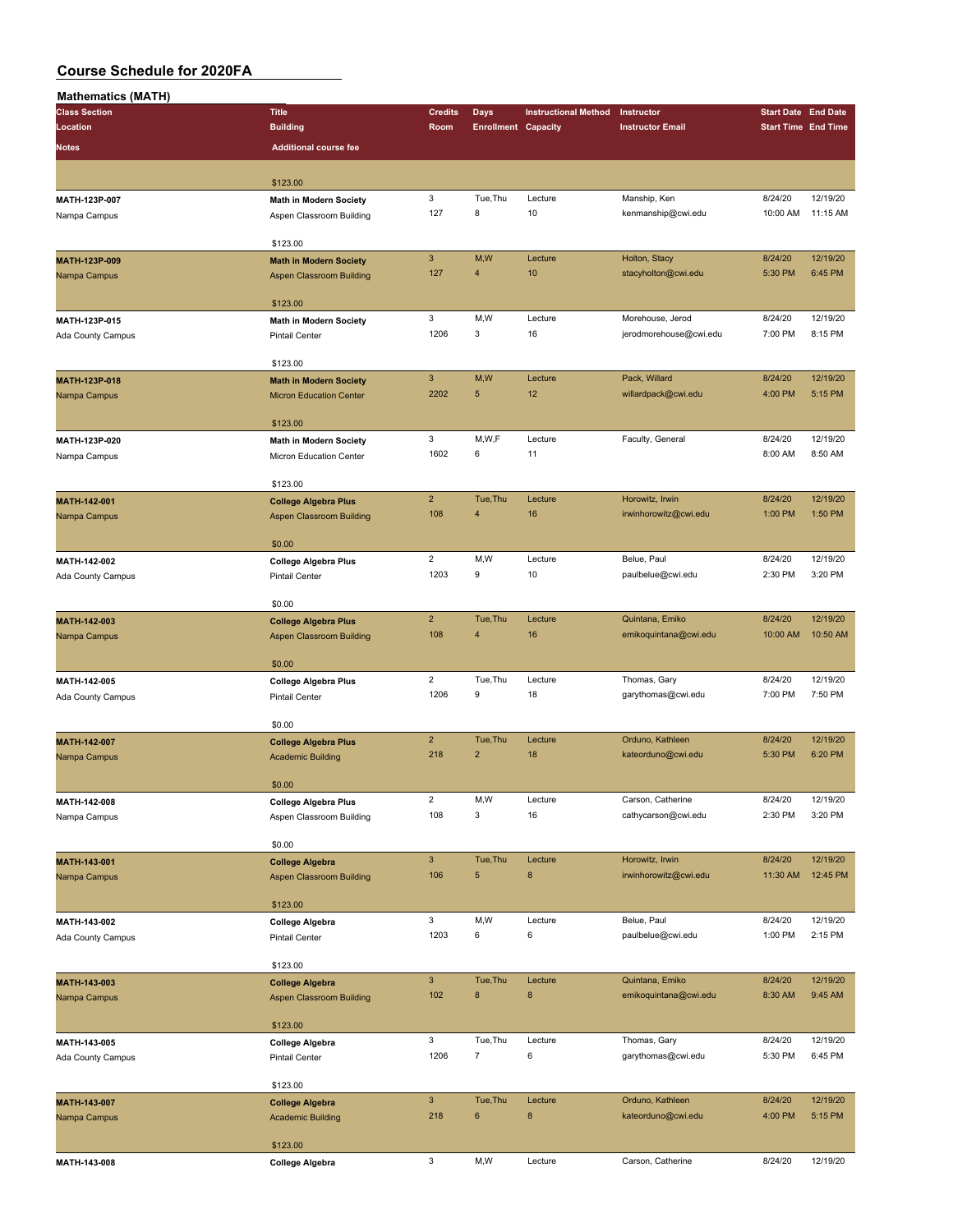| <b>Mathematics (MATH)</b> |                                 |                |                            |                             |                         |                            |          |
|---------------------------|---------------------------------|----------------|----------------------------|-----------------------------|-------------------------|----------------------------|----------|
| <b>Class Section</b>      | <b>Title</b>                    | <b>Credits</b> | <b>Days</b>                | <b>Instructional Method</b> | Instructor              | <b>Start Date End Date</b> |          |
| Location                  | <b>Building</b>                 | Room           | <b>Enrollment Capacity</b> |                             | <b>Instructor Email</b> | <b>Start Time End Time</b> |          |
| <b>Notes</b>              | <b>Additional course fee</b>    |                |                            |                             |                         |                            |          |
|                           |                                 |                |                            |                             |                         |                            |          |
|                           | \$123.00                        |                |                            |                             |                         |                            |          |
|                           |                                 | 3              | Tue, Thu                   | Lecture                     |                         | 8/24/20                    | 12/19/20 |
| MATH-123P-007             | Math in Modern Society          | 127            | 8                          | 10                          | Manship, Ken            |                            |          |
| Nampa Campus              | Aspen Classroom Building        |                |                            |                             | kenmanship@cwi.edu      | 10:00 AM                   | 11:15 AM |
|                           | \$123.00                        |                |                            |                             |                         |                            |          |
|                           |                                 | $\mathbf{3}$   | M,W                        | Lecture                     | Holton, Stacy           | 8/24/20                    | 12/19/20 |
| MATH-123P-009             | <b>Math in Modern Society</b>   | 127            | $\overline{4}$             | 10                          | stacyholton@cwi.edu     | 5:30 PM                    | 6:45 PM  |
| Nampa Campus              | <b>Aspen Classroom Building</b> |                |                            |                             |                         |                            |          |
|                           | \$123.00                        |                |                            |                             |                         |                            |          |
|                           |                                 | 3              | M,W                        | Lecture                     | Morehouse, Jerod        | 8/24/20                    | 12/19/20 |
| MATH-123P-015             | <b>Math in Modern Society</b>   | 1206           | 3                          | 16                          | jerodmorehouse@cwi.edu  | 7:00 PM                    | 8:15 PM  |
| Ada County Campus         | <b>Pintail Center</b>           |                |                            |                             |                         |                            |          |
|                           | \$123.00                        |                |                            |                             |                         |                            |          |
| MATH-123P-018             | <b>Math in Modern Society</b>   | $\mathbf{3}$   | M,W                        | Lecture                     | Pack, Willard           | 8/24/20                    | 12/19/20 |
| Nampa Campus              | <b>Micron Education Center</b>  | 2202           | $\sqrt{5}$                 | 12                          | willardpack@cwi.edu     | 4:00 PM                    | 5:15 PM  |
|                           |                                 |                |                            |                             |                         |                            |          |
|                           | \$123.00                        |                |                            |                             |                         |                            |          |
| MATH-123P-020             | <b>Math in Modern Society</b>   | 3              | M,W,F                      | Lecture                     | Faculty, General        | 8/24/20                    | 12/19/20 |
| Nampa Campus              | Micron Education Center         | 1602           | 6                          | 11                          |                         | 8:00 AM                    | 8:50 AM  |
|                           |                                 |                |                            |                             |                         |                            |          |
|                           | \$123.00                        |                |                            |                             |                         |                            |          |
| MATH-142-001              | <b>College Algebra Plus</b>     | $\overline{2}$ | Tue, Thu                   | Lecture                     | Horowitz, Irwin         | 8/24/20                    | 12/19/20 |
| Nampa Campus              | <b>Aspen Classroom Building</b> | 108            | 4                          | 16                          | irwinhorowitz@cwi.edu   | 1:00 PM                    | 1:50 PM  |
|                           |                                 |                |                            |                             |                         |                            |          |
|                           | \$0.00                          |                |                            |                             |                         |                            |          |
| MATH-142-002              | <b>College Algebra Plus</b>     | $\overline{2}$ | M,W                        | Lecture                     | Belue, Paul             | 8/24/20                    | 12/19/20 |
| Ada County Campus         | <b>Pintail Center</b>           | 1203           | 9                          | 10                          | paulbelue@cwi.edu       | 2:30 PM                    | 3:20 PM  |
|                           |                                 |                |                            |                             |                         |                            |          |
|                           | \$0.00                          |                |                            |                             |                         |                            |          |
| MATH-142-003              | <b>College Algebra Plus</b>     | $\overline{2}$ | Tue, Thu                   | Lecture                     | Quintana, Emiko         | 8/24/20                    | 12/19/20 |
| Nampa Campus              | <b>Aspen Classroom Building</b> | 108            | $\overline{4}$             | 16                          | emikoquintana@cwi.edu   | 10:00 AM                   | 10:50 AM |
|                           |                                 |                |                            |                             |                         |                            |          |
|                           | \$0.00                          |                |                            |                             |                         |                            |          |
| MATH-142-005              | <b>College Algebra Plus</b>     | $\overline{2}$ | Tue, Thu                   | Lecture                     | Thomas, Gary            | 8/24/20                    | 12/19/20 |
| Ada County Campus         | <b>Pintail Center</b>           | 1206           | 9                          | 18                          | garythomas@cwi.edu      | 7:00 PM                    | 7:50 PM  |
|                           |                                 |                |                            |                             |                         |                            |          |
|                           | \$0.00                          |                |                            |                             |                         |                            |          |
| MATH-142-007              | <b>College Algebra Plus</b>     | $\overline{2}$ | Tue, Thu                   | Lecture                     | Orduno, Kathleen        | 8/24/20                    | 12/19/20 |
| Nampa Campus              | <b>Academic Building</b>        | 218            | $\overline{2}$             | 18                          | kateorduno@cwi.edu      | 5:30 PM                    | 6:20 PM  |
|                           |                                 |                |                            |                             |                         |                            |          |
|                           | \$0.00                          |                |                            |                             |                         |                            |          |
| MATH-142-008              | <b>College Algebra Plus</b>     | $\mathbf 2$    | M,W                        | Lecture                     | Carson, Catherine       | 8/24/20                    | 12/19/20 |
| Nampa Campus              | Aspen Classroom Building        | 108            | 3                          | 16                          | cathycarson@cwi.edu     | 2:30 PM                    | 3:20 PM  |
|                           |                                 |                |                            |                             |                         |                            |          |
|                           | \$0.00                          |                |                            |                             |                         |                            |          |
| MATH-143-001              | <b>College Algebra</b>          | $\mathsf 3$    | Tue, Thu                   | Lecture                     | Horowitz, Irwin         | 8/24/20                    | 12/19/20 |
| Nampa Campus              | <b>Aspen Classroom Building</b> | 106            | 5                          | $\bf 8$                     | irwinhorowitz@cwi.edu   | 11:30 AM                   | 12:45 PM |
|                           |                                 |                |                            |                             |                         |                            |          |
|                           | \$123.00                        |                |                            |                             |                         |                            |          |
| MATH-143-002              | <b>College Algebra</b>          | 3              | M,W                        | Lecture                     | Belue, Paul             | 8/24/20                    | 12/19/20 |
| Ada County Campus         | <b>Pintail Center</b>           | 1203           | 6                          | 6                           | paulbelue@cwi.edu       | 1:00 PM                    | 2:15 PM  |
|                           |                                 |                |                            |                             |                         |                            |          |
|                           | \$123.00                        |                |                            |                             |                         |                            |          |
| MATH-143-003              | <b>College Algebra</b>          | $\mathbf{3}$   | Tue, Thu                   | Lecture                     | Quintana, Emiko         | 8/24/20                    | 12/19/20 |
| Nampa Campus              | <b>Aspen Classroom Building</b> | 102            | $\bf8$                     | $\bf8$                      | emikoquintana@cwi.edu   | 8:30 AM                    | 9:45 AM  |
|                           |                                 |                |                            |                             |                         |                            |          |
|                           | \$123.00                        |                |                            |                             |                         |                            |          |
| MATH-143-005              | <b>College Algebra</b>          | 3              | Tue, Thu                   | Lecture                     | Thomas, Gary            | 8/24/20                    | 12/19/20 |
| Ada County Campus         | <b>Pintail Center</b>           | 1206           | $\boldsymbol{7}$           | $\bf 6$                     | garythomas@cwi.edu      | 5:30 PM                    | 6:45 PM  |
|                           |                                 |                |                            |                             |                         |                            |          |
|                           | \$123.00                        |                |                            |                             |                         |                            |          |
| MATH-143-007              | <b>College Algebra</b>          | $\mathbf{3}$   | Tue, Thu                   | Lecture                     | Orduno, Kathleen        | 8/24/20                    | 12/19/20 |
| Nampa Campus              | <b>Academic Building</b>        | 218            | $\bf 6$                    | $\bf 8$                     | kateorduno@cwi.edu      | 4:00 PM                    | 5:15 PM  |
|                           |                                 |                |                            |                             |                         |                            |          |
|                           | \$123.00                        |                |                            |                             |                         |                            |          |
| MATH-143-008              | <b>College Algebra</b>          | 3              | M, W                       | Lecture                     | Carson, Catherine       | 8/24/20                    | 12/19/20 |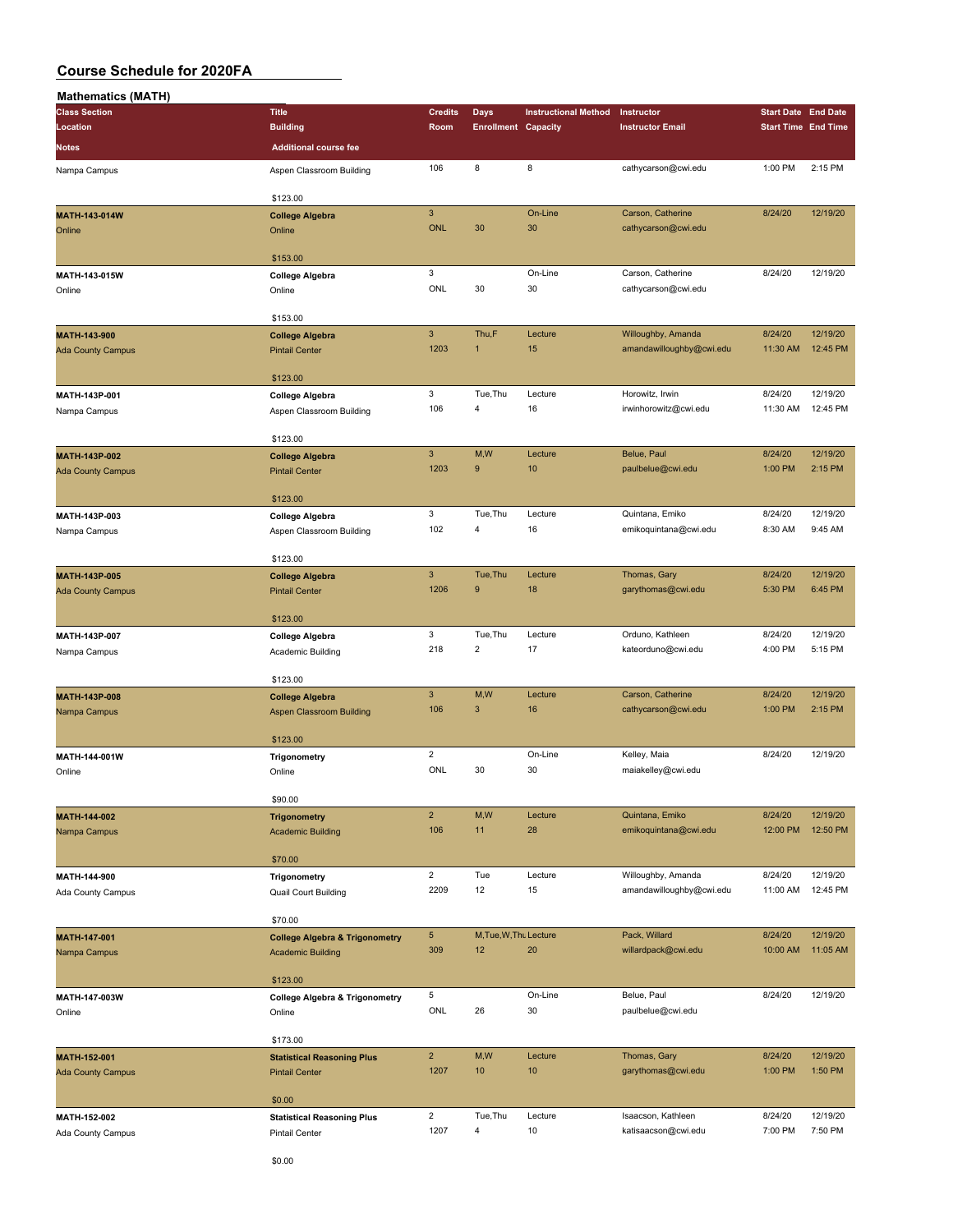| <b>Mathematics (MATH)</b> |                                           |                |                            |                             |                          |                            |          |
|---------------------------|-------------------------------------------|----------------|----------------------------|-----------------------------|--------------------------|----------------------------|----------|
| <b>Class Section</b>      | <b>Title</b>                              | <b>Credits</b> | Days                       | <b>Instructional Method</b> | Instructor               | <b>Start Date End Date</b> |          |
| Location                  | <b>Building</b>                           | Room           | <b>Enrollment Capacity</b> |                             | <b>Instructor Email</b>  | <b>Start Time End Time</b> |          |
| Notes                     | <b>Additional course fee</b>              |                |                            |                             |                          |                            |          |
|                           |                                           |                |                            |                             |                          |                            |          |
| Nampa Campus              | Aspen Classroom Building                  | 106            | 8                          | 8                           | cathycarson@cwi.edu      | 1:00 PM                    | 2:15 PM  |
|                           |                                           |                |                            |                             |                          |                            |          |
|                           | \$123.00                                  |                |                            |                             |                          |                            |          |
| MATH-143-014W             | <b>College Algebra</b>                    | $\mathbf{3}$   |                            | On-Line                     | Carson, Catherine        | 8/24/20                    | 12/19/20 |
| Online                    | Online                                    | <b>ONL</b>     | 30                         | 30                          | cathycarson@cwi.edu      |                            |          |
|                           |                                           |                |                            |                             |                          |                            |          |
|                           | \$153.00                                  |                |                            |                             |                          |                            |          |
| MATH-143-015W             | <b>College Algebra</b>                    | $\mathbf 3$    |                            | On-Line                     | Carson, Catherine        | 8/24/20                    | 12/19/20 |
| Online                    | Online                                    | ONL            | 30                         | 30                          | cathycarson@cwi.edu      |                            |          |
|                           |                                           |                |                            |                             |                          |                            |          |
|                           | \$153.00                                  |                |                            |                             |                          |                            |          |
| MATH-143-900              | <b>College Algebra</b>                    | $\mathbf{3}$   | Thu,F                      | Lecture                     | Willoughby, Amanda       | 8/24/20                    | 12/19/20 |
| <b>Ada County Campus</b>  | <b>Pintail Center</b>                     | 1203           | $\mathbf{1}$               | 15                          | amandawilloughby@cwi.edu | 11:30 AM                   | 12:45 PM |
|                           |                                           |                |                            |                             |                          |                            |          |
|                           | \$123.00                                  |                |                            |                             |                          |                            |          |
| MATH-143P-001             | <b>College Algebra</b>                    | 3              | Tue, Thu                   | Lecture                     | Horowitz, Irwin          | 8/24/20                    | 12/19/20 |
| Nampa Campus              | Aspen Classroom Building                  | 106            | 4                          | 16                          | irwinhorowitz@cwi.edu    | 11:30 AM                   | 12:45 PM |
|                           |                                           |                |                            |                             |                          |                            |          |
|                           | \$123.00                                  |                |                            |                             |                          |                            |          |
| MATH-143P-002             | <b>College Algebra</b>                    | $\mathbf{3}$   | M,W                        | Lecture                     | Belue, Paul              | 8/24/20                    | 12/19/20 |
| <b>Ada County Campus</b>  | <b>Pintail Center</b>                     | 1203           | 9                          | 10                          | paulbelue@cwi.edu        | 1:00 PM                    | 2:15 PM  |
|                           |                                           |                |                            |                             |                          |                            |          |
|                           | \$123.00                                  |                |                            |                             |                          |                            |          |
| MATH-143P-003             | <b>College Algebra</b>                    | $\mathbf 3$    | Tue, Thu                   | Lecture                     | Quintana, Emiko          | 8/24/20                    | 12/19/20 |
| Nampa Campus              | Aspen Classroom Building                  | 102            | 4                          | 16                          | emikoquintana@cwi.edu    | 8:30 AM                    | 9:45 AM  |
|                           |                                           |                |                            |                             |                          |                            |          |
|                           | \$123.00                                  |                |                            |                             |                          |                            |          |
| MATH-143P-005             | <b>College Algebra</b>                    | $\overline{3}$ | Tue, Thu                   | Lecture                     | Thomas, Gary             | 8/24/20                    | 12/19/20 |
| <b>Ada County Campus</b>  | <b>Pintail Center</b>                     | 1206           | 9                          | 18                          | garythomas@cwi.edu       | 5:30 PM                    | 6:45 PM  |
|                           |                                           |                |                            |                             |                          |                            |          |
|                           | \$123.00                                  |                |                            |                             |                          |                            |          |
| MATH-143P-007             | <b>College Algebra</b>                    | 3              | Tue, Thu                   | Lecture                     | Orduno, Kathleen         | 8/24/20                    | 12/19/20 |
|                           |                                           | 218            | $\overline{\mathbf{c}}$    | 17                          | kateorduno@cwi.edu       | 4:00 PM                    | 5:15 PM  |
| Nampa Campus              | Academic Building                         |                |                            |                             |                          |                            |          |
|                           | \$123.00                                  |                |                            |                             |                          |                            |          |
|                           |                                           | $\mathbf{3}$   | M,W                        | Lecture                     | Carson, Catherine        | 8/24/20                    | 12/19/20 |
| MATH-143P-008             | <b>College Algebra</b>                    | 106            | 3                          | 16                          | cathycarson@cwi.edu      | 1:00 PM                    | 2:15 PM  |
| Nampa Campus              | <b>Aspen Classroom Building</b>           |                |                            |                             |                          |                            |          |
|                           | \$123.00                                  |                |                            |                             |                          |                            |          |
|                           |                                           | $\overline{2}$ |                            | On-Line                     |                          | 8/24/20                    | 12/19/20 |
| MATH-144-001W             | Trigonometry                              | ONL            |                            |                             | Kelley, Maia             |                            |          |
| Online                    | Online                                    |                | 30                         | 30                          | maiakelley@cwi.edu       |                            |          |
|                           |                                           |                |                            |                             |                          |                            |          |
|                           | \$90.00                                   |                |                            |                             |                          |                            |          |
| MATH-144-002              | <b>Trigonometry</b>                       | $\overline{2}$ | M,W                        | Lecture                     | Quintana, Emiko          | 8/24/20                    | 12/19/20 |
| Nampa Campus              | <b>Academic Building</b>                  | 106            | 11                         | 28                          | emikoquintana@cwi.edu    | 12:00 PM                   | 12:50 PM |
|                           |                                           |                |                            |                             |                          |                            |          |
|                           | \$70.00                                   |                |                            |                             |                          |                            |          |
| MATH-144-900              | Trigonometry                              | $\mathbf 2$    | Tue                        | Lecture                     | Willoughby, Amanda       | 8/24/20                    | 12/19/20 |
| Ada County Campus         | Quail Court Building                      | 2209           | 12                         | 15                          | amandawilloughby@cwi.edu | 11:00 AM                   | 12:45 PM |
|                           |                                           |                |                            |                             |                          |                            |          |
|                           | \$70.00                                   |                |                            |                             |                          |                            |          |
| MATH-147-001              | <b>College Algebra &amp; Trigonometry</b> | $\sqrt{5}$     | M, Tue, W, Thu Lecture     |                             | Pack, Willard            | 8/24/20                    | 12/19/20 |
| Nampa Campus              | <b>Academic Building</b>                  | 309            | 12                         | 20                          | willardpack@cwi.edu      | 10:00 AM                   | 11:05 AM |
|                           |                                           |                |                            |                             |                          |                            |          |
|                           | \$123.00                                  |                |                            |                             |                          |                            |          |
| MATH-147-003W             | <b>College Algebra &amp; Trigonometry</b> | 5              |                            | On-Line                     | Belue, Paul              | 8/24/20                    | 12/19/20 |
| Online                    | Online                                    | ONL            | 26                         | 30                          | paulbelue@cwi.edu        |                            |          |
|                           |                                           |                |                            |                             |                          |                            |          |
|                           | \$173.00                                  |                |                            |                             |                          |                            |          |
| MATH-152-001              | <b>Statistical Reasoning Plus</b>         | $\overline{2}$ | M,W                        | Lecture                     | Thomas, Gary             | 8/24/20                    | 12/19/20 |
| <b>Ada County Campus</b>  | <b>Pintail Center</b>                     | 1207           | 10                         | 10                          | garythomas@cwi.edu       | 1:00 PM                    | 1:50 PM  |
|                           |                                           |                |                            |                             |                          |                            |          |
|                           | \$0.00                                    |                |                            |                             |                          |                            |          |
| MATH-152-002              | <b>Statistical Reasoning Plus</b>         | $\overline{2}$ | Tue, Thu                   | Lecture                     | Isaacson, Kathleen       | 8/24/20                    | 12/19/20 |
| Ada County Campus         | Pintail Center                            | 1207           | 4                          | 10                          | katisaacson@cwi.edu      | 7:00 PM                    | 7:50 PM  |
|                           |                                           |                |                            |                             |                          |                            |          |
|                           | \$0.00                                    |                |                            |                             |                          |                            |          |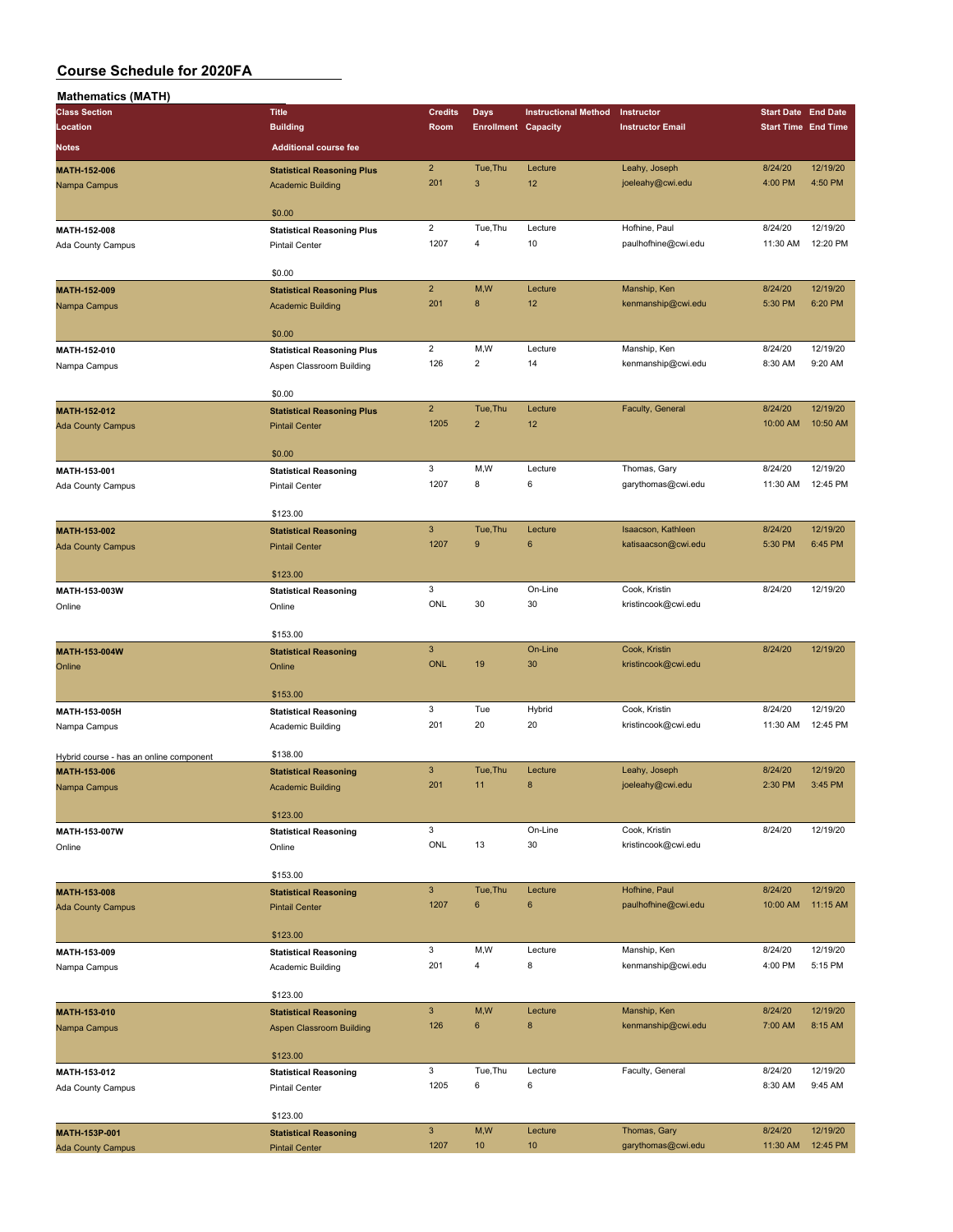| <b>Mathematics (MATH)</b>               |                                                       |                           |                            |                             |                                      |                            |                     |
|-----------------------------------------|-------------------------------------------------------|---------------------------|----------------------------|-----------------------------|--------------------------------------|----------------------------|---------------------|
| <b>Class Section</b>                    | <b>Title</b>                                          | <b>Credits</b>            | Days                       | <b>Instructional Method</b> | Instructor                           | <b>Start Date End Date</b> |                     |
| Location                                | <b>Building</b>                                       | Room                      | <b>Enrollment Capacity</b> |                             | <b>Instructor Email</b>              | <b>Start Time End Time</b> |                     |
| Notes                                   | <b>Additional course fee</b>                          |                           |                            |                             |                                      |                            |                     |
| MATH-152-006                            | <b>Statistical Reasoning Plus</b>                     | $\overline{2}$            | Tue, Thu                   | Lecture                     | Leahy, Joseph                        | 8/24/20                    | 12/19/20            |
| Nampa Campus                            | <b>Academic Building</b>                              | 201                       | $\mathbf{3}$               | 12                          | joeleahy@cwi.edu                     | 4:00 PM                    | 4:50 PM             |
|                                         |                                                       |                           |                            |                             |                                      |                            |                     |
|                                         | \$0.00                                                |                           |                            |                             |                                      |                            |                     |
| MATH-152-008                            | <b>Statistical Reasoning Plus</b>                     | $\overline{\mathbf{c}}$   | Tue, Thu                   | Lecture                     | Hofhine, Paul                        | 8/24/20                    | 12/19/20            |
| Ada County Campus                       | <b>Pintail Center</b>                                 | 1207                      | $\overline{4}$             | 10                          | paulhofhine@cwi.edu                  | 11:30 AM                   | 12:20 PM            |
|                                         |                                                       |                           |                            |                             |                                      |                            |                     |
|                                         | \$0.00                                                |                           |                            |                             |                                      |                            |                     |
| MATH-152-009                            | <b>Statistical Reasoning Plus</b>                     | $\overline{2}$            | M,W                        | Lecture                     | Manship, Ken                         | 8/24/20                    | 12/19/20            |
| Nampa Campus                            | <b>Academic Building</b>                              | 201                       | 8                          | 12                          | kenmanship@cwi.edu                   | 5:30 PM                    | 6:20 PM             |
|                                         |                                                       |                           |                            |                             |                                      |                            |                     |
|                                         | \$0.00                                                |                           |                            |                             |                                      |                            |                     |
| MATH-152-010                            | <b>Statistical Reasoning Plus</b>                     | $\overline{2}$<br>126     | M,W<br>$\overline{2}$      | Lecture<br>14               | Manship, Ken                         | 8/24/20                    | 12/19/20<br>9:20 AM |
| Nampa Campus                            | Aspen Classroom Building                              |                           |                            |                             | kenmanship@cwi.edu                   | 8:30 AM                    |                     |
|                                         | \$0.00                                                |                           |                            |                             |                                      |                            |                     |
| MATH-152-012                            | <b>Statistical Reasoning Plus</b>                     | $\overline{2}$            | Tue, Thu                   | Lecture                     | Faculty, General                     | 8/24/20                    | 12/19/20            |
| <b>Ada County Campus</b>                | <b>Pintail Center</b>                                 | 1205                      | $\overline{2}$             | 12                          |                                      | 10:00 AM                   | 10:50 AM            |
|                                         |                                                       |                           |                            |                             |                                      |                            |                     |
|                                         | \$0.00                                                |                           |                            |                             |                                      |                            |                     |
| MATH-153-001                            | <b>Statistical Reasoning</b>                          | 3                         | M, W                       | Lecture                     | Thomas, Gary                         | 8/24/20                    | 12/19/20            |
| Ada County Campus                       | <b>Pintail Center</b>                                 | 1207                      | 8                          | 6                           | garythomas@cwi.edu                   | 11:30 AM                   | 12:45 PM            |
|                                         |                                                       |                           |                            |                             |                                      |                            |                     |
|                                         | \$123.00                                              |                           |                            |                             |                                      |                            |                     |
| MATH-153-002                            | <b>Statistical Reasoning</b>                          | $\ensuremath{\mathsf{3}}$ | Tue, Thu                   | Lecture                     | Isaacson, Kathleen                   | 8/24/20                    | 12/19/20            |
| <b>Ada County Campus</b>                | <b>Pintail Center</b>                                 | 1207                      | 9                          | 6                           | katisaacson@cwi.edu                  | 5:30 PM                    | 6:45 PM             |
|                                         |                                                       |                           |                            |                             |                                      |                            |                     |
|                                         | \$123.00                                              | 3                         |                            |                             |                                      | 8/24/20                    | 12/19/20            |
| MATH-153-003W                           | <b>Statistical Reasoning</b>                          | ONL                       | 30                         | On-Line<br>30               | Cook, Kristin<br>kristincook@cwi.edu |                            |                     |
| Online                                  | Online                                                |                           |                            |                             |                                      |                            |                     |
|                                         | \$153.00                                              |                           |                            |                             |                                      |                            |                     |
| MATH-153-004W                           | <b>Statistical Reasoning</b>                          | $\mathbf{3}$              |                            | On-Line                     | Cook, Kristin                        | 8/24/20                    | 12/19/20            |
| Online                                  | Online                                                | <b>ONL</b>                | 19                         | 30                          | kristincook@cwi.edu                  |                            |                     |
|                                         |                                                       |                           |                            |                             |                                      |                            |                     |
|                                         | \$153.00                                              |                           |                            |                             |                                      |                            |                     |
| MATH-153-005H                           | <b>Statistical Reasoning</b>                          | 3                         | Tue                        | Hybrid                      | Cook, Kristin                        | 8/24/20                    | 12/19/20            |
| Nampa Campus                            | Academic Building                                     | 201                       | 20                         | 20                          | kristincook@cwi.edu                  | 11:30 AM                   | 12:45 PM            |
|                                         |                                                       |                           |                            |                             |                                      |                            |                     |
| Hybrid course - has an online component | \$138.00                                              |                           |                            |                             |                                      |                            |                     |
| MATH-153-006                            | <b>Statistical Reasoning</b>                          | $\mathbf{3}$              | Tue, Thu                   | Lecture                     | Leahy, Joseph                        | 8/24/20                    | 12/19/20            |
| Nampa Campus                            | <b>Academic Building</b>                              | 201                       | 11                         | 8                           | joeleahy@cwi.edu                     | 2:30 PM                    | 3:45 PM             |
|                                         |                                                       |                           |                            |                             |                                      |                            |                     |
|                                         | \$123.00                                              | 3                         |                            | On-Line                     | Cook, Kristin                        | 8/24/20                    | 12/19/20            |
| MATH-153-007W                           | <b>Statistical Reasoning</b>                          | ONL                       | 13                         | 30                          | kristincook@cwi.edu                  |                            |                     |
| Online                                  | Online                                                |                           |                            |                             |                                      |                            |                     |
|                                         | \$153.00                                              |                           |                            |                             |                                      |                            |                     |
| MATH-153-008                            | <b>Statistical Reasoning</b>                          | $\mathbf{3}$              | Tue, Thu                   | Lecture                     | Hofhine, Paul                        | 8/24/20                    | 12/19/20            |
| <b>Ada County Campus</b>                | <b>Pintail Center</b>                                 | 1207                      | $\bf 6$                    | 6                           | paulhofhine@cwi.edu                  | 10:00 AM                   | 11:15 AM            |
|                                         |                                                       |                           |                            |                             |                                      |                            |                     |
|                                         | \$123.00                                              |                           |                            |                             |                                      |                            |                     |
| MATH-153-009                            | <b>Statistical Reasoning</b>                          | 3                         | M,W                        | Lecture                     | Manship, Ken                         | 8/24/20                    | 12/19/20            |
| Nampa Campus                            | Academic Building                                     | 201                       | $\overline{\mathbf{4}}$    | 8                           | kenmanship@cwi.edu                   | 4:00 PM                    | 5:15 PM             |
|                                         |                                                       |                           |                            |                             |                                      |                            |                     |
|                                         | \$123.00                                              |                           |                            |                             |                                      |                            |                     |
| MATH-153-010                            | <b>Statistical Reasoning</b>                          | $\mathbf{3}$              | M,W                        | Lecture                     | Manship, Ken                         | 8/24/20                    | 12/19/20            |
| Nampa Campus                            | <b>Aspen Classroom Building</b>                       | 126                       | 6                          | $\bf 8$                     | kenmanship@cwi.edu                   | 7:00 AM                    | 8:15 AM             |
|                                         |                                                       |                           |                            |                             |                                      |                            |                     |
|                                         | \$123.00                                              | 3                         | Tue, Thu                   | Lecture                     | Faculty, General                     | 8/24/20                    | 12/19/20            |
| MATH-153-012                            | <b>Statistical Reasoning</b><br><b>Pintail Center</b> | 1205                      | 6                          | 6                           |                                      | 8:30 AM                    | 9:45 AM             |
| Ada County Campus                       |                                                       |                           |                            |                             |                                      |                            |                     |
|                                         | \$123.00                                              |                           |                            |                             |                                      |                            |                     |
| MATH-153P-001                           | <b>Statistical Reasoning</b>                          | $\mathbf{3}$              | M,W                        | Lecture                     | Thomas, Gary                         | 8/24/20                    | 12/19/20            |
| <b>Ada County Campus</b>                | <b>Pintail Center</b>                                 | 1207                      | 10                         | 10                          | garythomas@cwi.edu                   | 11:30 AM                   | 12:45 PM            |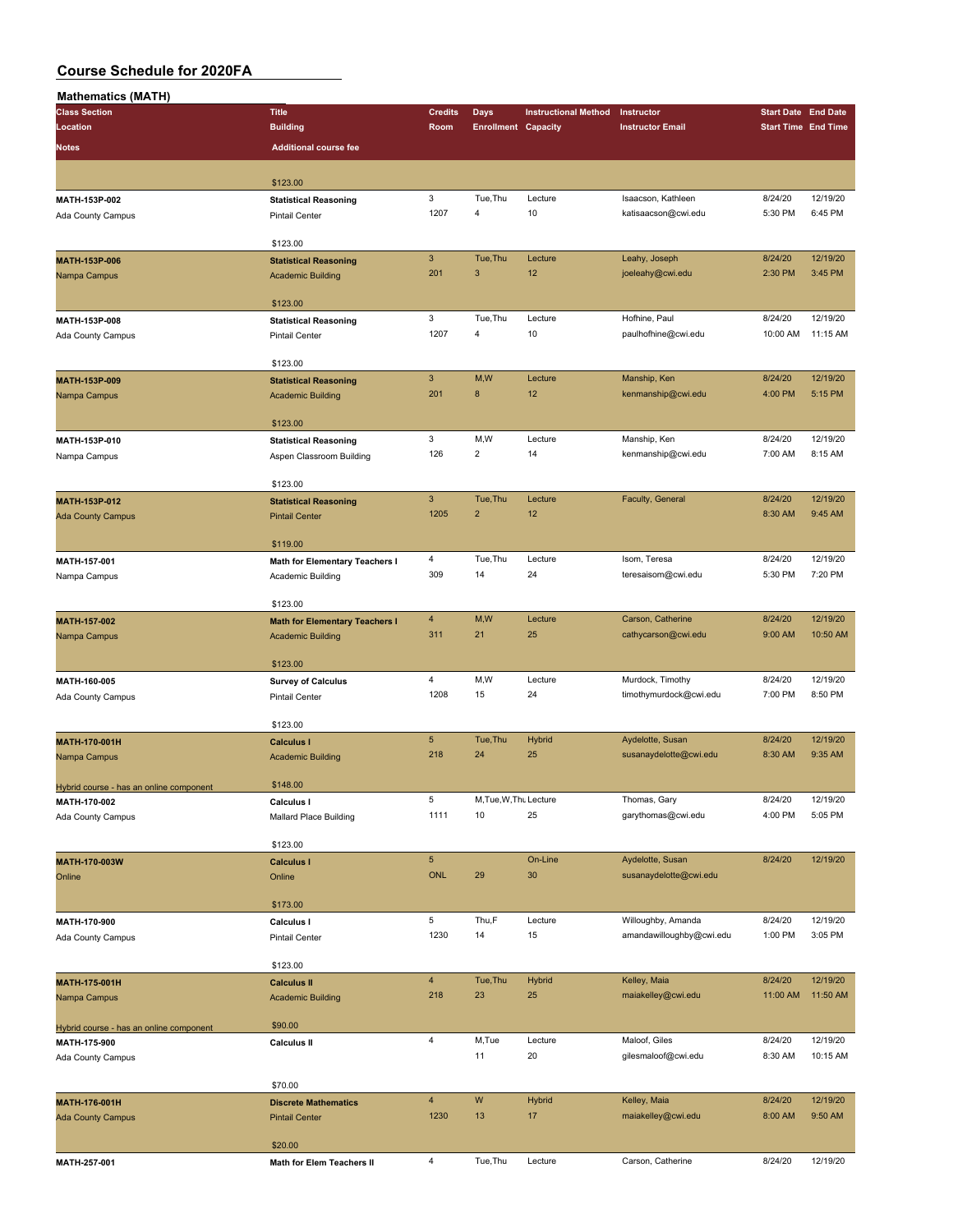| <b>Mathematics (MATH)</b>               |                                       |                           |                            |                             |                          |                            |          |
|-----------------------------------------|---------------------------------------|---------------------------|----------------------------|-----------------------------|--------------------------|----------------------------|----------|
| <b>Class Section</b>                    | <b>Title</b>                          | <b>Credits</b>            | <b>Days</b>                | <b>Instructional Method</b> | Instructor               | <b>Start Date End Date</b> |          |
| Location                                | <b>Building</b>                       | Room                      | <b>Enrollment Capacity</b> |                             | <b>Instructor Email</b>  | <b>Start Time End Time</b> |          |
| Notes                                   | <b>Additional course fee</b>          |                           |                            |                             |                          |                            |          |
|                                         |                                       |                           |                            |                             |                          |                            |          |
|                                         | \$123.00                              |                           |                            |                             |                          |                            |          |
|                                         |                                       | 3                         | Tue, Thu                   | Lecture                     | Isaacson, Kathleen       | 8/24/20                    | 12/19/20 |
| MATH-153P-002                           | <b>Statistical Reasoning</b>          | 1207                      | $\overline{4}$             | 10                          | katisaacson@cwi.edu      | 5:30 PM                    | 6:45 PM  |
| Ada County Campus                       | <b>Pintail Center</b>                 |                           |                            |                             |                          |                            |          |
|                                         | \$123.00                              |                           |                            |                             |                          |                            |          |
|                                         |                                       | $\ensuremath{\mathsf{3}}$ | Tue, Thu                   | Lecture                     | Leahy, Joseph            | 8/24/20                    | 12/19/20 |
| MATH-153P-006                           | <b>Statistical Reasoning</b>          | 201                       | $\mathbf{3}$               | 12                          | joeleahy@cwi.edu         | 2:30 PM                    | 3:45 PM  |
| Nampa Campus                            | <b>Academic Building</b>              |                           |                            |                             |                          |                            |          |
|                                         | \$123.00                              |                           |                            |                             |                          |                            |          |
| MATH-153P-008                           |                                       | 3                         | Tue, Thu                   | Lecture                     | Hofhine, Paul            | 8/24/20                    | 12/19/20 |
|                                         | <b>Statistical Reasoning</b>          | 1207                      | $\overline{\mathbf{4}}$    | 10                          | paulhofhine@cwi.edu      | 10:00 AM                   | 11:15 AM |
| Ada County Campus                       | <b>Pintail Center</b>                 |                           |                            |                             |                          |                            |          |
|                                         | \$123.00                              |                           |                            |                             |                          |                            |          |
| MATH-153P-009                           |                                       | $\mathbf{3}$              | M,W                        | Lecture                     | Manship, Ken             | 8/24/20                    | 12/19/20 |
|                                         | <b>Statistical Reasoning</b>          | 201                       | 8                          | 12                          | kenmanship@cwi.edu       | 4:00 PM                    | 5:15 PM  |
| Nampa Campus                            | <b>Academic Building</b>              |                           |                            |                             |                          |                            |          |
|                                         | \$123.00                              |                           |                            |                             |                          |                            |          |
| MATH-153P-010                           |                                       | 3                         | M,W                        | Lecture                     | Manship, Ken             | 8/24/20                    | 12/19/20 |
|                                         | <b>Statistical Reasoning</b>          | 126                       | $\overline{2}$             | 14                          | kenmanship@cwi.edu       | 7:00 AM                    | 8:15 AM  |
| Nampa Campus                            | Aspen Classroom Building              |                           |                            |                             |                          |                            |          |
|                                         | \$123.00                              |                           |                            |                             |                          |                            |          |
| MATH-153P-012                           | <b>Statistical Reasoning</b>          | $\mathbf{3}$              | Tue, Thu                   | Lecture                     | Faculty, General         | 8/24/20                    | 12/19/20 |
|                                         | <b>Pintail Center</b>                 | 1205                      | $\overline{2}$             | 12                          |                          | 8:30 AM                    | 9:45 AM  |
| <b>Ada County Campus</b>                |                                       |                           |                            |                             |                          |                            |          |
|                                         | \$119.00                              |                           |                            |                             |                          |                            |          |
| MATH-157-001                            | <b>Math for Elementary Teachers I</b> | 4                         | Tue, Thu                   | Lecture                     | Isom, Teresa             | 8/24/20                    | 12/19/20 |
| Nampa Campus                            | Academic Building                     | 309                       | 14                         | 24                          | teresaisom@cwi.edu       | 5:30 PM                    | 7:20 PM  |
|                                         |                                       |                           |                            |                             |                          |                            |          |
|                                         | \$123.00                              |                           |                            |                             |                          |                            |          |
| MATH-157-002                            | <b>Math for Elementary Teachers I</b> | $\overline{4}$            | M,W                        | Lecture                     | Carson, Catherine        | 8/24/20                    | 12/19/20 |
|                                         |                                       | 311                       | 21                         | 25                          | cathycarson@cwi.edu      | 9:00 AM                    | 10:50 AM |
| Nampa Campus                            | <b>Academic Building</b>              |                           |                            |                             |                          |                            |          |
|                                         | \$123.00                              |                           |                            |                             |                          |                            |          |
| MATH-160-005                            | <b>Survey of Calculus</b>             | $\overline{4}$            | M,W                        | Lecture                     | Murdock, Timothy         | 8/24/20                    | 12/19/20 |
|                                         | <b>Pintail Center</b>                 | 1208                      | 15                         | 24                          | timothymurdock@cwi.edu   | 7:00 PM                    | 8:50 PM  |
| Ada County Campus                       |                                       |                           |                            |                             |                          |                            |          |
|                                         | \$123.00                              |                           |                            |                             |                          |                            |          |
| <b>MATH-170-001H</b>                    | <b>Calculus I</b>                     | $\sqrt{5}$                | Tue, Thu                   | Hybrid                      | Aydelotte, Susan         | 8/24/20                    | 12/19/20 |
| Nampa Campus                            | <b>Academic Building</b>              | 218                       | 24                         | 25                          | susanaydelotte@cwi.edu   | 8:30 AM                    | 9:35 AM  |
|                                         |                                       |                           |                            |                             |                          |                            |          |
| Hybrid course - has an online component | \$148.00                              |                           |                            |                             |                          |                            |          |
| MATH-170-002                            | Calculus I                            | 5                         | M, Tue, W, Thu Lecture     |                             | Thomas, Gary             | 8/24/20                    | 12/19/20 |
| Ada County Campus                       | Mallard Place Building                | 1111                      | 10                         | 25                          | garythomas@cwi.edu       | 4:00 PM                    | 5:05 PM  |
|                                         |                                       |                           |                            |                             |                          |                            |          |
|                                         | \$123.00                              |                           |                            |                             |                          |                            |          |
| MATH-170-003W                           | <b>Calculus I</b>                     | $5\phantom{.0}$           |                            | On-Line                     | Aydelotte, Susan         | 8/24/20                    | 12/19/20 |
| Online                                  | Online                                | <b>ONL</b>                | 29                         | 30                          | susanaydelotte@cwi.edu   |                            |          |
|                                         |                                       |                           |                            |                             |                          |                            |          |
|                                         | \$173.00                              |                           |                            |                             |                          |                            |          |
| MATH-170-900                            | Calculus I                            | 5                         | Thu,F                      | Lecture                     | Willoughby, Amanda       | 8/24/20                    | 12/19/20 |
| Ada County Campus                       | Pintail Center                        | 1230                      | 14                         | 15                          | amandawilloughby@cwi.edu | 1:00 PM                    | 3:05 PM  |
|                                         |                                       |                           |                            |                             |                          |                            |          |
|                                         | \$123.00                              |                           |                            |                             |                          |                            |          |
| <b>MATH-175-001H</b>                    | <b>Calculus II</b>                    | $\overline{4}$            | Tue, Thu                   | <b>Hybrid</b>               | Kelley, Maia             | 8/24/20                    | 12/19/20 |
|                                         |                                       | 218                       | 23                         | 25                          | maiakelley@cwi.edu       | 11:00 AM                   | 11:50 AM |
| Nampa Campus                            | <b>Academic Building</b>              |                           |                            |                             |                          |                            |          |
| Hybrid course - has an online component | \$90.00                               |                           |                            |                             |                          |                            |          |
| MATH-175-900                            | <b>Calculus II</b>                    | $\overline{\mathbf{4}}$   | M,Tue                      | Lecture                     | Maloof, Giles            | 8/24/20                    | 12/19/20 |
| Ada County Campus                       |                                       |                           | 11                         | 20                          | gilesmaloof@cwi.edu      | 8:30 AM                    | 10:15 AM |
|                                         |                                       |                           |                            |                             |                          |                            |          |
|                                         | \$70.00                               |                           |                            |                             |                          |                            |          |
| MATH-176-001H                           | <b>Discrete Mathematics</b>           | $\overline{4}$            | W                          | <b>Hybrid</b>               | Kelley, Maia             | 8/24/20                    | 12/19/20 |
| <b>Ada County Campus</b>                | <b>Pintail Center</b>                 | 1230                      | 13                         | 17                          | maiakelley@cwi.edu       | 8:00 AM                    | 9:50 AM  |
|                                         |                                       |                           |                            |                             |                          |                            |          |
|                                         | \$20.00                               |                           |                            |                             |                          |                            |          |
| MATH-257-001                            | Math for Elem Teachers II             | $\overline{4}$            | Tue, Thu                   | Lecture                     | Carson, Catherine        | 8/24/20                    | 12/19/20 |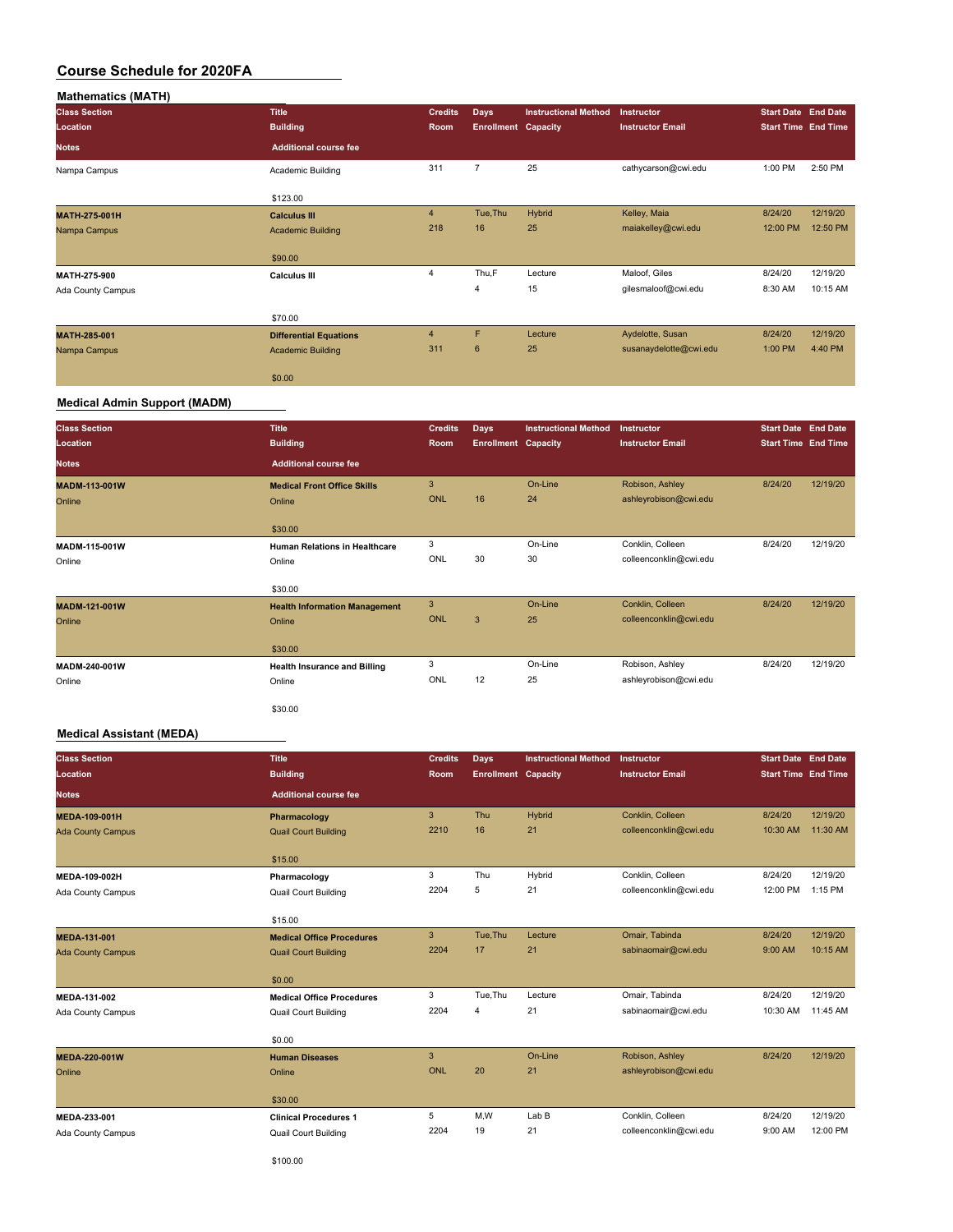| <b>Mathematics (MATH)</b> |                               |                |                            |                             |                         |                            |                            |
|---------------------------|-------------------------------|----------------|----------------------------|-----------------------------|-------------------------|----------------------------|----------------------------|
| <b>Class Section</b>      | <b>Title</b>                  | <b>Credits</b> | <b>Days</b>                | <b>Instructional Method</b> | Instructor              | <b>Start Date End Date</b> |                            |
| Location                  | <b>Building</b>               | Room           | <b>Enrollment Capacity</b> |                             | <b>Instructor Email</b> |                            | <b>Start Time End Time</b> |
| <b>Notes</b>              | <b>Additional course fee</b>  |                |                            |                             |                         |                            |                            |
| Nampa Campus              | Academic Building             | 311            | $\overline{7}$             | 25                          | cathycarson@cwi.edu     | 1:00 PM                    | 2:50 PM                    |
|                           | \$123.00                      |                |                            |                             |                         |                            |                            |
| <b>MATH-275-001H</b>      | <b>Calculus III</b>           | $\overline{4}$ | Tue, Thu                   | Hybrid                      | Kelley, Maia            | 8/24/20                    | 12/19/20                   |
| Nampa Campus              | <b>Academic Building</b>      | 218            | 16                         | 25                          | maiakelley@cwi.edu      | 12:00 PM                   | 12:50 PM                   |
|                           | \$90.00                       |                |                            |                             |                         |                            |                            |
| MATH-275-900              | <b>Calculus III</b>           | 4              | Thu,F                      | Lecture                     | Maloof, Giles           | 8/24/20                    | 12/19/20                   |
| Ada County Campus         |                               |                | $\overline{4}$             | 15                          | gilesmaloof@cwi.edu     | 8:30 AM                    | 10:15 AM                   |
|                           | \$70.00                       |                |                            |                             |                         |                            |                            |
| <b>MATH-285-001</b>       | <b>Differential Equations</b> | $\overline{4}$ | F                          | Lecture                     | Aydelotte, Susan        | 8/24/20                    | 12/19/20                   |
| Nampa Campus              | <b>Academic Building</b>      | 311            | $6\phantom{1}$             | 25                          | susanaydelotte@cwi.edu  | 1:00 PM                    | 4:40 PM                    |
|                           | \$0.00                        |                |                            |                             |                         |                            |                            |

### **Medical Admin Support (MADM)**

| <b>Class Section</b><br>Location | <b>Title</b><br><b>Building</b>      | <b>Credits</b><br>Room | <b>Days</b><br><b>Enrollment Capacity</b> | <b>Instructional Method</b> | Instructor<br><b>Instructor Email</b> | <b>Start Date End Date</b><br><b>Start Time End Time</b> |          |
|----------------------------------|--------------------------------------|------------------------|-------------------------------------------|-----------------------------|---------------------------------------|----------------------------------------------------------|----------|
| <b>Notes</b>                     | <b>Additional course fee</b>         |                        |                                           |                             |                                       |                                                          |          |
| <b>MADM-113-001W</b>             | <b>Medical Front Office Skills</b>   | 3                      |                                           | On-Line                     | Robison, Ashley                       | 8/24/20                                                  | 12/19/20 |
| Online                           | Online                               | <b>ONL</b>             | 16                                        | 24                          | ashleyrobison@cwi.edu                 |                                                          |          |
|                                  | \$30.00                              |                        |                                           |                             |                                       |                                                          |          |
| MADM-115-001W                    | <b>Human Relations in Healthcare</b> | 3                      |                                           | On-Line                     | Conklin, Colleen                      | 8/24/20                                                  | 12/19/20 |
| Online                           | Online                               | ONL                    | 30                                        | 30                          | colleenconklin@cwi.edu                |                                                          |          |
|                                  | \$30.00                              |                        |                                           |                             |                                       |                                                          |          |
| MADM-121-001W                    | <b>Health Information Management</b> | 3                      |                                           | On-Line                     | Conklin, Colleen                      | 8/24/20                                                  | 12/19/20 |
| Online                           | Online                               | <b>ONL</b>             | 3 <sup>1</sup>                            | 25                          | colleenconklin@cwi.edu                |                                                          |          |
|                                  | \$30.00                              |                        |                                           |                             |                                       |                                                          |          |
| MADM-240-001W                    | <b>Health Insurance and Billing</b>  | 3                      |                                           | On-Line                     | Robison, Ashley                       | 8/24/20                                                  | 12/19/20 |
| Online                           | Online                               | ONL                    | 12                                        | 25                          | ashleyrobison@cwi.edu                 |                                                          |          |
|                                  | \$30.00                              |                        |                                           |                             |                                       |                                                          |          |

### **Medical Assistant (MEDA)**

| <b>Class Section</b><br>Location | <b>Title</b><br><b>Building</b>  | <b>Credits</b><br>Room | Days<br><b>Enrollment Capacity</b> | <b>Instructional Method</b> | Instructor<br><b>Instructor Email</b> | <b>Start Date End Date</b><br><b>Start Time End Time</b> |           |
|----------------------------------|----------------------------------|------------------------|------------------------------------|-----------------------------|---------------------------------------|----------------------------------------------------------|-----------|
| <b>Notes</b>                     | <b>Additional course fee</b>     |                        |                                    |                             |                                       |                                                          |           |
| <b>MEDA-109-001H</b>             | Pharmacology                     | 3                      | Thu                                | <b>Hybrid</b>               | Conklin, Colleen                      | 8/24/20                                                  | 12/19/20  |
| <b>Ada County Campus</b>         | <b>Quail Court Building</b>      | 2210                   | 16                                 | 21                          | colleenconklin@cwi.edu                | 10:30 AM                                                 | 11:30 AM  |
|                                  | \$15.00                          |                        |                                    |                             |                                       |                                                          |           |
| MEDA-109-002H                    | Pharmacology                     | 3                      | Thu                                | Hybrid                      | Conklin, Colleen                      | 8/24/20                                                  | 12/19/20  |
| Ada County Campus                | <b>Quail Court Building</b>      | 2204                   | 5                                  | 21                          | colleenconklin@cwi.edu                | 12:00 PM                                                 | $1:15$ PM |
|                                  | \$15.00                          |                        |                                    |                             |                                       |                                                          |           |
| MEDA-131-001                     | <b>Medical Office Procedures</b> | 3                      | Tue, Thu                           | Lecture                     | Omair, Tabinda                        | 8/24/20                                                  | 12/19/20  |
| <b>Ada County Campus</b>         | <b>Quail Court Building</b>      | 2204                   | 17                                 | 21                          | sabinaomair@cwi.edu                   | 9:00 AM                                                  | 10:15 AM  |
|                                  | \$0.00                           |                        |                                    |                             |                                       |                                                          |           |
| MEDA-131-002                     | <b>Medical Office Procedures</b> | 3                      | Tue, Thu                           | Lecture                     | Omair, Tabinda                        | 8/24/20                                                  | 12/19/20  |
| Ada County Campus                | <b>Quail Court Building</b>      | 2204                   | 4                                  | 21                          | sabinaomair@cwi.edu                   | 10:30 AM                                                 | 11:45 AM  |
|                                  | \$0.00                           |                        |                                    |                             |                                       |                                                          |           |
| <b>MEDA-220-001W</b>             | <b>Human Diseases</b>            | 3                      |                                    | On-Line                     | Robison, Ashley                       | 8/24/20                                                  | 12/19/20  |
| Online                           | Online                           | <b>ONL</b>             | 20                                 | 21                          | ashleyrobison@cwi.edu                 |                                                          |           |
|                                  | \$30.00                          |                        |                                    |                             |                                       |                                                          |           |
| MEDA-233-001                     | <b>Clinical Procedures 1</b>     | 5                      | M,W                                | Lab B                       | Conklin, Colleen                      | 8/24/20                                                  | 12/19/20  |
| Ada County Campus                | <b>Quail Court Building</b>      | 2204                   | 19                                 | 21                          | colleenconklin@cwi.edu                | 9:00 AM                                                  | 12:00 PM  |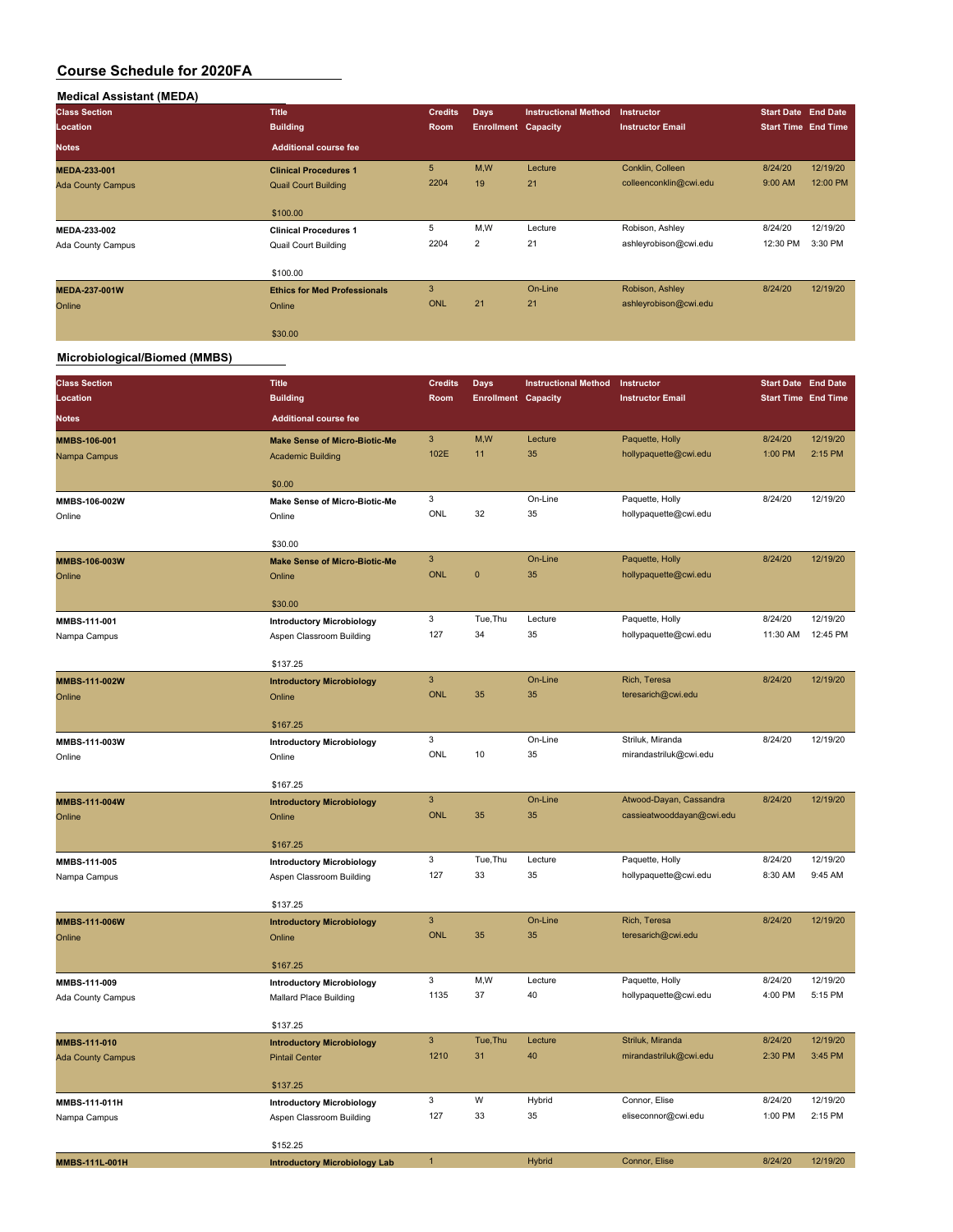| <b>Medical Assistant (MEDA)</b> |                                     |                |                            |                             |                         |                            |          |
|---------------------------------|-------------------------------------|----------------|----------------------------|-----------------------------|-------------------------|----------------------------|----------|
| <b>Class Section</b>            | <b>Title</b>                        | <b>Credits</b> | <b>Days</b>                | <b>Instructional Method</b> | <b>Instructor</b>       | <b>Start Date End Date</b> |          |
| Location                        | <b>Building</b>                     | <b>Room</b>    | <b>Enrollment Capacity</b> |                             | <b>Instructor Email</b> | <b>Start Time End Time</b> |          |
| <b>Notes</b>                    | <b>Additional course fee</b>        |                |                            |                             |                         |                            |          |
| MEDA-233-001                    | <b>Clinical Procedures 1</b>        | 5 <sup>5</sup> | M,W                        | Lecture                     | Conklin, Colleen        | 8/24/20                    | 12/19/20 |
| <b>Ada County Campus</b>        | <b>Quail Court Building</b>         | 2204           | 19                         | 21                          | colleenconklin@cwi.edu  | 9:00 AM                    | 12:00 PM |
|                                 | \$100.00                            |                |                            |                             |                         |                            |          |
| MEDA-233-002                    | <b>Clinical Procedures 1</b>        | 5              | M,W                        | Lecture                     | Robison, Ashley         | 8/24/20                    | 12/19/20 |
| Ada County Campus               | Quail Court Building                | 2204           | $\overline{2}$             | 21                          | ashleyrobison@cwi.edu   | 12:30 PM                   | 3:30 PM  |
|                                 | \$100.00                            |                |                            |                             |                         |                            |          |
| <b>MEDA-237-001W</b>            | <b>Ethics for Med Professionals</b> | 3              |                            | On-Line                     | Robison, Ashley         | 8/24/20                    | 12/19/20 |
| Online                          | Online                              | <b>ONL</b>     | 21                         | 21                          | ashleyrobison@cwi.edu   |                            |          |
|                                 | \$30.00                             |                |                            |                             |                         |                            |          |

### **Microbiological/Biomed (MMBS)**

| <b>Class Section</b>              | <b>Title</b>                                               | <b>Credits</b>               | <b>Days</b>                | <b>Instructional Method</b> | Instructor                | <b>Start Date End Date</b> |          |
|-----------------------------------|------------------------------------------------------------|------------------------------|----------------------------|-----------------------------|---------------------------|----------------------------|----------|
| Location                          | <b>Building</b>                                            | Room                         | <b>Enrollment Capacity</b> |                             | <b>Instructor Email</b>   | <b>Start Time End Time</b> |          |
| <b>Notes</b>                      | <b>Additional course fee</b>                               |                              |                            |                             |                           |                            |          |
| MMBS-106-001                      | <b>Make Sense of Micro-Biotic-Me</b>                       | $\ensuremath{\mathsf{3}}$    | M,W                        | Lecture                     | Paquette, Holly           | 8/24/20                    | 12/19/20 |
| Nampa Campus                      | <b>Academic Building</b>                                   | 102E                         | 11                         | 35                          | hollypaquette@cwi.edu     | 1:00 PM                    | 2:15 PM  |
|                                   |                                                            |                              |                            |                             |                           |                            |          |
|                                   | \$0.00                                                     | 3                            |                            | On-Line                     | Paquette, Holly           | 8/24/20                    | 12/19/20 |
| MMBS-106-002W<br>Online           | Make Sense of Micro-Biotic-Me<br>Online                    | ONL                          | 32                         | 35                          | hollypaquette@cwi.edu     |                            |          |
|                                   |                                                            |                              |                            |                             |                           |                            |          |
|                                   | \$30.00                                                    |                              |                            |                             |                           |                            |          |
| MMBS-106-003W                     | <b>Make Sense of Micro-Biotic-Me</b>                       | $\ensuremath{\mathsf{3}}$    |                            | On-Line                     | Paquette, Holly           | 8/24/20                    | 12/19/20 |
| Online                            | Online                                                     | <b>ONL</b>                   | $\mathbf 0$                | 35                          | hollypaquette@cwi.edu     |                            |          |
|                                   | \$30.00                                                    |                              |                            |                             |                           |                            |          |
| MMBS-111-001                      | <b>Introductory Microbiology</b>                           | 3                            | Tue, Thu                   | Lecture                     | Paquette, Holly           | 8/24/20                    | 12/19/20 |
| Nampa Campus                      | Aspen Classroom Building                                   | 127                          | 34                         | 35                          | hollypaquette@cwi.edu     | 11:30 AM                   | 12:45 PM |
|                                   |                                                            |                              |                            |                             |                           |                            |          |
|                                   | \$137.25                                                   |                              |                            |                             |                           |                            |          |
| MMBS-111-002W                     | <b>Introductory Microbiology</b>                           | $\overline{3}$<br><b>ONL</b> | 35                         | On-Line<br>35               | Rich, Teresa              | 8/24/20                    | 12/19/20 |
| Online                            | Online                                                     |                              |                            |                             | teresarich@cwi.edu        |                            |          |
|                                   | \$167.25                                                   |                              |                            |                             |                           |                            |          |
| MMBS-111-003W                     | <b>Introductory Microbiology</b>                           | 3                            |                            | On-Line                     | Striluk, Miranda          | 8/24/20                    | 12/19/20 |
| Online                            | Online                                                     | ONL                          | 10                         | 35                          | mirandastriluk@cwi.edu    |                            |          |
|                                   | \$167.25                                                   |                              |                            |                             |                           |                            |          |
| MMBS-111-004W                     | <b>Introductory Microbiology</b>                           | $\ensuremath{\mathsf{3}}$    |                            | On-Line                     | Atwood-Dayan, Cassandra   | 8/24/20                    | 12/19/20 |
| Online                            | Online                                                     | <b>ONL</b>                   | 35                         | 35                          | cassieatwooddayan@cwi.edu |                            |          |
|                                   |                                                            |                              |                            |                             |                           |                            |          |
|                                   | \$167.25                                                   |                              |                            |                             |                           |                            |          |
| MMBS-111-005                      | <b>Introductory Microbiology</b>                           | 3                            | Tue, Thu                   | Lecture                     | Paquette, Holly           | 8/24/20                    | 12/19/20 |
| Nampa Campus                      | Aspen Classroom Building                                   | 127                          | 33                         | 35                          | hollypaquette@cwi.edu     | 8:30 AM                    | 9:45 AM  |
|                                   | \$137.25                                                   |                              |                            |                             |                           |                            |          |
| MMBS-111-006W                     | <b>Introductory Microbiology</b>                           | $\mathsf 3$                  |                            | On-Line                     | Rich, Teresa              | 8/24/20                    | 12/19/20 |
| Online                            | Online                                                     | <b>ONL</b>                   | 35                         | 35                          | teresarich@cwi.edu        |                            |          |
|                                   |                                                            |                              |                            |                             |                           |                            |          |
|                                   | \$167.25                                                   | 3                            | M,W                        | Lecture                     | Paquette, Holly           | 8/24/20                    | 12/19/20 |
| MMBS-111-009<br>Ada County Campus | <b>Introductory Microbiology</b><br>Mallard Place Building | 1135                         | 37                         | 40                          | hollypaquette@cwi.edu     | 4:00 PM                    | 5:15 PM  |
|                                   |                                                            |                              |                            |                             |                           |                            |          |
|                                   | \$137.25                                                   |                              |                            |                             |                           |                            |          |
| MMBS-111-010                      | <b>Introductory Microbiology</b>                           | $\mathsf 3$                  | Tue, Thu                   | Lecture                     | Striluk, Miranda          | 8/24/20                    | 12/19/20 |
| <b>Ada County Campus</b>          | <b>Pintail Center</b>                                      | 1210                         | 31                         | 40                          | mirandastriluk@cwi.edu    | 2:30 PM                    | 3:45 PM  |
|                                   | \$137.25                                                   |                              |                            |                             |                           |                            |          |
| MMBS-111-011H                     | <b>Introductory Microbiology</b>                           | 3                            | W                          | Hybrid                      | Connor, Elise             | 8/24/20                    | 12/19/20 |
| Nampa Campus                      | Aspen Classroom Building                                   | 127                          | 33                         | 35                          | eliseconnor@cwi.edu       | 1:00 PM                    | 2:15 PM  |
|                                   |                                                            |                              |                            |                             |                           |                            |          |
|                                   | \$152.25                                                   |                              |                            |                             |                           |                            |          |
| MMBS-111L-001H                    | <b>Introductory Microbiology Lab</b>                       | $\mathbf{1}$                 |                            | Hybrid                      | Connor, Elise             | 8/24/20                    | 12/19/20 |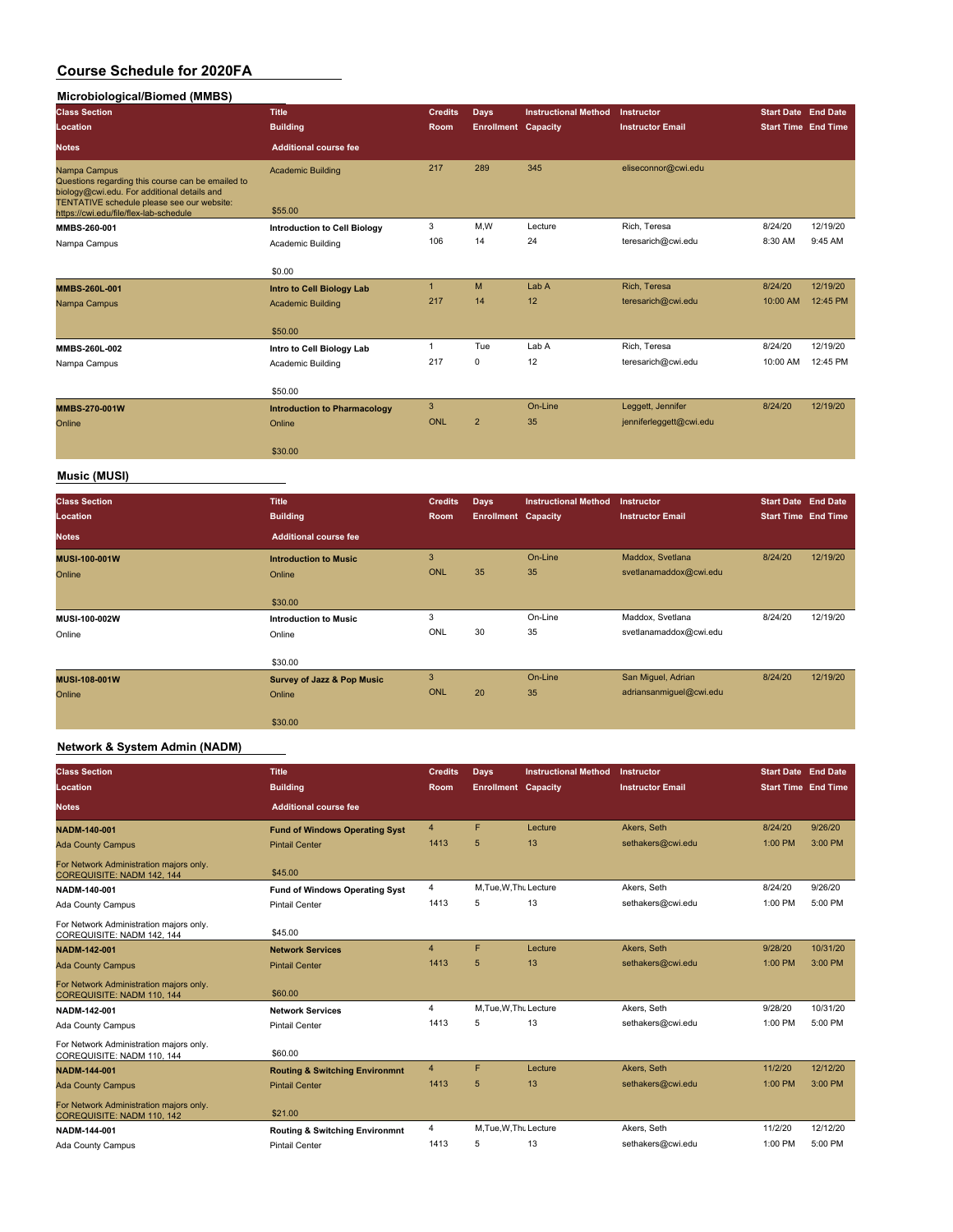### **Microbiological/Biomed (MMBS)**

| <b>Class Section</b><br>Location                                                                                                                                                                         | Title<br><b>Building</b>            | <b>Credits</b><br><b>Room</b> | <b>Days</b><br><b>Enrollment Capacity</b> | <b>Instructional Method</b> | Instructor<br><b>Instructor Email</b> | <b>Start Date End Date</b><br><b>Start Time End Time</b> |          |
|----------------------------------------------------------------------------------------------------------------------------------------------------------------------------------------------------------|-------------------------------------|-------------------------------|-------------------------------------------|-----------------------------|---------------------------------------|----------------------------------------------------------|----------|
| <b>Notes</b>                                                                                                                                                                                             | <b>Additional course fee</b>        |                               |                                           |                             |                                       |                                                          |          |
| Nampa Campus<br>Questions regarding this course can be emailed to<br>biology@cwi.edu. For additional details and<br>TENTATIVE schedule please see our website:<br>https://cwi.edu/file/flex-lab-schedule | <b>Academic Building</b><br>\$55.00 | 217                           | 289                                       | 345                         | eliseconnor@cwi.edu                   |                                                          |          |
| MMBS-260-001                                                                                                                                                                                             | <b>Introduction to Cell Biology</b> | 3                             | M,W                                       | Lecture                     | Rich, Teresa                          | 8/24/20                                                  | 12/19/20 |
| Nampa Campus                                                                                                                                                                                             | Academic Building                   | 106                           | 14                                        | 24                          | teresarich@cwi.edu                    | 8:30 AM                                                  | 9:45 AM  |
|                                                                                                                                                                                                          | \$0.00                              |                               |                                           |                             |                                       |                                                          |          |
| MMBS-260L-001                                                                                                                                                                                            | <b>Intro to Cell Biology Lab</b>    | $\mathbf{1}$                  | M                                         | Lab A                       | Rich, Teresa                          | 8/24/20                                                  | 12/19/20 |
| Nampa Campus                                                                                                                                                                                             | <b>Academic Building</b>            | 217                           | 14                                        | 12                          | teresarich@cwi.edu                    | 10:00 AM                                                 | 12:45 PM |
|                                                                                                                                                                                                          | \$50.00                             |                               |                                           |                             |                                       |                                                          |          |
| MMBS-260L-002                                                                                                                                                                                            | Intro to Cell Biology Lab           |                               | Tue                                       | Lab A                       | Rich, Teresa                          | 8/24/20                                                  | 12/19/20 |
| Nampa Campus                                                                                                                                                                                             | Academic Building                   | 217                           | $\mathbf 0$                               | 12                          | teresarich@cwi.edu                    | 10:00 AM                                                 | 12:45 PM |
|                                                                                                                                                                                                          | \$50.00                             |                               |                                           |                             |                                       |                                                          |          |
| MMBS-270-001W                                                                                                                                                                                            | <b>Introduction to Pharmacology</b> | 3                             |                                           | On-Line                     | Leggett, Jennifer                     | 8/24/20                                                  | 12/19/20 |
| Online                                                                                                                                                                                                   | Online                              | ONL                           | $\overline{2}$                            | 35                          | jenniferleggett@cwi.edu               |                                                          |          |
|                                                                                                                                                                                                          | \$30.00                             |                               |                                           |                             |                                       |                                                          |          |
| <b>Music (MUSI)</b>                                                                                                                                                                                      |                                     |                               |                                           |                             |                                       |                                                          |          |

| <b>Class Section</b><br>Location | <b>Title</b><br><b>Building</b>       | <b>Credits</b><br>Room | <b>Days</b><br><b>Enrollment Capacity</b> | <b>Instructional Method</b> | <b>Instructor</b><br><b>Instructor Email</b> | <b>Start Date End Date</b><br><b>Start Time End Time</b> |          |
|----------------------------------|---------------------------------------|------------------------|-------------------------------------------|-----------------------------|----------------------------------------------|----------------------------------------------------------|----------|
| <b>Notes</b>                     | <b>Additional course fee</b>          |                        |                                           |                             |                                              |                                                          |          |
| <b>MUSI-100-001W</b>             | <b>Introduction to Music</b>          | 3                      |                                           | On-Line                     | Maddox, Svetlana                             | 8/24/20                                                  | 12/19/20 |
| Online                           | Online                                | <b>ONL</b>             | 35                                        | 35                          | svetlanamaddox@cwi.edu                       |                                                          |          |
|                                  | \$30.00                               |                        |                                           |                             |                                              |                                                          |          |
| MUSI-100-002W                    | <b>Introduction to Music</b>          | 3                      |                                           | On-Line                     | Maddox, Svetlana                             | 8/24/20                                                  | 12/19/20 |
| Online                           | Online                                | ONL                    | 30                                        | 35                          | svetlanamaddox@cwi.edu                       |                                                          |          |
|                                  | \$30.00                               |                        |                                           |                             |                                              |                                                          |          |
| <b>MUSI-108-001W</b>             | <b>Survey of Jazz &amp; Pop Music</b> | 3                      |                                           | On-Line                     | San Miguel, Adrian                           | 8/24/20                                                  | 12/19/20 |
| Online                           | Online                                | <b>ONL</b>             | 20                                        | 35                          | adriansanmiguel@cwi.edu                      |                                                          |          |
|                                  | \$30.00                               |                        |                                           |                             |                                              |                                                          |          |

### **Network & System Admin (NADM)**

| <b>Class Section</b><br><b>Location</b>                               | <b>Title</b><br><b>Building</b>           | <b>Credits</b><br><b>Room</b> | <b>Days</b><br><b>Enrollment Capacity</b> | <b>Instructional Method</b> | Instructor<br><b>Instructor Email</b> | <b>Start Date End Date</b><br><b>Start Time End Time</b> |          |
|-----------------------------------------------------------------------|-------------------------------------------|-------------------------------|-------------------------------------------|-----------------------------|---------------------------------------|----------------------------------------------------------|----------|
| <b>Notes</b>                                                          | <b>Additional course fee</b>              |                               |                                           |                             |                                       |                                                          |          |
| <b>NADM-140-001</b>                                                   | <b>Fund of Windows Operating Syst</b>     | $\overline{4}$                | F                                         | Lecture                     | Akers, Seth                           | 8/24/20                                                  | 9/26/20  |
| <b>Ada County Campus</b>                                              | <b>Pintail Center</b>                     | 1413                          | 5                                         | 13                          | sethakers@cwi.edu                     | 1:00 PM                                                  | 3:00 PM  |
| For Network Administration majors only.<br>COREQUISITE: NADM 142, 144 | \$45.00                                   |                               |                                           |                             |                                       |                                                          |          |
| NADM-140-001                                                          | <b>Fund of Windows Operating Syst</b>     | 4                             | M.Tue.W.Thu Lecture                       |                             | Akers, Seth                           | 8/24/20                                                  | 9/26/20  |
| Ada County Campus                                                     | <b>Pintail Center</b>                     | 1413                          | 5                                         | 13                          | sethakers@cwi.edu                     | 1:00 PM                                                  | 5:00 PM  |
| For Network Administration majors only.<br>COREQUISITE: NADM 142, 144 | \$45.00                                   |                               |                                           |                             |                                       |                                                          |          |
| NADM-142-001                                                          | <b>Network Services</b>                   | $\overline{4}$                | F                                         | Lecture                     | Akers, Seth                           | 9/28/20                                                  | 10/31/20 |
| <b>Ada County Campus</b>                                              | <b>Pintail Center</b>                     | 1413                          | 5                                         | 13                          | sethakers@cwi.edu                     | 1:00 PM                                                  | 3:00 PM  |
| For Network Administration majors only.<br>COREQUISITE: NADM 110, 144 | \$60.00                                   |                               |                                           |                             |                                       |                                                          |          |
| NADM-142-001                                                          | <b>Network Services</b>                   | $\overline{4}$                | M, Tue, W, Thu Lecture                    |                             | Akers, Seth                           | 9/28/20                                                  | 10/31/20 |
| Ada County Campus                                                     | <b>Pintail Center</b>                     | 1413                          | 5                                         | 13                          | sethakers@cwi.edu                     | 1:00 PM                                                  | 5:00 PM  |
| For Network Administration majors only.<br>COREQUISITE: NADM 110, 144 | \$60.00                                   |                               |                                           |                             |                                       |                                                          |          |
| <b>NADM-144-001</b>                                                   | <b>Routing &amp; Switching Environmnt</b> | $\overline{4}$                | F                                         | Lecture                     | Akers, Seth                           | 11/2/20                                                  | 12/12/20 |
| <b>Ada County Campus</b>                                              | <b>Pintail Center</b>                     | 1413                          | 5                                         | 13                          | sethakers@cwi.edu                     | 1:00 PM                                                  | 3:00 PM  |
| For Network Administration majors only.<br>COREQUISITE: NADM 110, 142 | \$21.00                                   |                               |                                           |                             |                                       |                                                          |          |
| NADM-144-001                                                          | <b>Routing &amp; Switching Environmnt</b> | 4                             | M, Tue, W, Thu Lecture                    |                             | Akers, Seth                           | 11/2/20                                                  | 12/12/20 |
| Ada County Campus                                                     | <b>Pintail Center</b>                     | 1413                          | 5                                         | 13                          | sethakers@cwi.edu                     | 1:00 PM                                                  | 5:00 PM  |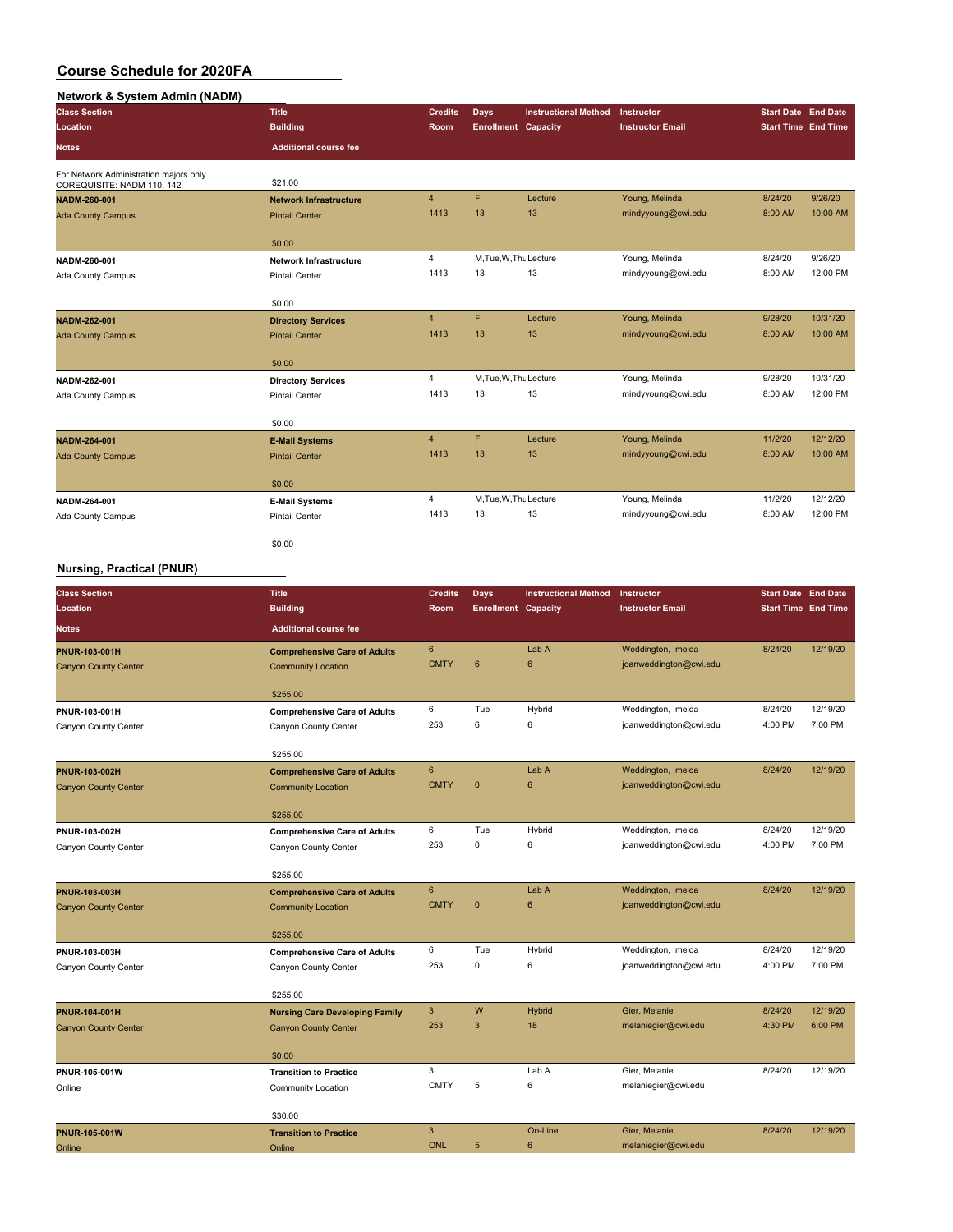### **Network & System Admin (NADM)**

| <b>Class Section</b>                                                  | <b>Title</b>                  | <b>Credits</b> | <b>Days</b>                | <b>Instructional Method</b> | Instructor              | <b>Start Date End Date</b> |          |
|-----------------------------------------------------------------------|-------------------------------|----------------|----------------------------|-----------------------------|-------------------------|----------------------------|----------|
| Location                                                              | <b>Building</b>               | <b>Room</b>    | <b>Enrollment Capacity</b> |                             | <b>Instructor Email</b> | <b>Start Time End Time</b> |          |
| <b>Notes</b>                                                          | <b>Additional course fee</b>  |                |                            |                             |                         |                            |          |
| For Network Administration majors only.<br>COREQUISITE: NADM 110, 142 | \$21.00                       |                |                            |                             |                         |                            |          |
| NADM-260-001                                                          | <b>Network Infrastructure</b> | $\overline{4}$ | F                          | Lecture                     | Young, Melinda          | 8/24/20                    | 9/26/20  |
| <b>Ada County Campus</b>                                              | <b>Pintail Center</b>         | 1413           | 13                         | 13                          | mindyyoung@cwi.edu      | 8:00 AM                    | 10:00 AM |
|                                                                       | \$0.00                        |                |                            |                             |                         |                            |          |
| NADM-260-001                                                          | <b>Network Infrastructure</b> | 4              | M, Tue, W, Thu Lecture     |                             | Young, Melinda          | 8/24/20                    | 9/26/20  |
| Ada County Campus                                                     | Pintail Center                | 1413           | 13                         | 13                          | mindyyoung@cwi.edu      | 8:00 AM                    | 12:00 PM |
|                                                                       | \$0.00                        |                |                            |                             |                         |                            |          |
| NADM-262-001                                                          | <b>Directory Services</b>     | $\overline{4}$ | F.                         | Lecture                     | Young, Melinda          | 9/28/20                    | 10/31/20 |
| <b>Ada County Campus</b>                                              | <b>Pintail Center</b>         | 1413           | 13                         | 13                          | mindyyoung@cwi.edu      | 8:00 AM                    | 10:00 AM |
|                                                                       | \$0.00                        |                |                            |                             |                         |                            |          |
| NADM-262-001                                                          | <b>Directory Services</b>     | 4              | M.Tue, W.Thu Lecture       |                             | Young, Melinda          | 9/28/20                    | 10/31/20 |
| Ada County Campus                                                     | Pintail Center                | 1413           | 13                         | 13                          | mindyyoung@cwi.edu      | 8:00 AM                    | 12:00 PM |
|                                                                       | \$0.00                        |                |                            |                             |                         |                            |          |
| NADM-264-001                                                          | <b>E-Mail Systems</b>         | $\overline{4}$ | F                          | Lecture                     | Young, Melinda          | 11/2/20                    | 12/12/20 |
| <b>Ada County Campus</b>                                              | <b>Pintail Center</b>         | 1413           | 13                         | 13                          | mindyyoung@cwi.edu      | 8:00 AM                    | 10:00 AM |
|                                                                       | \$0.00                        |                |                            |                             |                         |                            |          |
| NADM-264-001                                                          | <b>E-Mail Systems</b>         | $\overline{4}$ | M, Tue, W, Thu Lecture     |                             | Young, Melinda          | 11/2/20                    | 12/12/20 |
| Ada County Campus                                                     | <b>Pintail Center</b>         | 1413           | 13                         | 13                          | mindyyoung@cwi.edu      | 8:00 AM                    | 12:00 PM |
|                                                                       | \$0.00                        |                |                            |                             |                         |                            |          |

### **Nursing, Practical (PNUR)**

| <b>Class Section</b>        | <b>Title</b>                          | <b>Credits</b>            | Days                       | <b>Instructional Method</b> | Instructor              | <b>Start Date End Date</b> |          |
|-----------------------------|---------------------------------------|---------------------------|----------------------------|-----------------------------|-------------------------|----------------------------|----------|
| Location                    | <b>Building</b>                       | Room                      | <b>Enrollment Capacity</b> |                             | <b>Instructor Email</b> | <b>Start Time End Time</b> |          |
| Notes                       | <b>Additional course fee</b>          |                           |                            |                             |                         |                            |          |
| <b>PNUR-103-001H</b>        | <b>Comprehensive Care of Adults</b>   | $\boldsymbol{6}$          |                            | Lab A                       | Weddington, Imelda      | 8/24/20                    | 12/19/20 |
| <b>Canyon County Center</b> | <b>Community Location</b>             | <b>CMTY</b>               | $6\phantom{1}$             | $6\phantom{1}$              | joanweddington@cwi.edu  |                            |          |
|                             | \$255.00                              |                           |                            |                             |                         |                            |          |
| PNUR-103-001H               | <b>Comprehensive Care of Adults</b>   | 6                         | Tue                        | Hybrid                      | Weddington, Imelda      | 8/24/20                    | 12/19/20 |
| Canyon County Center        | Canyon County Center                  | 253                       | 6                          | 6                           | joanweddington@cwi.edu  | 4:00 PM                    | 7:00 PM  |
|                             | \$255.00                              |                           |                            |                             |                         |                            |          |
| <b>PNUR-103-002H</b>        | <b>Comprehensive Care of Adults</b>   | $\bf 6$                   |                            | Lab A                       | Weddington, Imelda      | 8/24/20                    | 12/19/20 |
| <b>Canyon County Center</b> | <b>Community Location</b>             | <b>CMTY</b>               | $\mathbf{0}$               | $6\phantom{1}6$             | joanweddington@cwi.edu  |                            |          |
|                             | \$255.00                              |                           |                            |                             |                         |                            |          |
| PNUR-103-002H               | <b>Comprehensive Care of Adults</b>   | 6                         | Tue                        | Hybrid                      | Weddington, Imelda      | 8/24/20                    | 12/19/20 |
| Canyon County Center        | Canyon County Center                  | 253                       | 0                          | 6                           | joanweddington@cwi.edu  | 4:00 PM                    | 7:00 PM  |
|                             | \$255.00                              |                           |                            |                             |                         |                            |          |
| PNUR-103-003H               | <b>Comprehensive Care of Adults</b>   | $6\phantom{1}$            |                            | Lab A                       | Weddington, Imelda      | 8/24/20                    | 12/19/20 |
| <b>Canyon County Center</b> | <b>Community Location</b>             | <b>CMTY</b>               | $\mathbf{0}$               | $6\phantom{1}6$             | joanweddington@cwi.edu  |                            |          |
|                             | \$255.00                              |                           |                            |                             |                         |                            |          |
| PNUR-103-003H               | <b>Comprehensive Care of Adults</b>   | 6                         | Tue                        | Hybrid                      | Weddington, Imelda      | 8/24/20                    | 12/19/20 |
| Canyon County Center        | Canyon County Center                  | 253                       | $\mathbf 0$                | 6                           | joanweddington@cwi.edu  | 4:00 PM                    | 7:00 PM  |
|                             | \$255.00                              |                           |                            |                             |                         |                            |          |
| <b>PNUR-104-001H</b>        | <b>Nursing Care Developing Family</b> | $\ensuremath{\mathsf{3}}$ | W                          | <b>Hybrid</b>               | Gier, Melanie           | 8/24/20                    | 12/19/20 |
| <b>Canyon County Center</b> | <b>Canyon County Center</b>           | 253                       | 3                          | 18                          | melaniegier@cwi.edu     | 4:30 PM                    | 6:00 PM  |
|                             | \$0.00                                |                           |                            |                             |                         |                            |          |
| PNUR-105-001W               | <b>Transition to Practice</b>         | 3                         |                            | Lab A                       | Gier, Melanie           | 8/24/20                    | 12/19/20 |
| Online                      | Community Location                    | <b>CMTY</b>               | 5                          | 6                           | melaniegier@cwi.edu     |                            |          |
|                             | \$30.00                               |                           |                            |                             |                         |                            |          |
| <b>PNUR-105-001W</b>        | <b>Transition to Practice</b>         | $\overline{3}$            |                            | On-Line                     | Gier, Melanie           | 8/24/20                    | 12/19/20 |
| Online                      | Online                                | <b>ONL</b>                | 5                          | 6                           | melaniegier@cwi.edu     |                            |          |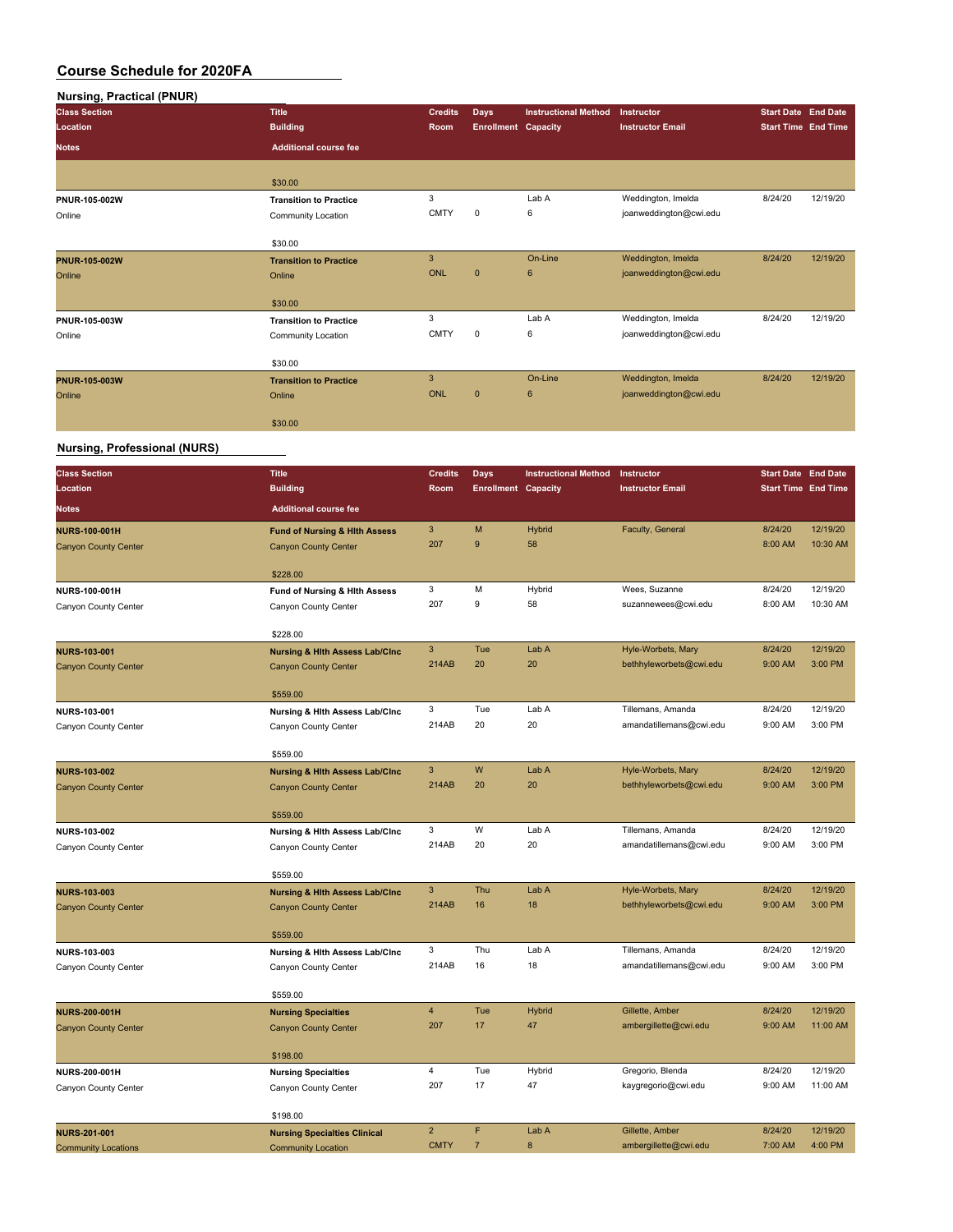| Nursing, Practical (PNUR)           |                                          |                |                            |                             |                         |                            |          |
|-------------------------------------|------------------------------------------|----------------|----------------------------|-----------------------------|-------------------------|----------------------------|----------|
| <b>Class Section</b>                | <b>Title</b>                             | <b>Credits</b> | Days                       | <b>Instructional Method</b> | Instructor              | <b>Start Date End Date</b> |          |
| Location                            | <b>Building</b>                          | Room           | <b>Enrollment Capacity</b> |                             | <b>Instructor Email</b> | <b>Start Time End Time</b> |          |
| <b>Notes</b>                        | <b>Additional course fee</b>             |                |                            |                             |                         |                            |          |
|                                     | \$30.00                                  |                |                            |                             |                         |                            |          |
| PNUR-105-002W                       | <b>Transition to Practice</b>            | 3              |                            | Lab A                       | Weddington, Imelda      | 8/24/20                    | 12/19/20 |
| Online                              | Community Location                       | <b>CMTY</b>    | $\pmb{0}$                  | 6                           | joanweddington@cwi.edu  |                            |          |
|                                     | \$30.00                                  |                |                            |                             |                         |                            |          |
| <b>PNUR-105-002W</b>                | <b>Transition to Practice</b>            | $\mathbf{3}$   |                            | On-Line                     | Weddington, Imelda      | 8/24/20                    | 12/19/20 |
| Online                              | Online                                   | <b>ONL</b>     | $\overline{0}$             | $6\phantom{1}6$             | joanweddington@cwi.edu  |                            |          |
|                                     | \$30.00                                  |                |                            |                             |                         |                            |          |
| PNUR-105-003W                       | <b>Transition to Practice</b>            | 3              |                            | Lab A                       | Weddington, Imelda      | 8/24/20                    | 12/19/20 |
| Online                              | Community Location                       | <b>CMTY</b>    | $\mathbf 0$                | 6                           | joanweddington@cwi.edu  |                            |          |
|                                     | \$30.00                                  |                |                            |                             |                         |                            |          |
| <b>PNUR-105-003W</b>                | <b>Transition to Practice</b>            | $\mathbf{3}$   |                            | On-Line                     | Weddington, Imelda      | 8/24/20                    | 12/19/20 |
| Online                              | Online                                   | <b>ONL</b>     | $\pmb{0}$                  | $6\phantom{1}6$             | joanweddington@cwi.edu  |                            |          |
|                                     | \$30.00                                  |                |                            |                             |                         |                            |          |
| <b>Nursing, Professional (NURS)</b> |                                          |                |                            |                             |                         |                            |          |
| <b>Class Section</b>                | <b>Title</b>                             | <b>Credits</b> | Days                       | <b>Instructional Method</b> | Instructor              | <b>Start Date End Date</b> |          |
| Location                            | <b>Building</b>                          | Room           | <b>Enrollment Capacity</b> |                             | <b>Instructor Email</b> | <b>Start Time End Time</b> |          |
| <b>Notes</b>                        | <b>Additional course fee</b>             |                |                            |                             |                         |                            |          |
| <b>NURS-100-001H</b>                | <b>Fund of Nursing &amp; Hith Assess</b> | $\mathbf{3}$   | M                          | Hybrid                      | Faculty, General        | 8/24/20                    | 12/19/20 |
| <b>Canyon County Center</b>         | <b>Canyon County Center</b>              | 207            | 9                          | 58                          |                         | 8:00 AM                    | 10:30 AM |
|                                     | \$228.00                                 |                |                            |                             |                         |                            |          |
| NURS-100-001H                       | Fund of Nursing & Hith Assess            | 3              | М                          | Hybrid                      | Wees, Suzanne           | 8/24/20                    | 12/19/20 |
| Canyon County Center                | Canyon County Center                     | 207            | 9                          | 58                          | suzannewees@cwi.edu     | 8:00 AM                    | 10:30 AM |
|                                     | \$228.00                                 |                |                            |                             |                         |                            |          |

|                             | 9220.UU                                   |                |     |        |                         |         |          |
|-----------------------------|-------------------------------------------|----------------|-----|--------|-------------------------|---------|----------|
| <b>NURS-103-001</b>         | <b>Nursing &amp; Hith Assess Lab/Cinc</b> | 3              | Tue | Lab A  | Hyle-Worbets, Mary      | 8/24/20 | 12/19/20 |
| <b>Canyon County Center</b> | <b>Canyon County Center</b>               | 214AB          | 20  | 20     | bethhyleworbets@cwi.edu | 9:00 AM | 3:00 PM  |
|                             |                                           |                |     |        |                         |         |          |
|                             | \$559.00                                  |                |     |        |                         |         |          |
| NURS-103-001                | Nursing & Hith Assess Lab/Cinc            | 3              | Tue | Lab A  | Tillemans, Amanda       | 8/24/20 | 12/19/20 |
| Canyon County Center        | Canyon County Center                      | 214AB          | 20  | 20     | amandatillemans@cwi.edu | 9:00 AM | 3:00 PM  |
|                             |                                           |                |     |        |                         |         |          |
|                             | \$559.00                                  |                |     |        |                         |         |          |
| <b>NURS-103-002</b>         | <b>Nursing &amp; Hith Assess Lab/Cinc</b> | 3              | W   | Lab A  | Hyle-Worbets, Mary      | 8/24/20 | 12/19/20 |
| <b>Canyon County Center</b> | <b>Canyon County Center</b>               | 214AB          | 20  | 20     | bethhyleworbets@cwi.edu | 9:00 AM | 3:00 PM  |
|                             |                                           |                |     |        |                         |         |          |
|                             | \$559.00                                  |                |     |        |                         |         |          |
| <b>NURS-103-002</b>         | Nursing & Hith Assess Lab/Cinc            | 3              | W   | Lab A  | Tillemans, Amanda       | 8/24/20 | 12/19/20 |
| Canyon County Center        | Canyon County Center                      | 214AB          | 20  | 20     | amandatillemans@cwi.edu | 9:00 AM | 3:00 PM  |
|                             |                                           |                |     |        |                         |         |          |
|                             | \$559.00                                  |                |     |        |                         |         |          |
| <b>NURS-103-003</b>         | <b>Nursing &amp; Hith Assess Lab/Cinc</b> | 3              | Thu | Lab A  | Hyle-Worbets, Mary      | 8/24/20 | 12/19/20 |
| <b>Canyon County Center</b> | <b>Canyon County Center</b>               | 214AB          | 16  | 18     | bethhyleworbets@cwi.edu | 9:00 AM | 3:00 PM  |
|                             |                                           |                |     |        |                         |         |          |
|                             | \$559.00                                  |                |     |        |                         |         |          |
| NURS-103-003                | Nursing & Hith Assess Lab/Cinc            | 3              | Thu | Lab A  | Tillemans, Amanda       | 8/24/20 | 12/19/20 |
| Canyon County Center        | Canyon County Center                      | 214AB          | 16  | 18     | amandatillemans@cwi.edu | 9:00 AM | 3:00 PM  |
|                             |                                           |                |     |        |                         |         |          |
|                             | \$559.00                                  |                |     |        |                         |         |          |
| <b>NURS-200-001H</b>        | <b>Nursing Specialties</b>                | $\overline{4}$ | Tue | Hybrid | Gillette, Amber         | 8/24/20 | 12/19/20 |
| <b>Canyon County Center</b> | <b>Canyon County Center</b>               | 207            | 17  | 47     | ambergillette@cwi.edu   | 9:00 AM | 11:00 AM |
|                             |                                           |                |     |        |                         |         |          |
|                             | \$198.00                                  |                |     |        |                         |         |          |
| <b>NURS-200-001H</b>        | <b>Nursing Specialties</b>                | $\overline{4}$ | Tue | Hybrid | Gregorio, Blenda        | 8/24/20 | 12/19/20 |
| Canyon County Center        | Canyon County Center                      | 207            | 17  | 47     | kaygregorio@cwi.edu     | 9:00 AM | 11:00 AM |

|                            | \$198.00                            |             |       |                       |         |          |
|----------------------------|-------------------------------------|-------------|-------|-----------------------|---------|----------|
| <b>NURS-201-001</b>        | <b>Nursing Specialties Clinical</b> |             | Lab A | Gillette, Amber       | 8/24/20 | 12/19/20 |
| <b>Community Locations</b> | Community Location                  | <b>CMTY</b> |       | ambergillette@cwi.edu | 7:00 AM | 4:00 PM  |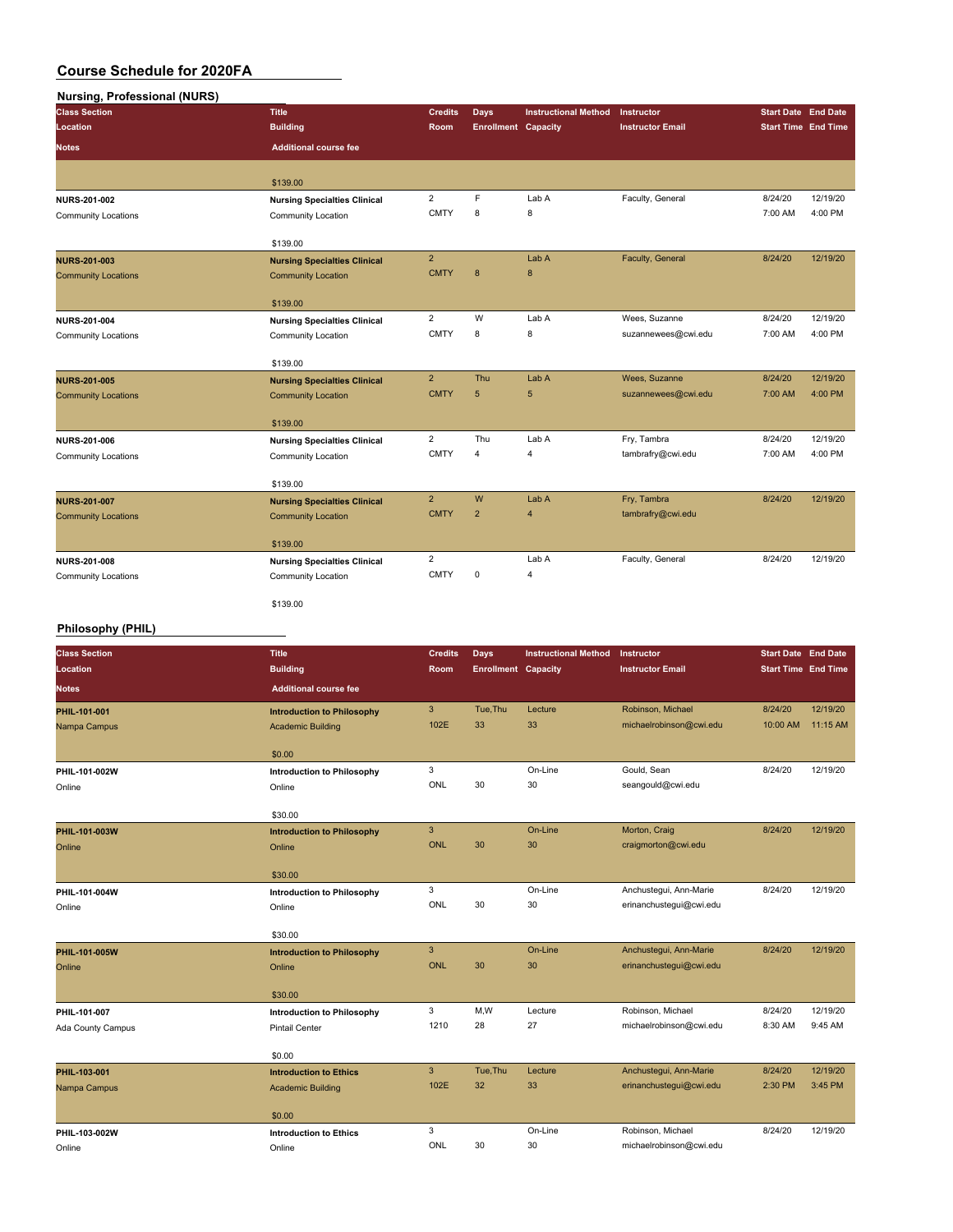## **Nursing, Professional (NURS)**

| <b>Class Section</b>       | <b>Title</b>                                              | <b>Credits</b> | Days                       | <b>Instructional Method</b> | <b>Instructor</b>       | <b>Start Date</b> End Date |          |
|----------------------------|-----------------------------------------------------------|----------------|----------------------------|-----------------------------|-------------------------|----------------------------|----------|
| Location                   | <b>Building</b>                                           | Room           | <b>Enrollment Capacity</b> |                             | <b>Instructor Email</b> | <b>Start Time</b> End Time |          |
| <b>Notes</b>               | <b>Additional course fee</b>                              |                |                            |                             |                         |                            |          |
|                            | \$139.00                                                  |                |                            |                             |                         |                            |          |
| NURS-201-002               |                                                           | $\overline{2}$ | F                          | Lab A                       | Faculty, General        | 8/24/20                    | 12/19/20 |
| <b>Community Locations</b> | <b>Nursing Specialties Clinical</b><br>Community Location | <b>CMTY</b>    | 8                          | 8                           |                         | 7:00 AM                    | 4:00 PM  |
|                            |                                                           |                |                            |                             |                         |                            |          |
|                            | \$139.00                                                  |                |                            |                             |                         |                            |          |
| <b>NURS-201-003</b>        | <b>Nursing Specialties Clinical</b>                       | $\overline{2}$ |                            | Lab A                       | Faculty, General        | 8/24/20                    | 12/19/20 |
| <b>Community Locations</b> | <b>Community Location</b>                                 | <b>CMTY</b>    | 8                          | $\bf 8$                     |                         |                            |          |
|                            |                                                           |                |                            |                             |                         |                            |          |
|                            | \$139.00                                                  |                |                            |                             |                         |                            |          |
| NURS-201-004               | <b>Nursing Specialties Clinical</b>                       | $\overline{2}$ | W                          | Lab A                       | Wees, Suzanne           | 8/24/20                    | 12/19/20 |
| <b>Community Locations</b> | Community Location                                        | <b>CMTY</b>    | 8                          | 8                           | suzannewees@cwi.edu     | 7:00 AM                    | 4:00 PM  |
|                            | \$139.00                                                  |                |                            |                             |                         |                            |          |
| <b>NURS-201-005</b>        | <b>Nursing Specialties Clinical</b>                       | $\overline{2}$ | Thu                        | Lab A                       | Wees, Suzanne           | 8/24/20                    | 12/19/20 |
| <b>Community Locations</b> | <b>Community Location</b>                                 | <b>CMTY</b>    | 5                          | 5                           | suzannewees@cwi.edu     | 7:00 AM                    | 4:00 PM  |
|                            |                                                           |                |                            |                             |                         |                            |          |
|                            | \$139.00                                                  |                |                            |                             |                         |                            |          |
| <b>NURS-201-006</b>        | <b>Nursing Specialties Clinical</b>                       | $\overline{2}$ | Thu                        | Lab A                       | Fry, Tambra             | 8/24/20                    | 12/19/20 |
| <b>Community Locations</b> | Community Location                                        | <b>CMTY</b>    | $\overline{4}$             | $\overline{4}$              | tambrafry@cwi.edu       | 7:00 AM                    | 4:00 PM  |
|                            | \$139.00                                                  |                |                            |                             |                         |                            |          |
| <b>NURS-201-007</b>        | <b>Nursing Specialties Clinical</b>                       | $\overline{2}$ | W                          | Lab A                       | Fry, Tambra             | 8/24/20                    | 12/19/20 |
| <b>Community Locations</b> | <b>Community Location</b>                                 | <b>CMTY</b>    | $\overline{2}$             | $\overline{4}$              | tambrafry@cwi.edu       |                            |          |
|                            |                                                           |                |                            |                             |                         |                            |          |
|                            | \$139.00                                                  |                |                            |                             |                         |                            |          |
| <b>NURS-201-008</b>        | <b>Nursing Specialties Clinical</b>                       | $\overline{2}$ |                            | Lab A                       | Faculty, General        | 8/24/20                    | 12/19/20 |
| <b>Community Locations</b> | Community Location                                        | <b>CMTY</b>    | 0                          | $\overline{4}$              |                         |                            |          |
|                            | \$139.00                                                  |                |                            |                             |                         |                            |          |
|                            |                                                           |                |                            |                             |                         |                            |          |

### **Philosophy (PHIL)**

| <b>Class Section</b> | <b>Title</b>                      | <b>Credits</b> | Days                       | <b>Instructional Method</b> | Instructor              | <b>Start Date End Date</b> |          |
|----------------------|-----------------------------------|----------------|----------------------------|-----------------------------|-------------------------|----------------------------|----------|
| Location             | <b>Building</b>                   | Room           | <b>Enrollment Capacity</b> |                             | <b>Instructor Email</b> | <b>Start Time End Time</b> |          |
| <b>Notes</b>         | <b>Additional course fee</b>      |                |                            |                             |                         |                            |          |
| PHIL-101-001         | <b>Introduction to Philosophy</b> | $\mathbf{3}$   | Tue, Thu                   | Lecture                     | Robinson, Michael       | 8/24/20                    | 12/19/20 |
| Nampa Campus         | <b>Academic Building</b>          | 102E           | 33                         | 33                          | michaelrobinson@cwi.edu | 10:00 AM                   | 11:15 AM |
|                      | \$0.00                            |                |                            |                             |                         |                            |          |
| PHIL-101-002W        | <b>Introduction to Philosophy</b> | 3              |                            | On-Line                     | Gould, Sean             | 8/24/20                    | 12/19/20 |
| Online               | Online                            | ONL            | 30                         | 30                          | seangould@cwi.edu       |                            |          |
|                      | \$30.00                           |                |                            |                             |                         |                            |          |
| PHIL-101-003W        | <b>Introduction to Philosophy</b> | 3              |                            | On-Line                     | Morton, Craig           | 8/24/20                    | 12/19/20 |
| Online               | Online                            | <b>ONL</b>     | 30                         | 30                          | craigmorton@cwi.edu     |                            |          |
|                      |                                   |                |                            |                             |                         |                            |          |
|                      | \$30.00                           |                |                            |                             |                         |                            |          |
| PHIL-101-004W        | <b>Introduction to Philosophy</b> | 3              |                            | On-Line                     | Anchustegui, Ann-Marie  | 8/24/20                    | 12/19/20 |
| Online               | Online                            | ONL            | 30                         | 30                          | erinanchustegui@cwi.edu |                            |          |
|                      | \$30.00                           |                |                            |                             |                         |                            |          |
| PHIL-101-005W        | <b>Introduction to Philosophy</b> | $\mathbf{3}$   |                            | On-Line                     | Anchustegui, Ann-Marie  | 8/24/20                    | 12/19/20 |
| Online               | Online                            | <b>ONL</b>     | 30                         | 30                          | erinanchustegui@cwi.edu |                            |          |
|                      | \$30.00                           |                |                            |                             |                         |                            |          |
| PHIL-101-007         | <b>Introduction to Philosophy</b> | 3              | M,W                        | Lecture                     | Robinson, Michael       | 8/24/20                    | 12/19/20 |
| Ada County Campus    | <b>Pintail Center</b>             | 1210           | 28                         | 27                          | michaelrobinson@cwi.edu | 8:30 AM                    | 9:45 AM  |
|                      |                                   |                |                            |                             |                         |                            |          |
|                      | \$0.00                            |                |                            |                             |                         |                            |          |
| PHIL-103-001         | <b>Introduction to Ethics</b>     | 3              | Tue, Thu                   | Lecture                     | Anchustegui, Ann-Marie  | 8/24/20                    | 12/19/20 |
| Nampa Campus         | <b>Academic Building</b>          | 102E           | 32                         | 33                          | erinanchustegui@cwi.edu | 2:30 PM                    | 3:45 PM  |
|                      | \$0.00                            |                |                            |                             |                         |                            |          |
| PHIL-103-002W        | <b>Introduction to Ethics</b>     | 3              |                            | On-Line                     | Robinson, Michael       | 8/24/20                    | 12/19/20 |
| Online               | Online                            | ONL            | 30                         | 30                          | michaelrobinson@cwi.edu |                            |          |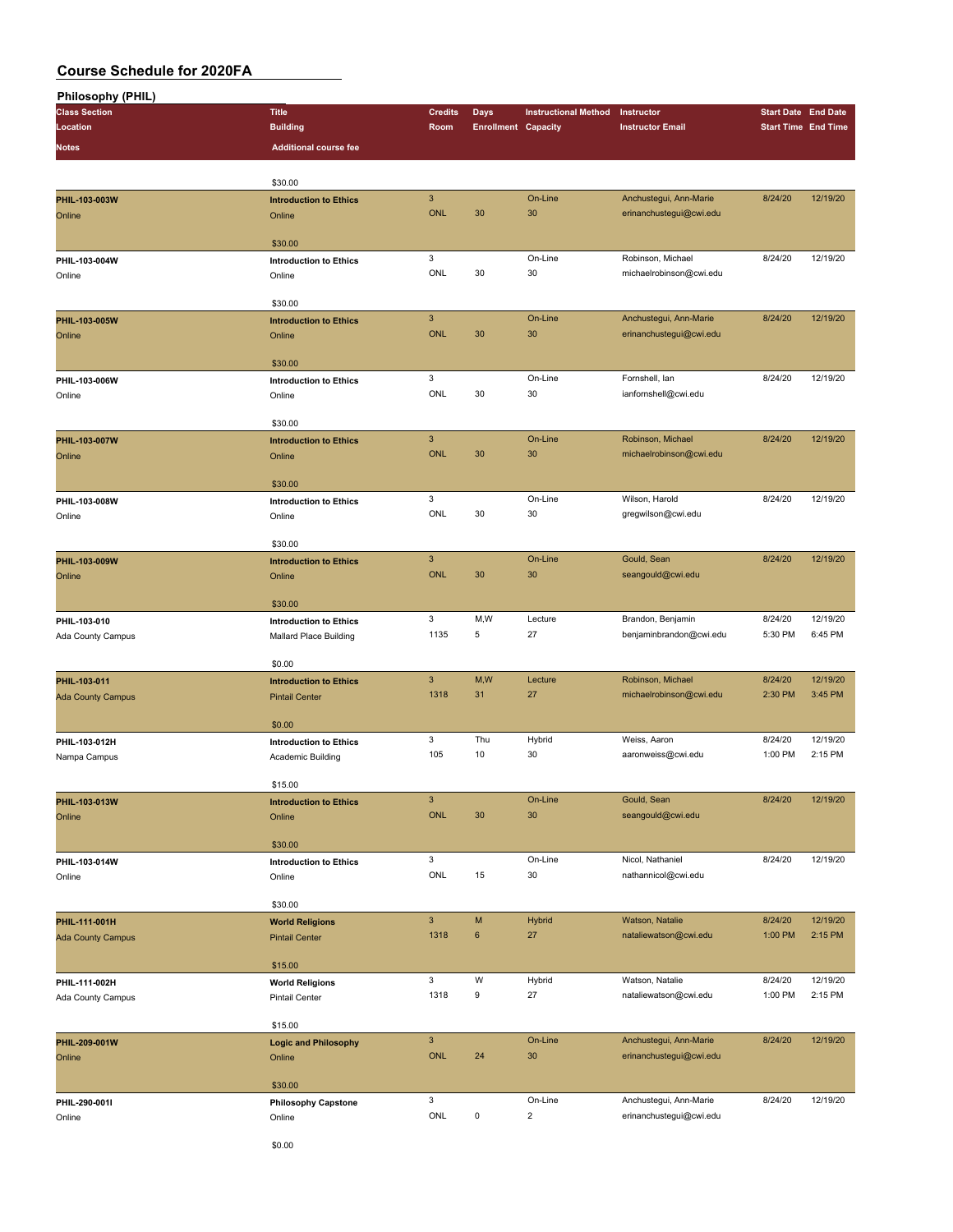| <b>Philosophy (PHIL)</b> |                                                 |                           |                            |                             |                         |                            |          |
|--------------------------|-------------------------------------------------|---------------------------|----------------------------|-----------------------------|-------------------------|----------------------------|----------|
| <b>Class Section</b>     | <b>Title</b>                                    | <b>Credits</b>            | <b>Days</b>                | <b>Instructional Method</b> | Instructor              | <b>Start Date End Date</b> |          |
| Location                 | <b>Building</b>                                 | Room                      | <b>Enrollment Capacity</b> |                             | <b>Instructor Email</b> | <b>Start Time End Time</b> |          |
| <b>Notes</b>             | <b>Additional course fee</b>                    |                           |                            |                             |                         |                            |          |
|                          |                                                 |                           |                            |                             |                         |                            |          |
|                          |                                                 |                           |                            |                             |                         |                            |          |
|                          | \$30.00                                         | $\mathbf{3}$              |                            | On-Line                     |                         | 8/24/20                    | 12/19/20 |
| PHIL-103-003W            | <b>Introduction to Ethics</b>                   | <b>ONL</b>                | 30                         | 30                          | Anchustegui, Ann-Marie  |                            |          |
| Online                   | Online                                          |                           |                            |                             | erinanchustegui@cwi.edu |                            |          |
|                          | \$30.00                                         |                           |                            |                             |                         |                            |          |
| PHIL-103-004W            | <b>Introduction to Ethics</b>                   | 3                         |                            | On-Line                     | Robinson, Michael       | 8/24/20                    | 12/19/20 |
| Online                   | Online                                          | ONL                       | 30                         | 30                          | michaelrobinson@cwi.edu |                            |          |
|                          |                                                 |                           |                            |                             |                         |                            |          |
|                          | \$30.00                                         |                           |                            |                             |                         |                            |          |
| PHIL-103-005W            | <b>Introduction to Ethics</b>                   | $\ensuremath{\mathsf{3}}$ |                            | On-Line                     | Anchustegui, Ann-Marie  | 8/24/20                    | 12/19/20 |
| Online                   | Online                                          | <b>ONL</b>                | 30                         | 30                          | erinanchustegui@cwi.edu |                            |          |
|                          |                                                 |                           |                            |                             |                         |                            |          |
|                          | \$30.00                                         |                           |                            |                             |                         |                            |          |
| PHIL-103-006W            | <b>Introduction to Ethics</b>                   | 3                         |                            | On-Line                     | Fornshell, Ian          | 8/24/20                    | 12/19/20 |
| Online                   | Online                                          | ONL                       | 30                         | 30                          | ianfornshell@cwi.edu    |                            |          |
|                          |                                                 |                           |                            |                             |                         |                            |          |
|                          | \$30.00                                         |                           |                            |                             |                         |                            |          |
| PHIL-103-007W            | <b>Introduction to Ethics</b>                   | $\mathbf{3}$              |                            | On-Line                     | Robinson, Michael       | 8/24/20                    | 12/19/20 |
| Online                   | Online                                          | <b>ONL</b>                | 30                         | 30                          | michaelrobinson@cwi.edu |                            |          |
|                          |                                                 |                           |                            |                             |                         |                            |          |
|                          | \$30.00                                         |                           |                            |                             |                         |                            |          |
| PHIL-103-008W            | <b>Introduction to Ethics</b>                   | 3                         |                            | On-Line                     | Wilson, Harold          | 8/24/20                    | 12/19/20 |
| Online                   | Online                                          | ONL                       | 30                         | 30                          | gregwilson@cwi.edu      |                            |          |
|                          |                                                 |                           |                            |                             |                         |                            |          |
|                          | \$30.00                                         | $\mathbf{3}$              |                            |                             |                         |                            |          |
| PHIL-103-009W            | <b>Introduction to Ethics</b>                   | <b>ONL</b>                |                            | On-Line                     | Gould, Sean             | 8/24/20                    | 12/19/20 |
| Online                   | Online                                          |                           | 30                         | 30                          | seangould@cwi.edu       |                            |          |
|                          | \$30.00                                         |                           |                            |                             |                         |                            |          |
| PHIL-103-010             | <b>Introduction to Ethics</b>                   | 3                         | M,W                        | Lecture                     | Brandon, Benjamin       | 8/24/20                    | 12/19/20 |
|                          |                                                 | 1135                      | 5                          | 27                          | benjaminbrandon@cwi.edu | 5:30 PM                    | 6:45 PM  |
| Ada County Campus        | Mallard Place Building                          |                           |                            |                             |                         |                            |          |
|                          | \$0.00                                          |                           |                            |                             |                         |                            |          |
| PHIL-103-011             | <b>Introduction to Ethics</b>                   | $\mathbf{3}$              | M,W                        | Lecture                     | Robinson, Michael       | 8/24/20                    | 12/19/20 |
| <b>Ada County Campus</b> | <b>Pintail Center</b>                           | 1318                      | 31                         | 27                          | michaelrobinson@cwi.edu | 2:30 PM                    | 3:45 PM  |
|                          |                                                 |                           |                            |                             |                         |                            |          |
|                          | \$0.00                                          |                           |                            |                             |                         |                            |          |
| PHIL-103-012H            | <b>Introduction to Ethics</b>                   | 3                         | Thu                        | Hybrid                      | Weiss, Aaron            | 8/24/20                    | 12/19/20 |
| Nampa Campus             | Academic Building                               | 105                       | 10                         | 30                          | aaronweiss@cwi.edu      | 1:00 PM                    | 2:15 PM  |
|                          |                                                 |                           |                            |                             |                         |                            |          |
|                          | \$15.00                                         |                           |                            |                             |                         |                            |          |
| PHIL-103-013W            | <b>Introduction to Ethics</b>                   | $\mathsf 3$               |                            | On-Line                     | Gould, Sean             | 8/24/20                    | 12/19/20 |
| Online                   | Online                                          | ONL                       | 30                         | 30                          | seangould@cwi.edu       |                            |          |
|                          |                                                 |                           |                            |                             |                         |                            |          |
|                          | \$30.00                                         |                           |                            |                             |                         |                            |          |
| PHIL-103-014W            | <b>Introduction to Ethics</b>                   | 3                         |                            | On-Line                     | Nicol, Nathaniel        | 8/24/20                    | 12/19/20 |
| Online                   | Online                                          | ONL                       | 15                         | 30                          | nathannicol@cwi.edu     |                            |          |
|                          | \$30.00                                         |                           |                            |                             |                         |                            |          |
| PHIL-111-001H            |                                                 | $\mathbf{3}$              | M                          | Hybrid                      | Watson, Natalie         | 8/24/20                    | 12/19/20 |
|                          | <b>World Religions</b><br><b>Pintail Center</b> | 1318                      | $\bf 6$                    | 27                          | nataliewatson@cwi.edu   | 1:00 PM                    | 2:15 PM  |
| <b>Ada County Campus</b> |                                                 |                           |                            |                             |                         |                            |          |
|                          | \$15.00                                         |                           |                            |                             |                         |                            |          |
| PHIL-111-002H            | <b>World Religions</b>                          | 3                         | W                          | Hybrid                      | Watson, Natalie         | 8/24/20                    | 12/19/20 |
| Ada County Campus        | Pintail Center                                  | 1318                      | 9                          | 27                          | nataliewatson@cwi.edu   | 1:00 PM                    | 2:15 PM  |
|                          |                                                 |                           |                            |                             |                         |                            |          |
|                          | \$15.00                                         |                           |                            |                             |                         |                            |          |
| PHIL-209-001W            | <b>Logic and Philosophy</b>                     | $\mathsf 3$               |                            | On-Line                     | Anchustegui, Ann-Marie  | 8/24/20                    | 12/19/20 |
| Online                   | Online                                          | ONL                       | 24                         | 30                          | erinanchustegui@cwi.edu |                            |          |
|                          |                                                 |                           |                            |                             |                         |                            |          |
|                          | \$30.00                                         |                           |                            |                             |                         |                            |          |
| PHIL-290-001I            | <b>Philosophy Capstone</b>                      | $\mathsf 3$               |                            | On-Line                     | Anchustegui, Ann-Marie  | 8/24/20                    | 12/19/20 |
| Online                   | Online                                          | ONL                       | $\pmb{0}$                  | $\overline{\mathbf{c}}$     | erinanchustegui@cwi.edu |                            |          |
|                          |                                                 |                           |                            |                             |                         |                            |          |
|                          | \$0.00                                          |                           |                            |                             |                         |                            |          |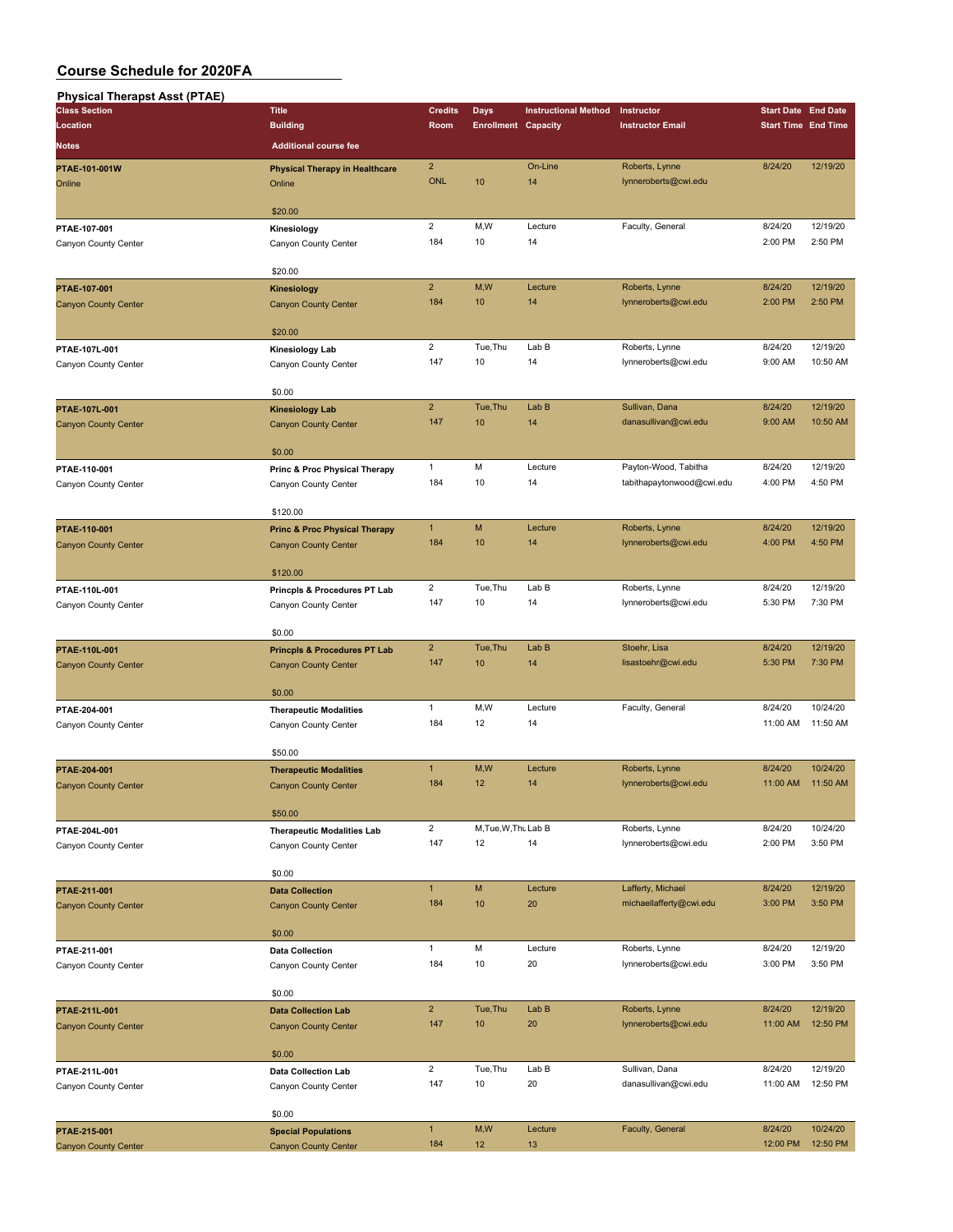| <b>Physical Therapst Asst (PTAE)</b> |                                                 |                         |                            |                             |                                                   |                            |                            |
|--------------------------------------|-------------------------------------------------|-------------------------|----------------------------|-----------------------------|---------------------------------------------------|----------------------------|----------------------------|
| <b>Class Section</b>                 | <b>Title</b>                                    | <b>Credits</b>          | Days                       | <b>Instructional Method</b> | Instructor                                        | <b>Start Date End Date</b> |                            |
| Location<br><b>Notes</b>             | <b>Building</b><br><b>Additional course fee</b> | Room                    | <b>Enrollment Capacity</b> |                             | <b>Instructor Email</b>                           |                            | <b>Start Time End Time</b> |
|                                      |                                                 | $\overline{2}$          |                            | On-Line                     |                                                   | 8/24/20                    | 12/19/20                   |
| PTAE-101-001W<br>Online              | <b>Physical Therapy in Healthcare</b><br>Online | <b>ONL</b>              | 10                         | 14                          | Roberts, Lynne<br>lynneroberts@cwi.edu            |                            |                            |
|                                      |                                                 |                         |                            |                             |                                                   |                            |                            |
|                                      | \$20.00                                         |                         |                            |                             |                                                   |                            |                            |
| PTAE-107-001                         | Kinesiology                                     | $\overline{2}$          | M,W                        | Lecture                     | Faculty, General                                  | 8/24/20                    | 12/19/20                   |
| Canyon County Center                 | Canyon County Center                            | 184                     | 10                         | 14                          |                                                   | 2:00 PM                    | 2:50 PM                    |
|                                      | \$20.00                                         |                         |                            |                             |                                                   |                            |                            |
| PTAE-107-001                         | <b>Kinesiology</b>                              | $\overline{2}$          | M,W                        | Lecture                     | Roberts, Lynne                                    | 8/24/20                    | 12/19/20                   |
| <b>Canyon County Center</b>          | <b>Canyon County Center</b>                     | 184                     | 10                         | 14                          | lynneroberts@cwi.edu                              | 2:00 PM                    | 2:50 PM                    |
|                                      | \$20.00                                         |                         |                            |                             |                                                   |                            |                            |
| PTAE-107L-001                        | Kinesiology Lab                                 | $\overline{\mathbf{c}}$ | Tue, Thu                   | Lab B                       | Roberts, Lynne                                    | 8/24/20                    | 12/19/20                   |
| Canyon County Center                 | Canyon County Center                            | 147                     | 10                         | 14                          | lynneroberts@cwi.edu                              | 9:00 AM                    | 10:50 AM                   |
|                                      | \$0.00                                          |                         |                            |                             |                                                   |                            |                            |
| PTAE-107L-001                        | <b>Kinesiology Lab</b>                          | $\overline{2}$          | Tue, Thu                   | Lab B                       | Sullivan, Dana                                    | 8/24/20                    | 12/19/20                   |
| <b>Canyon County Center</b>          | <b>Canyon County Center</b>                     | 147                     | 10                         | 14                          | danasullivan@cwi.edu                              | 9:00 AM                    | 10:50 AM                   |
|                                      |                                                 |                         |                            |                             |                                                   |                            |                            |
|                                      | \$0.00                                          |                         |                            |                             |                                                   |                            |                            |
| PTAE-110-001                         | Princ & Proc Physical Therapy                   | $\mathbf{1}$<br>184     | M<br>10                    | Lecture<br>14               | Payton-Wood, Tabitha<br>tabithapaytonwood@cwi.edu | 8/24/20<br>4:00 PM         | 12/19/20<br>4:50 PM        |
| Canyon County Center                 | Canyon County Center                            |                         |                            |                             |                                                   |                            |                            |
|                                      | \$120.00                                        |                         |                            |                             |                                                   |                            |                            |
| PTAE-110-001                         | <b>Princ &amp; Proc Physical Therapy</b>        | $\mathbf{1}$            | M                          | Lecture                     | Roberts, Lynne                                    | 8/24/20                    | 12/19/20                   |
| <b>Canyon County Center</b>          | <b>Canyon County Center</b>                     | 184                     | 10                         | 14                          | lynneroberts@cwi.edu                              | 4:00 PM                    | 4:50 PM                    |
|                                      | \$120.00                                        |                         |                            |                             |                                                   |                            |                            |
| PTAE-110L-001                        | Princpls & Procedures PT Lab                    | $\overline{2}$          | Tue, Thu                   | Lab B                       | Roberts, Lynne                                    | 8/24/20                    | 12/19/20                   |
| Canyon County Center                 | Canyon County Center                            | 147                     | 10                         | 14                          | lynneroberts@cwi.edu                              | 5:30 PM                    | 7:30 PM                    |
|                                      | \$0.00                                          |                         |                            |                             |                                                   |                            |                            |
| PTAE-110L-001                        | <b>Princpls &amp; Procedures PT Lab</b>         | $\overline{2}$          | Tue, Thu                   | Lab <sub>B</sub>            | Stoehr, Lisa                                      | 8/24/20                    | 12/19/20                   |
| <b>Canyon County Center</b>          | <b>Canyon County Center</b>                     | 147                     | 10                         | 14                          | lisastoehr@cwi.edu                                | 5:30 PM                    | 7:30 PM                    |
|                                      |                                                 |                         |                            |                             |                                                   |                            |                            |
| PTAE-204-001                         | \$0.00<br><b>Therapeutic Modalities</b>         | 1                       | M,W                        | Lecture                     | Faculty, General                                  | 8/24/20                    | 10/24/20                   |
| Canyon County Center                 | Canyon County Center                            | 184                     | 12                         | 14                          |                                                   | 11:00 AM                   | 11:50 AM                   |
|                                      |                                                 |                         |                            |                             |                                                   |                            |                            |
|                                      | \$50.00                                         |                         |                            |                             |                                                   |                            |                            |
| PTAE-204-001                         | <b>Therapeutic Modalities</b>                   | $\mathbf{1}$<br>184     | M,W<br>12                  | Lecture<br>14               | Roberts, Lynne<br>lynneroberts@cwi.edu            | 8/24/20<br>11:00 AM        | 10/24/20<br>11:50 AM       |
| <b>Canyon County Center</b>          | <b>Canyon County Center</b>                     |                         |                            |                             |                                                   |                            |                            |
|                                      | \$50.00                                         |                         |                            |                             |                                                   |                            |                            |
| PTAE-204L-001                        | <b>Therapeutic Modalities Lab</b>               | $\overline{2}$          | M, Tue, W, Thu Lab B       |                             | Roberts, Lynne                                    | 8/24/20                    | 10/24/20                   |
| Canyon County Center                 | Canyon County Center                            | 147                     | 12                         | 14                          | lynneroberts@cwi.edu                              | 2:00 PM                    | 3:50 PM                    |
|                                      | \$0.00                                          |                         |                            |                             |                                                   |                            |                            |
| PTAE-211-001                         | <b>Data Collection</b>                          | $\mathbf{1}$            | M                          | Lecture                     | Lafferty, Michael                                 | 8/24/20                    | 12/19/20                   |
| <b>Canyon County Center</b>          | <b>Canyon County Center</b>                     | 184                     | 10                         | 20                          | michaellafferty@cwi.edu                           | 3:00 PM                    | 3:50 PM                    |
|                                      | \$0.00                                          |                         |                            |                             |                                                   |                            |                            |
| PTAE-211-001                         | <b>Data Collection</b>                          | $\mathbf{1}$            | M                          | Lecture                     | Roberts, Lynne                                    | 8/24/20                    | 12/19/20                   |
| Canyon County Center                 | Canyon County Center                            | 184                     | 10                         | 20                          | lynneroberts@cwi.edu                              | 3:00 PM                    | 3:50 PM                    |
|                                      |                                                 |                         |                            |                             |                                                   |                            |                            |
|                                      | \$0.00                                          |                         |                            |                             |                                                   |                            |                            |
| PTAE-211L-001                        | <b>Data Collection Lab</b>                      | $\overline{2}$          | Tue, Thu                   | Lab B                       | Roberts, Lynne                                    | 8/24/20                    | 12/19/20                   |
| <b>Canyon County Center</b>          | <b>Canyon County Center</b>                     | 147                     | 10                         | 20                          | lynneroberts@cwi.edu                              | 11:00 AM                   | 12:50 PM                   |
|                                      | \$0.00                                          |                         |                            |                             |                                                   |                            |                            |
| PTAE-211L-001                        | <b>Data Collection Lab</b>                      | $\overline{2}$          | Tue, Thu                   | Lab B                       | Sullivan, Dana                                    | 8/24/20                    | 12/19/20                   |
| Canyon County Center                 | Canyon County Center                            | 147                     | 10                         | 20                          | danasullivan@cwi.edu                              | 11:00 AM                   | 12:50 PM                   |
|                                      | \$0.00                                          |                         |                            |                             |                                                   |                            |                            |
| PTAE-215-001                         | <b>Special Populations</b>                      | $\mathbf{1}$            | M,W                        | Lecture                     | Faculty, General                                  | 8/24/20                    | 10/24/20                   |
| <b>Canyon County Center</b>          | <b>Canyon County Center</b>                     | 184                     | 12                         | 13                          |                                                   | 12:00 PM                   | 12:50 PM                   |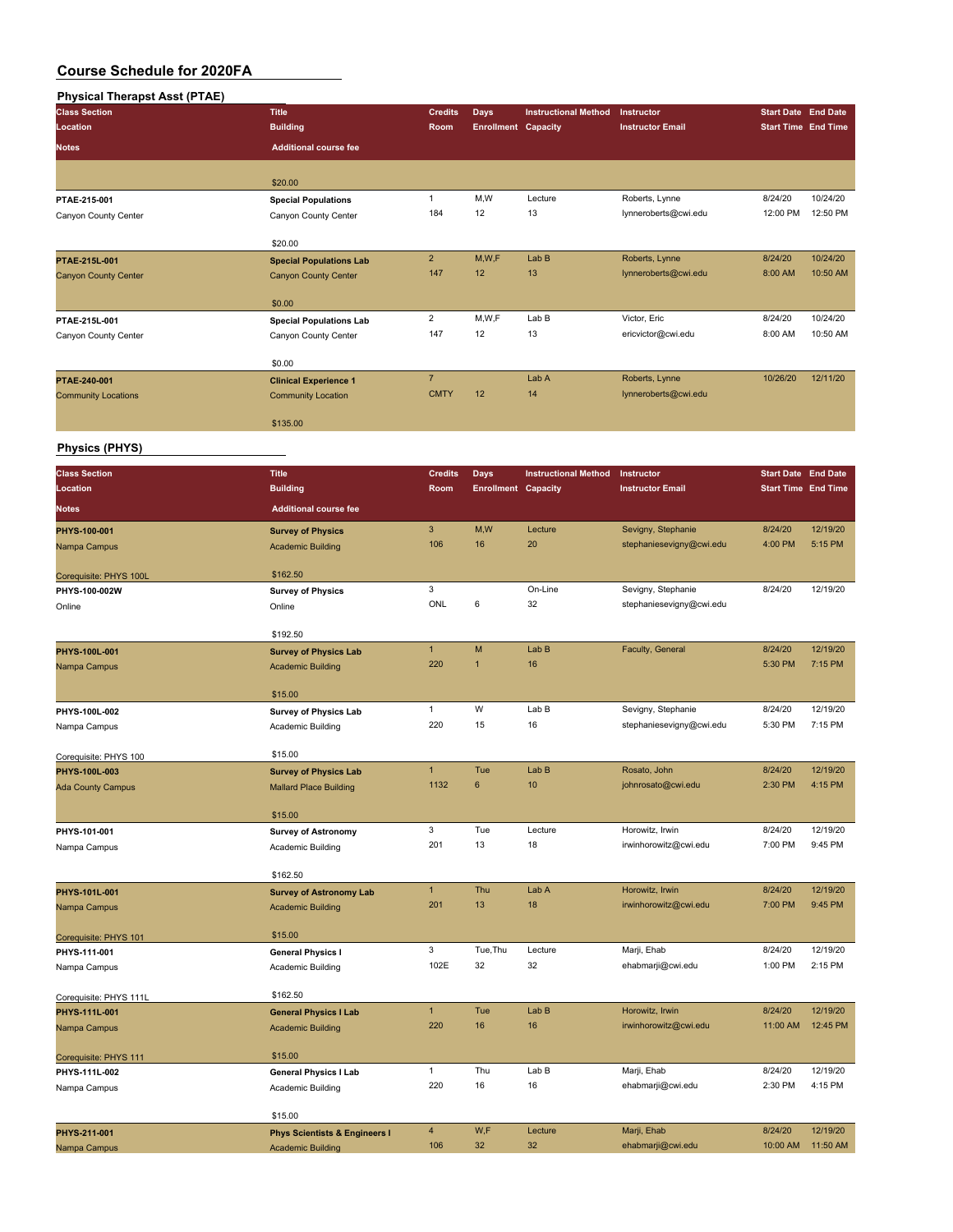## **Physical Therapst Asst (PTAE)**

| <b>Class Section</b>                    | <b>Title</b>                             | <b>Credits</b>        | <b>Days</b>                | <b>Instructional Method</b> | Instructor                                     | <b>Start Date End Date</b>                               |                     |
|-----------------------------------------|------------------------------------------|-----------------------|----------------------------|-----------------------------|------------------------------------------------|----------------------------------------------------------|---------------------|
| Location                                | <b>Building</b>                          | Room                  | <b>Enrollment Capacity</b> |                             | <b>Instructor Email</b>                        | <b>Start Time End Time</b>                               |                     |
| <b>Notes</b>                            | <b>Additional course fee</b>             |                       |                            |                             |                                                |                                                          |                     |
|                                         |                                          |                       |                            |                             |                                                |                                                          |                     |
|                                         | \$20.00                                  |                       |                            |                             |                                                |                                                          |                     |
| PTAE-215-001                            | <b>Special Populations</b>               | $\mathbf{1}$          | M,W                        | Lecture                     | Roberts, Lynne                                 | 8/24/20                                                  | 10/24/20            |
| Canyon County Center                    | Canyon County Center                     | 184                   | 12                         | 13                          | lynneroberts@cwi.edu                           | 12:00 PM                                                 | 12:50 PM            |
|                                         |                                          |                       |                            |                             |                                                |                                                          |                     |
|                                         | \$20.00                                  |                       |                            |                             |                                                |                                                          |                     |
| PTAE-215L-001                           | <b>Special Populations Lab</b>           | $\overline{2}$        | M,W,F                      | Lab B                       | Roberts, Lynne                                 | 8/24/20                                                  | 10/24/20            |
| <b>Canyon County Center</b>             | <b>Canyon County Center</b>              | 147                   | 12                         | 13                          | lynneroberts@cwi.edu                           | 8:00 AM                                                  | 10:50 AM            |
|                                         |                                          |                       |                            |                             |                                                |                                                          |                     |
|                                         | \$0.00                                   | 2                     | M, W, F                    | Lab B                       | Victor, Eric                                   | 8/24/20                                                  | 10/24/20            |
| PTAE-215L-001                           | <b>Special Populations Lab</b>           | 147                   | 12                         | 13                          | ericvictor@cwi.edu                             | 8:00 AM                                                  | 10:50 AM            |
| Canyon County Center                    | Canyon County Center                     |                       |                            |                             |                                                |                                                          |                     |
|                                         | \$0.00                                   |                       |                            |                             |                                                |                                                          |                     |
| PTAE-240-001                            | <b>Clinical Experience 1</b>             | $\overline{7}$        |                            | Lab A                       | Roberts, Lynne                                 | 10/26/20                                                 | 12/11/20            |
| <b>Community Locations</b>              | <b>Community Location</b>                | <b>CMTY</b>           | 12                         | 14                          | lynneroberts@cwi.edu                           |                                                          |                     |
|                                         |                                          |                       |                            |                             |                                                |                                                          |                     |
|                                         | \$135.00                                 |                       |                            |                             |                                                |                                                          |                     |
| <b>Physics (PHYS)</b>                   |                                          |                       |                            |                             |                                                |                                                          |                     |
|                                         |                                          |                       |                            |                             |                                                |                                                          |                     |
| <b>Class Section</b>                    | <b>Title</b>                             | <b>Credits</b>        | <b>Days</b>                | <b>Instructional Method</b> | Instructor                                     | <b>Start Date End Date</b><br><b>Start Time End Time</b> |                     |
| Location                                | <b>Building</b>                          | Room                  | <b>Enrollment Capacity</b> |                             | <b>Instructor Email</b>                        |                                                          |                     |
| <b>Notes</b>                            | <b>Additional course fee</b>             |                       |                            |                             |                                                |                                                          |                     |
| PHYS-100-001                            | <b>Survey of Physics</b>                 | $\mathbf{3}$          | M, W                       | Lecture                     | Sevigny, Stephanie                             | 8/24/20                                                  | 12/19/20            |
| Nampa Campus                            | <b>Academic Building</b>                 | 106                   | 16                         | 20                          | stephaniesevigny@cwi.edu                       | 4:00 PM                                                  | 5:15 PM             |
|                                         |                                          |                       |                            |                             |                                                |                                                          |                     |
| Corequisite: PHYS 100L                  | \$162.50                                 | 3                     |                            | On-Line                     | Sevigny, Stephanie                             | 8/24/20                                                  | 12/19/20            |
| PHYS-100-002W                           | <b>Survey of Physics</b><br>Online       | ONL                   | 6                          | 32                          | stephaniesevigny@cwi.edu                       |                                                          |                     |
| Online                                  |                                          |                       |                            |                             |                                                |                                                          |                     |
|                                         | \$192.50                                 |                       |                            |                             |                                                |                                                          |                     |
| PHYS-100L-001                           | <b>Survey of Physics Lab</b>             | $\mathbf{1}$          | M                          | Lab B                       | Faculty, General                               | 8/24/20                                                  | 12/19/20            |
| Nampa Campus                            | <b>Academic Building</b>                 | 220                   | $\mathbf{1}$               | 16                          |                                                | 5:30 PM                                                  | 7:15 PM             |
|                                         |                                          |                       |                            |                             |                                                |                                                          |                     |
|                                         | \$15.00                                  | $\mathbf{1}$          | W                          |                             |                                                |                                                          |                     |
| PHYS-100L-002                           | <b>Survey of Physics Lab</b>             | 220                   | 15                         | Lab B<br>16                 | Sevigny, Stephanie<br>stephaniesevigny@cwi.edu | 8/24/20<br>5:30 PM                                       | 12/19/20<br>7:15 PM |
| Nampa Campus                            | Academic Building                        |                       |                            |                             |                                                |                                                          |                     |
| Corequisite: PHYS 100                   | \$15.00                                  |                       |                            |                             |                                                |                                                          |                     |
| PHYS-100L-003                           | <b>Survey of Physics Lab</b>             | $\mathbf{1}$          | Tue                        | Lab B                       | Rosato, John                                   | 8/24/20                                                  | 12/19/20            |
| <b>Ada County Campus</b>                | <b>Mallard Place Building</b>            | 1132                  | 6                          | 10                          | johnrosato@cwi.edu                             | 2:30 PM                                                  | 4:15 PM             |
|                                         |                                          |                       |                            |                             |                                                |                                                          |                     |
|                                         | \$15.00                                  |                       |                            |                             |                                                |                                                          |                     |
| PHYS-101-001                            | <b>Survey of Astronomy</b>               | 3                     | Tue                        | Lecture                     | Horowitz, Irwin                                | 8/24/20<br>7:00 PM                                       | 12/19/20            |
| Nampa Campus                            | Academic Building                        | 201                   | 13                         | 18                          | irwinhorowitz@cwi.edu                          |                                                          | 9:45 PM             |
|                                         | \$162.50                                 |                       |                            |                             |                                                |                                                          |                     |
| PHYS-101L-001                           | <b>Survey of Astronomy Lab</b>           | $\mathbf{1}$          | Thu                        | Lab A                       | Horowitz, Irwin                                | 8/24/20                                                  | 12/19/20            |
| Nampa Campus                            | <b>Academic Building</b>                 | 201                   | 13                         | 18                          | irwinhorowitz@cwi.edu                          | 7:00 PM                                                  | 9:45 PM             |
|                                         |                                          |                       |                            |                             |                                                |                                                          |                     |
| Corequisite: PHYS 101                   | \$15.00                                  |                       |                            |                             |                                                |                                                          |                     |
| PHYS-111-001                            | <b>General Physics I</b>                 | 3                     | Tue, Thu                   | Lecture                     | Marji, Ehab                                    | 8/24/20                                                  | 12/19/20            |
| Nampa Campus                            | Academic Building                        | 102E                  | 32                         | 32                          | ehabmarji@cwi.edu                              | 1:00 PM                                                  | 2:15 PM             |
|                                         | \$162.50                                 |                       |                            |                             |                                                |                                                          |                     |
| Corequisite: PHYS 111L<br>PHYS-111L-001 | <b>General Physics I Lab</b>             | $\mathbf{1}$          | Tue                        | Lab B                       | Horowitz, Irwin                                | 8/24/20                                                  | 12/19/20            |
| Nampa Campus                            | <b>Academic Building</b>                 | 220                   | 16                         | 16                          | irwinhorowitz@cwi.edu                          | 11:00 AM                                                 | 12:45 PM            |
|                                         |                                          |                       |                            |                             |                                                |                                                          |                     |
| Corequisite: PHYS 111                   | \$15.00                                  |                       |                            |                             |                                                |                                                          |                     |
| PHYS-111L-002                           | <b>General Physics I Lab</b>             | $\mathbf{1}$          | Thu                        | Lab B                       | Marji, Ehab                                    | 8/24/20                                                  | 12/19/20            |
| Nampa Campus                            | Academic Building                        | 220                   | 16                         | 16                          | ehabmarji@cwi.edu                              | 2:30 PM                                                  | 4:15 PM             |
|                                         |                                          |                       |                            |                             |                                                |                                                          |                     |
|                                         | \$15.00                                  |                       |                            |                             |                                                |                                                          | 12/19/20            |
| PHYS-211-001                            | <b>Phys Scientists &amp; Engineers I</b> | $\overline{4}$<br>106 | W,F<br>32                  | Lecture<br>32               | Marji, Ehab<br>ehabmarji@cwi.edu               | 8/24/20<br>10:00 AM                                      | 11:50 AM            |
| Nampa Campus                            | <b>Academic Building</b>                 |                       |                            |                             |                                                |                                                          |                     |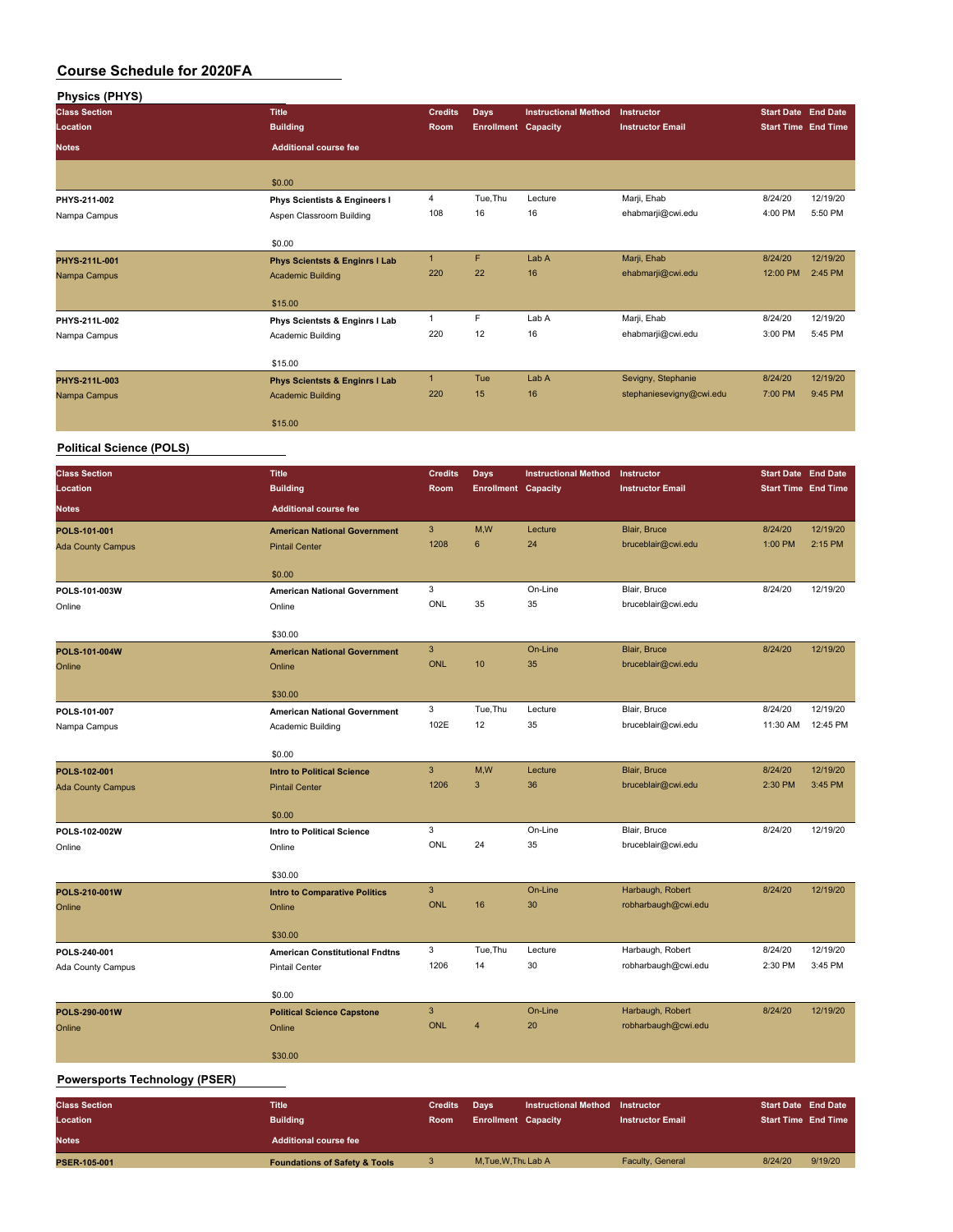| <b>Physics (PHYS)</b>                |                                           |                           |                            |                             |                          |                            |          |
|--------------------------------------|-------------------------------------------|---------------------------|----------------------------|-----------------------------|--------------------------|----------------------------|----------|
| <b>Class Section</b>                 | <b>Title</b>                              | <b>Credits</b>            | <b>Days</b>                | <b>Instructional Method</b> | Instructor               | <b>Start Date End Date</b> |          |
| Location                             | <b>Building</b>                           | Room                      | <b>Enrollment Capacity</b> |                             | <b>Instructor Email</b>  | <b>Start Time End Time</b> |          |
| Notes                                | <b>Additional course fee</b>              |                           |                            |                             |                          |                            |          |
|                                      |                                           |                           |                            |                             |                          |                            |          |
|                                      |                                           |                           |                            |                             |                          |                            |          |
|                                      | \$0.00                                    |                           |                            |                             |                          |                            |          |
| PHYS-211-002                         | <b>Phys Scientists &amp; Engineers I</b>  | $\overline{\mathbf{4}}$   | Tue, Thu                   | Lecture                     | Marji, Ehab              | 8/24/20                    | 12/19/20 |
| Nampa Campus                         | Aspen Classroom Building                  | 108                       | 16                         | 16                          | ehabmarji@cwi.edu        | 4:00 PM                    | 5:50 PM  |
|                                      |                                           |                           |                            |                             |                          |                            |          |
|                                      | \$0.00                                    |                           |                            |                             |                          |                            |          |
| PHYS-211L-001                        | <b>Phys Scientsts &amp; Enginrs I Lab</b> | $\mathbf{1}$              | F                          | Lab A                       | Marji, Ehab              | 8/24/20                    | 12/19/20 |
| Nampa Campus                         | <b>Academic Building</b>                  | 220                       | 22                         | 16                          | ehabmarji@cwi.edu        | 12:00 PM                   | 2:45 PM  |
|                                      |                                           |                           |                            |                             |                          |                            |          |
|                                      | \$15.00                                   |                           |                            |                             |                          |                            |          |
| PHYS-211L-002                        | Phys Scientsts & Enginrs I Lab            | $\mathbf{1}$              | F                          | Lab A                       | Marji, Ehab              | 8/24/20                    | 12/19/20 |
| Nampa Campus                         | Academic Building                         | 220                       | 12                         | 16                          | ehabmarji@cwi.edu        | 3:00 PM                    | 5:45 PM  |
|                                      |                                           |                           |                            |                             |                          |                            |          |
|                                      | \$15.00                                   |                           |                            |                             |                          |                            |          |
| PHYS-211L-003                        | <b>Phys Scientsts &amp; Enginrs I Lab</b> | $\mathbf{1}$              | Tue                        | Lab A                       | Sevigny, Stephanie       | 8/24/20                    | 12/19/20 |
| Nampa Campus                         | <b>Academic Building</b>                  | 220                       | 15                         | 16                          | stephaniesevigny@cwi.edu | 7:00 PM                    | 9:45 PM  |
|                                      |                                           |                           |                            |                             |                          |                            |          |
|                                      | \$15.00                                   |                           |                            |                             |                          |                            |          |
| <b>Political Science (POLS)</b>      |                                           |                           |                            |                             |                          |                            |          |
|                                      |                                           |                           |                            |                             |                          |                            |          |
| <b>Class Section</b>                 | <b>Title</b>                              | <b>Credits</b>            | <b>Days</b>                | <b>Instructional Method</b> | Instructor               | <b>Start Date End Date</b> |          |
| Location                             | <b>Building</b>                           | Room                      | <b>Enrollment Capacity</b> |                             | <b>Instructor Email</b>  | <b>Start Time End Time</b> |          |
| Notes                                | <b>Additional course fee</b>              |                           |                            |                             |                          |                            |          |
|                                      |                                           |                           |                            |                             |                          |                            |          |
| POLS-101-001                         | <b>American National Government</b>       | $\ensuremath{\mathsf{3}}$ | M,W                        | Lecture                     | Blair, Bruce             | 8/24/20                    | 12/19/20 |
| <b>Ada County Campus</b>             | <b>Pintail Center</b>                     | 1208                      | 6                          | 24                          | bruceblair@cwi.edu       | 1:00 PM                    | 2:15 PM  |
|                                      |                                           |                           |                            |                             |                          |                            |          |
|                                      | \$0.00                                    |                           |                            |                             |                          |                            |          |
| POLS-101-003W                        | <b>American National Government</b>       | 3                         |                            | On-Line                     | Blair, Bruce             | 8/24/20                    | 12/19/20 |
| Online                               | Online                                    | ONL                       | 35                         | 35                          | bruceblair@cwi.edu       |                            |          |
|                                      |                                           |                           |                            |                             |                          |                            |          |
|                                      | \$30.00                                   |                           |                            |                             |                          |                            |          |
| POLS-101-004W                        | <b>American National Government</b>       | $\ensuremath{\mathsf{3}}$ |                            | On-Line                     | Blair, Bruce             | 8/24/20                    | 12/19/20 |
| Online                               | Online                                    | <b>ONL</b>                | 10                         | 35                          | bruceblair@cwi.edu       |                            |          |
|                                      |                                           |                           |                            |                             |                          |                            |          |
|                                      | \$30.00                                   |                           |                            |                             |                          |                            |          |
| POLS-101-007                         | <b>American National Government</b>       | 3                         | Tue, Thu                   | Lecture                     | Blair, Bruce             | 8/24/20                    | 12/19/20 |
| Nampa Campus                         | Academic Building                         | 102E                      | 12                         | 35                          | bruceblair@cwi.edu       | 11:30 AM                   | 12:45 PM |
|                                      |                                           |                           |                            |                             |                          |                            |          |
|                                      | \$0.00                                    |                           |                            |                             |                          |                            |          |
| POLS-102-001                         | <b>Intro to Political Science</b>         | 3                         | M,W                        | Lecture                     | Blair, Bruce             | 8/24/20                    | 12/19/20 |
| <b>Ada County Campus</b>             | <b>Pintail Center</b>                     | 1206                      | 3                          | 36                          | bruceblair@cwi.edu       | 2:30 PM                    | 3:45 PM  |
|                                      |                                           |                           |                            |                             |                          |                            |          |
|                                      | \$0.00                                    |                           |                            |                             |                          |                            |          |
| POLS-102-002W                        | Intro to Political Science                | 3                         |                            | On-Line                     | Blair, Bruce             | 8/24/20                    | 12/19/20 |
| Online                               | Online                                    | ONL                       | 24                         | 35                          | bruceblair@cwi.edu       |                            |          |
|                                      |                                           |                           |                            |                             |                          |                            |          |
|                                      | \$30.00                                   |                           |                            |                             |                          |                            |          |
| POLS-210-001W                        | <b>Intro to Comparative Politics</b>      | $\sqrt{3}$                |                            | On-Line                     | Harbaugh, Robert         | 8/24/20                    | 12/19/20 |
| Online                               | Online                                    | <b>ONL</b>                | 16                         | 30                          | robharbaugh@cwi.edu      |                            |          |
|                                      |                                           |                           |                            |                             |                          |                            |          |
|                                      | \$30.00                                   |                           |                            |                             |                          |                            |          |
| POLS-240-001                         | <b>American Constitutional Fndtns</b>     | 3                         | Tue, Thu                   | Lecture                     | Harbaugh, Robert         | 8/24/20                    | 12/19/20 |
| Ada County Campus                    | <b>Pintail Center</b>                     | 1206                      | 14                         | 30                          | robharbaugh@cwi.edu      | 2:30 PM                    | 3:45 PM  |
|                                      |                                           |                           |                            |                             |                          |                            |          |
|                                      | \$0.00                                    |                           |                            |                             |                          |                            |          |
|                                      |                                           | $\mathbf{3}$              |                            | On-Line                     | Harbaugh, Robert         | 8/24/20                    | 12/19/20 |
| POLS-290-001W                        | <b>Political Science Capstone</b>         | <b>ONL</b>                | $\overline{\mathbf{4}}$    | 20                          | robharbaugh@cwi.edu      |                            |          |
| Online                               | Online                                    |                           |                            |                             |                          |                            |          |
|                                      | \$30.00                                   |                           |                            |                             |                          |                            |          |
|                                      |                                           |                           |                            |                             |                          |                            |          |
| <b>Powersports Technology (PSER)</b> |                                           |                           |                            |                             |                          |                            |          |
|                                      |                                           |                           |                            |                             |                          |                            |          |
| <b>Class Section</b>                 | <b>Title</b>                              | <b>Credits</b>            | Days                       | <b>Instructional Method</b> | Instructor               | <b>Start Date End Date</b> |          |
| Location                             | <b>Building</b>                           | Room                      | <b>Enrollment Capacity</b> |                             | <b>Instructor Email</b>  | <b>Start Time End Time</b> |          |
| <b>Notes</b>                         | <b>Additional course fee</b>              |                           |                            |                             |                          |                            |          |
|                                      |                                           |                           |                            |                             |                          |                            |          |
| PSER-105-001                         | <b>Foundations of Safety &amp; Tools</b>  | $\mathbf{3}$              | M, Tue, W, Thu Lab A       |                             | Faculty, General         | 8/24/20                    | 9/19/20  |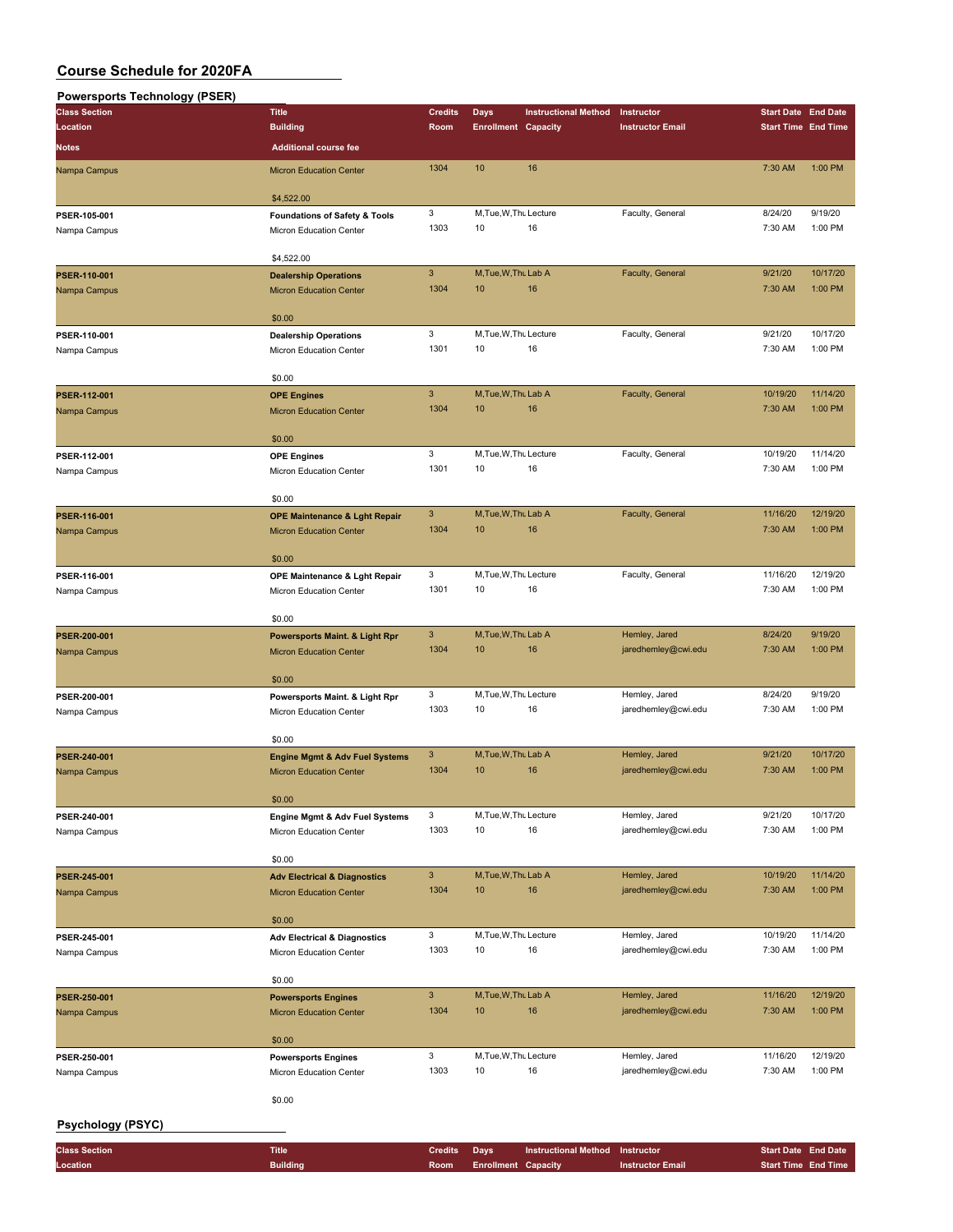### **Powersports Technology (PSER)**

| <br><b>Class Section</b>     | <b>Title</b>                                                                | <b>Credits</b>                                                                                                                                                                                                                                                                                                                                                                                                                                                                                                                                                                                                                                                                                                                                                                                                                                                                                                                                                                                                                                                                                                                                                                                                                                                                                            | <b>Days</b> | <b>Instructional Method</b> | Instructor              | <b>Start Date End Date</b> |                     |
|------------------------------|-----------------------------------------------------------------------------|-----------------------------------------------------------------------------------------------------------------------------------------------------------------------------------------------------------------------------------------------------------------------------------------------------------------------------------------------------------------------------------------------------------------------------------------------------------------------------------------------------------------------------------------------------------------------------------------------------------------------------------------------------------------------------------------------------------------------------------------------------------------------------------------------------------------------------------------------------------------------------------------------------------------------------------------------------------------------------------------------------------------------------------------------------------------------------------------------------------------------------------------------------------------------------------------------------------------------------------------------------------------------------------------------------------|-------------|-----------------------------|-------------------------|----------------------------|---------------------|
| Location                     | <b>Building</b>                                                             | Room                                                                                                                                                                                                                                                                                                                                                                                                                                                                                                                                                                                                                                                                                                                                                                                                                                                                                                                                                                                                                                                                                                                                                                                                                                                                                                      |             |                             | <b>Instructor Email</b> | <b>Start Time End Time</b> |                     |
| <b>Notes</b>                 | <b>Additional course fee</b>                                                |                                                                                                                                                                                                                                                                                                                                                                                                                                                                                                                                                                                                                                                                                                                                                                                                                                                                                                                                                                                                                                                                                                                                                                                                                                                                                                           |             |                             |                         |                            |                     |
|                              |                                                                             |                                                                                                                                                                                                                                                                                                                                                                                                                                                                                                                                                                                                                                                                                                                                                                                                                                                                                                                                                                                                                                                                                                                                                                                                                                                                                                           |             |                             |                         |                            |                     |
| Nampa Campus                 | <b>Micron Education Center</b>                                              |                                                                                                                                                                                                                                                                                                                                                                                                                                                                                                                                                                                                                                                                                                                                                                                                                                                                                                                                                                                                                                                                                                                                                                                                                                                                                                           |             |                             |                         | 7:30 AM                    | 1:00 PM             |
|                              | \$4,522.00                                                                  |                                                                                                                                                                                                                                                                                                                                                                                                                                                                                                                                                                                                                                                                                                                                                                                                                                                                                                                                                                                                                                                                                                                                                                                                                                                                                                           |             |                             |                         |                            |                     |
| PSER-105-001                 | <b>Foundations of Safety &amp; Tools</b>                                    |                                                                                                                                                                                                                                                                                                                                                                                                                                                                                                                                                                                                                                                                                                                                                                                                                                                                                                                                                                                                                                                                                                                                                                                                                                                                                                           |             |                             |                         | 8/24/20                    | 9/19/20             |
| Nampa Campus                 | Micron Education Center                                                     | 1303                                                                                                                                                                                                                                                                                                                                                                                                                                                                                                                                                                                                                                                                                                                                                                                                                                                                                                                                                                                                                                                                                                                                                                                                                                                                                                      | 10          | 16                          |                         | 7:30 AM                    | 1:00 PM             |
|                              |                                                                             |                                                                                                                                                                                                                                                                                                                                                                                                                                                                                                                                                                                                                                                                                                                                                                                                                                                                                                                                                                                                                                                                                                                                                                                                                                                                                                           |             |                             |                         |                            |                     |
|                              | \$4,522.00                                                                  | <b>Enrollment Capacity</b><br>1304<br>10<br>16<br>3<br>M.Tue, W.Thu Lecture<br>Faculty, General<br>$\mathbf{3}$<br>M, Tue, W, Thu Lab A<br>Faculty, General<br>1304<br>10<br>16<br>3<br>M, Tue, W, Thu Lecture<br>Faculty, General<br>1301<br>10<br>16<br>3<br>M, Tue, W, Thu Lab A<br>Faculty, General<br>1304<br>16<br>10<br>3<br>M, Tue, W, Thu Lecture<br>Faculty, General<br>1301<br>10<br>16<br>$\mathbf{3}$<br>M, Tue, W, Thu Lab A<br>Faculty, General<br>1304<br>10<br>16<br>3<br>M, Tue, W, Thu Lecture<br>Faculty, General<br>1301<br>10<br>16<br>3<br>M, Tue, W, Thu Lab A<br>Hemley, Jared<br>16<br>1304<br>10<br>jaredhemley@cwi.edu<br>3<br>M, Tue, W, Thu Lecture<br>Hemley, Jared<br>1303<br>10<br>16<br>jaredhemley@cwi.edu<br>3<br>M, Tue, W, Thu Lab A<br>Hemley, Jared<br>1304<br>10<br>16<br>jaredhemley@cwi.edu<br>3<br>M, Tue, W, Thu Lecture<br>Hemley, Jared<br>1303<br>10<br>16<br>jaredhemley@cwi.edu<br>3<br>M, Tue, W, Thu Lab A<br>Hemley, Jared<br>1304<br>16<br>10<br>jaredhemley@cwi.edu<br>3<br>M, Tue, W, Thu Lecture<br>Hemley, Jared<br>1303<br>16<br>10<br>jaredhemley@cwi.edu<br>3<br>M, Tue, W, Thu Lab A<br>Hemley, Jared<br>1304<br>10<br>16<br>jaredhemley@cwi.edu<br>3<br>M, Tue, W, Thu Lecture<br>Hemley, Jared<br>1303<br>10<br>16<br>jaredhemley@cwi.edu |             |                             |                         |                            |                     |
| PSER-110-001                 | <b>Dealership Operations</b>                                                |                                                                                                                                                                                                                                                                                                                                                                                                                                                                                                                                                                                                                                                                                                                                                                                                                                                                                                                                                                                                                                                                                                                                                                                                                                                                                                           |             |                             |                         | 9/21/20                    | 10/17/20            |
| Nampa Campus                 | <b>Micron Education Center</b>                                              |                                                                                                                                                                                                                                                                                                                                                                                                                                                                                                                                                                                                                                                                                                                                                                                                                                                                                                                                                                                                                                                                                                                                                                                                                                                                                                           |             |                             |                         | 7:30 AM                    | 1:00 PM             |
|                              |                                                                             |                                                                                                                                                                                                                                                                                                                                                                                                                                                                                                                                                                                                                                                                                                                                                                                                                                                                                                                                                                                                                                                                                                                                                                                                                                                                                                           |             |                             |                         |                            |                     |
|                              | \$0.00                                                                      |                                                                                                                                                                                                                                                                                                                                                                                                                                                                                                                                                                                                                                                                                                                                                                                                                                                                                                                                                                                                                                                                                                                                                                                                                                                                                                           |             |                             |                         | 9/21/20                    | 10/17/20            |
| PSER-110-001                 | <b>Dealership Operations</b><br>Micron Education Center                     |                                                                                                                                                                                                                                                                                                                                                                                                                                                                                                                                                                                                                                                                                                                                                                                                                                                                                                                                                                                                                                                                                                                                                                                                                                                                                                           |             |                             |                         | 7:30 AM                    | 1:00 PM             |
| Nampa Campus                 |                                                                             |                                                                                                                                                                                                                                                                                                                                                                                                                                                                                                                                                                                                                                                                                                                                                                                                                                                                                                                                                                                                                                                                                                                                                                                                                                                                                                           |             |                             |                         |                            |                     |
|                              | \$0.00                                                                      |                                                                                                                                                                                                                                                                                                                                                                                                                                                                                                                                                                                                                                                                                                                                                                                                                                                                                                                                                                                                                                                                                                                                                                                                                                                                                                           |             |                             |                         |                            |                     |
| PSER-112-001                 | <b>OPE Engines</b>                                                          |                                                                                                                                                                                                                                                                                                                                                                                                                                                                                                                                                                                                                                                                                                                                                                                                                                                                                                                                                                                                                                                                                                                                                                                                                                                                                                           |             |                             |                         | 10/19/20                   | 11/14/20            |
| Nampa Campus                 | <b>Micron Education Center</b>                                              |                                                                                                                                                                                                                                                                                                                                                                                                                                                                                                                                                                                                                                                                                                                                                                                                                                                                                                                                                                                                                                                                                                                                                                                                                                                                                                           |             |                             |                         | 7:30 AM                    | 1:00 PM             |
|                              |                                                                             |                                                                                                                                                                                                                                                                                                                                                                                                                                                                                                                                                                                                                                                                                                                                                                                                                                                                                                                                                                                                                                                                                                                                                                                                                                                                                                           |             |                             |                         |                            |                     |
|                              | \$0.00                                                                      |                                                                                                                                                                                                                                                                                                                                                                                                                                                                                                                                                                                                                                                                                                                                                                                                                                                                                                                                                                                                                                                                                                                                                                                                                                                                                                           |             |                             |                         |                            |                     |
| PSER-112-001                 | <b>OPE Engines</b>                                                          |                                                                                                                                                                                                                                                                                                                                                                                                                                                                                                                                                                                                                                                                                                                                                                                                                                                                                                                                                                                                                                                                                                                                                                                                                                                                                                           |             |                             |                         | 10/19/20<br>7:30 AM        | 11/14/20<br>1:00 PM |
| Nampa Campus                 | Micron Education Center                                                     |                                                                                                                                                                                                                                                                                                                                                                                                                                                                                                                                                                                                                                                                                                                                                                                                                                                                                                                                                                                                                                                                                                                                                                                                                                                                                                           |             |                             |                         |                            |                     |
|                              | \$0.00                                                                      |                                                                                                                                                                                                                                                                                                                                                                                                                                                                                                                                                                                                                                                                                                                                                                                                                                                                                                                                                                                                                                                                                                                                                                                                                                                                                                           |             |                             |                         |                            |                     |
| PSER-116-001                 | <b>OPE Maintenance &amp; Lght Repair</b>                                    |                                                                                                                                                                                                                                                                                                                                                                                                                                                                                                                                                                                                                                                                                                                                                                                                                                                                                                                                                                                                                                                                                                                                                                                                                                                                                                           |             |                             |                         | 11/16/20                   | 12/19/20            |
| Nampa Campus                 | <b>Micron Education Center</b>                                              |                                                                                                                                                                                                                                                                                                                                                                                                                                                                                                                                                                                                                                                                                                                                                                                                                                                                                                                                                                                                                                                                                                                                                                                                                                                                                                           |             |                             |                         | 7:30 AM                    | 1:00 PM             |
|                              |                                                                             |                                                                                                                                                                                                                                                                                                                                                                                                                                                                                                                                                                                                                                                                                                                                                                                                                                                                                                                                                                                                                                                                                                                                                                                                                                                                                                           |             |                             |                         |                            |                     |
|                              | \$0.00                                                                      |                                                                                                                                                                                                                                                                                                                                                                                                                                                                                                                                                                                                                                                                                                                                                                                                                                                                                                                                                                                                                                                                                                                                                                                                                                                                                                           |             |                             |                         |                            |                     |
| PSER-116-001                 | OPE Maintenance & Lght Repair                                               |                                                                                                                                                                                                                                                                                                                                                                                                                                                                                                                                                                                                                                                                                                                                                                                                                                                                                                                                                                                                                                                                                                                                                                                                                                                                                                           |             |                             |                         | 11/16/20                   | 12/19/20            |
| Nampa Campus                 | Micron Education Center                                                     |                                                                                                                                                                                                                                                                                                                                                                                                                                                                                                                                                                                                                                                                                                                                                                                                                                                                                                                                                                                                                                                                                                                                                                                                                                                                                                           |             |                             |                         | 7:30 AM                    | 1:00 PM             |
|                              | \$0.00                                                                      |                                                                                                                                                                                                                                                                                                                                                                                                                                                                                                                                                                                                                                                                                                                                                                                                                                                                                                                                                                                                                                                                                                                                                                                                                                                                                                           |             |                             |                         |                            |                     |
| PSER-200-001                 | <b>Powersports Maint. &amp; Light Rpr</b>                                   |                                                                                                                                                                                                                                                                                                                                                                                                                                                                                                                                                                                                                                                                                                                                                                                                                                                                                                                                                                                                                                                                                                                                                                                                                                                                                                           |             |                             |                         | 8/24/20                    | 9/19/20             |
| Nampa Campus                 | <b>Micron Education Center</b>                                              |                                                                                                                                                                                                                                                                                                                                                                                                                                                                                                                                                                                                                                                                                                                                                                                                                                                                                                                                                                                                                                                                                                                                                                                                                                                                                                           |             |                             |                         | 7:30 AM                    | 1:00 PM             |
|                              |                                                                             |                                                                                                                                                                                                                                                                                                                                                                                                                                                                                                                                                                                                                                                                                                                                                                                                                                                                                                                                                                                                                                                                                                                                                                                                                                                                                                           |             |                             |                         |                            |                     |
|                              | \$0.00                                                                      |                                                                                                                                                                                                                                                                                                                                                                                                                                                                                                                                                                                                                                                                                                                                                                                                                                                                                                                                                                                                                                                                                                                                                                                                                                                                                                           |             |                             |                         |                            |                     |
| PSER-200-001                 | Powersports Maint. & Light Rpr                                              |                                                                                                                                                                                                                                                                                                                                                                                                                                                                                                                                                                                                                                                                                                                                                                                                                                                                                                                                                                                                                                                                                                                                                                                                                                                                                                           |             |                             |                         | 8/24/20                    | 9/19/20             |
| Nampa Campus                 | Micron Education Center                                                     |                                                                                                                                                                                                                                                                                                                                                                                                                                                                                                                                                                                                                                                                                                                                                                                                                                                                                                                                                                                                                                                                                                                                                                                                                                                                                                           |             |                             |                         | 7:30 AM                    | 1:00 PM             |
|                              |                                                                             |                                                                                                                                                                                                                                                                                                                                                                                                                                                                                                                                                                                                                                                                                                                                                                                                                                                                                                                                                                                                                                                                                                                                                                                                                                                                                                           |             |                             |                         |                            |                     |
|                              | \$0.00                                                                      |                                                                                                                                                                                                                                                                                                                                                                                                                                                                                                                                                                                                                                                                                                                                                                                                                                                                                                                                                                                                                                                                                                                                                                                                                                                                                                           |             |                             |                         | 9/21/20                    | 10/17/20            |
| PSER-240-001<br>Nampa Campus | <b>Engine Mgmt &amp; Adv Fuel Systems</b><br><b>Micron Education Center</b> |                                                                                                                                                                                                                                                                                                                                                                                                                                                                                                                                                                                                                                                                                                                                                                                                                                                                                                                                                                                                                                                                                                                                                                                                                                                                                                           |             |                             |                         | 7:30 AM                    | 1:00 PM             |
|                              |                                                                             |                                                                                                                                                                                                                                                                                                                                                                                                                                                                                                                                                                                                                                                                                                                                                                                                                                                                                                                                                                                                                                                                                                                                                                                                                                                                                                           |             |                             |                         |                            |                     |
|                              | \$0.00                                                                      |                                                                                                                                                                                                                                                                                                                                                                                                                                                                                                                                                                                                                                                                                                                                                                                                                                                                                                                                                                                                                                                                                                                                                                                                                                                                                                           |             |                             |                         |                            |                     |
| PSER-240-001                 | Engine Mgmt & Adv Fuel Systems                                              |                                                                                                                                                                                                                                                                                                                                                                                                                                                                                                                                                                                                                                                                                                                                                                                                                                                                                                                                                                                                                                                                                                                                                                                                                                                                                                           |             |                             |                         | 9/21/20                    | 10/17/20            |
| Nampa Campus                 | Micron Education Center                                                     |                                                                                                                                                                                                                                                                                                                                                                                                                                                                                                                                                                                                                                                                                                                                                                                                                                                                                                                                                                                                                                                                                                                                                                                                                                                                                                           |             |                             |                         | 7:30 AM                    | 1:00 PM             |
|                              |                                                                             |                                                                                                                                                                                                                                                                                                                                                                                                                                                                                                                                                                                                                                                                                                                                                                                                                                                                                                                                                                                                                                                                                                                                                                                                                                                                                                           |             |                             |                         |                            |                     |
|                              | \$0.00                                                                      |                                                                                                                                                                                                                                                                                                                                                                                                                                                                                                                                                                                                                                                                                                                                                                                                                                                                                                                                                                                                                                                                                                                                                                                                                                                                                                           |             |                             |                         |                            |                     |
| PSER-245-001                 | <b>Adv Electrical &amp; Diagnostics</b>                                     |                                                                                                                                                                                                                                                                                                                                                                                                                                                                                                                                                                                                                                                                                                                                                                                                                                                                                                                                                                                                                                                                                                                                                                                                                                                                                                           |             |                             |                         | 10/19/20<br>7:30 AM        | 11/14/20<br>1:00 PM |
| Nampa Campus                 | <b>Micron Education Center</b>                                              |                                                                                                                                                                                                                                                                                                                                                                                                                                                                                                                                                                                                                                                                                                                                                                                                                                                                                                                                                                                                                                                                                                                                                                                                                                                                                                           |             |                             |                         |                            |                     |
|                              | \$0.00                                                                      |                                                                                                                                                                                                                                                                                                                                                                                                                                                                                                                                                                                                                                                                                                                                                                                                                                                                                                                                                                                                                                                                                                                                                                                                                                                                                                           |             |                             |                         |                            |                     |
| PSER-245-001                 | <b>Adv Electrical &amp; Diagnostics</b>                                     |                                                                                                                                                                                                                                                                                                                                                                                                                                                                                                                                                                                                                                                                                                                                                                                                                                                                                                                                                                                                                                                                                                                                                                                                                                                                                                           |             |                             |                         | 10/19/20                   | 11/14/20            |
| Nampa Campus                 | Micron Education Center                                                     |                                                                                                                                                                                                                                                                                                                                                                                                                                                                                                                                                                                                                                                                                                                                                                                                                                                                                                                                                                                                                                                                                                                                                                                                                                                                                                           |             |                             |                         | 7:30 AM                    | 1:00 PM             |
|                              |                                                                             |                                                                                                                                                                                                                                                                                                                                                                                                                                                                                                                                                                                                                                                                                                                                                                                                                                                                                                                                                                                                                                                                                                                                                                                                                                                                                                           |             |                             |                         |                            |                     |
|                              | \$0.00                                                                      |                                                                                                                                                                                                                                                                                                                                                                                                                                                                                                                                                                                                                                                                                                                                                                                                                                                                                                                                                                                                                                                                                                                                                                                                                                                                                                           |             |                             |                         |                            |                     |
| PSER-250-001                 | <b>Powersports Engines</b>                                                  |                                                                                                                                                                                                                                                                                                                                                                                                                                                                                                                                                                                                                                                                                                                                                                                                                                                                                                                                                                                                                                                                                                                                                                                                                                                                                                           |             |                             |                         | 11/16/20                   | 12/19/20            |
| Nampa Campus                 | <b>Micron Education Center</b>                                              |                                                                                                                                                                                                                                                                                                                                                                                                                                                                                                                                                                                                                                                                                                                                                                                                                                                                                                                                                                                                                                                                                                                                                                                                                                                                                                           |             |                             |                         | 7:30 AM                    | 1:00 PM             |
|                              | \$0.00                                                                      |                                                                                                                                                                                                                                                                                                                                                                                                                                                                                                                                                                                                                                                                                                                                                                                                                                                                                                                                                                                                                                                                                                                                                                                                                                                                                                           |             |                             |                         |                            |                     |
| PSER-250-001                 | <b>Powersports Engines</b>                                                  |                                                                                                                                                                                                                                                                                                                                                                                                                                                                                                                                                                                                                                                                                                                                                                                                                                                                                                                                                                                                                                                                                                                                                                                                                                                                                                           |             |                             |                         | 11/16/20                   | 12/19/20            |
| Nampa Campus                 | Micron Education Center                                                     |                                                                                                                                                                                                                                                                                                                                                                                                                                                                                                                                                                                                                                                                                                                                                                                                                                                                                                                                                                                                                                                                                                                                                                                                                                                                                                           |             |                             |                         | 7:30 AM                    | 1:00 PM             |
|                              |                                                                             |                                                                                                                                                                                                                                                                                                                                                                                                                                                                                                                                                                                                                                                                                                                                                                                                                                                                                                                                                                                                                                                                                                                                                                                                                                                                                                           |             |                             |                         |                            |                     |
|                              | \$0.00                                                                      |                                                                                                                                                                                                                                                                                                                                                                                                                                                                                                                                                                                                                                                                                                                                                                                                                                                                                                                                                                                                                                                                                                                                                                                                                                                                                                           |             |                             |                         |                            |                     |
| <b>Psychology (PSYC)</b>     |                                                                             |                                                                                                                                                                                                                                                                                                                                                                                                                                                                                                                                                                                                                                                                                                                                                                                                                                                                                                                                                                                                                                                                                                                                                                                                                                                                                                           |             |                             |                         |                            |                     |
|                              |                                                                             |                                                                                                                                                                                                                                                                                                                                                                                                                                                                                                                                                                                                                                                                                                                                                                                                                                                                                                                                                                                                                                                                                                                                                                                                                                                                                                           |             |                             |                         |                            |                     |

| <b>Room</b> Enrollment Capacity | <b>Class Section</b> | <b>Title</b>    | Credits Days | <b>Instructional Method Instructor</b> |                         | <b>Start Date End Date</b> |  |
|---------------------------------|----------------------|-----------------|--------------|----------------------------------------|-------------------------|----------------------------|--|
|                                 | Location             | <b>Building</b> |              |                                        | <b>Instructor Email</b> | <b>Start Time End Time</b> |  |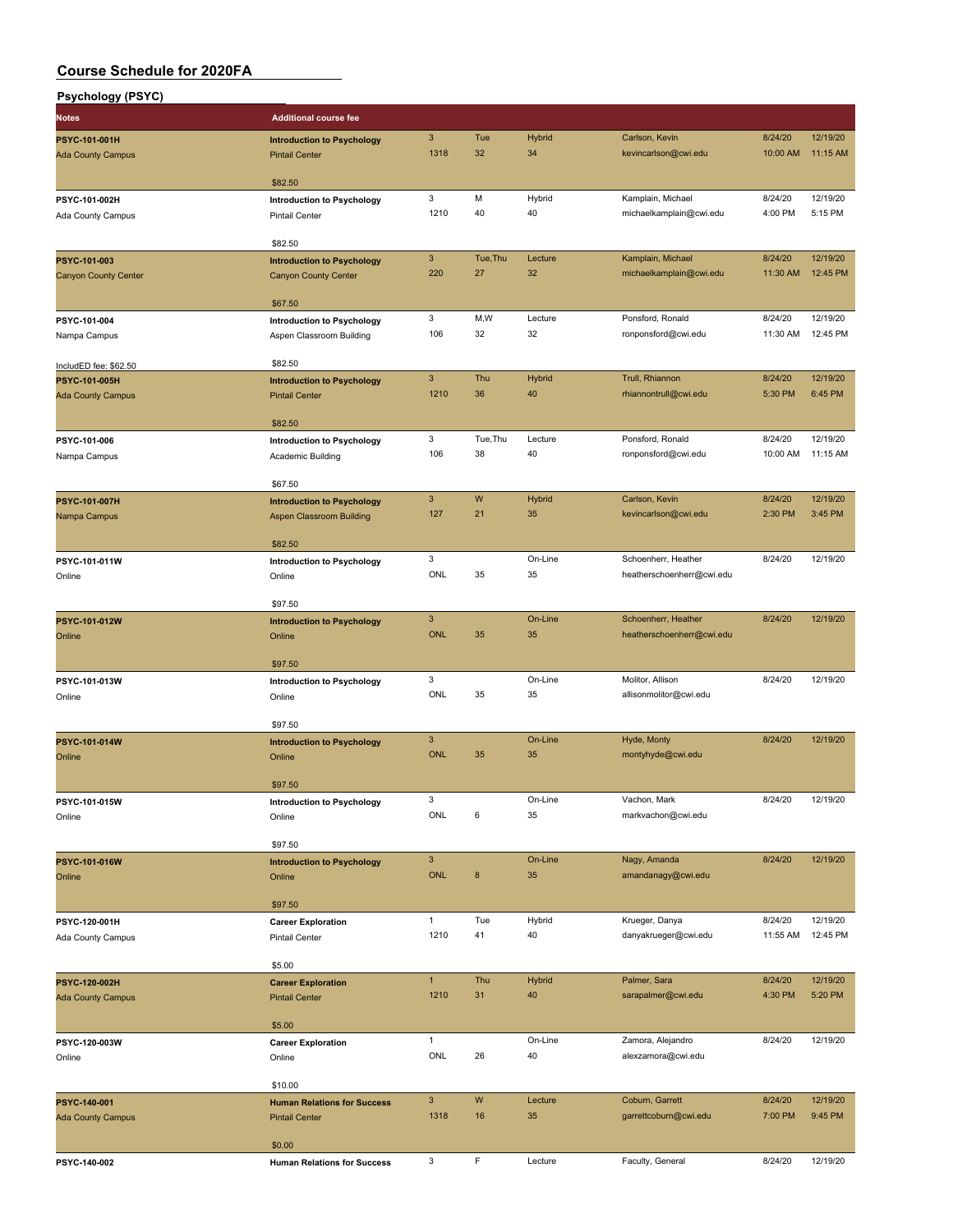| <b>Psychology (PSYC)</b>     |                                                        |                      |                |               |                                              |                     |                      |
|------------------------------|--------------------------------------------------------|----------------------|----------------|---------------|----------------------------------------------|---------------------|----------------------|
| <b>Notes</b>                 | <b>Additional course fee</b>                           |                      |                |               |                                              |                     |                      |
| PSYC-101-001H                | <b>Introduction to Psychology</b>                      | $\mathbf{3}$         | Tue            | <b>Hybrid</b> | Carlson, Kevin                               | 8/24/20             | 12/19/20             |
| <b>Ada County Campus</b>     | <b>Pintail Center</b>                                  | 1318                 | 32             | 34            | kevincarlson@cwi.edu                         | 10:00 AM            | 11:15 AM             |
|                              |                                                        |                      |                |               |                                              |                     |                      |
| PSYC-101-002H                | \$82.50<br><b>Introduction to Psychology</b>           | 3                    | M              | Hybrid        | Kamplain, Michael                            | 8/24/20             | 12/19/20             |
| Ada County Campus            | <b>Pintail Center</b>                                  | 1210                 | 40             | 40            | michaelkamplain@cwi.edu                      | 4:00 PM             | 5:15 PM              |
|                              |                                                        |                      |                |               |                                              |                     |                      |
|                              | \$82.50                                                |                      |                |               |                                              |                     |                      |
| PSYC-101-003                 | <b>Introduction to Psychology</b>                      | $\mathbf{3}$<br>220  | Tue, Thu<br>27 | Lecture<br>32 | Kamplain, Michael<br>michaelkamplain@cwi.edu | 8/24/20<br>11:30 AM | 12/19/20<br>12:45 PM |
| <b>Canyon County Center</b>  | <b>Canyon County Center</b>                            |                      |                |               |                                              |                     |                      |
|                              | \$67.50                                                |                      |                |               |                                              |                     |                      |
| PSYC-101-004                 | <b>Introduction to Psychology</b>                      | 3                    | M,W            | Lecture       | Ponsford, Ronald                             | 8/24/20             | 12/19/20             |
| Nampa Campus                 | Aspen Classroom Building                               | 106                  | 32             | 32            | ronponsford@cwi.edu                          | 11:30 AM            | 12:45 PM             |
| IncludED fee: \$62.50        | \$82.50                                                |                      |                |               |                                              |                     |                      |
| <b>PSYC-101-005H</b>         | <b>Introduction to Psychology</b>                      | $\mathbf{3}$         | Thu            | <b>Hybrid</b> | Trull, Rhiannon                              | 8/24/20             | 12/19/20             |
| <b>Ada County Campus</b>     | <b>Pintail Center</b>                                  | 1210                 | 36             | 40            | rhiannontrull@cwi.edu                        | 5:30 PM             | 6:45 PM              |
|                              |                                                        |                      |                |               |                                              |                     |                      |
|                              | \$82.50                                                | 3                    | Tue.Thu        | Lecture       | Ponsford, Ronald                             | 8/24/20             | 12/19/20             |
| PSYC-101-006<br>Nampa Campus | <b>Introduction to Psychology</b><br>Academic Building | 106                  | 38             | 40            | ronponsford@cwi.edu                          | 10:00 AM            | 11:15 AM             |
|                              |                                                        |                      |                |               |                                              |                     |                      |
|                              | \$67.50                                                |                      |                |               |                                              |                     |                      |
| <b>PSYC-101-007H</b>         | <b>Introduction to Psychology</b>                      | $\mathbf{3}$         | W              | <b>Hybrid</b> | Carlson, Kevin                               | 8/24/20             | 12/19/20             |
| Nampa Campus                 | <b>Aspen Classroom Building</b>                        | 127                  | 21             | 35            | kevincarlson@cwi.edu                         | 2:30 PM             | 3:45 PM              |
|                              | \$82.50                                                |                      |                |               |                                              |                     |                      |
| PSYC-101-011W                | Introduction to Psychology                             | 3                    |                | On-Line       | Schoenherr, Heather                          | 8/24/20             | 12/19/20             |
| Online                       | Online                                                 | ONL                  | 35             | 35            | heatherschoenherr@cwi.edu                    |                     |                      |
|                              |                                                        |                      |                |               |                                              |                     |                      |
| PSYC-101-012W                | \$97.50<br><b>Introduction to Psychology</b>           | $\mathbf{3}$         |                | On-Line       | Schoenherr, Heather                          | 8/24/20             | 12/19/20             |
| Online                       | Online                                                 | <b>ONL</b>           | 35             | 35            | heatherschoenherr@cwi.edu                    |                     |                      |
|                              |                                                        |                      |                |               |                                              |                     |                      |
|                              | \$97.50                                                |                      |                |               |                                              |                     |                      |
| PSYC-101-013W                | <b>Introduction to Psychology</b>                      | 3<br>ONL             | 35             | On-Line<br>35 | Molitor, Allison<br>allisonmolitor@cwi.edu   | 8/24/20             | 12/19/20             |
| Online                       | Online                                                 |                      |                |               |                                              |                     |                      |
|                              | \$97.50                                                |                      |                |               |                                              |                     |                      |
| PSYC-101-014W                | <b>Introduction to Psychology</b>                      | $\mathbf{3}$         |                | On-Line       | Hyde, Monty                                  | 8/24/20             | 12/19/20             |
| Online                       | Online                                                 | <b>ONL</b>           | 35             | 35            | montyhyde@cwi.edu                            |                     |                      |
|                              | \$97.50                                                |                      |                |               |                                              |                     |                      |
| PSYC-101-015W                | <b>Introduction to Psychology</b>                      | 3                    |                | On-Line       | Vachon, Mark                                 | 8/24/20             | 12/19/20             |
| Online                       | Online                                                 | ONL                  | 6              | 35            | markvachon@cwi.edu                           |                     |                      |
|                              |                                                        |                      |                |               |                                              |                     |                      |
|                              | \$97.50                                                | $\mathbf{3}$         |                | On-Line       | Nagy, Amanda                                 | 8/24/20             | 12/19/20             |
| PSYC-101-016W<br>Online      | <b>Introduction to Psychology</b><br>Online            | ONL                  | 8              | 35            | amandanagy@cwi.edu                           |                     |                      |
|                              |                                                        |                      |                |               |                                              |                     |                      |
|                              | \$97.50                                                |                      |                |               |                                              |                     |                      |
| PSYC-120-001H                | <b>Career Exploration</b>                              | $\mathbf{1}$         | Tue<br>41      | Hybrid        | Krueger, Danya                               | 8/24/20             | 12/19/20<br>12:45 PM |
| Ada County Campus            | Pintail Center                                         | 1210                 |                | 40            | danyakrueger@cwi.edu                         | 11:55 AM            |                      |
|                              | \$5.00                                                 |                      |                |               |                                              |                     |                      |
| PSYC-120-002H                | <b>Career Exploration</b>                              | $\mathbf{1}$         | Thu            | <b>Hybrid</b> | Palmer, Sara                                 | 8/24/20             | 12/19/20             |
| <b>Ada County Campus</b>     | <b>Pintail Center</b>                                  | 1210                 | 31             | 40            | sarapalmer@cwi.edu                           | 4:30 PM             | 5:20 PM              |
|                              | \$5.00                                                 |                      |                |               |                                              |                     |                      |
| PSYC-120-003W                | <b>Career Exploration</b>                              | $\mathbf{1}$         |                | On-Line       | Zamora, Alejandro                            | 8/24/20             | 12/19/20             |
| Online                       | Online                                                 | ONL                  | 26             | 40            | alexzamora@cwi.edu                           |                     |                      |
|                              |                                                        |                      |                |               |                                              |                     |                      |
|                              | \$10.00                                                |                      |                |               |                                              |                     |                      |
| PSYC-140-001                 | <b>Human Relations for Success</b>                     | $\mathbf{3}$<br>1318 | W<br>16        | Lecture<br>35 | Coburn, Garrett<br>garrettcoburn@cwi.edu     | 8/24/20<br>7:00 PM  | 12/19/20<br>9:45 PM  |
| <b>Ada County Campus</b>     | <b>Pintail Center</b>                                  |                      |                |               |                                              |                     |                      |
|                              | \$0.00                                                 |                      |                |               |                                              |                     |                      |
| PSYC-140-002                 | <b>Human Relations for Success</b>                     | 3                    | F              | Lecture       | Faculty, General                             | 8/24/20             | 12/19/20             |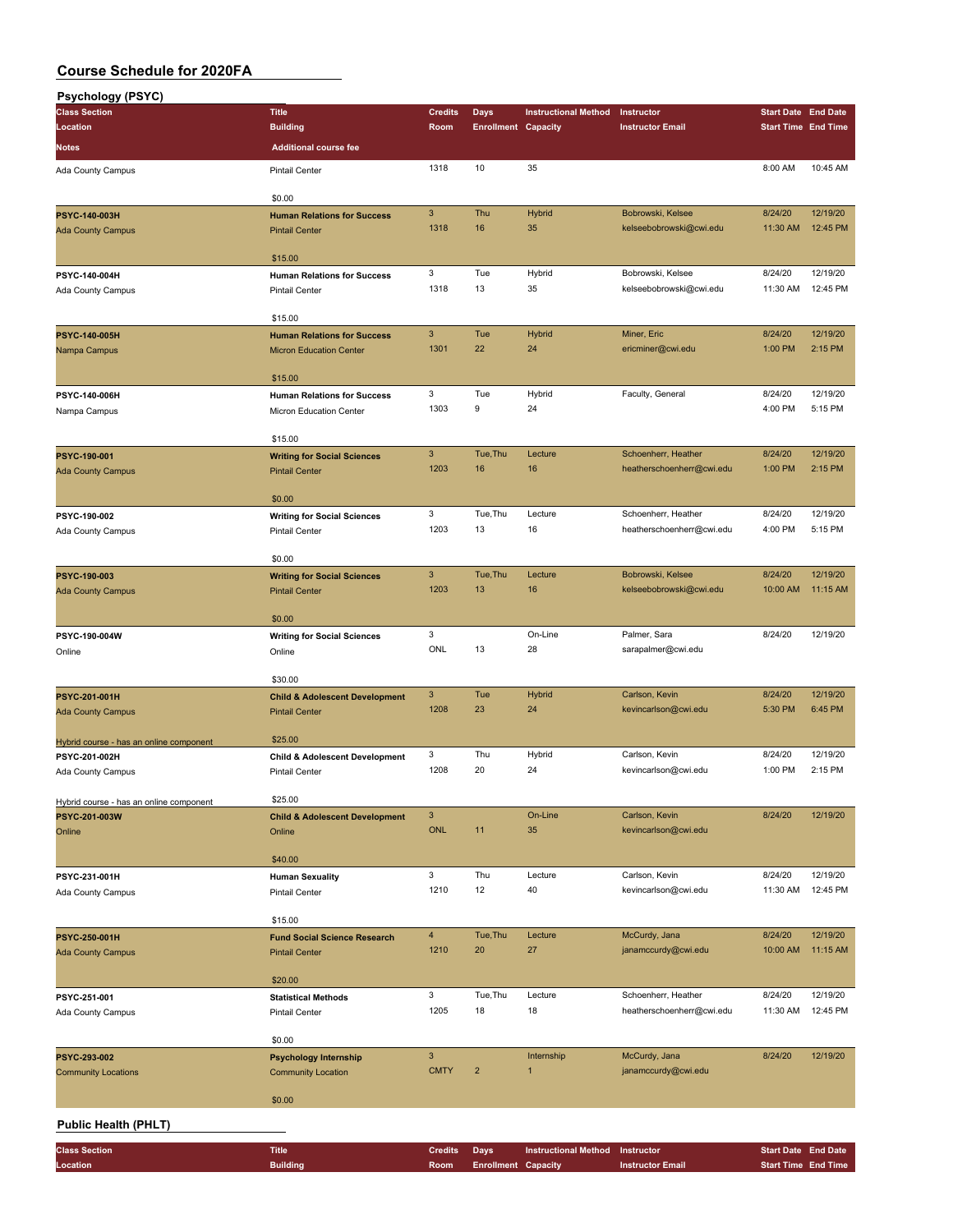| <b>Psychology (PSYC)</b>                                 |                                                             |                           |                            |                             |                                                  |                            |                      |
|----------------------------------------------------------|-------------------------------------------------------------|---------------------------|----------------------------|-----------------------------|--------------------------------------------------|----------------------------|----------------------|
| <b>Class Section</b>                                     | <b>Title</b>                                                | <b>Credits</b>            | Days                       | <b>Instructional Method</b> | Instructor                                       | <b>Start Date End Date</b> |                      |
| Location                                                 | <b>Building</b>                                             | Room                      | <b>Enrollment Capacity</b> |                             | <b>Instructor Email</b>                          | <b>Start Time End Time</b> |                      |
| <b>Notes</b>                                             | <b>Additional course fee</b>                                |                           |                            |                             |                                                  |                            |                      |
| Ada County Campus                                        | <b>Pintail Center</b>                                       | 1318                      | 10                         | 35                          |                                                  | 8:00 AM                    | 10:45 AM             |
|                                                          | \$0.00                                                      |                           |                            |                             |                                                  |                            |                      |
| PSYC-140-003H                                            | <b>Human Relations for Success</b>                          | 3                         | Thu                        | Hybrid                      | Bobrowski, Kelsee                                | 8/24/20                    | 12/19/20             |
| <b>Ada County Campus</b>                                 | <b>Pintail Center</b>                                       | 1318                      | 16                         | 35                          | kelseebobrowski@cwi.edu                          | 11:30 AM                   | 12:45 PM             |
|                                                          | \$15.00                                                     |                           |                            |                             |                                                  |                            |                      |
| PSYC-140-004H                                            | <b>Human Relations for Success</b>                          | 3                         | Tue                        | Hybrid                      | Bobrowski, Kelsee                                | 8/24/20                    | 12/19/20             |
| Ada County Campus                                        | <b>Pintail Center</b>                                       | 1318                      | 13                         | 35                          | kelseebobrowski@cwi.edu                          | 11:30 AM                   | 12:45 PM             |
|                                                          | \$15.00                                                     |                           |                            |                             |                                                  |                            |                      |
| PSYC-140-005H                                            | <b>Human Relations for Success</b>                          | $\mathbf{3}$              | Tue                        | Hybrid                      | Miner, Eric                                      | 8/24/20                    | 12/19/20             |
| Nampa Campus                                             | <b>Micron Education Center</b>                              | 1301                      | 22                         | 24                          | ericminer@cwi.edu                                | 1:00 PM                    | 2:15 PM              |
|                                                          | \$15.00                                                     |                           |                            |                             |                                                  |                            |                      |
| PSYC-140-006H                                            | <b>Human Relations for Success</b>                          | 3                         | Tue                        | Hybrid                      | Faculty, General                                 | 8/24/20                    | 12/19/20             |
| Nampa Campus                                             | Micron Education Center                                     | 1303                      | 9                          | 24                          |                                                  | 4:00 PM                    | 5:15 PM              |
|                                                          |                                                             |                           |                            |                             |                                                  |                            |                      |
| <b>PSYC-190-001</b>                                      | \$15.00<br><b>Writing for Social Sciences</b>               | $\mathbf{3}$              | Tue, Thu                   | Lecture                     | Schoenherr, Heather                              | 8/24/20                    | 12/19/20             |
| <b>Ada County Campus</b>                                 | <b>Pintail Center</b>                                       | 1203                      | 16                         | 16                          | heatherschoenherr@cwi.edu                        | 1:00 PM                    | 2:15 PM              |
|                                                          |                                                             |                           |                            |                             |                                                  |                            |                      |
|                                                          | \$0.00                                                      |                           |                            |                             |                                                  |                            |                      |
| PSYC-190-002                                             | <b>Writing for Social Sciences</b><br><b>Pintail Center</b> | $\mathbf 3$<br>1203       | Tue, Thu<br>13             | Lecture<br>16               | Schoenherr, Heather<br>heatherschoenherr@cwi.edu | 8/24/20<br>4:00 PM         | 12/19/20<br>5:15 PM  |
| Ada County Campus                                        |                                                             |                           |                            |                             |                                                  |                            |                      |
|                                                          | \$0.00                                                      |                           |                            |                             |                                                  |                            |                      |
| PSYC-190-003                                             | <b>Writing for Social Sciences</b>                          | $\mathbf{3}$              | Tue, Thu                   | Lecture<br>16               | Bobrowski, Kelsee                                | 8/24/20                    | 12/19/20             |
| <b>Ada County Campus</b>                                 | <b>Pintail Center</b>                                       | 1203                      | 13                         |                             | kelseebobrowski@cwi.edu                          | 10:00 AM                   | 11:15 AM             |
|                                                          | \$0.00                                                      |                           |                            |                             |                                                  |                            |                      |
| PSYC-190-004W                                            | <b>Writing for Social Sciences</b>                          | 3                         |                            | On-Line                     | Palmer, Sara                                     | 8/24/20                    | 12/19/20             |
| Online                                                   | Online                                                      | ONL                       | 13                         | 28                          | sarapalmer@cwi.edu                               |                            |                      |
|                                                          | \$30.00                                                     |                           |                            |                             |                                                  |                            |                      |
| PSYC-201-001H                                            | <b>Child &amp; Adolescent Development</b>                   | $\mathbf{3}$              | Tue                        | Hybrid                      | Carlson, Kevin                                   | 8/24/20                    | 12/19/20             |
| <b>Ada County Campus</b>                                 | <b>Pintail Center</b>                                       | 1208                      | 23                         | 24                          | kevincarlson@cwi.edu                             | 5:30 PM                    | 6:45 PM              |
|                                                          | \$25.00                                                     |                           |                            |                             |                                                  |                            |                      |
| Hybrid course - has an online component<br>PSYC-201-002H | <b>Child &amp; Adolescent Development</b>                   | 3                         | Thu                        | Hybrid                      | Carlson, Kevin                                   | 8/24/20                    | 12/19/20             |
| Ada County Campus                                        | <b>Pintail Center</b>                                       | 1208                      | 20                         | 24                          | kevincarlson@cwi.edu                             | 1:00 PM                    | 2:15 PM              |
|                                                          |                                                             |                           |                            |                             |                                                  |                            |                      |
| Hybrid course - has an online component<br>PSYC-201-003W | \$25.00                                                     | $\mathbf{3}$              |                            | On-Line                     | Carlson, Kevin                                   | 8/24/20                    | 12/19/20             |
| Online                                                   | <b>Child &amp; Adolescent Development</b><br>Online         | <b>ONL</b>                | 11                         | 35                          | kevincarlson@cwi.edu                             |                            |                      |
|                                                          |                                                             |                           |                            |                             |                                                  |                            |                      |
|                                                          | \$40.00                                                     |                           |                            |                             |                                                  |                            |                      |
| PSYC-231-001H                                            | <b>Human Sexuality</b>                                      | 3                         | Thu                        | Lecture<br>40               | Carlson, Kevin                                   | 8/24/20                    | 12/19/20<br>12:45 PM |
| Ada County Campus                                        | Pintail Center                                              | 1210                      | 12                         |                             | kevincarlson@cwi.edu                             | 11:30 AM                   |                      |
|                                                          | \$15.00                                                     |                           |                            |                             |                                                  |                            |                      |
| PSYC-250-001H                                            | <b>Fund Social Science Research</b>                         | $\overline{4}$            | Tue, Thu                   | Lecture                     | McCurdy, Jana                                    | 8/24/20                    | 12/19/20             |
| <b>Ada County Campus</b>                                 | <b>Pintail Center</b>                                       | 1210                      | 20                         | 27                          | janamccurdy@cwi.edu                              | 10:00 AM                   | 11:15 AM             |
|                                                          | \$20.00                                                     |                           |                            |                             |                                                  |                            |                      |
| PSYC-251-001                                             | <b>Statistical Methods</b>                                  | 3                         | Tue, Thu                   | Lecture                     | Schoenherr, Heather                              | 8/24/20                    | 12/19/20             |
| Ada County Campus                                        | Pintail Center                                              | 1205                      | 18                         | 18                          | heatherschoenherr@cwi.edu                        | 11:30 AM                   | 12:45 PM             |
|                                                          | \$0.00                                                      |                           |                            |                             |                                                  |                            |                      |
| PSYC-293-002                                             | <b>Psychology Internship</b>                                | $\ensuremath{\mathsf{3}}$ |                            | Internship                  | McCurdy, Jana                                    | 8/24/20                    | 12/19/20             |
| <b>Community Locations</b>                               | <b>Community Location</b>                                   | <b>CMTY</b>               | $\overline{\mathbf{c}}$    | 1                           | janamccurdy@cwi.edu                              |                            |                      |
|                                                          |                                                             |                           |                            |                             |                                                  |                            |                      |
|                                                          | \$0.00                                                      |                           |                            |                             |                                                  |                            |                      |
| <b>Public Health (PHLT)</b>                              |                                                             |                           |                            |                             |                                                  |                            |                      |
| <b>Class Section</b>                                     | <b>Title</b>                                                | <b>Credits</b>            | Days                       | <b>Instructional Method</b> | Instructor                                       | <b>Start Date End Date</b> |                      |
| Location                                                 | <b>Building</b>                                             | Room                      | <b>Enrollment Capacity</b> |                             | <b>Instructor Email</b>                          | <b>Start Time End Time</b> |                      |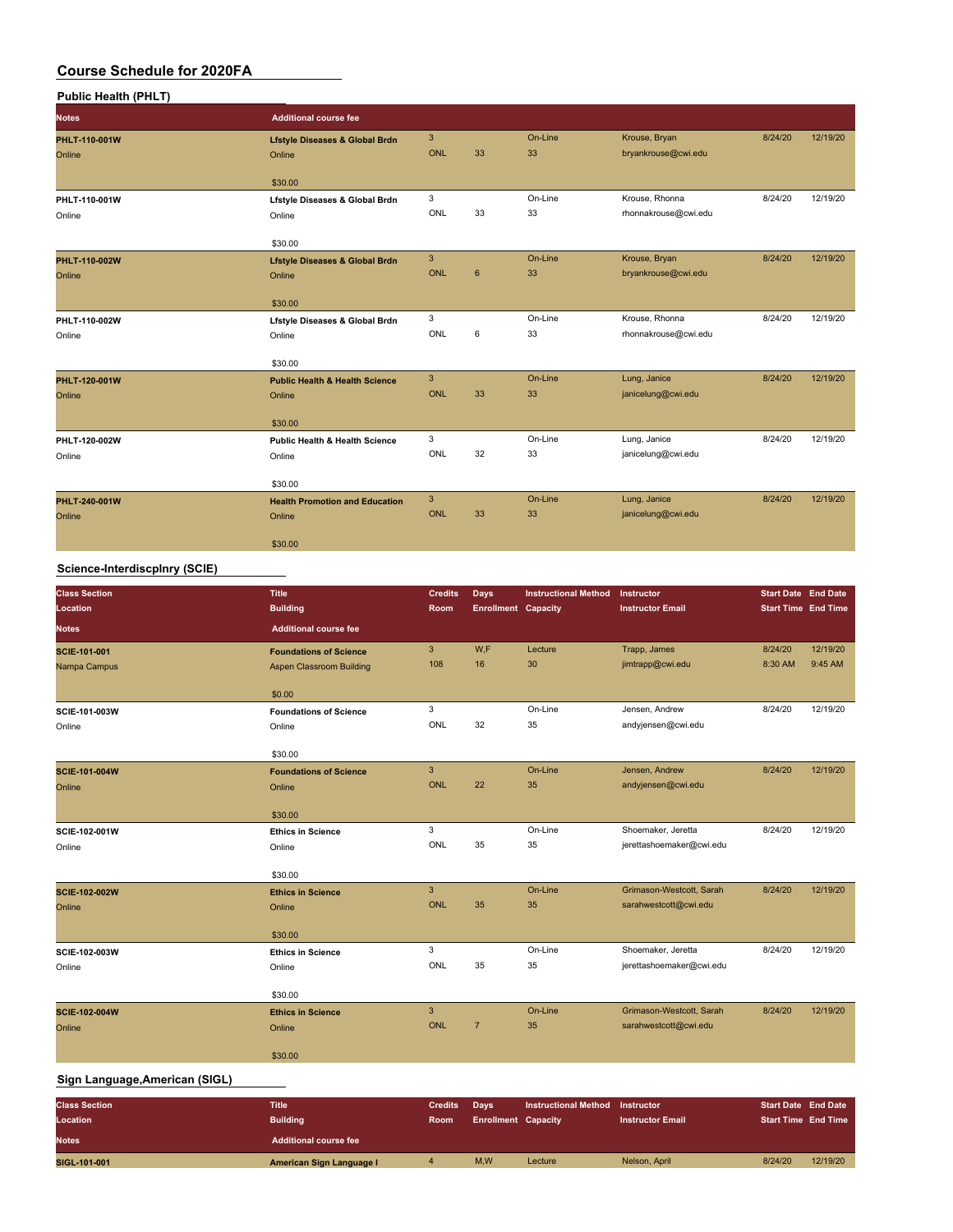| <b>Public Health (PHLT)</b> |                                           |              |             |         |                      |         |          |
|-----------------------------|-------------------------------------------|--------------|-------------|---------|----------------------|---------|----------|
| <b>Notes</b>                | <b>Additional course fee</b>              |              |             |         |                      |         |          |
| PHLT-110-001W               | <b>Lfstyle Diseases &amp; Global Brdn</b> | $\mathbf{3}$ |             | On-Line | Krouse, Bryan        | 8/24/20 | 12/19/20 |
| Online                      | Online                                    | <b>ONL</b>   | 33          | 33      | bryankrouse@cwi.edu  |         |          |
|                             | \$30.00                                   |              |             |         |                      |         |          |
| PHLT-110-001W               | Lfstyle Diseases & Global Brdn            | 3            |             | On-Line | Krouse, Rhonna       | 8/24/20 | 12/19/20 |
| Online                      | Online                                    | ONL          | 33          | 33      | rhonnakrouse@cwi.edu |         |          |
|                             | \$30.00                                   |              |             |         |                      |         |          |
| PHLT-110-002W               | <b>Lfstyle Diseases &amp; Global Brdn</b> | $\mathbf{3}$ |             | On-Line | Krouse, Bryan        | 8/24/20 | 12/19/20 |
| Online                      | Online                                    | <b>ONL</b>   | $6^{\circ}$ | 33      | bryankrouse@cwi.edu  |         |          |
|                             |                                           |              |             |         |                      |         |          |
|                             | \$30.00                                   |              |             |         |                      |         |          |
| PHLT-110-002W               | Lfstyle Diseases & Global Brdn            | 3            |             | On-Line | Krouse, Rhonna       | 8/24/20 | 12/19/20 |
| Online                      | Online                                    | ONL          | 6           | 33      | rhonnakrouse@cwi.edu |         |          |
|                             | \$30.00                                   |              |             |         |                      |         |          |
| PHLT-120-001W               | <b>Public Health &amp; Health Science</b> | $\mathbf{3}$ |             | On-Line | Lung, Janice         | 8/24/20 | 12/19/20 |
| Online                      | Online                                    | <b>ONL</b>   | 33          | 33      | janicelung@cwi.edu   |         |          |
|                             |                                           |              |             |         |                      |         |          |
|                             | \$30.00                                   |              |             |         |                      |         |          |
| PHLT-120-002W               | <b>Public Health &amp; Health Science</b> | 3            |             | On-Line | Lung, Janice         | 8/24/20 | 12/19/20 |
| Online                      | Online                                    | ONL          | 32          | 33      | janicelung@cwi.edu   |         |          |
|                             | \$30.00                                   |              |             |         |                      |         |          |
| PHLT-240-001W               | <b>Health Promotion and Education</b>     | $\mathbf{3}$ |             | On-Line | Lung, Janice         | 8/24/20 | 12/19/20 |
| Online                      | Online                                    | <b>ONL</b>   | 33          | 33      | janicelung@cwi.edu   |         |          |
|                             |                                           |              |             |         |                      |         |          |
|                             | \$30.00                                   |              |             |         |                      |         |          |

### **Science-Interdiscplnry (SCIE)**

| <b>Class Section</b><br>Location | <b>Title</b><br><b>Building</b> | <b>Credits</b><br>Room     | <b>Days</b><br><b>Enrollment Capacity</b> | <b>Instructional Method</b> | Instructor<br><b>Instructor Email</b> | <b>Start Date End Date</b><br><b>Start Time End Time</b> |          |
|----------------------------------|---------------------------------|----------------------------|-------------------------------------------|-----------------------------|---------------------------------------|----------------------------------------------------------|----------|
| <b>Notes</b>                     | <b>Additional course fee</b>    |                            |                                           |                             |                                       |                                                          |          |
| SCIE-101-001                     | <b>Foundations of Science</b>   | $\mathbf{3}$               | W,F                                       | Lecture                     | Trapp, James                          | 8/24/20                                                  | 12/19/20 |
| Nampa Campus                     | Aspen Classroom Building        | 108                        | 16                                        | 30                          | jimtrapp@cwi.edu                      | 8:30 AM                                                  | 9:45 AM  |
|                                  | \$0.00                          |                            |                                           |                             |                                       |                                                          |          |
| SCIE-101-003W                    | <b>Foundations of Science</b>   | 3                          |                                           | On-Line                     | Jensen, Andrew                        | 8/24/20                                                  | 12/19/20 |
| Online                           | Online                          | ONL                        | 32                                        | 35                          | andyjensen@cwi.edu                    |                                                          |          |
|                                  | \$30.00                         |                            |                                           |                             |                                       |                                                          |          |
| <b>SCIE-101-004W</b>             | <b>Foundations of Science</b>   | $\overline{3}$             |                                           | On-Line                     | Jensen, Andrew                        | 8/24/20                                                  | 12/19/20 |
| Online                           | Online                          | <b>ONL</b>                 | 22                                        | 35                          | andyjensen@cwi.edu                    |                                                          |          |
|                                  | \$30.00                         |                            |                                           |                             |                                       |                                                          |          |
| SCIE-102-001W                    | <b>Ethics in Science</b>        | 3                          |                                           | On-Line                     | Shoemaker, Jeretta                    | 8/24/20                                                  | 12/19/20 |
| Online                           | Online                          | ONL                        | 35                                        | 35                          | jerettashoemaker@cwi.edu              |                                                          |          |
|                                  |                                 |                            |                                           |                             |                                       |                                                          |          |
|                                  | \$30.00                         |                            |                                           |                             |                                       |                                                          |          |
| SCIE-102-002W                    | <b>Ethics in Science</b>        | $\mathbf{3}$<br><b>ONL</b> | 35                                        | On-Line                     | Grimason-Westcott, Sarah              | 8/24/20                                                  | 12/19/20 |
| Online                           | Online                          |                            |                                           | 35                          | sarahwestcott@cwi.edu                 |                                                          |          |
|                                  | \$30.00                         |                            |                                           |                             |                                       |                                                          |          |
| SCIE-102-003W                    | <b>Ethics in Science</b>        | 3                          |                                           | On-Line                     | Shoemaker, Jeretta                    | 8/24/20                                                  | 12/19/20 |
| Online                           | Online                          | ONL                        | 35                                        | 35                          | jerettashoemaker@cwi.edu              |                                                          |          |
|                                  | \$30.00                         |                            |                                           |                             |                                       |                                                          |          |
| <b>SCIE-102-004W</b>             | <b>Ethics in Science</b>        | $\mathbf{3}$               |                                           | On-Line                     | Grimason-Westcott, Sarah              | 8/24/20                                                  | 12/19/20 |
| Online                           | Online                          | <b>ONL</b>                 | $\overline{7}$                            | 35                          | sarahwestcott@cwi.edu                 |                                                          |          |
|                                  | \$30.00                         |                            |                                           |                             |                                       |                                                          |          |
| Sign Language, American (SIGL)   |                                 |                            |                                           |                             |                                       |                                                          |          |
| <b>Class Section</b>             | <b>Title</b>                    | <b>Credits</b>             | Days                                      | <b>Instructional Method</b> | Instructor                            | <b>Start Date End Date</b>                               |          |
| Location                         | <b>Building</b>                 | Room.                      | <b>Enrollment Canacity</b>                |                             | <b>Instructor Email</b>               | <b>Start Time Fnd Time</b>                               |          |

| ulass Section | ппе                          | Credits Days |                            | Instructional Method Instructor |                         | Start Date End Date        |          |
|---------------|------------------------------|--------------|----------------------------|---------------------------------|-------------------------|----------------------------|----------|
| Location      | <b>Building</b>              | <b>Room</b>  | <b>Enrollment Capacity</b> |                                 | <b>Instructor Email</b> | <b>Start Time End Time</b> |          |
| <b>Notes</b>  | <b>Additional course fee</b> |              |                            |                                 |                         |                            |          |
| SIGL-101-001  | American Sign Language I     |              | M.W                        | Lecture                         | Nelson, April           | 8/24/20                    | 12/19/20 |
|               |                              |              |                            |                                 |                         |                            |          |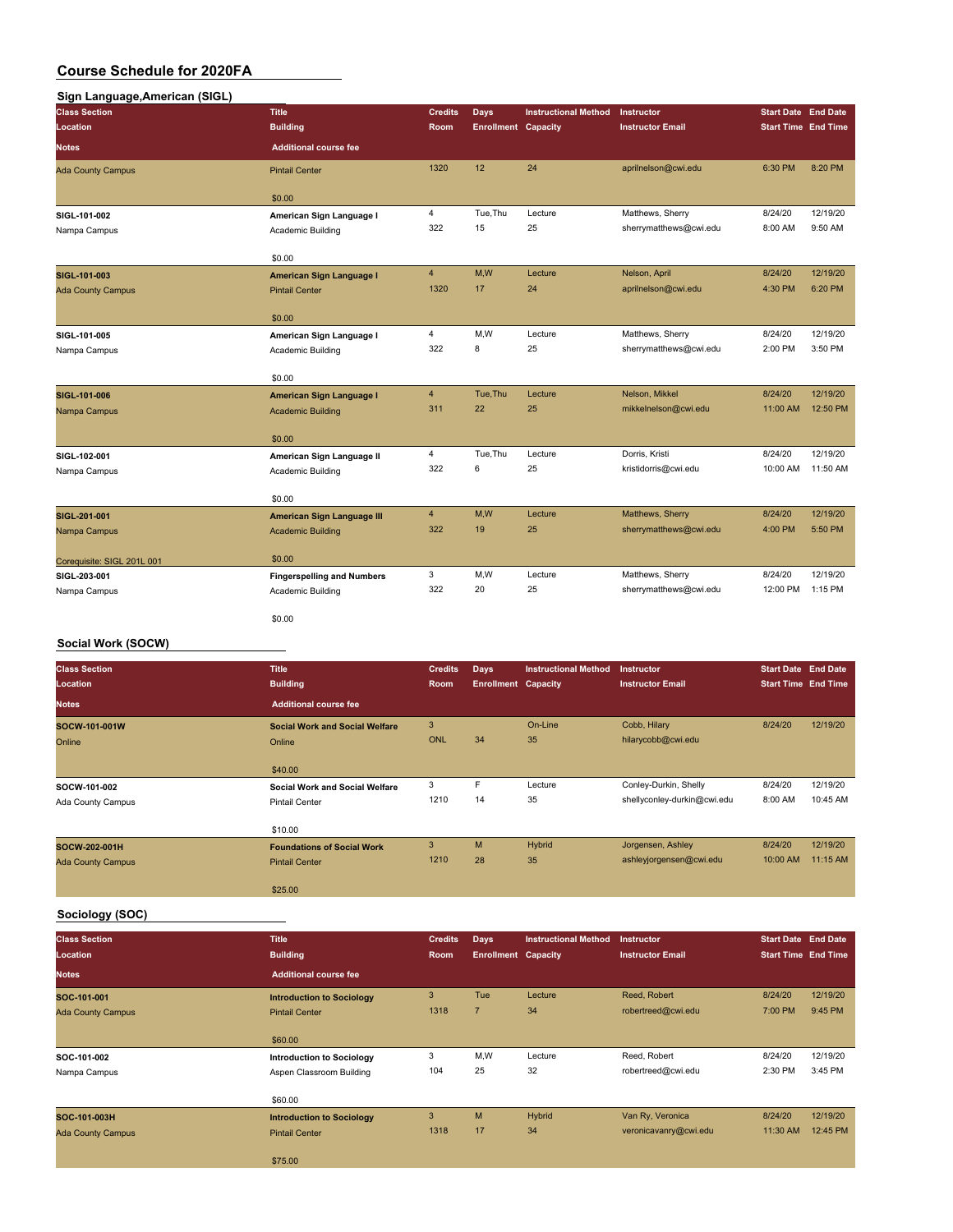## **Sign Language,American (SIGL)**

| .<br><b>Class Section</b>  | <b>Title</b>                      | <b>Credits</b> | Days                       | <b>Instructional Method</b> | <b>Instructor</b>       | <b>Start Date</b> End Date |          |
|----------------------------|-----------------------------------|----------------|----------------------------|-----------------------------|-------------------------|----------------------------|----------|
| Location                   | <b>Building</b>                   | Room           | <b>Enrollment Capacity</b> |                             | <b>Instructor Email</b> | <b>Start Time End Time</b> |          |
| <b>Notes</b>               | <b>Additional course fee</b>      |                |                            |                             |                         |                            |          |
| <b>Ada County Campus</b>   | <b>Pintail Center</b>             | 1320           | 12                         | 24                          | aprilnelson@cwi.edu     | 6:30 PM                    | 8:20 PM  |
|                            | \$0.00                            |                |                            |                             |                         |                            |          |
| SIGL-101-002               | American Sign Language I          | 4              | Tue, Thu                   | Lecture                     | Matthews, Sherry        | 8/24/20                    | 12/19/20 |
| Nampa Campus               | Academic Building                 | 322            | 15                         | 25                          | sherrymatthews@cwi.edu  | 8:00 AM                    | 9:50 AM  |
|                            | \$0.00                            |                |                            |                             |                         |                            |          |
| SIGL-101-003               | <b>American Sign Language I</b>   | $\overline{4}$ | M,W                        | Lecture                     | Nelson, April           | 8/24/20                    | 12/19/20 |
| <b>Ada County Campus</b>   | <b>Pintail Center</b>             | 1320           | 17                         | 24                          | aprilnelson@cwi.edu     | 4:30 PM                    | 6:20 PM  |
|                            | \$0.00                            |                |                            |                             |                         |                            |          |
| SIGL-101-005               | American Sign Language I          | 4              | M,W                        | Lecture                     | Matthews, Sherry        | 8/24/20                    | 12/19/20 |
| Nampa Campus               | Academic Building                 | 322            | 8                          | 25                          | sherrymatthews@cwi.edu  | 2:00 PM                    | 3:50 PM  |
|                            | \$0.00                            |                |                            |                             |                         |                            |          |
| SIGL-101-006               | <b>American Sign Language I</b>   | $\overline{4}$ | Tue, Thu                   | Lecture                     | Nelson, Mikkel          | 8/24/20                    | 12/19/20 |
| Nampa Campus               | <b>Academic Building</b>          | 311            | 22                         | 25                          | mikkelnelson@cwi.edu    | 11:00 AM                   | 12:50 PM |
|                            | \$0.00                            |                |                            |                             |                         |                            |          |
| SIGL-102-001               | American Sign Language II         | $\overline{4}$ | Tue, Thu                   | Lecture                     | Dorris, Kristi          | 8/24/20                    | 12/19/20 |
| Nampa Campus               | Academic Building                 | 322            | 6                          | 25                          | kristidorris@cwi.edu    | 10:00 AM                   | 11:50 AM |
|                            | \$0.00                            |                |                            |                             |                         |                            |          |
| SIGL-201-001               | American Sign Language III        | $\overline{4}$ | M,W                        | Lecture                     | Matthews, Sherry        | 8/24/20                    | 12/19/20 |
| Nampa Campus               | <b>Academic Building</b>          | 322            | 19                         | 25                          | sherrymatthews@cwi.edu  | 4:00 PM                    | 5:50 PM  |
| Corequisite: SIGL 201L 001 | \$0.00                            |                |                            |                             |                         |                            |          |
| SIGL-203-001               | <b>Fingerspelling and Numbers</b> | 3              | M,W                        | Lecture                     | Matthews, Sherry        | 8/24/20                    | 12/19/20 |
| Nampa Campus               | Academic Building                 | 322            | 20                         | 25                          | sherrymatthews@cwi.edu  | 12:00 PM                   | 1:15 PM  |
|                            | \$0.00                            |                |                            |                             |                         |                            |          |

### **Social Work (SOCW)**

| <b>Class Section</b>     | <b>Title</b>                          | <b>Credits</b> | <b>Days</b>                | <b>Instructional Method</b> | <b>Instructor</b>           | <b>Start Date End Date</b> |          |
|--------------------------|---------------------------------------|----------------|----------------------------|-----------------------------|-----------------------------|----------------------------|----------|
| Location                 | <b>Building</b>                       | Room           | <b>Enrollment Capacity</b> |                             | <b>Instructor Email</b>     | <b>Start Time End Time</b> |          |
| <b>Notes</b>             | <b>Additional course fee</b>          |                |                            |                             |                             |                            |          |
| SOCW-101-001W            | <b>Social Work and Social Welfare</b> | 3              |                            | On-Line                     | Cobb, Hilary                | 8/24/20                    | 12/19/20 |
| Online                   | Online                                | <b>ONL</b>     | 34                         | 35                          | hilarycobb@cwi.edu          |                            |          |
|                          | \$40.00                               |                |                            |                             |                             |                            |          |
| SOCW-101-002             | <b>Social Work and Social Welfare</b> | 3              | F                          | Lecture                     | Conley-Durkin, Shelly       | 8/24/20                    | 12/19/20 |
| Ada County Campus        | <b>Pintail Center</b>                 | 1210           | 14                         | 35                          | shellyconley-durkin@cwi.edu | 8:00 AM                    | 10:45 AM |
|                          | \$10.00                               |                |                            |                             |                             |                            |          |
| SOCW-202-001H            | <b>Foundations of Social Work</b>     | 3              | M                          | Hybrid                      | Jorgensen, Ashley           | 8/24/20                    | 12/19/20 |
| <b>Ada County Campus</b> | <b>Pintail Center</b>                 | 1210           | 28                         | 35                          | ashleyjorgensen@cwi.edu     | 10:00 AM                   | 11:15 AM |
|                          | \$25.00                               |                |                            |                             |                             |                            |          |

### **Sociology (SOC)**

| <b>Class Section</b><br><b>Location</b> | <b>Title</b><br><b>Building</b>  | <b>Credits</b><br>Room | <b>Days</b><br><b>Enrollment Capacity</b> | <b>Instructional Method</b> | <b>Instructor</b><br><b>Instructor Email</b> | <b>Start Date End Date</b><br><b>Start Time End Time</b> |          |
|-----------------------------------------|----------------------------------|------------------------|-------------------------------------------|-----------------------------|----------------------------------------------|----------------------------------------------------------|----------|
| <b>Notes</b>                            | <b>Additional course fee</b>     |                        |                                           |                             |                                              |                                                          |          |
| SOC-101-001                             | <b>Introduction to Sociology</b> | 3                      | Tue                                       | Lecture                     | Reed, Robert                                 | 8/24/20                                                  | 12/19/20 |
| <b>Ada County Campus</b>                | <b>Pintail Center</b>            | 1318                   | $\overline{7}$                            | 34                          | robertreed@cwi.edu                           | 7:00 PM                                                  | 9:45 PM  |
|                                         | \$60.00                          |                        |                                           |                             |                                              |                                                          |          |
| SOC-101-002                             | <b>Introduction to Sociology</b> | 3                      | M,W                                       | Lecture                     | Reed, Robert                                 | 8/24/20                                                  | 12/19/20 |
| Nampa Campus                            | Aspen Classroom Building         | 104                    | 25                                        | 32                          | robertreed@cwi.edu                           | 2:30 PM                                                  | 3:45 PM  |
|                                         | \$60.00                          |                        |                                           |                             |                                              |                                                          |          |
| SOC-101-003H                            | <b>Introduction to Sociology</b> | 3                      | M                                         | Hybrid                      | Van Ry, Veronica                             | 8/24/20                                                  | 12/19/20 |
| <b>Ada County Campus</b>                | <b>Pintail Center</b>            | 1318                   | 17                                        | 34                          | veronicavanry@cwi.edu                        | 11:30 AM                                                 | 12:45 PM |
|                                         | \$75.00                          |                        |                                           |                             |                                              |                                                          |          |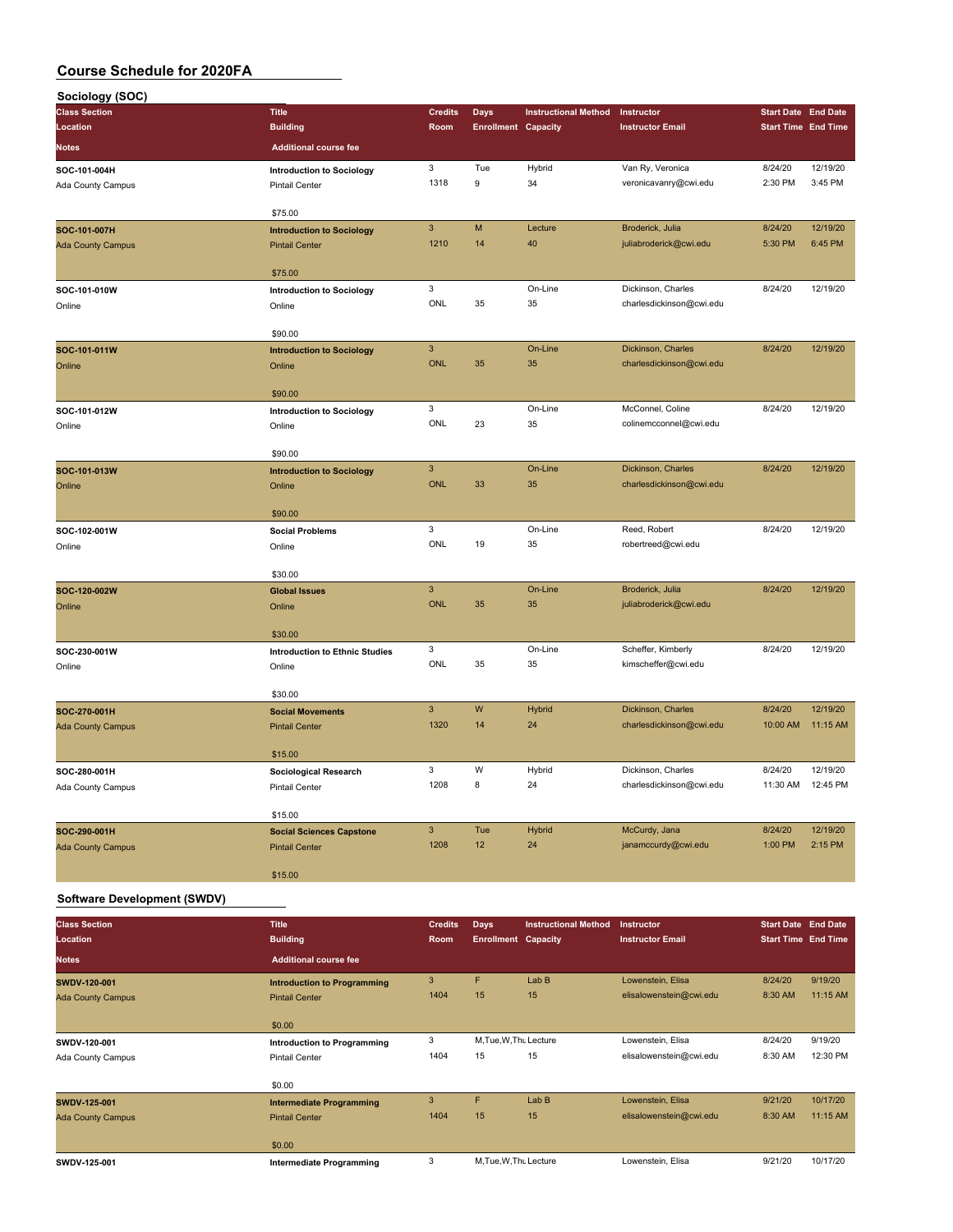| Sociology (SOC)                    |                                            |                |                            |                             |                                                |                            |          |
|------------------------------------|--------------------------------------------|----------------|----------------------------|-----------------------------|------------------------------------------------|----------------------------|----------|
| <b>Class Section</b>               | <b>Title</b>                               | <b>Credits</b> | <b>Days</b>                | <b>Instructional Method</b> | Instructor                                     | <b>Start Date End Date</b> |          |
| Location                           | <b>Building</b>                            | Room           | <b>Enrollment Capacity</b> |                             | <b>Instructor Email</b>                        | <b>Start Time End Time</b> |          |
| <b>Notes</b>                       | <b>Additional course fee</b>               |                |                            |                             |                                                |                            |          |
| SOC-101-004H                       | <b>Introduction to Sociology</b>           | 3              | Tue                        | Hybrid                      | Van Ry, Veronica                               | 8/24/20                    | 12/19/20 |
| Ada County Campus                  | <b>Pintail Center</b>                      | 1318           | $\boldsymbol{9}$           | 34                          | veronicavanry@cwi.edu                          | 2:30 PM                    | 3:45 PM  |
|                                    | \$75.00                                    |                |                            |                             |                                                |                            |          |
| SOC-101-007H                       | <b>Introduction to Sociology</b>           | $\mathsf 3$    | M                          | Lecture                     | Broderick, Julia                               | 8/24/20                    | 12/19/20 |
| <b>Ada County Campus</b>           | <b>Pintail Center</b>                      | 1210           | 14                         | 40                          | juliabroderick@cwi.edu                         | 5:30 PM                    | 6:45 PM  |
|                                    |                                            |                |                            |                             |                                                |                            |          |
|                                    | \$75.00                                    |                |                            |                             |                                                |                            |          |
| SOC-101-010W                       | <b>Introduction to Sociology</b>           | 3<br>ONL       | 35                         | On-Line<br>35               | Dickinson, Charles                             | 8/24/20                    | 12/19/20 |
| Online                             | Online                                     |                |                            |                             | charlesdickinson@cwi.edu                       |                            |          |
|                                    | \$90.00                                    |                |                            |                             |                                                |                            |          |
| SOC-101-011W                       | <b>Introduction to Sociology</b>           | $\mathsf 3$    |                            | On-Line                     | Dickinson, Charles                             | 8/24/20                    | 12/19/20 |
| Online                             | Online                                     | <b>ONL</b>     | 35                         | 35                          | charlesdickinson@cwi.edu                       |                            |          |
|                                    |                                            |                |                            |                             |                                                |                            |          |
| SOC-101-012W                       | \$90.00                                    | 3              |                            | On-Line                     | McConnel, Coline                               | 8/24/20                    | 12/19/20 |
| Online                             | <b>Introduction to Sociology</b><br>Online | ONL            | 23                         | 35                          | colinemcconnel@cwi.edu                         |                            |          |
|                                    |                                            |                |                            |                             |                                                |                            |          |
|                                    | \$90.00                                    |                |                            |                             |                                                |                            |          |
| SOC-101-013W                       | <b>Introduction to Sociology</b>           | $\mathsf 3$    |                            | On-Line                     | Dickinson, Charles                             | 8/24/20                    | 12/19/20 |
| Online                             | Online                                     | ONL            | 33                         | 35                          | charlesdickinson@cwi.edu                       |                            |          |
|                                    | \$90.00                                    |                |                            |                             |                                                |                            |          |
| SOC-102-001W                       | <b>Social Problems</b>                     | 3              |                            | On-Line                     | Reed, Robert                                   | 8/24/20                    | 12/19/20 |
| Online                             | Online                                     | ONL            | 19                         | 35                          | robertreed@cwi.edu                             |                            |          |
|                                    |                                            |                |                            |                             |                                                |                            |          |
|                                    | \$30.00                                    |                |                            |                             |                                                |                            |          |
| SOC-120-002W                       | <b>Global Issues</b>                       | $\mathsf 3$    |                            | On-Line                     | Broderick, Julia                               | 8/24/20                    | 12/19/20 |
| Online                             | Online                                     | <b>ONL</b>     | 35                         | 35                          | juliabroderick@cwi.edu                         |                            |          |
|                                    | \$30.00                                    |                |                            |                             |                                                |                            |          |
| SOC-230-001W                       | <b>Introduction to Ethnic Studies</b>      | 3              |                            | On-Line                     | Scheffer, Kimberly                             | 8/24/20                    | 12/19/20 |
| Online                             | Online                                     | ONL            | 35                         | 35                          | kimscheffer@cwi.edu                            |                            |          |
|                                    |                                            |                |                            |                             |                                                |                            |          |
|                                    | \$30.00                                    |                |                            |                             |                                                |                            |          |
| SOC-270-001H                       | <b>Social Movements</b>                    | $\mathbf{3}$   | W                          | <b>Hybrid</b><br>24         | Dickinson, Charles<br>charlesdickinson@cwi.edu | 8/24/20                    | 12/19/20 |
| <b>Ada County Campus</b>           | <b>Pintail Center</b>                      | 1320           | 14                         |                             |                                                | 10:00 AM                   | 11:15 AM |
|                                    | \$15.00                                    |                |                            |                             |                                                |                            |          |
| SOC-280-001H                       | Sociological Research                      | 3              | W                          | Hybrid                      | Dickinson, Charles                             | 8/24/20                    | 12/19/20 |
| Ada County Campus                  | Pintail Center                             | 1208           | 8                          | 24                          | charlesdickinson@cwi.edu                       | 11:30 AM                   | 12:45 PM |
|                                    |                                            |                |                            |                             |                                                |                            |          |
|                                    | \$15.00                                    | $\mathbf{3}$   |                            |                             |                                                |                            | 12/19/20 |
| SOC-290-001H                       | <b>Social Sciences Capstone</b>            | 1208           | Tue<br>12                  | <b>Hybrid</b><br>24         | McCurdy, Jana<br>janamccurdy@cwi.edu           | 8/24/20<br>1:00 PM         | 2:15 PM  |
| <b>Ada County Campus</b>           | <b>Pintail Center</b>                      |                |                            |                             |                                                |                            |          |
|                                    | \$15.00                                    |                |                            |                             |                                                |                            |          |
| <b>Software Development (SWDV)</b> |                                            |                |                            |                             |                                                |                            |          |
| <b>Class Section</b>               | <b>Title</b>                               | <b>Credits</b> | <b>Days</b>                | <b>Instructional Method</b> | Instructor                                     | <b>Start Date End Date</b> |          |
| Location                           | <b>Building</b>                            | Room           | <b>Enrollment Capacity</b> |                             | <b>Instructor Email</b>                        | <b>Start Time End Time</b> |          |
|                                    |                                            |                |                            |                             |                                                |                            |          |
| <b>Notes</b>                       | <b>Additional course fee</b>               |                |                            |                             |                                                |                            |          |

| -------                  | Punung                             | $\cdots$ |    | Enformant supporty   |                         |         |          |
|--------------------------|------------------------------------|----------|----|----------------------|-------------------------|---------|----------|
| <b>Notes</b>             | <b>Additional course fee</b>       |          |    |                      |                         |         |          |
| SWDV-120-001             | <b>Introduction to Programming</b> | 3        | F  | LabB                 | Lowenstein, Elisa       | 8/24/20 | 9/19/20  |
| <b>Ada County Campus</b> | <b>Pintail Center</b>              | 1404     | 15 | 15                   | elisalowenstein@cwi.edu | 8:30 AM | 11:15 AM |
|                          | \$0.00                             |          |    |                      |                         |         |          |
| SWDV-120-001             | Introduction to Programming        | 3        |    | M.Tue, W.Thu Lecture | Lowenstein, Elisa       | 8/24/20 | 9/19/20  |
| Ada County Campus        | <b>Pintail Center</b>              | 1404     | 15 | 15                   | elisalowenstein@cwi.edu | 8:30 AM | 12:30 PM |
|                          | \$0.00                             |          |    |                      |                         |         |          |
| <b>SWDV-125-001</b>      | <b>Intermediate Programming</b>    | 3        | F  | LabB                 | Lowenstein, Elisa       | 9/21/20 | 10/17/20 |
| <b>Ada County Campus</b> | <b>Pintail Center</b>              | 1404     | 15 | 15                   | elisalowenstein@cwi.edu | 8:30 AM | 11:15 AM |
|                          | \$0.00                             |          |    |                      |                         |         |          |
| SWDV-125-001             | Intermediate Programming           | 3        |    | M.Tue, W.Thu Lecture | Lowenstein, Elisa       | 9/21/20 | 10/17/20 |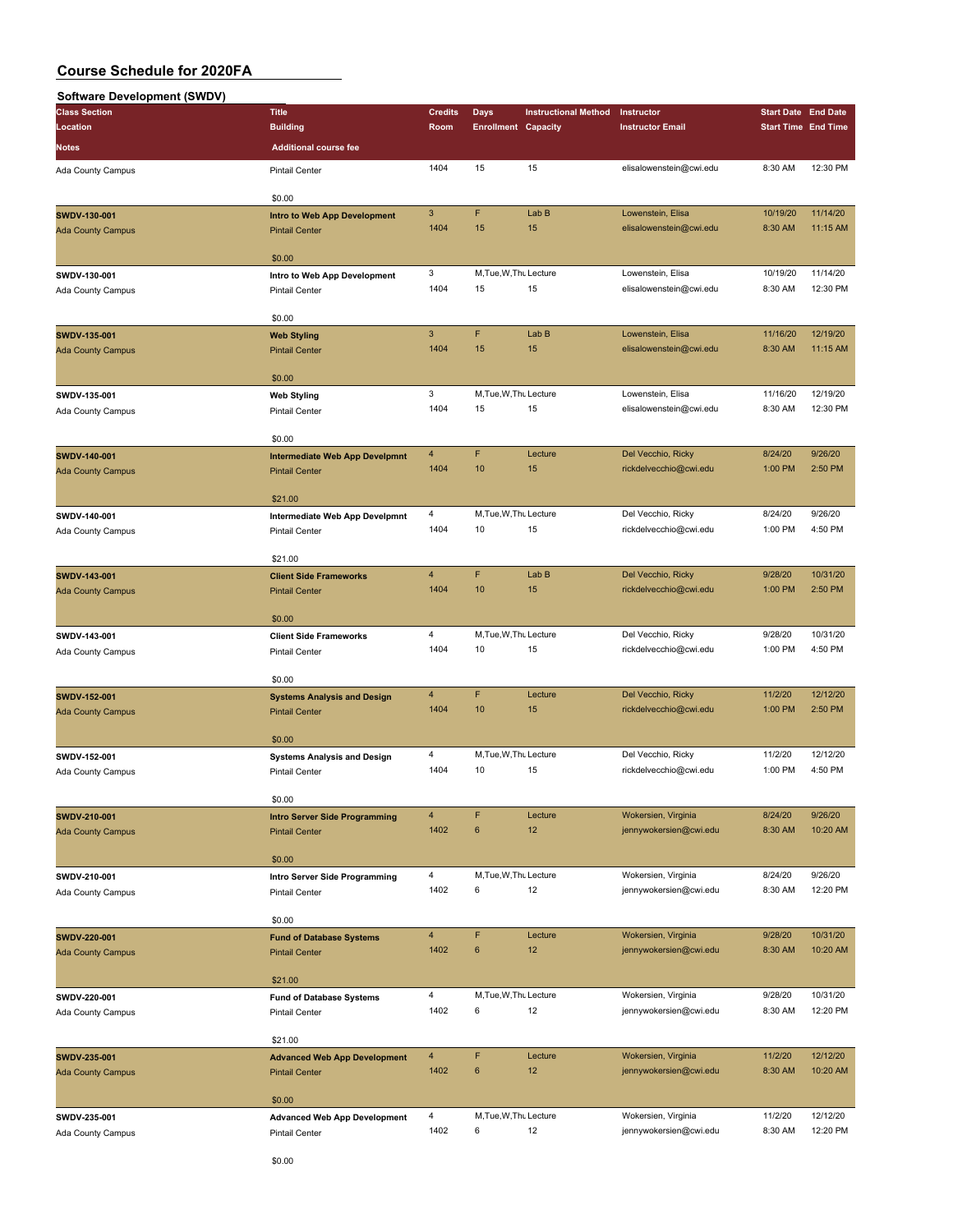#### **Software Development (SWDV)**

| SUITMALE DEVERDITIELII (SWDV) |                                                                                                                                                                                                                                                                                                                                                                                                                                                                                                                                                                                                                                                                                                                                                                                                                                                                                                                                                                                                                                                                                                                                                                                                                                                                                                                    |                        |                            |                             |                         |                            |          |
|-------------------------------|--------------------------------------------------------------------------------------------------------------------------------------------------------------------------------------------------------------------------------------------------------------------------------------------------------------------------------------------------------------------------------------------------------------------------------------------------------------------------------------------------------------------------------------------------------------------------------------------------------------------------------------------------------------------------------------------------------------------------------------------------------------------------------------------------------------------------------------------------------------------------------------------------------------------------------------------------------------------------------------------------------------------------------------------------------------------------------------------------------------------------------------------------------------------------------------------------------------------------------------------------------------------------------------------------------------------|------------------------|----------------------------|-----------------------------|-------------------------|----------------------------|----------|
| <b>Class Section</b>          | <b>Title</b>                                                                                                                                                                                                                                                                                                                                                                                                                                                                                                                                                                                                                                                                                                                                                                                                                                                                                                                                                                                                                                                                                                                                                                                                                                                                                                       | <b>Credits</b>         | Days                       | <b>Instructional Method</b> | Instructor              | <b>Start Date End Date</b> |          |
| Location                      | <b>Building</b>                                                                                                                                                                                                                                                                                                                                                                                                                                                                                                                                                                                                                                                                                                                                                                                                                                                                                                                                                                                                                                                                                                                                                                                                                                                                                                    | Room                   | <b>Enrollment Capacity</b> |                             | <b>Instructor Email</b> | <b>Start Time End Time</b> |          |
| Notes                         | <b>Additional course fee</b>                                                                                                                                                                                                                                                                                                                                                                                                                                                                                                                                                                                                                                                                                                                                                                                                                                                                                                                                                                                                                                                                                                                                                                                                                                                                                       |                        |                            |                             |                         |                            |          |
| Ada County Campus             | <b>Pintail Center</b>                                                                                                                                                                                                                                                                                                                                                                                                                                                                                                                                                                                                                                                                                                                                                                                                                                                                                                                                                                                                                                                                                                                                                                                                                                                                                              | 1404                   | 15                         | 15                          | elisalowenstein@cwi.edu | 8:30 AM                    | 12:30 PM |
|                               |                                                                                                                                                                                                                                                                                                                                                                                                                                                                                                                                                                                                                                                                                                                                                                                                                                                                                                                                                                                                                                                                                                                                                                                                                                                                                                                    |                        |                            |                             |                         |                            |          |
|                               | \$0.00                                                                                                                                                                                                                                                                                                                                                                                                                                                                                                                                                                                                                                                                                                                                                                                                                                                                                                                                                                                                                                                                                                                                                                                                                                                                                                             |                        |                            |                             |                         |                            |          |
| SWDV-130-001                  | Intro to Web App Development                                                                                                                                                                                                                                                                                                                                                                                                                                                                                                                                                                                                                                                                                                                                                                                                                                                                                                                                                                                                                                                                                                                                                                                                                                                                                       | $\sqrt{3}$             | F                          | Lab B                       | Lowenstein, Elisa       | 10/19/20                   | 11/14/20 |
| <b>Ada County Campus</b>      | <b>Pintail Center</b>                                                                                                                                                                                                                                                                                                                                                                                                                                                                                                                                                                                                                                                                                                                                                                                                                                                                                                                                                                                                                                                                                                                                                                                                                                                                                              | 1404                   | 15                         | 15                          | elisalowenstein@cwi.edu | 8:30 AM                    | 11:15 AM |
|                               |                                                                                                                                                                                                                                                                                                                                                                                                                                                                                                                                                                                                                                                                                                                                                                                                                                                                                                                                                                                                                                                                                                                                                                                                                                                                                                                    |                        |                            |                             |                         |                            |          |
| SWDV-130-001                  | Intro to Web App Development                                                                                                                                                                                                                                                                                                                                                                                                                                                                                                                                                                                                                                                                                                                                                                                                                                                                                                                                                                                                                                                                                                                                                                                                                                                                                       | 3                      |                            |                             | Lowenstein, Elisa       | 10/19/20                   | 11/14/20 |
| Ada County Campus             | <b>Pintail Center</b>                                                                                                                                                                                                                                                                                                                                                                                                                                                                                                                                                                                                                                                                                                                                                                                                                                                                                                                                                                                                                                                                                                                                                                                                                                                                                              | 1404                   | 15                         | 15                          | elisalowenstein@cwi.edu | 8:30 AM                    | 12:30 PM |
|                               |                                                                                                                                                                                                                                                                                                                                                                                                                                                                                                                                                                                                                                                                                                                                                                                                                                                                                                                                                                                                                                                                                                                                                                                                                                                                                                                    |                        |                            |                             |                         |                            |          |
| SWDV-135-001                  |                                                                                                                                                                                                                                                                                                                                                                                                                                                                                                                                                                                                                                                                                                                                                                                                                                                                                                                                                                                                                                                                                                                                                                                                                                                                                                                    | $\mathbf{3}$           | F                          | Lab B                       | Lowenstein, Elisa       | 11/16/20                   | 12/19/20 |
| <b>Ada County Campus</b>      |                                                                                                                                                                                                                                                                                                                                                                                                                                                                                                                                                                                                                                                                                                                                                                                                                                                                                                                                                                                                                                                                                                                                                                                                                                                                                                                    | 1404                   | 15                         | 15                          | elisalowenstein@cwi.edu | 8:30 AM                    | 11:15 AM |
|                               |                                                                                                                                                                                                                                                                                                                                                                                                                                                                                                                                                                                                                                                                                                                                                                                                                                                                                                                                                                                                                                                                                                                                                                                                                                                                                                                    |                        |                            |                             |                         |                            |          |
|                               | \$0.00                                                                                                                                                                                                                                                                                                                                                                                                                                                                                                                                                                                                                                                                                                                                                                                                                                                                                                                                                                                                                                                                                                                                                                                                                                                                                                             |                        |                            |                             |                         |                            |          |
| SWDV-135-001                  | <b>Web Styling</b>                                                                                                                                                                                                                                                                                                                                                                                                                                                                                                                                                                                                                                                                                                                                                                                                                                                                                                                                                                                                                                                                                                                                                                                                                                                                                                 |                        |                            |                             | Lowenstein, Elisa       | 11/16/20                   | 12/19/20 |
| Ada County Campus             | <b>Pintail Center</b>                                                                                                                                                                                                                                                                                                                                                                                                                                                                                                                                                                                                                                                                                                                                                                                                                                                                                                                                                                                                                                                                                                                                                                                                                                                                                              |                        |                            |                             | elisalowenstein@cwi.edu | 8:30 AM                    | 12:30 PM |
|                               |                                                                                                                                                                                                                                                                                                                                                                                                                                                                                                                                                                                                                                                                                                                                                                                                                                                                                                                                                                                                                                                                                                                                                                                                                                                                                                                    |                        |                            |                             |                         |                            |          |
| SWDV-140-001                  |                                                                                                                                                                                                                                                                                                                                                                                                                                                                                                                                                                                                                                                                                                                                                                                                                                                                                                                                                                                                                                                                                                                                                                                                                                                                                                                    | $\overline{4}$         | F                          | Lecture                     | Del Vecchio, Ricky      | 8/24/20                    | 9/26/20  |
| <b>Ada County Campus</b>      |                                                                                                                                                                                                                                                                                                                                                                                                                                                                                                                                                                                                                                                                                                                                                                                                                                                                                                                                                                                                                                                                                                                                                                                                                                                                                                                    |                        |                            |                             | rickdelvecchio@cwi.edu  | 1:00 PM                    | 2:50 PM  |
|                               |                                                                                                                                                                                                                                                                                                                                                                                                                                                                                                                                                                                                                                                                                                                                                                                                                                                                                                                                                                                                                                                                                                                                                                                                                                                                                                                    |                        |                            |                             |                         |                            |          |
|                               | \$21.00                                                                                                                                                                                                                                                                                                                                                                                                                                                                                                                                                                                                                                                                                                                                                                                                                                                                                                                                                                                                                                                                                                                                                                                                                                                                                                            |                        |                            |                             |                         |                            |          |
| SWDV-140-001                  | Intermediate Web App Develpmnt                                                                                                                                                                                                                                                                                                                                                                                                                                                                                                                                                                                                                                                                                                                                                                                                                                                                                                                                                                                                                                                                                                                                                                                                                                                                                     | $\overline{4}$         |                            |                             | Del Vecchio, Ricky      | 8/24/20                    | 9/26/20  |
| Ada County Campus             | <b>Pintail Center</b>                                                                                                                                                                                                                                                                                                                                                                                                                                                                                                                                                                                                                                                                                                                                                                                                                                                                                                                                                                                                                                                                                                                                                                                                                                                                                              | 1404                   | 10                         | 15                          | rickdelvecchio@cwi.edu  | 1:00 PM                    | 4:50 PM  |
|                               |                                                                                                                                                                                                                                                                                                                                                                                                                                                                                                                                                                                                                                                                                                                                                                                                                                                                                                                                                                                                                                                                                                                                                                                                                                                                                                                    |                        |                            |                             |                         |                            |          |
|                               |                                                                                                                                                                                                                                                                                                                                                                                                                                                                                                                                                                                                                                                                                                                                                                                                                                                                                                                                                                                                                                                                                                                                                                                                                                                                                                                    |                        |                            |                             | Del Vecchio, Ricky      | 9/28/20                    | 10/31/20 |
| SWDV-143-001                  |                                                                                                                                                                                                                                                                                                                                                                                                                                                                                                                                                                                                                                                                                                                                                                                                                                                                                                                                                                                                                                                                                                                                                                                                                                                                                                                    |                        |                            |                             | rickdelvecchio@cwi.edu  | 1:00 PM                    | 2:50 PM  |
| <b>Ada County Campus</b>      |                                                                                                                                                                                                                                                                                                                                                                                                                                                                                                                                                                                                                                                                                                                                                                                                                                                                                                                                                                                                                                                                                                                                                                                                                                                                                                                    |                        |                            |                             |                         |                            |          |
|                               | \$0.00                                                                                                                                                                                                                                                                                                                                                                                                                                                                                                                                                                                                                                                                                                                                                                                                                                                                                                                                                                                                                                                                                                                                                                                                                                                                                                             |                        |                            |                             |                         |                            |          |
| SWDV-143-001                  |                                                                                                                                                                                                                                                                                                                                                                                                                                                                                                                                                                                                                                                                                                                                                                                                                                                                                                                                                                                                                                                                                                                                                                                                                                                                                                                    | $\overline{4}$         |                            |                             | Del Vecchio, Ricky      | 9/28/20                    | 10/31/20 |
| Ada County Campus             |                                                                                                                                                                                                                                                                                                                                                                                                                                                                                                                                                                                                                                                                                                                                                                                                                                                                                                                                                                                                                                                                                                                                                                                                                                                                                                                    |                        | 10                         | 15                          | rickdelvecchio@cwi.edu  | 1:00 PM                    | 4:50 PM  |
|                               |                                                                                                                                                                                                                                                                                                                                                                                                                                                                                                                                                                                                                                                                                                                                                                                                                                                                                                                                                                                                                                                                                                                                                                                                                                                                                                                    |                        |                            |                             |                         |                            |          |
|                               | \$0.00                                                                                                                                                                                                                                                                                                                                                                                                                                                                                                                                                                                                                                                                                                                                                                                                                                                                                                                                                                                                                                                                                                                                                                                                                                                                                                             |                        |                            |                             |                         |                            |          |
| SWDV-152-001                  | <b>Systems Analysis and Design</b>                                                                                                                                                                                                                                                                                                                                                                                                                                                                                                                                                                                                                                                                                                                                                                                                                                                                                                                                                                                                                                                                                                                                                                                                                                                                                 |                        |                            |                             | Del Vecchio, Ricky      | 11/2/20                    | 12/12/20 |
| <b>Ada County Campus</b>      | <b>Pintail Center</b>                                                                                                                                                                                                                                                                                                                                                                                                                                                                                                                                                                                                                                                                                                                                                                                                                                                                                                                                                                                                                                                                                                                                                                                                                                                                                              |                        |                            |                             | rickdelvecchio@cwi.edu  | 1:00 PM                    | 2:50 PM  |
|                               |                                                                                                                                                                                                                                                                                                                                                                                                                                                                                                                                                                                                                                                                                                                                                                                                                                                                                                                                                                                                                                                                                                                                                                                                                                                                                                                    |                        |                            |                             |                         |                            |          |
| SWDV-152-001                  |                                                                                                                                                                                                                                                                                                                                                                                                                                                                                                                                                                                                                                                                                                                                                                                                                                                                                                                                                                                                                                                                                                                                                                                                                                                                                                                    | 4                      |                            |                             | Del Vecchio, Ricky      | 11/2/20                    | 12/12/20 |
| Ada County Campus             |                                                                                                                                                                                                                                                                                                                                                                                                                                                                                                                                                                                                                                                                                                                                                                                                                                                                                                                                                                                                                                                                                                                                                                                                                                                                                                                    | 1404                   | 10                         |                             | rickdelvecchio@cwi.edu  | 1:00 PM                    | 4:50 PM  |
|                               |                                                                                                                                                                                                                                                                                                                                                                                                                                                                                                                                                                                                                                                                                                                                                                                                                                                                                                                                                                                                                                                                                                                                                                                                                                                                                                                    |                        |                            |                             |                         |                            |          |
|                               | \$0.00                                                                                                                                                                                                                                                                                                                                                                                                                                                                                                                                                                                                                                                                                                                                                                                                                                                                                                                                                                                                                                                                                                                                                                                                                                                                                                             |                        |                            |                             |                         |                            |          |
| SWDV-210-001                  | <b>Intro Server Side Programming</b>                                                                                                                                                                                                                                                                                                                                                                                                                                                                                                                                                                                                                                                                                                                                                                                                                                                                                                                                                                                                                                                                                                                                                                                                                                                                               | $\overline{4}$         | F                          | Lecture                     | Wokersien, Virginia     | 8/24/20                    | 9/26/20  |
| <b>Ada County Campus</b>      | <b>Pintail Center</b>                                                                                                                                                                                                                                                                                                                                                                                                                                                                                                                                                                                                                                                                                                                                                                                                                                                                                                                                                                                                                                                                                                                                                                                                                                                                                              | 1402                   | 6                          | 12                          | jennywokersien@cwi.edu  | 8:30 AM                    | 10:20 AM |
|                               |                                                                                                                                                                                                                                                                                                                                                                                                                                                                                                                                                                                                                                                                                                                                                                                                                                                                                                                                                                                                                                                                                                                                                                                                                                                                                                                    |                        |                            |                             |                         |                            |          |
|                               |                                                                                                                                                                                                                                                                                                                                                                                                                                                                                                                                                                                                                                                                                                                                                                                                                                                                                                                                                                                                                                                                                                                                                                                                                                                                                                                    |                        |                            |                             | Wokersien, Virginia     | 8/24/20                    | 9/26/20  |
| SWDV-210-001                  |                                                                                                                                                                                                                                                                                                                                                                                                                                                                                                                                                                                                                                                                                                                                                                                                                                                                                                                                                                                                                                                                                                                                                                                                                                                                                                                    |                        |                            |                             |                         |                            | 12:20 PM |
| Ada County Campus             | \$0.00<br>M, Tue, W, Thu Lecture<br>\$0.00<br><b>Web Styling</b><br><b>Pintail Center</b><br>3<br>M, Tue, W, Thu Lecture<br>1404<br>15<br>15<br>\$0.00<br><b>Intermediate Web App Develpmnt</b><br>1404<br>10<br>15<br><b>Pintail Center</b><br>M, Tue, W, Thu Lecture<br>\$21.00<br>F<br>$\overline{4}$<br>Lab B<br><b>Client Side Frameworks</b><br>10<br>1404<br>15<br><b>Pintail Center</b><br>M, Tue, W, Thu Lecture<br><b>Client Side Frameworks</b><br>1404<br><b>Pintail Center</b><br>F<br>$\overline{4}$<br>Lecture<br>1404<br>10<br>15<br>\$0.00<br>M, Tue, W, Thu Lecture<br><b>Systems Analysis and Design</b><br>15<br><b>Pintail Center</b><br>\$0.00<br>$\overline{4}$<br>M, Tue, W, Thu Lecture<br>Intro Server Side Programming<br>1402<br>6<br>12<br>Pintail Center<br>\$0.00<br>F<br>$\overline{4}$<br>Lecture<br><b>Fund of Database Systems</b><br>1402<br>6<br>12<br><b>Pintail Center</b><br>\$21.00<br>4<br>M, Tue, W, Thu Lecture<br><b>Fund of Database Systems</b><br>1402<br>6<br>12<br>Pintail Center<br>\$21.00<br>F<br>$\overline{4}$<br>Lecture<br><b>Advanced Web App Development</b><br>1402<br>6<br>12<br><b>Pintail Center</b><br>\$0.00<br>$\overline{4}$<br>M, Tue, W, Thu Lecture<br><b>Advanced Web App Development</b><br>1402<br>6<br>12<br><b>Pintail Center</b><br>CD | jennywokersien@cwi.edu | 8:30 AM                    |                             |                         |                            |          |
|                               |                                                                                                                                                                                                                                                                                                                                                                                                                                                                                                                                                                                                                                                                                                                                                                                                                                                                                                                                                                                                                                                                                                                                                                                                                                                                                                                    |                        |                            |                             |                         |                            |          |
| SWDV-220-001                  |                                                                                                                                                                                                                                                                                                                                                                                                                                                                                                                                                                                                                                                                                                                                                                                                                                                                                                                                                                                                                                                                                                                                                                                                                                                                                                                    |                        |                            |                             | Wokersien, Virginia     | 9/28/20                    | 10/31/20 |
| <b>Ada County Campus</b>      |                                                                                                                                                                                                                                                                                                                                                                                                                                                                                                                                                                                                                                                                                                                                                                                                                                                                                                                                                                                                                                                                                                                                                                                                                                                                                                                    |                        |                            |                             | jennywokersien@cwi.edu  | 8:30 AM                    | 10:20 AM |
|                               |                                                                                                                                                                                                                                                                                                                                                                                                                                                                                                                                                                                                                                                                                                                                                                                                                                                                                                                                                                                                                                                                                                                                                                                                                                                                                                                    |                        |                            |                             |                         |                            |          |
|                               |                                                                                                                                                                                                                                                                                                                                                                                                                                                                                                                                                                                                                                                                                                                                                                                                                                                                                                                                                                                                                                                                                                                                                                                                                                                                                                                    |                        |                            |                             |                         |                            |          |
| SWDV-220-001                  |                                                                                                                                                                                                                                                                                                                                                                                                                                                                                                                                                                                                                                                                                                                                                                                                                                                                                                                                                                                                                                                                                                                                                                                                                                                                                                                    |                        |                            |                             | Wokersien, Virginia     | 9/28/20                    | 10/31/20 |
| Ada County Campus             |                                                                                                                                                                                                                                                                                                                                                                                                                                                                                                                                                                                                                                                                                                                                                                                                                                                                                                                                                                                                                                                                                                                                                                                                                                                                                                                    |                        |                            |                             | jennywokersien@cwi.edu  | 8:30 AM                    | 12:20 PM |
|                               |                                                                                                                                                                                                                                                                                                                                                                                                                                                                                                                                                                                                                                                                                                                                                                                                                                                                                                                                                                                                                                                                                                                                                                                                                                                                                                                    |                        |                            |                             |                         |                            |          |
| SWDV-235-001                  |                                                                                                                                                                                                                                                                                                                                                                                                                                                                                                                                                                                                                                                                                                                                                                                                                                                                                                                                                                                                                                                                                                                                                                                                                                                                                                                    |                        |                            |                             | Wokersien, Virginia     | 11/2/20                    | 12/12/20 |
| <b>Ada County Campus</b>      |                                                                                                                                                                                                                                                                                                                                                                                                                                                                                                                                                                                                                                                                                                                                                                                                                                                                                                                                                                                                                                                                                                                                                                                                                                                                                                                    |                        |                            |                             | jennywokersien@cwi.edu  | 8:30 AM                    | 10:20 AM |
|                               |                                                                                                                                                                                                                                                                                                                                                                                                                                                                                                                                                                                                                                                                                                                                                                                                                                                                                                                                                                                                                                                                                                                                                                                                                                                                                                                    |                        |                            |                             |                         |                            |          |
|                               |                                                                                                                                                                                                                                                                                                                                                                                                                                                                                                                                                                                                                                                                                                                                                                                                                                                                                                                                                                                                                                                                                                                                                                                                                                                                                                                    |                        |                            |                             |                         |                            |          |
| SWDV-235-001                  |                                                                                                                                                                                                                                                                                                                                                                                                                                                                                                                                                                                                                                                                                                                                                                                                                                                                                                                                                                                                                                                                                                                                                                                                                                                                                                                    |                        |                            |                             | Wokersien, Virginia     | 11/2/20                    | 12/12/20 |
| Ada County Campus             |                                                                                                                                                                                                                                                                                                                                                                                                                                                                                                                                                                                                                                                                                                                                                                                                                                                                                                                                                                                                                                                                                                                                                                                                                                                                                                                    |                        |                            |                             | jennywokersien@cwi.edu  | 8:30 AM                    | 12:20 PM |
|                               |                                                                                                                                                                                                                                                                                                                                                                                                                                                                                                                                                                                                                                                                                                                                                                                                                                                                                                                                                                                                                                                                                                                                                                                                                                                                                                                    |                        |                            |                             |                         |                            |          |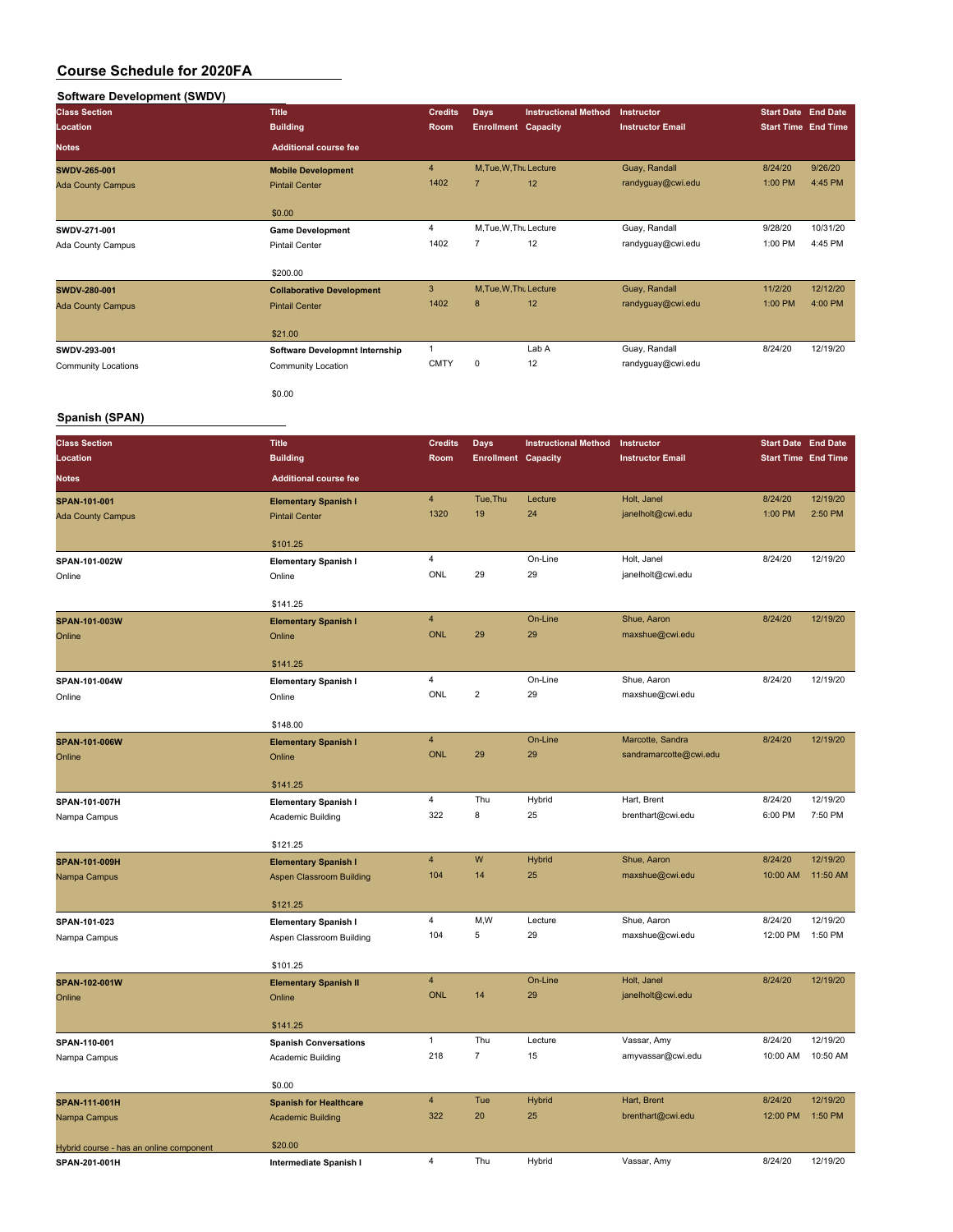## **Software Development (SWDV)**

| <b>Class Section</b><br>Location | <b>Title</b><br><b>Building</b>  | <b>Credits</b><br>Room | <b>Days</b><br><b>Enrollment Capacity</b> | <b>Instructional Method</b> | Instructor<br><b>Instructor Email</b> | <b>Start Date End Date</b><br><b>Start Time End Time</b> |          |
|----------------------------------|----------------------------------|------------------------|-------------------------------------------|-----------------------------|---------------------------------------|----------------------------------------------------------|----------|
| <b>Notes</b>                     | <b>Additional course fee</b>     |                        |                                           |                             |                                       |                                                          |          |
| SWDV-265-001                     | <b>Mobile Development</b>        | 4                      | M.Tue.W.Thu Lecture                       |                             | Guay, Randall                         | 8/24/20                                                  | 9/26/20  |
| <b>Ada County Campus</b>         | <b>Pintail Center</b>            | 1402                   | $\overline{7}$                            | 12                          | randyguay@cwi.edu                     | 1:00 PM                                                  | 4:45 PM  |
|                                  | \$0.00                           |                        |                                           |                             |                                       |                                                          |          |
| SWDV-271-001                     | <b>Game Development</b>          | 4                      | M, Tue, W, Thu Lecture                    |                             | Guay, Randall                         | 9/28/20                                                  | 10/31/20 |
| Ada County Campus                | Pintail Center                   | 1402                   | $\overline{7}$                            | 12                          | randyguay@cwi.edu                     | 1:00 PM                                                  | 4:45 PM  |
|                                  | \$200.00                         |                        |                                           |                             |                                       |                                                          |          |
| SWDV-280-001                     | <b>Collaborative Development</b> | 3                      | M, Tue, W, Thu Lecture                    |                             | Guay, Randall                         | 11/2/20                                                  | 12/12/20 |
| <b>Ada County Campus</b>         | <b>Pintail Center</b>            | 1402                   | 8                                         | 12                          | randyguay@cwi.edu                     | 1:00 PM                                                  | 4:00 PM  |
|                                  | \$21.00                          |                        |                                           |                             |                                       |                                                          |          |
| SWDV-293-001                     | Software Developmnt Internship   |                        |                                           | Lab A                       | Guay, Randall                         | 8/24/20                                                  | 12/19/20 |
| Community Locations              | Community Location               | <b>CMTY</b>            | 0                                         | 12                          | randyguay@cwi.edu                     |                                                          |          |
|                                  | \$0.00                           |                        |                                           |                             |                                       |                                                          |          |

### **Spanish (SPAN)**

| <b>Class Section</b>                    | <b>Title</b>                          | <b>Credits</b>          | <b>Days</b>                | <b>Instructional Method</b> | Instructor              | <b>Start Date End Date</b> |          |
|-----------------------------------------|---------------------------------------|-------------------------|----------------------------|-----------------------------|-------------------------|----------------------------|----------|
| Location                                | <b>Building</b>                       | Room                    | <b>Enrollment Capacity</b> |                             | <b>Instructor Email</b> | <b>Start Time End Time</b> |          |
| <b>Notes</b>                            | <b>Additional course fee</b>          |                         |                            |                             |                         |                            |          |
| SPAN-101-001                            | <b>Elementary Spanish I</b>           | $\overline{\mathbf{4}}$ | Tue, Thu                   | Lecture                     | Holt, Janel             | 8/24/20                    | 12/19/20 |
| <b>Ada County Campus</b>                | <b>Pintail Center</b>                 | 1320                    | 19                         | 24                          | janelholt@cwi.edu       | 1:00 PM                    | 2:50 PM  |
|                                         |                                       |                         |                            |                             |                         |                            |          |
|                                         | \$101.25                              | $\overline{\mathbf{4}}$ |                            | On-Line                     | Holt, Janel             | 8/24/20                    | 12/19/20 |
| SPAN-101-002W<br>Online                 | <b>Elementary Spanish I</b><br>Online | <b>ONL</b>              | 29                         | 29                          | janelholt@cwi.edu       |                            |          |
|                                         |                                       |                         |                            |                             |                         |                            |          |
|                                         | \$141.25                              |                         |                            |                             |                         |                            |          |
| SPAN-101-003W                           | <b>Elementary Spanish I</b>           | $\overline{\mathbf{4}}$ |                            | On-Line                     | Shue, Aaron             | 8/24/20                    | 12/19/20 |
| Online                                  | Online                                | <b>ONL</b>              | 29                         | 29                          | maxshue@cwi.edu         |                            |          |
|                                         |                                       |                         |                            |                             |                         |                            |          |
|                                         | \$141.25                              | 4                       |                            | On-Line                     | Shue, Aaron             | 8/24/20                    | 12/19/20 |
| SPAN-101-004W<br>Online                 | <b>Elementary Spanish I</b><br>Online | ONL                     | $\overline{2}$             | 29                          | maxshue@cwi.edu         |                            |          |
|                                         |                                       |                         |                            |                             |                         |                            |          |
|                                         | \$148.00                              |                         |                            |                             |                         |                            |          |
| SPAN-101-006W                           | <b>Elementary Spanish I</b>           | $\overline{4}$          |                            | On-Line                     | Marcotte, Sandra        | 8/24/20                    | 12/19/20 |
| Online                                  | Online                                | <b>ONL</b>              | 29                         | 29                          | sandramarcotte@cwi.edu  |                            |          |
|                                         |                                       |                         |                            |                             |                         |                            |          |
|                                         | \$141.25                              | $\overline{\mathbf{4}}$ | Thu                        |                             | Hart, Brent             | 8/24/20                    | 12/19/20 |
| SPAN-101-007H                           | <b>Elementary Spanish I</b>           | 322                     | 8                          | Hybrid<br>25                | brenthart@cwi.edu       | 6:00 PM                    | 7:50 PM  |
| Nampa Campus                            | Academic Building                     |                         |                            |                             |                         |                            |          |
|                                         | \$121.25                              |                         |                            |                             |                         |                            |          |
| SPAN-101-009H                           | <b>Elementary Spanish I</b>           | 4                       | W                          | Hybrid                      | Shue, Aaron             | 8/24/20                    | 12/19/20 |
| Nampa Campus                            | <b>Aspen Classroom Building</b>       | 104                     | 14                         | 25                          | maxshue@cwi.edu         | 10:00 AM                   | 11:50 AM |
|                                         |                                       |                         |                            |                             |                         |                            |          |
|                                         | \$121.25                              | $\overline{4}$          | M, W                       | Lecture                     | Shue, Aaron             | 8/24/20                    | 12/19/20 |
| SPAN-101-023                            | <b>Elementary Spanish I</b>           | 104                     | 5                          | 29                          | maxshue@cwi.edu         | 12:00 PM                   | 1:50 PM  |
| Nampa Campus                            | Aspen Classroom Building              |                         |                            |                             |                         |                            |          |
|                                         | \$101.25                              |                         |                            |                             |                         |                            |          |
| SPAN-102-001W                           | <b>Elementary Spanish II</b>          | 4                       |                            | On-Line                     | Holt, Janel             | 8/24/20                    | 12/19/20 |
| Online                                  | Online                                | <b>ONL</b>              | 14                         | 29                          | janelholt@cwi.edu       |                            |          |
|                                         |                                       |                         |                            |                             |                         |                            |          |
|                                         | \$141.25                              | $\mathbf{1}$            | Thu                        | Lecture                     | Vassar, Amy             | 8/24/20                    | 12/19/20 |
| SPAN-110-001                            | <b>Spanish Conversations</b>          | 218                     | $\overline{7}$             | 15                          | amyvassar@cwi.edu       | 10:00 AM                   | 10:50 AM |
| Nampa Campus                            | Academic Building                     |                         |                            |                             |                         |                            |          |
|                                         | \$0.00                                |                         |                            |                             |                         |                            |          |
| SPAN-111-001H                           | <b>Spanish for Healthcare</b>         | $\overline{4}$          | Tue                        | Hybrid                      | Hart, Brent             | 8/24/20                    | 12/19/20 |
| Nampa Campus                            | <b>Academic Building</b>              | 322                     | 20                         | 25                          | brenthart@cwi.edu       | 12:00 PM                   | 1:50 PM  |
|                                         |                                       |                         |                            |                             |                         |                            |          |
| Hybrid course - has an online component | \$20.00                               | 4                       | Thu                        | Hybrid                      | Vassar, Amy             | 8/24/20                    | 12/19/20 |
| SPAN-201-001H                           | Intermediate Spanish I                |                         |                            |                             |                         |                            |          |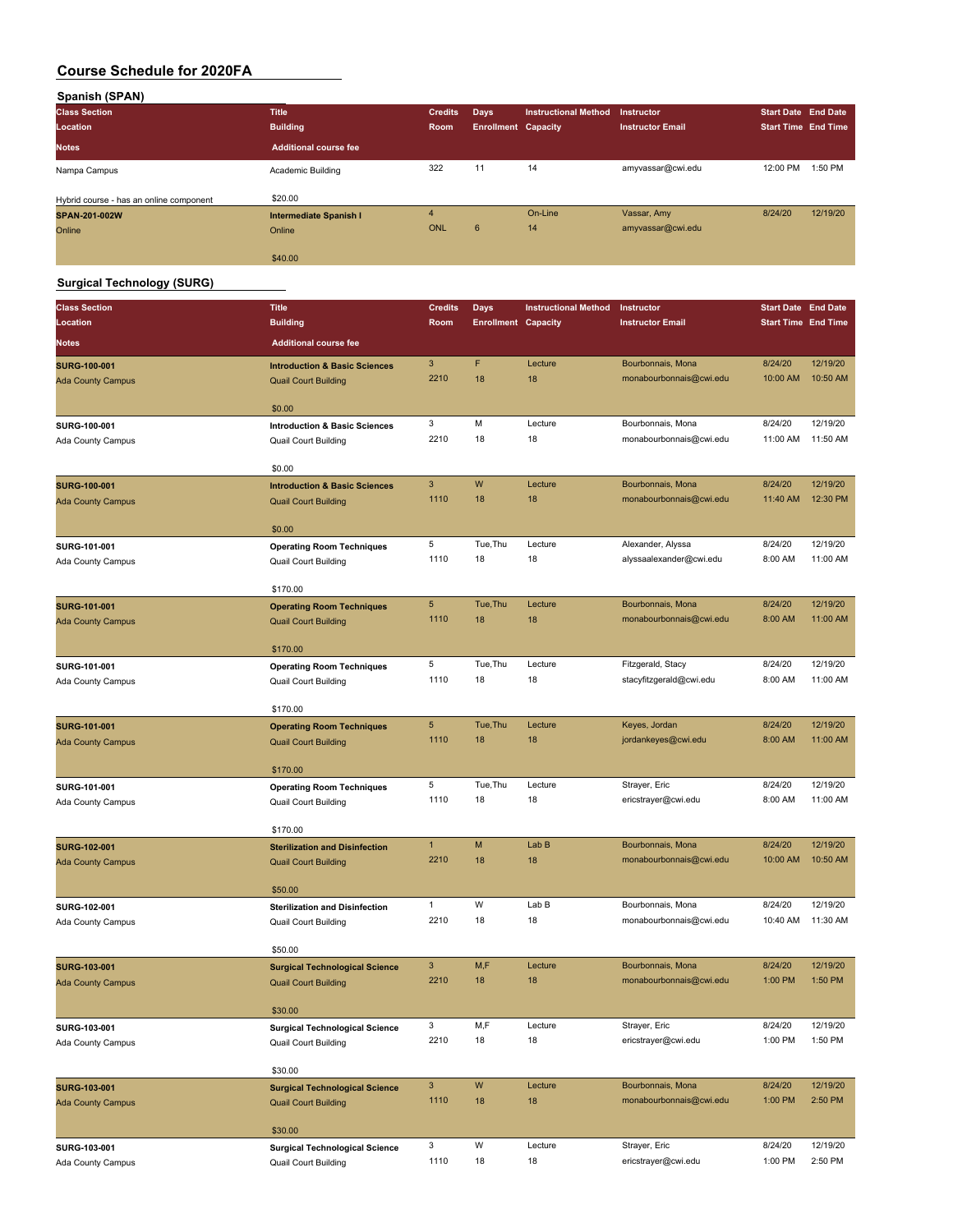| Spanish (SPAN)                          |                               |                |                            |                             |                         |                            |          |
|-----------------------------------------|-------------------------------|----------------|----------------------------|-----------------------------|-------------------------|----------------------------|----------|
| <b>Class Section</b>                    | <b>Title</b>                  | <b>Credits</b> | Days                       | <b>Instructional Method</b> | Instructor              | <b>Start Date End Date</b> |          |
| Location                                | <b>Building</b>               | Room           | <b>Enrollment Capacity</b> |                             | <b>Instructor Email</b> | <b>Start Time End Time</b> |          |
| <b>Notes</b>                            | <b>Additional course fee</b>  |                |                            |                             |                         |                            |          |
| Nampa Campus                            | Academic Building             | 322            | 11                         | 14                          | amyvassar@cwi.edu       | 12:00 PM                   | 1:50 PM  |
| Hybrid course - has an online component | \$20.00                       |                |                            |                             |                         |                            |          |
| SPAN-201-002W                           | <b>Intermediate Spanish I</b> | $\overline{4}$ |                            | On-Line                     | Vassar, Amy             | 8/24/20                    | 12/19/20 |
| Online                                  | Online                        | <b>ONL</b>     | $6^{\circ}$                | 14                          | amyvassar@cwi.edu       |                            |          |
|                                         | \$40.00                       |                |                            |                             |                         |                            |          |

### **Surgical Technology (SURG)**

| <b>Class Section</b>     | <b>Title</b>                             | <b>Credits</b> | <b>Days</b>                | <b>Instructional Method</b> | Instructor                           | <b>Start Date End Date</b> |                      |
|--------------------------|------------------------------------------|----------------|----------------------------|-----------------------------|--------------------------------------|----------------------------|----------------------|
| Location                 | <b>Building</b>                          | Room           | <b>Enrollment Capacity</b> |                             | <b>Instructor Email</b>              | <b>Start Time End Time</b> |                      |
| <b>Notes</b>             | <b>Additional course fee</b>             |                |                            |                             |                                      |                            |                      |
| <b>SURG-100-001</b>      | <b>Introduction &amp; Basic Sciences</b> | 3              | F                          | Lecture                     | Bourbonnais, Mona                    | 8/24/20                    | 12/19/20             |
| <b>Ada County Campus</b> | <b>Quail Court Building</b>              | 2210           | 18                         | 18                          | monabourbonnais@cwi.edu              | 10:00 AM                   | 10:50 AM             |
|                          | \$0.00                                   |                |                            |                             |                                      |                            |                      |
| SURG-100-001             | <b>Introduction &amp; Basic Sciences</b> | 3              | M                          | Lecture                     | Bourbonnais, Mona                    | 8/24/20                    | 12/19/20             |
| Ada County Campus        | <b>Quail Court Building</b>              | 2210           | 18                         | 18                          | monabourbonnais@cwi.edu              | 11:00 AM                   | 11:50 AM             |
|                          | \$0.00                                   |                |                            |                             |                                      |                            |                      |
| <b>SURG-100-001</b>      | <b>Introduction &amp; Basic Sciences</b> | 3              | W                          | Lecture                     | Bourbonnais, Mona                    | 8/24/20                    | 12/19/20             |
| <b>Ada County Campus</b> | <b>Quail Court Building</b>              | 1110           | 18                         | 18                          | monabourbonnais@cwi.edu              | 11:40 AM                   | 12:30 PM             |
|                          |                                          |                |                            |                             |                                      |                            |                      |
|                          | \$0.00                                   |                |                            |                             |                                      |                            |                      |
| SURG-101-001             | <b>Operating Room Techniques</b>         | 5<br>1110      | Tue, Thu<br>18             | Lecture<br>18               | Alexander, Alyssa                    | 8/24/20<br>8:00 AM         | 12/19/20<br>11:00 AM |
| Ada County Campus        | Quail Court Building                     |                |                            |                             | alyssaalexander@cwi.edu              |                            |                      |
|                          | \$170.00                                 |                |                            |                             |                                      |                            |                      |
| <b>SURG-101-001</b>      | <b>Operating Room Techniques</b>         | 5              | Tue, Thu                   | Lecture                     | Bourbonnais, Mona                    | 8/24/20                    | 12/19/20             |
| <b>Ada County Campus</b> | <b>Quail Court Building</b>              | 1110           | 18                         | 18                          | monabourbonnais@cwi.edu              | 8:00 AM                    | 11:00 AM             |
|                          | \$170.00                                 |                |                            |                             |                                      |                            |                      |
| SURG-101-001             | <b>Operating Room Techniques</b>         | 5              | Tue, Thu                   | Lecture                     | Fitzgerald, Stacy                    | 8/24/20                    | 12/19/20             |
| Ada County Campus        | <b>Quail Court Building</b>              | 1110           | 18                         | 18                          | stacyfitzgerald@cwi.edu              | 8:00 AM                    | 11:00 AM             |
|                          |                                          |                |                            |                             |                                      |                            |                      |
|                          | \$170.00                                 |                |                            |                             |                                      |                            |                      |
| <b>SURG-101-001</b>      | <b>Operating Room Techniques</b>         | 5<br>1110      | Tue, Thu                   | Lecture                     | Keyes, Jordan                        | 8/24/20<br>8:00 AM         | 12/19/20             |
| <b>Ada County Campus</b> | <b>Quail Court Building</b>              |                | 18                         | 18                          | jordankeyes@cwi.edu                  |                            | 11:00 AM             |
|                          | \$170.00                                 |                |                            |                             |                                      |                            |                      |
| SURG-101-001             | <b>Operating Room Techniques</b>         | 5              | Tue, Thu                   | Lecture                     | Strayer, Eric                        | 8/24/20                    | 12/19/20             |
| Ada County Campus        | Quail Court Building                     | 1110           | 18                         | 18                          | ericstrayer@cwi.edu                  | 8:00 AM                    | 11:00 AM             |
|                          | \$170.00                                 |                |                            |                             |                                      |                            |                      |
| <b>SURG-102-001</b>      | <b>Sterilization and Disinfection</b>    | $\mathbf{1}$   | M                          | Lab B                       | Bourbonnais, Mona                    | 8/24/20                    | 12/19/20             |
| <b>Ada County Campus</b> | <b>Quail Court Building</b>              | 2210           | 18                         | 18                          | monabourbonnais@cwi.edu              | 10:00 AM                   | 10:50 AM             |
|                          |                                          |                |                            |                             |                                      |                            |                      |
|                          | \$50.00                                  |                |                            |                             |                                      |                            |                      |
| SURG-102-001             | <b>Sterilization and Disinfection</b>    | 1              | W                          | Lab B                       | Bourbonnais, Mona                    | 8/24/20                    | 12/19/20             |
| Ada County Campus        | <b>Quail Court Building</b>              | 2210           | 18                         | 18                          | monabourbonnais@cwi.edu              | 10:40 AM                   | 11:30 AM             |
|                          | \$50.00                                  |                |                            |                             |                                      |                            |                      |
| <b>SURG-103-001</b>      | <b>Surgical Technological Science</b>    | 3              | M,F                        | Lecture                     | Bourbonnais, Mona                    | 8/24/20                    | 12/19/20             |
| <b>Ada County Campus</b> | <b>Quail Court Building</b>              | 2210           | 18                         | 18                          | monabourbonnais@cwi.edu              | 1:00 PM                    | 1:50 PM              |
|                          |                                          |                |                            |                             |                                      |                            |                      |
|                          | \$30.00                                  |                |                            |                             |                                      |                            |                      |
| SURG-103-001             | <b>Surgical Technological Science</b>    | 3              | M,F                        | Lecture                     | Strayer, Eric                        | 8/24/20                    | 12/19/20             |
| Ada County Campus        | Quail Court Building                     | 2210           | 18                         | 18                          | ericstrayer@cwi.edu                  | 1:00 PM                    | 1:50 PM              |
|                          | \$30.00                                  |                |                            |                             |                                      |                            |                      |
| <b>SURG-103-001</b>      | <b>Surgical Technological Science</b>    | 3              | W                          | Lecture                     | Bourbonnais, Mona                    | 8/24/20                    | 12/19/20             |
| <b>Ada County Campus</b> | <b>Quail Court Building</b>              | 1110           | 18                         | 18                          | monabourbonnais@cwi.edu              | 1:00 PM                    | 2:50 PM              |
|                          |                                          |                |                            |                             |                                      |                            |                      |
|                          | \$30.00                                  |                |                            |                             |                                      |                            |                      |
| SURG-103-001             | <b>Surgical Technological Science</b>    | 3<br>1110      | W<br>18                    | Lecture<br>18               | Strayer, Eric<br>ericstrayer@cwi.edu | 8/24/20<br>1:00 PM         | 12/19/20<br>2:50 PM  |
| Ada County Campus        | Quail Court Building                     |                |                            |                             |                                      |                            |                      |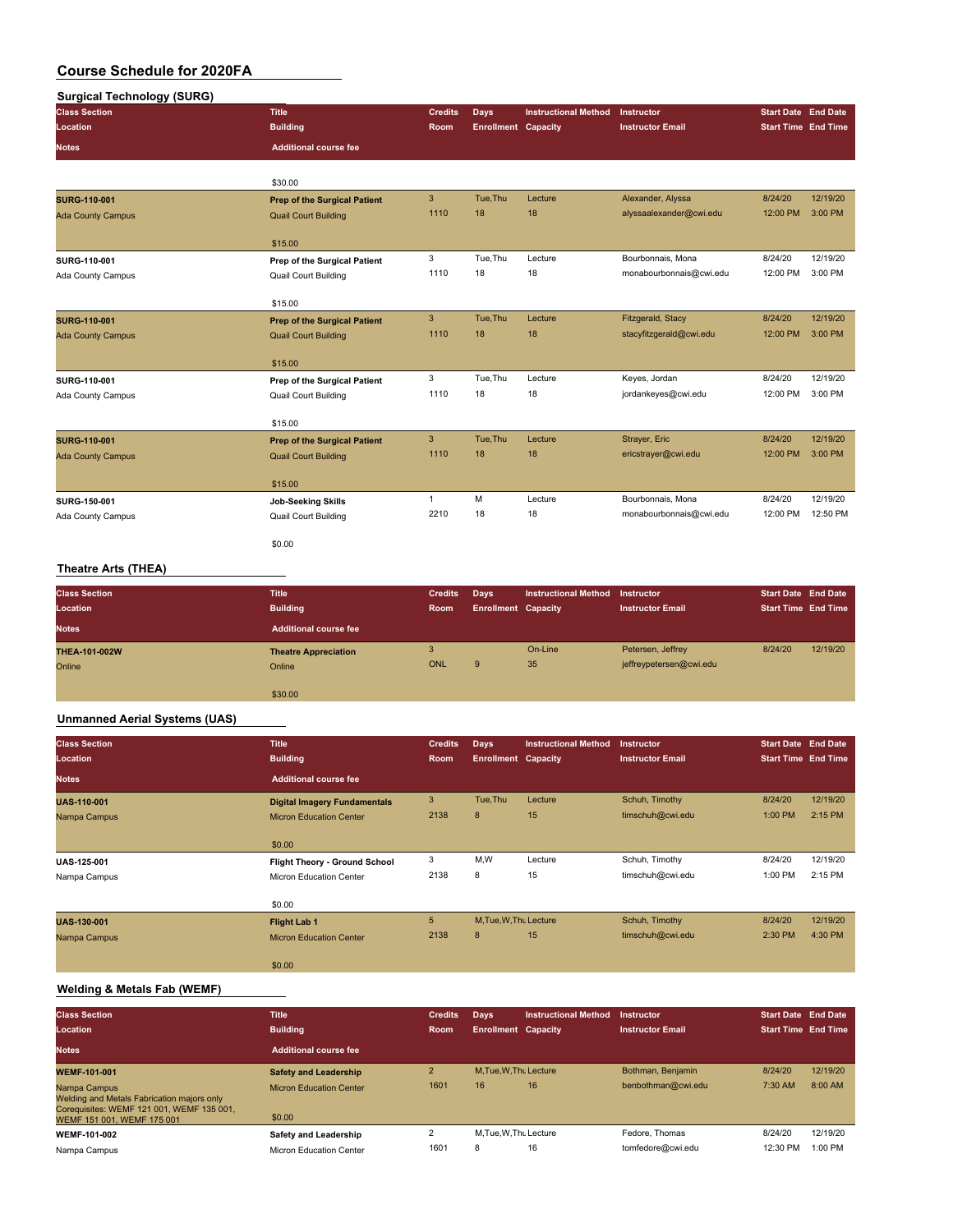| <b>Surgical Technology (SURG)</b> |                                     |                |                            |                             |                         |                            |          |
|-----------------------------------|-------------------------------------|----------------|----------------------------|-----------------------------|-------------------------|----------------------------|----------|
| <b>Class Section</b>              | <b>Title</b>                        | <b>Credits</b> | <b>Days</b>                | <b>Instructional Method</b> | Instructor              | <b>Start Date</b> End Date |          |
| Location                          | <b>Building</b>                     | <b>Room</b>    | <b>Enrollment Capacity</b> |                             | <b>Instructor Email</b> | <b>Start Time End Time</b> |          |
| <b>Notes</b>                      | <b>Additional course fee</b>        |                |                            |                             |                         |                            |          |
|                                   | \$30.00                             |                |                            |                             |                         |                            |          |
| <b>SURG-110-001</b>               | <b>Prep of the Surgical Patient</b> | 3              | Tue, Thu                   | Lecture                     | Alexander, Alyssa       | 8/24/20                    | 12/19/20 |
| <b>Ada County Campus</b>          | <b>Quail Court Building</b>         | 1110           | 18                         | 18                          | alyssaalexander@cwi.edu | 12:00 PM                   | 3:00 PM  |
|                                   | \$15.00                             |                |                            |                             |                         |                            |          |
| SURG-110-001                      | Prep of the Surgical Patient        | 3              | Tue.Thu                    | Lecture                     | Bourbonnais, Mona       | 8/24/20                    | 12/19/20 |
| Ada County Campus                 | Quail Court Building                | 1110           | 18                         | 18                          | monabourbonnais@cwi.edu | 12:00 PM                   | 3:00 PM  |
|                                   | \$15.00                             |                |                            |                             |                         |                            |          |
| <b>SURG-110-001</b>               | <b>Prep of the Surgical Patient</b> | $\mathbf{3}$   | Tue, Thu                   | Lecture                     | Fitzgerald, Stacy       | 8/24/20                    | 12/19/20 |
| <b>Ada County Campus</b>          | <b>Quail Court Building</b>         | 1110           | 18                         | 18                          | stacyfitzgerald@cwi.edu | 12:00 PM                   | 3:00 PM  |
|                                   | \$15.00                             |                |                            |                             |                         |                            |          |
| SURG-110-001                      | Prep of the Surgical Patient        | 3              | Tue, Thu                   | Lecture                     | Keyes, Jordan           | 8/24/20                    | 12/19/20 |
| Ada County Campus                 | <b>Quail Court Building</b>         | 1110           | 18                         | 18                          | jordankeyes@cwi.edu     | 12:00 PM                   | 3:00 PM  |
|                                   | \$15.00                             |                |                            |                             |                         |                            |          |
| <b>SURG-110-001</b>               | <b>Prep of the Surgical Patient</b> | 3              | Tue, Thu                   | Lecture                     | Strayer, Eric           | 8/24/20                    | 12/19/20 |
| <b>Ada County Campus</b>          | <b>Quail Court Building</b>         | 1110           | 18                         | 18                          | ericstrayer@cwi.edu     | 12:00 PM                   | 3:00 PM  |
|                                   | \$15.00                             |                |                            |                             |                         |                            |          |
| SURG-150-001                      | <b>Job-Seeking Skills</b>           | $\mathbf{1}$   | M                          | Lecture                     | Bourbonnais, Mona       | 8/24/20                    | 12/19/20 |
| Ada County Campus                 | Quail Court Building                | 2210           | 18                         | 18                          | monabourbonnais@cwi.edu | 12:00 PM                   | 12:50 PM |
|                                   | \$0.00                              |                |                            |                             |                         |                            |          |
|                                   |                                     |                |                            |                             |                         |                            |          |

### **Theatre Arts (THEA)**

| <b>Class Section</b><br>Location | <b>Title</b><br><b>Building</b> | <b>Credits</b><br>Room | Days<br><b>Enrollment Capacity</b> | <b>Instructional Method</b> | Instructor<br><b>Instructor Email</b> | <b>Start Date End Date</b><br><b>Start Time End Time</b> |          |
|----------------------------------|---------------------------------|------------------------|------------------------------------|-----------------------------|---------------------------------------|----------------------------------------------------------|----------|
| <b>Notes</b>                     | Additional course fee           |                        |                                    |                             |                                       |                                                          |          |
| <b>THEA-101-002W</b>             | <b>Theatre Appreciation</b>     | 3                      |                                    | On-Line                     | Petersen, Jeffrey                     | 8/24/20                                                  | 12/19/20 |
| Online                           | Online                          | ONL                    | 9                                  | 35                          | jeffreypetersen@cwi.edu               |                                                          |          |
|                                  |                                 |                        |                                    |                             |                                       |                                                          |          |
|                                  | \$30.00                         |                        |                                    |                             |                                       |                                                          |          |

### **Unmanned Aerial Systems (UAS)**

| <b>Class Section</b> | <b>Title</b>                        | <b>Credits</b> | Days                       | <b>Instructional Method</b> | <b>Instructor</b>       | <b>Start Date End Date</b> |          |
|----------------------|-------------------------------------|----------------|----------------------------|-----------------------------|-------------------------|----------------------------|----------|
| Location             | <b>Building</b>                     | Room           | <b>Enrollment Capacity</b> |                             | <b>Instructor Email</b> | <b>Start Time End Time</b> |          |
| <b>Notes</b>         | <b>Additional course fee</b>        |                |                            |                             |                         |                            |          |
| <b>UAS-110-001</b>   | <b>Digital Imagery Fundamentals</b> | 3              | Tue, Thu                   | Lecture                     | Schuh, Timothy          | 8/24/20                    | 12/19/20 |
| Nampa Campus         | <b>Micron Education Center</b>      | 2138           | 8                          | 15                          | timschuh@cwi.edu        | 1:00 PM                    | 2:15 PM  |
|                      | \$0.00                              |                |                            |                             |                         |                            |          |
| <b>UAS-125-001</b>   | Flight Theory - Ground School       | 3              | M,W                        | Lecture                     | Schuh, Timothy          | 8/24/20                    | 12/19/20 |
| Nampa Campus         | Micron Education Center             | 2138           | 8                          | 15                          | timschuh@cwi.edu        | 1:00 PM                    | 2:15 PM  |
|                      | \$0.00                              |                |                            |                             |                         |                            |          |
| <b>UAS-130-001</b>   | <b>Flight Lab 1</b>                 | 5              | M, Tue, W, Thu Lecture     |                             | Schuh, Timothy          | 8/24/20                    | 12/19/20 |
| Nampa Campus         | <b>Micron Education Center</b>      | 2138           | 8                          | 15                          | timschuh@cwi.edu        | 2:30 PM                    | 4:30 PM  |
|                      | \$0.00                              |                |                            |                             |                         |                            |          |

### **Welding & Metals Fab (WEMF)**

| <b>Class Section</b>                                                                                                                  | <b>Title</b>                             | <b>Credits</b> | Days                       | <b>Instructional Method</b> | <b>Instructor</b>       | <b>Start Date End Date</b> |          |
|---------------------------------------------------------------------------------------------------------------------------------------|------------------------------------------|----------------|----------------------------|-----------------------------|-------------------------|----------------------------|----------|
| Location                                                                                                                              | <b>Building</b>                          | <b>Room</b>    | <b>Enrollment Capacity</b> |                             | <b>Instructor Email</b> | <b>Start Time End Time</b> |          |
| <b>Notes</b>                                                                                                                          | Additional course fee                    |                |                            |                             |                         |                            |          |
| <b>WEMF-101-001</b>                                                                                                                   | <b>Safety and Leadership</b>             | $\overline{2}$ | M.Tue.W.Thu Lecture        |                             | Bothman, Benjamin       | 8/24/20                    | 12/19/20 |
| Nampa Campus<br>Welding and Metals Fabrication majors only<br>Coreguisites: WEMF 121 001, WEMF 135 001.<br>WEMF 151 001, WEMF 175 001 | <b>Micron Education Center</b><br>\$0.00 | 1601           | 16                         | 16                          | benbothman@cwi.edu      | 7:30 AM                    | 8:00 AM  |
| WEMF-101-002                                                                                                                          | Safety and Leadership                    |                | M.Tue.W.Thu Lecture        |                             | Fedore, Thomas          | 8/24/20                    | 12/19/20 |
| Nampa Campus                                                                                                                          | Micron Education Center                  | 1601           | 8                          | 16                          | tomfedore@cwi.edu       | 12:30 PM                   | 1:00 PM  |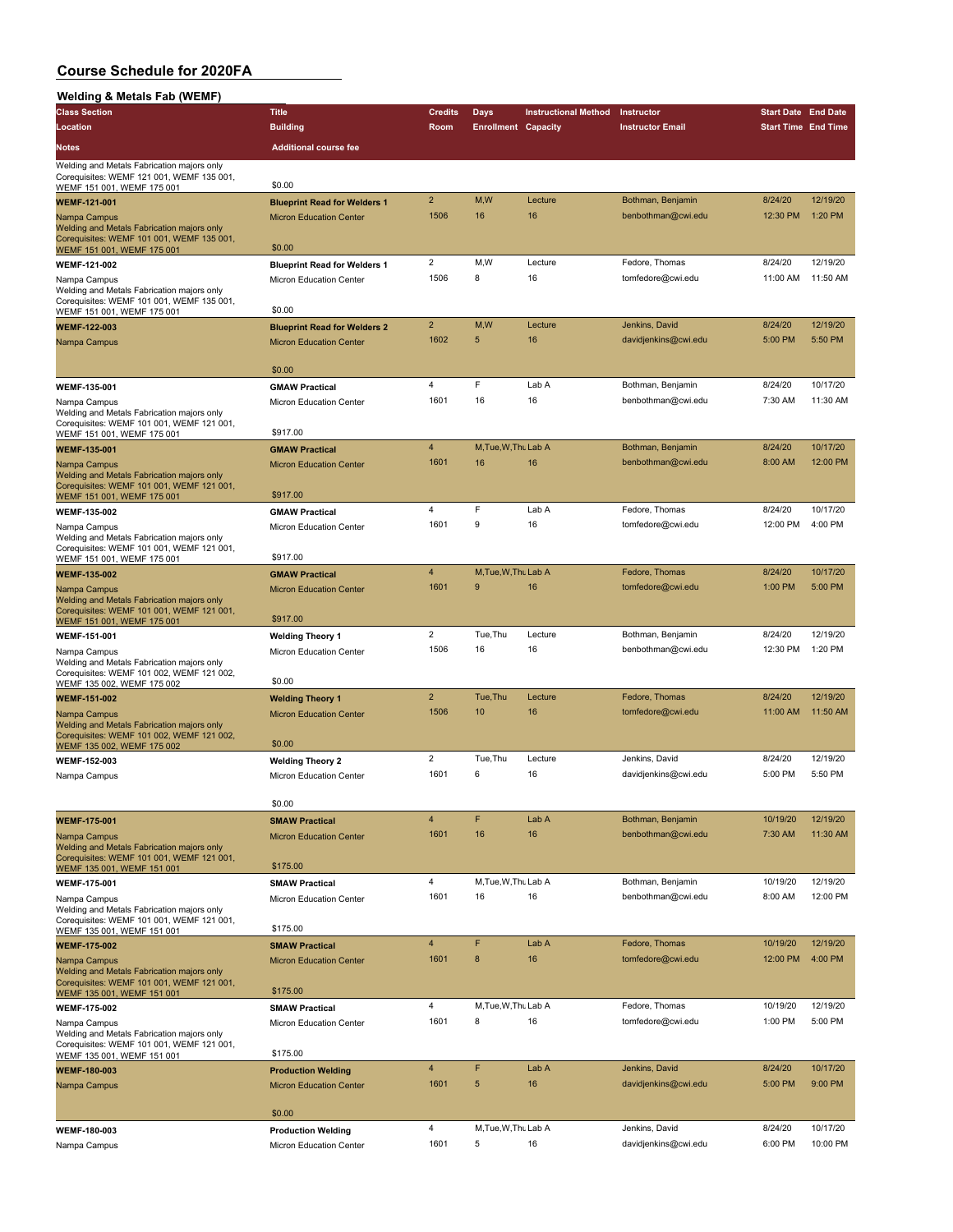| <b>Welding &amp; Metals Fab (WEMF)</b>                                                  |                                                           |                         |                            |                             |                         |                            |          |
|-----------------------------------------------------------------------------------------|-----------------------------------------------------------|-------------------------|----------------------------|-----------------------------|-------------------------|----------------------------|----------|
| <b>Class Section</b>                                                                    | <b>Title</b>                                              | <b>Credits</b>          | Days                       | <b>Instructional Method</b> | Instructor              | <b>Start Date End Date</b> |          |
| Location                                                                                | <b>Building</b>                                           | Room                    | <b>Enrollment Capacity</b> |                             | <b>Instructor Email</b> | <b>Start Time End Time</b> |          |
| <b>Notes</b>                                                                            | <b>Additional course fee</b>                              |                         |                            |                             |                         |                            |          |
|                                                                                         |                                                           |                         |                            |                             |                         |                            |          |
| Welding and Metals Fabrication majors only<br>Corequisites: WEMF 121 001, WEMF 135 001, |                                                           |                         |                            |                             |                         |                            |          |
| WEMF 151 001, WEMF 175 001                                                              | \$0.00                                                    |                         |                            |                             |                         |                            |          |
| <b>WEMF-121-001</b>                                                                     | <b>Blueprint Read for Welders 1</b>                       | $\overline{2}$          | M, W                       | Lecture                     | Bothman, Benjamin       | 8/24/20                    | 12/19/20 |
| Nampa Campus                                                                            | <b>Micron Education Center</b>                            | 1506                    | 16                         | 16                          | benbothman@cwi.edu      | 12:30 PM                   | 1:20 PM  |
| Welding and Metals Fabrication majors only<br>Corequisites: WEMF 101 001, WEMF 135 001, |                                                           |                         |                            |                             |                         |                            |          |
| WEMF 151 001, WEMF 175 001                                                              | \$0.00                                                    |                         |                            |                             |                         |                            |          |
| <b>WEMF-121-002</b>                                                                     | <b>Blueprint Read for Welders 1</b>                       | $\overline{2}$          | M,W                        | Lecture                     | Fedore, Thomas          | 8/24/20                    | 12/19/20 |
| Nampa Campus<br>Welding and Metals Fabrication majors only                              | Micron Education Center                                   | 1506                    | 8                          | 16                          | tomfedore@cwi.edu       | 11:00 AM                   | 11:50 AM |
| Corequisites: WEMF 101 001, WEMF 135 001,<br>WEMF 151 001, WEMF 175 001                 | \$0.00                                                    |                         |                            |                             |                         |                            |          |
| WEMF-122-003                                                                            | <b>Blueprint Read for Welders 2</b>                       | $\overline{2}$          | M,W                        | Lecture                     | Jenkins, David          | 8/24/20                    | 12/19/20 |
| Nampa Campus                                                                            | <b>Micron Education Center</b>                            | 1602                    | 5                          | 16                          | davidjenkins@cwi.edu    | 5:00 PM                    | 5:50 PM  |
|                                                                                         |                                                           |                         |                            |                             |                         |                            |          |
|                                                                                         | \$0.00                                                    |                         |                            |                             |                         |                            |          |
| <b>WEMF-135-001</b>                                                                     | <b>GMAW Practical</b>                                     | 4                       | F                          | Lab A                       | Bothman, Benjamin       | 8/24/20                    | 10/17/20 |
| Nampa Campus                                                                            | Micron Education Center                                   | 1601                    | 16                         | 16                          | benbothman@cwi.edu      | 7:30 AM                    | 11:30 AM |
| Welding and Metals Fabrication majors only                                              |                                                           |                         |                            |                             |                         |                            |          |
| Corequisites: WEMF 101 001, WEMF 121 001,<br>WEMF 151 001, WEMF 175 001                 | \$917.00                                                  |                         |                            |                             |                         |                            |          |
| <b>WEMF-135-001</b>                                                                     | <b>GMAW Practical</b>                                     | $\overline{4}$          | M, Tue, W, Thu Lab A       |                             | Bothman, Benjamin       | 8/24/20                    | 10/17/20 |
| Nampa Campus                                                                            | <b>Micron Education Center</b>                            | 1601                    | 16                         | 16                          | benbothman@cwi.edu      | 8:00 AM                    | 12:00 PM |
| Welding and Metals Fabrication majors only<br>Corequisites: WEMF 101 001, WEMF 121 001, |                                                           |                         |                            |                             |                         |                            |          |
| WEMF 151 001, WEMF 175 001                                                              | \$917.00                                                  |                         |                            |                             |                         |                            |          |
| <b>WEMF-135-002</b>                                                                     | <b>GMAW Practical</b>                                     | $\overline{4}$          | F                          | Lab A                       | Fedore, Thomas          | 8/24/20                    | 10/17/20 |
| Nampa Campus                                                                            | Micron Education Center                                   | 1601                    | 9                          | 16                          | tomfedore@cwi.edu       | 12:00 PM                   | 4:00 PM  |
| Welding and Metals Fabrication majors only                                              |                                                           |                         |                            |                             |                         |                            |          |
| Corequisites: WEMF 101 001, WEMF 121 001,<br>WEMF 151 001, WEMF 175 001                 | \$917.00                                                  |                         |                            |                             |                         |                            |          |
| <b>WEMF-135-002</b>                                                                     | <b>GMAW Practical</b>                                     | $\overline{\mathbf{4}}$ | M.Tue.W.Thu Lab A          |                             | Fedore, Thomas          | 8/24/20                    | 10/17/20 |
| Nampa Campus                                                                            | <b>Micron Education Center</b>                            | 1601                    | 9                          | 16                          | tomfedore@cwi.edu       | 1:00 PM                    | 5:00 PM  |
| Welding and Metals Fabrication majors only<br>Corequisites: WEMF 101 001, WEMF 121 001, | \$917.00                                                  |                         |                            |                             |                         |                            |          |
| WEMF 151 001, WEMF 175 001                                                              |                                                           | $\overline{2}$          | Tue, Thu                   | Lecture                     | Bothman, Benjamin       | 8/24/20                    | 12/19/20 |
| WEMF-151-001                                                                            | <b>Welding Theory 1</b>                                   | 1506                    | 16                         | 16                          | benbothman@cwi.edu      | 12:30 PM                   | 1:20 PM  |
| Nampa Campus<br>Welding and Metals Fabrication majors only                              | Micron Education Center                                   |                         |                            |                             |                         |                            |          |
| Corequisites: WEMF 101 002, WEMF 121 002,                                               | \$0.00                                                    |                         |                            |                             |                         |                            |          |
| WEMF 135 002, WEMF 175 002<br><b>WEMF-151-002</b>                                       |                                                           | $\overline{2}$          | Tue, Thu                   | Lecture                     | Fedore, Thomas          | 8/24/20                    | 12/19/20 |
|                                                                                         | <b>Welding Theory 1</b><br><b>Micron Education Center</b> | 1506                    | 10                         | 16                          | tomfedore@cwi.edu       | 11:00 AM                   | 11:50 AM |
| Nampa Campus<br>Welding and Metals Fabrication majors only                              |                                                           |                         |                            |                             |                         |                            |          |
| Corequisites: WEMF 101 002, WEMF 121 002,                                               | \$0.00                                                    |                         |                            |                             |                         |                            |          |
| WEMF 135 002, WEMF 175 002<br>WEMF-152-003                                              | <b>Welding Theory 2</b>                                   | $\overline{2}$          | Tue.Thu                    | Lecture                     | Jenkins, David          | 8/24/20                    | 12/19/20 |
| Nampa Campus                                                                            | Micron Education Center                                   | 1601                    | 6                          | 16                          | davidjenkins@cwi.edu    | 5:00 PM                    | 5:50 PM  |
|                                                                                         |                                                           |                         |                            |                             |                         |                            |          |
|                                                                                         | \$0.00                                                    |                         |                            |                             |                         |                            |          |
| <b>WEMF-175-001</b>                                                                     | <b>SMAW Practical</b>                                     | $\overline{4}$          | F                          | Lab A                       | Bothman, Benjamin       | 10/19/20                   | 12/19/20 |
| Nampa Campus                                                                            | <b>Micron Education Center</b>                            | 1601                    | 16                         | 16                          | benbothman@cwi.edu      | 7:30 AM                    | 11:30 AM |
| Welding and Metals Fabrication majors only                                              |                                                           |                         |                            |                             |                         |                            |          |
| Corequisites: WEMF 101 001, WEMF 121 001,<br>WEMF 135 001, WEMF 151 001                 | \$175.00                                                  |                         |                            |                             |                         |                            |          |
| <b>WEMF-175-001</b>                                                                     | <b>SMAW Practical</b>                                     | $\overline{\mathbf{4}}$ | M, Tue, W, Thu Lab A       |                             | Bothman, Benjamin       | 10/19/20                   | 12/19/20 |
| Nampa Campus                                                                            | Micron Education Center                                   | 1601                    | 16                         | 16                          | benbothman@cwi.edu      | 8:00 AM                    | 12:00 PM |
| Welding and Metals Fabrication majors only                                              |                                                           |                         |                            |                             |                         |                            |          |
| Corequisites: WEMF 101 001, WEMF 121 001,<br>WEMF 135 001, WEMF 151 001                 | \$175.00                                                  |                         |                            |                             |                         |                            |          |
| <b>WEMF-175-002</b>                                                                     | <b>SMAW Practical</b>                                     | $\overline{4}$          | F                          | Lab A                       | Fedore, Thomas          | 10/19/20                   | 12/19/20 |
| Nampa Campus                                                                            | <b>Micron Education Center</b>                            | 1601                    | 8                          | 16                          | tomfedore@cwi.edu       | 12:00 PM                   | 4:00 PM  |
| Welding and Metals Fabrication majors only                                              |                                                           |                         |                            |                             |                         |                            |          |
| Corequisites: WEMF 101 001, WEMF 121 001,<br>WEMF 135 001, WEMF 151 001                 | \$175.00                                                  |                         |                            |                             |                         |                            |          |
| <b>WEMF-175-002</b>                                                                     | <b>SMAW Practical</b>                                     | 4                       | M, Tue, W, Thu Lab A       |                             | Fedore, Thomas          | 10/19/20                   | 12/19/20 |
| Nampa Campus                                                                            | Micron Education Center                                   | 1601                    | 8                          | 16                          | tomfedore@cwi.edu       | 1:00 PM                    | 5:00 PM  |
| Welding and Metals Fabrication majors only                                              |                                                           |                         |                            |                             |                         |                            |          |
| Corequisites: WEMF 101 001, WEMF 121 001,<br>WEMF 135 001, WEMF 151 001                 | \$175.00                                                  |                         |                            |                             |                         |                            |          |
| <b>WEMF-180-003</b>                                                                     | <b>Production Welding</b>                                 | $\overline{4}$          | $\bullet$                  | Lab A                       | Jenkins, David          | 8/24/20                    | 10/17/20 |
| Nampa Campus                                                                            | <b>Micron Education Center</b>                            | 1601                    | 5                          | 16                          | davidjenkins@cwi.edu    | 5:00 PM                    | 9:00 PM  |
|                                                                                         |                                                           |                         |                            |                             |                         |                            |          |
|                                                                                         | \$0.00                                                    |                         |                            |                             |                         |                            |          |
| WEMF-180-003                                                                            | <b>Production Welding</b>                                 | $\overline{4}$          | M, Tue, W, Thu Lab A       |                             | Jenkins, David          | 8/24/20                    | 10/17/20 |
| Nampa Campus                                                                            | Micron Education Center                                   | 1601                    | 5                          | 16                          | davidjenkins@cwi.edu    | 6:00 PM                    | 10:00 PM |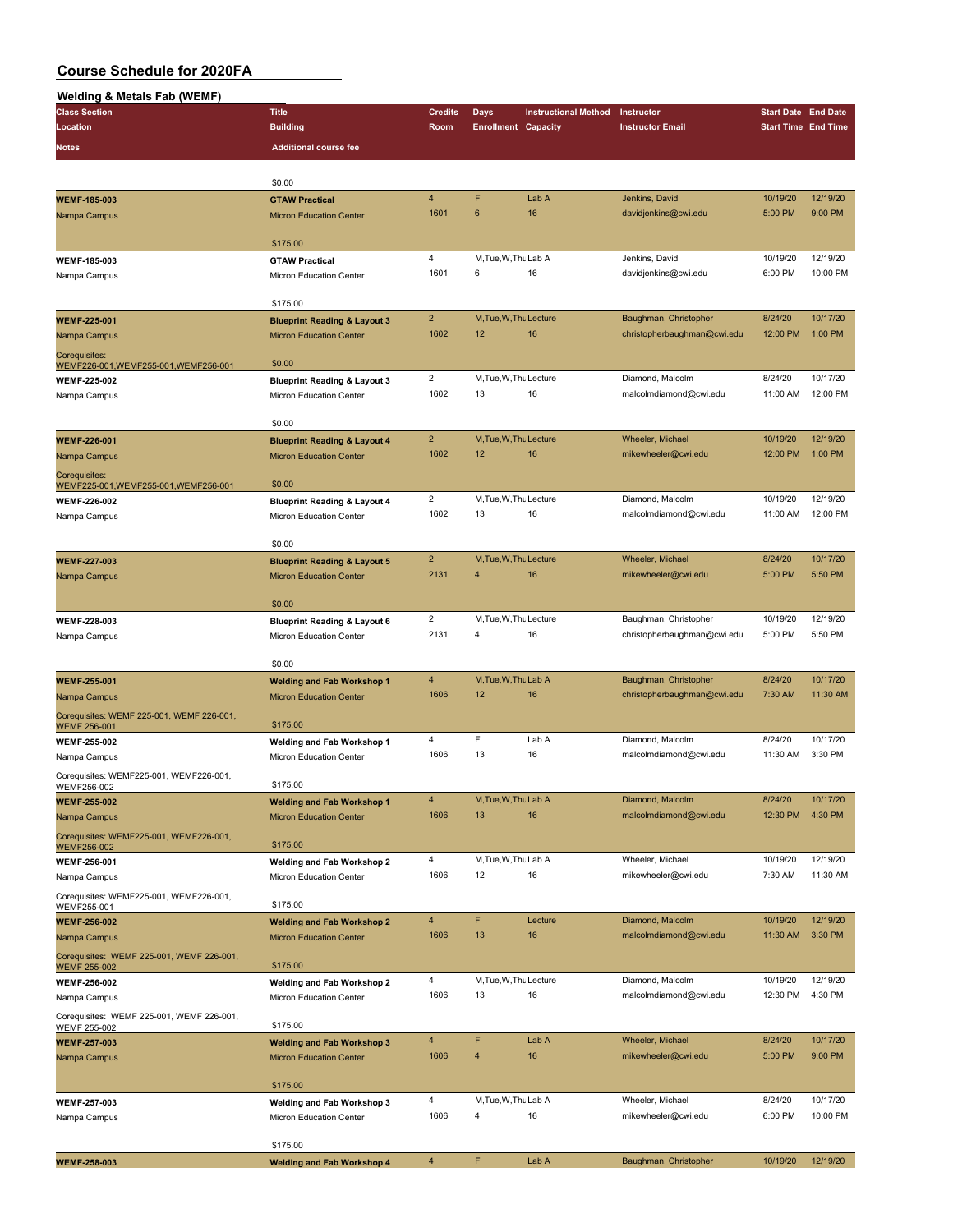| <b>Welding &amp; Metals Fab (WEMF)</b>                           |                                                                     |                         |                              |                             |                                                      |                            |                      |
|------------------------------------------------------------------|---------------------------------------------------------------------|-------------------------|------------------------------|-----------------------------|------------------------------------------------------|----------------------------|----------------------|
| <b>Class Section</b>                                             | <b>Title</b>                                                        | <b>Credits</b>          | Days                         | <b>Instructional Method</b> | Instructor                                           | <b>Start Date End Date</b> |                      |
| Location                                                         | <b>Building</b>                                                     | Room                    | <b>Enrollment Capacity</b>   |                             | <b>Instructor Email</b>                              | <b>Start Time End Time</b> |                      |
| <b>Notes</b>                                                     | <b>Additional course fee</b>                                        |                         |                              |                             |                                                      |                            |                      |
|                                                                  |                                                                     |                         |                              |                             |                                                      |                            |                      |
|                                                                  | \$0.00                                                              |                         |                              |                             |                                                      |                            |                      |
| <b>WEMF-185-003</b>                                              | <b>GTAW Practical</b>                                               | $\overline{4}$          | F                            | Lab A                       | Jenkins, David                                       | 10/19/20                   | 12/19/20             |
| Nampa Campus                                                     | <b>Micron Education Center</b>                                      | 1601                    | 6                            | 16                          | davidjenkins@cwi.edu                                 | 5:00 PM                    | 9:00 PM              |
|                                                                  |                                                                     |                         |                              |                             |                                                      |                            |                      |
|                                                                  | \$175.00                                                            | $\overline{4}$          | M, Tue, W, Thu Lab A         |                             | Jenkins, David                                       | 10/19/20                   | 12/19/20             |
| WEMF-185-003<br>Nampa Campus                                     | <b>GTAW Practical</b><br>Micron Education Center                    | 1601                    | 6                            | 16                          | davidjenkins@cwi.edu                                 | 6:00 PM                    | 10:00 PM             |
|                                                                  |                                                                     |                         |                              |                             |                                                      |                            |                      |
|                                                                  | \$175.00                                                            |                         |                              |                             |                                                      |                            |                      |
| <b>WEMF-225-001</b>                                              | <b>Blueprint Reading &amp; Layout 3</b>                             | $\overline{2}$          | M, Tue, W, Thu Lecture       |                             | Baughman, Christopher                                | 8/24/20                    | 10/17/20             |
| Nampa Campus                                                     | <b>Micron Education Center</b>                                      | 1602                    | 12                           | 16                          | christopherbaughman@cwi.edu                          | 12:00 PM                   | 1:00 PM              |
| Corequisites:                                                    |                                                                     |                         |                              |                             |                                                      |                            |                      |
| WEMF226-001, WEMF255-001, WEMF256-001                            | \$0.00                                                              |                         |                              |                             |                                                      |                            |                      |
| <b>WEMF-225-002</b>                                              | <b>Blueprint Reading &amp; Layout 3</b>                             | $\overline{2}$<br>1602  | M, Tue, W, Thu Lecture<br>13 | 16                          | Diamond, Malcolm<br>malcolmdiamond@cwi.edu           | 8/24/20<br>11:00 AM        | 10/17/20<br>12:00 PM |
| Nampa Campus                                                     | Micron Education Center                                             |                         |                              |                             |                                                      |                            |                      |
|                                                                  | \$0.00                                                              |                         |                              |                             |                                                      |                            |                      |
| <b>WEMF-226-001</b>                                              | <b>Blueprint Reading &amp; Layout 4</b>                             | $\overline{2}$          | M, Tue, W, Thu Lecture       |                             | Wheeler, Michael                                     | 10/19/20                   | 12/19/20             |
| Nampa Campus                                                     | <b>Micron Education Center</b>                                      | 1602                    | 12                           | 16                          | mikewheeler@cwi.edu                                  | 12:00 PM                   | 1:00 PM              |
| Corequisites:                                                    |                                                                     |                         |                              |                             |                                                      |                            |                      |
| WEMF225-001, WEMF255-001, WEMF256-001                            | \$0.00                                                              |                         |                              |                             |                                                      |                            |                      |
| <b>WEMF-226-002</b>                                              | <b>Blueprint Reading &amp; Layout 4</b>                             | $\overline{2}$          | M, Tue, W, Thu Lecture       |                             | Diamond, Malcolm                                     | 10/19/20                   | 12/19/20             |
| Nampa Campus                                                     | Micron Education Center                                             | 1602                    | 13                           | 16                          | malcolmdiamond@cwi.edu                               | 11:00 AM                   | 12:00 PM             |
|                                                                  | \$0.00                                                              |                         |                              |                             |                                                      |                            |                      |
| <b>WEMF-227-003</b>                                              | <b>Blueprint Reading &amp; Layout 5</b>                             | $\overline{2}$          | M, Tue, W, Thu Lecture       |                             | Wheeler, Michael                                     | 8/24/20                    | 10/17/20             |
| Nampa Campus                                                     | <b>Micron Education Center</b>                                      | 2131                    | 4                            | 16                          | mikewheeler@cwi.edu                                  | 5:00 PM                    | 5:50 PM              |
|                                                                  |                                                                     |                         |                              |                             |                                                      |                            |                      |
|                                                                  | \$0.00                                                              |                         |                              |                             |                                                      |                            |                      |
| WEMF-228-003                                                     | <b>Blueprint Reading &amp; Layout 6</b>                             | $\overline{2}$          | M, Tue, W, Thu Lecture       |                             | Baughman, Christopher                                | 10/19/20                   | 12/19/20             |
| Nampa Campus                                                     | Micron Education Center                                             | 2131                    | 4                            | 16                          | christopherbaughman@cwi.edu                          | 5:00 PM                    | 5:50 PM              |
|                                                                  |                                                                     |                         |                              |                             |                                                      |                            |                      |
|                                                                  | \$0.00                                                              | $\overline{4}$          | M, Tue, W, Thu Lab A         |                             |                                                      |                            | 10/17/20             |
| <b>WEMF-255-001</b>                                              | <b>Welding and Fab Workshop 1</b><br><b>Micron Education Center</b> | 1606                    | 12                           | 16                          | Baughman, Christopher<br>christopherbaughman@cwi.edu | 8/24/20<br>7:30 AM         | 11:30 AM             |
| Nampa Campus                                                     |                                                                     |                         |                              |                             |                                                      |                            |                      |
| Corequisites: WEMF 225-001, WEMF 226-001,<br><b>WEMF 256-001</b> | \$175.00                                                            |                         |                              |                             |                                                      |                            |                      |
| <b>WEMF-255-002</b>                                              | Welding and Fab Workshop 1                                          | $\overline{\mathbf{4}}$ | F                            | Lab A                       | Diamond, Malcolm                                     | 8/24/20                    | 10/17/20             |
| Nampa Campus                                                     | Micron Education Center                                             | 1606                    | 13                           | 16                          | malcolmdiamond@cwi.edu                               | 11:30 AM                   | 3:30 PM              |
| Corequisites: WEMF225-001, WEMF226-001,                          |                                                                     |                         |                              |                             |                                                      |                            |                      |
| WEMF256-002                                                      | \$175.00                                                            |                         |                              |                             |                                                      |                            |                      |
| <b>WEMF-255-002</b>                                              | <b>Welding and Fab Workshop 1</b>                                   | $\overline{4}$          | M, Tue, W, Thu Lab A         | 16                          | Diamond, Malcolm<br>malcolmdiamond@cwi.edu           | 8/24/20                    | 10/17/20<br>4:30 PM  |
| Nampa Campus                                                     | <b>Micron Education Center</b>                                      | 1606                    | 13                           |                             |                                                      | 12:30 PM                   |                      |
| Corequisites: WEMF225-001, WEMF226-001,<br>WEMF256-002           | \$175.00                                                            |                         |                              |                             |                                                      |                            |                      |
| WEMF-256-001                                                     | Welding and Fab Workshop 2                                          | 4                       | M, Tue, W, Thu Lab A         |                             | Wheeler, Michael                                     | 10/19/20                   | 12/19/20             |
| Nampa Campus                                                     | Micron Education Center                                             | 1606                    | 12                           | 16                          | mikewheeler@cwi.edu                                  | 7:30 AM                    | 11:30 AM             |
| Corequisites: WEMF225-001, WEMF226-001,                          |                                                                     |                         |                              |                             |                                                      |                            |                      |
| WEMF255-001                                                      | \$175.00                                                            |                         |                              |                             |                                                      |                            |                      |
| <b>WEMF-256-002</b>                                              | <b>Welding and Fab Workshop 2</b>                                   | $\overline{4}$          | F                            | Lecture                     | Diamond, Malcolm                                     | 10/19/20                   | 12/19/20             |
| Nampa Campus                                                     | <b>Micron Education Center</b>                                      | 1606                    | 13                           | 16                          | malcolmdiamond@cwi.edu                               | 11:30 AM                   | 3:30 PM              |
| Corequisites: WEMF 225-001, WEMF 226-001,                        | \$175.00                                                            |                         |                              |                             |                                                      |                            |                      |
| <b>WEMF 255-002</b><br><b>WEMF-256-002</b>                       | Welding and Fab Workshop 2                                          | 4                       | M, Tue, W, Thu Lecture       |                             | Diamond, Malcolm                                     | 10/19/20                   | 12/19/20             |
| Nampa Campus                                                     | Micron Education Center                                             | 1606                    | 13                           | 16                          | malcolmdiamond@cwi.edu                               | 12:30 PM                   | 4:30 PM              |
| Corequisites: WEMF 225-001, WEMF 226-001,                        |                                                                     |                         |                              |                             |                                                      |                            |                      |
| <b>WEMF 255-002</b>                                              | \$175.00                                                            |                         |                              |                             |                                                      |                            |                      |
| <b>WEMF-257-003</b>                                              | <b>Welding and Fab Workshop 3</b>                                   | 4                       | F                            | Lab A                       | Wheeler, Michael                                     | 8/24/20                    | 10/17/20             |
| Nampa Campus                                                     | <b>Micron Education Center</b>                                      | 1606                    | $\overline{4}$               | 16                          | mikewheeler@cwi.edu                                  | 5:00 PM                    | 9:00 PM              |
|                                                                  |                                                                     |                         |                              |                             |                                                      |                            |                      |
|                                                                  | \$175.00                                                            | 4                       | M, Tue, W, Thu Lab A         |                             | Wheeler, Michael                                     | 8/24/20                    | 10/17/20             |
| WEMF-257-003                                                     | <b>Welding and Fab Workshop 3</b>                                   | 1606                    | 4                            | 16                          | mikewheeler@cwi.edu                                  | 6:00 PM                    | 10:00 PM             |
| Nampa Campus                                                     | Micron Education Center                                             |                         |                              |                             |                                                      |                            |                      |
|                                                                  | \$175.00                                                            |                         |                              |                             |                                                      |                            |                      |
| <b>WEMF-258-003</b>                                              | <b>Welding and Fab Workshop 4</b>                                   | $\overline{4}$          | F                            | Lab A                       | Baughman, Christopher                                | 10/19/20                   | 12/19/20             |